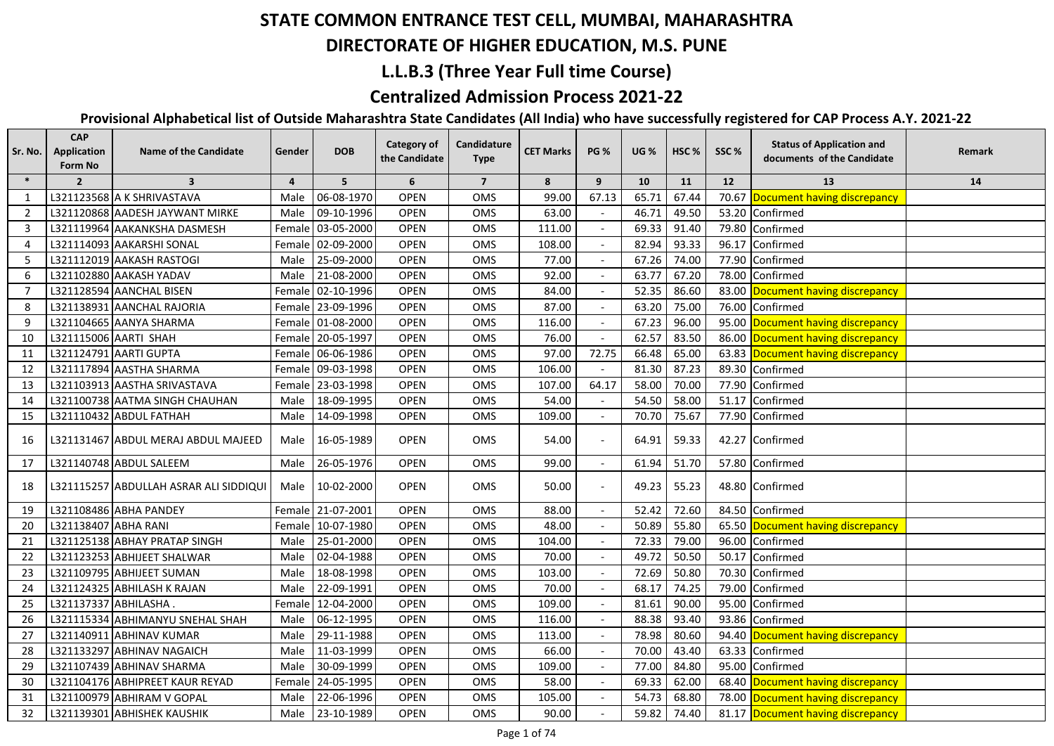#### **DIRECTORATE OF HIGHER EDUCATION, M.S. PUNE**

## **L.L.B.3 (Three Year Full time Course)**

## **Centralized Admission Process 2021-22**

| Sr. No.        | <b>CAP</b><br><b>Application</b><br>Form No | <b>Name of the Candidate</b>           | Gender         | <b>DOB</b>        | <b>Category of</b><br>the Candidate | Candidature<br><b>Type</b> | <b>CET Marks</b> | <b>PG %</b> | <b>UG %</b> | HSC <sub>%</sub> | SSC%  | <b>Status of Application and</b><br>documents of the Candidate | Remark |
|----------------|---------------------------------------------|----------------------------------------|----------------|-------------------|-------------------------------------|----------------------------|------------------|-------------|-------------|------------------|-------|----------------------------------------------------------------|--------|
| $\ast$         | $\overline{2}$                              | $\overline{\mathbf{3}}$                | $\overline{4}$ | 5                 | 6                                   | $\overline{7}$             | 8                | 9           | 10          | 11               | 12    | 13                                                             | 14     |
| 1              |                                             | L321123568 A K SHRIVASTAVA             | Male           | 06-08-1970        | <b>OPEN</b>                         | OMS                        | 99.00            | 67.13       | 65.71       | 67.44            |       | 70.67 Document having discrepancy                              |        |
| $\overline{2}$ |                                             | L321120868 AADESH JAYWANT MIRKE        | Male           | 09-10-1996        | <b>OPEN</b>                         | OMS                        | 63.00            |             | 46.71       | 49.50            |       | 53.20 Confirmed                                                |        |
| 3              |                                             | L321119964 AAKANKSHA DASMESH           |                | Female 03-05-2000 | <b>OPEN</b>                         | OMS                        | 111.00           |             | 69.33       | 91.40            | 79.80 | Confirmed                                                      |        |
| 4              |                                             | L321114093 AAKARSHI SONAL              |                | Female 02-09-2000 | <b>OPEN</b>                         | OMS                        | 108.00           |             | 82.94       | 93.33            | 96.17 | Confirmed                                                      |        |
| 5              |                                             | L321112019 AAKASH RASTOGI              |                | Male 25-09-2000   | <b>OPEN</b>                         | OMS                        | 77.00            |             | 67.26       | 74.00            |       | 77.90 Confirmed                                                |        |
| 6              |                                             | L321102880 AAKASH YADAV                |                | Male 21-08-2000   | <b>OPEN</b>                         | OMS                        | 92.00            |             | 63.77       | 67.20            |       | 78.00 Confirmed                                                |        |
| 7              |                                             | L321128594 AANCHAL BISEN               |                | Female 02-10-1996 | <b>OPEN</b>                         | OMS                        | 84.00            |             | 52.35       | 86.60            |       | 83.00 Document having discrepancy                              |        |
| 8              |                                             | L321138931 AANCHAL RAJORIA             |                | Female 23-09-1996 | <b>OPEN</b>                         | OMS                        | 87.00            |             | 63.20       | 75.00            |       | 76.00 Confirmed                                                |        |
| 9              |                                             | L321104665 AANYA SHARMA                |                | Female 01-08-2000 | <b>OPEN</b>                         | OMS                        | 116.00           |             | 67.23       | 96.00            |       | 95.00 Document having discrepancy                              |        |
| 10             |                                             | L321115006 AARTI SHAH                  |                | Female 20-05-1997 | <b>OPEN</b>                         | OMS                        | 76.00            |             | 62.57       | 83.50            |       | 86.00 Document having discrepancy                              |        |
| 11             |                                             | L321124791 AARTI GUPTA                 |                | Female 06-06-1986 | <b>OPEN</b>                         | OMS                        | 97.00            | 72.75       | 66.48       | 65.00            |       | 63.83 Document having discrepancy                              |        |
| 12             |                                             | L321117894 AASTHA SHARMA               |                | Female 09-03-1998 | <b>OPEN</b>                         | <b>OMS</b>                 | 106.00           |             | 81.30       | 87.23            |       | 89.30 Confirmed                                                |        |
| 13             |                                             | L321103913 AASTHA SRIVASTAVA           |                | Female 23-03-1998 | <b>OPEN</b>                         | OMS                        | 107.00           | 64.17       | 58.00       | 70.00            |       | 77.90 Confirmed                                                |        |
| 14             |                                             | L321100738 AATMA SINGH CHAUHAN         | Male           | 18-09-1995        | <b>OPEN</b>                         | <b>OMS</b>                 | 54.00            |             | 54.50       | 58.00            | 51.17 | Confirmed                                                      |        |
| 15             |                                             | L321110432 ABDUL FATHAH                | Male           | 14-09-1998        | <b>OPEN</b>                         | OMS                        | 109.00           |             | 70.70       | 75.67            |       | 77.90 Confirmed                                                |        |
| 16             |                                             | L321131467 ABDUL MERAJ ABDUL MAJEED    | Male           | 16-05-1989        | OPEN                                | OMS                        | 54.00            |             | 64.91       | 59.33            |       | 42.27 Confirmed                                                |        |
| 17             |                                             | L321140748 ABDUL SALEEM                | Male           | 26-05-1976        | <b>OPEN</b>                         | OMS                        | 99.00            |             | 61.94       | 51.70            |       | 57.80 Confirmed                                                |        |
| 18             |                                             | L321115257 ABDULLAH ASRAR ALI SIDDIQUI | Male           | 10-02-2000        | OPEN                                | OMS                        | 50.00            |             | 49.23       | 55.23            |       | 48.80 Confirmed                                                |        |
| 19             |                                             | L321108486 ABHA PANDEY                 |                | Female 21-07-2001 | <b>OPEN</b>                         | OMS                        | 88.00            |             | 52.42       | 72.60            |       | 84.50 Confirmed                                                |        |
| 20             | L321138407 ABHA RANI                        |                                        |                | Female 10-07-1980 | <b>OPEN</b>                         | OMS                        | 48.00            |             | 50.89       | 55.80            |       | 65.50 Document having discrepancy                              |        |
| 21             |                                             | L321125138 ABHAY PRATAP SINGH          | Male           | 25-01-2000        | <b>OPEN</b>                         | OMS                        | 104.00           |             | 72.33       | 79.00            | 96.00 | Confirmed                                                      |        |
| 22             |                                             | L321123253 ABHIJEET SHALWAR            | Male           | 02-04-1988        | <b>OPEN</b>                         | OMS                        | 70.00            |             | 49.72       | 50.50            | 50.17 | Confirmed                                                      |        |
| 23             |                                             | L321109795 ABHIJEET SUMAN              | Male           | 18-08-1998        | <b>OPEN</b>                         | OMS                        | 103.00           |             | 72.69       | 50.80            | 70.30 | Confirmed                                                      |        |
| 24             |                                             | L321124325 ABHILASH K RAJAN            | Male           | 22-09-1991        | <b>OPEN</b>                         | OMS                        | 70.00            |             | 68.17       | 74.25            | 79.00 | Confirmed                                                      |        |
| 25             | L321137337 ABHILASHA.                       |                                        |                | Female 12-04-2000 | <b>OPEN</b>                         | OMS                        | 109.00           |             | 81.61       | 90.00            | 95.00 | Confirmed                                                      |        |
| 26             |                                             | L321115334 ABHIMANYU SNEHAL SHAH       | Male           | 06-12-1995        | OPEN                                | OMS                        | 116.00           |             | 88.38       | 93.40            | 93.86 | Confirmed                                                      |        |
| 27             |                                             | L321140911 ABHINAV KUMAR               | Male           | 29-11-1988        | <b>OPEN</b>                         | OMS                        | 113.00           |             | 78.98       | 80.60            |       | 94.40 Document having discrepancy                              |        |
| 28             |                                             | L321133297 ABHINAV NAGAICH             | Male           | 11-03-1999        | <b>OPEN</b>                         | OMS                        | 66.00            |             | 70.00       | 43.40            |       | 63.33 Confirmed                                                |        |
| 29             |                                             | L321107439 ABHINAV SHARMA              | Male           | 30-09-1999        | <b>OPEN</b>                         | OMS                        | 109.00           |             | 77.00       | 84.80            |       | 95.00 Confirmed                                                |        |
| 30             |                                             | L321104176 ABHIPREET KAUR REYAD        |                | Female 24-05-1995 | <b>OPEN</b>                         | OMS                        | 58.00            |             | 69.33       | 62.00            |       | 68.40 Document having discrepancy                              |        |
| 31             |                                             | L321100979 ABHIRAM V GOPAL             | Male           | 22-06-1996        | <b>OPEN</b>                         | <b>OMS</b>                 | 105.00           |             | 54.73       | 68.80            |       | 78.00 Document having discrepancy                              |        |
| 32             |                                             | L321139301 ABHISHEK KAUSHIK            |                | Male 23-10-1989   | <b>OPEN</b>                         | <b>OMS</b>                 | 90.00            |             | 59.82       | 74.40            |       | 81.17 Document having discrepancy                              |        |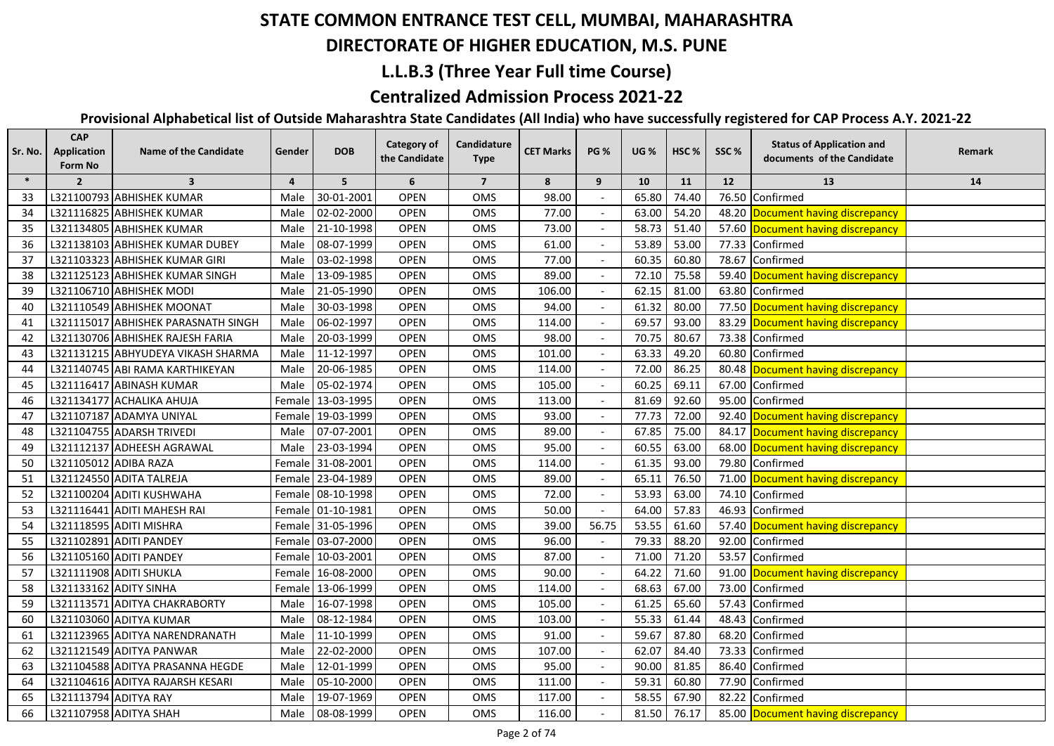#### **DIRECTORATE OF HIGHER EDUCATION, M.S. PUNE**

## **L.L.B.3 (Three Year Full time Course)**

## **Centralized Admission Process 2021-22**

| Sr. No. | <b>CAP</b><br><b>Application</b><br>Form No | <b>Name of the Candidate</b>        | Gender         | <b>DOB</b>        | <b>Category of</b><br>the Candidate | Candidature<br><b>Type</b> | <b>CET Marks</b> | <b>PG %</b> | <b>UG %</b> | HSC <sub>%</sub> | SSC%  | <b>Status of Application and</b><br>documents of the Candidate | Remark |
|---------|---------------------------------------------|-------------------------------------|----------------|-------------------|-------------------------------------|----------------------------|------------------|-------------|-------------|------------------|-------|----------------------------------------------------------------|--------|
| $\ast$  | $\overline{2}$                              | $\overline{\mathbf{3}}$             | $\overline{4}$ | 5                 | 6                                   | $\overline{7}$             | 8                | 9           | 10          | 11               | 12    | 13                                                             | 14     |
| 33      |                                             | L321100793 ABHISHEK KUMAR           | Male           | 30-01-2001        | <b>OPEN</b>                         | OMS                        | 98.00            |             | 65.80       | 74.40            | 76.50 | Confirmed                                                      |        |
| 34      |                                             | L321116825 ABHISHEK KUMAR           | Male           | 02-02-2000        | <b>OPEN</b>                         | OMS                        | 77.00            |             | 63.00       | 54.20            |       | 48.20 Document having discrepancy                              |        |
| 35      |                                             | L321134805 ABHISHEK KUMAR           | Male           | 21-10-1998        | <b>OPEN</b>                         | OMS                        | 73.00            |             | 58.73       | 51.40            |       | 57.60 Document having discrepancy                              |        |
| 36      |                                             | L321138103 ABHISHEK KUMAR DUBEY     | Male           | 08-07-1999        | <b>OPEN</b>                         | OMS                        | 61.00            |             | 53.89       | 53.00            |       | 77.33 Confirmed                                                |        |
| 37      |                                             | L321103323 ABHISHEK KUMAR GIRI      | Male           | 03-02-1998        | <b>OPEN</b>                         | OMS                        | 77.00            |             | 60.35       | 60.80            |       | 78.67 Confirmed                                                |        |
| 38      |                                             | L321125123 ABHISHEK KUMAR SINGH     | Male           | 13-09-1985        | <b>OPEN</b>                         | OMS                        | 89.00            |             | 72.10       | 75.58            |       | 59.40 Document having discrepancy                              |        |
| 39      |                                             | L321106710 ABHISHEK MODI            | Male           | 21-05-1990        | <b>OPEN</b>                         | OMS                        | 106.00           |             | 62.15       | 81.00            |       | 63.80 Confirmed                                                |        |
| 40      |                                             | L321110549 ABHISHEK MOONAT          | Male           | 30-03-1998        | <b>OPEN</b>                         | OMS                        | 94.00            |             | 61.32       | 80.00            |       | 77.50 Document having discrepancy                              |        |
| 41      |                                             | L321115017 ABHISHEK PARASNATH SINGH | Male           | 06-02-1997        | <b>OPEN</b>                         | OMS                        | 114.00           |             | 69.57       | 93.00            |       | 83.29 Document having discrepancy                              |        |
| 42      |                                             | L321130706 ABHISHEK RAJESH FARIA    |                | Male 20-03-1999   | <b>OPEN</b>                         | OMS                        | 98.00            |             | 70.75       | 80.67            |       | 73.38 Confirmed                                                |        |
| 43      |                                             | L321131215 ABHYUDEYA VIKASH SHARMA  |                | Male 11-12-1997   | <b>OPEN</b>                         | OMS                        | 101.00           |             | 63.33       | 49.20            |       | 60.80 Confirmed                                                |        |
| 44      |                                             | L321140745 ABI RAMA KARTHIKEYAN     |                | Male 20-06-1985   | <b>OPEN</b>                         | <b>OMS</b>                 | 114.00           |             | 72.00       | 86.25            |       | 80.48 Document having discrepancy                              |        |
| 45      |                                             | L321116417 ABINASH KUMAR            | Male           | 05-02-1974        | <b>OPEN</b>                         | OMS                        | 105.00           |             | 60.25       | 69.11            |       | 67.00 Confirmed                                                |        |
| 46      |                                             | L321134177 ACHALIKA AHUJA           |                | Female 13-03-1995 | <b>OPEN</b>                         | OMS                        | 113.00           |             | 81.69       | 92.60            |       | 95.00 Confirmed                                                |        |
| 47      |                                             | L321107187 ADAMYA UNIYAL            |                | Female 19-03-1999 | <b>OPEN</b>                         | <b>OMS</b>                 | 93.00            |             | 77.73       | 72.00            |       | 92.40 Document having discrepancy                              |        |
| 48      |                                             | L321104755 ADARSH TRIVEDI           | Male           | 07-07-2001        | <b>OPEN</b>                         | OMS                        | 89.00            |             | 67.85       | 75.00            |       | 84.17 Document having discrepancy                              |        |
| 49      |                                             | L321112137 ADHEESH AGRAWAL          | Male           | 23-03-1994        | <b>OPEN</b>                         | OMS                        | 95.00            |             | 60.55       | 63.00            |       | 68.00 Document having discrepancy                              |        |
| 50      | L321105012 ADIBA RAZA                       |                                     |                | Female 31-08-2001 | OPEN                                | OMS                        | 114.00           |             | 61.35       | 93.00            | 79.80 | Confirmed                                                      |        |
| 51      |                                             | L321124550 ADITA TALREJA            |                | Female 23-04-1989 | <b>OPEN</b>                         | OMS                        | 89.00            |             | 65.11       | 76.50            | 71.00 | Document having discrepancy                                    |        |
| 52      |                                             | L321100204 ADITI KUSHWAHA           |                | Female 08-10-1998 | <b>OPEN</b>                         | OMS                        | 72.00            |             | 53.93       | 63.00            | 74.10 | Confirmed                                                      |        |
| 53      |                                             | L321116441 ADITI MAHESH RAI         |                | Female 01-10-1981 | <b>OPEN</b>                         | OMS                        | 50.00            |             | 64.00       | 57.83            | 46.93 | Confirmed                                                      |        |
| 54      |                                             | L321118595 ADITI MISHRA             |                | Female 31-05-1996 | <b>OPEN</b>                         | OMS                        | 39.00            | 56.75       | 53.55       | 61.60            |       | 57.40 Document having discrepancy                              |        |
| 55      |                                             | L321102891 ADITI PANDEY             |                | Female 03-07-2000 | <b>OPEN</b>                         | OMS                        | 96.00            |             | 79.33       | 88.20            | 92.00 | Confirmed                                                      |        |
| 56      |                                             | L321105160 ADITI PANDEY             |                | Female 10-03-2001 | <b>OPEN</b>                         | OMS                        | 87.00            |             | 71.00       | 71.20            | 53.57 | Confirmed                                                      |        |
| 57      |                                             | L321111908 ADITI SHUKLA             |                | Female 16-08-2000 | <b>OPEN</b>                         | OMS                        | 90.00            |             | 64.22       | 71.60            |       | 91.00 Document having discrepancy                              |        |
| 58      |                                             | L321133162 ADITY SINHA              |                | Female 13-06-1999 | <b>OPEN</b>                         | OMS                        | 114.00           |             | 68.63       | 67.00            | 73.00 | Confirmed                                                      |        |
| 59      |                                             | L321113571 ADITYA CHAKRABORTY       | Male           | 16-07-1998        | <b>OPEN</b>                         | OMS                        | 105.00           |             | 61.25       | 65.60            | 57.43 | Confirmed                                                      |        |
| 60      |                                             | L321103060 ADITYA KUMAR             | Male           | 08-12-1984        | <b>OPEN</b>                         | OMS                        | 103.00           |             | 55.33       | 61.44            | 48.43 | Confirmed                                                      |        |
| 61      |                                             | L321123965 ADITYA NARENDRANATH      | Male           | 11-10-1999        | <b>OPEN</b>                         | OMS                        | 91.00            |             | 59.67       | 87.80            | 68.20 | Confirmed                                                      |        |
| 62      |                                             | L321121549 ADITYA PANWAR            | Male           | 22-02-2000        | <b>OPEN</b>                         | OMS                        | 107.00           |             | 62.07       | 84.40            | 73.33 | Confirmed                                                      |        |
| 63      |                                             | L321104588 ADITYA PRASANNA HEGDE    | Male           | 12-01-1999        | <b>OPEN</b>                         | OMS                        | 95.00            |             | 90.00       | 81.85            | 86.40 | Confirmed                                                      |        |
| 64      |                                             | L321104616 ADITYA RAJARSH KESARI    | Male           | 05-10-2000        | <b>OPEN</b>                         | OMS                        | 111.00           |             | 59.31       | 60.80            |       | 77.90 Confirmed                                                |        |
| 65      | L321113794 ADITYA RAY                       |                                     | Male           | 19-07-1969        | <b>OPEN</b>                         | OMS                        | 117.00           |             | 58.55       | 67.90            |       | 82.22 Confirmed                                                |        |
| 66      |                                             | L321107958 ADITYA SHAH              |                | Male 08-08-1999   | <b>OPEN</b>                         | OMS                        | 116.00           |             | 81.50       | 76.17            |       | 85.00 Document having discrepancy                              |        |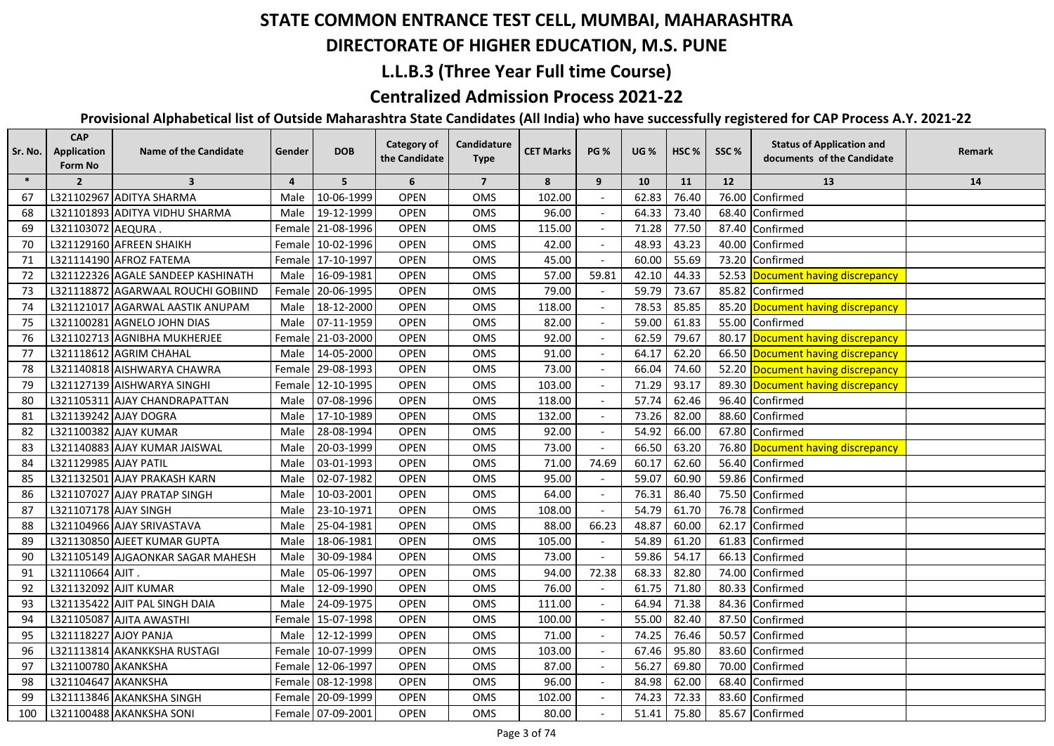#### **DIRECTORATE OF HIGHER EDUCATION, M.S. PUNE**

#### **L.L.B.3 (Three Year Full time Course)**

## **Centralized Admission Process 2021-22**

| $\ast$<br>6<br>5<br>$\overline{7}$<br>8<br>$\overline{2}$<br>$\overline{\mathbf{3}}$<br>$\overline{4}$<br>9<br>10<br>11<br>12<br>13<br>14<br>L321102967 ADITYA SHARMA<br>10-06-1999<br><b>OPEN</b><br>OMS<br>102.00<br>62.83<br>76.40<br>Confirmed<br>Male<br>76.00<br>67<br>19-12-1999<br><b>OPEN</b><br>OMS<br>96.00<br>64.33<br>73.40<br>Confirmed<br>68<br>L321101893 ADITYA VIDHU SHARMA<br>Male<br>68.40<br>Female 21-08-1996<br><b>OPEN</b><br>OMS<br>115.00<br>71.28<br>77.50<br>69<br>L321103072 AEQURA<br>87.40 Confirmed<br>L321129160 AFREEN SHAIKH<br>48.93<br>Female 10-02-1996<br><b>OPEN</b><br>OMS<br>42.00<br>43.23<br>40.00 Confirmed<br>70<br>L321114190 AFROZ FATEMA<br>Female 17-10-1997<br><b>OPEN</b><br>OMS<br>45.00<br>60.00<br>55.69<br>73.20 Confirmed<br>71<br>42.10<br>L321122326 AGALE SANDEEP KASHINATH<br>16-09-1981<br><b>OPEN</b><br>OMS<br>57.00<br>59.81<br>44.33<br>52.53 Document having discrepancy<br>72<br>Male<br>Female 20-06-1995<br><b>OPEN</b><br>OMS<br>79.00<br>59.79<br>73.67<br>85.82 Confirmed<br>73<br>L321118872 AGARWAAL ROUCHI GOBIIND<br><b>OPEN</b><br>118.00<br>78.53<br>85.85<br>85.20 Document having discrepancy<br>74<br>L321121017 AGARWAL AASTIK ANUPAM<br>Male<br>18-12-2000<br>OMS<br>L321100281 AGNELO JOHN DIAS<br>07-11-1959<br><b>OPEN</b><br>OMS<br>82.00<br>59.00<br>61.83<br>55.00 Confirmed<br>75<br>Male<br>92.00<br>62.59<br>79.67<br>76<br>L321102713 AGNIBHA MUKHERJEE<br>Female 21-03-2000<br><b>OPEN</b><br><b>OMS</b><br>80.17 Document having discrepancy<br>77<br>L321118612 AGRIM CHAHAL<br>Male 14-05-2000<br><b>OPEN</b><br>OMS<br>91.00<br>64.17<br>62.20<br>66.50 Document having discrepancy<br>Female 29-08-1993<br><b>OPEN</b><br>73.00<br>66.04<br>74.60<br>52.20 Document having discrepancy<br>78<br>L321140818 AISHWARYA CHAWRA<br>OMS<br>103.00<br>71.29<br>93.17<br>79<br>L321127139 AISHWARYA SINGHI<br>Female 12-10-1995<br><b>OPEN</b><br>OMS<br>89.30 Document having discrepancy<br>07-08-1996<br><b>OPEN</b><br>OMS<br>118.00<br>57.74<br>62.46<br>96.40 Confirmed<br>80<br>L321105311 AJAY CHANDRAPATTAN<br>Male<br><b>OPEN</b><br>132.00<br>73.26<br>82.00<br>88.60 Confirmed<br>81<br>L321139242 AJAY DOGRA<br>17-10-1989<br>OMS<br>Male | Remark |
|-----------------------------------------------------------------------------------------------------------------------------------------------------------------------------------------------------------------------------------------------------------------------------------------------------------------------------------------------------------------------------------------------------------------------------------------------------------------------------------------------------------------------------------------------------------------------------------------------------------------------------------------------------------------------------------------------------------------------------------------------------------------------------------------------------------------------------------------------------------------------------------------------------------------------------------------------------------------------------------------------------------------------------------------------------------------------------------------------------------------------------------------------------------------------------------------------------------------------------------------------------------------------------------------------------------------------------------------------------------------------------------------------------------------------------------------------------------------------------------------------------------------------------------------------------------------------------------------------------------------------------------------------------------------------------------------------------------------------------------------------------------------------------------------------------------------------------------------------------------------------------------------------------------------------------------------------------------------------------------------------------------------------------------------------------------------------------------------------------------------------------------------------------------------------------------------------------------------------------------------------------|--------|
|                                                                                                                                                                                                                                                                                                                                                                                                                                                                                                                                                                                                                                                                                                                                                                                                                                                                                                                                                                                                                                                                                                                                                                                                                                                                                                                                                                                                                                                                                                                                                                                                                                                                                                                                                                                                                                                                                                                                                                                                                                                                                                                                                                                                                                                     |        |
|                                                                                                                                                                                                                                                                                                                                                                                                                                                                                                                                                                                                                                                                                                                                                                                                                                                                                                                                                                                                                                                                                                                                                                                                                                                                                                                                                                                                                                                                                                                                                                                                                                                                                                                                                                                                                                                                                                                                                                                                                                                                                                                                                                                                                                                     |        |
|                                                                                                                                                                                                                                                                                                                                                                                                                                                                                                                                                                                                                                                                                                                                                                                                                                                                                                                                                                                                                                                                                                                                                                                                                                                                                                                                                                                                                                                                                                                                                                                                                                                                                                                                                                                                                                                                                                                                                                                                                                                                                                                                                                                                                                                     |        |
|                                                                                                                                                                                                                                                                                                                                                                                                                                                                                                                                                                                                                                                                                                                                                                                                                                                                                                                                                                                                                                                                                                                                                                                                                                                                                                                                                                                                                                                                                                                                                                                                                                                                                                                                                                                                                                                                                                                                                                                                                                                                                                                                                                                                                                                     |        |
|                                                                                                                                                                                                                                                                                                                                                                                                                                                                                                                                                                                                                                                                                                                                                                                                                                                                                                                                                                                                                                                                                                                                                                                                                                                                                                                                                                                                                                                                                                                                                                                                                                                                                                                                                                                                                                                                                                                                                                                                                                                                                                                                                                                                                                                     |        |
|                                                                                                                                                                                                                                                                                                                                                                                                                                                                                                                                                                                                                                                                                                                                                                                                                                                                                                                                                                                                                                                                                                                                                                                                                                                                                                                                                                                                                                                                                                                                                                                                                                                                                                                                                                                                                                                                                                                                                                                                                                                                                                                                                                                                                                                     |        |
|                                                                                                                                                                                                                                                                                                                                                                                                                                                                                                                                                                                                                                                                                                                                                                                                                                                                                                                                                                                                                                                                                                                                                                                                                                                                                                                                                                                                                                                                                                                                                                                                                                                                                                                                                                                                                                                                                                                                                                                                                                                                                                                                                                                                                                                     |        |
|                                                                                                                                                                                                                                                                                                                                                                                                                                                                                                                                                                                                                                                                                                                                                                                                                                                                                                                                                                                                                                                                                                                                                                                                                                                                                                                                                                                                                                                                                                                                                                                                                                                                                                                                                                                                                                                                                                                                                                                                                                                                                                                                                                                                                                                     |        |
|                                                                                                                                                                                                                                                                                                                                                                                                                                                                                                                                                                                                                                                                                                                                                                                                                                                                                                                                                                                                                                                                                                                                                                                                                                                                                                                                                                                                                                                                                                                                                                                                                                                                                                                                                                                                                                                                                                                                                                                                                                                                                                                                                                                                                                                     |        |
|                                                                                                                                                                                                                                                                                                                                                                                                                                                                                                                                                                                                                                                                                                                                                                                                                                                                                                                                                                                                                                                                                                                                                                                                                                                                                                                                                                                                                                                                                                                                                                                                                                                                                                                                                                                                                                                                                                                                                                                                                                                                                                                                                                                                                                                     |        |
|                                                                                                                                                                                                                                                                                                                                                                                                                                                                                                                                                                                                                                                                                                                                                                                                                                                                                                                                                                                                                                                                                                                                                                                                                                                                                                                                                                                                                                                                                                                                                                                                                                                                                                                                                                                                                                                                                                                                                                                                                                                                                                                                                                                                                                                     |        |
|                                                                                                                                                                                                                                                                                                                                                                                                                                                                                                                                                                                                                                                                                                                                                                                                                                                                                                                                                                                                                                                                                                                                                                                                                                                                                                                                                                                                                                                                                                                                                                                                                                                                                                                                                                                                                                                                                                                                                                                                                                                                                                                                                                                                                                                     |        |
|                                                                                                                                                                                                                                                                                                                                                                                                                                                                                                                                                                                                                                                                                                                                                                                                                                                                                                                                                                                                                                                                                                                                                                                                                                                                                                                                                                                                                                                                                                                                                                                                                                                                                                                                                                                                                                                                                                                                                                                                                                                                                                                                                                                                                                                     |        |
|                                                                                                                                                                                                                                                                                                                                                                                                                                                                                                                                                                                                                                                                                                                                                                                                                                                                                                                                                                                                                                                                                                                                                                                                                                                                                                                                                                                                                                                                                                                                                                                                                                                                                                                                                                                                                                                                                                                                                                                                                                                                                                                                                                                                                                                     |        |
|                                                                                                                                                                                                                                                                                                                                                                                                                                                                                                                                                                                                                                                                                                                                                                                                                                                                                                                                                                                                                                                                                                                                                                                                                                                                                                                                                                                                                                                                                                                                                                                                                                                                                                                                                                                                                                                                                                                                                                                                                                                                                                                                                                                                                                                     |        |
|                                                                                                                                                                                                                                                                                                                                                                                                                                                                                                                                                                                                                                                                                                                                                                                                                                                                                                                                                                                                                                                                                                                                                                                                                                                                                                                                                                                                                                                                                                                                                                                                                                                                                                                                                                                                                                                                                                                                                                                                                                                                                                                                                                                                                                                     |        |
| 54.92<br>66.00<br>82<br>L321100382 AJAY KUMAR<br>28-08-1994<br><b>OPEN</b><br>OMS<br>92.00<br>67.80 Confirmed<br>Male                                                                                                                                                                                                                                                                                                                                                                                                                                                                                                                                                                                                                                                                                                                                                                                                                                                                                                                                                                                                                                                                                                                                                                                                                                                                                                                                                                                                                                                                                                                                                                                                                                                                                                                                                                                                                                                                                                                                                                                                                                                                                                                               |        |
| 66.50<br>63.20<br>83<br>L321140883 AJAY KUMAR JAISWAL<br>20-03-1999<br><b>OPEN</b><br>OMS<br>73.00<br>76.80<br>Male<br>Document having discrepancy                                                                                                                                                                                                                                                                                                                                                                                                                                                                                                                                                                                                                                                                                                                                                                                                                                                                                                                                                                                                                                                                                                                                                                                                                                                                                                                                                                                                                                                                                                                                                                                                                                                                                                                                                                                                                                                                                                                                                                                                                                                                                                  |        |
| 74.69<br>L321129985 AJAY PATIL<br>03-01-1993<br><b>OPEN</b><br>OMS<br>71.00<br>60.17<br>62.60<br>56.40<br>84<br>Confirmed<br>Male                                                                                                                                                                                                                                                                                                                                                                                                                                                                                                                                                                                                                                                                                                                                                                                                                                                                                                                                                                                                                                                                                                                                                                                                                                                                                                                                                                                                                                                                                                                                                                                                                                                                                                                                                                                                                                                                                                                                                                                                                                                                                                                   |        |
| 95.00<br>59.07<br>60.90<br>59.86<br>Confirmed<br>85<br>L321132501 AJAY PRAKASH KARN<br>02-07-1982<br><b>OPEN</b><br>OMS<br>Male                                                                                                                                                                                                                                                                                                                                                                                                                                                                                                                                                                                                                                                                                                                                                                                                                                                                                                                                                                                                                                                                                                                                                                                                                                                                                                                                                                                                                                                                                                                                                                                                                                                                                                                                                                                                                                                                                                                                                                                                                                                                                                                     |        |
| 64.00<br>76.31<br>86.40<br>L321107027 AJAY PRATAP SINGH<br>10-03-2001<br><b>OPEN</b><br>OMS<br>75.50<br>86<br>Male<br>Confirmed                                                                                                                                                                                                                                                                                                                                                                                                                                                                                                                                                                                                                                                                                                                                                                                                                                                                                                                                                                                                                                                                                                                                                                                                                                                                                                                                                                                                                                                                                                                                                                                                                                                                                                                                                                                                                                                                                                                                                                                                                                                                                                                     |        |
| 76.78<br>87<br>L321107178 AJAY SINGH<br>23-10-1971<br><b>OPEN</b><br>OMS<br>108.00<br>54.79<br>61.70<br>Confirmed<br>Male                                                                                                                                                                                                                                                                                                                                                                                                                                                                                                                                                                                                                                                                                                                                                                                                                                                                                                                                                                                                                                                                                                                                                                                                                                                                                                                                                                                                                                                                                                                                                                                                                                                                                                                                                                                                                                                                                                                                                                                                                                                                                                                           |        |
| L321104966 AJAY SRIVASTAVA<br>25-04-1981<br>88.00<br>66.23<br>48.87<br>60.00<br>Confirmed<br>88<br>Male<br><b>OPEN</b><br>OMS<br>62.17                                                                                                                                                                                                                                                                                                                                                                                                                                                                                                                                                                                                                                                                                                                                                                                                                                                                                                                                                                                                                                                                                                                                                                                                                                                                                                                                                                                                                                                                                                                                                                                                                                                                                                                                                                                                                                                                                                                                                                                                                                                                                                              |        |
| 54.89<br>L321130850 AJEET KUMAR GUPTA<br>18-06-1981<br><b>OPEN</b><br>OMS<br>105.00<br>61.20<br>61.83<br>Confirmed<br>89<br>Male                                                                                                                                                                                                                                                                                                                                                                                                                                                                                                                                                                                                                                                                                                                                                                                                                                                                                                                                                                                                                                                                                                                                                                                                                                                                                                                                                                                                                                                                                                                                                                                                                                                                                                                                                                                                                                                                                                                                                                                                                                                                                                                    |        |
| 54.17<br>L321105149 AJGAONKAR SAGAR MAHESH<br>30-09-1984<br><b>OPEN</b><br>OMS<br>73.00<br>59.86<br>66.13<br>Confirmed<br>90<br>Male                                                                                                                                                                                                                                                                                                                                                                                                                                                                                                                                                                                                                                                                                                                                                                                                                                                                                                                                                                                                                                                                                                                                                                                                                                                                                                                                                                                                                                                                                                                                                                                                                                                                                                                                                                                                                                                                                                                                                                                                                                                                                                                |        |
| L321110664 AJIT.<br>OMS<br>94.00<br>72.38<br>68.33<br>82.80<br>74.00<br>Confirmed<br>91<br>Male<br>05-06-1997<br><b>OPEN</b>                                                                                                                                                                                                                                                                                                                                                                                                                                                                                                                                                                                                                                                                                                                                                                                                                                                                                                                                                                                                                                                                                                                                                                                                                                                                                                                                                                                                                                                                                                                                                                                                                                                                                                                                                                                                                                                                                                                                                                                                                                                                                                                        |        |
| 92<br>L321132092 AJIT KUMAR<br>76.00<br>61.75<br>71.80<br>12-09-1990<br><b>OPEN</b><br>OMS<br>80.33<br>Confirmed<br>Male                                                                                                                                                                                                                                                                                                                                                                                                                                                                                                                                                                                                                                                                                                                                                                                                                                                                                                                                                                                                                                                                                                                                                                                                                                                                                                                                                                                                                                                                                                                                                                                                                                                                                                                                                                                                                                                                                                                                                                                                                                                                                                                            |        |
| 93<br>L321135422 AJIT PAL SINGH DAIA<br>24-09-1975<br><b>OPEN</b><br>OMS<br>111.00<br>64.94<br>71.38<br>84.36<br>Male<br>Confirmed                                                                                                                                                                                                                                                                                                                                                                                                                                                                                                                                                                                                                                                                                                                                                                                                                                                                                                                                                                                                                                                                                                                                                                                                                                                                                                                                                                                                                                                                                                                                                                                                                                                                                                                                                                                                                                                                                                                                                                                                                                                                                                                  |        |
| L321105087 AJITA AWASTHI<br>Female 15-07-1998<br>OMS<br>100.00<br>55.00<br>82.40<br>87.50 Confirmed<br>94<br><b>OPEN</b>                                                                                                                                                                                                                                                                                                                                                                                                                                                                                                                                                                                                                                                                                                                                                                                                                                                                                                                                                                                                                                                                                                                                                                                                                                                                                                                                                                                                                                                                                                                                                                                                                                                                                                                                                                                                                                                                                                                                                                                                                                                                                                                            |        |
| 95<br>L321118227 AJOY PANJA<br>12-12-1999<br><b>OPEN</b><br>OMS<br>71.00<br>74.25<br>76.46<br>50.57<br>Confirmed<br>Male                                                                                                                                                                                                                                                                                                                                                                                                                                                                                                                                                                                                                                                                                                                                                                                                                                                                                                                                                                                                                                                                                                                                                                                                                                                                                                                                                                                                                                                                                                                                                                                                                                                                                                                                                                                                                                                                                                                                                                                                                                                                                                                            |        |
| OMS<br>103.00<br>95.80<br>96<br>L321113814 AKANKKSHA RUSTAGI<br>Female 10-07-1999<br><b>OPEN</b><br>67.46<br>83.60 Confirmed                                                                                                                                                                                                                                                                                                                                                                                                                                                                                                                                                                                                                                                                                                                                                                                                                                                                                                                                                                                                                                                                                                                                                                                                                                                                                                                                                                                                                                                                                                                                                                                                                                                                                                                                                                                                                                                                                                                                                                                                                                                                                                                        |        |
| L321100780 AKANKSHA<br>56.27<br>69.80<br>97<br>Female 12-06-1997<br><b>OPEN</b><br>OMS<br>87.00<br>70.00<br>Confirmed                                                                                                                                                                                                                                                                                                                                                                                                                                                                                                                                                                                                                                                                                                                                                                                                                                                                                                                                                                                                                                                                                                                                                                                                                                                                                                                                                                                                                                                                                                                                                                                                                                                                                                                                                                                                                                                                                                                                                                                                                                                                                                                               |        |
| L321104647 AKANKSHA<br>96.00<br>84.98<br>62.00<br>98<br>Female 08-12-1998<br><b>OPEN</b><br>OMS<br>68.40 Confirmed                                                                                                                                                                                                                                                                                                                                                                                                                                                                                                                                                                                                                                                                                                                                                                                                                                                                                                                                                                                                                                                                                                                                                                                                                                                                                                                                                                                                                                                                                                                                                                                                                                                                                                                                                                                                                                                                                                                                                                                                                                                                                                                                  |        |
| 99<br>L321113846 AKANKSHA SINGH<br>Female 20-09-1999<br><b>OPEN</b><br>OMS<br>102.00<br>74.23<br>72.33<br>83.60 Confirmed                                                                                                                                                                                                                                                                                                                                                                                                                                                                                                                                                                                                                                                                                                                                                                                                                                                                                                                                                                                                                                                                                                                                                                                                                                                                                                                                                                                                                                                                                                                                                                                                                                                                                                                                                                                                                                                                                                                                                                                                                                                                                                                           |        |
| L321100488 AKANKSHA SONI<br>100<br>Female 07-09-2001<br><b>OPEN</b><br>OMS<br>80.00<br>51.41<br>75.80<br>85.67 Confirmed                                                                                                                                                                                                                                                                                                                                                                                                                                                                                                                                                                                                                                                                                                                                                                                                                                                                                                                                                                                                                                                                                                                                                                                                                                                                                                                                                                                                                                                                                                                                                                                                                                                                                                                                                                                                                                                                                                                                                                                                                                                                                                                            |        |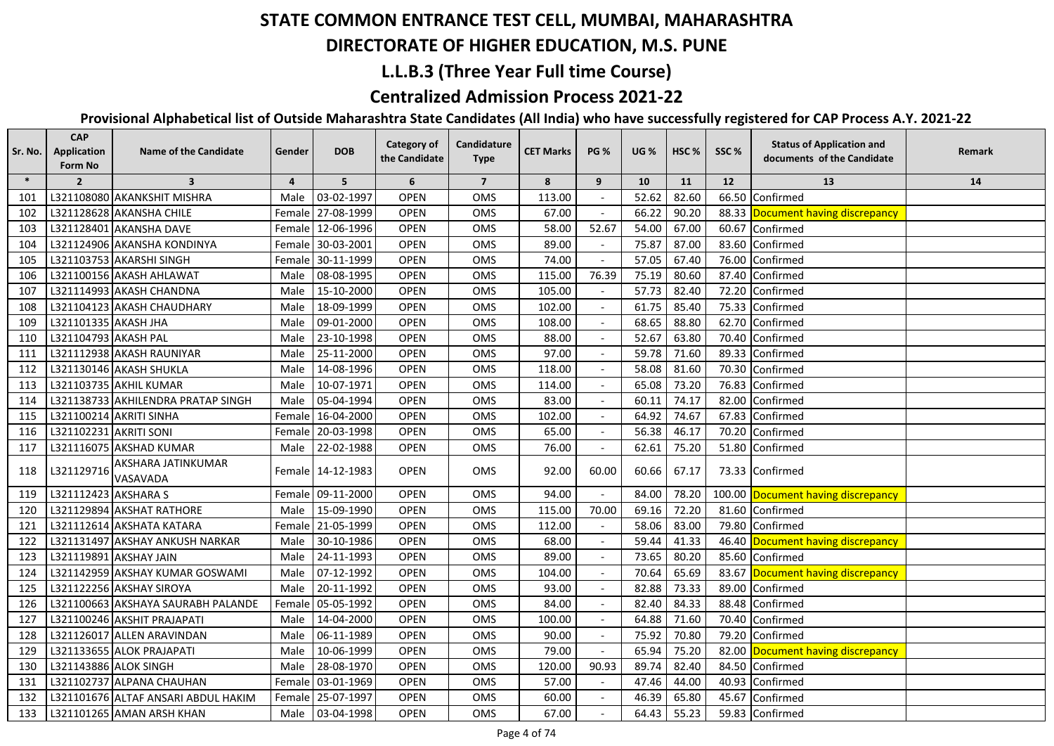## **DIRECTORATE OF HIGHER EDUCATION, M.S. PUNE**

### **L.L.B.3 (Three Year Full time Course)**

## **Centralized Admission Process 2021-22**

| Sr. No. | <b>CAP</b><br>Application<br>Form No | <b>Name of the Candidate</b>        | Gender         | <b>DOB</b>        | <b>Category of</b><br>the Candidate | Candidature<br><b>Type</b> | <b>CET Marks</b> | <b>PG %</b>    | <b>UG</b> % | HSC <sub>%</sub> | SSC%   | <b>Status of Application and</b><br>documents of the Candidate | Remark |
|---------|--------------------------------------|-------------------------------------|----------------|-------------------|-------------------------------------|----------------------------|------------------|----------------|-------------|------------------|--------|----------------------------------------------------------------|--------|
| $\ast$  | $\overline{2}$                       | $\overline{\mathbf{3}}$             | $\overline{4}$ | 5                 | 6                                   | $\overline{7}$             | 8                | 9              | 10          | 11               | 12     | 13                                                             | 14     |
| 101     |                                      | L321108080 AKANKSHIT MISHRA         | Male           | 03-02-1997        | <b>OPEN</b>                         | OMS                        | 113.00           |                | 52.62       | 82.60            | 66.50  | Confirmed                                                      |        |
| 102     |                                      | L321128628 AKANSHA CHILE            |                | Female 27-08-1999 | <b>OPEN</b>                         | <b>OMS</b>                 | 67.00            |                | 66.22       | 90.20            | 88.33  | Document having discrepancy                                    |        |
| 103     |                                      | L321128401 AKANSHA DAVE             |                | Female 12-06-1996 | <b>OPEN</b>                         | OMS                        | 58.00            | 52.67          | 54.00       | 67.00            | 60.67  | Confirmed                                                      |        |
| 104     |                                      | L321124906 AKANSHA KONDINYA         |                | Female 30-03-2001 | <b>OPEN</b>                         | OMS                        | 89.00            |                | 75.87       | 87.00            | 83.60  | Confirmed                                                      |        |
| 105     |                                      | L321103753 AKARSHI SINGH            |                | Female 30-11-1999 | <b>OPEN</b>                         | OMS                        | 74.00            |                | 57.05       | 67.40            | 76.00  | Confirmed                                                      |        |
| 106     |                                      | L321100156 AKASH AHLAWAT            | Male           | 08-08-1995        | <b>OPEN</b>                         | OMS                        | 115.00           | 76.39          | 75.19       | 80.60            | 87.40  | Confirmed                                                      |        |
| 107     |                                      | L321114993 AKASH CHANDNA            | Male           | 15-10-2000        | <b>OPEN</b>                         | OMS                        | 105.00           |                | 57.73       | 82.40            | 72.20  | Confirmed                                                      |        |
| 108     |                                      | L321104123 AKASH CHAUDHARY          | Male           | 18-09-1999        | <b>OPEN</b>                         | OMS                        | 102.00           |                | 61.75       | 85.40            | 75.33  | Confirmed                                                      |        |
| 109     | L321101335 AKASH JHA                 |                                     | Male           | 09-01-2000        | <b>OPEN</b>                         | OMS                        | 108.00           |                | 68.65       | 88.80            | 62.70  | Confirmed                                                      |        |
| 110     | L321104793 AKASH PAL                 |                                     |                | Male 23-10-1998   | <b>OPEN</b>                         | OMS                        | 88.00            |                | 52.67       | 63.80            | 70.40  | Confirmed                                                      |        |
| 111     |                                      | L321112938 AKASH RAUNIYAR           | Male           | 25-11-2000        | <b>OPEN</b>                         | OMS                        | 97.00            |                | 59.78       | 71.60            | 89.33  | Confirmed                                                      |        |
| 112     |                                      | L321130146 AKASH SHUKLA             |                | Male 14-08-1996   | <b>OPEN</b>                         | OMS                        | 118.00           |                | 58.08       | 81.60            | 70.30  | Confirmed                                                      |        |
| 113     |                                      | L321103735 AKHIL KUMAR              | Male           | 10-07-1971        | <b>OPEN</b>                         | OMS                        | 114.00           |                | 65.08       | 73.20            | 76.83  | Confirmed                                                      |        |
| 114     |                                      | L321138733 AKHILENDRA PRATAP SINGH  | Male           | 05-04-1994        | <b>OPEN</b>                         | OMS                        | 83.00            |                | 60.11       | 74.17            | 82.00  | Confirmed                                                      |        |
| 115     |                                      | L321100214 AKRITI SINHA             |                | Female 16-04-2000 | <b>OPEN</b>                         | OMS                        | 102.00           |                | 64.92       | 74.67            | 67.83  | Confirmed                                                      |        |
| 116     | L321102231 AKRITI SONI               |                                     |                | Female 20-03-1998 | <b>OPEN</b>                         | OMS                        | 65.00            |                | 56.38       | 46.17            | 70.20  | Confirmed                                                      |        |
| 117     |                                      | L321116075 AKSHAD KUMAR             | Male           | 22-02-1988        | <b>OPEN</b>                         | OMS                        | 76.00            |                | 62.61       | 75.20            | 51.80  | Confirmed                                                      |        |
| 118     | L321129716                           | AKSHARA JATINKUMAR<br>VASAVADA      |                | Female 14-12-1983 | <b>OPEN</b>                         | OMS                        | 92.00            | 60.00          | 60.66       | 67.17            |        | 73.33 Confirmed                                                |        |
| 119     | L321112423 AKSHARA S                 |                                     |                | Female 09-11-2000 | <b>OPEN</b>                         | OMS                        | 94.00            |                | 84.00       | 78.20            | 100.00 | Document having discrepancy                                    |        |
| 120     |                                      | L321129894 AKSHAT RATHORE           | Male           | 15-09-1990        | <b>OPEN</b>                         | OMS                        | 115.00           | 70.00          | 69.16       | 72.20            | 81.60  | Confirmed                                                      |        |
| 121     |                                      | L321112614 AKSHATA KATARA           |                | Female 21-05-1999 | <b>OPEN</b>                         | OMS                        | 112.00           |                | 58.06       | 83.00            | 79.80  | Confirmed                                                      |        |
| 122     |                                      | L321131497 AKSHAY ANKUSH NARKAR     | Male           | 30-10-1986        | <b>OPEN</b>                         | OMS                        | 68.00            |                | 59.44       | 41.33            | 46.40  | Document having discrepancy                                    |        |
| 123     |                                      | L321119891 AKSHAY JAIN              | Male           | 24-11-1993        | <b>OPEN</b>                         | OMS                        | 89.00            |                | 73.65       | 80.20            | 85.60  | Confirmed                                                      |        |
| 124     |                                      | L321142959 AKSHAY KUMAR GOSWAMI     | Male           | 07-12-1992        | <b>OPEN</b>                         | OMS                        | 104.00           |                | 70.64       | 65.69            | 83.67  | <b>Document having discrepancy</b>                             |        |
| 125     |                                      | L321122256 AKSHAY SIROYA            | Male           | 20-11-1992        | <b>OPEN</b>                         | OMS                        | 93.00            |                | 82.88       | 73.33            | 89.00  | Confirmed                                                      |        |
| 126     |                                      | L321100663 AKSHAYA SAURABH PALANDE  | Female         | 05-05-1992        | <b>OPEN</b>                         | OMS                        | 84.00            | $\blacksquare$ | 82.40       | 84.33            | 88.48  | Confirmed                                                      |        |
| 127     |                                      | L321100246 AKSHIT PRAJAPATI         | Male           | 14-04-2000        | <b>OPEN</b>                         | <b>OMS</b>                 | 100.00           |                | 64.88       | 71.60            | 70.40  | Confirmed                                                      |        |
| 128     |                                      | L321126017 ALLEN ARAVINDAN          | Male           | 06-11-1989        | <b>OPEN</b>                         | OMS                        | 90.00            |                | 75.92       | 70.80            | 79.20  | Confirmed                                                      |        |
| 129     |                                      | L321133655 ALOK PRAJAPATI           | Male           | 10-06-1999        | <b>OPEN</b>                         | OMS                        | 79.00            |                | 65.94       | 75.20            | 82.00  | Document having discrepancy                                    |        |
| 130     | L321143886 ALOK SINGH                |                                     | Male           | 28-08-1970        | <b>OPEN</b>                         | OMS                        | 120.00           | 90.93          | 89.74       | 82.40            | 84.50  | Confirmed                                                      |        |
| 131     |                                      | L321102737 ALPANA CHAUHAN           | Female         | 03-01-1969        | <b>OPEN</b>                         | OMS                        | 57.00            |                | 47.46       | 44.00            | 40.93  | Confirmed                                                      |        |
| 132     |                                      | L321101676 ALTAF ANSARI ABDUL HAKIM |                | Female 25-07-1997 | <b>OPEN</b>                         | OMS                        | 60.00            |                | 46.39       | 65.80            | 45.67  | Confirmed                                                      |        |
| 133     |                                      | L321101265 AMAN ARSH KHAN           |                | Male 03-04-1998   | <b>OPEN</b>                         | OMS                        | 67.00            |                | 64.43       | 55.23            |        | 59.83 Confirmed                                                |        |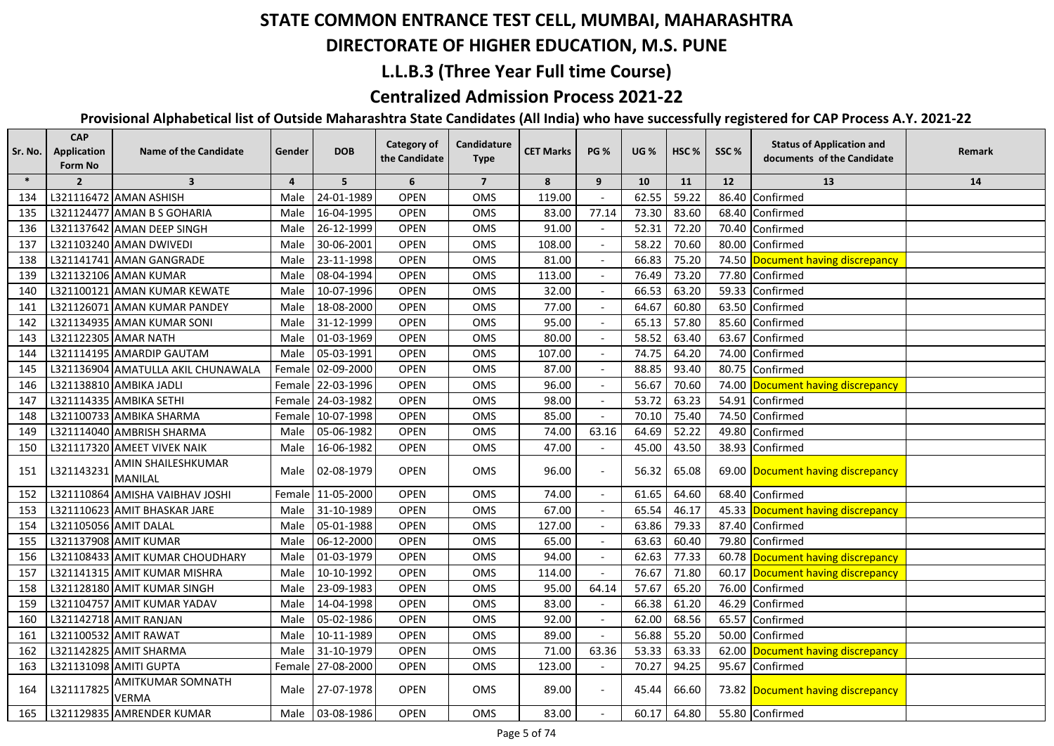#### **DIRECTORATE OF HIGHER EDUCATION, M.S. PUNE**

## **L.L.B.3 (Three Year Full time Course)**

## **Centralized Admission Process 2021-22**

| Sr. No. | <b>CAP</b><br><b>Application</b><br>Form No | <b>Name of the Candidate</b>             | Gender         | <b>DOB</b>        | <b>Category of</b><br>the Candidate | Candidature<br><b>Type</b> | <b>CET Marks</b> | <b>PG %</b> | <b>UG %</b> | HSC <sub>%</sub> | SSC%  | <b>Status of Application and</b><br>documents of the Candidate | Remark |
|---------|---------------------------------------------|------------------------------------------|----------------|-------------------|-------------------------------------|----------------------------|------------------|-------------|-------------|------------------|-------|----------------------------------------------------------------|--------|
| $\ast$  | $\overline{2}$                              | $\overline{\mathbf{3}}$                  | $\overline{4}$ | 5                 | 6                                   | $\overline{7}$             | 8                | 9           | 10          | 11               | 12    | 13                                                             | 14     |
| 134     |                                             | L321116472 AMAN ASHISH                   | Male           | 24-01-1989        | <b>OPEN</b>                         | <b>OMS</b>                 | 119.00           |             | 62.55       | 59.22            | 86.40 | Confirmed                                                      |        |
| 135     |                                             | L321124477 AMAN B S GOHARIA              | Male           | 16-04-1995        | <b>OPEN</b>                         | <b>OMS</b>                 | 83.00            | 77.14       | 73.30       | 83.60            | 68.40 | Confirmed                                                      |        |
| 136     |                                             | L321137642 AMAN DEEP SINGH               | Male           | 26-12-1999        | <b>OPEN</b>                         | OMS                        | 91.00            |             | 52.31       | 72.20            | 70.40 | Confirmed                                                      |        |
| 137     |                                             | L321103240 AMAN DWIVEDI                  | Male           | 30-06-2001        | <b>OPEN</b>                         | <b>OMS</b>                 | 108.00           |             | 58.22       | 70.60            | 80.00 | Confirmed                                                      |        |
| 138     |                                             | L321141741 AMAN GANGRADE                 | Male           | 23-11-1998        | <b>OPEN</b>                         | OMS                        | 81.00            |             | 66.83       | 75.20            |       | 74.50 Document having discrepancy                              |        |
| 139     |                                             | L321132106 AMAN KUMAR                    | Male           | 08-04-1994        | <b>OPEN</b>                         | <b>OMS</b>                 | 113.00           |             | 76.49       | 73.20            | 77.80 | Confirmed                                                      |        |
| 140     |                                             | L321100121 AMAN KUMAR KEWATE             | Male           | 10-07-1996        | <b>OPEN</b>                         | OMS                        | 32.00            |             | 66.53       | 63.20            | 59.33 | Confirmed                                                      |        |
| 141     |                                             | L321126071 AMAN KUMAR PANDEY             | Male           | 18-08-2000        | <b>OPEN</b>                         | OMS                        | 77.00            |             | 64.67       | 60.80            | 63.50 | Confirmed                                                      |        |
| 142     |                                             | L321134935 AMAN KUMAR SONI               | Male           | 31-12-1999        | <b>OPEN</b>                         | OMS                        | 95.00            |             | 65.13       | 57.80            |       | 85.60 Confirmed                                                |        |
| 143     | L321122305 AMAR NATH                        |                                          | Male           | 01-03-1969        | <b>OPEN</b>                         | OMS                        | 80.00            |             | 58.52       | 63.40            | 63.67 | Confirmed                                                      |        |
| 144     |                                             | L321114195 AMARDIP GAUTAM                | Male           | 05-03-1991        | <b>OPEN</b>                         | OMS                        | 107.00           |             | 74.75       | 64.20            | 74.00 | Confirmed                                                      |        |
| 145     |                                             | L321136904 AMATULLA AKIL CHUNAWALA       |                | Female 02-09-2000 | <b>OPEN</b>                         | OMS                        | 87.00            |             | 88.85       | 93.40            | 80.75 | Confirmed                                                      |        |
| 146     |                                             | L321138810 AMBIKA JADLI                  |                | Female 22-03-1996 | <b>OPEN</b>                         | OMS                        | 96.00            |             | 56.67       | 70.60            |       | 74.00 Document having discrepancy                              |        |
| 147     |                                             | L321114335 AMBIKA SETHI                  |                | Female 24-03-1982 | <b>OPEN</b>                         | OMS                        | 98.00            |             | 53.72       | 63.23            | 54.91 | Confirmed                                                      |        |
| 148     |                                             | L321100733 AMBIKA SHARMA                 |                | Female 10-07-1998 | <b>OPEN</b>                         | OMS                        | 85.00            |             | 70.10       | 75.40            | 74.50 | Confirmed                                                      |        |
| 149     |                                             | L321114040 AMBRISH SHARMA                | Male           | 05-06-1982        | <b>OPEN</b>                         | <b>OMS</b>                 | 74.00            | 63.16       | 64.69       | 52.22            | 49.80 | Confirmed                                                      |        |
| 150     |                                             | L321117320 AMEET VIVEK NAIK              | Male           | 16-06-1982        | <b>OPEN</b>                         | OMS                        | 47.00            |             | 45.00       | 43.50            |       | 38.93 Confirmed                                                |        |
| 151     | L321143231                                  | AMIN SHAILESHKUMAR<br><b>MANILAL</b>     | Male           | 02-08-1979        | <b>OPEN</b>                         | <b>OMS</b>                 | 96.00            |             | 56.32       | 65.08            |       | 69.00 Document having discrepancy                              |        |
| 152     |                                             | L321110864 AMISHA VAIBHAV JOSHI          |                | Female 11-05-2000 | <b>OPEN</b>                         | OMS                        | 74.00            |             | 61.65       | 64.60            |       | 68.40 Confirmed                                                |        |
| 153     |                                             | L321110623 AMIT BHASKAR JARE             | Male           | 31-10-1989        | <b>OPEN</b>                         | OMS                        | 67.00            |             | 65.54       | 46.17            |       | 45.33 Document having discrepancy                              |        |
| 154     | L321105056 AMIT DALAL                       |                                          | Male           | 05-01-1988        | <b>OPEN</b>                         | <b>OMS</b>                 | 127.00           |             | 63.86       | 79.33            |       | 87.40 Confirmed                                                |        |
| 155     |                                             | L321137908 AMIT KUMAR                    | Male           | 06-12-2000        | OPEN                                | OMS                        | 65.00            |             | 63.63       | 60.40            |       | 79.80 Confirmed                                                |        |
| 156     |                                             | L321108433 AMIT KUMAR CHOUDHARY          | Male           | 01-03-1979        | <b>OPEN</b>                         | OMS                        | 94.00            |             | 62.63       | 77.33            |       | 60.78 Document having discrepancy                              |        |
| 157     |                                             | L321141315 AMIT KUMAR MISHRA             | Male           | 10-10-1992        | <b>OPEN</b>                         | OMS                        | 114.00           |             | 76.67       | 71.80            |       | 60.17 Document having discrepancy                              |        |
| 158     |                                             | L321128180 AMIT KUMAR SINGH              | Male           | 23-09-1983        | OPEN                                | OMS                        | 95.00            | 64.14       | 57.67       | 65.20            | 76.00 | Confirmed                                                      |        |
| 159     |                                             | L321104757 AMIT KUMAR YADAV              | Male           | 14-04-1998        | OPEN                                | OMS                        | 83.00            |             | 66.38       | 61.20            | 46.29 | Confirmed                                                      |        |
| 160     |                                             | L321142718 AMIT RANJAN                   | Male           | 05-02-1986        | <b>OPEN</b>                         | OMS                        | 92.00            |             | 62.00       | 68.56            | 65.57 | Confirmed                                                      |        |
| 161     |                                             | L321100532 AMIT RAWAT                    | Male           | 10-11-1989        | <b>OPEN</b>                         | OMS                        | 89.00            |             | 56.88       | 55.20            | 50.00 | Confirmed                                                      |        |
| 162     |                                             | L321142825 AMIT SHARMA                   | Male           | 31-10-1979        | <b>OPEN</b>                         | OMS                        | 71.00            | 63.36       | 53.33       | 63.33            | 62.00 | Document having discrepancy                                    |        |
| 163     |                                             | L321131098 AMITI GUPTA                   |                | Female 27-08-2000 | <b>OPEN</b>                         | OMS                        | 123.00           |             | 70.27       | 94.25            | 95.67 | Confirmed                                                      |        |
| 164     | L321117825                                  | <b>AMITKUMAR SOMNATH</b><br><b>VERMA</b> | Male           | 27-07-1978        | <b>OPEN</b>                         | OMS                        | 89.00            |             | 45.44       | 66.60            |       | 73.82 Document having discrepancy                              |        |
| 165     |                                             | L321129835 AMRENDER KUMAR                |                | Male 03-08-1986   | <b>OPEN</b>                         | OMS                        | 83.00            |             | 60.17       | 64.80            |       | 55.80 Confirmed                                                |        |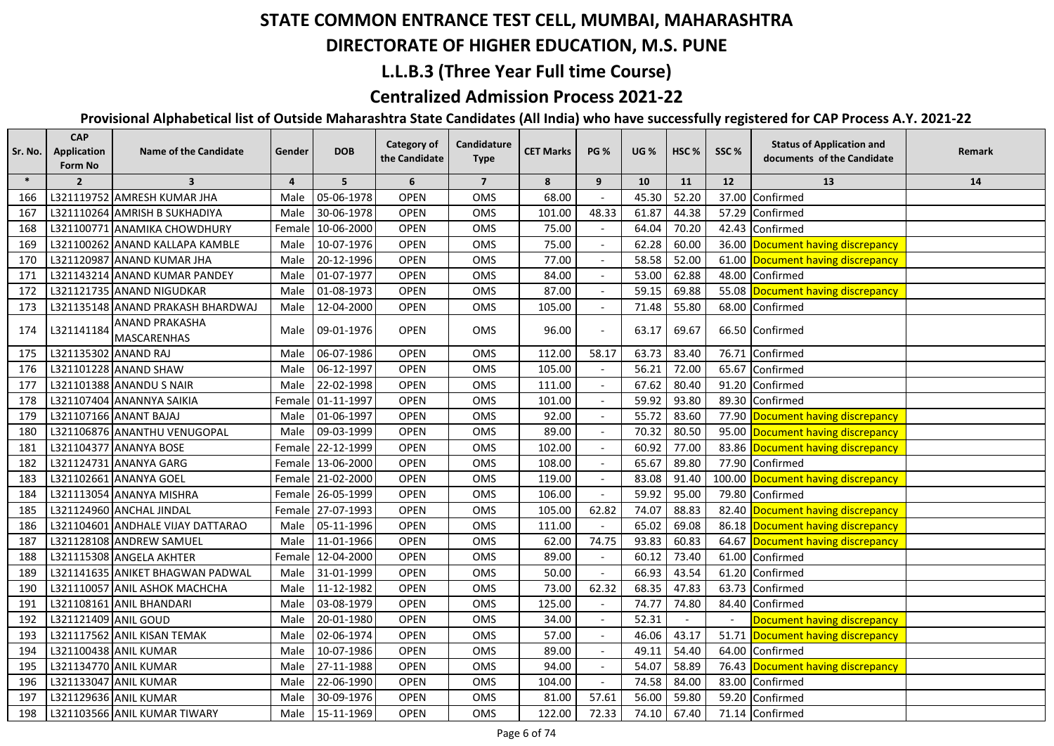#### **DIRECTORATE OF HIGHER EDUCATION, M.S. PUNE**

### **L.L.B.3 (Three Year Full time Course)**

## **Centralized Admission Process 2021-22**

| Sr. No. | <b>CAP</b><br>Application<br>Form No | <b>Name of the Candidate</b>         | Gender         | <b>DOB</b>        | Category of<br>the Candidate | Candidature<br><b>Type</b> | <b>CET Marks</b> | <b>PG %</b> | <b>UG</b> % | HSC <sub>%</sub> | SSC%  | <b>Status of Application and</b><br>documents of the Candidate | Remark |
|---------|--------------------------------------|--------------------------------------|----------------|-------------------|------------------------------|----------------------------|------------------|-------------|-------------|------------------|-------|----------------------------------------------------------------|--------|
| $\ast$  | $\overline{2}$                       | $\overline{\mathbf{3}}$              | $\overline{4}$ | 5                 | 6                            | $\overline{7}$             | 8                | 9           | 10          | 11               | 12    | 13                                                             | 14     |
| 166     |                                      | L321119752 AMRESH KUMAR JHA          | Male           | 05-06-1978        | <b>OPEN</b>                  | OMS                        | 68.00            |             | 45.30       | 52.20            | 37.00 | Confirmed                                                      |        |
| 167     |                                      | L321110264 AMRISH B SUKHADIYA        | Male           | 30-06-1978        | <b>OPEN</b>                  | OMS                        | 101.00           | 48.33       | 61.87       | 44.38            |       | 57.29 Confirmed                                                |        |
| 168     |                                      | L321100771 ANAMIKA CHOWDHURY         |                | Female 10-06-2000 | <b>OPEN</b>                  | OMS                        | 75.00            |             | 64.04       | 70.20            |       | 42.43 Confirmed                                                |        |
| 169     |                                      | L321100262 ANAND KALLAPA KAMBLE      | Male           | 10-07-1976        | <b>OPEN</b>                  | OMS                        | 75.00            |             | 62.28       | 60.00            |       | 36.00 Document having discrepancy                              |        |
| 170     |                                      | L321120987 ANAND KUMAR JHA           | Male           | 20-12-1996        | <b>OPEN</b>                  | OMS                        | 77.00            |             | 58.58       | 52.00            |       | 61.00 Document having discrepancy                              |        |
| 171     |                                      | L321143214 ANAND KUMAR PANDEY        | Male           | 01-07-1977        | <b>OPEN</b>                  | OMS                        | 84.00            |             | 53.00       | 62.88            |       | 48.00 Confirmed                                                |        |
| 172     |                                      | L321121735 ANAND NIGUDKAR            | Male           | 01-08-1973        | <b>OPEN</b>                  | OMS                        | 87.00            |             | 59.15       | 69.88            |       | 55.08 Document having discrepancy                              |        |
| 173     |                                      | L321135148 ANAND PRAKASH BHARDWAJ    | Male           | 12-04-2000        | <b>OPEN</b>                  | OMS                        | 105.00           |             | 71.48       | 55.80            |       | 68.00 Confirmed                                                |        |
| 174     | L321141184                           | <b>ANAND PRAKASHA</b><br>MASCARENHAS |                | Male 09-01-1976   | <b>OPEN</b>                  | OMS                        | 96.00            |             | 63.17       | 69.67            |       | 66.50 Confirmed                                                |        |
| 175     | L321135302 ANAND RAJ                 |                                      | Male           | 06-07-1986        | <b>OPEN</b>                  | OMS                        | 112.00           | 58.17       | 63.73       | 83.40            |       | 76.71 Confirmed                                                |        |
| 176     |                                      | L321101228 ANAND SHAW                |                | Male 06-12-1997   | <b>OPEN</b>                  | <b>OMS</b>                 | 105.00           |             | 56.21       | 72.00            |       | 65.67 Confirmed                                                |        |
| 177     |                                      | L321101388 ANANDU S NAIR             | Male           | 22-02-1998        | <b>OPEN</b>                  | OMS                        | 111.00           |             | 67.62       | 80.40            |       | 91.20 Confirmed                                                |        |
| 178     |                                      | L321107404 ANANNYA SAIKIA            |                | Female 01-11-1997 | <b>OPEN</b>                  | OMS                        | 101.00           |             | 59.92       | 93.80            |       | 89.30 Confirmed                                                |        |
| 179     |                                      | L321107166 ANANT BAJAJ               | Male           | 01-06-1997        | <b>OPEN</b>                  | OMS                        | 92.00            |             | 55.72       | 83.60            |       | 77.90 Document having discrepancy                              |        |
| 180     |                                      | L321106876 ANANTHU VENUGOPAL         | Male           | 09-03-1999        | <b>OPEN</b>                  | OMS                        | 89.00            |             | 70.32       | 80.50            |       | 95.00 Document having discrepancy                              |        |
| 181     |                                      | L321104377 ANANYA BOSE               |                | Female 22-12-1999 | <b>OPEN</b>                  | OMS                        | 102.00           |             | 60.92       | 77.00            |       | 83.86 Document having discrepancy                              |        |
| 182     |                                      | L321124731 ANANYA GARG               |                | Female 13-06-2000 | <b>OPEN</b>                  | OMS                        | 108.00           |             | 65.67       | 89.80            |       | 77.90 Confirmed                                                |        |
| 183     |                                      | L321102661 ANANYA GOEL               |                | Female 21-02-2000 | <b>OPEN</b>                  | OMS                        | 119.00           |             | 83.08       | 91.40            |       | 100.00 Document having discrepancy                             |        |
| 184     |                                      | L321113054 ANANYA MISHRA             |                | Female 26-05-1999 | <b>OPEN</b>                  | OMS                        | 106.00           |             | 59.92       | 95.00            | 79.80 | Confirmed                                                      |        |
| 185     |                                      | L321124960 ANCHAL JINDAL             |                | Female 27-07-1993 | <b>OPEN</b>                  | OMS                        | 105.00           | 62.82       | 74.07       | 88.83            |       | 82.40 Document having discrepancy                              |        |
| 186     |                                      | L321104601 ANDHALE VIJAY DATTARAO    | Male           | 05-11-1996        | <b>OPEN</b>                  | OMS                        | 111.00           |             | 65.02       | 69.08            |       | 86.18 Document having discrepancy                              |        |
| 187     |                                      | L321128108 ANDREW SAMUEL             | Male           | 11-01-1966        | <b>OPEN</b>                  | OMS                        | 62.00            | 74.75       | 93.83       | 60.83            |       | 64.67 Document having discrepancy                              |        |
| 188     |                                      | L321115308 ANGELA AKHTER             | Female         | 12-04-2000        | <b>OPEN</b>                  | OMS                        | 89.00            |             | 60.12       | 73.40            | 61.00 | Confirmed                                                      |        |
| 189     |                                      | L321141635 ANIKET BHAGWAN PADWAL     | Male           | 31-01-1999        | <b>OPEN</b>                  | OMS                        | 50.00            |             | 66.93       | 43.54            | 61.20 | Confirmed                                                      |        |
| 190     |                                      | L321110057 ANIL ASHOK MACHCHA        | Male           | 11-12-1982        | <b>OPEN</b>                  | OMS                        | 73.00            | 62.32       | 68.35       | 47.83            |       | 63.73 Confirmed                                                |        |
| 191     |                                      | L321108161 ANIL BHANDARI             | Male           | 03-08-1979        | <b>OPEN</b>                  | OMS                        | 125.00           |             | 74.77       | 74.80            |       | 84.40 Confirmed                                                |        |
| 192     | L321121409 ANIL GOUD                 |                                      | Male           | 20-01-1980        | <b>OPEN</b>                  | OMS                        | 34.00            |             | 52.31       |                  |       | Document having discrepancy                                    |        |
| 193     |                                      | L321117562 ANIL KISAN TEMAK          | Male           | 02-06-1974        | <b>OPEN</b>                  | OMS                        | 57.00            |             | 46.06       | 43.17            |       | 51.71 Document having discrepancy                              |        |
| 194     |                                      | L321100438 ANIL KUMAR                | Male           | 10-07-1986        | <b>OPEN</b>                  | OMS                        | 89.00            |             | 49.11       | 54.40            |       | 64.00 Confirmed                                                |        |
| 195     |                                      | L321134770 ANIL KUMAR                | Male           | 27-11-1988        | <b>OPEN</b>                  | OMS                        | 94.00            |             | 54.07       | 58.89            |       | 76.43 Document having discrepancy                              |        |
| 196     |                                      | L321133047 ANIL KUMAR                | Male           | 22-06-1990        | <b>OPEN</b>                  | OMS                        | 104.00           |             | 74.58       | 84.00            |       | 83.00 Confirmed                                                |        |
| 197     |                                      | L321129636 ANIL KUMAR                | Male           | 30-09-1976        | <b>OPEN</b>                  | OMS                        | 81.00            | 57.61       | 56.00       | 59.80            |       | 59.20 Confirmed                                                |        |
| 198     |                                      | L321103566 ANIL KUMAR TIWARY         |                | Male 15-11-1969   | <b>OPEN</b>                  | OMS                        | 122.00           | 72.33       | 74.10       | 67.40            |       | 71.14 Confirmed                                                |        |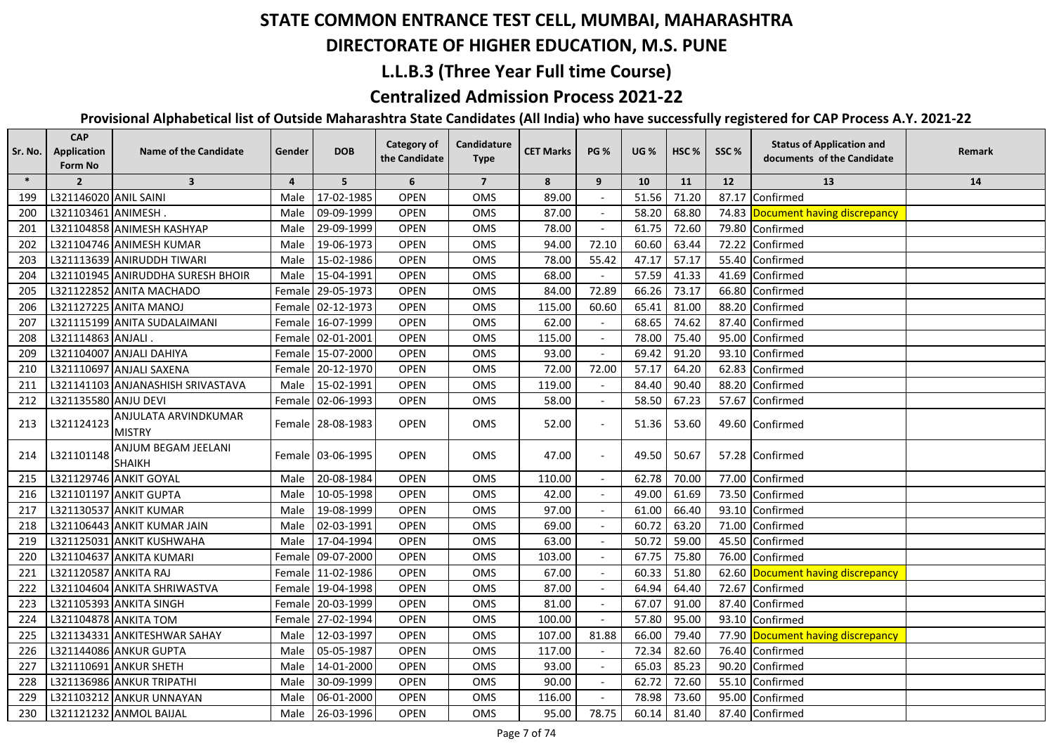## **DIRECTORATE OF HIGHER EDUCATION, M.S. PUNE**

### **L.L.B.3 (Three Year Full time Course)**

## **Centralized Admission Process 2021-22**

| $\ast$<br>6<br>$\overline{7}$<br>$\overline{\mathbf{3}}$<br>5<br>8<br>$\overline{2}$<br>$\overline{4}$<br>9<br>10<br>11<br>12<br>13<br>14<br>L321146020 ANIL SAINI<br>71.20<br>17-02-1985<br><b>OPEN</b><br>OMS<br>89.00<br>51.56<br>87.17<br>Confirmed<br>199<br>Male<br>L321103461 ANIMESH<br>09-09-1999<br><b>OPEN</b><br>OMS<br>87.00<br>58.20<br>68.80<br>200<br>74.83<br>Document having discrepancy<br>Male<br>L321104858 ANIMESH KASHYAP<br>29-09-1999<br>OPEN<br>OMS<br>78.00<br>61.75<br>72.60<br>201<br>79.80<br>Male<br>Confirmed<br>OPEN<br>94.00<br>60.60<br>72.22<br>Confirmed<br>L321104746 ANIMESH KUMAR<br>19-06-1973<br>OMS<br>72.10<br>63.44<br>202<br>Male<br>L321113639 ANIRUDDH TIWARI<br>15-02-1986<br><b>OPEN</b><br>OMS<br>78.00<br>55.42<br>47.17<br>57.17<br>55.40<br>Confirmed<br>203<br>Male<br>57.59<br>L321101945 ANIRUDDHA SURESH BHOIR<br>15-04-1991<br><b>OPEN</b><br>OMS<br>68.00<br>41.33<br>41.69<br>204<br>Male<br>Confirmed<br>Female 29-05-1973<br><b>OPEN</b><br>OMS<br>84.00<br>72.89<br>66.26<br>73.17<br>66.80<br>205<br>L321122852 ANITA MACHADO<br>Confirmed<br>L321127225 ANITA MANOJ<br><b>OPEN</b><br>115.00<br>81.00<br>88.20<br>206<br>Female 02-12-1973<br>OMS<br>60.60<br>65.41<br>Confirmed<br>62.00<br>74.62<br>207<br>L321115199 ANITA SUDALAIMANI<br>Female 16-07-1999<br><b>OPEN</b><br>OMS<br>68.65<br>87.40<br>Confirmed<br><b>OPEN</b><br>115.00<br>78.00<br>75.40<br>95.00<br>208<br>L321114863 ANJALI<br>Female 02-01-2001<br><b>OMS</b><br>Confirmed<br>91.20<br>93.10<br>L321104007 ANJALI DAHIYA<br>Female 15-07-2000<br><b>OPEN</b><br>OMS<br>93.00<br>69.42<br>Confirmed<br>209<br>L321110697 ANJALI SAXENA<br><b>OPEN</b><br>72.00<br>72.00<br>57.17<br>64.20<br>62.83<br>210<br>Female 20-12-1970<br><b>OMS</b><br>Confirmed<br>L321141103 ANJANASHISH SRIVASTAVA<br>15-02-1991<br><b>OPEN</b><br>OMS<br>119.00<br>84.40<br>90.40<br>88.20<br>211<br>Male<br>Confirmed<br>L321135580 ANJU DEVI<br>Female 02-06-1993<br><b>OPEN</b><br>OMS<br>58.00<br>58.50<br>67.23<br>57.67<br>Confirmed<br>212<br>ANJULATA ARVINDKUMAR<br>L321124123<br>Female 28-08-1983<br><b>OPEN</b><br>52.00<br>53.60<br>49.60 Confirmed<br>213<br>OMS<br>51.36<br><b>MISTRY</b><br>ANJUM BEGAM JEELANI<br>L321101148<br><b>OPEN</b><br>49.50<br>57.28 Confirmed<br>Female 03-06-1995<br>OMS<br>47.00<br>50.67<br>214<br>$\overline{\phantom{a}}$<br><b>SHAIKH</b><br>70.00<br>L321129746 ANKIT GOYAL<br>20-08-1984<br>OPEN<br>110.00<br>62.78<br>77.00<br>Confirmed<br>215<br>OMS<br>Male<br>L321101197 ANKIT GUPTA<br>10-05-1998<br><b>OPEN</b><br>OMS<br>42.00<br>49.00<br>61.69<br>73.50<br>216<br>Male<br>Confirmed<br>66.40<br>217<br>L321130537 ANKIT KUMAR<br>19-08-1999<br><b>OPEN</b><br>OMS<br>97.00<br>61.00<br>93.10<br>Confirmed<br>Male<br>L321106443 ANKIT KUMAR JAIN<br><b>OPEN</b><br>69.00<br>60.72<br>63.20<br>71.00<br>Confirmed<br>218<br>Male<br>02-03-1991<br>OMS<br>50.72<br>59.00<br>45.50<br>Confirmed<br>219<br>L321125031 ANKIT KUSHWAHA<br>17-04-1994<br><b>OPEN</b><br>OMS<br>63.00<br>Male<br>L321104637 ANKITA KUMARI<br>09-07-2000<br><b>OPEN</b><br>OMS<br>103.00<br>67.75<br>75.80<br>76.00<br>Confirmed<br>220<br>Female<br>221<br>L321120587 ANKITA RAJ<br>OPEN<br>OMS<br>67.00<br>60.33<br>51.80<br>62.60<br>Document having discrepancy<br>Female 11-02-1986<br>222<br>87.00<br>64.94<br>72.67<br>L321104604 ANKITA SHRIWASTVA<br>Female 19-04-1998<br><b>OPEN</b><br>OMS<br>64.40<br>Confirmed<br>OMS<br>81.00<br>91.00<br>223<br>L321105393 ANKITA SINGH<br>Female 20-03-1999<br><b>OPEN</b><br>67.07<br>87.40<br>Confirmed<br>$\blacksquare$<br>L321104878 ANKITA TOM<br>27-02-1994<br>100.00<br>57.80<br>95.00<br>Confirmed<br>224<br><b>OPEN</b><br>OMS<br>93.10<br>Female  <br>225<br>L321134331 ANKITESHWAR SAHAY<br>12-03-1997<br><b>OPEN</b><br>OMS<br>107.00<br>81.88<br>66.00<br>79.40<br>77.90 Document having discrepancy<br>Male<br>OMS<br>117.00<br>72.34<br>82.60<br>226<br>L321144086 ANKUR GUPTA<br>05-05-1987<br><b>OPEN</b><br>76.40<br>Confirmed<br>Male<br>65.03<br>85.23<br>90.20<br>227<br>L321110691 ANKUR SHETH<br>Male<br>14-01-2000<br><b>OPEN</b><br>OMS<br>93.00<br>Confirmed<br>$\overline{\phantom{a}}$<br>L321136986 ANKUR TRIPATHI<br>30-09-1999<br>90.00<br>62.72<br>72.60<br>55.10<br>228<br>Male<br><b>OPEN</b><br>OMS<br>Confirmed<br>$\overline{\phantom{a}}$<br>229<br>L321103212 ANKUR UNNAYAN<br>06-01-2000<br><b>OPEN</b><br>OMS<br>116.00<br>78.98<br>73.60<br>95.00<br>Confirmed<br>Male<br>L321121232 ANMOL BAIJAL<br>230<br>26-03-1996<br><b>OPEN</b><br>OMS<br>95.00<br>78.75<br>60.14<br>81.40<br>87.40 Confirmed<br>Male | Sr. No. | <b>CAP</b><br>Application<br>Form No | <b>Name of the Candidate</b> | Gender | <b>DOB</b> | <b>Category of</b><br>the Candidate | Candidature<br><b>Type</b> | <b>CET Marks</b> | <b>PG %</b> | <b>UG %</b> | HSC <sub>%</sub> | SSC% | <b>Status of Application and</b><br>documents of the Candidate | Remark |
|-------------------------------------------------------------------------------------------------------------------------------------------------------------------------------------------------------------------------------------------------------------------------------------------------------------------------------------------------------------------------------------------------------------------------------------------------------------------------------------------------------------------------------------------------------------------------------------------------------------------------------------------------------------------------------------------------------------------------------------------------------------------------------------------------------------------------------------------------------------------------------------------------------------------------------------------------------------------------------------------------------------------------------------------------------------------------------------------------------------------------------------------------------------------------------------------------------------------------------------------------------------------------------------------------------------------------------------------------------------------------------------------------------------------------------------------------------------------------------------------------------------------------------------------------------------------------------------------------------------------------------------------------------------------------------------------------------------------------------------------------------------------------------------------------------------------------------------------------------------------------------------------------------------------------------------------------------------------------------------------------------------------------------------------------------------------------------------------------------------------------------------------------------------------------------------------------------------------------------------------------------------------------------------------------------------------------------------------------------------------------------------------------------------------------------------------------------------------------------------------------------------------------------------------------------------------------------------------------------------------------------------------------------------------------------------------------------------------------------------------------------------------------------------------------------------------------------------------------------------------------------------------------------------------------------------------------------------------------------------------------------------------------------------------------------------------------------------------------------------------------------------------------------------------------------------------------------------------------------------------------------------------------------------------------------------------------------------------------------------------------------------------------------------------------------------------------------------------------------------------------------------------------------------------------------------------------------------------------------------------------------------------------------------------------------------------------------------------------------------------------------------------------------------------------------------------------------------------------------------------------------------------------------------------------------------------------------------------------------------------------------------------------------------------------------------------------------------------------------------------------------------------------------------------------------------------------------------------------------------------------------------------------------------------------------------------------------------------------------------------------------------------------------------------------------------------------------------------------------------------------------------------------------------------------------------------------------------------------------------------------------------------------------------------|---------|--------------------------------------|------------------------------|--------|------------|-------------------------------------|----------------------------|------------------|-------------|-------------|------------------|------|----------------------------------------------------------------|--------|
|                                                                                                                                                                                                                                                                                                                                                                                                                                                                                                                                                                                                                                                                                                                                                                                                                                                                                                                                                                                                                                                                                                                                                                                                                                                                                                                                                                                                                                                                                                                                                                                                                                                                                                                                                                                                                                                                                                                                                                                                                                                                                                                                                                                                                                                                                                                                                                                                                                                                                                                                                                                                                                                                                                                                                                                                                                                                                                                                                                                                                                                                                                                                                                                                                                                                                                                                                                                                                                                                                                                                                                                                                                                                                                                                                                                                                                                                                                                                                                                                                                                                                                                                                                                                                                                                                                                                                                                                                                                                                                                                                                                                                                                                   |         |                                      |                              |        |            |                                     |                            |                  |             |             |                  |      |                                                                |        |
|                                                                                                                                                                                                                                                                                                                                                                                                                                                                                                                                                                                                                                                                                                                                                                                                                                                                                                                                                                                                                                                                                                                                                                                                                                                                                                                                                                                                                                                                                                                                                                                                                                                                                                                                                                                                                                                                                                                                                                                                                                                                                                                                                                                                                                                                                                                                                                                                                                                                                                                                                                                                                                                                                                                                                                                                                                                                                                                                                                                                                                                                                                                                                                                                                                                                                                                                                                                                                                                                                                                                                                                                                                                                                                                                                                                                                                                                                                                                                                                                                                                                                                                                                                                                                                                                                                                                                                                                                                                                                                                                                                                                                                                                   |         |                                      |                              |        |            |                                     |                            |                  |             |             |                  |      |                                                                |        |
|                                                                                                                                                                                                                                                                                                                                                                                                                                                                                                                                                                                                                                                                                                                                                                                                                                                                                                                                                                                                                                                                                                                                                                                                                                                                                                                                                                                                                                                                                                                                                                                                                                                                                                                                                                                                                                                                                                                                                                                                                                                                                                                                                                                                                                                                                                                                                                                                                                                                                                                                                                                                                                                                                                                                                                                                                                                                                                                                                                                                                                                                                                                                                                                                                                                                                                                                                                                                                                                                                                                                                                                                                                                                                                                                                                                                                                                                                                                                                                                                                                                                                                                                                                                                                                                                                                                                                                                                                                                                                                                                                                                                                                                                   |         |                                      |                              |        |            |                                     |                            |                  |             |             |                  |      |                                                                |        |
|                                                                                                                                                                                                                                                                                                                                                                                                                                                                                                                                                                                                                                                                                                                                                                                                                                                                                                                                                                                                                                                                                                                                                                                                                                                                                                                                                                                                                                                                                                                                                                                                                                                                                                                                                                                                                                                                                                                                                                                                                                                                                                                                                                                                                                                                                                                                                                                                                                                                                                                                                                                                                                                                                                                                                                                                                                                                                                                                                                                                                                                                                                                                                                                                                                                                                                                                                                                                                                                                                                                                                                                                                                                                                                                                                                                                                                                                                                                                                                                                                                                                                                                                                                                                                                                                                                                                                                                                                                                                                                                                                                                                                                                                   |         |                                      |                              |        |            |                                     |                            |                  |             |             |                  |      |                                                                |        |
|                                                                                                                                                                                                                                                                                                                                                                                                                                                                                                                                                                                                                                                                                                                                                                                                                                                                                                                                                                                                                                                                                                                                                                                                                                                                                                                                                                                                                                                                                                                                                                                                                                                                                                                                                                                                                                                                                                                                                                                                                                                                                                                                                                                                                                                                                                                                                                                                                                                                                                                                                                                                                                                                                                                                                                                                                                                                                                                                                                                                                                                                                                                                                                                                                                                                                                                                                                                                                                                                                                                                                                                                                                                                                                                                                                                                                                                                                                                                                                                                                                                                                                                                                                                                                                                                                                                                                                                                                                                                                                                                                                                                                                                                   |         |                                      |                              |        |            |                                     |                            |                  |             |             |                  |      |                                                                |        |
|                                                                                                                                                                                                                                                                                                                                                                                                                                                                                                                                                                                                                                                                                                                                                                                                                                                                                                                                                                                                                                                                                                                                                                                                                                                                                                                                                                                                                                                                                                                                                                                                                                                                                                                                                                                                                                                                                                                                                                                                                                                                                                                                                                                                                                                                                                                                                                                                                                                                                                                                                                                                                                                                                                                                                                                                                                                                                                                                                                                                                                                                                                                                                                                                                                                                                                                                                                                                                                                                                                                                                                                                                                                                                                                                                                                                                                                                                                                                                                                                                                                                                                                                                                                                                                                                                                                                                                                                                                                                                                                                                                                                                                                                   |         |                                      |                              |        |            |                                     |                            |                  |             |             |                  |      |                                                                |        |
|                                                                                                                                                                                                                                                                                                                                                                                                                                                                                                                                                                                                                                                                                                                                                                                                                                                                                                                                                                                                                                                                                                                                                                                                                                                                                                                                                                                                                                                                                                                                                                                                                                                                                                                                                                                                                                                                                                                                                                                                                                                                                                                                                                                                                                                                                                                                                                                                                                                                                                                                                                                                                                                                                                                                                                                                                                                                                                                                                                                                                                                                                                                                                                                                                                                                                                                                                                                                                                                                                                                                                                                                                                                                                                                                                                                                                                                                                                                                                                                                                                                                                                                                                                                                                                                                                                                                                                                                                                                                                                                                                                                                                                                                   |         |                                      |                              |        |            |                                     |                            |                  |             |             |                  |      |                                                                |        |
|                                                                                                                                                                                                                                                                                                                                                                                                                                                                                                                                                                                                                                                                                                                                                                                                                                                                                                                                                                                                                                                                                                                                                                                                                                                                                                                                                                                                                                                                                                                                                                                                                                                                                                                                                                                                                                                                                                                                                                                                                                                                                                                                                                                                                                                                                                                                                                                                                                                                                                                                                                                                                                                                                                                                                                                                                                                                                                                                                                                                                                                                                                                                                                                                                                                                                                                                                                                                                                                                                                                                                                                                                                                                                                                                                                                                                                                                                                                                                                                                                                                                                                                                                                                                                                                                                                                                                                                                                                                                                                                                                                                                                                                                   |         |                                      |                              |        |            |                                     |                            |                  |             |             |                  |      |                                                                |        |
|                                                                                                                                                                                                                                                                                                                                                                                                                                                                                                                                                                                                                                                                                                                                                                                                                                                                                                                                                                                                                                                                                                                                                                                                                                                                                                                                                                                                                                                                                                                                                                                                                                                                                                                                                                                                                                                                                                                                                                                                                                                                                                                                                                                                                                                                                                                                                                                                                                                                                                                                                                                                                                                                                                                                                                                                                                                                                                                                                                                                                                                                                                                                                                                                                                                                                                                                                                                                                                                                                                                                                                                                                                                                                                                                                                                                                                                                                                                                                                                                                                                                                                                                                                                                                                                                                                                                                                                                                                                                                                                                                                                                                                                                   |         |                                      |                              |        |            |                                     |                            |                  |             |             |                  |      |                                                                |        |
|                                                                                                                                                                                                                                                                                                                                                                                                                                                                                                                                                                                                                                                                                                                                                                                                                                                                                                                                                                                                                                                                                                                                                                                                                                                                                                                                                                                                                                                                                                                                                                                                                                                                                                                                                                                                                                                                                                                                                                                                                                                                                                                                                                                                                                                                                                                                                                                                                                                                                                                                                                                                                                                                                                                                                                                                                                                                                                                                                                                                                                                                                                                                                                                                                                                                                                                                                                                                                                                                                                                                                                                                                                                                                                                                                                                                                                                                                                                                                                                                                                                                                                                                                                                                                                                                                                                                                                                                                                                                                                                                                                                                                                                                   |         |                                      |                              |        |            |                                     |                            |                  |             |             |                  |      |                                                                |        |
|                                                                                                                                                                                                                                                                                                                                                                                                                                                                                                                                                                                                                                                                                                                                                                                                                                                                                                                                                                                                                                                                                                                                                                                                                                                                                                                                                                                                                                                                                                                                                                                                                                                                                                                                                                                                                                                                                                                                                                                                                                                                                                                                                                                                                                                                                                                                                                                                                                                                                                                                                                                                                                                                                                                                                                                                                                                                                                                                                                                                                                                                                                                                                                                                                                                                                                                                                                                                                                                                                                                                                                                                                                                                                                                                                                                                                                                                                                                                                                                                                                                                                                                                                                                                                                                                                                                                                                                                                                                                                                                                                                                                                                                                   |         |                                      |                              |        |            |                                     |                            |                  |             |             |                  |      |                                                                |        |
|                                                                                                                                                                                                                                                                                                                                                                                                                                                                                                                                                                                                                                                                                                                                                                                                                                                                                                                                                                                                                                                                                                                                                                                                                                                                                                                                                                                                                                                                                                                                                                                                                                                                                                                                                                                                                                                                                                                                                                                                                                                                                                                                                                                                                                                                                                                                                                                                                                                                                                                                                                                                                                                                                                                                                                                                                                                                                                                                                                                                                                                                                                                                                                                                                                                                                                                                                                                                                                                                                                                                                                                                                                                                                                                                                                                                                                                                                                                                                                                                                                                                                                                                                                                                                                                                                                                                                                                                                                                                                                                                                                                                                                                                   |         |                                      |                              |        |            |                                     |                            |                  |             |             |                  |      |                                                                |        |
|                                                                                                                                                                                                                                                                                                                                                                                                                                                                                                                                                                                                                                                                                                                                                                                                                                                                                                                                                                                                                                                                                                                                                                                                                                                                                                                                                                                                                                                                                                                                                                                                                                                                                                                                                                                                                                                                                                                                                                                                                                                                                                                                                                                                                                                                                                                                                                                                                                                                                                                                                                                                                                                                                                                                                                                                                                                                                                                                                                                                                                                                                                                                                                                                                                                                                                                                                                                                                                                                                                                                                                                                                                                                                                                                                                                                                                                                                                                                                                                                                                                                                                                                                                                                                                                                                                                                                                                                                                                                                                                                                                                                                                                                   |         |                                      |                              |        |            |                                     |                            |                  |             |             |                  |      |                                                                |        |
|                                                                                                                                                                                                                                                                                                                                                                                                                                                                                                                                                                                                                                                                                                                                                                                                                                                                                                                                                                                                                                                                                                                                                                                                                                                                                                                                                                                                                                                                                                                                                                                                                                                                                                                                                                                                                                                                                                                                                                                                                                                                                                                                                                                                                                                                                                                                                                                                                                                                                                                                                                                                                                                                                                                                                                                                                                                                                                                                                                                                                                                                                                                                                                                                                                                                                                                                                                                                                                                                                                                                                                                                                                                                                                                                                                                                                                                                                                                                                                                                                                                                                                                                                                                                                                                                                                                                                                                                                                                                                                                                                                                                                                                                   |         |                                      |                              |        |            |                                     |                            |                  |             |             |                  |      |                                                                |        |
|                                                                                                                                                                                                                                                                                                                                                                                                                                                                                                                                                                                                                                                                                                                                                                                                                                                                                                                                                                                                                                                                                                                                                                                                                                                                                                                                                                                                                                                                                                                                                                                                                                                                                                                                                                                                                                                                                                                                                                                                                                                                                                                                                                                                                                                                                                                                                                                                                                                                                                                                                                                                                                                                                                                                                                                                                                                                                                                                                                                                                                                                                                                                                                                                                                                                                                                                                                                                                                                                                                                                                                                                                                                                                                                                                                                                                                                                                                                                                                                                                                                                                                                                                                                                                                                                                                                                                                                                                                                                                                                                                                                                                                                                   |         |                                      |                              |        |            |                                     |                            |                  |             |             |                  |      |                                                                |        |
|                                                                                                                                                                                                                                                                                                                                                                                                                                                                                                                                                                                                                                                                                                                                                                                                                                                                                                                                                                                                                                                                                                                                                                                                                                                                                                                                                                                                                                                                                                                                                                                                                                                                                                                                                                                                                                                                                                                                                                                                                                                                                                                                                                                                                                                                                                                                                                                                                                                                                                                                                                                                                                                                                                                                                                                                                                                                                                                                                                                                                                                                                                                                                                                                                                                                                                                                                                                                                                                                                                                                                                                                                                                                                                                                                                                                                                                                                                                                                                                                                                                                                                                                                                                                                                                                                                                                                                                                                                                                                                                                                                                                                                                                   |         |                                      |                              |        |            |                                     |                            |                  |             |             |                  |      |                                                                |        |
|                                                                                                                                                                                                                                                                                                                                                                                                                                                                                                                                                                                                                                                                                                                                                                                                                                                                                                                                                                                                                                                                                                                                                                                                                                                                                                                                                                                                                                                                                                                                                                                                                                                                                                                                                                                                                                                                                                                                                                                                                                                                                                                                                                                                                                                                                                                                                                                                                                                                                                                                                                                                                                                                                                                                                                                                                                                                                                                                                                                                                                                                                                                                                                                                                                                                                                                                                                                                                                                                                                                                                                                                                                                                                                                                                                                                                                                                                                                                                                                                                                                                                                                                                                                                                                                                                                                                                                                                                                                                                                                                                                                                                                                                   |         |                                      |                              |        |            |                                     |                            |                  |             |             |                  |      |                                                                |        |
|                                                                                                                                                                                                                                                                                                                                                                                                                                                                                                                                                                                                                                                                                                                                                                                                                                                                                                                                                                                                                                                                                                                                                                                                                                                                                                                                                                                                                                                                                                                                                                                                                                                                                                                                                                                                                                                                                                                                                                                                                                                                                                                                                                                                                                                                                                                                                                                                                                                                                                                                                                                                                                                                                                                                                                                                                                                                                                                                                                                                                                                                                                                                                                                                                                                                                                                                                                                                                                                                                                                                                                                                                                                                                                                                                                                                                                                                                                                                                                                                                                                                                                                                                                                                                                                                                                                                                                                                                                                                                                                                                                                                                                                                   |         |                                      |                              |        |            |                                     |                            |                  |             |             |                  |      |                                                                |        |
|                                                                                                                                                                                                                                                                                                                                                                                                                                                                                                                                                                                                                                                                                                                                                                                                                                                                                                                                                                                                                                                                                                                                                                                                                                                                                                                                                                                                                                                                                                                                                                                                                                                                                                                                                                                                                                                                                                                                                                                                                                                                                                                                                                                                                                                                                                                                                                                                                                                                                                                                                                                                                                                                                                                                                                                                                                                                                                                                                                                                                                                                                                                                                                                                                                                                                                                                                                                                                                                                                                                                                                                                                                                                                                                                                                                                                                                                                                                                                                                                                                                                                                                                                                                                                                                                                                                                                                                                                                                                                                                                                                                                                                                                   |         |                                      |                              |        |            |                                     |                            |                  |             |             |                  |      |                                                                |        |
|                                                                                                                                                                                                                                                                                                                                                                                                                                                                                                                                                                                                                                                                                                                                                                                                                                                                                                                                                                                                                                                                                                                                                                                                                                                                                                                                                                                                                                                                                                                                                                                                                                                                                                                                                                                                                                                                                                                                                                                                                                                                                                                                                                                                                                                                                                                                                                                                                                                                                                                                                                                                                                                                                                                                                                                                                                                                                                                                                                                                                                                                                                                                                                                                                                                                                                                                                                                                                                                                                                                                                                                                                                                                                                                                                                                                                                                                                                                                                                                                                                                                                                                                                                                                                                                                                                                                                                                                                                                                                                                                                                                                                                                                   |         |                                      |                              |        |            |                                     |                            |                  |             |             |                  |      |                                                                |        |
|                                                                                                                                                                                                                                                                                                                                                                                                                                                                                                                                                                                                                                                                                                                                                                                                                                                                                                                                                                                                                                                                                                                                                                                                                                                                                                                                                                                                                                                                                                                                                                                                                                                                                                                                                                                                                                                                                                                                                                                                                                                                                                                                                                                                                                                                                                                                                                                                                                                                                                                                                                                                                                                                                                                                                                                                                                                                                                                                                                                                                                                                                                                                                                                                                                                                                                                                                                                                                                                                                                                                                                                                                                                                                                                                                                                                                                                                                                                                                                                                                                                                                                                                                                                                                                                                                                                                                                                                                                                                                                                                                                                                                                                                   |         |                                      |                              |        |            |                                     |                            |                  |             |             |                  |      |                                                                |        |
|                                                                                                                                                                                                                                                                                                                                                                                                                                                                                                                                                                                                                                                                                                                                                                                                                                                                                                                                                                                                                                                                                                                                                                                                                                                                                                                                                                                                                                                                                                                                                                                                                                                                                                                                                                                                                                                                                                                                                                                                                                                                                                                                                                                                                                                                                                                                                                                                                                                                                                                                                                                                                                                                                                                                                                                                                                                                                                                                                                                                                                                                                                                                                                                                                                                                                                                                                                                                                                                                                                                                                                                                                                                                                                                                                                                                                                                                                                                                                                                                                                                                                                                                                                                                                                                                                                                                                                                                                                                                                                                                                                                                                                                                   |         |                                      |                              |        |            |                                     |                            |                  |             |             |                  |      |                                                                |        |
|                                                                                                                                                                                                                                                                                                                                                                                                                                                                                                                                                                                                                                                                                                                                                                                                                                                                                                                                                                                                                                                                                                                                                                                                                                                                                                                                                                                                                                                                                                                                                                                                                                                                                                                                                                                                                                                                                                                                                                                                                                                                                                                                                                                                                                                                                                                                                                                                                                                                                                                                                                                                                                                                                                                                                                                                                                                                                                                                                                                                                                                                                                                                                                                                                                                                                                                                                                                                                                                                                                                                                                                                                                                                                                                                                                                                                                                                                                                                                                                                                                                                                                                                                                                                                                                                                                                                                                                                                                                                                                                                                                                                                                                                   |         |                                      |                              |        |            |                                     |                            |                  |             |             |                  |      |                                                                |        |
|                                                                                                                                                                                                                                                                                                                                                                                                                                                                                                                                                                                                                                                                                                                                                                                                                                                                                                                                                                                                                                                                                                                                                                                                                                                                                                                                                                                                                                                                                                                                                                                                                                                                                                                                                                                                                                                                                                                                                                                                                                                                                                                                                                                                                                                                                                                                                                                                                                                                                                                                                                                                                                                                                                                                                                                                                                                                                                                                                                                                                                                                                                                                                                                                                                                                                                                                                                                                                                                                                                                                                                                                                                                                                                                                                                                                                                                                                                                                                                                                                                                                                                                                                                                                                                                                                                                                                                                                                                                                                                                                                                                                                                                                   |         |                                      |                              |        |            |                                     |                            |                  |             |             |                  |      |                                                                |        |
|                                                                                                                                                                                                                                                                                                                                                                                                                                                                                                                                                                                                                                                                                                                                                                                                                                                                                                                                                                                                                                                                                                                                                                                                                                                                                                                                                                                                                                                                                                                                                                                                                                                                                                                                                                                                                                                                                                                                                                                                                                                                                                                                                                                                                                                                                                                                                                                                                                                                                                                                                                                                                                                                                                                                                                                                                                                                                                                                                                                                                                                                                                                                                                                                                                                                                                                                                                                                                                                                                                                                                                                                                                                                                                                                                                                                                                                                                                                                                                                                                                                                                                                                                                                                                                                                                                                                                                                                                                                                                                                                                                                                                                                                   |         |                                      |                              |        |            |                                     |                            |                  |             |             |                  |      |                                                                |        |
|                                                                                                                                                                                                                                                                                                                                                                                                                                                                                                                                                                                                                                                                                                                                                                                                                                                                                                                                                                                                                                                                                                                                                                                                                                                                                                                                                                                                                                                                                                                                                                                                                                                                                                                                                                                                                                                                                                                                                                                                                                                                                                                                                                                                                                                                                                                                                                                                                                                                                                                                                                                                                                                                                                                                                                                                                                                                                                                                                                                                                                                                                                                                                                                                                                                                                                                                                                                                                                                                                                                                                                                                                                                                                                                                                                                                                                                                                                                                                                                                                                                                                                                                                                                                                                                                                                                                                                                                                                                                                                                                                                                                                                                                   |         |                                      |                              |        |            |                                     |                            |                  |             |             |                  |      |                                                                |        |
|                                                                                                                                                                                                                                                                                                                                                                                                                                                                                                                                                                                                                                                                                                                                                                                                                                                                                                                                                                                                                                                                                                                                                                                                                                                                                                                                                                                                                                                                                                                                                                                                                                                                                                                                                                                                                                                                                                                                                                                                                                                                                                                                                                                                                                                                                                                                                                                                                                                                                                                                                                                                                                                                                                                                                                                                                                                                                                                                                                                                                                                                                                                                                                                                                                                                                                                                                                                                                                                                                                                                                                                                                                                                                                                                                                                                                                                                                                                                                                                                                                                                                                                                                                                                                                                                                                                                                                                                                                                                                                                                                                                                                                                                   |         |                                      |                              |        |            |                                     |                            |                  |             |             |                  |      |                                                                |        |
|                                                                                                                                                                                                                                                                                                                                                                                                                                                                                                                                                                                                                                                                                                                                                                                                                                                                                                                                                                                                                                                                                                                                                                                                                                                                                                                                                                                                                                                                                                                                                                                                                                                                                                                                                                                                                                                                                                                                                                                                                                                                                                                                                                                                                                                                                                                                                                                                                                                                                                                                                                                                                                                                                                                                                                                                                                                                                                                                                                                                                                                                                                                                                                                                                                                                                                                                                                                                                                                                                                                                                                                                                                                                                                                                                                                                                                                                                                                                                                                                                                                                                                                                                                                                                                                                                                                                                                                                                                                                                                                                                                                                                                                                   |         |                                      |                              |        |            |                                     |                            |                  |             |             |                  |      |                                                                |        |
|                                                                                                                                                                                                                                                                                                                                                                                                                                                                                                                                                                                                                                                                                                                                                                                                                                                                                                                                                                                                                                                                                                                                                                                                                                                                                                                                                                                                                                                                                                                                                                                                                                                                                                                                                                                                                                                                                                                                                                                                                                                                                                                                                                                                                                                                                                                                                                                                                                                                                                                                                                                                                                                                                                                                                                                                                                                                                                                                                                                                                                                                                                                                                                                                                                                                                                                                                                                                                                                                                                                                                                                                                                                                                                                                                                                                                                                                                                                                                                                                                                                                                                                                                                                                                                                                                                                                                                                                                                                                                                                                                                                                                                                                   |         |                                      |                              |        |            |                                     |                            |                  |             |             |                  |      |                                                                |        |
|                                                                                                                                                                                                                                                                                                                                                                                                                                                                                                                                                                                                                                                                                                                                                                                                                                                                                                                                                                                                                                                                                                                                                                                                                                                                                                                                                                                                                                                                                                                                                                                                                                                                                                                                                                                                                                                                                                                                                                                                                                                                                                                                                                                                                                                                                                                                                                                                                                                                                                                                                                                                                                                                                                                                                                                                                                                                                                                                                                                                                                                                                                                                                                                                                                                                                                                                                                                                                                                                                                                                                                                                                                                                                                                                                                                                                                                                                                                                                                                                                                                                                                                                                                                                                                                                                                                                                                                                                                                                                                                                                                                                                                                                   |         |                                      |                              |        |            |                                     |                            |                  |             |             |                  |      |                                                                |        |
|                                                                                                                                                                                                                                                                                                                                                                                                                                                                                                                                                                                                                                                                                                                                                                                                                                                                                                                                                                                                                                                                                                                                                                                                                                                                                                                                                                                                                                                                                                                                                                                                                                                                                                                                                                                                                                                                                                                                                                                                                                                                                                                                                                                                                                                                                                                                                                                                                                                                                                                                                                                                                                                                                                                                                                                                                                                                                                                                                                                                                                                                                                                                                                                                                                                                                                                                                                                                                                                                                                                                                                                                                                                                                                                                                                                                                                                                                                                                                                                                                                                                                                                                                                                                                                                                                                                                                                                                                                                                                                                                                                                                                                                                   |         |                                      |                              |        |            |                                     |                            |                  |             |             |                  |      |                                                                |        |
|                                                                                                                                                                                                                                                                                                                                                                                                                                                                                                                                                                                                                                                                                                                                                                                                                                                                                                                                                                                                                                                                                                                                                                                                                                                                                                                                                                                                                                                                                                                                                                                                                                                                                                                                                                                                                                                                                                                                                                                                                                                                                                                                                                                                                                                                                                                                                                                                                                                                                                                                                                                                                                                                                                                                                                                                                                                                                                                                                                                                                                                                                                                                                                                                                                                                                                                                                                                                                                                                                                                                                                                                                                                                                                                                                                                                                                                                                                                                                                                                                                                                                                                                                                                                                                                                                                                                                                                                                                                                                                                                                                                                                                                                   |         |                                      |                              |        |            |                                     |                            |                  |             |             |                  |      |                                                                |        |
|                                                                                                                                                                                                                                                                                                                                                                                                                                                                                                                                                                                                                                                                                                                                                                                                                                                                                                                                                                                                                                                                                                                                                                                                                                                                                                                                                                                                                                                                                                                                                                                                                                                                                                                                                                                                                                                                                                                                                                                                                                                                                                                                                                                                                                                                                                                                                                                                                                                                                                                                                                                                                                                                                                                                                                                                                                                                                                                                                                                                                                                                                                                                                                                                                                                                                                                                                                                                                                                                                                                                                                                                                                                                                                                                                                                                                                                                                                                                                                                                                                                                                                                                                                                                                                                                                                                                                                                                                                                                                                                                                                                                                                                                   |         |                                      |                              |        |            |                                     |                            |                  |             |             |                  |      |                                                                |        |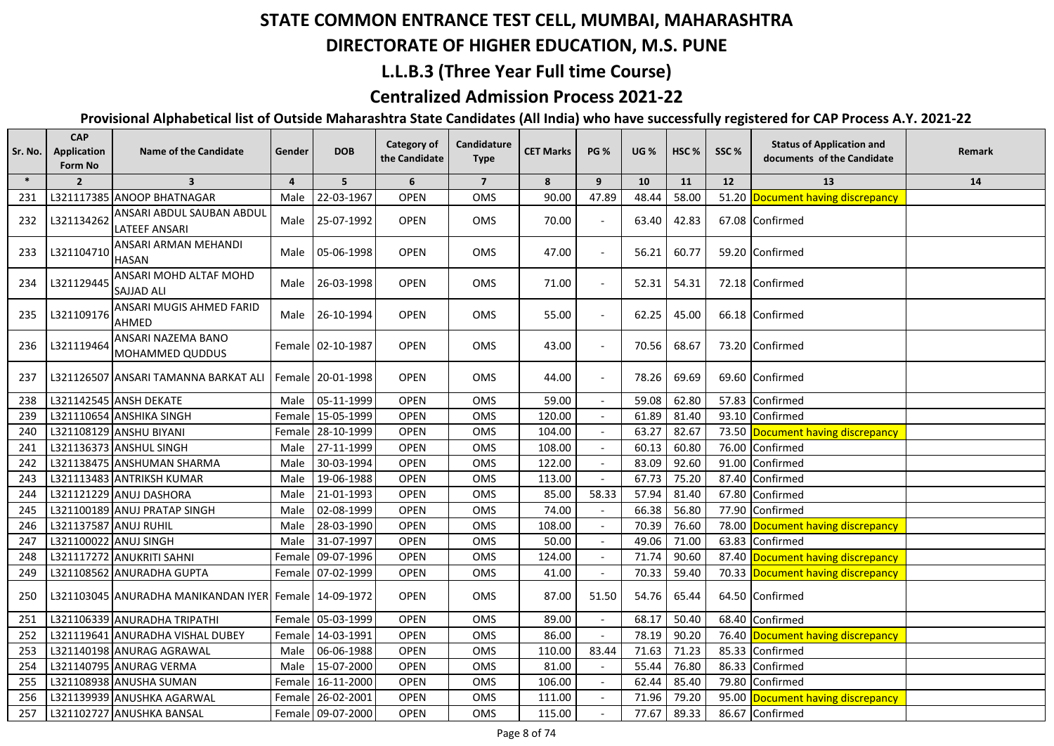## **DIRECTORATE OF HIGHER EDUCATION, M.S. PUNE**

### **L.L.B.3 (Three Year Full time Course)**

## **Centralized Admission Process 2021-22**

| $\ast$<br>5 <sup>5</sup><br>6<br>$\overline{7}$<br>$\overline{2}$<br>$\overline{\mathbf{3}}$<br>$\overline{4}$<br>8<br>9<br>10<br>11<br>12<br>13<br>14<br>90.00<br>47.89<br>58.00<br>Document having discrepancy<br>L321117385 ANOOP BHATNAGAR<br>22-03-1967<br><b>OPEN</b><br>OMS<br>48.44<br>51.20<br>231<br>Male<br>ANSARI ABDUL SAUBAN ABDUL<br><b>OPEN</b><br>232<br>L321134262<br>25-07-1992<br><b>OMS</b><br>70.00<br>63.40<br>42.83<br>67.08 Confirmed<br>Male<br><b>LATEEF ANSARI</b><br>ANSARI ARMAN MEHANDI<br>L321104710<br><b>OPEN</b><br>47.00<br>233<br>Male 05-06-1998<br>OMS<br>56.21<br>60.77<br>59.20 Confirmed<br>HASAN<br>ANSARI MOHD ALTAF MOHD<br>L321129445<br>26-03-1998<br><b>OPEN</b><br>71.00<br>54.31<br>234<br>OMS<br>52.31<br>72.18 Confirmed<br>Male<br><b>SAJJAD ALI</b><br>ANSARI MUGIS AHMED FARID<br>L321109176<br><b>OPEN</b><br>55.00<br>235<br>Male 26-10-1994<br>OMS<br>62.25<br>45.00<br>66.18 Confirmed<br>AHMED<br>ANSARI NAZEMA BANO<br>L321119464<br><b>OPEN</b><br>43.00<br>Female 02-10-1987<br>OMS<br>70.56<br>68.67<br>73.20 Confirmed<br>236<br>MOHAMMED QUDDUS<br><b>OPEN</b><br>OMS<br>44.00<br>69.60 Confirmed<br>237<br>L321126507 ANSARI TAMANNA BARKAT ALI<br>Female 20-01-1998<br>78.26<br>69.69<br>59.08<br>62.80<br>L321142545 ANSH DEKATE<br>Male 05-11-1999<br><b>OPEN</b><br>59.00<br>57.83 Confirmed<br>238<br><b>OMS</b><br>120.00<br>L321110654 ANSHIKA SINGH<br>Female 15-05-1999<br><b>OPEN</b><br>OMS<br>61.89<br>81.40<br>93.10<br>Confirmed<br>239<br>63.27<br>82.67<br>L321108129 ANSHU BIYANI<br>Female 28-10-1999<br><b>OPEN</b><br>104.00<br>73.50<br>Document having discrepancy<br>OMS<br>240<br>L321136373 ANSHUL SINGH<br>27-11-1999<br><b>OPEN</b><br>108.00<br>60.13<br>60.80<br>76.00<br>OMS<br>241<br>Male<br>Confirmed<br>30-03-1994<br><b>OPEN</b><br>122.00<br>83.09<br>92.60<br>91.00<br>L321138475 ANSHUMAN SHARMA<br>OMS<br>Confirmed<br>242<br>Male<br><b>OPEN</b><br>113.00<br>67.73<br>75.20<br>243<br>L321113483 ANTRIKSH KUMAR<br>19-06-1988<br>OMS<br>87.40<br>Confirmed<br>Male<br>58.33<br>21-01-1993<br><b>OPEN</b><br>OMS<br>85.00<br>57.94<br>81.40<br>67.80<br>244<br>L321121229 ANUJ DASHORA<br>Male<br>Confirmed<br>74.00<br>L321100189 ANUJ PRATAP SINGH<br>02-08-1999<br>OPEN<br>66.38<br>56.80<br>77.90<br>245<br>OMS<br>Confirmed<br>Male<br>108.00<br>70.39<br>76.60<br>Document having discrepancy<br>L321137587 ANUJ RUHIL<br>28-03-1990<br><b>OPEN</b><br>OMS<br>78.00<br>246<br>Male<br>50.00<br>247<br>L321100022 ANUJ SINGH<br>31-07-1997<br><b>OPEN</b><br>OMS<br>49.06<br>71.00<br>63.83<br>Confirmed<br>Male<br>L321117272 ANUKRITI SAHNI<br>09-07-1996<br><b>OPEN</b><br>124.00<br>71.74<br>90.60<br>87.40 Document having discrepancy<br>Female<br>OMS<br>248<br>70.33<br>70.33 Document having discrepancy<br>L321108562 ANURADHA GUPTA<br>Female 07-02-1999<br><b>OPEN</b><br>OMS<br>41.00<br>59.40<br>249<br><b>OPEN</b><br>87.00<br>54.76<br>65.44<br>64.50 Confirmed<br>L321103045 ANURADHA MANIKANDAN IYER Female   14-09-1972<br>OMS<br>51.50<br>250<br>50.40<br>Female 05-03-1999<br>89.00<br>68.17<br>Confirmed<br>L321106339 ANURADHA TRIPATHI<br><b>OPEN</b><br>OMS<br>68.40<br>251<br>L321119641 ANURADHA VISHAL DUBEY<br>Female 14-03-1991<br><b>OPEN</b><br>OMS<br>86.00<br>78.19<br>90.20<br>76.40<br>252<br>Document having discrepancy<br><b>OPEN</b><br>110.00<br>71.63<br>71.23<br>85.33<br>253<br>L321140198 ANURAG AGRAWAL<br>06-06-1988<br>OMS<br>83.44<br>Confirmed<br>Male<br>L321140795 ANURAG VERMA<br>81.00<br>55.44<br>76.80<br>86.33<br>254<br>15-07-2000<br><b>OPEN</b><br>OMS<br>Confirmed<br>Male<br>L321108938 ANUSHA SUMAN<br>Female 16-11-2000<br>106.00<br>62.44<br>85.40<br>79.80<br>Confirmed<br>255<br><b>OPEN</b><br>OMS<br>L321139939 ANUSHKA AGARWAL<br>79.20<br>Female 26-02-2001<br><b>OPEN</b><br>OMS<br>111.00<br>71.96<br>95.00<br>Document having discrepancy<br>256<br>L321102727 ANUSHKA BANSAL<br>Female 09-07-2000<br>86.67 Confirmed | Sr. No. | <b>CAP</b><br>Application<br>Form No | <b>Name of the Candidate</b> | Gender | <b>DOB</b> | Category of<br>the Candidate | Candidature<br><b>Type</b> | <b>CET Marks</b> | <b>PG %</b> | <b>UG %</b> | HSC <sub>%</sub> | SSC% | <b>Status of Application and</b><br>documents of the Candidate | Remark |
|-----------------------------------------------------------------------------------------------------------------------------------------------------------------------------------------------------------------------------------------------------------------------------------------------------------------------------------------------------------------------------------------------------------------------------------------------------------------------------------------------------------------------------------------------------------------------------------------------------------------------------------------------------------------------------------------------------------------------------------------------------------------------------------------------------------------------------------------------------------------------------------------------------------------------------------------------------------------------------------------------------------------------------------------------------------------------------------------------------------------------------------------------------------------------------------------------------------------------------------------------------------------------------------------------------------------------------------------------------------------------------------------------------------------------------------------------------------------------------------------------------------------------------------------------------------------------------------------------------------------------------------------------------------------------------------------------------------------------------------------------------------------------------------------------------------------------------------------------------------------------------------------------------------------------------------------------------------------------------------------------------------------------------------------------------------------------------------------------------------------------------------------------------------------------------------------------------------------------------------------------------------------------------------------------------------------------------------------------------------------------------------------------------------------------------------------------------------------------------------------------------------------------------------------------------------------------------------------------------------------------------------------------------------------------------------------------------------------------------------------------------------------------------------------------------------------------------------------------------------------------------------------------------------------------------------------------------------------------------------------------------------------------------------------------------------------------------------------------------------------------------------------------------------------------------------------------------------------------------------------------------------------------------------------------------------------------------------------------------------------------------------------------------------------------------------------------------------------------------------------------------------------------------------------------------------------------------------------------------------------------------------------------------------------------------------------------------------------------------------------------------------------------------------------------------------------------------------------------------------------------------------------------------------------------------------------------------------------------------------------------------------------|---------|--------------------------------------|------------------------------|--------|------------|------------------------------|----------------------------|------------------|-------------|-------------|------------------|------|----------------------------------------------------------------|--------|
|                                                                                                                                                                                                                                                                                                                                                                                                                                                                                                                                                                                                                                                                                                                                                                                                                                                                                                                                                                                                                                                                                                                                                                                                                                                                                                                                                                                                                                                                                                                                                                                                                                                                                                                                                                                                                                                                                                                                                                                                                                                                                                                                                                                                                                                                                                                                                                                                                                                                                                                                                                                                                                                                                                                                                                                                                                                                                                                                                                                                                                                                                                                                                                                                                                                                                                                                                                                                                                                                                                                                                                                                                                                                                                                                                                                                                                                                                                                                                                                                                 |         |                                      |                              |        |            |                              |                            |                  |             |             |                  |      |                                                                |        |
|                                                                                                                                                                                                                                                                                                                                                                                                                                                                                                                                                                                                                                                                                                                                                                                                                                                                                                                                                                                                                                                                                                                                                                                                                                                                                                                                                                                                                                                                                                                                                                                                                                                                                                                                                                                                                                                                                                                                                                                                                                                                                                                                                                                                                                                                                                                                                                                                                                                                                                                                                                                                                                                                                                                                                                                                                                                                                                                                                                                                                                                                                                                                                                                                                                                                                                                                                                                                                                                                                                                                                                                                                                                                                                                                                                                                                                                                                                                                                                                                                 |         |                                      |                              |        |            |                              |                            |                  |             |             |                  |      |                                                                |        |
|                                                                                                                                                                                                                                                                                                                                                                                                                                                                                                                                                                                                                                                                                                                                                                                                                                                                                                                                                                                                                                                                                                                                                                                                                                                                                                                                                                                                                                                                                                                                                                                                                                                                                                                                                                                                                                                                                                                                                                                                                                                                                                                                                                                                                                                                                                                                                                                                                                                                                                                                                                                                                                                                                                                                                                                                                                                                                                                                                                                                                                                                                                                                                                                                                                                                                                                                                                                                                                                                                                                                                                                                                                                                                                                                                                                                                                                                                                                                                                                                                 |         |                                      |                              |        |            |                              |                            |                  |             |             |                  |      |                                                                |        |
|                                                                                                                                                                                                                                                                                                                                                                                                                                                                                                                                                                                                                                                                                                                                                                                                                                                                                                                                                                                                                                                                                                                                                                                                                                                                                                                                                                                                                                                                                                                                                                                                                                                                                                                                                                                                                                                                                                                                                                                                                                                                                                                                                                                                                                                                                                                                                                                                                                                                                                                                                                                                                                                                                                                                                                                                                                                                                                                                                                                                                                                                                                                                                                                                                                                                                                                                                                                                                                                                                                                                                                                                                                                                                                                                                                                                                                                                                                                                                                                                                 |         |                                      |                              |        |            |                              |                            |                  |             |             |                  |      |                                                                |        |
|                                                                                                                                                                                                                                                                                                                                                                                                                                                                                                                                                                                                                                                                                                                                                                                                                                                                                                                                                                                                                                                                                                                                                                                                                                                                                                                                                                                                                                                                                                                                                                                                                                                                                                                                                                                                                                                                                                                                                                                                                                                                                                                                                                                                                                                                                                                                                                                                                                                                                                                                                                                                                                                                                                                                                                                                                                                                                                                                                                                                                                                                                                                                                                                                                                                                                                                                                                                                                                                                                                                                                                                                                                                                                                                                                                                                                                                                                                                                                                                                                 |         |                                      |                              |        |            |                              |                            |                  |             |             |                  |      |                                                                |        |
|                                                                                                                                                                                                                                                                                                                                                                                                                                                                                                                                                                                                                                                                                                                                                                                                                                                                                                                                                                                                                                                                                                                                                                                                                                                                                                                                                                                                                                                                                                                                                                                                                                                                                                                                                                                                                                                                                                                                                                                                                                                                                                                                                                                                                                                                                                                                                                                                                                                                                                                                                                                                                                                                                                                                                                                                                                                                                                                                                                                                                                                                                                                                                                                                                                                                                                                                                                                                                                                                                                                                                                                                                                                                                                                                                                                                                                                                                                                                                                                                                 |         |                                      |                              |        |            |                              |                            |                  |             |             |                  |      |                                                                |        |
|                                                                                                                                                                                                                                                                                                                                                                                                                                                                                                                                                                                                                                                                                                                                                                                                                                                                                                                                                                                                                                                                                                                                                                                                                                                                                                                                                                                                                                                                                                                                                                                                                                                                                                                                                                                                                                                                                                                                                                                                                                                                                                                                                                                                                                                                                                                                                                                                                                                                                                                                                                                                                                                                                                                                                                                                                                                                                                                                                                                                                                                                                                                                                                                                                                                                                                                                                                                                                                                                                                                                                                                                                                                                                                                                                                                                                                                                                                                                                                                                                 |         |                                      |                              |        |            |                              |                            |                  |             |             |                  |      |                                                                |        |
|                                                                                                                                                                                                                                                                                                                                                                                                                                                                                                                                                                                                                                                                                                                                                                                                                                                                                                                                                                                                                                                                                                                                                                                                                                                                                                                                                                                                                                                                                                                                                                                                                                                                                                                                                                                                                                                                                                                                                                                                                                                                                                                                                                                                                                                                                                                                                                                                                                                                                                                                                                                                                                                                                                                                                                                                                                                                                                                                                                                                                                                                                                                                                                                                                                                                                                                                                                                                                                                                                                                                                                                                                                                                                                                                                                                                                                                                                                                                                                                                                 |         |                                      |                              |        |            |                              |                            |                  |             |             |                  |      |                                                                |        |
|                                                                                                                                                                                                                                                                                                                                                                                                                                                                                                                                                                                                                                                                                                                                                                                                                                                                                                                                                                                                                                                                                                                                                                                                                                                                                                                                                                                                                                                                                                                                                                                                                                                                                                                                                                                                                                                                                                                                                                                                                                                                                                                                                                                                                                                                                                                                                                                                                                                                                                                                                                                                                                                                                                                                                                                                                                                                                                                                                                                                                                                                                                                                                                                                                                                                                                                                                                                                                                                                                                                                                                                                                                                                                                                                                                                                                                                                                                                                                                                                                 |         |                                      |                              |        |            |                              |                            |                  |             |             |                  |      |                                                                |        |
|                                                                                                                                                                                                                                                                                                                                                                                                                                                                                                                                                                                                                                                                                                                                                                                                                                                                                                                                                                                                                                                                                                                                                                                                                                                                                                                                                                                                                                                                                                                                                                                                                                                                                                                                                                                                                                                                                                                                                                                                                                                                                                                                                                                                                                                                                                                                                                                                                                                                                                                                                                                                                                                                                                                                                                                                                                                                                                                                                                                                                                                                                                                                                                                                                                                                                                                                                                                                                                                                                                                                                                                                                                                                                                                                                                                                                                                                                                                                                                                                                 |         |                                      |                              |        |            |                              |                            |                  |             |             |                  |      |                                                                |        |
|                                                                                                                                                                                                                                                                                                                                                                                                                                                                                                                                                                                                                                                                                                                                                                                                                                                                                                                                                                                                                                                                                                                                                                                                                                                                                                                                                                                                                                                                                                                                                                                                                                                                                                                                                                                                                                                                                                                                                                                                                                                                                                                                                                                                                                                                                                                                                                                                                                                                                                                                                                                                                                                                                                                                                                                                                                                                                                                                                                                                                                                                                                                                                                                                                                                                                                                                                                                                                                                                                                                                                                                                                                                                                                                                                                                                                                                                                                                                                                                                                 |         |                                      |                              |        |            |                              |                            |                  |             |             |                  |      |                                                                |        |
|                                                                                                                                                                                                                                                                                                                                                                                                                                                                                                                                                                                                                                                                                                                                                                                                                                                                                                                                                                                                                                                                                                                                                                                                                                                                                                                                                                                                                                                                                                                                                                                                                                                                                                                                                                                                                                                                                                                                                                                                                                                                                                                                                                                                                                                                                                                                                                                                                                                                                                                                                                                                                                                                                                                                                                                                                                                                                                                                                                                                                                                                                                                                                                                                                                                                                                                                                                                                                                                                                                                                                                                                                                                                                                                                                                                                                                                                                                                                                                                                                 |         |                                      |                              |        |            |                              |                            |                  |             |             |                  |      |                                                                |        |
|                                                                                                                                                                                                                                                                                                                                                                                                                                                                                                                                                                                                                                                                                                                                                                                                                                                                                                                                                                                                                                                                                                                                                                                                                                                                                                                                                                                                                                                                                                                                                                                                                                                                                                                                                                                                                                                                                                                                                                                                                                                                                                                                                                                                                                                                                                                                                                                                                                                                                                                                                                                                                                                                                                                                                                                                                                                                                                                                                                                                                                                                                                                                                                                                                                                                                                                                                                                                                                                                                                                                                                                                                                                                                                                                                                                                                                                                                                                                                                                                                 |         |                                      |                              |        |            |                              |                            |                  |             |             |                  |      |                                                                |        |
|                                                                                                                                                                                                                                                                                                                                                                                                                                                                                                                                                                                                                                                                                                                                                                                                                                                                                                                                                                                                                                                                                                                                                                                                                                                                                                                                                                                                                                                                                                                                                                                                                                                                                                                                                                                                                                                                                                                                                                                                                                                                                                                                                                                                                                                                                                                                                                                                                                                                                                                                                                                                                                                                                                                                                                                                                                                                                                                                                                                                                                                                                                                                                                                                                                                                                                                                                                                                                                                                                                                                                                                                                                                                                                                                                                                                                                                                                                                                                                                                                 |         |                                      |                              |        |            |                              |                            |                  |             |             |                  |      |                                                                |        |
|                                                                                                                                                                                                                                                                                                                                                                                                                                                                                                                                                                                                                                                                                                                                                                                                                                                                                                                                                                                                                                                                                                                                                                                                                                                                                                                                                                                                                                                                                                                                                                                                                                                                                                                                                                                                                                                                                                                                                                                                                                                                                                                                                                                                                                                                                                                                                                                                                                                                                                                                                                                                                                                                                                                                                                                                                                                                                                                                                                                                                                                                                                                                                                                                                                                                                                                                                                                                                                                                                                                                                                                                                                                                                                                                                                                                                                                                                                                                                                                                                 |         |                                      |                              |        |            |                              |                            |                  |             |             |                  |      |                                                                |        |
|                                                                                                                                                                                                                                                                                                                                                                                                                                                                                                                                                                                                                                                                                                                                                                                                                                                                                                                                                                                                                                                                                                                                                                                                                                                                                                                                                                                                                                                                                                                                                                                                                                                                                                                                                                                                                                                                                                                                                                                                                                                                                                                                                                                                                                                                                                                                                                                                                                                                                                                                                                                                                                                                                                                                                                                                                                                                                                                                                                                                                                                                                                                                                                                                                                                                                                                                                                                                                                                                                                                                                                                                                                                                                                                                                                                                                                                                                                                                                                                                                 |         |                                      |                              |        |            |                              |                            |                  |             |             |                  |      |                                                                |        |
|                                                                                                                                                                                                                                                                                                                                                                                                                                                                                                                                                                                                                                                                                                                                                                                                                                                                                                                                                                                                                                                                                                                                                                                                                                                                                                                                                                                                                                                                                                                                                                                                                                                                                                                                                                                                                                                                                                                                                                                                                                                                                                                                                                                                                                                                                                                                                                                                                                                                                                                                                                                                                                                                                                                                                                                                                                                                                                                                                                                                                                                                                                                                                                                                                                                                                                                                                                                                                                                                                                                                                                                                                                                                                                                                                                                                                                                                                                                                                                                                                 |         |                                      |                              |        |            |                              |                            |                  |             |             |                  |      |                                                                |        |
|                                                                                                                                                                                                                                                                                                                                                                                                                                                                                                                                                                                                                                                                                                                                                                                                                                                                                                                                                                                                                                                                                                                                                                                                                                                                                                                                                                                                                                                                                                                                                                                                                                                                                                                                                                                                                                                                                                                                                                                                                                                                                                                                                                                                                                                                                                                                                                                                                                                                                                                                                                                                                                                                                                                                                                                                                                                                                                                                                                                                                                                                                                                                                                                                                                                                                                                                                                                                                                                                                                                                                                                                                                                                                                                                                                                                                                                                                                                                                                                                                 |         |                                      |                              |        |            |                              |                            |                  |             |             |                  |      |                                                                |        |
|                                                                                                                                                                                                                                                                                                                                                                                                                                                                                                                                                                                                                                                                                                                                                                                                                                                                                                                                                                                                                                                                                                                                                                                                                                                                                                                                                                                                                                                                                                                                                                                                                                                                                                                                                                                                                                                                                                                                                                                                                                                                                                                                                                                                                                                                                                                                                                                                                                                                                                                                                                                                                                                                                                                                                                                                                                                                                                                                                                                                                                                                                                                                                                                                                                                                                                                                                                                                                                                                                                                                                                                                                                                                                                                                                                                                                                                                                                                                                                                                                 |         |                                      |                              |        |            |                              |                            |                  |             |             |                  |      |                                                                |        |
|                                                                                                                                                                                                                                                                                                                                                                                                                                                                                                                                                                                                                                                                                                                                                                                                                                                                                                                                                                                                                                                                                                                                                                                                                                                                                                                                                                                                                                                                                                                                                                                                                                                                                                                                                                                                                                                                                                                                                                                                                                                                                                                                                                                                                                                                                                                                                                                                                                                                                                                                                                                                                                                                                                                                                                                                                                                                                                                                                                                                                                                                                                                                                                                                                                                                                                                                                                                                                                                                                                                                                                                                                                                                                                                                                                                                                                                                                                                                                                                                                 |         |                                      |                              |        |            |                              |                            |                  |             |             |                  |      |                                                                |        |
|                                                                                                                                                                                                                                                                                                                                                                                                                                                                                                                                                                                                                                                                                                                                                                                                                                                                                                                                                                                                                                                                                                                                                                                                                                                                                                                                                                                                                                                                                                                                                                                                                                                                                                                                                                                                                                                                                                                                                                                                                                                                                                                                                                                                                                                                                                                                                                                                                                                                                                                                                                                                                                                                                                                                                                                                                                                                                                                                                                                                                                                                                                                                                                                                                                                                                                                                                                                                                                                                                                                                                                                                                                                                                                                                                                                                                                                                                                                                                                                                                 |         |                                      |                              |        |            |                              |                            |                  |             |             |                  |      |                                                                |        |
|                                                                                                                                                                                                                                                                                                                                                                                                                                                                                                                                                                                                                                                                                                                                                                                                                                                                                                                                                                                                                                                                                                                                                                                                                                                                                                                                                                                                                                                                                                                                                                                                                                                                                                                                                                                                                                                                                                                                                                                                                                                                                                                                                                                                                                                                                                                                                                                                                                                                                                                                                                                                                                                                                                                                                                                                                                                                                                                                                                                                                                                                                                                                                                                                                                                                                                                                                                                                                                                                                                                                                                                                                                                                                                                                                                                                                                                                                                                                                                                                                 |         |                                      |                              |        |            |                              |                            |                  |             |             |                  |      |                                                                |        |
|                                                                                                                                                                                                                                                                                                                                                                                                                                                                                                                                                                                                                                                                                                                                                                                                                                                                                                                                                                                                                                                                                                                                                                                                                                                                                                                                                                                                                                                                                                                                                                                                                                                                                                                                                                                                                                                                                                                                                                                                                                                                                                                                                                                                                                                                                                                                                                                                                                                                                                                                                                                                                                                                                                                                                                                                                                                                                                                                                                                                                                                                                                                                                                                                                                                                                                                                                                                                                                                                                                                                                                                                                                                                                                                                                                                                                                                                                                                                                                                                                 |         |                                      |                              |        |            |                              |                            |                  |             |             |                  |      |                                                                |        |
|                                                                                                                                                                                                                                                                                                                                                                                                                                                                                                                                                                                                                                                                                                                                                                                                                                                                                                                                                                                                                                                                                                                                                                                                                                                                                                                                                                                                                                                                                                                                                                                                                                                                                                                                                                                                                                                                                                                                                                                                                                                                                                                                                                                                                                                                                                                                                                                                                                                                                                                                                                                                                                                                                                                                                                                                                                                                                                                                                                                                                                                                                                                                                                                                                                                                                                                                                                                                                                                                                                                                                                                                                                                                                                                                                                                                                                                                                                                                                                                                                 |         |                                      |                              |        |            |                              |                            |                  |             |             |                  |      |                                                                |        |
|                                                                                                                                                                                                                                                                                                                                                                                                                                                                                                                                                                                                                                                                                                                                                                                                                                                                                                                                                                                                                                                                                                                                                                                                                                                                                                                                                                                                                                                                                                                                                                                                                                                                                                                                                                                                                                                                                                                                                                                                                                                                                                                                                                                                                                                                                                                                                                                                                                                                                                                                                                                                                                                                                                                                                                                                                                                                                                                                                                                                                                                                                                                                                                                                                                                                                                                                                                                                                                                                                                                                                                                                                                                                                                                                                                                                                                                                                                                                                                                                                 |         |                                      |                              |        |            |                              |                            |                  |             |             |                  |      |                                                                |        |
|                                                                                                                                                                                                                                                                                                                                                                                                                                                                                                                                                                                                                                                                                                                                                                                                                                                                                                                                                                                                                                                                                                                                                                                                                                                                                                                                                                                                                                                                                                                                                                                                                                                                                                                                                                                                                                                                                                                                                                                                                                                                                                                                                                                                                                                                                                                                                                                                                                                                                                                                                                                                                                                                                                                                                                                                                                                                                                                                                                                                                                                                                                                                                                                                                                                                                                                                                                                                                                                                                                                                                                                                                                                                                                                                                                                                                                                                                                                                                                                                                 |         |                                      |                              |        |            |                              |                            |                  |             |             |                  |      |                                                                |        |
|                                                                                                                                                                                                                                                                                                                                                                                                                                                                                                                                                                                                                                                                                                                                                                                                                                                                                                                                                                                                                                                                                                                                                                                                                                                                                                                                                                                                                                                                                                                                                                                                                                                                                                                                                                                                                                                                                                                                                                                                                                                                                                                                                                                                                                                                                                                                                                                                                                                                                                                                                                                                                                                                                                                                                                                                                                                                                                                                                                                                                                                                                                                                                                                                                                                                                                                                                                                                                                                                                                                                                                                                                                                                                                                                                                                                                                                                                                                                                                                                                 |         |                                      |                              |        |            |                              |                            |                  |             |             |                  |      |                                                                |        |
|                                                                                                                                                                                                                                                                                                                                                                                                                                                                                                                                                                                                                                                                                                                                                                                                                                                                                                                                                                                                                                                                                                                                                                                                                                                                                                                                                                                                                                                                                                                                                                                                                                                                                                                                                                                                                                                                                                                                                                                                                                                                                                                                                                                                                                                                                                                                                                                                                                                                                                                                                                                                                                                                                                                                                                                                                                                                                                                                                                                                                                                                                                                                                                                                                                                                                                                                                                                                                                                                                                                                                                                                                                                                                                                                                                                                                                                                                                                                                                                                                 | 257     |                                      |                              |        |            | <b>OPEN</b>                  | OMS                        | 115.00           |             | 77.67       | 89.33            |      |                                                                |        |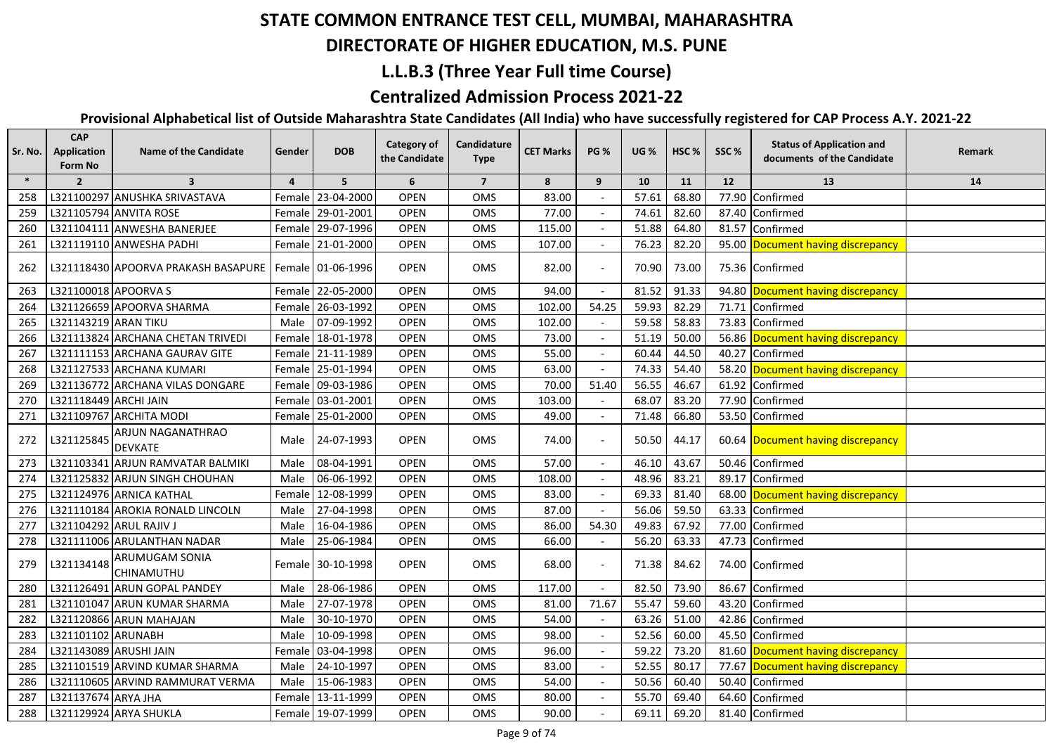#### **DIRECTORATE OF HIGHER EDUCATION, M.S. PUNE**

## **L.L.B.3 (Three Year Full time Course)**

## **Centralized Admission Process 2021-22**

| Sr. No. | <b>CAP</b><br>Application<br>Form No | <b>Name of the Candidate</b>                            | Gender         | <b>DOB</b>        | <b>Category of</b><br>the Candidate | Candidature<br><b>Type</b> | <b>CET Marks</b> | <b>PG %</b> | <b>UG %</b> | HSC <sub>%</sub> | SSC%  | <b>Status of Application and</b><br>documents of the Candidate | Remark |
|---------|--------------------------------------|---------------------------------------------------------|----------------|-------------------|-------------------------------------|----------------------------|------------------|-------------|-------------|------------------|-------|----------------------------------------------------------------|--------|
| $\ast$  | $\overline{2}$                       | $\overline{\mathbf{3}}$                                 | $\overline{4}$ | 5 <sup>1</sup>    | 6                                   | $\overline{7}$             | 8                | 9           | 10          | 11               | 12    | 13                                                             | 14     |
| 258     |                                      | L321100297 ANUSHKA SRIVASTAVA                           |                | Female 23-04-2000 | OPEN                                | OMS                        | 83.00            |             | 57.61       | 68.80            | 77.90 | Confirmed                                                      |        |
| 259     |                                      | L321105794 ANVITA ROSE                                  |                | Female 29-01-2001 | <b>OPEN</b>                         | OMS                        | 77.00            |             | 74.61       | 82.60            |       | 87.40 Confirmed                                                |        |
| 260     |                                      | L321104111 ANWESHA BANERJEE                             |                | Female 29-07-1996 | <b>OPEN</b>                         | OMS                        | 115.00           |             | 51.88       | 64.80            |       | 81.57 Confirmed                                                |        |
| 261     |                                      | L321119110 ANWESHA PADHI                                |                | Female 21-01-2000 | <b>OPEN</b>                         | OMS                        | 107.00           |             | 76.23       | 82.20            |       | 95.00 Document having discrepancy                              |        |
| 262     |                                      | L321118430 APOORVA PRAKASH BASAPURE   Female 01-06-1996 |                |                   | <b>OPEN</b>                         | <b>OMS</b>                 | 82.00            |             | 70.90       | 73.00            |       | 75.36 Confirmed                                                |        |
| 263     | L321100018 APOORVA S                 |                                                         |                | Female 22-05-2000 | <b>OPEN</b>                         | OMS                        | 94.00            |             | 81.52       | 91.33            |       | 94.80 Document having discrepancy                              |        |
| 264     |                                      | L321126659 APOORVA SHARMA                               |                | Female 26-03-1992 | <b>OPEN</b>                         | OMS                        | 102.00           | 54.25       | 59.93       | 82.29            |       | 71.71 Confirmed                                                |        |
| 265     | L321143219 ARAN TIKU                 |                                                         | Male           | 07-09-1992        | <b>OPEN</b>                         | OMS                        | 102.00           |             | 59.58       | 58.83            |       | 73.83 Confirmed                                                |        |
| 266     |                                      | L321113824 ARCHANA CHETAN TRIVEDI                       |                | Female 18-01-1978 | <b>OPEN</b>                         | OMS                        | 73.00            |             | 51.19       | 50.00            |       | 56.86 Document having discrepancy                              |        |
| 267     |                                      | L321111153 ARCHANA GAURAV GITE                          |                | Female 21-11-1989 | <b>OPEN</b>                         | OMS                        | 55.00            |             | 60.44       | 44.50            |       | 40.27 Confirmed                                                |        |
| 268     |                                      | L321127533 ARCHANA KUMARI                               |                | Female 25-01-1994 | OPEN                                | <b>OMS</b>                 | 63.00            |             | 74.33       | 54.40            |       | 58.20 Document having discrepancy                              |        |
| 269     |                                      | L321136772 ARCHANA VILAS DONGARE                        |                | Female 09-03-1986 | <b>OPEN</b>                         | OMS                        | 70.00            | 51.40       | 56.55       | 46.67            |       | 61.92 Confirmed                                                |        |
| 270     | L321118449 ARCHI JAIN                |                                                         |                | Female 03-01-2001 | <b>OPEN</b>                         | OMS                        | 103.00           |             | 68.07       | 83.20            |       | 77.90 Confirmed                                                |        |
| 271     |                                      | L321109767 ARCHITA MODI                                 |                | Female 25-01-2000 | <b>OPEN</b>                         | OMS                        | 49.00            |             | 71.48       | 66.80            |       | 53.50 Confirmed                                                |        |
| 272     | L321125845                           | ARJUN NAGANATHRAO<br><b>DEVKATE</b>                     | Male           | 24-07-1993        | <b>OPEN</b>                         | <b>OMS</b>                 | 74.00            |             | 50.50       | 44.17            |       | 60.64 Document having discrepancy                              |        |
| 273     |                                      | L321103341 ARJUN RAMVATAR BALMIKI                       | Male           | 08-04-1991        | OPEN                                | OMS                        | 57.00            |             | 46.10       | 43.67            |       | 50.46 Confirmed                                                |        |
| 274     |                                      | L321125832 ARJUN SINGH CHOUHAN                          | Male           | 06-06-1992        | <b>OPEN</b>                         | OMS                        | 108.00           |             | 48.96       | 83.21            | 89.17 | Confirmed                                                      |        |
| 275     |                                      | L321124976 ARNICA KATHAL                                | Female         | 12-08-1999        | <b>OPEN</b>                         | OMS                        | 83.00            |             | 69.33       | 81.40            | 68.00 | Document having discrepancy                                    |        |
| 276     |                                      | L321110184 AROKIA RONALD LINCOLN                        | Male           | 27-04-1998        | <b>OPEN</b>                         | OMS                        | 87.00            |             | 56.06       | 59.50            |       | 63.33 Confirmed                                                |        |
| 277     | L321104292 ARUL RAJIV J              |                                                         | Male           | 16-04-1986        | <b>OPEN</b>                         | OMS                        | 86.00            | 54.30       | 49.83       | 67.92            |       | 77.00 Confirmed                                                |        |
| 278     |                                      | L321111006 ARULANTHAN NADAR                             | Male           | 25-06-1984        | <b>OPEN</b>                         | OMS                        | 66.00            |             | 56.20       | 63.33            |       | 47.73 Confirmed                                                |        |
| 279     | L321134148                           | <b>ARUMUGAM SONIA</b><br>CHINAMUTHU                     |                | Female 30-10-1998 | <b>OPEN</b>                         | <b>OMS</b>                 | 68.00            |             | 71.38       | 84.62            |       | 74.00 Confirmed                                                |        |
| 280     |                                      | L321126491 ARUN GOPAL PANDEY                            | Male           | 28-06-1986        | <b>OPEN</b>                         | OMS                        | 117.00           |             | 82.50       | 73.90            |       | 86.67 Confirmed                                                |        |
| 281     |                                      | L321101047 ARUN KUMAR SHARMA                            | Male           | 27-07-1978        | <b>OPEN</b>                         | OMS                        | 81.00            | 71.67       | 55.47       | 59.60            |       | 43.20 Confirmed                                                |        |
| 282     |                                      | L321120866 ARUN MAHAJAN                                 | Male           | 30-10-1970        | OPEN                                | OMS                        | 54.00            |             | 63.26       | 51.00            |       | 42.86 Confirmed                                                |        |
| 283     | L321101102 ARUNABH                   |                                                         | Male           | 10-09-1998        | <b>OPEN</b>                         | OMS                        | 98.00            |             | 52.56       | 60.00            |       | 45.50 Confirmed                                                |        |
| 284     | L321143089 ARUSHI JAIN               |                                                         | Femalel        | 03-04-1998        | <b>OPEN</b>                         | OMS                        | 96.00            |             | 59.22       | 73.20            |       | 81.60 Document having discrepancy                              |        |
| 285     |                                      | L321101519 ARVIND KUMAR SHARMA                          | Male           | 24-10-1997        | <b>OPEN</b>                         | OMS                        | 83.00            |             | 52.55       | 80.17            |       | 77.67 Document having discrepancy                              |        |
| 286     |                                      | L321110605 ARVIND RAMMURAT VERMA                        | Male           | 15-06-1983        | <b>OPEN</b>                         | OMS                        | 54.00            |             | 50.56       | 60.40            |       | 50.40 Confirmed                                                |        |
| 287     | L321137674 ARYA JHA                  |                                                         |                | Female 13-11-1999 | <b>OPEN</b>                         | OMS                        | 80.00            |             | 55.70       | 69.40            |       | 64.60 Confirmed                                                |        |
| 288     |                                      | L321129924 ARYA SHUKLA                                  |                | Female 19-07-1999 | <b>OPEN</b>                         | <b>OMS</b>                 | 90.00            |             | 69.11       | 69.20            |       | 81.40 Confirmed                                                |        |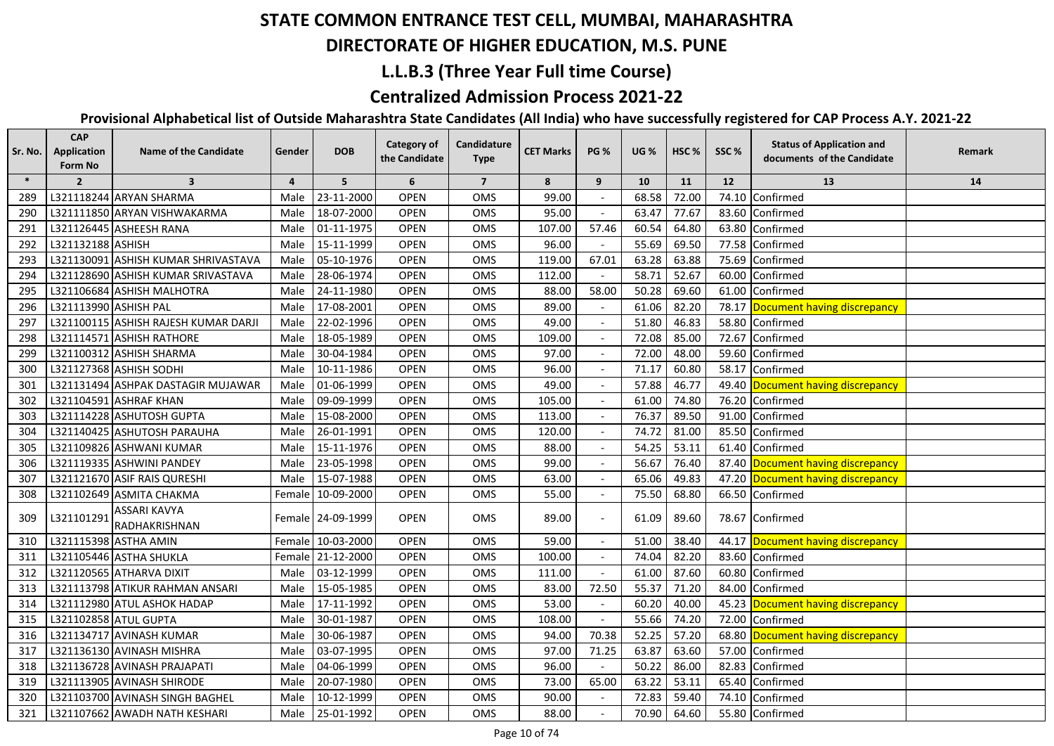#### **DIRECTORATE OF HIGHER EDUCATION, M.S. PUNE**

### **L.L.B.3 (Three Year Full time Course)**

## **Centralized Admission Process 2021-22**

| Sr. No. | <b>CAP</b><br><b>Application</b><br>Form No | <b>Name of the Candidate</b>         | Gender         | <b>DOB</b>        | <b>Category of</b><br>the Candidate | Candidature<br><b>Type</b> | <b>CET Marks</b> | <b>PG %</b> | <b>UG</b> % | HSC <sub>%</sub> | SSC%  | <b>Status of Application and</b><br>documents of the Candidate | Remark |
|---------|---------------------------------------------|--------------------------------------|----------------|-------------------|-------------------------------------|----------------------------|------------------|-------------|-------------|------------------|-------|----------------------------------------------------------------|--------|
| $\ast$  | $\overline{2}$                              | $\overline{\mathbf{3}}$              | $\overline{4}$ | 5                 | 6                                   | $\overline{7}$             | 8                | 9           | 10          | 11               | 12    | 13                                                             | 14     |
| 289     |                                             | L321118244 ARYAN SHARMA              | Male           | 23-11-2000        | <b>OPEN</b>                         | OMS                        | 99.00            |             | 68.58       | 72.00            | 74.10 | Confirmed                                                      |        |
| 290     |                                             | L321111850 ARYAN VISHWAKARMA         | Male           | 18-07-2000        | <b>OPEN</b>                         | OMS                        | 95.00            |             | 63.47       | 77.67            |       | 83.60 Confirmed                                                |        |
| 291     |                                             | L321126445 ASHEESH RANA              | Male           | 01-11-1975        | <b>OPEN</b>                         | OMS                        | 107.00           | 57.46       | 60.54       | 64.80            |       | 63.80 Confirmed                                                |        |
| 292     | L321132188 ASHISH                           |                                      | Male           | 15-11-1999        | <b>OPEN</b>                         | OMS                        | 96.00            |             | 55.69       | 69.50            |       | 77.58 Confirmed                                                |        |
| 293     |                                             | L321130091 ASHISH KUMAR SHRIVASTAVA  | Male           | 05-10-1976        | <b>OPEN</b>                         | OMS                        | 119.00           | 67.01       | 63.28       | 63.88            |       | 75.69 Confirmed                                                |        |
| 294     |                                             | L321128690 ASHISH KUMAR SRIVASTAVA   | Male           | 28-06-1974        | <b>OPEN</b>                         | OMS                        | 112.00           |             | 58.71       | 52.67            |       | 60.00 Confirmed                                                |        |
| 295     |                                             | L321106684 ASHISH MALHOTRA           | Male           | 24-11-1980        | <b>OPEN</b>                         | OMS                        | 88.00            | 58.00       | 50.28       | 69.60            |       | 61.00 Confirmed                                                |        |
| 296     | L321113990 ASHISH PAL                       |                                      | Male           | 17-08-2001        | <b>OPEN</b>                         | OMS                        | 89.00            |             | 61.06       | 82.20            |       | 78.17 Document having discrepancy                              |        |
| 297     |                                             | L321100115 ASHISH RAJESH KUMAR DARJI | Male           | 22-02-1996        | <b>OPEN</b>                         | <b>OMS</b>                 | 49.00            |             | 51.80       | 46.83            |       | 58.80 Confirmed                                                |        |
| 298     |                                             | L321114571 ASHISH RATHORE            | Male           | 18-05-1989        | <b>OPEN</b>                         | OMS                        | 109.00           |             | 72.08       | 85.00            |       | 72.67 Confirmed                                                |        |
| 299     |                                             | L321100312 ASHISH SHARMA             | Male           | 30-04-1984        | <b>OPEN</b>                         | <b>OMS</b>                 | 97.00            |             | 72.00       | 48.00            |       | 59.60 Confirmed                                                |        |
| 300     |                                             | L321127368 ASHISH SODHI              | Male           | 10-11-1986        | <b>OPEN</b>                         | <b>OMS</b>                 | 96.00            |             | 71.17       | 60.80            |       | 58.17 Confirmed                                                |        |
| 301     |                                             | L321131494 ASHPAK DASTAGIR MUJAWAR   | Male           | 01-06-1999        | <b>OPEN</b>                         | OMS                        | 49.00            |             | 57.88       | 46.77            |       | 49.40 Document having discrepancy                              |        |
| 302     |                                             | L321104591 ASHRAF KHAN               | Male           | 09-09-1999        | <b>OPEN</b>                         | OMS                        | 105.00           |             | 61.00       | 74.80            |       | 76.20 Confirmed                                                |        |
| 303     |                                             | L321114228 ASHUTOSH GUPTA            | Male           | 15-08-2000        | <b>OPEN</b>                         | OMS                        | 113.00           |             | 76.37       | 89.50            | 91.00 | Confirmed                                                      |        |
| 304     |                                             | L321140425 ASHUTOSH PARAUHA          | Male           | 26-01-1991        | <b>OPEN</b>                         | OMS                        | 120.00           |             | 74.72       | 81.00            |       | 85.50 Confirmed                                                |        |
| 305     |                                             | L321109826 ASHWANI KUMAR             | Male           | 15-11-1976        | <b>OPEN</b>                         | OMS                        | 88.00            |             | 54.25       | 53.11            |       | 61.40 Confirmed                                                |        |
| 306     |                                             | L321119335 ASHWINI PANDEY            | Male           | 23-05-1998        | <b>OPEN</b>                         | OMS                        | 99.00            |             | 56.67       | 76.40            |       | 87.40 Document having discrepancy                              |        |
| 307     |                                             | L321121670 ASIF RAIS QURESHI         | Male           | 15-07-1988        | <b>OPEN</b>                         | OMS                        | 63.00            |             | 65.06       | 49.83            |       | 47.20 Document having discrepancy                              |        |
| 308     |                                             | L321102649 ASMITA CHAKMA             |                | Female 10-09-2000 | <b>OPEN</b>                         | OMS                        | 55.00            |             | 75.50       | 68.80            |       | 66.50 Confirmed                                                |        |
| 309     | L321101291                                  | <b>ASSARI KAVYA</b><br>RADHAKRISHNAN |                | Female 24-09-1999 | <b>OPEN</b>                         | OMS                        | 89.00            |             | 61.09       | 89.60            |       | 78.67 Confirmed                                                |        |
| 310     |                                             | L321115398 ASTHA AMIN                |                | Female 10-03-2000 | <b>OPEN</b>                         | OMS                        | 59.00            |             | 51.00       | 38.40            |       | 44.17 Document having discrepancy                              |        |
| 311     |                                             | L321105446 ASTHA SHUKLA              |                | Female 21-12-2000 | <b>OPEN</b>                         | OMS                        | 100.00           |             | 74.04       | 82.20            |       | 83.60 Confirmed                                                |        |
| 312     |                                             | L321120565 ATHARVA DIXIT             | Male           | 03-12-1999        | <b>OPEN</b>                         | OMS                        | 111.00           |             | 61.00       | 87.60            |       | 60.80 Confirmed                                                |        |
| 313     |                                             | L321113798 ATIKUR RAHMAN ANSARI      | Male           | 15-05-1985        | <b>OPEN</b>                         | OMS                        | 83.00            | 72.50       | 55.37       | 71.20            |       | 84.00 Confirmed                                                |        |
| 314     |                                             | L321112980 ATUL ASHOK HADAP          | Male           | 17-11-1992        | <b>OPEN</b>                         | OMS                        | 53.00            |             | 60.20       | 40.00            |       | 45.23 Document having discrepancy                              |        |
| 315     | L321102858 ATUL GUPTA                       |                                      | Male           | 30-01-1987        | <b>OPEN</b>                         | OMS                        | 108.00           |             | 55.66       | 74.20            |       | 72.00 Confirmed                                                |        |
| 316     |                                             | L321134717 AVINASH KUMAR             | Male           | 30-06-1987        | <b>OPEN</b>                         | OMS                        | 94.00            | 70.38       | 52.25       | 57.20            |       | 68.80 Document having discrepancy                              |        |
| 317     |                                             | L321136130 AVINASH MISHRA            | Male           | 03-07-1995        | <b>OPEN</b>                         | <b>OMS</b>                 | 97.00            | 71.25       | 63.87       | 63.60            |       | 57.00 Confirmed                                                |        |
| 318     |                                             | L321136728 AVINASH PRAJAPATI         | Male           | 04-06-1999        | <b>OPEN</b>                         | <b>OMS</b>                 | 96.00            |             | 50.22       | 86.00            |       | 82.83 Confirmed                                                |        |
| 319     |                                             | L321113905 AVINASH SHIRODE           | Male           | 20-07-1980        | <b>OPEN</b>                         | <b>OMS</b>                 | 73.00            | 65.00       | 63.22       | 53.11            |       | 65.40 Confirmed                                                |        |
| 320     |                                             | L321103700 AVINASH SINGH BAGHEL      | Male           | 10-12-1999        | <b>OPEN</b>                         | OMS                        | 90.00            |             | 72.83       | 59.40            |       | 74.10 Confirmed                                                |        |
| 321     |                                             | L321107662 AWADH NATH KESHARI        | Male           | 25-01-1992        | <b>OPEN</b>                         | <b>OMS</b>                 | 88.00            |             | 70.90       | 64.60            |       | 55.80 Confirmed                                                |        |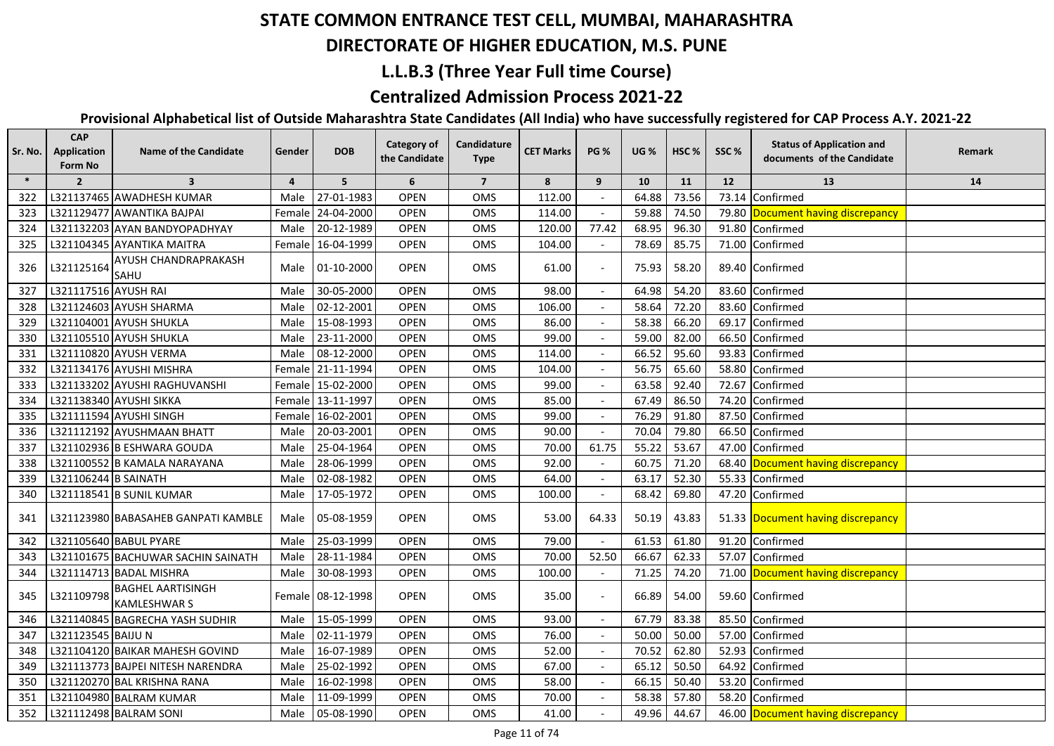#### **DIRECTORATE OF HIGHER EDUCATION, M.S. PUNE**

## **L.L.B.3 (Three Year Full time Course)**

## **Centralized Admission Process 2021-22**

| Sr. No. | <b>CAP</b><br><b>Application</b><br>Form No | <b>Name of the Candidate</b>                    | Gender         | <b>DOB</b>        | Category of<br>the Candidate | Candidature<br><b>Type</b> | <b>CET Marks</b> | <b>PG %</b> | <b>UG %</b> | HSC <sub>%</sub> | SSC%  | <b>Status of Application and</b><br>documents of the Candidate | Remark |
|---------|---------------------------------------------|-------------------------------------------------|----------------|-------------------|------------------------------|----------------------------|------------------|-------------|-------------|------------------|-------|----------------------------------------------------------------|--------|
| $\ast$  | $\overline{2}$                              | $\overline{\mathbf{3}}$                         | $\overline{a}$ | 5                 | 6                            | $\overline{7}$             | 8                | 9           | 10          | 11               | 12    | 13                                                             | 14     |
| 322     |                                             | L321137465 AWADHESH KUMAR                       | Male           | 27-01-1983        | <b>OPEN</b>                  | OMS                        | 112.00           |             | 64.88       | 73.56            | 73.14 | Confirmed                                                      |        |
| 323     |                                             | L321129477 AWANTIKA BAJPAI                      |                | Female 24-04-2000 | <b>OPEN</b>                  | OMS                        | 114.00           |             | 59.88       | 74.50            |       | 79.80 Document having discrepancy                              |        |
| 324     |                                             | L321132203 AYAN BANDYOPADHYAY                   | Male           | 20-12-1989        | <b>OPEN</b>                  | <b>OMS</b>                 | 120.00           | 77.42       | 68.95       | 96.30            |       | 91.80 Confirmed                                                |        |
| 325     |                                             | L321104345 AYANTIKA MAITRA                      |                | Female 16-04-1999 | <b>OPEN</b>                  | OMS                        | 104.00           |             | 78.69       | 85.75            |       | 71.00 Confirmed                                                |        |
| 326     | L321125164                                  | AYUSH CHANDRAPRAKASH<br>SAHU                    | Male           | 01-10-2000        | <b>OPEN</b>                  | OMS                        | 61.00            |             | 75.93       | 58.20            |       | 89.40 Confirmed                                                |        |
| 327     | L321117516 AYUSH RAI                        |                                                 | Male           | 30-05-2000        | <b>OPEN</b>                  | OMS                        | 98.00            |             | 64.98       | 54.20            |       | 83.60 Confirmed                                                |        |
| 328     |                                             | L321124603 AYUSH SHARMA                         | Male           | 02-12-2001        | <b>OPEN</b>                  | OMS                        | 106.00           |             | 58.64       | 72.20            |       | 83.60 Confirmed                                                |        |
| 329     |                                             | L321104001 AYUSH SHUKLA                         | Male           | 15-08-1993        | <b>OPEN</b>                  | <b>OMS</b>                 | 86.00            |             | 58.38       | 66.20            |       | 69.17 Confirmed                                                |        |
| 330     |                                             | L321105510 AYUSH SHUKLA                         | Male           | 23-11-2000        | <b>OPEN</b>                  | <b>OMS</b>                 | 99.00            |             | 59.00       | 82.00            |       | 66.50 Confirmed                                                |        |
| 331     |                                             | L321110820 AYUSH VERMA                          | Male           | 08-12-2000        | <b>OPEN</b>                  | OMS                        | 114.00           |             | 66.52       | 95.60            | 93.83 | Confirmed                                                      |        |
| 332     |                                             | L321134176 AYUSHI MISHRA                        |                | Female 21-11-1994 | <b>OPEN</b>                  | <b>OMS</b>                 | 104.00           |             | 56.75       | 65.60            |       | 58.80 Confirmed                                                |        |
| 333     |                                             | L321133202 AYUSHI RAGHUVANSHI                   |                | Female 15-02-2000 | OPEN                         | OMS                        | 99.00            |             | 63.58       | 92.40            | 72.67 | Confirmed                                                      |        |
| 334     |                                             | L321138340 AYUSHI SIKKA                         |                | Female 13-11-1997 | <b>OPEN</b>                  | OMS                        | 85.00            |             | 67.49       | 86.50            | 74.20 | Confirmed                                                      |        |
| 335     |                                             | L321111594 AYUSHI SINGH                         |                | Female 16-02-2001 | <b>OPEN</b>                  | <b>OMS</b>                 | 99.00            |             | 76.29       | 91.80            | 87.50 | Confirmed                                                      |        |
| 336     |                                             | L321112192 AYUSHMAAN BHATT                      | Male           | 20-03-2001        | <b>OPEN</b>                  | OMS                        | 90.00            |             | 70.04       | 79.80            | 66.50 | Confirmed                                                      |        |
| 337     |                                             | L321102936 B ESHWARA GOUDA                      | Male           | 25-04-1964        | <b>OPEN</b>                  | <b>OMS</b>                 | 70.00            | 61.75       | 55.22       | 53.67            | 47.00 | Confirmed                                                      |        |
| 338     |                                             | L321100552 B KAMALA NARAYANA                    | Male           | 28-06-1999        | <b>OPEN</b>                  | <b>OMS</b>                 | 92.00            |             | 60.75       | 71.20            |       | 68.40 Document having discrepancy                              |        |
| 339     | L321106244 B SAINATH                        |                                                 | Male           | 02-08-1982        | <b>OPEN</b>                  | OMS                        | 64.00            |             | 63.17       | 52.30            | 55.33 | Confirmed                                                      |        |
| 340     |                                             | L321118541 B SUNIL KUMAR                        | Male           | 17-05-1972        | <b>OPEN</b>                  | OMS                        | 100.00           |             | 68.42       | 69.80            |       | 47.20 Confirmed                                                |        |
| 341     |                                             | L321123980 BABASAHEB GANPATI KAMBLE             | Male           | 05-08-1959        | <b>OPEN</b>                  | <b>OMS</b>                 | 53.00            | 64.33       | 50.19       | 43.83            |       | 51.33 Document having discrepancy                              |        |
| 342     |                                             | L321105640 BABUL PYARE                          | Male           | 25-03-1999        | <b>OPEN</b>                  | OMS                        | 79.00            |             | 61.53       | 61.80            |       | 91.20 Confirmed                                                |        |
| 343     |                                             | L321101675 BACHUWAR SACHIN SAINATH              | Male           | 28-11-1984        | <b>OPEN</b>                  | OMS                        | 70.00            | 52.50       | 66.67       | 62.33            |       | 57.07 Confirmed                                                |        |
| 344     |                                             | L321114713 BADAL MISHRA                         | Male           | 30-08-1993        | <b>OPEN</b>                  | OMS                        | 100.00           |             | 71.25       | 74.20            |       | 71.00 Document having discrepancy                              |        |
| 345     | L321109798                                  | <b>BAGHEL AARTISINGH</b><br><b>KAMLESHWAR S</b> |                | Female 08-12-1998 | <b>OPEN</b>                  | OMS                        | 35.00            |             | 66.89       | 54.00            |       | 59.60 Confirmed                                                |        |
| 346     |                                             | L321140845 BAGRECHA YASH SUDHIR                 | Male           | 15-05-1999        | <b>OPEN</b>                  | OMS                        | 93.00            |             | 67.79       | 83.38            |       | 85.50 Confirmed                                                |        |
| 347     | L321123545 BAIJU N                          |                                                 | Male           | 02-11-1979        | <b>OPEN</b>                  | OMS                        | 76.00            |             | 50.00       | 50.00            |       | 57.00 Confirmed                                                |        |
| 348     |                                             | L321104120 BAIKAR MAHESH GOVIND                 | Male           | 16-07-1989        | <b>OPEN</b>                  | OMS                        | 52.00            |             | 70.52       | 62.80            |       | 52.93 Confirmed                                                |        |
| 349     |                                             | L321113773 BAJPEI NITESH NARENDRA               | Male           | 25-02-1992        | <b>OPEN</b>                  | OMS                        | 67.00            |             | 65.12       | 50.50            | 64.92 | Confirmed                                                      |        |
| 350     |                                             | L321120270 BAL KRISHNA RANA                     | Male           | 16-02-1998        | <b>OPEN</b>                  | OMS                        | 58.00            |             | 66.15       | 50.40            |       | 53.20 Confirmed                                                |        |
| 351     |                                             | L321104980 BALRAM KUMAR                         | Male           | 11-09-1999        | <b>OPEN</b>                  | OMS                        | 70.00            |             | 58.38       | 57.80            |       | 58.20 Confirmed                                                |        |
| 352     |                                             | L321112498 BALRAM SONI                          | Male           | 05-08-1990        | <b>OPEN</b>                  | OMS                        | 41.00            |             | 49.96       | 44.67            |       | 46.00 Document having discrepancy                              |        |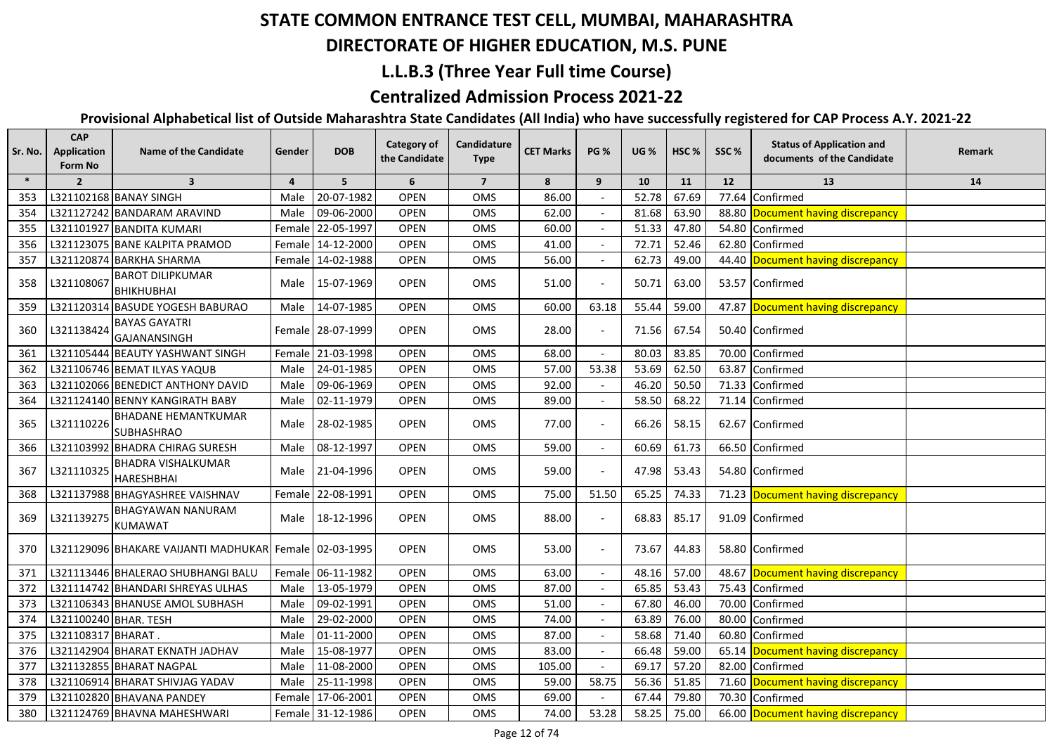#### **DIRECTORATE OF HIGHER EDUCATION, M.S. PUNE**

## **L.L.B.3 (Three Year Full time Course)**

## **Centralized Admission Process 2021-22**

| Sr. No. | <b>CAP</b><br>Application<br>Form No | <b>Name of the Candidate</b>                    | Gender         | <b>DOB</b>        | <b>Category of</b><br>the Candidate | Candidature<br><b>Type</b> | <b>CET Marks</b> | <b>PG %</b> | <b>UG</b> % | HSC <sub>%</sub> | SSC%  | <b>Status of Application and</b><br>documents of the Candidate | Remark |
|---------|--------------------------------------|-------------------------------------------------|----------------|-------------------|-------------------------------------|----------------------------|------------------|-------------|-------------|------------------|-------|----------------------------------------------------------------|--------|
| $\ast$  | $\overline{2}$                       | $\overline{\mathbf{3}}$                         | $\overline{4}$ | 5                 | 6                                   | $\overline{7}$             | 8                | 9           | 10          | 11               | 12    | 13                                                             | 14     |
| 353     |                                      | L321102168 BANAY SINGH                          | Male           | 20-07-1982        | OPEN                                | OMS                        | 86.00            |             | 52.78       | 67.69            | 77.64 | Confirmed                                                      |        |
| 354     |                                      | L321127242 BANDARAM ARAVIND                     | Male           | 09-06-2000        | <b>OPEN</b>                         | OMS                        | 62.00            |             | 81.68       | 63.90            |       | 88.80 Document having discrepancy                              |        |
| 355     |                                      | L321101927 BANDITA KUMARI                       |                | Female 22-05-1997 | <b>OPEN</b>                         | OMS                        | 60.00            |             | 51.33       | 47.80            |       | 54.80 Confirmed                                                |        |
| 356     |                                      | L321123075 BANE KALPITA PRAMOD                  |                | Female 14-12-2000 | <b>OPEN</b>                         | OMS                        | 41.00            |             | 72.71       | 52.46            |       | 62.80 Confirmed                                                |        |
| 357     |                                      | L321120874 BARKHA SHARMA                        |                | Female 14-02-1988 | <b>OPEN</b>                         | OMS                        | 56.00            |             | 62.73       | 49.00            |       | 44.40 Document having discrepancy                              |        |
| 358     | L321108067                           | <b>BAROT DILIPKUMAR</b><br><b>BHIKHUBHAI</b>    | Male           | 15-07-1969        | <b>OPEN</b>                         | <b>OMS</b>                 | 51.00            |             | 50.71       | 63.00            |       | 53.57 Confirmed                                                |        |
| 359     |                                      | L321120314 BASUDE YOGESH BABURAO                | Male           | 14-07-1985        | <b>OPEN</b>                         | OMS                        | 60.00            | 63.18       | 55.44       | 59.00            |       | 47.87 Document having discrepancy                              |        |
| 360     | L321138424                           | <b>BAYAS GAYATRI</b><br>GAJANANSINGH            |                | Female 28-07-1999 | <b>OPEN</b>                         | OMS                        | 28.00            |             | 71.56       | 67.54            |       | 50.40 Confirmed                                                |        |
| 361     |                                      | L321105444 BEAUTY YASHWANT SINGH                |                | Female 21-03-1998 | <b>OPEN</b>                         | OMS                        | 68.00            |             | 80.03       | 83.85            |       | 70.00 Confirmed                                                |        |
| 362     |                                      | L321106746 BEMAT ILYAS YAQUB                    | Male           | 24-01-1985        | <b>OPEN</b>                         | <b>OMS</b>                 | 57.00            | 53.38       | 53.69       | 62.50            |       | 63.87 Confirmed                                                |        |
| 363     |                                      | L321102066 BENEDICT ANTHONY DAVID               | Male           | 09-06-1969        | <b>OPEN</b>                         | OMS                        | 92.00            |             | 46.20       | 50.50            |       | 71.33 Confirmed                                                |        |
| 364     |                                      | L321124140 BENNY KANGIRATH BABY                 | Male           | 02-11-1979        | <b>OPEN</b>                         | <b>OMS</b>                 | 89.00            |             | 58.50       | 68.22            |       | 71.14 Confirmed                                                |        |
| 365     | L321110226                           | <b>BHADANE HEMANTKUMAR</b><br><b>SUBHASHRAO</b> | Male           | 28-02-1985        | <b>OPEN</b>                         | <b>OMS</b>                 | 77.00            |             | 66.26       | 58.15            |       | 62.67 Confirmed                                                |        |
| 366     |                                      | L321103992 BHADRA CHIRAG SURESH                 | Male           | 08-12-1997        | OPEN                                | OMS                        | 59.00            | $\sim$      | 60.69       | 61.73            |       | 66.50 Confirmed                                                |        |
| 367     | L321110325                           | <b>BHADRA VISHALKUMAR</b><br><b>HARESHBHAI</b>  | Male           | 21-04-1996        | <b>OPEN</b>                         | OMS                        | 59.00            |             | 47.98       | 53.43            |       | 54.80 Confirmed                                                |        |
| 368     |                                      | L321137988 BHAGYASHREE VAISHNAV                 | Female         | 22-08-1991        | <b>OPEN</b>                         | OMS                        | 75.00            | 51.50       | 65.25       | 74.33            |       | 71.23 Document having discrepancy                              |        |
| 369     | L321139275                           | <b>BHAGYAWAN NANURAM</b><br><b>KUMAWAT</b>      | Male           | 18-12-1996        | <b>OPEN</b>                         | OMS                        | 88.00            |             | 68.83       | 85.17            |       | 91.09 Confirmed                                                |        |
| 370     |                                      | L321129096 BHAKARE VAIJANTI MADHUKAR            |                | Female 02-03-1995 | <b>OPEN</b>                         | <b>OMS</b>                 | 53.00            |             | 73.67       | 44.83            |       | 58.80 Confirmed                                                |        |
| 371     |                                      | L321113446 BHALERAO SHUBHANGI BALU              |                | Female 06-11-1982 | OPEN                                | OMS                        | 63.00            |             | 48.16       | 57.00            |       | 48.67 Document having discrepancy                              |        |
| 372     |                                      | L321114742 BHANDARI SHREYAS ULHAS               | Male           | 13-05-1979        | OPEN                                | OMS                        | 87.00            |             | 65.85       | 53.43            |       | 75.43 Confirmed                                                |        |
| 373     |                                      | L321106343 BHANUSE AMOL SUBHASH                 | Male           | 09-02-1991        | <b>OPEN</b>                         | OMS                        | 51.00            |             | 67.80       | 46.00            | 70.00 | Confirmed                                                      |        |
| 374     | L321100240 BHAR. TESH                |                                                 | Male           | 29-02-2000        | <b>OPEN</b>                         | OMS                        | 74.00            |             | 63.89       | 76.00            | 80.00 | Confirmed                                                      |        |
| 375     | L321108317 BHARAT.                   |                                                 | Male           | 01-11-2000        | OPEN                                | OMS                        | 87.00            |             | 58.68       | 71.40            |       | 60.80 Confirmed                                                |        |
| 376     |                                      | L321142904 BHARAT EKNATH JADHAV                 | Male           | 15-08-1977        | <b>OPEN</b>                         | OMS                        | 83.00            |             | 66.48       | 59.00            |       | 65.14 Document having discrepancy                              |        |
| 377     |                                      | L321132855 BHARAT NAGPAL                        | Male           | 11-08-2000        | <b>OPEN</b>                         | OMS                        | 105.00           |             | 69.17       | 57.20            |       | 82.00 Confirmed                                                |        |
| 378     |                                      | L321106914 BHARAT SHIVJAG YADAV                 | Male           | 25-11-1998        | <b>OPEN</b>                         | OMS                        | 59.00            | 58.75       | 56.36       | 51.85            |       | 71.60 Document having discrepancy                              |        |
| 379     |                                      | L321102820 BHAVANA PANDEY                       |                | Female 17-06-2001 | <b>OPEN</b>                         | OMS                        | 69.00            |             | 67.44       | 79.80            |       | 70.30 Confirmed                                                |        |
| 380     |                                      | L321124769 BHAVNA MAHESHWARI                    |                | Female 31-12-1986 | <b>OPEN</b>                         | OMS                        | 74.00            | 53.28       | 58.25       | 75.00            |       | 66.00 Document having discrepancy                              |        |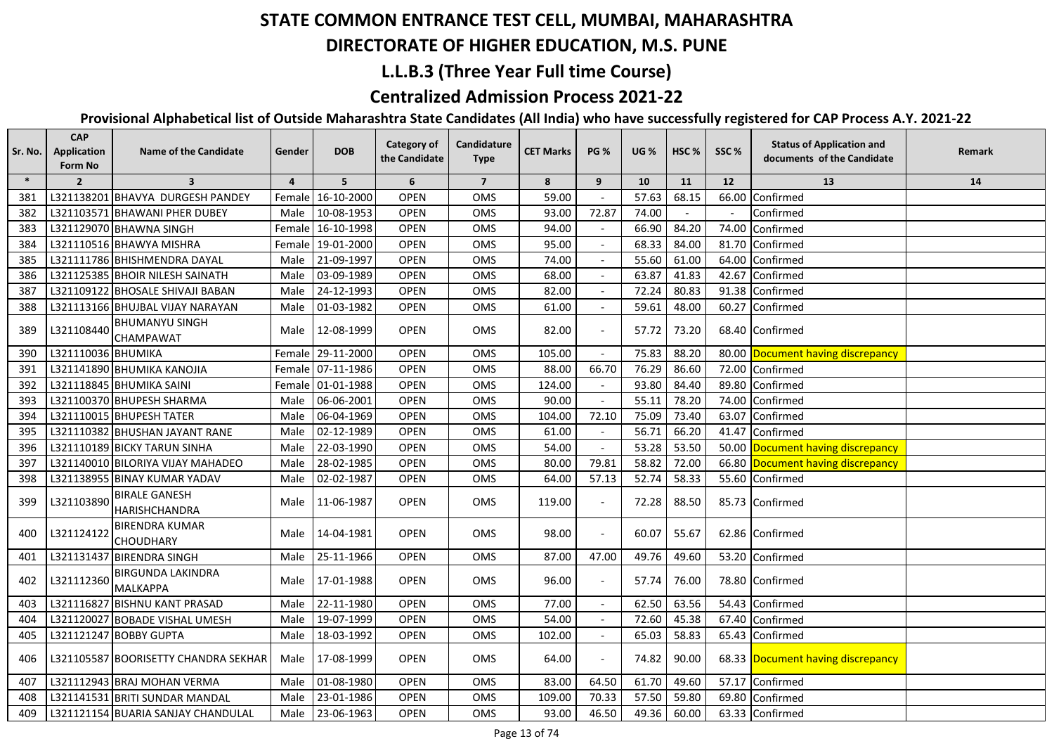## **DIRECTORATE OF HIGHER EDUCATION, M.S. PUNE**

## **L.L.B.3 (Three Year Full time Course)**

## **Centralized Admission Process 2021-22**

| Sr. No. | <b>CAP</b><br>Application<br>Form No | <b>Name of the Candidate</b>                 | Gender         | <b>DOB</b>        | <b>Category of</b><br>the Candidate | Candidature<br><b>Type</b> | <b>CET Marks</b> | <b>PG %</b>    | <b>UG %</b> | HSC <sub>%</sub> | SSC%  | <b>Status of Application and</b><br>documents of the Candidate | Remark |
|---------|--------------------------------------|----------------------------------------------|----------------|-------------------|-------------------------------------|----------------------------|------------------|----------------|-------------|------------------|-------|----------------------------------------------------------------|--------|
| $\ast$  | $\overline{2}$                       | $\overline{3}$                               | $\overline{4}$ | 5                 | 6                                   | $\overline{7}$             | 8                | 9              | 10          | 11               | 12    | 13                                                             | 14     |
| 381     |                                      | L321138201 BHAVYA DURGESH PANDEY             |                | Female 16-10-2000 | <b>OPEN</b>                         | OMS                        | 59.00            |                | 57.63       | 68.15            | 66.00 | Confirmed                                                      |        |
| 382     |                                      | L321103571 BHAWANI PHER DUBEY                | Male           | 10-08-1953        | <b>OPEN</b>                         | OMS                        | 93.00            | 72.87          | 74.00       |                  |       | Confirmed                                                      |        |
| 383     |                                      | L321129070 BHAWNA SINGH                      |                | Female 16-10-1998 | <b>OPEN</b>                         | OMS                        | 94.00            |                | 66.90       | 84.20            | 74.00 | Confirmed                                                      |        |
| 384     |                                      | L321110516 BHAWYA MISHRA                     |                | Female 19-01-2000 | <b>OPEN</b>                         | OMS                        | 95.00            |                | 68.33       | 84.00            | 81.70 | Confirmed                                                      |        |
| 385     |                                      | L321111786 BHISHMENDRA DAYAL                 | Male           | 21-09-1997        | <b>OPEN</b>                         | OMS                        | 74.00            |                | 55.60       | 61.00            | 64.00 | Confirmed                                                      |        |
| 386     |                                      | L321125385 BHOIR NILESH SAINATH              | Male           | 03-09-1989        | <b>OPEN</b>                         | OMS                        | 68.00            |                | 63.87       | 41.83            | 42.67 | Confirmed                                                      |        |
| 387     |                                      | L321109122 BHOSALE SHIVAJI BABAN             | Male           | 24-12-1993        | <b>OPEN</b>                         | OMS                        | 82.00            |                | 72.24       | 80.83            | 91.38 | Confirmed                                                      |        |
| 388     |                                      | L321113166 BHUJBAL VIJAY NARAYAN             | Male           | 01-03-1982        | <b>OPEN</b>                         | OMS                        | 61.00            |                | 59.61       | 48.00            | 60.27 | Confirmed                                                      |        |
| 389     | L321108440                           | <b>BHUMANYU SINGH</b><br>CHAMPAWAT           |                | Male 12-08-1999   | <b>OPEN</b>                         | OMS                        | 82.00            |                | 57.72       | 73.20            |       | 68.40 Confirmed                                                |        |
| 390     | L321110036 BHUMIKA                   |                                              |                | Female 29-11-2000 | <b>OPEN</b>                         | OMS                        | 105.00           |                | 75.83       | 88.20            |       | 80.00 Document having discrepancy                              |        |
| 391     |                                      | L321141890 BHUMIKA KANOJIA                   |                | Female 07-11-1986 | <b>OPEN</b>                         | <b>OMS</b>                 | 88.00            | 66.70          | 76.29       | 86.60            | 72.00 | Confirmed                                                      |        |
| 392     |                                      | L321118845 BHUMIKA SAINI                     |                | Female 01-01-1988 | <b>OPEN</b>                         | OMS                        | 124.00           |                | 93.80       | 84.40            | 89.80 | Confirmed                                                      |        |
| 393     |                                      | L321100370 BHUPESH SHARMA                    | Male           | 06-06-2001        | <b>OPEN</b>                         | OMS                        | 90.00            |                | 55.11       | 78.20            | 74.00 | Confirmed                                                      |        |
| 394     |                                      | L321110015 BHUPESH TATER                     | Male           | 06-04-1969        | <b>OPEN</b>                         | OMS                        | 104.00           | 72.10          | 75.09       | 73.40            | 63.07 | Confirmed                                                      |        |
| 395     |                                      | L321110382 BHUSHAN JAYANT RANE               | Male           | 02-12-1989        | OPEN                                | OMS                        | 61.00            |                | 56.71       | 66.20            | 41.47 | Confirmed                                                      |        |
| 396     |                                      | L321110189 BICKY TARUN SINHA                 | Male           | 22-03-1990        | <b>OPEN</b>                         | OMS                        | 54.00            | $\overline{a}$ | 53.28       | 53.50            |       | 50.00 Document having discrepancy                              |        |
| 397     |                                      | L321140010 BILORIYA VIJAY MAHADEO            | Male           | 28-02-1985        | <b>OPEN</b>                         | OMS                        | 80.00            | 79.81          | 58.82       | 72.00            | 66.80 | Document having discrepancy                                    |        |
| 398     |                                      | L321138955 BINAY KUMAR YADAV                 | Male           | 02-02-1987        | OPEN                                | OMS                        | 64.00            | 57.13          | 52.74       | 58.33            | 55.60 | Confirmed                                                      |        |
| 399     | L321103890                           | <b>BIRALE GANESH</b><br><b>HARISHCHANDRA</b> | Male           | 11-06-1987        | <b>OPEN</b>                         | OMS                        | 119.00           |                | 72.28       | 88.50            |       | 85.73 Confirmed                                                |        |
| 400     | L321124122                           | <b>BIRENDRA KUMAR</b><br><b>CHOUDHARY</b>    | Male           | 14-04-1981        | <b>OPEN</b>                         | <b>OMS</b>                 | 98.00            |                | 60.07       | 55.67            |       | 62.86 Confirmed                                                |        |
| 401     |                                      | L321131437 BIRENDRA SINGH                    | Male           | 25-11-1966        | <b>OPEN</b>                         | OMS                        | 87.00            | 47.00          | 49.76       | 49.60            |       | 53.20 Confirmed                                                |        |
| 402     | L321112360                           | <b>BIRGUNDA LAKINDRA</b><br><b>MALKAPPA</b>  | Male           | 17-01-1988        | <b>OPEN</b>                         | OMS                        | 96.00            |                | 57.74       | 76.00            |       | 78.80 Confirmed                                                |        |
| 403     |                                      | L321116827 BISHNU KANT PRASAD                | Male           | 22-11-1980        | <b>OPEN</b>                         | OMS                        | 77.00            |                | 62.50       | 63.56            | 54.43 | Confirmed                                                      |        |
| 404     |                                      | L321120027 BOBADE VISHAL UMESH               | Male           | 19-07-1999        | <b>OPEN</b>                         | OMS                        | 54.00            |                | 72.60       | 45.38            | 67.40 | Confirmed                                                      |        |
| 405     |                                      | L321121247 BOBBY GUPTA                       | Male           | 18-03-1992        | <b>OPEN</b>                         | OMS                        | 102.00           |                | 65.03       | 58.83            |       | 65.43 Confirmed                                                |        |
| 406     |                                      | L321105587 BOORISETTY CHANDRA SEKHAR         | Male           | 17-08-1999        | <b>OPEN</b>                         | OMS                        | 64.00            |                | 74.82       | 90.00            |       | 68.33 Document having discrepancy                              |        |
| 407     |                                      | L321112943 BRAJ MOHAN VERMA                  | Male           | 01-08-1980        | <b>OPEN</b>                         | OMS                        | 83.00            | 64.50          | 61.70       | 49.60            |       | 57.17 Confirmed                                                |        |
| 408     |                                      | L321141531 BRITI SUNDAR MANDAL               | Male           | 23-01-1986        | <b>OPEN</b>                         | OMS                        | 109.00           | 70.33          | 57.50       | 59.80            |       | 69.80 Confirmed                                                |        |
| 409     |                                      | L321121154 BUARIA SANJAY CHANDULAL           |                | Male 23-06-1963   | <b>OPEN</b>                         | OMS                        | 93.00            | 46.50          | 49.36       | 60.00            |       | 63.33 Confirmed                                                |        |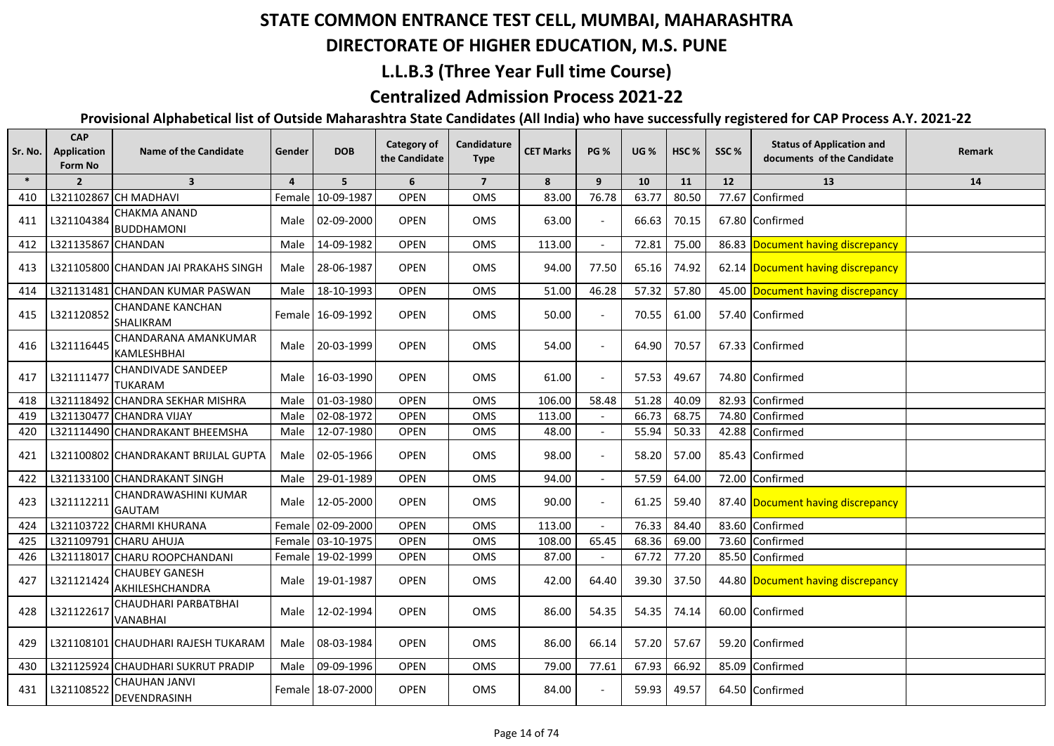## **DIRECTORATE OF HIGHER EDUCATION, M.S. PUNE**

### **L.L.B.3 (Three Year Full time Course)**

## **Centralized Admission Process 2021-22**

| Sr. No. | <b>CAP</b><br><b>Application</b><br>Form No | <b>Name of the Candidate</b>                | Gender         | <b>DOB</b>        | Category of<br>the Candidate | Candidature<br><b>Type</b> | <b>CET Marks</b>   | <b>PG %</b>              | <b>UG %</b> | HSC <sub>%</sub> | SSC%  | <b>Status of Application and</b><br>documents of the Candidate | Remark |
|---------|---------------------------------------------|---------------------------------------------|----------------|-------------------|------------------------------|----------------------------|--------------------|--------------------------|-------------|------------------|-------|----------------------------------------------------------------|--------|
| $\ast$  | $\overline{2}$                              | $\overline{\mathbf{3}}$                     | $\overline{4}$ | 5                 | 6                            | $\overline{7}$             | 8                  | 9                        | 10          | 11               | 12    | 13                                                             | 14     |
| 410     |                                             | L321102867 CH MADHAVI                       | Female         | 10-09-1987        | <b>OPEN</b>                  | OMS                        | 83.00              | 76.78                    | 63.77       | 80.50            | 77.67 | Confirmed                                                      |        |
| 411     | L321104384                                  | CHAKMA ANAND<br><b>BUDDHAMONI</b>           | Male           | 02-09-2000        | <b>OPEN</b>                  | <b>OMS</b>                 | 63.00              |                          | 66.63       | 70.15            |       | 67.80 Confirmed                                                |        |
| 412     | L321135867 CHANDAN                          |                                             | Male           | 14-09-1982        | <b>OPEN</b>                  | OMS                        | 113.00             | $\overline{\phantom{a}}$ | 72.81       | 75.00            |       | 86.83 Document having discrepancy                              |        |
| 413     |                                             | L321105800 CHANDAN JAI PRAKAHS SINGH        | Male           | 28-06-1987        | <b>OPEN</b>                  | OMS                        | 94.00              | 77.50                    | 65.16       | 74.92            |       | 62.14 Document having discrepancy                              |        |
| 414     |                                             | L321131481 CHANDAN KUMAR PASWAN             | Male           | 18-10-1993        | <b>OPEN</b>                  | <b>OMS</b>                 | $\overline{51.00}$ | 46.28                    | 57.32       | 57.80            |       | 45.00 Document having discrepancy                              |        |
| 415     | L321120852                                  | <b>CHANDANE KANCHAN</b><br>SHALIKRAM        |                | Female 16-09-1992 | <b>OPEN</b>                  | OMS                        | 50.00              |                          | 70.55       | 61.00            |       | 57.40 Confirmed                                                |        |
| 416     | L321116445                                  | CHANDARANA AMANKUMAR<br><b>KAMLESHBHAI</b>  | Male           | 20-03-1999        | <b>OPEN</b>                  | <b>OMS</b>                 | 54.00              | $\blacksquare$           | 64.90       | 70.57            |       | 67.33 Confirmed                                                |        |
| 417     | L321111477                                  | <b>CHANDIVADE SANDEEP</b><br><b>TUKARAM</b> | Male           | 16-03-1990        | <b>OPEN</b>                  | OMS                        | 61.00              | $\overline{a}$           | 57.53       | 49.67            |       | 74.80 Confirmed                                                |        |
| 418     |                                             | L321118492 CHANDRA SEKHAR MISHRA            | Male           | 01-03-1980        | OPEN                         | OMS                        | 106.00             | 58.48                    | 51.28       | 40.09            | 82.93 | Confirmed                                                      |        |
| 419     |                                             | L321130477 CHANDRA VIJAY                    | Male           | 02-08-1972        | <b>OPEN</b>                  | <b>OMS</b>                 | 113.00             |                          | 66.73       | 68.75            | 74.80 | Confirmed                                                      |        |
| 420     |                                             | L321114490 CHANDRAKANT BHEEMSHA             | Male           | 12-07-1980        | <b>OPEN</b>                  | <b>OMS</b>                 | 48.00              |                          | 55.94       | 50.33            | 42.88 | Confirmed                                                      |        |
| 421     |                                             | L321100802 CHANDRAKANT BRIJLAL GUPTA        |                | Male 02-05-1966   | <b>OPEN</b>                  | <b>OMS</b>                 | 98.00              | $\blacksquare$           | 58.20       | 57.00            |       | 85.43 Confirmed                                                |        |
| 422     |                                             | L321133100 CHANDRAKANT SINGH                | Male           | 29-01-1989        | <b>OPEN</b>                  | OMS                        | 94.00              |                          | 57.59       | 64.00            |       | 72.00 Confirmed                                                |        |
| 423     | L321112211                                  | CHANDRAWASHINI KUMAR<br><b>GAUTAM</b>       | Male           | 12-05-2000        | <b>OPEN</b>                  | OMS                        | 90.00              |                          | 61.25       | 59.40            |       | 87.40 Document having discrepancy                              |        |
| 424     |                                             | L321103722 CHARMI KHURANA                   |                | Female 02-09-2000 | <b>OPEN</b>                  | OMS                        | 113.00             |                          | 76.33       | 84.40            |       | 83.60 Confirmed                                                |        |
| 425     |                                             | L321109791 CHARU AHUJA                      |                | Female 03-10-1975 | <b>OPEN</b>                  | OMS                        | 108.00             | 65.45                    | 68.36       | 69.00            | 73.60 | Confirmed                                                      |        |
| 426     |                                             | L321118017 CHARU ROOPCHANDANI               |                | Female 19-02-1999 | <b>OPEN</b>                  | OMS                        | 87.00              |                          | 67.72       | 77.20            |       | 85.50 Confirmed                                                |        |
| 427     | L321121424                                  | <b>CHAUBEY GANESH</b><br>AKHILESHCHANDRA    | Male           | 19-01-1987        | <b>OPEN</b>                  | <b>OMS</b>                 | 42.00              | 64.40                    | 39.30       | 37.50            |       | 44.80 Document having discrepancy                              |        |
| 428     | L321122617                                  | CHAUDHARI PARBATBHAI<br><b>VANABHAI</b>     | Male           | 12-02-1994        | <b>OPEN</b>                  | <b>OMS</b>                 | 86.00              | 54.35                    | 54.35       | 74.14            |       | 60.00 Confirmed                                                |        |
| 429     |                                             | L321108101   CHAUDHARI RAJESH TUKARAM       | Male           | 08-03-1984        | <b>OPEN</b>                  | <b>OMS</b>                 | 86.00              | 66.14                    | 57.20       | 57.67            |       | 59.20 Confirmed                                                |        |
| 430     |                                             | L321125924 CHAUDHARI SUKRUT PRADIP          | Male           | 09-09-1996        | <b>OPEN</b>                  | OMS                        | 79.00              | 77.61                    | 67.93       | 66.92            |       | 85.09 Confirmed                                                |        |
| 431     | L321108522                                  | <b>CHAUHAN JANVI</b><br>DEVENDRASINH        |                | Female 18-07-2000 | <b>OPEN</b>                  | OMS                        | 84.00              |                          | 59.93       | 49.57            |       | 64.50 Confirmed                                                |        |
|         |                                             |                                             |                |                   |                              |                            |                    |                          |             |                  |       |                                                                |        |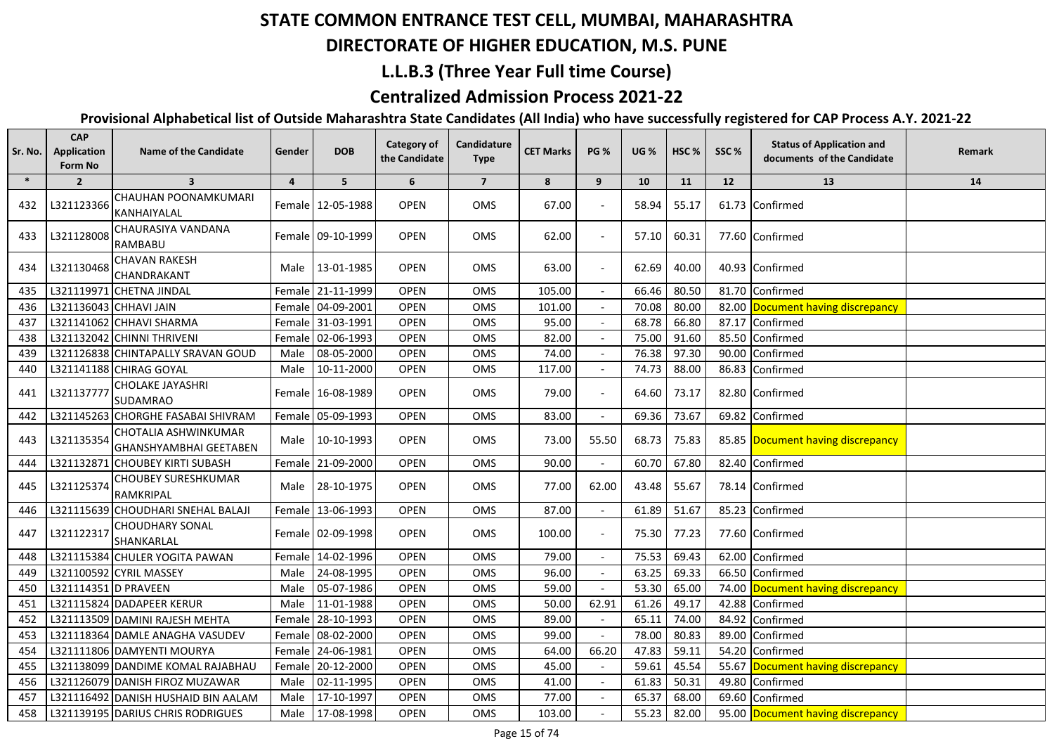#### **DIRECTORATE OF HIGHER EDUCATION, M.S. PUNE**

## **L.L.B.3 (Three Year Full time Course)**

## **Centralized Admission Process 2021-22**

| Sr. No. | <b>CAP</b><br><b>Application</b><br>Form No | <b>Name of the Candidate</b>                   | Gender         | <b>DOB</b>        | <b>Category of</b><br>the Candidate | Candidature<br><b>Type</b> | <b>CET Marks</b> | <b>PG %</b> | <b>UG %</b> | HSC <sub>%</sub> | SSC%  | <b>Status of Application and</b><br>documents of the Candidate | Remark |
|---------|---------------------------------------------|------------------------------------------------|----------------|-------------------|-------------------------------------|----------------------------|------------------|-------------|-------------|------------------|-------|----------------------------------------------------------------|--------|
| $\ast$  | $\overline{2}$                              | $\overline{\mathbf{3}}$                        | $\overline{4}$ | 5                 | 6                                   | $\overline{7}$             | 8                | 9           | 10          | 11               | 12    | 13                                                             | 14     |
| 432     | L321123366                                  | CHAUHAN POONAMKUMARI<br>KANHAIYALAL            |                | Female 12-05-1988 | <b>OPEN</b>                         | OMS                        | 67.00            |             | 58.94       | 55.17            |       | 61.73 Confirmed                                                |        |
| 433     | L321128008                                  | CHAURASIYA VANDANA<br>RAMBABU                  |                | Female 09-10-1999 | <b>OPEN</b>                         | <b>OMS</b>                 | 62.00            |             | 57.10       | 60.31            |       | 77.60 Confirmed                                                |        |
| 434     | L321130468                                  | <b>CHAVAN RAKESH</b><br>CHANDRAKANT            | Male           | 13-01-1985        | <b>OPEN</b>                         | OMS                        | 63.00            |             | 62.69       | 40.00            |       | 40.93 Confirmed                                                |        |
| 435     |                                             | L321119971 CHETNA JINDAL                       |                | Female 21-11-1999 | <b>OPEN</b>                         | OMS                        | 105.00           |             | 66.46       | 80.50            |       | 81.70 Confirmed                                                |        |
| 436     |                                             | L321136043 CHHAVI JAIN                         |                | Female 04-09-2001 | <b>OPEN</b>                         | OMS                        | 101.00           |             | 70.08       | 80.00            |       | 82.00 Document having discrepancy                              |        |
| 437     |                                             | L321141062 CHHAVI SHARMA                       |                | Female 31-03-1991 | <b>OPEN</b>                         | OMS                        | 95.00            |             | 68.78       | 66.80            |       | 87.17 Confirmed                                                |        |
| 438     |                                             | L321132042 CHINNI THRIVENI                     |                | Female 02-06-1993 | <b>OPEN</b>                         | OMS                        | 82.00            |             | 75.00       | 91.60            |       | 85.50 Confirmed                                                |        |
| 439     |                                             | L321126838 CHINTAPALLY SRAVAN GOUD             | Male           | 08-05-2000        | <b>OPEN</b>                         | OMS                        | 74.00            |             | 76.38       | 97.30            |       | 90.00 Confirmed                                                |        |
| 440     |                                             | L321141188 CHIRAG GOYAL                        | Male           | 10-11-2000        | <b>OPEN</b>                         | OMS                        | 117.00           |             | 74.73       | 88.00            |       | 86.83 Confirmed                                                |        |
| 441     | L321137777                                  | <b>CHOLAKE JAYASHRI</b><br><b>SUDAMRAO</b>     |                | Female 16-08-1989 | <b>OPEN</b>                         | OMS                        | 79.00            |             | 64.60       | 73.17            |       | 82.80 Confirmed                                                |        |
| 442     |                                             | L321145263 CHORGHE FASABAI SHIVRAM             |                | Female 05-09-1993 | <b>OPEN</b>                         | OMS                        | 83.00            |             | 69.36       | 73.67            |       | 69.82 Confirmed                                                |        |
| 443     | L321135354                                  | CHOTALIA ASHWINKUMAR<br>GHANSHYAMBHAI GEETABEN | Male           | $10-10-1993$      | <b>OPEN</b>                         | OMS                        | 73.00            | 55.50       | 68.73       | 75.83            |       | 85.85 Document having discrepancy                              |        |
| 444     |                                             | L321132871 CHOUBEY KIRTI SUBASH                |                | Female 21-09-2000 | <b>OPEN</b>                         | OMS                        | 90.00            |             | 60.70       | 67.80            |       | 82.40 Confirmed                                                |        |
| 445     | L321125374                                  | <b>CHOUBEY SURESHKUMAR</b><br>RAMKRIPAL        | Male           | 28-10-1975        | <b>OPEN</b>                         | OMS                        | 77.00            | 62.00       | 43.48       | 55.67            |       | 78.14 Confirmed                                                |        |
| 446     |                                             | L321115639 CHOUDHARI SNEHAL BALAJI             |                | Female 13-06-1993 | <b>OPEN</b>                         | OMS                        | 87.00            |             | 61.89       | 51.67            |       | 85.23 Confirmed                                                |        |
| 447     | L321122317                                  | <b>CHOUDHARY SONAL</b><br>SHANKARLAL           |                | Female 02-09-1998 | <b>OPEN</b>                         | OMS                        | 100.00           |             | 75.30       | 77.23            |       | 77.60 Confirmed                                                |        |
| 448     |                                             | L321115384 CHULER YOGITA PAWAN                 |                | Female 14-02-1996 | <b>OPEN</b>                         | OMS                        | 79.00            |             | 75.53       | 69.43            | 62.00 | Confirmed                                                      |        |
| 449     |                                             | L321100592 CYRIL MASSEY                        | Male           | 24-08-1995        | <b>OPEN</b>                         | <b>OMS</b>                 | 96.00            |             | 63.25       | 69.33            | 66.50 | Confirmed                                                      |        |
| 450     | L321114351 D PRAVEEN                        |                                                | Male           | 05-07-1986        | <b>OPEN</b>                         | <b>OMS</b>                 | 59.00            |             | 53.30       | 65.00            | 74.00 | Document having discrepancy                                    |        |
| 451     |                                             | L321115824 DADAPEER KERUR                      | Male           | 11-01-1988        | <b>OPEN</b>                         | <b>OMS</b>                 | 50.00            | 62.91       | 61.26       | 49.17            | 42.88 | Confirmed                                                      |        |
| 452     |                                             | L321113509 DAMINI RAJESH MEHTA                 | Female         | 28-10-1993        | <b>OPEN</b>                         | OMS                        | 89.00            |             | 65.11       | 74.00            | 84.92 | Confirmed                                                      |        |
| 453     |                                             | L321118364 DAMLE ANAGHA VASUDEV                | Female         | 08-02-2000        | <b>OPEN</b>                         | OMS                        | 99.00            |             | 78.00       | 80.83            |       | 89.00 Confirmed                                                |        |
| 454     |                                             | L321111806 DAMYENTI MOURYA                     |                | Female 24-06-1981 | <b>OPEN</b>                         | OMS                        | 64.00            | 66.20       | 47.83       | 59.11            |       | 54.20 Confirmed                                                |        |
| 455     |                                             | L321138099 DANDIME KOMAL RAJABHAU              | Female         | 20-12-2000        | <b>OPEN</b>                         | OMS                        | 45.00            |             | 59.61       | 45.54            | 55.67 | Document having discrepancy                                    |        |
| 456     |                                             | L321126079 DANISH FIROZ MUZAWAR                | Male           | 02-11-1995        | <b>OPEN</b>                         | OMS                        | 41.00            |             | 61.83       | 50.31            |       | 49.80 Confirmed                                                |        |
| 457     |                                             | L321116492 DANISH HUSHAID BIN AALAM            | Male           | 17-10-1997        | <b>OPEN</b>                         | OMS                        | 77.00            |             | 65.37       | 68.00            |       | 69.60 Confirmed                                                |        |
| 458     |                                             | L321139195 DARIUS CHRIS RODRIGUES              | Male           | 17-08-1998        | OPEN                                | OMS                        | 103.00           |             | 55.23       | 82.00            |       | 95.00 Document having discrepancy                              |        |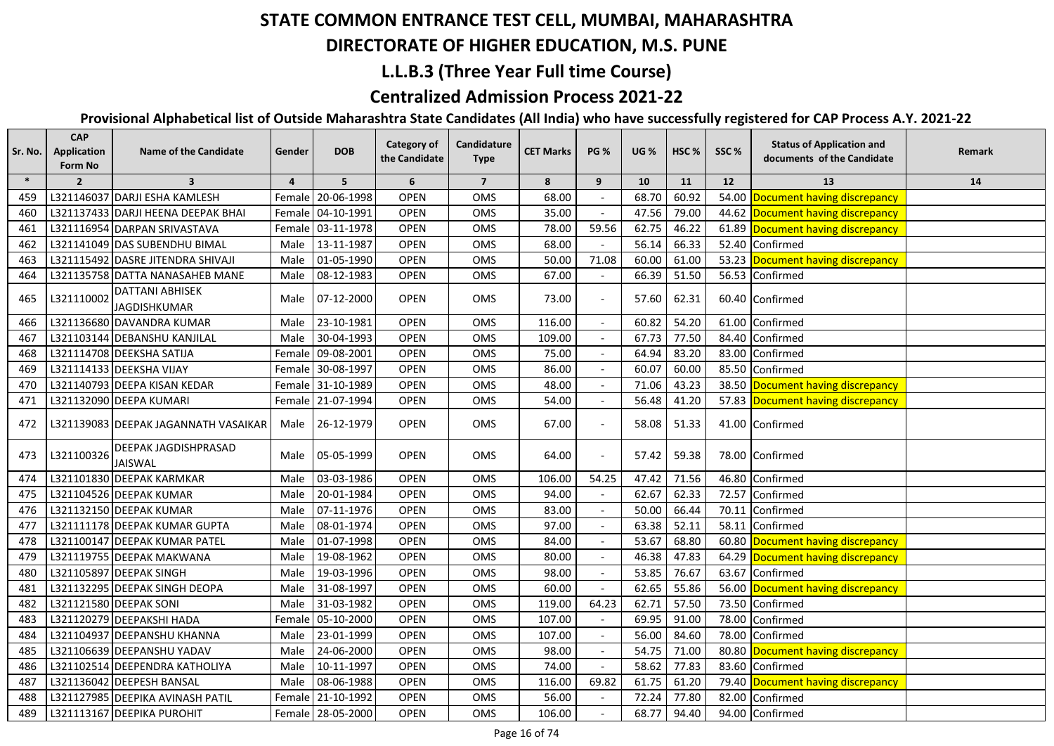## **DIRECTORATE OF HIGHER EDUCATION, M.S. PUNE**

## **L.L.B.3 (Three Year Full time Course)**

## **Centralized Admission Process 2021-22**

| Sr. No. | Application<br>Form No | <b>Name of the Candidate</b>                  | Gender         | <b>DOB</b>        | <b>Category of</b><br>the Candidate | Candidature<br><b>Type</b> | <b>CET Marks</b> | <b>PG %</b>    | <b>UG %</b> | HSC <sub>%</sub> | SSC%  | <b>Status of Application and</b><br>documents of the Candidate | Remark |
|---------|------------------------|-----------------------------------------------|----------------|-------------------|-------------------------------------|----------------------------|------------------|----------------|-------------|------------------|-------|----------------------------------------------------------------|--------|
| $\ast$  | $\overline{2}$         | $\overline{\mathbf{3}}$                       | $\overline{4}$ | 5                 | 6                                   | $\overline{7}$             | 8                | 9              | 10          | 11               | 12    | 13                                                             | 14     |
| 459     |                        | L321146037 DARJI ESHA KAMLESH                 | Female         | 20-06-1998        | OPEN                                | OMS                        | 68.00            |                | 68.70       | 60.92            | 54.00 | Document having discrepancy                                    |        |
| 460     |                        | L321137433 DARJI HEENA DEEPAK BHAI            |                | Female 04-10-1991 | <b>OPEN</b>                         | OMS                        | 35.00            |                | 47.56       | 79.00            |       | 44.62 Document having discrepancy                              |        |
| 461     |                        | L321116954 DARPAN SRIVASTAVA                  |                | Female 03-11-1978 | OPEN                                | OMS                        | 78.00            | 59.56          | 62.75       | 46.22            |       | 61.89 Document having discrepancy                              |        |
| 462     |                        | L321141049 DAS SUBENDHU BIMAL                 | Male           | 13-11-1987        | OPEN                                | OMS                        | 68.00            |                | 56.14       | 66.33            | 52.40 | Confirmed                                                      |        |
| 463     |                        | L321115492 DASRE JITENDRA SHIVAJI             | Male           | 01-05-1990        | OPEN                                | OMS                        | 50.00            | 71.08          | 60.00       | 61.00            |       | 53.23 Document having discrepancy                              |        |
| 464     |                        | L321135758 DATTA NANASAHEB MANE               | Male           | 08-12-1983        | <b>OPEN</b>                         | OMS                        | 67.00            |                | 66.39       | 51.50            |       | 56.53 Confirmed                                                |        |
| 465     | L321110002             | DATTANI ABHISEK<br><b>JAGDISHKUMAR</b>        |                | Male 07-12-2000   | <b>OPEN</b>                         | OMS                        | 73.00            |                | 57.60       | 62.31            |       | 60.40 Confirmed                                                |        |
| 466     |                        | L321136680 DAVANDRA KUMAR                     | Male           | 23-10-1981        | <b>OPEN</b>                         | OMS                        | 116.00           |                | 60.82       | 54.20            | 61.00 | Confirmed                                                      |        |
| 467     |                        | L321103144 DEBANSHU KANJILAL                  | Male           | 30-04-1993        | <b>OPEN</b>                         | <b>OMS</b>                 | 109.00           |                | 67.73       | 77.50            | 84.40 | Confirmed                                                      |        |
| 468     |                        | L321114708 DEEKSHA SATIJA                     |                | Female 09-08-2001 | <b>OPEN</b>                         | OMS                        | 75.00            |                | 64.94       | 83.20            | 83.00 | Confirmed                                                      |        |
| 469     |                        | L321114133 DEEKSHA VIJAY                      |                | Female 30-08-1997 | <b>OPEN</b>                         | <b>OMS</b>                 | 86.00            |                | 60.07       | 60.00            |       | 85.50 Confirmed                                                |        |
| 470     |                        | L321140793 DEEPA KISAN KEDAR                  |                | Female 31-10-1989 | <b>OPEN</b>                         | OMS                        | 48.00            |                | 71.06       | 43.23            |       | 38.50 Document having discrepancy                              |        |
| 471     |                        | L321132090 DEEPA KUMARI                       |                | Female 21-07-1994 | <b>OPEN</b>                         | <b>OMS</b>                 | 54.00            |                | 56.48       | 41.20            |       | 57.83 Document having discrepancy                              |        |
| 472     |                        | L321139083 DEEPAK JAGANNATH VASAIKAR          |                | Male 26-12-1979   | <b>OPEN</b>                         | OMS                        | 67.00            |                | 58.08       | 51.33            |       | 41.00 Confirmed                                                |        |
| 473     | L321100326             | <b>DEEPAK JAGDISHPRASAD</b><br><b>JAISWAL</b> | Male           | 05-05-1999        | <b>OPEN</b>                         | OMS                        | 64.00            |                | 57.42       | 59.38            |       | 78.00 Confirmed                                                |        |
| 474     |                        | L321101830 DEEPAK KARMKAR                     | Male           | 03-03-1986        | OPEN                                | OMS                        | 106.00           | 54.25          | 47.42       | 71.56            | 46.80 | Confirmed                                                      |        |
| 475     |                        | L321104526 DEEPAK KUMAR                       | Male           | 20-01-1984        | <b>OPEN</b>                         | OMS                        | 94.00            |                | 62.67       | 62.33            | 72.57 | Confirmed                                                      |        |
| 476     |                        | L321132150 DEEPAK KUMAR                       | Male           | 07-11-1976        | <b>OPEN</b>                         | OMS                        | 83.00            |                | 50.00       | 66.44            | 70.11 | Confirmed                                                      |        |
| 477     |                        | L321111178 DEEPAK KUMAR GUPTA                 | Male           | 08-01-1974        | OPEN                                | OMS                        | 97.00            |                | 63.38       | 52.11            | 58.11 | Confirmed                                                      |        |
| 478     |                        | L321100147 DEEPAK KUMAR PATEL                 | Male           | 01-07-1998        | OPEN                                | OMS                        | 84.00            |                | 53.67       | 68.80            |       | 60.80 Document having discrepancy                              |        |
| 479     |                        | L321119755 DEEPAK MAKWANA                     | Male           | 19-08-1962        | OPEN                                | OMS                        | 80.00            |                | 46.38       | 47.83            | 64.29 | Document having discrepancy                                    |        |
| 480     |                        | L321105897 DEEPAK SINGH                       | Male           | 19-03-1996        | OPEN                                | OMS                        | 98.00            |                | 53.85       | 76.67            | 63.67 | Confirmed                                                      |        |
| 481     |                        | L321132295 DEEPAK SINGH DEOPA                 | Male           | 31-08-1997        | <b>OPEN</b>                         | OMS                        | 60.00            |                | 62.65       | 55.86            |       | 56.00 Document having discrepancy                              |        |
| 482     |                        | L321121580 DEEPAK SONI                        | Male           | 31-03-1982        | <b>OPEN</b>                         | OMS                        | 119.00           | 64.23          | 62.71       | 57.50            | 73.50 | Confirmed                                                      |        |
| 483     |                        | L321120279 DEEPAKSHI HADA                     | Female         | 05-10-2000        | <b>OPEN</b>                         | OMS                        | 107.00           |                | 69.95       | 91.00            | 78.00 | Confirmed                                                      |        |
| 484     |                        | L321104937 DEEPANSHU KHANNA                   | Male           | 23-01-1999        | <b>OPEN</b>                         | OMS                        | 107.00           |                | 56.00       | 84.60            | 78.00 | Confirmed                                                      |        |
| 485     |                        | L321106639 DEEPANSHU YADAV                    | Male           | 24-06-2000        | OPEN                                | OMS                        | 98.00            | $\blacksquare$ | 54.75       | 71.00            | 80.80 | Document having discrepancy                                    |        |
| 486     |                        | L321102514 DEEPENDRA KATHOLIYA                | Male           | 10-11-1997        | <b>OPEN</b>                         | OMS                        | 74.00            |                | 58.62       | 77.83            | 83.60 | Confirmed                                                      |        |
| 487     |                        | L321136042 DEEPESH BANSAL                     | Male           | 08-06-1988        | <b>OPEN</b>                         | OMS                        | 116.00           | 69.82          | 61.75       | 61.20            | 79.40 | Document having discrepancy                                    |        |
| 488     |                        | L321127985 DEEPIKA AVINASH PATIL              |                | Female 21-10-1992 | <b>OPEN</b>                         | OMS                        | 56.00            |                | 72.24       | 77.80            |       | 82.00 Confirmed                                                |        |
| 489     |                        | L321113167 DEEPIKA PUROHIT                    |                | Female 28-05-2000 | <b>OPEN</b>                         | OMS                        | 106.00           |                | 68.77       | 94.40            |       | 94.00 Confirmed                                                |        |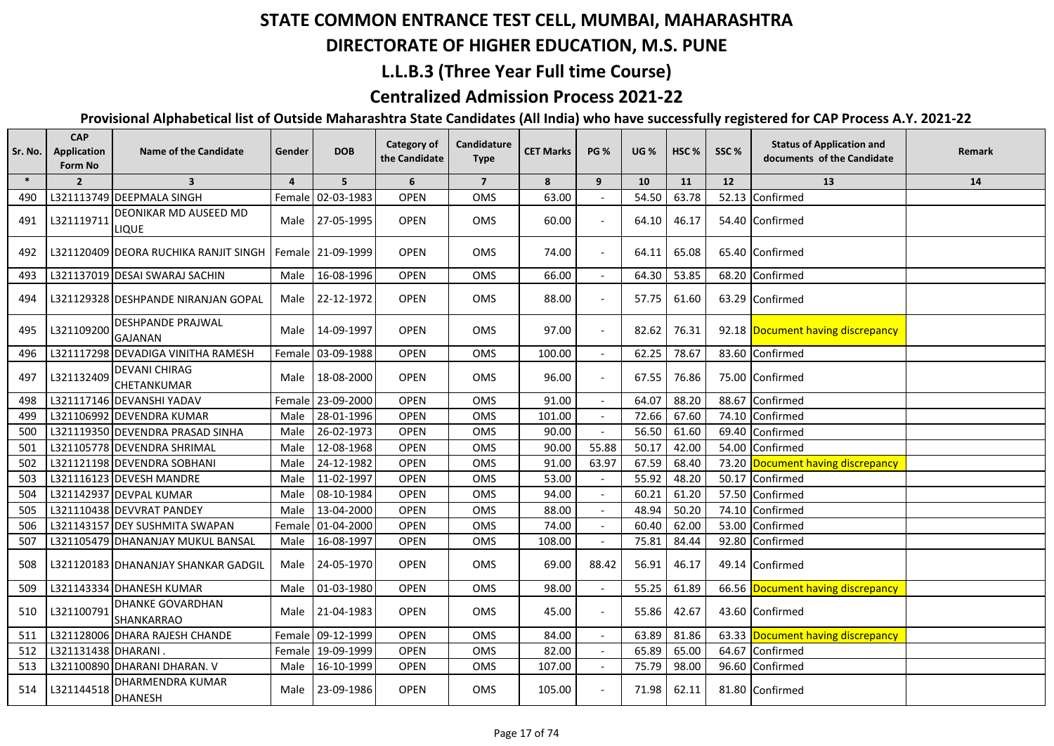## **DIRECTORATE OF HIGHER EDUCATION, M.S. PUNE**

#### **L.L.B.3 (Three Year Full time Course)**

### **Centralized Admission Process 2021-22**

| Sr. No. | <b>CAP</b><br><b>Application</b><br>Form No | <b>Name of the Candidate</b>               | Gender         | <b>DOB</b>        | <b>Category of</b><br>the Candidate | Candidature<br><b>Type</b> | <b>CET Marks</b> | <b>PG %</b> | <b>UG %</b> | HSC <sub>%</sub> | SSC%  | <b>Status of Application and</b><br>documents of the Candidate | Remark |
|---------|---------------------------------------------|--------------------------------------------|----------------|-------------------|-------------------------------------|----------------------------|------------------|-------------|-------------|------------------|-------|----------------------------------------------------------------|--------|
| $\ast$  | $\overline{2}$                              | $\overline{\mathbf{3}}$                    | $\overline{a}$ | 5                 | 6                                   | $\overline{7}$             | 8                | 9           | 10          | 11               | 12    | 13                                                             | 14     |
| 490     |                                             | L321113749 DEEPMALA SINGH                  |                | Female 02-03-1983 | <b>OPEN</b>                         | <b>OMS</b>                 | 63.00            |             | 54.50       | 63.78            |       | 52.13 Confirmed                                                |        |
| 491     | L321119711                                  | DEONIKAR MD AUSEED MD<br><b>LIQUE</b>      |                | Male 27-05-1995   | <b>OPEN</b>                         | OMS                        | 60.00            |             | 64.10       | 46.17            |       | 54.40 Confirmed                                                |        |
| 492     |                                             | L321120409 DEORA RUCHIKA RANJIT SINGH      |                | Female 21-09-1999 | <b>OPEN</b>                         | OMS                        | 74.00            |             | 64.11       | 65.08            |       | 65.40 Confirmed                                                |        |
| 493     |                                             | L321137019 DESAI SWARAJ SACHIN             | Male           | 16-08-1996        | <b>OPEN</b>                         | OMS                        | 66.00            |             | 64.30       | 53.85            | 68.20 | Confirmed                                                      |        |
| 494     |                                             | L321129328 IDESHPANDE NIRANJAN GOPAL       | Male           | 22-12-1972        | <b>OPEN</b>                         | OMS                        | 88.00            |             | 57.75       | 61.60            |       | 63.29 Confirmed                                                |        |
| 495     | L321109200                                  | <b>DESHPANDE PRAJWAL</b><br><b>GAJANAN</b> | Male           | 14-09-1997        | <b>OPEN</b>                         | OMS                        | 97.00            |             | 82.62       | 76.31            |       | 92.18 Document having discrepancy                              |        |
| 496     |                                             | L321117298 DEVADIGA VINITHA RAMESH         | Female         | 03-09-1988        | <b>OPEN</b>                         | OMS                        | 100.00           |             | 62.25       | 78.67            |       | 83.60 Confirmed                                                |        |
| 497     | L321132409                                  | <b>DEVANI CHIRAG</b><br>CHETANKUMAR        | Male           | 18-08-2000        | <b>OPEN</b>                         | OMS                        | 96.00            |             | 67.55       | 76.86            |       | 75.00 Confirmed                                                |        |
| 498     |                                             | L321117146 DEVANSHI YADAV                  |                | Female 23-09-2000 | <b>OPEN</b>                         | OMS                        | 91.00            |             | 64.07       | 88.20            | 88.67 | Confirmed                                                      |        |
| 499     |                                             | L321106992 DEVENDRA KUMAR                  | Male           | 28-01-1996        | <b>OPEN</b>                         | <b>OMS</b>                 | 101.00           |             | 72.66       | 67.60            | 74.10 | Confirmed                                                      |        |
| 500     |                                             | L321119350 DEVENDRA PRASAD SINHA           | Male           | 26-02-1973        | <b>OPEN</b>                         | OMS                        | 90.00            |             | 56.50       | 61.60            | 69.40 | Confirmed                                                      |        |
| 501     |                                             | L321105778 DEVENDRA SHRIMAL                | Male           | 12-08-1968        | <b>OPEN</b>                         | OMS                        | 90.00            | 55.88       | 50.17       | 42.00            |       | 54.00 Confirmed                                                |        |
| 502     |                                             | L321121198 DEVENDRA SOBHANI                | Male           | 24-12-1982        | <b>OPEN</b>                         | OMS                        | 91.00            | 63.97       | 67.59       | 68.40            |       | 73.20 Document having discrepancy                              |        |
| 503     |                                             | L321116123 DEVESH MANDRE                   | Male           | 11-02-1997        | <b>OPEN</b>                         | OMS                        | 53.00            |             | 55.92       | 48.20            | 50.17 | Confirmed                                                      |        |
| 504     |                                             | L321142937 DEVPAL KUMAR                    | Male           | 08-10-1984        | <b>OPEN</b>                         | OMS                        | 94.00            |             | 60.21       | 61.20            |       | 57.50 Confirmed                                                |        |
| 505     |                                             | L321110438 DEVVRAT PANDEY                  | Male           | 13-04-2000        | <b>OPEN</b>                         | OMS                        | 88.00            |             | 48.94       | 50.20            | 74.10 | Confirmed                                                      |        |
| 506     |                                             | L321143157 DEY SUSHMITA SWAPAN             |                | Female 01-04-2000 | <b>OPEN</b>                         | <b>OMS</b>                 | 74.00            |             | 60.40       | 62.00            | 53.00 | Confirmed                                                      |        |
| 507     |                                             | L321105479 DHANANJAY MUKUL BANSAL          | Male           | 16-08-1997        | <b>OPEN</b>                         | <b>OMS</b>                 | 108.00           |             | 75.81       | 84.44            | 92.80 | Confirmed                                                      |        |
| 508     |                                             | L321120183 DHANANJAY SHANKAR GADGIL        | Male           | 24-05-1970        | <b>OPEN</b>                         | <b>OMS</b>                 | 69.00            | 88.42       | 56.91       | 46.17            |       | 49.14 Confirmed                                                |        |
| 509     |                                             | L321143334 DHANESH KUMAR                   | Male           | 01-03-1980        | <b>OPEN</b>                         | OMS                        | 98.00            |             | 55.25       | 61.89            |       | 66.56 Document having discrepancy                              |        |
| 510     | L321100791                                  | <b>DHANKE GOVARDHAN</b><br>SHANKARRAO      | Male           | 21-04-1983        | <b>OPEN</b>                         | OMS                        | 45.00            |             | 55.86       | 42.67            |       | 43.60 Confirmed                                                |        |
| 511     |                                             | L321128006 DHARA RAJESH CHANDE             |                | Female 09-12-1999 | <b>OPEN</b>                         | OMS                        | 84.00            |             | 63.89       | 81.86            |       | 63.33 Document having discrepancy                              |        |
| 512     | L321131438 DHARANI.                         |                                            |                | Female 19-09-1999 | <b>OPEN</b>                         | OMS                        | 82.00            |             | 65.89       | 65.00            | 64.67 | Confirmed                                                      |        |
| 513     |                                             | L321100890 DHARANI DHARAN. V               | Male           | 16-10-1999        | <b>OPEN</b>                         | OMS                        | 107.00           |             | 75.79       | 98.00            | 96.60 | Confirmed                                                      |        |
| 514     | L321144518                                  | DHARMENDRA KUMAR<br><b>DHANESH</b>         |                | Male 23-09-1986   | <b>OPEN</b>                         | OMS                        | 105.00           |             | 71.98       | 62.11            |       | 81.80 Confirmed                                                |        |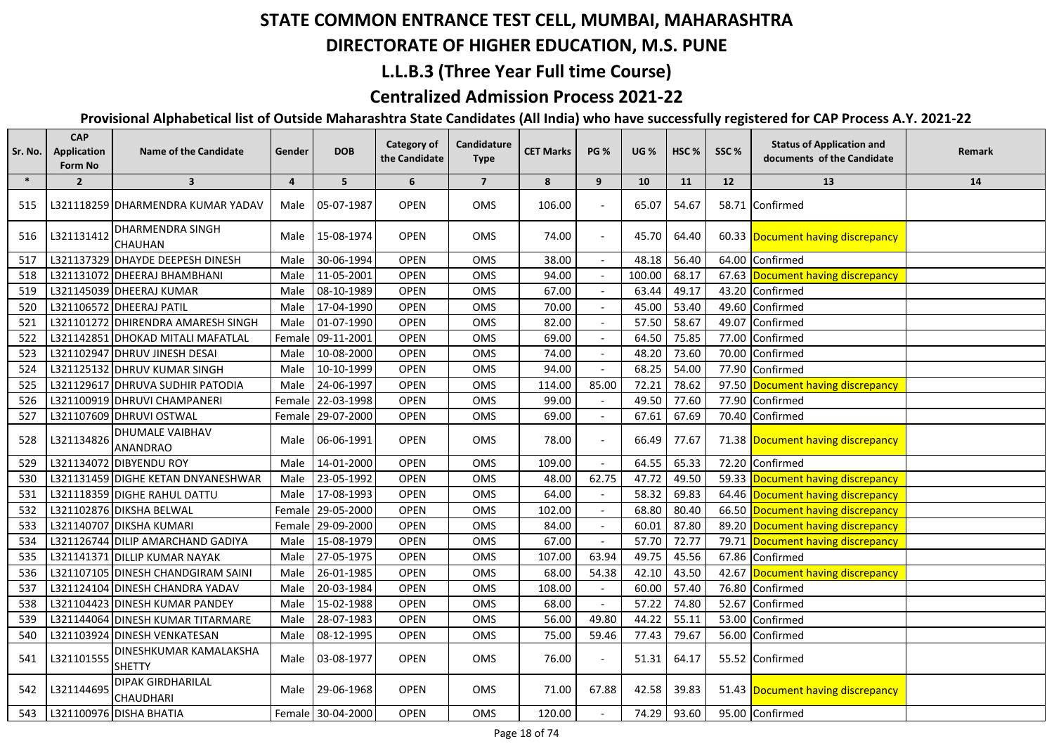#### **DIRECTORATE OF HIGHER EDUCATION, M.S. PUNE**

## **L.L.B.3 (Three Year Full time Course)**

## **Centralized Admission Process 2021-22**

| Sr. No. | <b>CAP</b><br>Application<br>Form No | <b>Name of the Candidate</b>                 | Gender         | <b>DOB</b>        | <b>Category of</b><br>the Candidate | Candidature<br><b>Type</b> | <b>CET Marks</b> | <b>PG %</b>              | <b>UG %</b> | HSC <sub>%</sub> | SSC%  | <b>Status of Application and</b><br>documents of the Candidate | Remark |
|---------|--------------------------------------|----------------------------------------------|----------------|-------------------|-------------------------------------|----------------------------|------------------|--------------------------|-------------|------------------|-------|----------------------------------------------------------------|--------|
| $\ast$  | $\overline{2}$                       | $\overline{\mathbf{3}}$                      | $\overline{4}$ | 5                 | 6                                   | $\overline{\mathbf{z}}$    | 8                | 9                        | 10          | 11               | 12    | 13                                                             | 14     |
| 515     |                                      | L321118259 DHARMENDRA KUMAR YADAV            | Male           | 05-07-1987        | <b>OPEN</b>                         | <b>OMS</b>                 | 106.00           |                          | 65.07       | 54.67            |       | 58.71 Confirmed                                                |        |
| 516     | L321131412                           | <b>DHARMENDRA SINGH</b><br><b>CHAUHAN</b>    | Male           | 15-08-1974        | <b>OPEN</b>                         | <b>OMS</b>                 | 74.00            |                          | 45.70       | 64.40            |       | 60.33 Document having discrepancy                              |        |
| 517     |                                      | L321137329 DHAYDE DEEPESH DINESH             | Male           | 30-06-1994        | <b>OPEN</b>                         | OMS                        | 38.00            |                          | 48.18       | 56.40            |       | 64.00 Confirmed                                                |        |
| 518     |                                      | L321131072 DHEERAJ BHAMBHANI                 | Male           | 11-05-2001        | <b>OPEN</b>                         | OMS                        | 94.00            |                          | 100.00      | 68.17            |       | 67.63 Document having discrepancy                              |        |
| 519     |                                      | L321145039 DHEERAJ KUMAR                     | Male           | 08-10-1989        | <b>OPEN</b>                         | OMS                        | 67.00            |                          | 63.44       | 49.17            |       | 43.20 Confirmed                                                |        |
| 520     |                                      | L321106572 DHEERAJ PATIL                     | Male           | 17-04-1990        | <b>OPEN</b>                         | OMS                        | 70.00            |                          | 45.00       | 53.40            |       | 49.60 Confirmed                                                |        |
| 521     |                                      | L321101272 DHIRENDRA AMARESH SINGH           | Male           | 01-07-1990        | <b>OPEN</b>                         | OMS                        | 82.00            |                          | 57.50       | 58.67            |       | 49.07 Confirmed                                                |        |
| 522     |                                      | L321142851 DHOKAD MITALI MAFATLAL            | Female         | 09-11-2001        | <b>OPEN</b>                         | OMS                        | 69.00            |                          | 64.50       | 75.85            |       | 77.00 Confirmed                                                |        |
| 523     |                                      | L321102947 DHRUV JINESH DESAI                | Male           | 10-08-2000        | <b>OPEN</b>                         | OMS                        | 74.00            |                          | 48.20       | 73.60            |       | 70.00 Confirmed                                                |        |
| 524     |                                      | L321125132 DHRUV KUMAR SINGH                 | Male           | 10-10-1999        | <b>OPEN</b>                         | OMS                        | 94.00            |                          | 68.25       | 54.00            |       | 77.90 Confirmed                                                |        |
| 525     |                                      | L321129617 DHRUVA SUDHIR PATODIA             | Male           | 24-06-1997        | <b>OPEN</b>                         | OMS                        | 114.00           | 85.00                    | 72.21       | 78.62            |       | 97.50 Document having discrepancy                              |        |
| 526     |                                      | L321100919 DHRUVI CHAMPANERI                 |                | Female 22-03-1998 | <b>OPEN</b>                         | OMS                        | 99.00            |                          | 49.50       | 77.60            |       | 77.90 Confirmed                                                |        |
| 527     |                                      | L321107609 DHRUVI OSTWAL                     |                | Female 29-07-2000 | <b>OPEN</b>                         | <b>OMS</b>                 | 69.00            |                          | 67.61       | 67.69            |       | 70.40 Confirmed                                                |        |
| 528     | L321134826                           | <b>DHUMALE VAIBHAV</b><br><b>ANANDRAO</b>    | Male           | 06-06-1991        | <b>OPEN</b>                         | OMS                        | 78.00            |                          | 66.49       | 77.67            |       | 71.38 Document having discrepancy                              |        |
| 529     |                                      | L321134072 DIBYENDU ROY                      | Male           | 14-01-2000        | <b>OPEN</b>                         | OMS                        | 109.00           |                          | 64.55       | 65.33            |       | 72.20 Confirmed                                                |        |
| 530     |                                      | L321131459 DIGHE KETAN DNYANESHWAR           | Male           | 23-05-1992        | <b>OPEN</b>                         | OMS                        | 48.00            | 62.75                    | 47.72       | 49.50            |       | 59.33 Document having discrepancy                              |        |
| 531     |                                      | L321118359 DIGHE RAHUL DATTU                 | Male           | 17-08-1993        | <b>OPEN</b>                         | OMS                        | 64.00            |                          | 58.32       | 69.83            |       | 64.46 Document having discrepancy                              |        |
| 532     |                                      | L321102876 DIKSHA BELWAL                     | Female         | 29-05-2000        | OPEN                                | OMS                        | 102.00           |                          | 68.80       | 80.40            |       | 66.50 Document having discrepancy                              |        |
| 533     |                                      | L321140707 DIKSHA KUMARI                     | Female         | 29-09-2000        | OPEN                                | OMS                        | 84.00            |                          | 60.01       | 87.80            |       | 89.20 Document having discrepancy                              |        |
| 534     |                                      | L321126744 DILIP AMARCHAND GADIYA            | Male           | 15-08-1979        | <b>OPEN</b>                         | OMS                        | 67.00            | $\overline{\phantom{a}}$ | 57.70       | 72.77            |       | 79.71 Document having discrepancy                              |        |
| 535     |                                      | L321141371 DILLIP KUMAR NAYAK                | Male           | 27-05-1975        | <b>OPEN</b>                         | OMS                        | 107.00           | 63.94                    | 49.75       | 45.56            | 67.86 | Confirmed                                                      |        |
| 536     |                                      | L321107105 DINESH CHANDGIRAM SAINI           | Male           | 26-01-1985        | OPEN                                | OMS                        | 68.00            | 54.38                    | 42.10       | 43.50            |       | 42.67 Document having discrepancy                              |        |
| 537     |                                      | L321124104 DINESH CHANDRA YADAV              | Male           | 20-03-1984        | OPEN                                | OMS                        | 108.00           |                          | 60.00       | 57.40            | 76.80 | Confirmed                                                      |        |
| 538     |                                      | L321104423 DINESH KUMAR PANDEY               | Male           | 15-02-1988        | <b>OPEN</b>                         | OMS                        | 68.00            |                          | 57.22       | 74.80            | 52.67 | Confirmed                                                      |        |
| 539     |                                      | L321144064 DINESH KUMAR TITARMARE            | Male           | 28-07-1983        | <b>OPEN</b>                         | OMS                        | 56.00            | 49.80                    | 44.22       | 55.11            | 53.00 | Confirmed                                                      |        |
| 540     |                                      | L321103924 DINESH VENKATESAN                 | Male           | 08-12-1995        | OPEN                                | OMS                        | 75.00            | 59.46                    | 77.43       | 79.67            |       | 56.00 Confirmed                                                |        |
| 541     | L321101555                           | DINESHKUMAR KAMALAKSHA<br><b>SHETTY</b>      | Male           | 03-08-1977        | <b>OPEN</b>                         | OMS                        | 76.00            |                          | 51.31       | 64.17            |       | 55.52 Confirmed                                                |        |
| 542     | L321144695                           | <b>DIPAK GIRDHARILAL</b><br><b>CHAUDHARI</b> | Male           | 29-06-1968        | <b>OPEN</b>                         | OMS                        | 71.00            | 67.88                    | 42.58       | 39.83            |       | 51.43 Document having discrepancy                              |        |
| 543     |                                      | L321100976 DISHA BHATIA                      |                | Female 30-04-2000 | <b>OPEN</b>                         | OMS                        | 120.00           |                          | 74.29       | 93.60            |       | 95.00 Confirmed                                                |        |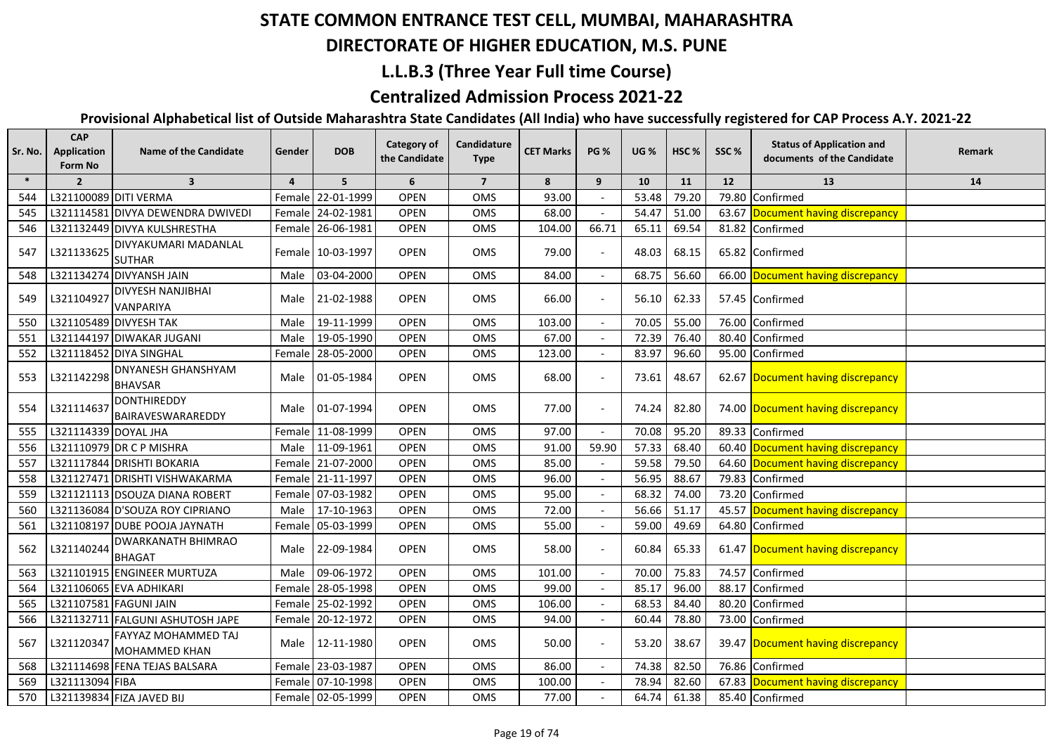## **DIRECTORATE OF HIGHER EDUCATION, M.S. PUNE**

## **L.L.B.3 (Three Year Full time Course)**

## **Centralized Admission Process 2021-22**

| Sr. No. | <b>CAP</b><br>Application<br>Form No | <b>Name of the Candidate</b>                | Gender         | <b>DOB</b>        | <b>Category of</b><br>the Candidate | Candidature<br><b>Type</b> | <b>CET Marks</b> | <b>PG %</b>              | <b>UG %</b> | HSC <sub>%</sub> | SSC%  | <b>Status of Application and</b><br>documents of the Candidate | Remark |
|---------|--------------------------------------|---------------------------------------------|----------------|-------------------|-------------------------------------|----------------------------|------------------|--------------------------|-------------|------------------|-------|----------------------------------------------------------------|--------|
| $\ast$  | $\overline{2}$                       | $\overline{\mathbf{3}}$                     | $\overline{4}$ | 5                 | 6                                   | $\overline{7}$             | 8                | 9                        | 10          | 11               | 12    | 13                                                             | 14     |
| 544     | L321100089 DITI VERMA                |                                             |                | Female 22-01-1999 | OPEN                                | OMS                        | 93.00            |                          | 53.48       | 79.20            | 79.80 | Confirmed                                                      |        |
| 545     |                                      | L321114581 DIVYA DEWENDRA DWIVEDI           |                | Female 24-02-1981 | <b>OPEN</b>                         | OMS                        | 68.00            |                          | 54.47       | 51.00            |       | 63.67 Document having discrepancy                              |        |
| 546     |                                      | L321132449 DIVYA KULSHRESTHA                |                | Female 26-06-1981 | <b>OPEN</b>                         | <b>OMS</b>                 | 104.00           | 66.71                    | 65.11       | 69.54            |       | 81.82 Confirmed                                                |        |
| 547     | L321133625                           | DIVYAKUMARI MADANLAL<br><b>SUTHAR</b>       |                | Female 10-03-1997 | <b>OPEN</b>                         | OMS                        | 79.00            |                          | 48.03       | 68.15            |       | 65.82 Confirmed                                                |        |
| 548     |                                      | L321134274 DIVYANSH JAIN                    | Male           | 03-04-2000        | <b>OPEN</b>                         | OMS                        | 84.00            | $\overline{\phantom{a}}$ | 68.75       | 56.60            |       | 66.00 Document having discrepancy                              |        |
| 549     | L321104927                           | <b>DIVYESH NANJIBHAI</b><br>VANPARIYA       | Male           | 21-02-1988        | <b>OPEN</b>                         | OMS                        | 66.00            |                          | 56.10       | 62.33            |       | 57.45 Confirmed                                                |        |
| 550     |                                      | L321105489 DIVYESH TAK                      | Male           | 19-11-1999        | <b>OPEN</b>                         | OMS                        | 103.00           |                          | 70.05       | 55.00            | 76.00 | Confirmed                                                      |        |
| 551     |                                      | L321144197 DIWAKAR JUGANI                   | Male           | 19-05-1990        | <b>OPEN</b>                         | OMS                        | 67.00            |                          | 72.39       | 76.40            | 80.40 | Confirmed                                                      |        |
| 552     |                                      | L321118452 DIYA SINGHAL                     | Female         | 28-05-2000        | OPEN                                | OMS                        | 123.00           |                          | 83.97       | 96.60            | 95.00 | Confirmed                                                      |        |
| 553     | L321142298                           | <b>DNYANESH GHANSHYAM</b><br><b>BHAVSAR</b> | Male           | 01-05-1984        | <b>OPEN</b>                         | OMS                        | 68.00            |                          | 73.61       | 48.67            |       | 62.67 Document having discrepancy                              |        |
| 554     | L321114637                           | <b>DONTHIREDDY</b><br>BAIRAVESWARAREDDY     | Male           | 01-07-1994        | <b>OPEN</b>                         | OMS                        | 77.00            |                          | 74.24       | 82.80            |       | 74.00 Document having discrepancy                              |        |
| 555     | L321114339 DOYAL JHA                 |                                             |                | Female 11-08-1999 | OPEN                                | OMS                        | 97.00            |                          | 70.08       | 95.20            |       | 89.33 Confirmed                                                |        |
| 556     |                                      | L321110979 DR C P MISHRA                    | Male           | 11-09-1961        | <b>OPEN</b>                         | OMS                        | 91.00            | 59.90                    | 57.33       | 68.40            |       | 60.40 Document having discrepancy                              |        |
| 557     |                                      | L321117844 DRISHTI BOKARIA                  |                | Female 21-07-2000 | OPEN                                | OMS                        | 85.00            |                          | 59.58       | 79.50            |       | 64.60 Document having discrepancy                              |        |
| 558     |                                      | L321127471 DRISHTI VISHWAKARMA              |                | Female 21-11-1997 | <b>OPEN</b>                         | OMS                        | 96.00            |                          | 56.95       | 88.67            |       | 79.83 Confirmed                                                |        |
| 559     |                                      | L321121113 DSOUZA DIANA ROBERT              |                | Female 07-03-1982 | OPEN                                | OMS                        | 95.00            |                          | 68.32       | 74.00            |       | 73.20 Confirmed                                                |        |
| 560     |                                      | L321136084 D'SOUZA ROY CIPRIANO             | Male           | 17-10-1963        | OPEN                                | OMS                        | 72.00            |                          | 56.66       | 51.17            |       | 45.57 Document having discrepancy                              |        |
| 561     |                                      | L321108197 DUBE POOJA JAYNATH               |                | Female 05-03-1999 | OPEN                                | OMS                        | 55.00            |                          | 59.00       | 49.69            |       | 64.80 Confirmed                                                |        |
| 562     | L321140244                           | <b>DWARKANATH BHIMRAO</b><br><b>BHAGAT</b>  | Male           | 22-09-1984        | <b>OPEN</b>                         | <b>OMS</b>                 | 58.00            |                          | 60.84       | 65.33            |       | 61.47 Document having discrepancy                              |        |
| 563     |                                      | L321101915 ENGINEER MURTUZA                 | Male           | 09-06-1972        | <b>OPEN</b>                         | OMS                        | 101.00           |                          | 70.00       | 75.83            | 74.57 | Confirmed                                                      |        |
| 564     |                                      | L321106065 EVA ADHIKARI                     |                | Female 28-05-1998 | <b>OPEN</b>                         | <b>OMS</b>                 | 99.00            |                          | 85.17       | 96.00            | 88.17 | <b>Confirmed</b>                                               |        |
| 565     |                                      | L321107581 FAGUNI JAIN                      | Female         | 25-02-1992        | <b>OPEN</b>                         | OMS                        | 106.00           |                          | 68.53       | 84.40            | 80.20 | Confirmed                                                      |        |
| 566     |                                      | L321132711 FALGUNI ASHUTOSH JAPE            |                | Female 20-12-1972 | <b>OPEN</b>                         | OMS                        | 94.00            |                          | 60.44       | 78.80            |       | 73.00 Confirmed                                                |        |
| 567     | L321120347                           | FAYYAZ MOHAMMED TAJ<br><b>MOHAMMED KHAN</b> | Male           | 12-11-1980        | <b>OPEN</b>                         | OMS                        | 50.00            |                          | 53.20       | 38.67            |       | 39.47 Document having discrepancy                              |        |
| 568     |                                      | L321114698 FENA TEJAS BALSARA               |                | Female 23-03-1987 | <b>OPEN</b>                         | OMS                        | 86.00            |                          | 74.38       | 82.50            |       | 76.86 Confirmed                                                |        |
| 569     | L321113094 FIBA                      |                                             |                | Female 07-10-1998 | <b>OPEN</b>                         | <b>OMS</b>                 | 100.00           |                          | 78.94       | 82.60            |       | 67.83 Document having discrepancy                              |        |
| 570     |                                      | L321139834 FIZA JAVED BIJ                   |                | Female 02-05-1999 | <b>OPEN</b>                         | <b>OMS</b>                 | 77.00            |                          | 64.74       | 61.38            |       | 85.40 Confirmed                                                |        |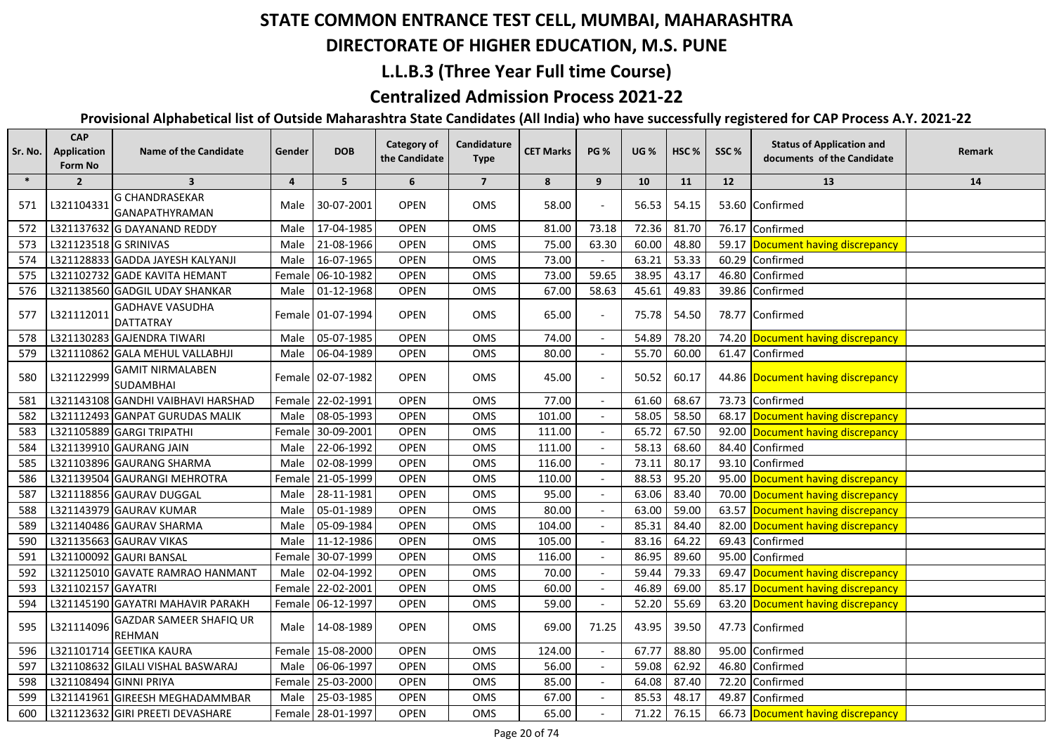## **DIRECTORATE OF HIGHER EDUCATION, M.S. PUNE**

### **L.L.B.3 (Three Year Full time Course)**

## **Centralized Admission Process 2021-22**

| Sr. No. | <b>CAP</b><br>Application<br>Form No | <b>Name of the Candidate</b>                   | Gender         | <b>DOB</b>          | Category of<br>the Candidate | Candidature<br><b>Type</b> | <b>CET Marks</b> | <b>PG %</b> | <b>UG</b> % | HSC % | SSC%  | <b>Status of Application and</b><br>documents of the Candidate | Remark |
|---------|--------------------------------------|------------------------------------------------|----------------|---------------------|------------------------------|----------------------------|------------------|-------------|-------------|-------|-------|----------------------------------------------------------------|--------|
| $\ast$  | $\overline{2}$                       | $\overline{\mathbf{3}}$                        | $\overline{4}$ | 5                   | 6                            | $\overline{7}$             | 8                | 9           | 10          | 11    | 12    | 13                                                             | 14     |
| 571     | L321104331                           | <b>G CHANDRASEKAR</b><br><b>GANAPATHYRAMAN</b> | Male           | 30-07-2001          | <b>OPEN</b>                  | <b>OMS</b>                 | 58.00            |             | 56.53       | 54.15 |       | 53.60 Confirmed                                                |        |
| 572     |                                      | L321137632 G DAYANAND REDDY                    | Male           | 17-04-1985          | <b>OPEN</b>                  | OMS                        | 81.00            | 73.18       | 72.36       | 81.70 |       | 76.17 Confirmed                                                |        |
| 573     | L321123518 G SRINIVAS                |                                                | Male           | 21-08-1966          | <b>OPEN</b>                  | OMS                        | 75.00            | 63.30       | 60.00       | 48.80 |       | 59.17 Document having discrepancy                              |        |
| 574     |                                      | L321128833 GADDA JAYESH KALYANJI               | Male           | 16-07-1965          | <b>OPEN</b>                  | OMS                        | 73.00            |             | 63.21       | 53.33 |       | 60.29 Confirmed                                                |        |
| 575     |                                      | L321102732 GADE KAVITA HEMANT                  |                | Female 06-10-1982   | OPEN                         | OMS                        | 73.00            | 59.65       | 38.95       | 43.17 |       | 46.80 Confirmed                                                |        |
| 576     |                                      | L321138560 GADGIL UDAY SHANKAR                 | Male           | 01-12-1968          | <b>OPEN</b>                  | OMS                        | 67.00            | 58.63       | 45.61       | 49.83 |       | 39.86 Confirmed                                                |        |
| 577     | L321112011                           | <b>GADHAVE VASUDHA</b><br><b>DATTATRAY</b>     |                | Female 01-07-1994   | <b>OPEN</b>                  | OMS                        | 65.00            |             | 75.78       | 54.50 |       | 78.77 Confirmed                                                |        |
| 578     |                                      | L321130283 GAJENDRA TIWARI                     | Male           | 05-07-1985          | <b>OPEN</b>                  | OMS                        | 74.00            |             | 54.89       | 78.20 |       | 74.20 Document having discrepancy                              |        |
| 579     |                                      | L321110862 GALA MEHUL VALLABHJI                | Male           | 06-04-1989          | <b>OPEN</b>                  | OMS                        | 80.00            |             | 55.70       | 60.00 |       | 61.47 Confirmed                                                |        |
| 580     | L321122999                           | <b>GAMIT NIRMALABEN</b><br><b>SUDAMBHAI</b>    |                | Female   02-07-1982 | <b>OPEN</b>                  | OMS                        | 45.00            |             | 50.52       | 60.17 |       | 44.86 Document having discrepancy                              |        |
| 581     |                                      | L321143108 GANDHI VAIBHAVI HARSHAD             |                | Female 22-02-1991   | <b>OPEN</b>                  | <b>OMS</b>                 | 77.00            |             | 61.60       | 68.67 |       | 73.73 Confirmed                                                |        |
| 582     |                                      | L321112493 GANPAT GURUDAS MALIK                | Male           | 08-05-1993          | <b>OPEN</b>                  | OMS                        | 101.00           |             | 58.05       | 58.50 |       | 68.17 Document having discrepancy                              |        |
| 583     |                                      | L321105889 GARGI TRIPATHI                      |                | Female 30-09-2001   | <b>OPEN</b>                  | OMS                        | 111.00           |             | 65.72       | 67.50 |       | 92.00 Document having discrepancy                              |        |
| 584     |                                      | L321139910 GAURANG JAIN                        | Male           | 22-06-1992          | <b>OPEN</b>                  | OMS                        | 111.00           |             | 58.13       | 68.60 |       | 84.40 Confirmed                                                |        |
| 585     |                                      | L321103896 GAURANG SHARMA                      | Male           | 02-08-1999          | <b>OPEN</b>                  | OMS                        | 116.00           |             | 73.11       | 80.17 |       | 93.10 Confirmed                                                |        |
| 586     |                                      | L321139504 GAURANGI MEHROTRA                   |                | Female 21-05-1999   | <b>OPEN</b>                  | OMS                        | 110.00           |             | 88.53       | 95.20 |       | 95.00 Document having discrepancy                              |        |
| 587     |                                      | L321118856 GAURAV DUGGAL                       | Male           | 28-11-1981          | <b>OPEN</b>                  | OMS                        | 95.00            |             | 63.06       | 83.40 |       | 70.00 Document having discrepancy                              |        |
| 588     |                                      | L321143979 GAURAV KUMAR                        | Male           | 05-01-1989          | <b>OPEN</b>                  | OMS                        | 80.00            |             | 63.00       | 59.00 |       | 63.57 Document having discrepancy                              |        |
| 589     |                                      | L321140486 GAURAV SHARMA                       | Male           | 05-09-1984          | <b>OPEN</b>                  | OMS                        | 104.00           |             | 85.31       | 84.40 |       | 82.00 Document having discrepancy                              |        |
| 590     |                                      | L321135663 GAURAV VIKAS                        | Male           | 11-12-1986          | <b>OPEN</b>                  | OMS                        | 105.00           |             | 83.16       | 64.22 | 69.43 | Confirmed                                                      |        |
| 591     |                                      | L321100092 GAURI BANSAL                        |                | Female 30-07-1999   | <b>OPEN</b>                  | OMS                        | 116.00           |             | 86.95       | 89.60 | 95.00 | Confirmed                                                      |        |
| 592     |                                      | L321125010 GAVATE RAMRAO HANMANT               | Male           | 02-04-1992          | <b>OPEN</b>                  | <b>OMS</b>                 | 70.00            |             | 59.44       | 79.33 |       | 69.47 Document having discrepancy                              |        |
| 593     | L321102157 GAYATRI                   |                                                |                | Female 22-02-2001   | <b>OPEN</b>                  | OMS                        | 60.00            |             | 46.89       | 69.00 |       | 85.17 Document having discrepancy                              |        |
| 594     |                                      | L321145190 GAYATRI MAHAVIR PARAKH              |                | Female 06-12-1997   | <b>OPEN</b>                  | OMS                        | 59.00            |             | 52.20       | 55.69 |       | 63.20 Document having discrepancy                              |        |
| 595     | L321114096                           | GAZDAR SAMEER SHAFIQ UR<br><b>REHMAN</b>       | Male I         | 14-08-1989          | <b>OPEN</b>                  | OMS                        | 69.00            | 71.25       | 43.95       | 39.50 |       | 47.73 Confirmed                                                |        |
| 596     |                                      | L321101714 GEETIKA KAURA                       |                | Female 15-08-2000   | <b>OPEN</b>                  | OMS                        | 124.00           |             | 67.77       | 88.80 | 95.00 | Confirmed                                                      |        |
| 597     |                                      | L321108632 GILALI VISHAL BASWARAJ              | Male           | 06-06-1997          | <b>OPEN</b>                  | OMS                        | 56.00            |             | 59.08       | 62.92 | 46.80 | Confirmed                                                      |        |
| 598     | L321108494 GINNI PRIYA               |                                                |                | Female 25-03-2000   | <b>OPEN</b>                  | OMS                        | 85.00            |             | 64.08       | 87.40 |       | 72.20 Confirmed                                                |        |
| 599     |                                      | L321141961 GIREESH MEGHADAMMBAR                | Male           | 25-03-1985          | <b>OPEN</b>                  | OMS                        | 67.00            |             | 85.53       | 48.17 | 49.87 | Confirmed                                                      |        |
| 600     |                                      | L321123632 GIRI PREETI DEVASHARE               |                | Female 28-01-1997   | <b>OPEN</b>                  | OMS                        | 65.00            |             | 71.22       | 76.15 |       | 66.73 Document having discrepancy                              |        |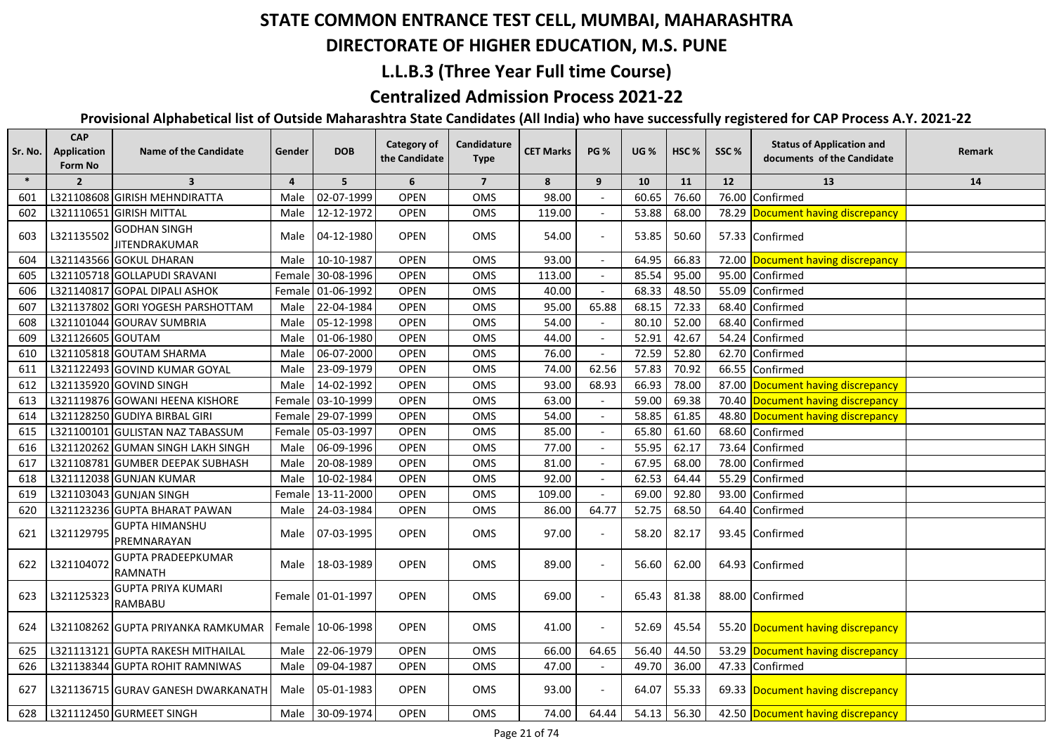## **DIRECTORATE OF HIGHER EDUCATION, M.S. PUNE**

## **L.L.B.3 (Three Year Full time Course)**

## **Centralized Admission Process 2021-22**

| Sr. No. | <b>CAP</b><br>Application<br>Form No | <b>Name of the Candidate</b>                | Gender         | <b>DOB</b>        | Category of<br>the Candidate | Candidature<br><b>Type</b> | <b>CET Marks</b> | <b>PG %</b> | <b>UG %</b> | HSC <sub>%</sub> | SSC%  | <b>Status of Application and</b><br>documents of the Candidate | Remark |
|---------|--------------------------------------|---------------------------------------------|----------------|-------------------|------------------------------|----------------------------|------------------|-------------|-------------|------------------|-------|----------------------------------------------------------------|--------|
| $\ast$  | $\overline{2}$                       | $\overline{\mathbf{3}}$                     | $\overline{a}$ | 5 <sup>1</sup>    | 6                            | $\overline{7}$             | 8                | 9           | 10          | 11               | 12    | 13                                                             | 14     |
| 601     |                                      | L321108608 GIRISH MEHNDIRATTA               | Male           | 02-07-1999        | <b>OPEN</b>                  | OMS                        | 98.00            |             | 60.65       | 76.60            | 76.00 | Confirmed                                                      |        |
| 602     |                                      | L321110651 GIRISH MITTAL                    | Male           | 12-12-1972        | <b>OPEN</b>                  | OMS                        | 119.00           |             | 53.88       | 68.00            |       | 78.29 Document having discrepancy                              |        |
| 603     | L321135502                           | <b>GODHAN SINGH</b><br><b>JITENDRAKUMAR</b> | Male I         | 04-12-1980        | <b>OPEN</b>                  | OMS                        | 54.00            |             | 53.85       | 50.60            |       | 57.33 Confirmed                                                |        |
| 604     |                                      | L321143566 GOKUL DHARAN                     | Male           | 10-10-1987        | <b>OPEN</b>                  | OMS                        | 93.00            |             | 64.95       | 66.83            |       | 72.00 Document having discrepancy                              |        |
| 605     |                                      | L321105718 GOLLAPUDI SRAVANI                |                | Female 30-08-1996 | <b>OPEN</b>                  | OMS                        | 113.00           |             | 85.54       | 95.00            |       | 95.00 Confirmed                                                |        |
| 606     |                                      | L321140817 GOPAL DIPALI ASHOK               |                | Female 01-06-1992 | <b>OPEN</b>                  | OMS                        | 40.00            |             | 68.33       | 48.50            | 55.09 | Confirmed                                                      |        |
| 607     |                                      | L321137802 GORI YOGESH PARSHOTTAM           | Male           | 22-04-1984        | <b>OPEN</b>                  | OMS                        | 95.00            | 65.88       | 68.15       | 72.33            | 68.40 | Confirmed                                                      |        |
| 608     |                                      | L321101044 GOURAV SUMBRIA                   | Male           | 05-12-1998        | <b>OPEN</b>                  | <b>OMS</b>                 | 54.00            |             | 80.10       | 52.00            |       | 68.40 Confirmed                                                |        |
| 609     | L321126605 GOUTAM                    |                                             | Male           | 01-06-1980        | <b>OPEN</b>                  | <b>OMS</b>                 | 44.00            |             | 52.91       | 42.67            | 54.24 | Confirmed                                                      |        |
| 610     |                                      | L321105818 GOUTAM SHARMA                    | Male           | 06-07-2000        | <b>OPEN</b>                  | <b>OMS</b>                 | 76.00            |             | 72.59       | 52.80            | 62.70 | Confirmed                                                      |        |
| 611     |                                      | L321122493 GOVIND KUMAR GOYAL               | Male           | 23-09-1979        | <b>OPEN</b>                  | OMS                        | 74.00            | 62.56       | 57.83       | 70.92            |       | 66.55 Confirmed                                                |        |
| 612     |                                      | L321135920 GOVIND SINGH                     | Male           | 14-02-1992        | <b>OPEN</b>                  | OMS                        | 93.00            | 68.93       | 66.93       | 78.00            |       | 87.00 Document having discrepancy                              |        |
| 613     |                                      | L321119876 GOWANI HEENA KISHORE             |                | Female 03-10-1999 | <b>OPEN</b>                  | OMS                        | 63.00            |             | 59.00       | 69.38            |       | 70.40 Document having discrepancy                              |        |
| 614     |                                      | L321128250 GUDIYA BIRBAL GIRI               |                | Female 29-07-1999 | <b>OPEN</b>                  | OMS                        | 54.00            |             | 58.85       | 61.85            | 48.80 | Document having discrepancy                                    |        |
| 615     |                                      | L321100101 GULISTAN NAZ TABASSUM            | Female         | 05-03-1997        | <b>OPEN</b>                  | OMS                        | 85.00            | $\sim$      | 65.80       | 61.60            | 68.60 | Confirmed                                                      |        |
| 616     |                                      | L321120262 GUMAN SINGH LAKH SINGH           | Male           | 06-09-1996        | <b>OPEN</b>                  | OMS                        | 77.00            |             | 55.95       | 62.17            | 73.64 | Confirmed                                                      |        |
| 617     |                                      | L321108781 GUMBER DEEPAK SUBHASH            | Male           | 20-08-1989        | <b>OPEN</b>                  | OMS                        | 81.00            |             | 67.95       | 68.00            | 78.00 | Confirmed                                                      |        |
| 618     |                                      | L321112038 GUNJAN KUMAR                     | Male           | 10-02-1984        | <b>OPEN</b>                  | <b>OMS</b>                 | 92.00            |             | 62.53       | 64.44            | 55.29 | Confirmed                                                      |        |
| 619     |                                      | L321103043 GUNJAN SINGH                     | Female         | 13-11-2000        | <b>OPEN</b>                  | OMS                        | 109.00           |             | 69.00       | 92.80            | 93.00 | Confirmed                                                      |        |
| 620     |                                      | L321123236 GUPTA BHARAT PAWAN               | Male           | 24-03-1984        | <b>OPEN</b>                  | OMS                        | 86.00            | 64.77       | 52.75       | 68.50            | 64.40 | Confirmed                                                      |        |
| 621     | L321129795                           | <b>GUPTA HIMANSHU</b><br>PREMNARAYAN        | Male           | 07-03-1995        | <b>OPEN</b>                  | OMS                        | 97.00            |             | 58.20       | 82.17            |       | 93.45 Confirmed                                                |        |
| 622     | L321104072                           | <b>GUPTA PRADEEPKUMAR</b><br><b>RAMNATH</b> | Male           | 18-03-1989        | <b>OPEN</b>                  | OMS                        | 89.00            |             | 56.60       | 62.00            |       | 64.93 Confirmed                                                |        |
| 623     | L321125323                           | <b>GUPTA PRIYA KUMARI</b><br>RAMBABU        |                | Female 01-01-1997 | <b>OPEN</b>                  | OMS                        | 69.00            |             | 65.43       | 81.38            |       | 88.00 Confirmed                                                |        |
| 624     |                                      | L321108262 GUPTA PRIYANKA RAMKUMAR          |                | Female 10-06-1998 | <b>OPEN</b>                  | <b>OMS</b>                 | 41.00            |             | 52.69       | 45.54            |       | 55.20 Document having discrepancy                              |        |
| 625     |                                      | L321113121 GUPTA RAKESH MITHAILAL           | Male           | 22-06-1979        | <b>OPEN</b>                  | <b>OMS</b>                 | 66.00            | 64.65       | 56.40       | 44.50            |       | 53.29 Document having discrepancy                              |        |
| 626     |                                      | L321138344 GUPTA ROHIT RAMNIWAS             | Male           | 09-04-1987        | <b>OPEN</b>                  | <b>OMS</b>                 | 47.00            |             | 49.70       | 36.00            |       | 47.33 Confirmed                                                |        |
| 627     |                                      | L321136715 GURAV GANESH DWARKANATH          | Male           | 05-01-1983        | <b>OPEN</b>                  | <b>OMS</b>                 | 93.00            |             | 64.07       | 55.33            |       | 69.33 Document having discrepancy                              |        |
| 628     |                                      | L321112450 GURMEET SINGH                    |                | Male 30-09-1974   | <b>OPEN</b>                  | OMS                        | 74.00            | 64.44       | 54.13       | 56.30            |       | 42.50 Document having discrepancy                              |        |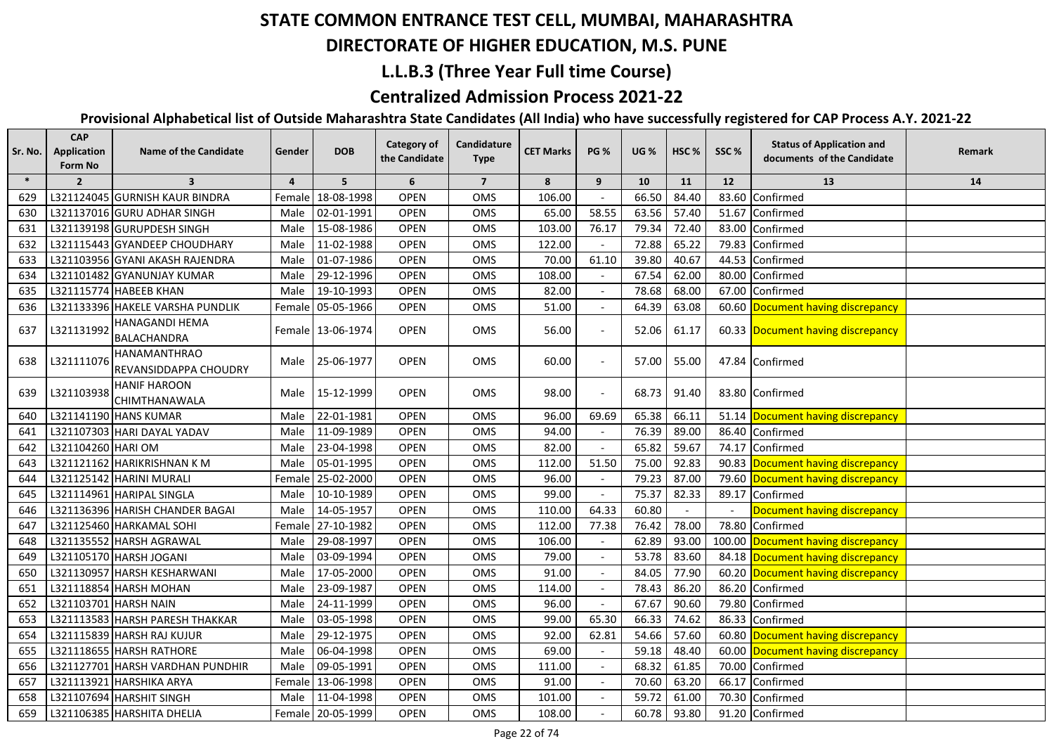#### **DIRECTORATE OF HIGHER EDUCATION, M.S. PUNE**

### **L.L.B.3 (Three Year Full time Course)**

## **Centralized Admission Process 2021-22**

| Sr. No. | <b>CAP</b><br><b>Application</b><br>Form No | <b>Name of the Candidate</b>                 | Gender         | <b>DOB</b>        | Category of<br>the Candidate | Candidature<br><b>Type</b> | <b>CET Marks</b> | <b>PG %</b>              | <b>UG %</b> | HSC <sub>%</sub> | SSC%   | <b>Status of Application and</b><br>documents of the Candidate | Remark |
|---------|---------------------------------------------|----------------------------------------------|----------------|-------------------|------------------------------|----------------------------|------------------|--------------------------|-------------|------------------|--------|----------------------------------------------------------------|--------|
| $\ast$  | $\overline{2}$                              | $\overline{\mathbf{3}}$                      | $\overline{4}$ | 5                 | 6                            | $\overline{7}$             | 8                | 9                        | 10          | 11               | 12     | 13                                                             | 14     |
| 629     |                                             | L321124045 GURNISH KAUR BINDRA               | Female         | 18-08-1998        | <b>OPEN</b>                  | OMS                        | 106.00           |                          | 66.50       | 84.40            |        | 83.60 Confirmed                                                |        |
| 630     |                                             | L321137016 GURU ADHAR SINGH                  | Male           | 02-01-1991        | <b>OPEN</b>                  | <b>OMS</b>                 | 65.00            | 58.55                    | 63.56       | 57.40            |        | 51.67 Confirmed                                                |        |
| 631     |                                             | L321139198 GURUPDESH SINGH                   | Male           | 15-08-1986        | <b>OPEN</b>                  | OMS                        | 103.00           | 76.17                    | 79.34       | 72.40            |        | 83.00 Confirmed                                                |        |
| 632     |                                             | L321115443 GYANDEEP CHOUDHARY                | Male           | 11-02-1988        | <b>OPEN</b>                  | OMS                        | 122.00           |                          | 72.88       | 65.22            | 79.83  | Confirmed                                                      |        |
| 633     |                                             | L321103956 GYANI AKASH RAJENDRA              | Male           | 01-07-1986        | <b>OPEN</b>                  | <b>OMS</b>                 | 70.00            | 61.10                    | 39.80       | 40.67            |        | 44.53 Confirmed                                                |        |
| 634     |                                             | L321101482 GYANUNJAY KUMAR                   | Male           | 29-12-1996        | <b>OPEN</b>                  | <b>OMS</b>                 | 108.00           |                          | 67.54       | 62.00            |        | 80.00 Confirmed                                                |        |
| 635     |                                             | L321115774 HABEEB KHAN                       | Male           | 19-10-1993        | <b>OPEN</b>                  | OMS                        | 82.00            |                          | 78.68       | 68.00            |        | 67.00 Confirmed                                                |        |
| 636     |                                             | L321133396 HAKELE VARSHA PUNDLIK             |                | Female 05-05-1966 | <b>OPEN</b>                  | OMS                        | 51.00            |                          | 64.39       | 63.08            |        | 60.60 Document having discrepancy                              |        |
| 637     | L321131992                                  | HANAGANDI HEMA<br><b>BALACHANDRA</b>         |                | Female 13-06-1974 | <b>OPEN</b>                  | OMS                        | 56.00            |                          | 52.06       | 61.17            |        | 60.33 Document having discrepancy                              |        |
| 638     | L321111076                                  | <b>HANAMANTHRAO</b><br>REVANSIDDAPPA CHOUDRY | Male           | 25-06-1977        | <b>OPEN</b>                  | OMS                        | 60.00            | $\overline{\phantom{a}}$ | 57.00       | 55.00            |        | 47.84 Confirmed                                                |        |
| 639     | L321103938                                  | <b>HANIF HAROON</b><br>CHIMTHANAWALA         | Male           | 15-12-1999        | <b>OPEN</b>                  | <b>OMS</b>                 | 98.00            | $\overline{\phantom{a}}$ | 68.73       | 91.40            |        | 83.80 Confirmed                                                |        |
| 640     |                                             | L321141190 HANS KUMAR                        | Male           | 22-01-1981        | <b>OPEN</b>                  | OMS                        | 96.00            | 69.69                    | 65.38       | 66.11            |        | 51.14 Document having discrepancy                              |        |
| 641     |                                             | L321107303 HARI DAYAL YADAV                  | Male           | 11-09-1989        | <b>OPEN</b>                  | <b>OMS</b>                 | 94.00            |                          | 76.39       | 89.00            |        | 86.40 Confirmed                                                |        |
| 642     | L321104260 HARI OM                          |                                              | Male           | 23-04-1998        | <b>OPEN</b>                  | OMS                        | 82.00            |                          | 65.82       | 59.67            |        | 74.17 Confirmed                                                |        |
| 643     |                                             | L321121162 HARIKRISHNAN KM                   | Male           | 05-01-1995        | <b>OPEN</b>                  | OMS                        | 112.00           | 51.50                    | 75.00       | 92.83            |        | 90.83 Document having discrepancy                              |        |
| 644     |                                             | L321125142 HARINI MURALI                     |                | Female 25-02-2000 | <b>OPEN</b>                  | OMS                        | 96.00            |                          | 79.23       | 87.00            |        | 79.60 Document having discrepancy                              |        |
| 645     |                                             | L321114961 HARIPAL SINGLA                    | Male           | 10-10-1989        | <b>OPEN</b>                  | OMS                        | 99.00            |                          | 75.37       | 82.33            | 89.17  | Confirmed                                                      |        |
| 646     |                                             | L321136396 HARISH CHANDER BAGAI              | Male           | 14-05-1957        | <b>OPEN</b>                  | <b>OMS</b>                 | 110.00           | 64.33                    | 60.80       |                  | $\sim$ | Document having discrepancy                                    |        |
| 647     |                                             | L321125460 HARKAMAL SOHI                     | Female         | 27-10-1982        | <b>OPEN</b>                  | OMS                        | 112.00           | 77.38                    | 76.42       | 78.00            | 78.80  | Confirmed                                                      |        |
| 648     |                                             | L321135552 HARSH AGRAWAL                     | Male           | 29-08-1997        | <b>OPEN</b>                  | OMS                        | 106.00           |                          | 62.89       | 93.00            |        | 100.00 Document having discrepancy                             |        |
| 649     |                                             | L321105170 HARSH JOGANI                      | Male           | 03-09-1994        | <b>OPEN</b>                  | <b>OMS</b>                 | 79.00            |                          | 53.78       | 83.60            |        | 84.18 Document having discrepancy                              |        |
| 650     |                                             | L321130957 HARSH KESHARWANI                  | Male           | 17-05-2000        | <b>OPEN</b>                  | <b>OMS</b>                 | 91.00            |                          | 84.05       | 77.90            |        | 60.20 Document having discrepancy                              |        |
| 651     |                                             | L321118854 HARSH MOHAN                       | Male           | 23-09-1987        | <b>OPEN</b>                  | OMS                        | 114.00           |                          | 78.43       | 86.20            | 86.20  | Confirmed                                                      |        |
| 652     | L321103701 HARSH NAIN                       |                                              | Male           | 24-11-1999        | <b>OPEN</b>                  | OMS                        | 96.00            |                          | 67.67       | 90.60            | 79.80  | Confirmed                                                      |        |
| 653     |                                             | L321113583 HARSH PARESH THAKKAR              | Male           | 03-05-1998        | <b>OPEN</b>                  | <b>OMS</b>                 | 99.00            | 65.30                    | 66.33       | 74.62            | 86.33  | Confirmed                                                      |        |
| 654     |                                             | L321115839 HARSH RAJ KUJUR                   | Male           | 29-12-1975        | <b>OPEN</b>                  | OMS                        | 92.00            | 62.81                    | 54.66       | 57.60            |        | 60.80 Document having discrepancy                              |        |
| 655     |                                             | L321118655 HARSH RATHORE                     | Male           | 06-04-1998        | <b>OPEN</b>                  | OMS                        | 69.00            |                          | 59.18       | 48.40            |        | 60.00 Document having discrepancy                              |        |
| 656     |                                             | L321127701 HARSH VARDHAN PUNDHIR             | Male           | 09-05-1991        | <b>OPEN</b>                  | OMS                        | 111.00           |                          | 68.32       | 61.85            |        | 70.00 Confirmed                                                |        |
| 657     |                                             | L321113921 HARSHIKA ARYA                     |                | Female 13-06-1998 | <b>OPEN</b>                  | OMS                        | 91.00            |                          | 70.60       | 63.20            |        | 66.17 Confirmed                                                |        |
| 658     |                                             | L321107694 HARSHIT SINGH                     | Male           | 11-04-1998        | <b>OPEN</b>                  | OMS                        | 101.00           |                          | 59.72       | 61.00            |        | 70.30 Confirmed                                                |        |
| 659     |                                             | L321106385 HARSHITA DHELIA                   |                | Female 20-05-1999 | <b>OPEN</b>                  | OMS                        | 108.00           |                          | 60.78       | 93.80            |        | 91.20 Confirmed                                                |        |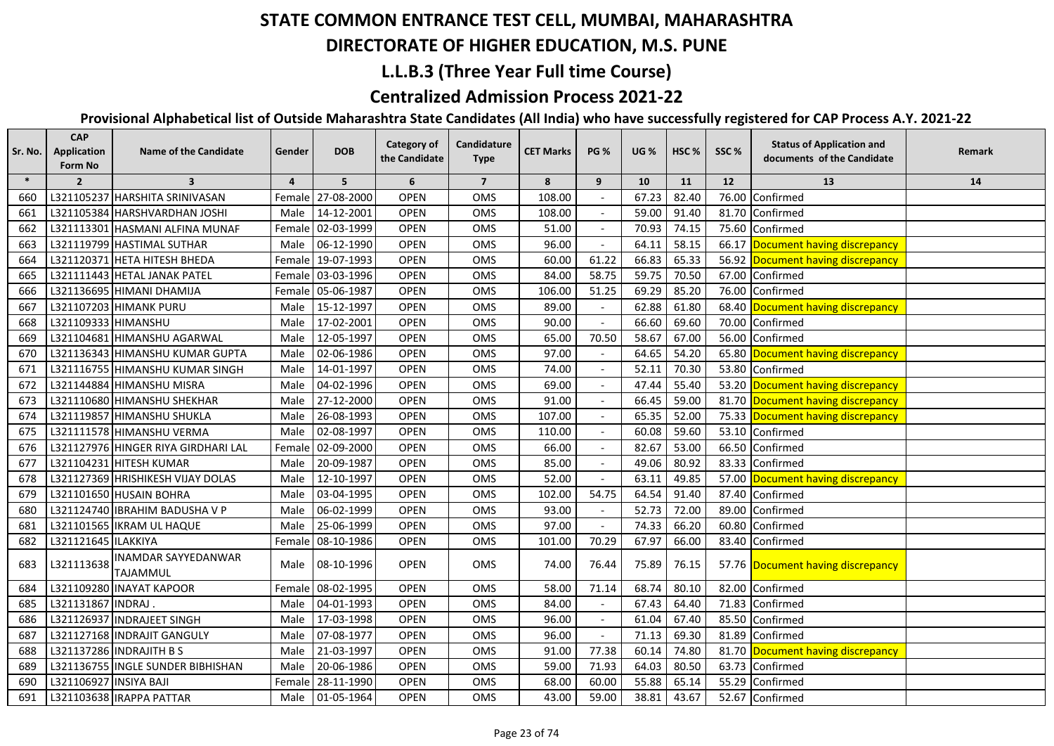## **DIRECTORATE OF HIGHER EDUCATION, M.S. PUNE**

## **L.L.B.3 (Three Year Full time Course)**

## **Centralized Admission Process 2021-22**

| Sr. No. | <b>CAP</b><br>Application<br><b>Form No</b> | <b>Name of the Candidate</b>           | Gender   | <b>DOB</b>        | <b>Category of</b><br>the Candidate | Candidature<br><b>Type</b> | <b>CET Marks</b> | <b>PG %</b> | <b>UG %</b> | HSC <sub>%</sub> | SSC%  | <b>Status of Application and</b><br>documents of the Candidate | Remark |
|---------|---------------------------------------------|----------------------------------------|----------|-------------------|-------------------------------------|----------------------------|------------------|-------------|-------------|------------------|-------|----------------------------------------------------------------|--------|
| $\ast$  | $\overline{2}$                              | 3                                      | 4        | 5                 | 6                                   | $\overline{7}$             | 8                | 9           | 10          | 11               | 12    | 13                                                             | 14     |
| 660     |                                             | L321105237 HARSHITA SRINIVASAN         |          | Female 27-08-2000 | <b>OPEN</b>                         | <b>OMS</b>                 | 108.00           |             | 67.23       | 82.40            | 76.00 | Confirmed                                                      |        |
| 661     |                                             | L321105384 HARSHVARDHAN JOSHI          | Male     | 14-12-2001        | <b>OPEN</b>                         | OMS                        | 108.00           |             | 59.00       | 91.40            | 81.70 | Confirmed                                                      |        |
| 662     |                                             | L321113301 HASMANI ALFINA MUNAF        | Female   | 02-03-1999        | <b>OPEN</b>                         | OMS                        | 51.00            |             | 70.93       | 74.15            |       | 75.60 Confirmed                                                |        |
| 663     |                                             | L321119799 HASTIMAL SUTHAR             | Male     | 06-12-1990        | <b>OPEN</b>                         | <b>OMS</b>                 | 96.00            |             | 64.11       | 58.15            |       | 66.17 Document having discrepancy                              |        |
| 664     |                                             | L321120371 HETA HITESH BHEDA           |          | Female 19-07-1993 | <b>OPEN</b>                         | OMS                        | 60.00            | 61.22       | 66.83       | 65.33            |       | 56.92 Document having discrepancy                              |        |
| 665     |                                             | L321111443 HETAL JANAK PATEL           | Female I | 03-03-1996        | <b>OPEN</b>                         | OMS                        | 84.00            | 58.75       | 59.75       | 70.50            |       | 67.00 Confirmed                                                |        |
| 666     |                                             | L321136695 HIMANI DHAMIJA              | Female I | 05-06-1987        | OPEN                                | OMS                        | 106.00           | 51.25       | 69.29       | 85.20            | 76.00 | Confirmed                                                      |        |
| 667     |                                             | L321107203 HIMANK PURU                 | Male     | 15-12-1997        | OPEN                                | OMS                        | 89.00            |             | 62.88       | 61.80            | 68.40 | Document having discrepancy                                    |        |
| 668     | L321109333 HIMANSHU                         |                                        | Male     | 17-02-2001        | <b>OPEN</b>                         | OMS                        | 90.00            |             | 66.60       | 69.60            | 70.00 | Confirmed                                                      |        |
| 669     |                                             | L321104681 HIMANSHU AGARWAL            | Male     | 12-05-1997        | <b>OPEN</b>                         | OMS                        | 65.00            | 70.50       | 58.67       | 67.00            | 56.00 | Confirmed                                                      |        |
| 670     |                                             | L321136343 HIMANSHU KUMAR GUPTA        | Male     | 02-06-1986        | <b>OPEN</b>                         | OMS                        | 97.00            |             | 64.65       | 54.20            | 65.80 | Document having discrepancy                                    |        |
| 671     |                                             | L321116755 HIMANSHU KUMAR SINGH        | Male     | 14-01-1997        | <b>OPEN</b>                         | OMS                        | 74.00            |             | 52.11       | 70.30            | 53.80 | Confirmed                                                      |        |
| 672     |                                             | L321144884 HIMANSHU MISRA              | Male     | 04-02-1996        | OPEN                                | OMS                        | 69.00            |             | 47.44       | 55.40            | 53.20 | Document having discrepancy                                    |        |
| 673     |                                             | L321110680 HIMANSHU SHEKHAR            | Male     | 27-12-2000        | OPEN                                | OMS                        | 91.00            |             | 66.45       | 59.00            |       | 81.70 Document having discrepancy                              |        |
| 674     |                                             | L321119857 HIMANSHU SHUKLA             | Male     | 26-08-1993        | <b>OPEN</b>                         | OMS                        | 107.00           |             | 65.35       | 52.00            |       | 75.33 Document having discrepancy                              |        |
| 675     |                                             | L321111578 HIMANSHU VERMA              | Male     | 02-08-1997        | <b>OPEN</b>                         | OMS                        | 110.00           |             | 60.08       | 59.60            | 53.10 | Confirmed                                                      |        |
| 676     |                                             | L321127976 HINGER RIYA GIRDHARI LAL    |          | Female 02-09-2000 | <b>OPEN</b>                         | OMS                        | 66.00            |             | 82.67       | 53.00            | 66.50 | Confirmed                                                      |        |
| 677     |                                             | L321104231 HITESH KUMAR                | Male     | 20-09-1987        | <b>OPEN</b>                         | OMS                        | 85.00            |             | 49.06       | 80.92            | 83.33 | Confirmed                                                      |        |
| 678     |                                             | L321127369 HRISHIKESH VIJAY DOLAS      | Male     | 12-10-1997        | <b>OPEN</b>                         | OMS                        | 52.00            |             | 63.11       | 49.85            |       | 57.00 Document having discrepancy                              |        |
| 679     |                                             | L321101650 HUSAIN BOHRA                | Male     | 03-04-1995        | <b>OPEN</b>                         | <b>OMS</b>                 | 102.00           | 54.75       | 64.54       | 91.40            | 87.40 | Confirmed                                                      |        |
| 680     |                                             | L321124740 IBRAHIM BADUSHA V P         | Male     | 06-02-1999        | <b>OPEN</b>                         | OMS                        | 93.00            |             | 52.73       | 72.00            | 89.00 | Confirmed                                                      |        |
| 681     |                                             | L321101565 IKRAM UL HAQUE              | Male     | 25-06-1999        | <b>OPEN</b>                         | OMS                        | 97.00            |             | 74.33       | 66.20            | 60.80 | Confirmed                                                      |        |
| 682     | L321121645 ILAKKIYA                         |                                        |          | Female 08-10-1986 | <b>OPEN</b>                         | OMS                        | 101.00           | 70.29       | 67.97       | 66.00            | 83.40 | Confirmed                                                      |        |
| 683     | L321113638                                  | <b>INAMDAR SAYYEDANWAR</b><br>TAJAMMUL | Male     | 08-10-1996        | <b>OPEN</b>                         | <b>OMS</b>                 | 74.00            | 76.44       | 75.89       | 76.15            |       | 57.76 Document having discrepancy                              |        |
| 684     |                                             | L321109280 INAYAT KAPOOR               |          | Female 08-02-1995 | OPEN                                | OMS                        | 58.00            | 71.14       | 68.74       | 80.10            | 82.00 | Confirmed                                                      |        |
| 685     | L321131867 INDRAJ                           |                                        | Male     | 04-01-1993        | <b>OPEN</b>                         | OMS                        | 84.00            |             | 67.43       | 64.40            | 71.83 | Confirmed                                                      |        |
| 686     |                                             | L321126937 INDRAJEET SINGH             | Male     | 17-03-1998        | <b>OPEN</b>                         | OMS                        | 96.00            |             | 61.04       | 67.40            | 85.50 | Confirmed                                                      |        |
| 687     |                                             | L321127168 INDRAJIT GANGULY            | Male     | 07-08-1977        | OPEN                                | OMS                        | 96.00            |             | 71.13       | 69.30            | 81.89 | Confirmed                                                      |        |
| 688     |                                             | L321137286 INDRAJITH B S               | Male     | 21-03-1997        | OPEN                                | OMS                        | 91.00            | 77.38       | 60.14       | 74.80            | 81.70 | Document having discrepancy                                    |        |
| 689     |                                             | L321136755 INGLE SUNDER BIBHISHAN      | Male     | 20-06-1986        | <b>OPEN</b>                         | OMS                        | 59.00            | 71.93       | 64.03       | 80.50            | 63.73 | Confirmed                                                      |        |
| 690     | L321106927 INSIYA BAJI                      |                                        | Female   | 28-11-1990        | <b>OPEN</b>                         | OMS                        | 68.00            | 60.00       | 55.88       | 65.14            | 55.29 | Confirmed                                                      |        |
| 691     |                                             | L321103638 IRAPPA PATTAR               | Male     | 01-05-1964        | <b>OPEN</b>                         | <b>OMS</b>                 | 43.00            | 59.00       | 38.81       | 43.67            |       | 52.67 Confirmed                                                |        |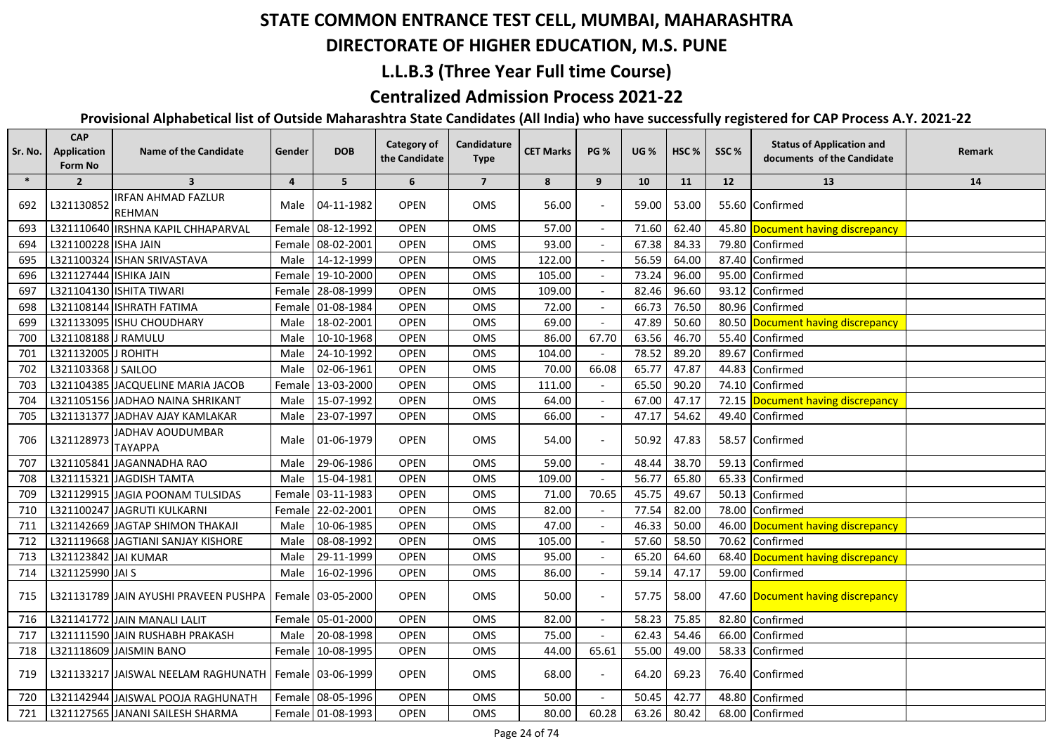## **DIRECTORATE OF HIGHER EDUCATION, M.S. PUNE**

## **L.L.B.3 (Three Year Full time Course)**

### **Centralized Admission Process 2021-22**

| Sr. No. | <b>CAP</b><br>Application<br>Form No | <b>Name of the Candidate</b>                            | Gender | <b>DOB</b>        | <b>Category of</b><br>the Candidate | Candidature<br><b>Type</b> | <b>CET Marks</b> | <b>PG %</b> | <b>UG %</b> | HSC <sub>%</sub> | SSC%  | <b>Status of Application and</b><br>documents of the Candidate | Remark |
|---------|--------------------------------------|---------------------------------------------------------|--------|-------------------|-------------------------------------|----------------------------|------------------|-------------|-------------|------------------|-------|----------------------------------------------------------------|--------|
| $\ast$  | $\overline{2}$                       | $\overline{\mathbf{3}}$                                 | 4      | 5                 | 6                                   | $\overline{7}$             | 8                | 9           | 10          | 11               | 12    | 13                                                             | 14     |
| 692     | L321130852                           | <b>IRFAN AHMAD FAZLUR</b><br><b>REHMAN</b>              | Male   | 04-11-1982        | <b>OPEN</b>                         | OMS                        | 56.00            |             | 59.00       | 53.00            |       | 55.60 Confirmed                                                |        |
| 693     |                                      | L321110640 IRSHNA KAPIL CHHAPARVAL                      |        | Female 08-12-1992 | OPEN                                | OMS                        | 57.00            |             | 71.60       | 62.40            |       | 45.80 Document having discrepancy                              |        |
| 694     | L321100228 ISHA JAIN                 |                                                         |        | Female 08-02-2001 | <b>OPEN</b>                         | OMS                        | 93.00            |             | 67.38       | 84.33            | 79.80 | Confirmed                                                      |        |
| 695     |                                      | L321100324 ISHAN SRIVASTAVA                             | Male   | 14-12-1999        | <b>OPEN</b>                         | OMS                        | 122.00           |             | 56.59       | 64.00            | 87.40 | Confirmed                                                      |        |
| 696     | L321127444 ISHIKA JAIN               |                                                         |        | Female 19-10-2000 | OPEN                                | OMS                        | 105.00           |             | 73.24       | 96.00            | 95.00 | Confirmed                                                      |        |
| 697     |                                      | L321104130 ISHITA TIWARI                                |        | Female 28-08-1999 | <b>OPEN</b>                         | OMS                        | 109.00           |             | 82.46       | 96.60            | 93.12 | Confirmed                                                      |        |
| 698     |                                      | L321108144 ISHRATH FATIMA                               |        | Female 01-08-1984 | OPEN                                | OMS                        | 72.00            |             | 66.73       | 76.50            | 80.96 | Confirmed                                                      |        |
| 699     |                                      | L321133095 ISHU CHOUDHARY                               | Male   | 18-02-2001        | <b>OPEN</b>                         | OMS                        | 69.00            |             | 47.89       | 50.60            |       | 80.50 Document having discrepancy                              |        |
| 700     | L321108188 J RAMULU                  |                                                         | Male   | 10-10-1968        | <b>OPEN</b>                         | OMS                        | 86.00            | 67.70       | 63.56       | 46.70            | 55.40 | Confirmed                                                      |        |
| 701     | L321132005 J ROHITH                  |                                                         | Male   | 24-10-1992        | <b>OPEN</b>                         | OMS                        | 104.00           |             | 78.52       | 89.20            | 89.67 | Confirmed                                                      |        |
| 702     | L321103368 J SAILOO                  |                                                         | Male   | 02-06-1961        | <b>OPEN</b>                         | OMS                        | 70.00            | 66.08       | 65.77       | 47.87            | 44.83 | Confirmed                                                      |        |
| 703     |                                      | L321104385 JACQUELINE MARIA JACOB                       |        | Female 13-03-2000 | <b>OPEN</b>                         | <b>OMS</b>                 | 111.00           |             | 65.50       | 90.20            | 74.10 | Confirmed                                                      |        |
| 704     |                                      | L321105156 JADHAO NAINA SHRIKANT                        |        | Male 15-07-1992   | <b>OPEN</b>                         | OMS                        | 64.00            |             | 67.00       | 47.17            | 72.15 | Document having discrepancy                                    |        |
| 705     |                                      | L321131377 JADHAV AJAY KAMLAKAR                         |        | Male 23-07-1997   | <b>OPEN</b>                         | OMS                        | 66.00            | $\sim$      | 47.17       | 54.62            |       | 49.40 Confirmed                                                |        |
| 706     | L321128973                           | JADHAV AOUDUMBAR<br>ΤΑΥΑΡΡΑ                             |        | Male 01-06-1979   | <b>OPEN</b>                         | OMS                        | 54.00            |             | 50.92       | 47.83            |       | 58.57 Confirmed                                                |        |
| 707     |                                      | L321105841 JAGANNADHA RAO                               | Male   | 29-06-1986        | OPEN                                | OMS                        | 59.00            |             | 48.44       | 38.70            | 59.13 | Confirmed                                                      |        |
| 708     |                                      | L321115321 JAGDISH TAMTA                                | Male   | 15-04-1981        | OPEN                                | OMS                        | 109.00           |             | 56.77       | 65.80            | 65.33 | Confirmed                                                      |        |
| 709     |                                      | L321129915 JAGIA POONAM TULSIDAS                        | Female | 03-11-1983        | <b>OPEN</b>                         | OMS                        | 71.00            | 70.65       | 45.75       | 49.67            | 50.13 | Confirmed                                                      |        |
| 710     |                                      | L321100247 JAGRUTI KULKARNI                             | Female | 22-02-2001        | OPEN                                | OMS                        | 82.00            |             | 77.54       | 82.00            | 78.00 | Confirmed                                                      |        |
| 711     |                                      | L321142669 JAGTAP SHIMON THAKAJI                        | Male   | 10-06-1985        | OPEN                                | OMS                        | 47.00            |             | 46.33       | 50.00            | 46.00 | Document having discrepancy                                    |        |
| 712     |                                      | L321119668 JAGTIANI SANJAY KISHORE                      | Male   | 08-08-1992        | <b>OPEN</b>                         | OMS                        | 105.00           |             | 57.60       | 58.50            | 70.62 | Confirmed                                                      |        |
| 713     | L321123842 JAI KUMAR                 |                                                         | Male   | 29-11-1999        | <b>OPEN</b>                         | OMS                        | 95.00            |             | 65.20       | 64.60            | 68.40 | Document having discrepancy                                    |        |
| 714     | L321125990 JAI S                     |                                                         | Male   | 16-02-1996        | OPEN                                | OMS                        | 86.00            |             | 59.14       | 47.17            |       | 59.00 Confirmed                                                |        |
| 715     |                                      | L321131789 IJAIN AYUSHI PRAVEEN PUSHPA                  |        | Female 03-05-2000 | <b>OPEN</b>                         | <b>OMS</b>                 | 50.00            |             | 57.75       | 58.00            |       | 47.60 Document having discrepancy                              |        |
| 716     |                                      | L321141772 JAIN MANALI LALIT                            |        | Female 05-01-2000 | OPEN                                | OMS                        | 82.00            |             | 58.23       | 75.85            | 82.80 | Confirmed                                                      |        |
| 717     |                                      | L321111590 JAIN RUSHABH PRAKASH                         | Male   | 20-08-1998        | <b>OPEN</b>                         | OMS                        | 75.00            | $\sim$      | 62.43       | 54.46            | 66.00 | Confirmed                                                      |        |
| 718     |                                      | L321118609 JAISMIN BANO                                 |        | Female 10-08-1995 | OPEN                                | OMS                        | 44.00            | 65.61       | 55.00       | 49.00            |       | 58.33 Confirmed                                                |        |
| 719     |                                      | L321133217 JAISWAL NEELAM RAGHUNATH   Female 03-06-1999 |        |                   | <b>OPEN</b>                         | OMS                        | 68.00            |             | 64.20       | 69.23            |       | 76.40 Confirmed                                                |        |
| 720     |                                      | L321142944 JAISWAL POOJA RAGHUNATH                      |        | Female 08-05-1996 | <b>OPEN</b>                         | OMS                        | 50.00            |             | 50.45       | 42.77            | 48.80 | Confirmed                                                      |        |
| 721     |                                      | L321127565 JANANI SAILESH SHARMA                        |        | Female 01-08-1993 | <b>OPEN</b>                         | OMS                        | 80.00            | 60.28       | 63.26       | 80.42            |       | 68.00 Confirmed                                                |        |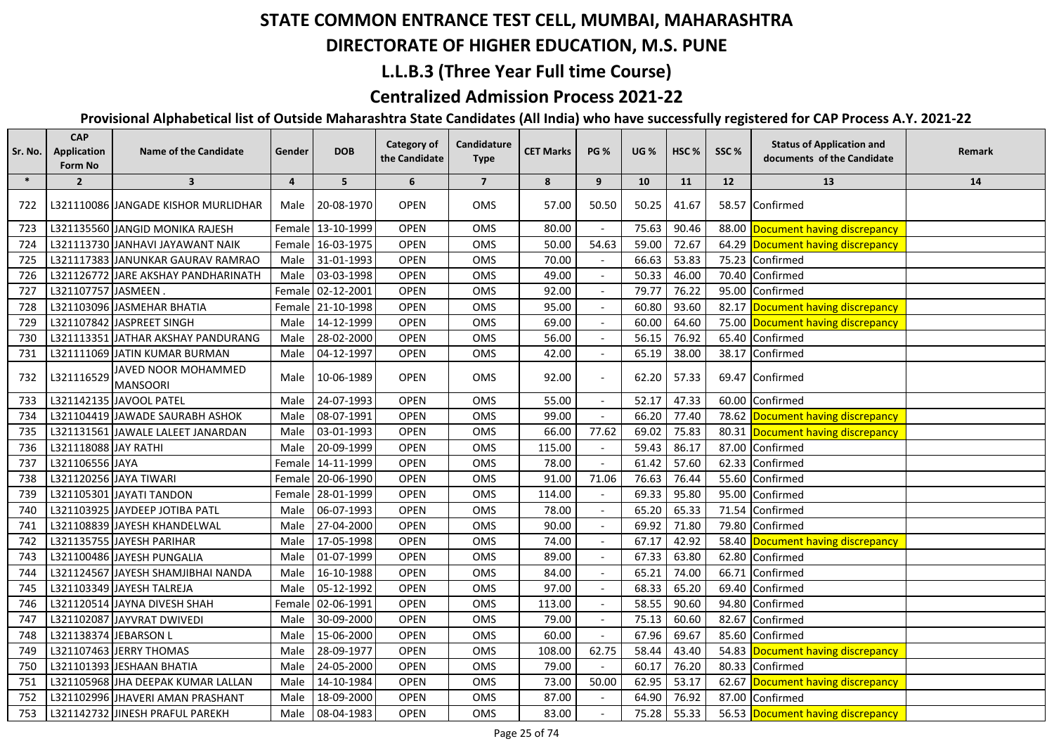## **DIRECTORATE OF HIGHER EDUCATION, M.S. PUNE**

## **L.L.B.3 (Three Year Full time Course)**

### **Centralized Admission Process 2021-22**

| Sr. No. | <b>CAP</b><br><b>Application</b><br>Form No | <b>Name of the Candidate</b>           | Gender | <b>DOB</b>        | <b>Category of</b><br>the Candidate | Candidature<br><b>Type</b> | <b>CET Marks</b> | <b>PG %</b> | <b>UG %</b> | HSC <sub>%</sub> | SSC%  | <b>Status of Application and</b><br>documents of the Candidate | Remark |
|---------|---------------------------------------------|----------------------------------------|--------|-------------------|-------------------------------------|----------------------------|------------------|-------------|-------------|------------------|-------|----------------------------------------------------------------|--------|
| $\ast$  | $\overline{2}$                              | $\overline{\mathbf{3}}$                | 4      | 5                 | 6                                   | $\overline{7}$             | 8                | 9           | 10          | 11               | 12    | 13                                                             | 14     |
| 722     |                                             | L321110086 JANGADE KISHOR MURLIDHAR    | Male   | 20-08-1970        | <b>OPEN</b>                         | OMS                        | 57.00            | 50.50       | 50.25       | 41.67            |       | 58.57 Confirmed                                                |        |
| 723     |                                             | L321135560 JANGID MONIKA RAJESH        |        | Female 13-10-1999 | <b>OPEN</b>                         | OMS                        | 80.00            |             | 75.63       | 90.46            |       | 88.00 Document having discrepancy                              |        |
| 724     |                                             | L321113730 JANHAVI JAYAWANT NAIK       |        | Female 16-03-1975 | <b>OPEN</b>                         | OMS                        | 50.00            | 54.63       | 59.00       | 72.67            |       | 64.29 Document having discrepancy                              |        |
| 725     |                                             | L321117383 JANUNKAR GAURAV RAMRAO      | Male   | 31-01-1993        | <b>OPEN</b>                         | <b>OMS</b>                 | 70.00            |             | 66.63       | 53.83            | 75.23 | Confirmed                                                      |        |
| 726     |                                             | L321126772 JARE AKSHAY PANDHARINATH    | Male   | 03-03-1998        | <b>OPEN</b>                         | OMS                        | 49.00            |             | 50.33       | 46.00            | 70.40 | Confirmed                                                      |        |
| 727     | L321107757 JASMEEN.                         |                                        |        | Female 02-12-2001 | <b>OPEN</b>                         | <b>OMS</b>                 | 92.00            |             | 79.77       | 76.22            | 95.00 | Confirmed                                                      |        |
| 728     |                                             | L321103096 JASMEHAR BHATIA             |        | Female 21-10-1998 | <b>OPEN</b>                         | OMS                        | 95.00            |             | 60.80       | 93.60            |       | 82.17 Document having discrepancy                              |        |
| 729     |                                             | L321107842 JASPREET SINGH              | Male   | 14-12-1999        | <b>OPEN</b>                         | OMS                        | 69.00            |             | 60.00       | 64.60            |       | 75.00 Document having discrepancy                              |        |
| 730     |                                             | L321113351 JATHAR AKSHAY PANDURANG     | Male   | 28-02-2000        | <b>OPEN</b>                         | OMS                        | 56.00            |             | 56.15       | 76.92            | 65.40 | Confirmed                                                      |        |
| 731     |                                             | L321111069 JATIN KUMAR BURMAN          | Male   | 04-12-1997        | <b>OPEN</b>                         | OMS                        | 42.00            |             | 65.19       | 38.00            | 38.17 | Confirmed                                                      |        |
| 732     | L321116529                                  | JAVED NOOR MOHAMMED<br><b>MANSOORI</b> | Male   | 10-06-1989        | <b>OPEN</b>                         | OMS                        | 92.00            |             | 62.20       | 57.33            |       | 69.47 Confirmed                                                |        |
| 733     |                                             | L321142135 JAVOOL PATEL                | Male   | 24-07-1993        | <b>OPEN</b>                         | OMS                        | 55.00            |             | 52.17       | 47.33            |       | 60.00 Confirmed                                                |        |
| 734     |                                             | L321104419 JAWADE SAURABH ASHOK        | Male   | 08-07-1991        | <b>OPEN</b>                         | OMS                        | 99.00            |             | 66.20       | 77.40            |       | 78.62 Document having discrepancy                              |        |
| 735     |                                             | L321131561 JAWALE LALEET JANARDAN      | Male   | 03-01-1993        | <b>OPEN</b>                         | OMS                        | 66.00            | 77.62       | 69.02       | 75.83            |       | 80.31 Document having discrepancy                              |        |
| 736     | L321118088 JAY RATHI                        |                                        | Male   | 20-09-1999        | <b>OPEN</b>                         | OMS                        | 115.00           |             | 59.43       | 86.17            |       | 87.00 Confirmed                                                |        |
| 737     | L321106556 JAYA                             |                                        |        | Female 14-11-1999 | <b>OPEN</b>                         | OMS                        | 78.00            |             | 61.42       | 57.60            | 62.33 | Confirmed                                                      |        |
| 738     |                                             | L321120256 JAYA TIWARI                 |        | Female 20-06-1990 | <b>OPEN</b>                         | OMS                        | 91.00            | 71.06       | 76.63       | 76.44            | 55.60 | Confirmed                                                      |        |
| 739     |                                             | L321105301 JAYATI TANDON               |        | Female 28-01-1999 | <b>OPEN</b>                         | OMS                        | 114.00           |             | 69.33       | 95.80            | 95.00 | Confirmed                                                      |        |
| 740     |                                             | L321103925 JAYDEEP JOTIBA PATL         | Male   | 06-07-1993        | <b>OPEN</b>                         | OMS                        | 78.00            |             | 65.20       | 65.33            | 71.54 | Confirmed                                                      |        |
| 741     |                                             | L321108839 JAYESH KHANDELWAL           | Male   | 27-04-2000        | <b>OPEN</b>                         | OMS                        | 90.00            |             | 69.92       | 71.80            | 79.80 | Confirmed                                                      |        |
| 742     |                                             | L321135755 JAYESH PARIHAR              | Male   | 17-05-1998        | <b>OPEN</b>                         | OMS                        | 74.00            |             | 67.17       | 42.92            | 58.40 | Document having discrepancy                                    |        |
| 743     |                                             | L321100486 JAYESH PUNGALIA             | Male   | 01-07-1999        | <b>OPEN</b>                         | OMS                        | 89.00            |             | 67.33       | 63.80            | 62.80 | Confirmed                                                      |        |
| 744     |                                             | L321124567 JAYESH SHAMJIBHAI NANDA     | Male   | 16-10-1988        | <b>OPEN</b>                         | OMS                        | 84.00            |             | 65.21       | 74.00            | 66.71 | Confirmed                                                      |        |
| 745     |                                             | L321103349 JAYESH TALREJA              | Male   | 05-12-1992        | <b>OPEN</b>                         | OMS                        | 97.00            |             | 68.33       | 65.20            | 69.40 | Confirmed                                                      |        |
| 746     |                                             | L321120514 JAYNA DIVESH SHAH           | Female | 02-06-1991        | <b>OPEN</b>                         | OMS                        | 113.00           |             | 58.55       | 90.60            | 94.80 | Confirmed                                                      |        |
| 747     |                                             | L321102087 JAYVRAT DWIVEDI             | Male   | 30-09-2000        | <b>OPEN</b>                         | OMS                        | 79.00            |             | 75.13       | 60.60            | 82.67 | Confirmed                                                      |        |
| 748     | L321138374 JEBARSON L                       |                                        | Male   | 15-06-2000        | <b>OPEN</b>                         | OMS                        | 60.00            | $\sim$      | 67.96       | 69.67            | 85.60 | Confirmed                                                      |        |
| 749     |                                             | L321107463 JERRY THOMAS                | Male   | 28-09-1977        | OPEN                                | OMS                        | 108.00           | 62.75       | 58.44       | 43.40            | 54.83 | Document having discrepancy                                    |        |
| 750     |                                             | L321101393 JESHAAN BHATIA              | Male   | 24-05-2000        | <b>OPEN</b>                         | OMS                        | 79.00            |             | 60.17       | 76.20            | 80.33 | Confirmed                                                      |        |
| 751     |                                             | L321105968 JHA DEEPAK KUMAR LALLAN     | Male   | 14-10-1984        | <b>OPEN</b>                         | OMS                        | 73.00            | 50.00       | 62.95       | 53.17            |       | 62.67 Document having discrepancy                              |        |
| 752     |                                             | L321102996 JHAVERI AMAN PRASHANT       | Male   | 18-09-2000        | <b>OPEN</b>                         | OMS                        | 87.00            |             | 64.90       | 76.92            |       | 87.00 Confirmed                                                |        |
| 753     |                                             | L321142732 JINESH PRAFUL PAREKH        | Male   | 08-04-1983        | <b>OPEN</b>                         | OMS                        | 83.00            |             | 75.28       | 55.33            |       | 56.53 Document having discrepancy                              |        |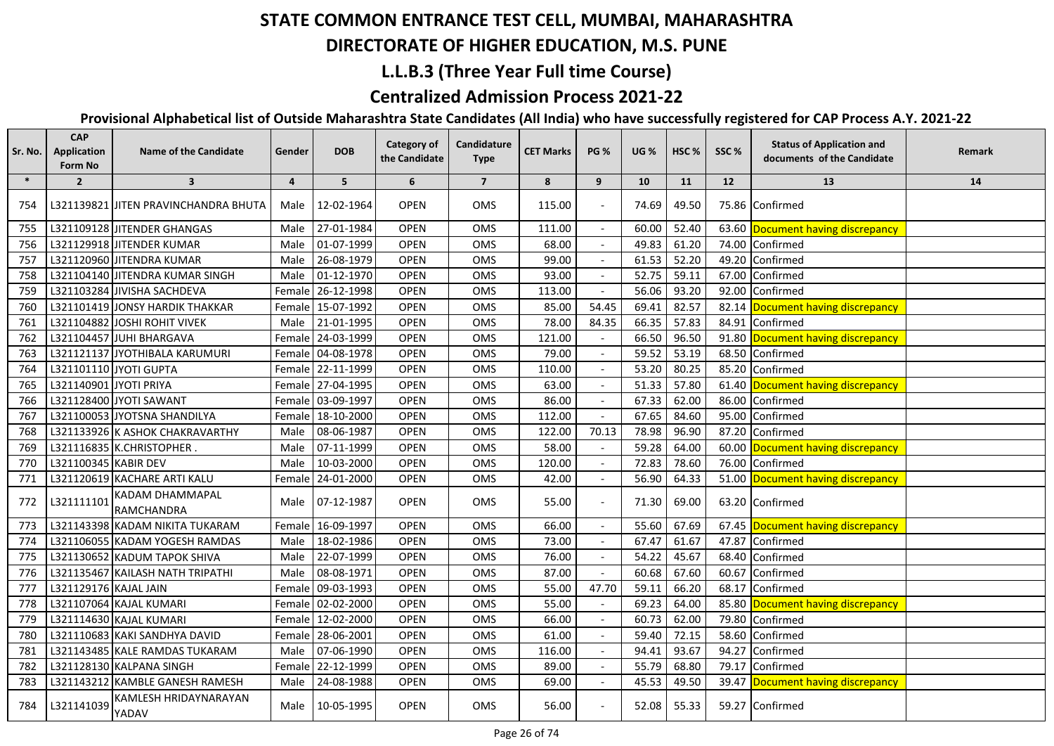## **DIRECTORATE OF HIGHER EDUCATION, M.S. PUNE**

## **L.L.B.3 (Three Year Full time Course)**

## **Centralized Admission Process 2021-22**

| Sr. No. | <b>CAP</b><br><b>Application</b><br><b>Form No</b> | <b>Name of the Candidate</b>          | Gender  | <b>DOB</b>        | Category of<br>the Candidate | Candidature<br><b>Type</b> | <b>CET Marks</b> | <b>PG %</b>              | <b>UG %</b> | HSC <sub>%</sub> | SSC%  | <b>Status of Application and</b><br>documents of the Candidate | <b>Remark</b> |
|---------|----------------------------------------------------|---------------------------------------|---------|-------------------|------------------------------|----------------------------|------------------|--------------------------|-------------|------------------|-------|----------------------------------------------------------------|---------------|
| $\ast$  | $\overline{2}$                                     | $\overline{\mathbf{3}}$               | 4       | 5                 | 6                            | $\overline{7}$             | 8                | 9                        | 10          | 11               | 12    | 13                                                             | 14            |
| 754     |                                                    | L321139821 JJITEN PRAVINCHANDRA BHUTA | Male    | 12-02-1964        | <b>OPEN</b>                  | <b>OMS</b>                 | 115.00           |                          | 74.69       | 49.50            |       | 75.86 Confirmed                                                |               |
| 755     |                                                    | L321109128 JITENDER GHANGAS           | Male    | 27-01-1984        | <b>OPEN</b>                  | OMS                        | 111.00           |                          | 60.00       | 52.40            |       | 63.60 Document having discrepancy                              |               |
| 756     |                                                    | L321129918 JITENDER KUMAR             | Male    | 01-07-1999        | <b>OPEN</b>                  | <b>OMS</b>                 | 68.00            |                          | 49.83       | 61.20            | 74.00 | Confirmed                                                      |               |
| 757     |                                                    | L321120960 JITENDRA KUMAR             | Male    | 26-08-1979        | <b>OPEN</b>                  | <b>OMS</b>                 | 99.00            |                          | 61.53       | 52.20            | 49.20 | Confirmed                                                      |               |
| 758     |                                                    | L321104140 JITENDRA KUMAR SINGH       | Male    | 01-12-1970        | <b>OPEN</b>                  | OMS                        | 93.00            |                          | 52.75       | 59.11            | 67.00 | Confirmed                                                      |               |
| 759     |                                                    | L321103284 JIVISHA SACHDEVA           |         | Female 26-12-1998 | <b>OPEN</b>                  | <b>OMS</b>                 | 113.00           |                          | 56.06       | 93.20            | 92.00 | Confirmed                                                      |               |
| 760     |                                                    | L321101419 JONSY HARDIK THAKKAR       |         | Female 15-07-1992 | <b>OPEN</b>                  | <b>OMS</b>                 | 85.00            | 54.45                    | 69.41       | 82.57            |       | 82.14 Document having discrepancy                              |               |
| 761     |                                                    | L321104882 JOSHI ROHIT VIVEK          | Male    | 21-01-1995        | <b>OPEN</b>                  | OMS                        | 78.00            | 84.35                    | 66.35       | 57.83            | 84.91 | Confirmed                                                      |               |
| 762     |                                                    | L321104457 JUHI BHARGAVA              |         | Female 24-03-1999 | OPEN                         | OMS                        | 121.00           |                          | 66.50       | 96.50            |       | 91.80 Document having discrepancy                              |               |
| 763     |                                                    | L321121137 JYOTHIBALA KARUMURI        |         | Female 04-08-1978 | <b>OPEN</b>                  | <b>OMS</b>                 | 79.00            |                          | 59.52       | 53.19            | 68.50 | Confirmed                                                      |               |
| 764     |                                                    | L321101110 JYOTI GUPTA                |         | Female 22-11-1999 | <b>OPEN</b>                  | <b>OMS</b>                 | 110.00           |                          | 53.20       | 80.25            |       | 85.20 Confirmed                                                |               |
| 765     | L321140901 JYOTI PRIYA                             |                                       |         | Female 27-04-1995 | <b>OPEN</b>                  | OMS                        | 63.00            |                          | 51.33       | 57.80            |       | 61.40 Document having discrepancy                              |               |
| 766     |                                                    | L321128400 JYOTI SAWANT               |         | Female 03-09-1997 | <b>OPEN</b>                  | OMS                        | 86.00            |                          | 67.33       | 62.00            | 86.00 | Confirmed                                                      |               |
| 767     |                                                    | L321100053 JYOTSNA SHANDILYA          |         | Female 18-10-2000 | <b>OPEN</b>                  | OMS                        | 112.00           |                          | 67.65       | 84.60            | 95.00 | Confirmed                                                      |               |
| 768     |                                                    | L321133926 K ASHOK CHAKRAVARTHY       | Male    | 08-06-1987        | <b>OPEN</b>                  | OMS                        | 122.00           | 70.13                    | 78.98       | 96.90            | 87.20 | Confirmed                                                      |               |
| 769     |                                                    | L321116835 K.CHRISTOPHER.             |         | Male 07-11-1999   | <b>OPEN</b>                  | <b>OMS</b>                 | 58.00            |                          | 59.28       | 64.00            |       | 60.00 Document having discrepancy                              |               |
| 770     | L321100345 KABIR DEV                               |                                       |         | Male 10-03-2000   | <b>OPEN</b>                  | OMS                        | 120.00           |                          | 72.83       | 78.60            |       | 76.00 Confirmed                                                |               |
| 771     |                                                    | L321120619 KACHARE ARTI KALU          |         | Female 24-01-2000 | <b>OPEN</b>                  | OMS                        | 42.00            |                          | 56.90       | 64.33            |       | 51.00 Document having discrepancy                              |               |
| 772     | L321111101                                         | KADAM DHAMMAPAL<br>RAMCHANDRA         |         | Male 07-12-1987   | <b>OPEN</b>                  | OMS                        | 55.00            | $\overline{\phantom{a}}$ | 71.30       | 69.00            |       | 63.20 Confirmed                                                |               |
| 773     |                                                    | L321143398 KADAM NIKITA TUKARAM       |         | Female 16-09-1997 | <b>OPEN</b>                  | <b>OMS</b>                 | 66.00            |                          | 55.60       | 67.69            |       | 67.45 Document having discrepancy                              |               |
| 774     |                                                    | L321106055 KADAM YOGESH RAMDAS        | Male    | 18-02-1986        | <b>OPEN</b>                  | OMS                        | 73.00            | $\sim$                   | 67.47       | 61.67            | 47.87 | Confirmed                                                      |               |
| 775     |                                                    | L321130652 KADUM TAPOK SHIVA          | Male    | 22-07-1999        | <b>OPEN</b>                  | OMS                        | 76.00            |                          | 54.22       | 45.67            | 68.40 | Confirmed                                                      |               |
| 776     |                                                    | L321135467 KAILASH NATH TRIPATHI      | Male    | 08-08-1971        | <b>OPEN</b>                  | OMS                        | 87.00            |                          | 60.68       | 67.60            | 60.67 | Confirmed                                                      |               |
| 777     | L321129176 KAJAL JAIN                              |                                       | Femalel | 09-03-1993        | <b>OPEN</b>                  | OMS                        | 55.00            | 47.70                    | 59.11       | 66.20            | 68.17 | Confirmed                                                      |               |
| 778     |                                                    | L321107064 KAJAL KUMARI               |         | Female 02-02-2000 | <b>OPEN</b>                  | OMS                        | 55.00            |                          | 69.23       | 64.00            | 85.80 | Document having discrepancy                                    |               |
| 779     |                                                    | L321114630 KAJAL KUMARI               |         | Female 12-02-2000 | <b>OPEN</b>                  | OMS                        | 66.00            | $\sim$                   | 60.73       | 62.00            | 79.80 | Confirmed                                                      |               |
| 780     |                                                    | L321110683 KAKI SANDHYA DAVID         |         | Female 28-06-2001 | <b>OPEN</b>                  | OMS                        | 61.00            |                          | 59.40       | 72.15            | 58.60 | Confirmed                                                      |               |
| 781     |                                                    | L321143485 KALE RAMDAS TUKARAM        | Male    | 07-06-1990        | <b>OPEN</b>                  | <b>OMS</b>                 | 116.00           |                          | 94.41       | 93.67            | 94.27 | Confirmed                                                      |               |
| 782     |                                                    | L321128130 KALPANA SINGH              | Female  | 22-12-1999        | <b>OPEN</b>                  | OMS                        | 89.00            |                          | 55.79       | 68.80            | 79.17 | Confirmed                                                      |               |
| 783     |                                                    | L321143212 KAMBLE GANESH RAMESH       | Male    | 24-08-1988        | <b>OPEN</b>                  | OMS                        | 69.00            | $\sim$                   | 45.53       | 49.50            | 39.47 | Document having discrepancy                                    |               |
| 784     | L321141039                                         | KAMLESH HRIDAYNARAYAN<br>YADAV        | Male    | 10-05-1995        | <b>OPEN</b>                  | OMS                        | 56.00            |                          | 52.08       | 55.33            |       | 59.27 Confirmed                                                |               |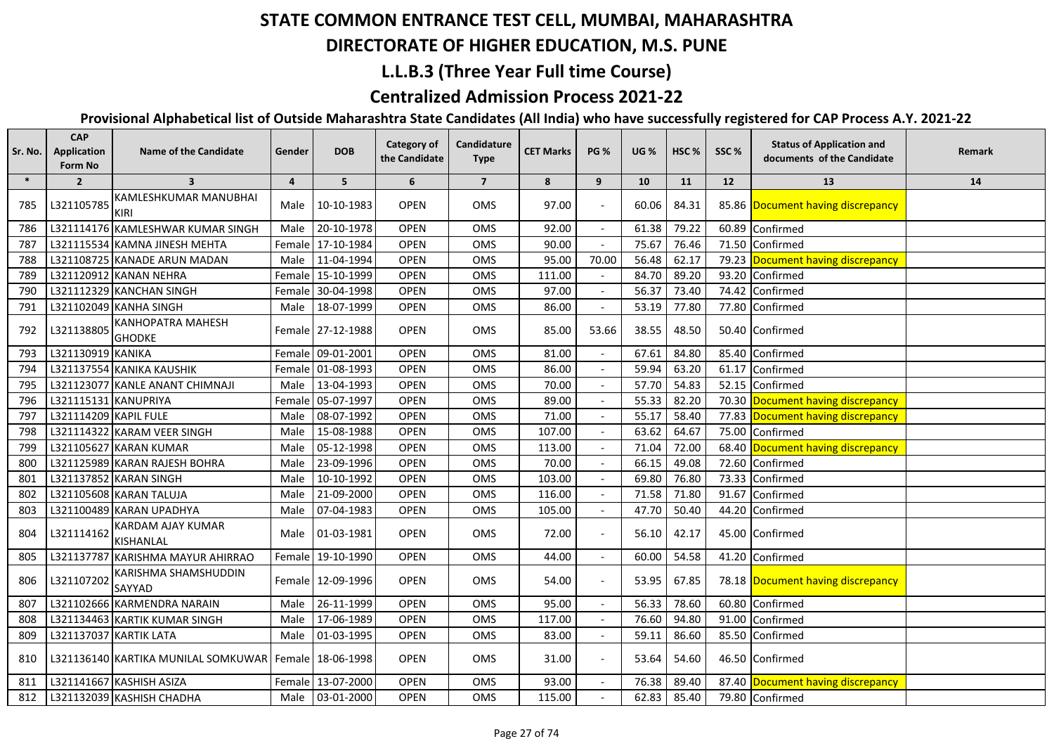## **DIRECTORATE OF HIGHER EDUCATION, M.S. PUNE**

### **L.L.B.3 (Three Year Full time Course)**

## **Centralized Admission Process 2021-22**

| Sr. No. | <b>CAP</b><br><b>Application</b><br>Form No | <b>Name of the Candidate</b>              | Gender         | <b>DOB</b>        | Category of<br>the Candidate | Candidature<br><b>Type</b> | <b>CET Marks</b> | <b>PG %</b>              | <b>UG %</b> | HSC <sub>%</sub> | SSC%  | <b>Status of Application and</b><br>documents of the Candidate | Remark |
|---------|---------------------------------------------|-------------------------------------------|----------------|-------------------|------------------------------|----------------------------|------------------|--------------------------|-------------|------------------|-------|----------------------------------------------------------------|--------|
| $\ast$  | $\overline{2}$                              | $\overline{\mathbf{3}}$                   | $\overline{4}$ | 5                 | 6                            | $\overline{7}$             | 8                | 9                        | 10          | 11               | 12    | 13                                                             | 14     |
| 785     | L321105785                                  | KAMLESHKUMAR MANUBHAI<br><b>KIRI</b>      | Male           | 10-10-1983        | <b>OPEN</b>                  | <b>OMS</b>                 | 97.00            |                          | 60.06       | 84.31            |       | 85.86 Document having discrepancy                              |        |
| 786     |                                             | L321114176 KAMLESHWAR KUMAR SINGH         | Male           | 20-10-1978        | OPEN                         | OMS                        | 92.00            | $\overline{\phantom{a}}$ | 61.38       | 79.22            |       | 60.89 Confirmed                                                |        |
| 787     |                                             | L321115534 KAMNA JINESH MEHTA             | Female         | 17-10-1984        | <b>OPEN</b>                  | OMS                        | 90.00            |                          | 75.67       | 76.46            | 71.50 | Confirmed                                                      |        |
| 788     |                                             | L321108725 KANADE ARUN MADAN              | Male           | 11-04-1994        | <b>OPEN</b>                  | OMS                        | 95.00            | 70.00                    | 56.48       | 62.17            | 79.23 | Document having discrepancy                                    |        |
| 789     |                                             | L321120912 KANAN NEHRA                    |                | Female 15-10-1999 | OPEN                         | OMS                        | 111.00           |                          | 84.70       | 89.20            | 93.20 | Confirmed                                                      |        |
| 790     |                                             | L321112329 KANCHAN SINGH                  |                | Female 30-04-1998 | <b>OPEN</b>                  | OMS                        | 97.00            |                          | 56.37       | 73.40            | 74.42 | Confirmed                                                      |        |
| 791     |                                             | L321102049 KANHA SINGH                    | Male           | 18-07-1999        | <b>OPEN</b>                  | OMS                        | 86.00            |                          | 53.19       | 77.80            | 77.80 | Confirmed                                                      |        |
| 792     | L321138805                                  | <b>KANHOPATRA MAHESH</b><br><b>GHODKE</b> |                | Female 27-12-1988 | <b>OPEN</b>                  | OMS                        | 85.00            | 53.66                    | 38.55       | 48.50            |       | 50.40 Confirmed                                                |        |
| 793     | L321130919 KANIKA                           |                                           | Female         | 09-01-2001        | <b>OPEN</b>                  | OMS                        | 81.00            |                          | 67.61       | 84.80            | 85.40 | Confirmed                                                      |        |
| 794     |                                             | L321137554 KANIKA KAUSHIK                 |                | Female 01-08-1993 | OPEN                         | OMS                        | 86.00            |                          | 59.94       | 63.20            | 61.17 | Confirmed                                                      |        |
| 795     |                                             | L321123077 KANLE ANANT CHIMNAJI           | Male           | 13-04-1993        | <b>OPEN</b>                  | OMS                        | 70.00            |                          | 57.70       | 54.83            | 52.15 | Confirmed                                                      |        |
| 796     | L321115131 KANUPRIYA                        |                                           |                | Female 05-07-1997 | <b>OPEN</b>                  | OMS                        | 89.00            |                          | 55.33       | 82.20            |       | 70.30 Document having discrepancy                              |        |
| 797     | L321114209 KAPIL FULE                       |                                           | Male           | 08-07-1992        | OPEN                         | <b>OMS</b>                 | 71.00            |                          | 55.17       | 58.40            |       | 77.83 Document having discrepancy                              |        |
| 798     |                                             | L321114322 KARAM VEER SINGH               | Male           | 15-08-1988        | OPEN                         | OMS                        | 107.00           |                          | 63.62       | 64.67            |       | 75.00 Confirmed                                                |        |
| 799     |                                             | L321105627 KARAN KUMAR                    | Male           | 05-12-1998        | OPEN                         | OMS                        | 113.00           |                          | 71.04       | 72.00            |       | 68.40 Document having discrepancy                              |        |
| 800     |                                             | L321125989 KARAN RAJESH BOHRA             | Male           | 23-09-1996        | <b>OPEN</b>                  | OMS                        | 70.00            |                          | 66.15       | 49.08            | 72.60 | Confirmed                                                      |        |
| 801     |                                             | L321137852 KARAN SINGH                    | Male           | 10-10-1992        | <b>OPEN</b>                  | OMS                        | 103.00           |                          | 69.80       | 76.80            | 73.33 | Confirmed                                                      |        |
| 802     |                                             | L321105608 KARAN TALUJA                   | Male           | 21-09-2000        | OPEN                         | OMS                        | 116.00           |                          | 71.58       | 71.80            | 91.67 | Confirmed                                                      |        |
| 803     |                                             | L321100489 KARAN UPADHYA                  | Male           | 07-04-1983        | OPEN                         | OMS                        | 105.00           |                          | 47.70       | 50.40            | 44.20 | Confirmed                                                      |        |
| 804     | L321114162                                  | KARDAM AJAY KUMAR<br><b>KISHANLAL</b>     |                | Male 01-03-1981   | <b>OPEN</b>                  | <b>OMS</b>                 | 72.00            |                          | 56.10       | 42.17            |       | 45.00 Confirmed                                                |        |
| 805     |                                             | L321137787 KARISHMA MAYUR AHIRRAO         |                | Female 19-10-1990 | <b>OPEN</b>                  | OMS                        | 44.00            |                          | 60.00       | 54.58            |       | 41.20 Confirmed                                                |        |
| 806     | L321107202                                  | KARISHMA SHAMSHUDDIN<br>SAYYAD            |                | Female 12-09-1996 | <b>OPEN</b>                  | <b>OMS</b>                 | 54.00            |                          | 53.95       | 67.85            |       | 78.18 Document having discrepancy                              |        |
| 807     |                                             | L321102666 KARMENDRA NARAIN               | Male           | 26-11-1999        | <b>OPEN</b>                  | OMS                        | 95.00            |                          | 56.33       | 78.60            | 60.80 | Confirmed                                                      |        |
| 808     |                                             | L321134463 KARTIK KUMAR SINGH             | Male           | 17-06-1989        | OPEN                         | OMS                        | 117.00           |                          | 76.60       | 94.80            | 91.00 | Confirmed                                                      |        |
| 809     |                                             | L321137037 KARTIK LATA                    | Male           | 01-03-1995        | OPEN                         | OMS                        | 83.00            |                          | 59.11       | 86.60            | 85.50 | Confirmed                                                      |        |
| 810     |                                             | L321136140 KARTIKA MUNILAL SOMKUWAR       |                | Female 18-06-1998 | <b>OPEN</b>                  | <b>OMS</b>                 | 31.00            |                          | 53.64       | 54.60            |       | 46.50 Confirmed                                                |        |
| 811     |                                             | L321141667 KASHISH ASIZA                  |                | Female 13-07-2000 | <b>OPEN</b>                  | <b>OMS</b>                 | 93.00            | $\overline{\phantom{a}}$ | 76.38       | 89.40            |       | 87.40 Document having discrepancy                              |        |
| 812     |                                             | L321132039 KASHISH CHADHA                 |                | Male 03-01-2000   | <b>OPEN</b>                  | <b>OMS</b>                 | 115.00           |                          | 62.83       | 85.40            |       | 79.80 Confirmed                                                |        |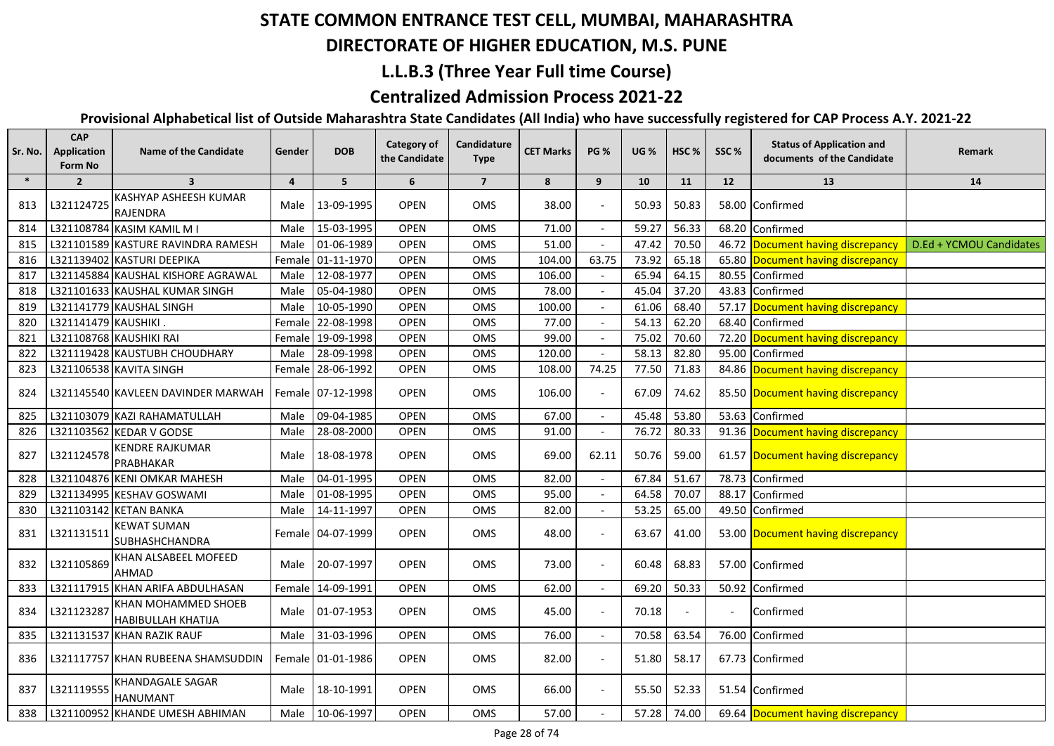## **DIRECTORATE OF HIGHER EDUCATION, M.S. PUNE**

### **L.L.B.3 (Three Year Full time Course)**

## **Centralized Admission Process 2021-22**

| Sr. No. | <b>CAP</b><br><b>Application</b><br>Form No | <b>Name of the Candidate</b>                     | Gender         | <b>DOB</b>        | Category of<br>the Candidate | <b>Candidature</b><br><b>Type</b> | <b>CET Marks</b> | <b>PG %</b>              | <b>UG</b> % | HSC <sub>%</sub> | SSC%                     | <b>Status of Application and</b><br>documents of the Candidate | Remark                  |
|---------|---------------------------------------------|--------------------------------------------------|----------------|-------------------|------------------------------|-----------------------------------|------------------|--------------------------|-------------|------------------|--------------------------|----------------------------------------------------------------|-------------------------|
| $\ast$  | $\overline{2}$                              | $\overline{\mathbf{3}}$                          | $\overline{4}$ | 5                 | 6                            | $\overline{7}$                    | 8                | 9                        | 10          | 11               | 12                       | 13                                                             | 14                      |
| 813     | L321124725                                  | KASHYAP ASHEESH KUMAR<br><b>RAJENDRA</b>         | Male           | 13-09-1995        | <b>OPEN</b>                  | <b>OMS</b>                        | 38.00            |                          | 50.93       | 50.83            |                          | 58.00 Confirmed                                                |                         |
| 814     |                                             | L321108784 KASIM KAMIL M I                       | Male           | 15-03-1995        | <b>OPEN</b>                  | OMS                               | 71.00            |                          | 59.27       | 56.33            | 68.20                    | Confirmed                                                      |                         |
| 815     |                                             | L321101589 KASTURE RAVINDRA RAMESH               | Male           | 01-06-1989        | <b>OPEN</b>                  | <b>OMS</b>                        | 51.00            |                          | 47.42       | 70.50            |                          | 46.72 Document having discrepancy                              | D.Ed + YCMOU Candidates |
| 816     |                                             | L321139402 KASTURI DEEPIKA                       |                | Female 01-11-1970 | <b>OPEN</b>                  | OMS                               | 104.00           | 63.75                    | 73.92       | 65.18            |                          | 65.80 Document having discrepancy                              |                         |
| 817     |                                             | L321145884 KAUSHAL KISHORE AGRAWAL               | Male           | 12-08-1977        | <b>OPEN</b>                  | OMS                               | 106.00           |                          | 65.94       | 64.15            | 80.55                    | Confirmed                                                      |                         |
| 818     |                                             | L321101633 KAUSHAL KUMAR SINGH                   | Male           | 05-04-1980        | <b>OPEN</b>                  | OMS                               | 78.00            |                          | 45.04       | 37.20            | 43.83                    | Confirmed                                                      |                         |
| 819     |                                             | L321141779 KAUSHAL SINGH                         | Male           | 10-05-1990        | <b>OPEN</b>                  | OMS                               | 100.00           |                          | 61.06       | 68.40            | 57.17                    | Document having discrepancy                                    |                         |
| 820     | L321141479 KAUSHIKI.                        |                                                  |                | Female 22-08-1998 | <b>OPEN</b>                  | <b>OMS</b>                        | 77.00            |                          | 54.13       | 62.20            | 68.40                    | Confirmed                                                      |                         |
| 821     |                                             | L321108768 KAUSHIKI RAI                          |                | Female 19-09-1998 | <b>OPEN</b>                  | OMS                               | 99.00            |                          | 75.02       | 70.60            | 72.20                    | Document having discrepancy                                    |                         |
| 822     |                                             | L321119428 KAUSTUBH CHOUDHARY                    | Male           | 28-09-1998        | <b>OPEN</b>                  | OMS                               | 120.00           |                          | 58.13       | 82.80            | 95.00                    | Confirmed                                                      |                         |
| 823     |                                             | L321106538 KAVITA SINGH                          |                | Female 28-06-1992 | <b>OPEN</b>                  | <b>OMS</b>                        | 108.00           | 74.25                    | 77.50       | 71.83            |                          | 84.86 Document having discrepancy                              |                         |
| 824     |                                             | L321145540 KAVLEEN DAVINDER MARWAH               |                | Female 07-12-1998 | <b>OPEN</b>                  | <b>OMS</b>                        | 106.00           |                          | 67.09       | 74.62            |                          | 85.50 Document having discrepancy                              |                         |
| 825     |                                             | L321103079 KAZI RAHAMATULLAH                     | Male           | 09-04-1985        | <b>OPEN</b>                  | OMS                               | 67.00            |                          | 45.48       | 53.80            | 53.63                    | Confirmed                                                      |                         |
| 826     |                                             | L321103562 KEDAR V GODSE                         | Male           | 28-08-2000        | <b>OPEN</b>                  | OMS                               | 91.00            | $\overline{\phantom{a}}$ | 76.72       | 80.33            |                          | 91.36 Document having discrepancy                              |                         |
| 827     | L321124578                                  | <b>KENDRE RAJKUMAR</b><br>PRABHAKAR              | Male           | 18-08-1978        | <b>OPEN</b>                  | OMS                               | 69.00            | 62.11                    | 50.76       | 59.00            |                          | 61.57 Document having discrepancy                              |                         |
| 828     |                                             | L321104876 KENI OMKAR MAHESH                     | Male           | 04-01-1995        | OPEN                         | OMS                               | 82.00            |                          | 67.84       | 51.67            | 78.73                    | Confirmed                                                      |                         |
| 829     |                                             | L321134995 KESHAV GOSWAMI                        | Male           | 01-08-1995        | OPEN                         | OMS                               | 95.00            | $\mathbf{r}$             | 64.58       | 70.07            | 88.17                    | Confirmed                                                      |                         |
| 830     |                                             | L321103142 KETAN BANKA                           | Male           | 14-11-1997        | <b>OPEN</b>                  | OMS                               | 82.00            |                          | 53.25       | 65.00            | 49.50                    | Confirmed                                                      |                         |
| 831     | L321131511                                  | <b>KEWAT SUMAN</b><br><b>SUBHASHCHANDRA</b>      |                | Female 04-07-1999 | <b>OPEN</b>                  | OMS                               | 48.00            |                          | 63.67       | 41.00            |                          | 53.00 Document having discrepancy                              |                         |
| 832     | L321105869                                  | KHAN ALSABEEL MOFEED<br><b>AHMAD</b>             | Male           | 20-07-1997        | <b>OPEN</b>                  | <b>OMS</b>                        | 73.00            | $\blacksquare$           | 60.48       | 68.83            |                          | 57.00 Confirmed                                                |                         |
| 833     |                                             | L321117915 KHAN ARIFA ABDULHASAN                 |                | Female 14-09-1991 | <b>OPEN</b>                  | OMS                               | 62.00            | $\overline{a}$           | 69.20       | 50.33            | 50.92                    | Confirmed                                                      |                         |
| 834     | L321123287                                  | KHAN MOHAMMED SHOEB<br><b>HABIBULLAH KHATIJA</b> | Male           | 01-07-1953        | <b>OPEN</b>                  | OMS                               | 45.00            |                          | 70.18       |                  | $\overline{\phantom{a}}$ | Confirmed                                                      |                         |
| 835     |                                             | L321131537 KHAN RAZIK RAUF                       | Male           | 31-03-1996        | <b>OPEN</b>                  | OMS                               | 76.00            | $\overline{\phantom{a}}$ | 70.58       | 63.54            | 76.00                    | Confirmed                                                      |                         |
| 836     |                                             | L321117757 KHAN RUBEENA SHAMSUDDIN               |                | Female 01-01-1986 | <b>OPEN</b>                  | OMS                               | 82.00            |                          | 51.80       | 58.17            |                          | 67.73 Confirmed                                                |                         |
| 837     | L321119555                                  | KHANDAGALE SAGAR<br><b>HANUMANT</b>              | Male           | 18-10-1991        | <b>OPEN</b>                  | OMS                               | 66.00            |                          | 55.50       | 52.33            |                          | 51.54 Confirmed                                                |                         |
| 838     |                                             | L321100952 KHANDE UMESH ABHIMAN                  | Male           | 10-06-1997        | <b>OPEN</b>                  | OMS                               | 57.00            |                          | 57.28       | 74.00            |                          | 69.64 Document having discrepancy                              |                         |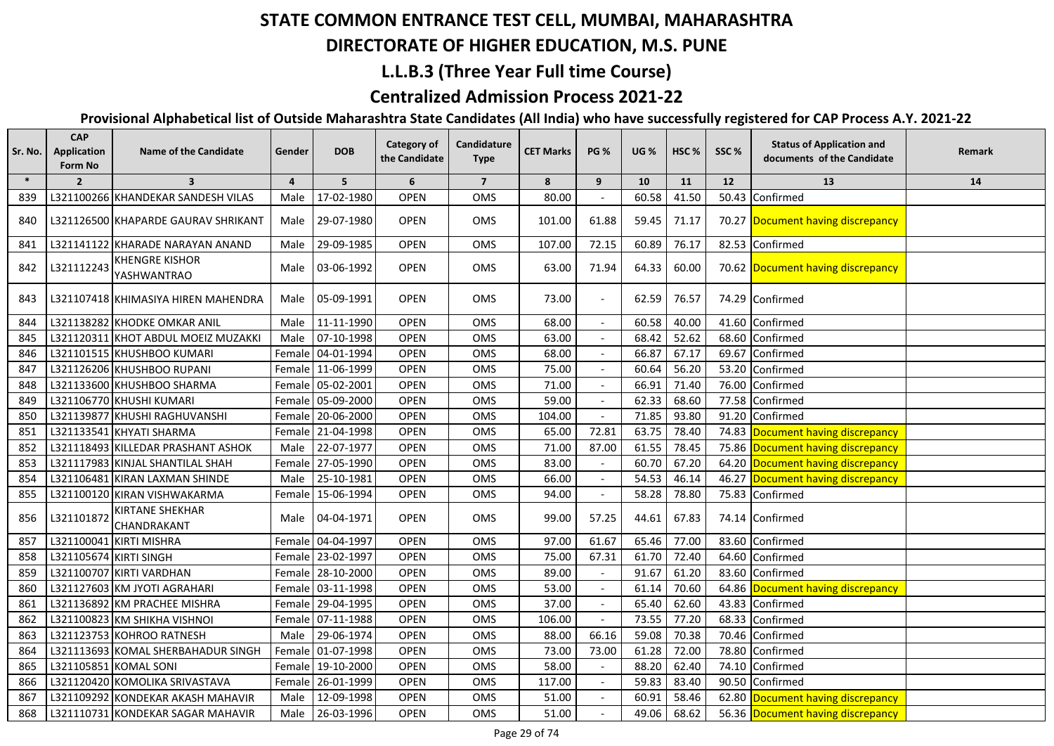# **DIRECTORATE OF HIGHER EDUCATION, M.S. PUNE**

### **L.L.B.3 (Three Year Full time Course)**

## **Centralized Admission Process 2021-22**

| Sr. No. | <b>CAP</b><br>Application<br>Form No | <b>Name of the Candidate</b>          | Gender         | <b>DOB</b>        | <b>Category of</b><br>the Candidate | Candidature<br><b>Type</b> | <b>CET Marks</b> | <b>PG %</b>              | <b>UG %</b> | HSC <sub>%</sub> | SSC%  | <b>Status of Application and</b><br>documents of the Candidate | Remark |
|---------|--------------------------------------|---------------------------------------|----------------|-------------------|-------------------------------------|----------------------------|------------------|--------------------------|-------------|------------------|-------|----------------------------------------------------------------|--------|
| $\ast$  | $\overline{2}$                       | $\overline{\mathbf{3}}$               | $\overline{4}$ | 5 <sup>5</sup>    | 6                                   | $\overline{7}$             | 8                | 9                        | 10          | 11               | 12    | 13                                                             | 14     |
| 839     |                                      | L321100266 KHANDEKAR SANDESH VILAS    | Male           | 17-02-1980        | <b>OPEN</b>                         | OMS                        | 80.00            |                          | 60.58       | 41.50            | 50.43 | Confirmed                                                      |        |
| 840     |                                      | L321126500 KHAPARDE GAURAV SHRIKANT   | Male           | 29-07-1980        | <b>OPEN</b>                         | OMS                        | 101.00           | 61.88                    | 59.45       | 71.17            |       | 70.27 Document having discrepancy                              |        |
| 841     |                                      | L321141122 KHARADE NARAYAN ANAND      | Male           | 29-09-1985        | <b>OPEN</b>                         | OMS                        | 107.00           | 72.15                    | 60.89       | 76.17            |       | 82.53 Confirmed                                                |        |
| 842     | L321112243                           | <b>KHENGRE KISHOR</b><br>YASHWANTRAO  |                | Male 03-06-1992   | <b>OPEN</b>                         | OMS                        | 63.00            | 71.94                    | 64.33       | 60.00            |       | 70.62 Document having discrepancy                              |        |
| 843     |                                      | L321107418 KHIMASIYA HIREN MAHENDRA   |                | Male 05-09-1991   | <b>OPEN</b>                         | <b>OMS</b>                 | 73.00            | $\overline{\phantom{a}}$ | 62.59       | 76.57            |       | 74.29 Confirmed                                                |        |
| 844     |                                      | L321138282 KHODKE OMKAR ANIL          | Male           | 11-11-1990        | <b>OPEN</b>                         | OMS                        | 68.00            |                          | 60.58       | 40.00            | 41.60 | Confirmed                                                      |        |
| 845     |                                      | L321120311 KHOT ABDUL MOEIZ MUZAKKI   | Male           | 07-10-1998        | <b>OPEN</b>                         | OMS                        | 63.00            |                          | 68.42       | 52.62            | 68.60 | Confirmed                                                      |        |
| 846     |                                      | L321101515 KHUSHBOO KUMARI            |                | Female 04-01-1994 | <b>OPEN</b>                         | OMS                        | 68.00            |                          | 66.87       | 67.17            | 69.67 | Confirmed                                                      |        |
| 847     |                                      | L321126206 KHUSHBOO RUPANI            |                | Female 11-06-1999 | <b>OPEN</b>                         | OMS                        | 75.00            |                          | 60.64       | 56.20            | 53.20 | Confirmed                                                      |        |
| 848     |                                      | L321133600 KHUSHBOO SHARMA            |                | Female 05-02-2001 | <b>OPEN</b>                         | OMS                        | 71.00            | $\overline{\phantom{a}}$ | 66.91       | 71.40            | 76.00 | Confirmed                                                      |        |
| 849     |                                      | L321106770 KHUSHI KUMARI              |                | Female 05-09-2000 | <b>OPEN</b>                         | OMS                        | 59.00            |                          | 62.33       | 68.60            | 77.58 | Confirmed                                                      |        |
| 850     |                                      | L321139877 KHUSHI RAGHUVANSHI         |                | Female 20-06-2000 | <b>OPEN</b>                         | OMS                        | 104.00           |                          | 71.85       | 93.80            | 91.20 | Confirmed                                                      |        |
| 851     |                                      | L321133541 KHYATI SHARMA              | Female         | 21-04-1998        | <b>OPEN</b>                         | OMS                        | 65.00            | 72.81                    | 63.75       | 78.40            | 74.83 | Document having discrepancy                                    |        |
| 852     |                                      | L321118493 KILLEDAR PRASHANT ASHOK    | Male           | 22-07-1977        | <b>OPEN</b>                         | OMS                        | 71.00            | 87.00                    | 61.55       | 78.45            |       | 75.86 Document having discrepancy                              |        |
| 853     |                                      | L321117983 KINJAL SHANTILAL SHAH      | Female         | 27-05-1990        | <b>OPEN</b>                         | OMS                        | 83.00            |                          | 60.70       | 67.20            |       | 64.20 Document having discrepancy                              |        |
| 854     |                                      | L321106481 KIRAN LAXMAN SHINDE        | Male           | 25-10-1981        | <b>OPEN</b>                         | OMS                        | 66.00            |                          | 54.53       | 46.14            |       | 46.27 Document having discrepancy                              |        |
| 855     |                                      | L321100120 KIRAN VISHWAKARMA          |                | Female 15-06-1994 | <b>OPEN</b>                         | OMS                        | 94.00            | $\overline{\phantom{a}}$ | 58.28       | 78.80            | 75.83 | Confirmed                                                      |        |
| 856     | L321101872                           | <b>KIRTANE SHEKHAR</b><br>CHANDRAKANT | Male           | 04-04-1971        | <b>OPEN</b>                         | OMS                        | 99.00            | 57.25                    | 44.61       | 67.83            |       | 74.14 Confirmed                                                |        |
| 857     |                                      | L321100041 KIRTI MISHRA               |                | Female 04-04-1997 | <b>OPEN</b>                         | OMS                        | 97.00            | 61.67                    | 65.46       | 77.00            | 83.60 | Confirmed                                                      |        |
| 858     | L321105674 KIRTI SINGH               |                                       |                | Female 23-02-1997 | <b>OPEN</b>                         | OMS                        | 75.00            | 67.31                    | 61.70       | 72.40            | 64.60 | Confirmed                                                      |        |
| 859     |                                      | L321100707 KIRTI VARDHAN              |                | Female 28-10-2000 | <b>OPEN</b>                         | OMS                        | 89.00            | $\blacksquare$           | 91.67       | 61.20            | 83.60 | Confirmed                                                      |        |
| 860     |                                      | L321127603 KM JYOTI AGRAHARI          |                | Female 03-11-1998 | <b>OPEN</b>                         | OMS                        | 53.00            | $\sim$                   | 61.14       | 70.60            | 64.86 | Document having discrepancy                                    |        |
| 861     |                                      | L321136892 KM PRACHEE MISHRA          |                | Female 29-04-1995 | <b>OPEN</b>                         | <b>OMS</b>                 | 37.00            |                          | 65.40       | 62.60            | 43.83 | Confirmed                                                      |        |
| 862     |                                      | L321100823 KM SHIKHA VISHNOI          |                | Female 07-11-1988 | <b>OPEN</b>                         | OMS                        | 106.00           |                          | 73.55       | 77.20            | 68.33 | Confirmed                                                      |        |
| 863     |                                      | L321123753 KOHROO RATNESH             | Male           | 29-06-1974        | <b>OPEN</b>                         | OMS                        | 88.00            | 66.16                    | 59.08       | 70.38            | 70.46 | Confirmed                                                      |        |
| 864     |                                      | L321113693 KOMAL SHERBAHADUR SINGH    |                | Female 01-07-1998 | <b>OPEN</b>                         | OMS                        | 73.00            | 73.00                    | 61.28       | 72.00            | 78.80 | Confirmed                                                      |        |
| 865     |                                      | L321105851 KOMAL SONI                 |                | Female 19-10-2000 | <b>OPEN</b>                         | OMS                        | 58.00            |                          | 88.20       | 62.40            | 74.10 | Confirmed                                                      |        |
| 866     |                                      | L321120420 KOMOLIKA SRIVASTAVA        |                | Female 26-01-1999 | <b>OPEN</b>                         | OMS                        | 117.00           |                          | 59.83       | 83.40            | 90.50 | Confirmed                                                      |        |
| 867     |                                      | L321109292 KONDEKAR AKASH MAHAVIR     | Male           | 12-09-1998        | OPEN                                | OMS                        | 51.00            |                          | 60.91       | 58.46            |       | 62.80 Document having discrepancy                              |        |
| 868     |                                      | L321110731 KONDEKAR SAGAR MAHAVIR     | Male           | 26-03-1996        | <b>OPEN</b>                         | <b>OMS</b>                 | 51.00            |                          | 49.06       | 68.62            |       | 56.36 Document having discrepancy                              |        |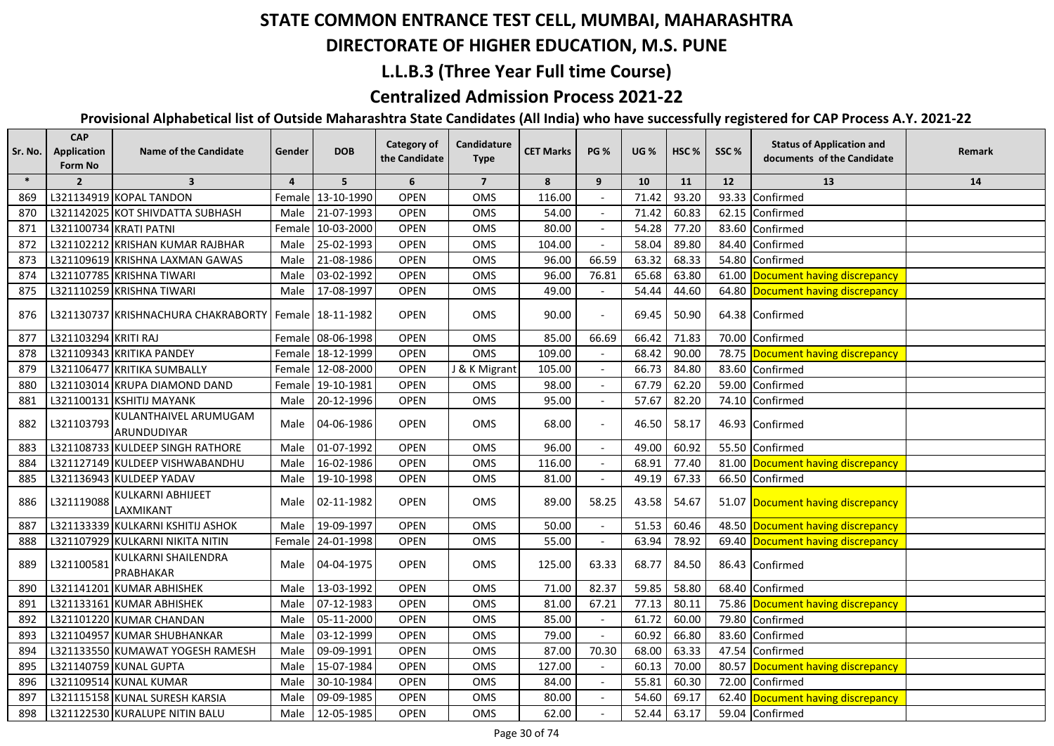#### **DIRECTORATE OF HIGHER EDUCATION, M.S. PUNE**

## **L.L.B.3 (Three Year Full time Course)**

## **Centralized Admission Process 2021-22**

| Sr. No. | <b>CAP</b><br>Application<br>Form No | <b>Name of the Candidate</b>                            | Gender         | <b>DOB</b>        | <b>Category of</b><br>the Candidate | Candidature<br><b>Type</b> | <b>CET Marks</b> | <b>PG %</b> | <b>UG %</b> | HSC <sub>%</sub> | SSC%  | <b>Status of Application and</b><br>documents of the Candidate | Remark |
|---------|--------------------------------------|---------------------------------------------------------|----------------|-------------------|-------------------------------------|----------------------------|------------------|-------------|-------------|------------------|-------|----------------------------------------------------------------|--------|
| $\ast$  | $\overline{2}$                       | $\overline{\mathbf{3}}$                                 | $\overline{4}$ | 5                 | 6                                   | $\overline{7}$             | 8                | 9           | 10          | 11               | 12    | 13                                                             | 14     |
| 869     |                                      | L321134919 KOPAL TANDON                                 |                | Female 13-10-1990 | <b>OPEN</b>                         | OMS                        | 116.00           |             | 71.42       | 93.20            |       | 93.33 Confirmed                                                |        |
| 870     |                                      | L321142025 KOT SHIVDATTA SUBHASH                        | Male           | 21-07-1993        | <b>OPEN</b>                         | OMS                        | 54.00            |             | 71.42       | 60.83            |       | 62.15 Confirmed                                                |        |
| 871     | L321100734 KRATI PATNI               |                                                         |                | Female 10-03-2000 | <b>OPEN</b>                         | OMS                        | 80.00            |             | 54.28       | 77.20            |       | 83.60 Confirmed                                                |        |
| 872     |                                      | L321102212 KRISHAN KUMAR RAJBHAR                        | Male           | 25-02-1993        | <b>OPEN</b>                         | OMS                        | 104.00           |             | 58.04       | 89.80            |       | 84.40 Confirmed                                                |        |
| 873     |                                      | L321109619 KRISHNA LAXMAN GAWAS                         | Male           | 21-08-1986        | <b>OPEN</b>                         | OMS                        | 96.00            | 66.59       | 63.32       | 68.33            |       | 54.80 Confirmed                                                |        |
| 874     |                                      | L321107785 KRISHNA TIWARI                               | Male           | 03-02-1992        | <b>OPEN</b>                         | OMS                        | 96.00            | 76.81       | 65.68       | 63.80            |       | 61.00 Document having discrepancy                              |        |
| 875     |                                      | L321110259 KRISHNA TIWARI                               | Male           | 17-08-1997        | <b>OPEN</b>                         | OMS                        | 49.00            |             | 54.44       | 44.60            |       | 64.80 Document having discrepancy                              |        |
| 876     |                                      | L321130737 KRISHNACHURA CHAKRABORTY   Female 18-11-1982 |                |                   | <b>OPEN</b>                         | <b>OMS</b>                 | 90.00            |             | 69.45       | 50.90            |       | 64.38 Confirmed                                                |        |
| 877     | L321103294 KRITI RAJ                 |                                                         |                | Female 08-06-1998 | <b>OPEN</b>                         | OMS                        | 85.00            | 66.69       | 66.42       | 71.83            |       | 70.00 Confirmed                                                |        |
| 878     |                                      | L321109343 KRITIKA PANDEY                               |                | Female 18-12-1999 | <b>OPEN</b>                         | OMS                        | 109.00           |             | 68.42       | 90.00            |       | 78.75 Document having discrepancy                              |        |
| 879     |                                      | L321106477 KRITIKA SUMBALLY                             |                | Female 12-08-2000 | OPEN                                | J & K Migrant              | 105.00           |             | 66.73       | 84.80            |       | 83.60 Confirmed                                                |        |
| 880     |                                      | L321103014 KRUPA DIAMOND DAND                           |                | Female 19-10-1981 | <b>OPEN</b>                         | OMS                        | 98.00            |             | 67.79       | 62.20            |       | 59.00 Confirmed                                                |        |
| 881     |                                      | L321100131 KSHITIJ MAYANK                               | Male           | 20-12-1996        | <b>OPEN</b>                         | <b>OMS</b>                 | 95.00            |             | 57.67       | 82.20            |       | 74.10 Confirmed                                                |        |
| 882     | L321103793                           | KULANTHAIVEL ARUMUGAM<br>ARUNDUDIYAR                    | Male           | 04-06-1986        | <b>OPEN</b>                         | <b>OMS</b>                 | 68.00            |             | 46.50       | 58.17            |       | 46.93 Confirmed                                                |        |
| 883     |                                      | L321108733 KULDEEP SINGH RATHORE                        | Male           | 01-07-1992        | <b>OPEN</b>                         | OMS                        | 96.00            |             | 49.00       | 60.92            |       | 55.50 Confirmed                                                |        |
| 884     |                                      | L321127149 KULDEEP VISHWABANDHU                         | Male           | 16-02-1986        | <b>OPEN</b>                         | OMS                        | 116.00           |             | 68.91       | 77.40            | 81.00 | Document having discrepancy                                    |        |
| 885     |                                      | L321136943 KULDEEP YADAV                                | Male           | 19-10-1998        | <b>OPEN</b>                         | OMS                        | 81.00            |             | 49.19       | 67.33            |       | 66.50 Confirmed                                                |        |
| 886     | L321119088                           | KULKARNI ABHIJEET<br>LAXMIKANT                          | Male           | 02-11-1982        | <b>OPEN</b>                         | OMS                        | 89.00            | 58.25       | 43.58       | 54.67            |       | 51.07 Document having discrepancy                              |        |
| 887     |                                      | L321133339 KULKARNI KSHITIJ ASHOK                       | Male           | 19-09-1997        | <b>OPEN</b>                         | OMS                        | 50.00            |             | 51.53       | 60.46            |       | 48.50 Document having discrepancy                              |        |
| 888     |                                      | L321107929 KULKARNI NIKITA NITIN                        |                | Female 24-01-1998 | <b>OPEN</b>                         | OMS                        | 55.00            |             | 63.94       | 78.92            |       | 69.40 Document having discrepancy                              |        |
| 889     | L321100581                           | KULKARNI SHAILENDRA<br>PRABHAKAR                        | Male           | 04-04-1975        | <b>OPEN</b>                         | <b>OMS</b>                 | 125.00           | 63.33       | 68.77       | 84.50            |       | 86.43 Confirmed                                                |        |
| 890     |                                      | L321141201 KUMAR ABHISHEK                               | Male           | 13-03-1992        | <b>OPEN</b>                         | OMS                        | 71.00            | 82.37       | 59.85       | 58.80            |       | 68.40 Confirmed                                                |        |
| 891     |                                      | L321133161 KUMAR ABHISHEK                               | Male           | 07-12-1983        | <b>OPEN</b>                         | OMS                        | 81.00            | 67.21       | 77.13       | 80.11            |       | 75.86 Document having discrepancy                              |        |
| 892     |                                      | L321101220 KUMAR CHANDAN                                | Male           | 05-11-2000        | OPEN                                | OMS                        | 85.00            |             | 61.72       | 60.00            |       | 79.80 Confirmed                                                |        |
| 893     |                                      | L321104957 KUMAR SHUBHANKAR                             | Male           | 03-12-1999        | <b>OPEN</b>                         | OMS                        | 79.00            |             | 60.92       | 66.80            |       | 83.60 Confirmed                                                |        |
| 894     |                                      | L321133550 KUMAWAT YOGESH RAMESH                        | Male           | 09-09-1991        | <b>OPEN</b>                         | OMS                        | 87.00            | 70.30       | 68.00       | 63.33            |       | 47.54 Confirmed                                                |        |
| 895     |                                      | L321140759 KUNAL GUPTA                                  | Male           | 15-07-1984        | <b>OPEN</b>                         | OMS                        | 127.00           |             | 60.13       | 70.00            |       | 80.57 Document having discrepancy                              |        |
| 896     |                                      | L321109514 KUNAL KUMAR                                  | Male           | 30-10-1984        | <b>OPEN</b>                         | OMS                        | 84.00            |             | 55.81       | 60.30            |       | 72.00 Confirmed                                                |        |
| 897     |                                      | L321115158 KUNAL SURESH KARSIA                          | Male           | 09-09-1985        | <b>OPEN</b>                         | OMS                        | 80.00            |             | 54.60       | 69.17            |       | 62.40 Document having discrepancy                              |        |
| 898     |                                      | L321122530 KURALUPE NITIN BALU                          | Male           | 12-05-1985        | <b>OPEN</b>                         | <b>OMS</b>                 | 62.00            |             | 52.44       | 63.17            |       | 59.04 Confirmed                                                |        |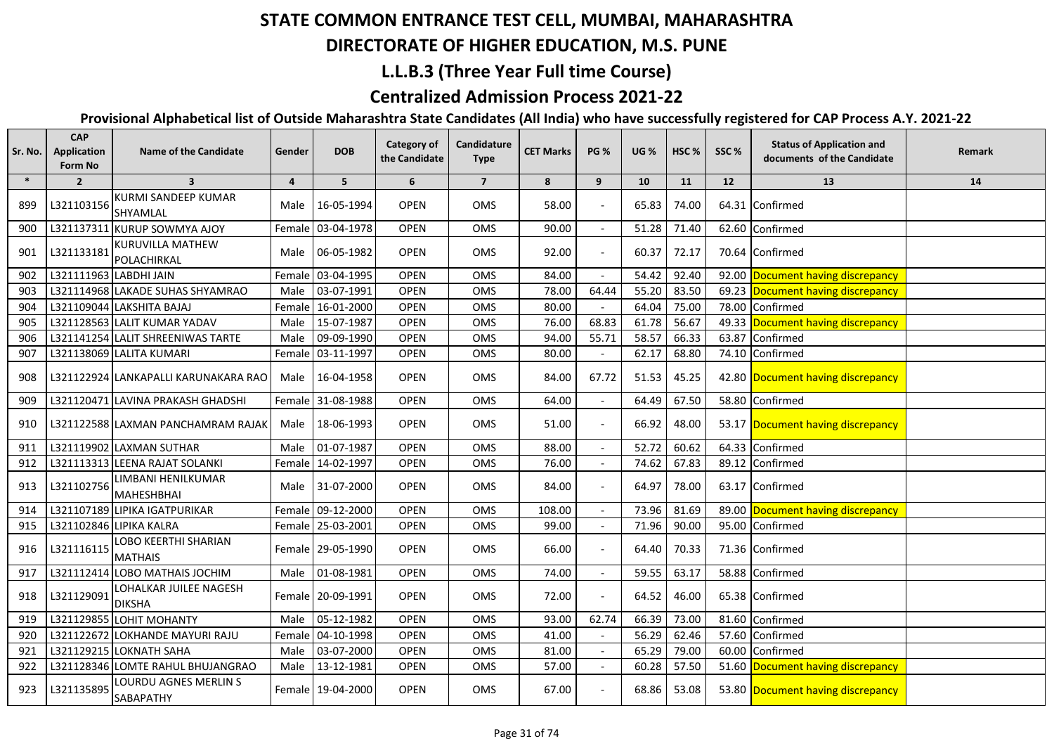#### **DIRECTORATE OF HIGHER EDUCATION, M.S. PUNE**

## **L.L.B.3 (Three Year Full time Course)**

## **Centralized Admission Process 2021-22**

| Sr. No. | <b>CAP</b><br><b>Application</b><br>Form No | <b>Name of the Candidate</b>            | Gender         | <b>DOB</b>        | Category of<br>the Candidate | Candidature<br><b>Type</b> | <b>CET Marks</b> | <b>PG %</b>              | <b>UG %</b> | HSC <sub>%</sub> | SSC%  | <b>Status of Application and</b><br>documents of the Candidate | Remark |
|---------|---------------------------------------------|-----------------------------------------|----------------|-------------------|------------------------------|----------------------------|------------------|--------------------------|-------------|------------------|-------|----------------------------------------------------------------|--------|
| $\ast$  | $\overline{2}$                              | $\overline{\mathbf{3}}$                 | $\overline{a}$ | 5                 | 6                            | $\overline{7}$             | 8                | 9                        | 10          | 11               | 12    | 13                                                             | 14     |
| 899     | L321103156                                  | KURMI SANDEEP KUMAR<br>SHYAMLAL         | Male           | 16-05-1994        | <b>OPEN</b>                  | OMS                        | 58.00            |                          | 65.83       | 74.00            |       | 64.31 Confirmed                                                |        |
| 900     | L321137311                                  | <b>KURUP SOWMYA AJOY</b>                | Female         | 03-04-1978        | <b>OPEN</b>                  | <b>OMS</b>                 | 90.00            | $\overline{\phantom{a}}$ | 51.28       | 71.40            | 62.60 | Confirmed                                                      |        |
| 901     | L321133181                                  | <b>KURUVILLA MATHEW</b><br>POLACHIRKAL  | Male           | 06-05-1982        | <b>OPEN</b>                  | OMS                        | 92.00            |                          | 60.37       | 72.17            |       | 70.64 Confirmed                                                |        |
| 902     | L321111963 LABDHI JAIN                      |                                         | Femal          | 03-04-1995        | <b>OPEN</b>                  | OMS                        | 84.00            |                          | 54.42       | 92.40            |       | 92.00 Document having discrepancy                              |        |
| 903     |                                             | L321114968 LAKADE SUHAS SHYAMRAO        | Male           | 03-07-1991        | <b>OPEN</b>                  | OMS                        | 78.00            | 64.44                    | 55.20       | 83.50            |       | 69.23 Document having discrepancy                              |        |
| 904     |                                             | L321109044 LAKSHITA BAJAJ               |                | Female 16-01-2000 | <b>OPEN</b>                  | OMS                        | 80.00            |                          | 64.04       | 75.00            | 78.00 | Confirmed                                                      |        |
| 905     |                                             | L321128563 LALIT KUMAR YADAV            | Male           | 15-07-1987        | <b>OPEN</b>                  | <b>OMS</b>                 | 76.00            | 68.83                    | 61.78       | 56.67            |       | 49.33 Document having discrepancy                              |        |
| 906     |                                             | L321141254 LALIT SHREENIWAS TARTE       | Male           | 09-09-1990        | <b>OPEN</b>                  | <b>OMS</b>                 | 94.00            | 55.71                    | 58.57       | 66.33            | 63.87 | Confirmed                                                      |        |
| 907     |                                             | L321138069 LALITA KUMARI                | Female         | 03-11-1997        | <b>OPEN</b>                  | OMS                        | 80.00            |                          | 62.17       | 68.80            | 74.10 | Confirmed                                                      |        |
| 908     |                                             | L321122924 LANKAPALLI KARUNAKARA RAO    | Male           | 16-04-1958        | <b>OPEN</b>                  | OMS                        | 84.00            | 67.72                    | 51.53       | 45.25            |       | 42.80 Document having discrepancy                              |        |
| 909     |                                             | L321120471 LAVINA PRAKASH GHADSHI       |                | Female 31-08-1988 | <b>OPEN</b>                  | OMS                        | 64.00            |                          | 64.49       | 67.50            |       | 58.80 Confirmed                                                |        |
| 910     |                                             | L321122588 LAXMAN PANCHAMRAM RAJAK      | Male           | 18-06-1993        | <b>OPEN</b>                  | OMS                        | 51.00            |                          | 66.92       | 48.00            |       | 53.17 Document having discrepancy                              |        |
| 911     |                                             | L321119902 LAXMAN SUTHAR                | Male           | 01-07-1987        | <b>OPEN</b>                  | OMS                        | 88.00            |                          | 52.72       | 60.62            |       | 64.33 Confirmed                                                |        |
| 912     |                                             | L321113313 LEENA RAJAT SOLANKI          |                | Female 14-02-1997 | <b>OPEN</b>                  | <b>OMS</b>                 | 76.00            |                          | 74.62       | 67.83            |       | 89.12 Confirmed                                                |        |
| 913     | L321102756                                  | LIMBANI HENILKUMAR<br>MAHESHBHAI        | Male           | 31-07-2000        | <b>OPEN</b>                  | OMS                        | 84.00            |                          | 64.97       | 78.00            |       | 63.17 Confirmed                                                |        |
| 914     |                                             | L321107189 LIPIKA IGATPURIKAR           |                | Female 09-12-2000 | <b>OPEN</b>                  | OMS                        | 108.00           |                          | 73.96       | 81.69            |       | 89.00 Document having discrepancy                              |        |
| 915     |                                             | L321102846 LIPIKA KALRA                 |                | Female 25-03-2001 | <b>OPEN</b>                  | OMS                        | 99.00            |                          | 71.96       | 90.00            |       | 95.00 Confirmed                                                |        |
| 916     | L321116115                                  | LOBO KEERTHI SHARIAN<br><b>MATHAIS</b>  |                | Female 29-05-1990 | <b>OPEN</b>                  | OMS                        | 66.00            |                          | 64.40       | 70.33            |       | 71.36 Confirmed                                                |        |
| 917     |                                             | L321112414 LOBO MATHAIS JOCHIM          | Male           | 01-08-1981        | <b>OPEN</b>                  | OMS                        | 74.00            |                          | 59.55       | 63.17            |       | 58.88 Confirmed                                                |        |
| 918     | L321129091                                  | LOHALKAR JUILEE NAGESH<br><b>DIKSHA</b> |                | Female 20-09-1991 | <b>OPEN</b>                  | <b>OMS</b>                 | 72.00            |                          | 64.52       | 46.00            |       | 65.38 Confirmed                                                |        |
| 919     |                                             | L321129855 LOHIT MOHANTY                | Male           | 05-12-1982        | <b>OPEN</b>                  | OMS                        | 93.00            | 62.74                    | 66.39       | 73.00            |       | 81.60 Confirmed                                                |        |
| 920     |                                             | L321122672 LOKHANDE MAYURI RAJU         |                | Female 04-10-1998 | <b>OPEN</b>                  | OMS                        | 41.00            |                          | 56.29       | 62.46            | 57.60 | Confirmed                                                      |        |
| 921     |                                             | L321129215 LOKNATH SAHA                 | Male           | 03-07-2000        | <b>OPEN</b>                  | <b>OMS</b>                 | 81.00            |                          | 65.29       | 79.00            | 60.00 | Confirmed                                                      |        |
| 922     |                                             | L321128346 LOMTE RAHUL BHUJANGRAO       | Male           | 13-12-1981        | <b>OPEN</b>                  | OMS                        | 57.00            |                          | 60.28       | 57.50            |       | 51.60 Document having discrepancy                              |        |
| 923     | L321135895                                  | LOURDU AGNES MERLIN S<br>SABAPATHY      |                | Female 19-04-2000 | <b>OPEN</b>                  | <b>OMS</b>                 | 67.00            |                          | 68.86       | 53.08            |       | 53.80 Document having discrepancy                              |        |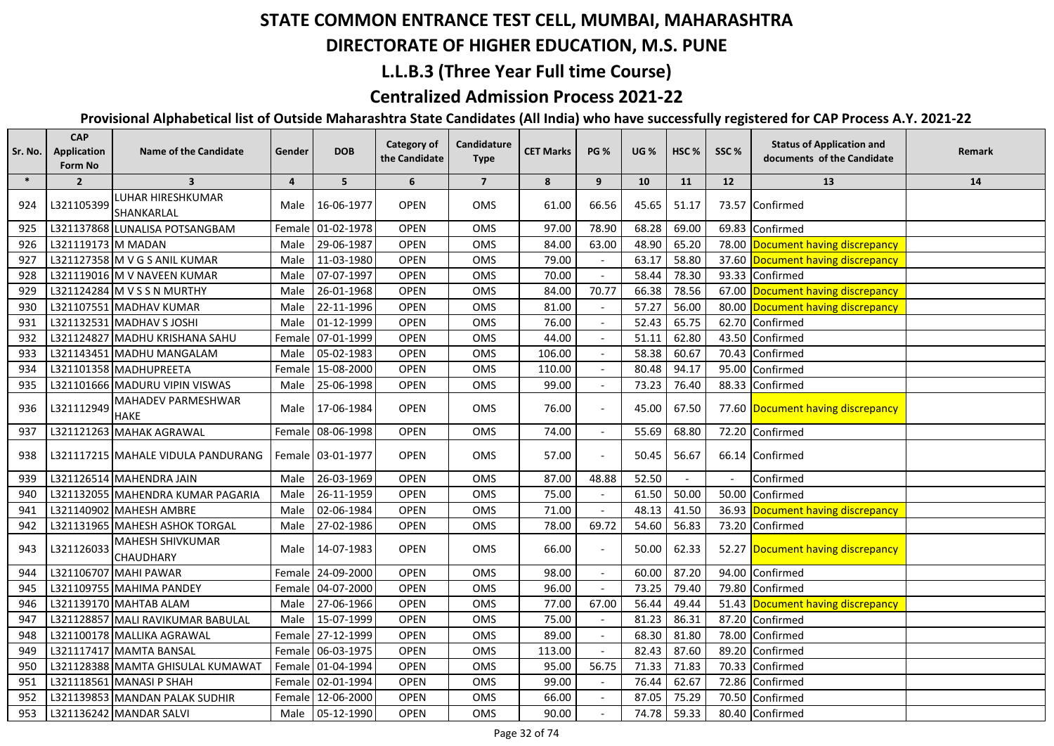## **DIRECTORATE OF HIGHER EDUCATION, M.S. PUNE**

### **L.L.B.3 (Three Year Full time Course)**

## **Centralized Admission Process 2021-22**

| Sr. No. | <b>CAP</b><br>Application<br>Form No | <b>Name of the Candidate</b>         | Gender         | <b>DOB</b>        | <b>Category of</b><br>the Candidate | Candidature<br><b>Type</b> | <b>CET Marks</b> | <b>PG %</b>              | <b>UG%</b> | HSC <sub>%</sub> | SSC%                     | <b>Status of Application and</b><br>documents of the Candidate | Remark |
|---------|--------------------------------------|--------------------------------------|----------------|-------------------|-------------------------------------|----------------------------|------------------|--------------------------|------------|------------------|--------------------------|----------------------------------------------------------------|--------|
| $\ast$  | $\overline{2}$                       | $\overline{\mathbf{3}}$              | $\overline{4}$ | 5                 | 6                                   | $\overline{7}$             | 8                | 9                        | 10         | 11               | 12                       | 13                                                             | 14     |
| 924     | L321105399                           | LUHAR HIRESHKUMAR<br>SHANKARLAL      | Male           | 16-06-1977        | <b>OPEN</b>                         | OMS                        | 61.00            | 66.56                    | 45.65      | 51.17            |                          | 73.57 Confirmed                                                |        |
| 925     |                                      | L321137868 LUNALISA POTSANGBAM       |                | Female 01-02-1978 | <b>OPEN</b>                         | OMS                        | 97.00            | 78.90                    | 68.28      | 69.00            | 69.83                    | Confirmed                                                      |        |
| 926     | L321119173 M MADAN                   |                                      | Male           | 29-06-1987        | <b>OPEN</b>                         | OMS                        | 84.00            | 63.00                    | 48.90      | 65.20            | 78.00                    | Document having discrepancy                                    |        |
| 927     |                                      | L321127358 M V G S ANIL KUMAR        | Male           | 11-03-1980        | <b>OPEN</b>                         | <b>OMS</b>                 | 79.00            |                          | 63.17      | 58.80            |                          | 37.60 Document having discrepancy                              |        |
| 928     |                                      | L321119016 M V NAVEEN KUMAR          | Male           | 07-07-1997        | <b>OPEN</b>                         | OMS                        | 70.00            |                          | 58.44      | 78.30            | 93.33                    | Confirmed                                                      |        |
| 929     |                                      | L321124284 M V S S N MURTHY          | Male           | 26-01-1968        | <b>OPEN</b>                         | OMS                        | 84.00            | 70.77                    | 66.38      | 78.56            |                          | 67.00 Document having discrepancy                              |        |
| 930     |                                      | L321107551 MADHAV KUMAR              | Male           | 22-11-1996        | <b>OPEN</b>                         | OMS                        | 81.00            |                          | 57.27      | 56.00            | 80.00                    | Document having discrepancy                                    |        |
| 931     |                                      | L321132531 MADHAV S JOSHI            | Male           | 01-12-1999        | <b>OPEN</b>                         | OMS                        | 76.00            |                          | 52.43      | 65.75            | 62.70                    | Confirmed                                                      |        |
| 932     |                                      | L321124827 MADHU KRISHANA SAHU       |                | Female 07-01-1999 | <b>OPEN</b>                         | OMS                        | 44.00            |                          | 51.11      | 62.80            | 43.50                    | Confirmed                                                      |        |
| 933     |                                      | L321143451 MADHU MANGALAM            |                | Male 05-02-1983   | <b>OPEN</b>                         | OMS                        | 106.00           |                          | 58.38      | 60.67            | 70.43                    | Confirmed                                                      |        |
| 934     |                                      | L321101358 MADHUPREETA               |                | Female 15-08-2000 | <b>OPEN</b>                         | <b>OMS</b>                 | 110.00           |                          | 80.48      | 94.17            | 95.00                    | Confirmed                                                      |        |
| 935     |                                      | L321101666 MADURU VIPIN VISWAS       |                | Male 25-06-1998   | <b>OPEN</b>                         | OMS                        | 99.00            |                          | 73.23      | 76.40            |                          | 88.33 Confirmed                                                |        |
| 936     | L321112949                           | MAHADEV PARMESHWAR<br><b>HAKE</b>    |                | Male 17-06-1984   | <b>OPEN</b>                         | OMS                        | 76.00            |                          | 45.00      | 67.50            |                          | 77.60 Document having discrepancy                              |        |
| 937     |                                      | L321121263 MAHAK AGRAWAL             |                | Female 08-06-1998 | OPEN                                | OMS                        | 74.00            |                          | 55.69      | 68.80            |                          | 72.20 Confirmed                                                |        |
| 938     |                                      | L321117215 MAHALE VIDULA PANDURANG   |                | Female 03-01-1977 | <b>OPEN</b>                         | OMS                        | 57.00            |                          | 50.45      | 56.67            |                          | 66.14 Confirmed                                                |        |
| 939     |                                      | L321126514 MAHENDRA JAIN             | Male           | 26-03-1969        | OPEN                                | OMS                        | 87.00            | 48.88                    | 52.50      |                  | $\overline{\phantom{a}}$ | Confirmed                                                      |        |
| 940     |                                      | L321132055 MAHENDRA KUMAR PAGARIA    | Male           | 26-11-1959        | OPEN                                | OMS                        | 75.00            |                          | 61.50      | 50.00            | 50.00                    | Confirmed                                                      |        |
| 941     |                                      | L321140902 MAHESH AMBRE              | Male           | 02-06-1984        | OPEN                                | OMS                        | 71.00            |                          | 48.13      | 41.50            | 36.93                    | Document having discrepancy                                    |        |
| 942     |                                      | L321131965 MAHESH ASHOK TORGAL       | Male           | 27-02-1986        | <b>OPEN</b>                         | OMS                        | 78.00            | 69.72                    | 54.60      | 56.83            | 73.20                    | Confirmed                                                      |        |
| 943     | L321126033                           | MAHESH SHIVKUMAR<br><b>CHAUDHARY</b> | Male           | 14-07-1983        | <b>OPEN</b>                         | OMS                        | 66.00            |                          | 50.00      | 62.33            |                          | 52.27 Document having discrepancy                              |        |
| 944     |                                      | L321106707 MAHI PAWAR                |                | Female 24-09-2000 | OPEN                                | OMS                        | 98.00            | $\overline{\phantom{a}}$ | 60.00      | 87.20            | 94.00                    | Confirmed                                                      |        |
| 945     |                                      | L321109755 MAHIMA PANDEY             |                | Female 04-07-2000 | <b>OPEN</b>                         | OMS                        | 96.00            | $\overline{\phantom{a}}$ | 73.25      | 79.40            | 79.80                    | Confirmed                                                      |        |
| 946     |                                      | L321139170 MAHTAB ALAM               | Male           | 27-06-1966        | <b>OPEN</b>                         | OMS                        | 77.00            | 67.00                    | 56.44      | 49.44            | 51.43                    | Document having discrepancy                                    |        |
| 947     |                                      | L321128857 MALI RAVIKUMAR BABULAL    | Male           | 15-07-1999        | <b>OPEN</b>                         | OMS                        | 75.00            |                          | 81.23      | 86.31            | 87.20                    | Confirmed                                                      |        |
| 948     |                                      | L321100178 MALLIKA AGRAWAL           |                | Female 27-12-1999 | <b>OPEN</b>                         | OMS                        | 89.00            | $\overline{\phantom{a}}$ | 68.30      | 81.80            | 78.00                    | Confirmed                                                      |        |
| 949     |                                      | L321117417 MAMTA BANSAL              |                | Female 06-03-1975 | OPEN                                | OMS                        | 113.00           | $\overline{\phantom{a}}$ | 82.43      | 87.60            | 89.20                    | Confirmed                                                      |        |
| 950     |                                      | L321128388 MAMTA GHISULAL KUMAWAT    |                | Female 01-04-1994 | <b>OPEN</b>                         | OMS                        | 95.00            | 56.75                    | 71.33      | 71.83            | 70.33                    | Confirmed                                                      |        |
| 951     |                                      | L321118561 MANASI P SHAH             |                | Female 02-01-1994 | OPEN                                | OMS                        | 99.00            |                          | 76.44      | 62.67            | 72.86                    | Confirmed                                                      |        |
| 952     |                                      | L321139853 MANDAN PALAK SUDHIR       |                | Female 12-06-2000 | <b>OPEN</b>                         | OMS                        | 66.00            |                          | 87.05      | 75.29            |                          | 70.50 Confirmed                                                |        |
| 953     |                                      | L321136242 MANDAR SALVI              |                | Male 05-12-1990   | <b>OPEN</b>                         | OMS                        | 90.00            |                          | 74.78      | 59.33            |                          | 80.40 Confirmed                                                |        |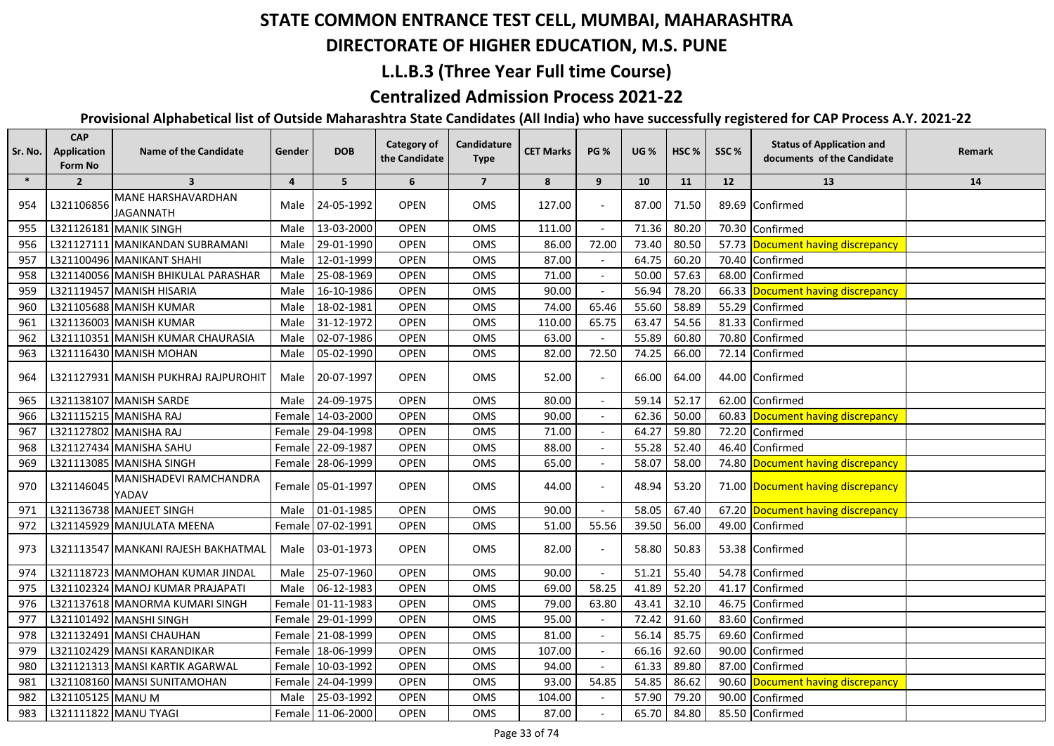## **DIRECTORATE OF HIGHER EDUCATION, M.S. PUNE**

## **L.L.B.3 (Three Year Full time Course)**

## **Centralized Admission Process 2021-22**

| Sr. No. | <b>CAP</b><br>Application<br>Form No | <b>Name of the Candidate</b>           | Gender  | <b>DOB</b>          | <b>Category of</b><br>the Candidate | Candidature<br><b>Type</b> | <b>CET Marks</b> | <b>PG %</b> | <b>UG %</b> | HSC <sub>%</sub> | SSC%  | <b>Status of Application and</b><br>documents of the Candidate | Remark |
|---------|--------------------------------------|----------------------------------------|---------|---------------------|-------------------------------------|----------------------------|------------------|-------------|-------------|------------------|-------|----------------------------------------------------------------|--------|
| $\ast$  | $\overline{2}$                       | $\overline{\mathbf{3}}$                | 4       | 5                   | 6                                   | $\overline{\mathbf{z}}$    | 8                | 9           | 10          | 11               | 12    | 13                                                             | 14     |
| 954     | L321106856                           | MANE HARSHAVARDHAN<br><b>JAGANNATH</b> | Male    | 24-05-1992          | <b>OPEN</b>                         | <b>OMS</b>                 | 127.00           |             | 87.00       | 71.50            |       | 89.69 Confirmed                                                |        |
| 955     |                                      | L321126181 MANIK SINGH                 | Male    | 13-03-2000          | <b>OPEN</b>                         | OMS                        | 111.00           |             | 71.36       | 80.20            | 70.30 | Confirmed                                                      |        |
| 956     |                                      | L321127111 MANIKANDAN SUBRAMANI        | Male    | 29-01-1990          | <b>OPEN</b>                         | <b>OMS</b>                 | 86.00            | 72.00       | 73.40       | 80.50            |       | 57.73 Document having discrepancy                              |        |
| 957     |                                      | L321100496 MANIKANT SHAHI              | Male    | 12-01-1999          | <b>OPEN</b>                         | OMS                        | 87.00            |             | 64.75       | 60.20            | 70.40 | Confirmed                                                      |        |
| 958     |                                      | L321140056 MANISH BHIKULAL PARASHAR    | Male    | 25-08-1969          | <b>OPEN</b>                         | OMS                        | 71.00            |             | 50.00       | 57.63            | 68.00 | Confirmed                                                      |        |
| 959     |                                      | L321119457 MANISH HISARIA              | Male    | 16-10-1986          | <b>OPEN</b>                         | OMS                        | 90.00            |             | 56.94       | 78.20            |       | 66.33 Document having discrepancy                              |        |
| 960     |                                      | L321105688 MANISH KUMAR                | Male    | 18-02-1981          | <b>OPEN</b>                         | OMS                        | 74.00            | 65.46       | 55.60       | 58.89            | 55.29 | Confirmed                                                      |        |
| 961     |                                      | L321136003 MANISH KUMAR                | Male    | 31-12-1972          | OPEN                                | OMS                        | 110.00           | 65.75       | 63.47       | 54.56            | 81.33 | Confirmed                                                      |        |
| 962     |                                      | L321110351 MANISH KUMAR CHAURASIA      | Male    | 02-07-1986          | <b>OPEN</b>                         | OMS                        | 63.00            |             | 55.89       | 60.80            | 70.80 | Confirmed                                                      |        |
| 963     |                                      | L321116430 MANISH MOHAN                | Male    | 05-02-1990          | <b>OPEN</b>                         | OMS                        | 82.00            | 72.50       | 74.25       | 66.00            | 72.14 | Confirmed                                                      |        |
| 964     |                                      | L321127931 MANISH PUKHRAJ RAJPUROHIT   |         | Male 20-07-1997     | <b>OPEN</b>                         | OMS                        | 52.00            |             | 66.00       | 64.00            |       | 44.00 Confirmed                                                |        |
| 965     |                                      | L321138107 MANISH SARDE                | Male    | 24-09-1975          | <b>OPEN</b>                         | OMS                        | 80.00            |             | 59.14       | 52.17            | 62.00 | Confirmed                                                      |        |
| 966     |                                      | L321115215 MANISHA RAJ                 |         | Female 14-03-2000   | <b>OPEN</b>                         | <b>OMS</b>                 | 90.00            |             | 62.36       | 50.00            |       | 60.83 Document having discrepancy                              |        |
| 967     |                                      | L321127802 MANISHA RAJ                 |         | Female 29-04-1998   | <b>OPEN</b>                         | OMS                        | 71.00            |             | 64.27       | 59.80            | 72.20 | Confirmed                                                      |        |
| 968     |                                      | L321127434 MANISHA SAHU                |         | Female 22-09-1987   | <b>OPEN</b>                         | <b>OMS</b>                 | 88.00            |             | 55.28       | 52.40            | 46.40 | Confirmed                                                      |        |
| 969     |                                      | L321113085 MANISHA SINGH               |         | Female 28-06-1999   | <b>OPEN</b>                         | OMS                        | 65.00            |             | 58.07       | 58.00            |       | 74.80 Document having discrepancy                              |        |
| 970     | L321146045                           | MANISHADEVI RAMCHANDRA<br>YADAV        |         | Female   05-01-1997 | <b>OPEN</b>                         | OMS                        | 44.00            |             | 48.94       | 53.20            |       | 71.00 Document having discrepancy                              |        |
| 971     |                                      | L321136738 MANJEET SINGH               | Male    | 01-01-1985          | <b>OPEN</b>                         | OMS                        | 90.00            |             | 58.05       | 67.40            |       | 67.20 Document having discrepancy                              |        |
| 972     |                                      | L321145929 MANJULATA MEENA             |         | Female 07-02-1991   | OPEN                                | OMS                        | 51.00            | 55.56       | 39.50       | 56.00            | 49.00 | Confirmed                                                      |        |
| 973     |                                      | L321113547 MANKANI RAJESH BAKHATMAL    |         | Male 03-01-1973     | <b>OPEN</b>                         | OMS                        | 82.00            |             | 58.80       | 50.83            |       | 53.38 Confirmed                                                |        |
| 974     |                                      | L321118723 MANMOHAN KUMAR JINDAL       | Male    | 25-07-1960          | OPEN                                | OMS                        | 90.00            |             | 51.21       | 55.40            | 54.78 | Confirmed                                                      |        |
| 975     |                                      | L321102324 MANOJ KUMAR PRAJAPATI       | Male    | 06-12-1983          | <b>OPEN</b>                         | OMS                        | 69.00            | 58.25       | 41.89       | 52.20            | 41.17 | Confirmed                                                      |        |
| 976     |                                      | L321137618 MANORMA KUMARI SINGH        |         | Female 01-11-1983   | <b>OPEN</b>                         | OMS                        | 79.00            | 63.80       | 43.41       | 32.10            | 46.75 | Confirmed                                                      |        |
| 977     |                                      | L321101492 MANSHI SINGH                | Female  | 29-01-1999          | <b>OPEN</b>                         | OMS                        | 95.00            |             | 72.42       | 91.60            | 83.60 | Confirmed                                                      |        |
| 978     |                                      | L321132491 MANSI CHAUHAN               |         | Female 21-08-1999   | <b>OPEN</b>                         | OMS                        | 81.00            |             | 56.14       | 85.75            | 69.60 | Confirmed                                                      |        |
| 979     |                                      | L321102429 MANSI KARANDIKAR            | Femalel | 18-06-1999          | <b>OPEN</b>                         | OMS                        | 107.00           |             | 66.16       | 92.60            | 90.00 | Confirmed                                                      |        |
| 980     |                                      | L321121313 MANSI KARTIK AGARWAL        | Femalel | 10-03-1992          | <b>OPEN</b>                         | OMS                        | 94.00            |             | 61.33       | 89.80            | 87.00 | Confirmed                                                      |        |
| 981     |                                      | L321108160 MANSI SUNITAMOHAN           |         | Female 24-04-1999   | <b>OPEN</b>                         | OMS                        | 93.00            | 54.85       | 54.85       | 86.62            | 90.60 | Document having discrepancy                                    |        |
| 982     | L321105125 MANU M                    |                                        | Male    | 25-03-1992          | <b>OPEN</b>                         | OMS                        | 104.00           |             | 57.90       | 79.20            | 90.00 | Confirmed                                                      |        |
| 983     |                                      | L321111822 MANU TYAGI                  |         | Female 11-06-2000   | <b>OPEN</b>                         | OMS                        | 87.00            |             | 65.70       | 84.80            |       | 85.50 Confirmed                                                |        |
|         |                                      |                                        |         |                     |                                     |                            |                  |             |             |                  |       |                                                                |        |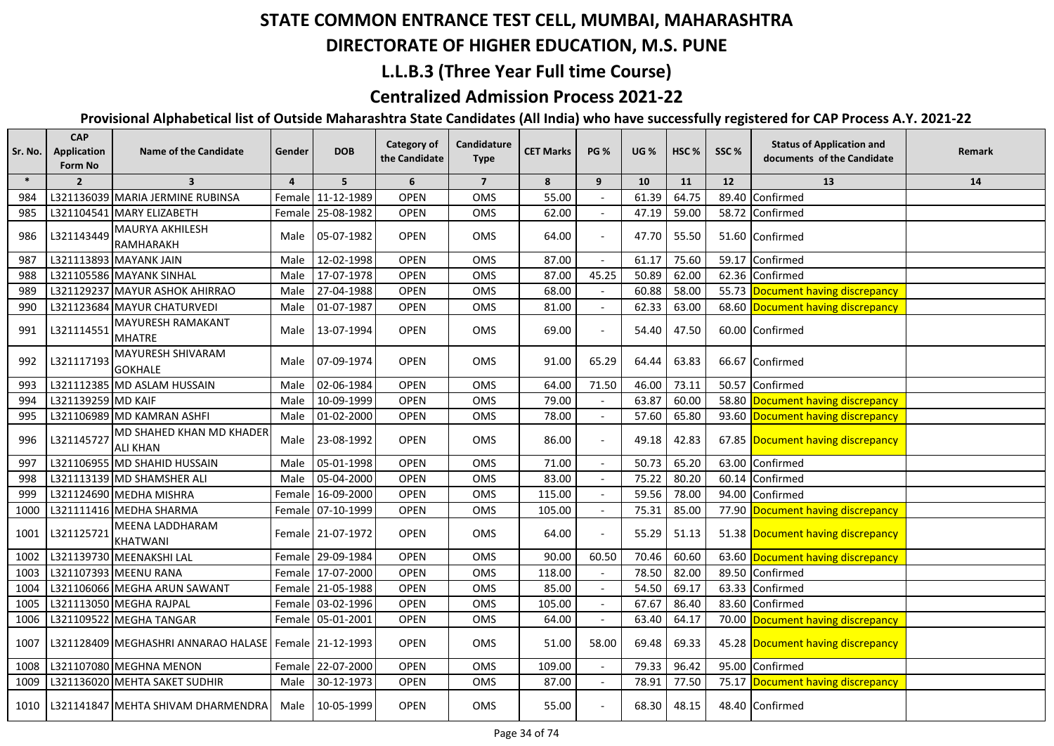## **DIRECTORATE OF HIGHER EDUCATION, M.S. PUNE**

## **L.L.B.3 (Three Year Full time Course)**

## **Centralized Admission Process 2021-22**

| Sr. No. | <b>CAP</b><br><b>Application</b><br>Form No | <b>Name of the Candidate</b>                            | Gender        | <b>DOB</b>        | Category of<br>the Candidate | Candidature<br><b>Type</b> | <b>CET Marks</b> | <b>PG %</b> | <b>UG %</b> | HSC <sub>%</sub> | SSC%  | <b>Status of Application and</b><br>documents of the Candidate | Remark |
|---------|---------------------------------------------|---------------------------------------------------------|---------------|-------------------|------------------------------|----------------------------|------------------|-------------|-------------|------------------|-------|----------------------------------------------------------------|--------|
| $\ast$  | $\overline{2}$                              | $\overline{\mathbf{3}}$                                 | 4             | 5                 | 6                            | $\overline{7}$             | 8                | 9           | 10          | 11               | 12    | 13                                                             | 14     |
| 984     |                                             | L321136039 MARIA JERMINE RUBINSA                        |               | Female 11-12-1989 | <b>OPEN</b>                  | OMS                        | 55.00            |             | 61.39       | 64.75            | 89.40 | Confirmed                                                      |        |
| 985     |                                             | L321104541 MARY ELIZABETH                               | <b>Female</b> | 25-08-1982        | <b>OPEN</b>                  | OMS                        | 62.00            |             | 47.19       | 59.00            |       | 58.72 Confirmed                                                |        |
| 986     | L321143449                                  | MAURYA AKHILESH<br>RAMHARAKH                            | Male          | 05-07-1982        | <b>OPEN</b>                  | <b>OMS</b>                 | 64.00            |             | 47.70       | 55.50            |       | 51.60 Confirmed                                                |        |
| 987     |                                             | L321113893 MAYANK JAIN                                  | Male          | 12-02-1998        | <b>OPEN</b>                  | <b>OMS</b>                 | 87.00            |             | 61.17       | 75.60            |       | 59.17 Confirmed                                                |        |
| 988     |                                             | L321105586 MAYANK SINHAL                                | Male          | 17-07-1978        | <b>OPEN</b>                  | <b>OMS</b>                 | 87.00            | 45.25       | 50.89       | 62.00            |       | 62.36 Confirmed                                                |        |
| 989     |                                             | L321129237 MAYUR ASHOK AHIRRAO                          | Male          | 27-04-1988        | <b>OPEN</b>                  | <b>OMS</b>                 | 68.00            |             | 60.88       | 58.00            |       | 55.73 Document having discrepancy                              |        |
| 990     |                                             | L321123684 MAYUR CHATURVEDI                             | Male          | 01-07-1987        | <b>OPEN</b>                  | <b>OMS</b>                 | 81.00            |             | 62.33       | 63.00            |       | 68.60 Document having discrepancy                              |        |
| 991     | L321114551                                  | MAYURESH RAMAKANT<br><b>MHATRE</b>                      | Male          | 13-07-1994        | <b>OPEN</b>                  | <b>OMS</b>                 | 69.00            |             | 54.40       | 47.50            |       | 60.00 Confirmed                                                |        |
| 992     | L321117193                                  | MAYURESH SHIVARAM<br><b>GOKHALE</b>                     | Male          | 07-09-1974        | <b>OPEN</b>                  | OMS                        | 91.00            | 65.29       | 64.44       | 63.83            |       | 66.67 Confirmed                                                |        |
| 993     |                                             | L321112385 MD ASLAM HUSSAIN                             | Male          | 02-06-1984        | <b>OPEN</b>                  | <b>OMS</b>                 | 64.00            | 71.50       | 46.00       | 73.11            |       | 50.57 Confirmed                                                |        |
| 994     | L321139259 MD KAIF                          |                                                         | Male          | 10-09-1999        | <b>OPEN</b>                  | OMS                        | 79.00            |             | 63.87       | 60.00            |       | 58.80 Document having discrepancy                              |        |
| 995     |                                             | L321106989 MD KAMRAN ASHFI                              | Male          | 01-02-2000        | <b>OPEN</b>                  | OMS                        | 78.00            |             | 57.60       | 65.80            |       | 93.60 Document having discrepancy                              |        |
| 996     | L321145727                                  | MD SHAHED KHAN MD KHADER<br><b>ALI KHAN</b>             | Male          | 23-08-1992        | <b>OPEN</b>                  | <b>OMS</b>                 | 86.00            |             | 49.18       | 42.83            |       | 67.85 Document having discrepancy                              |        |
| 997     |                                             | L321106955 MD SHAHID HUSSAIN                            | Male          | 05-01-1998        | <b>OPEN</b>                  | OMS                        | 71.00            |             | 50.73       | 65.20            |       | 63.00 Confirmed                                                |        |
| 998     |                                             | L321113139 MD SHAMSHER ALI                              | Male          | 05-04-2000        | <b>OPEN</b>                  | <b>OMS</b>                 | 83.00            |             | 75.22       | 80.20            |       | 60.14 Confirmed                                                |        |
| 999     |                                             | L321124690 MEDHA MISHRA                                 |               | Female 16-09-2000 | <b>OPEN</b>                  | OMS                        | 115.00           |             | 59.56       | 78.00            |       | 94.00 Confirmed                                                |        |
| 1000    |                                             | L321111416 MEDHA SHARMA                                 |               | Female 07-10-1999 | <b>OPEN</b>                  | <b>OMS</b>                 | 105.00           |             | 75.31       | 85.00            |       | 77.90 Document having discrepancy                              |        |
| 1001    | L321125721                                  | MEENA LADDHARAM<br><b>KHATWANI</b>                      |               | Female 21-07-1972 | <b>OPEN</b>                  | <b>OMS</b>                 | 64.00            |             | 55.29       | 51.13            |       | 51.38 Document having discrepancy                              |        |
| 1002    |                                             | L321139730 MEENAKSHI LAL                                |               | Female 29-09-1984 | <b>OPEN</b>                  | <b>OMS</b>                 | 90.00            | 60.50       | 70.46       | 60.60            |       | 63.60 Document having discrepancy                              |        |
| 1003    |                                             | L321107393 MEENU RANA                                   |               | Female 17-07-2000 | <b>OPEN</b>                  | OMS                        | 118.00           |             | 78.50       | 82.00            |       | 89.50 Confirmed                                                |        |
| 1004    |                                             | L321106066 MEGHA ARUN SAWANT                            |               | Female 21-05-1988 | <b>OPEN</b>                  | <b>OMS</b>                 | 85.00            |             | 54.50       | 69.17            |       | 63.33 Confirmed                                                |        |
| 1005    |                                             | L321113050 MEGHA RAJPAL                                 |               | Female 03-02-1996 | OPEN                         | OMS                        | 105.00           |             | 67.67       | 86.40            | 83.60 | Confirmed                                                      |        |
| 1006    |                                             | L321109522 MEGHA TANGAR                                 |               | Female 05-01-2001 | <b>OPEN</b>                  | OMS                        | 64.00            |             | 63.40       | 64.17            | 70.00 | Document having discrepancy                                    |        |
| 1007    |                                             | L321128409 MEGHASHRI ANNARAO HALASE   Female 21-12-1993 |               |                   | <b>OPEN</b>                  | OMS                        | 51.00            | 58.00       | 69.48       | 69.33            |       | 45.28 Document having discrepancy                              |        |
| 1008    |                                             | L321107080 MEGHNA MENON                                 |               | Female 22-07-2000 | <b>OPEN</b>                  | <b>OMS</b>                 | 109.00           |             | 79.33       | 96.42            | 95.00 | Confirmed                                                      |        |
| 1009    |                                             | L321136020 MEHTA SAKET SUDHIR                           | Male          | 30-12-1973        | <b>OPEN</b>                  | OMS                        | 87.00            |             | 78.91       | 77.50            |       | 75.17 Document having discrepancy                              |        |
| 1010    |                                             | L321141847 MEHTA SHIVAM DHARMENDRA                      |               | Male 10-05-1999   | <b>OPEN</b>                  | <b>OMS</b>                 | 55.00            |             | 68.30       | 48.15            |       | 48.40 Confirmed                                                |        |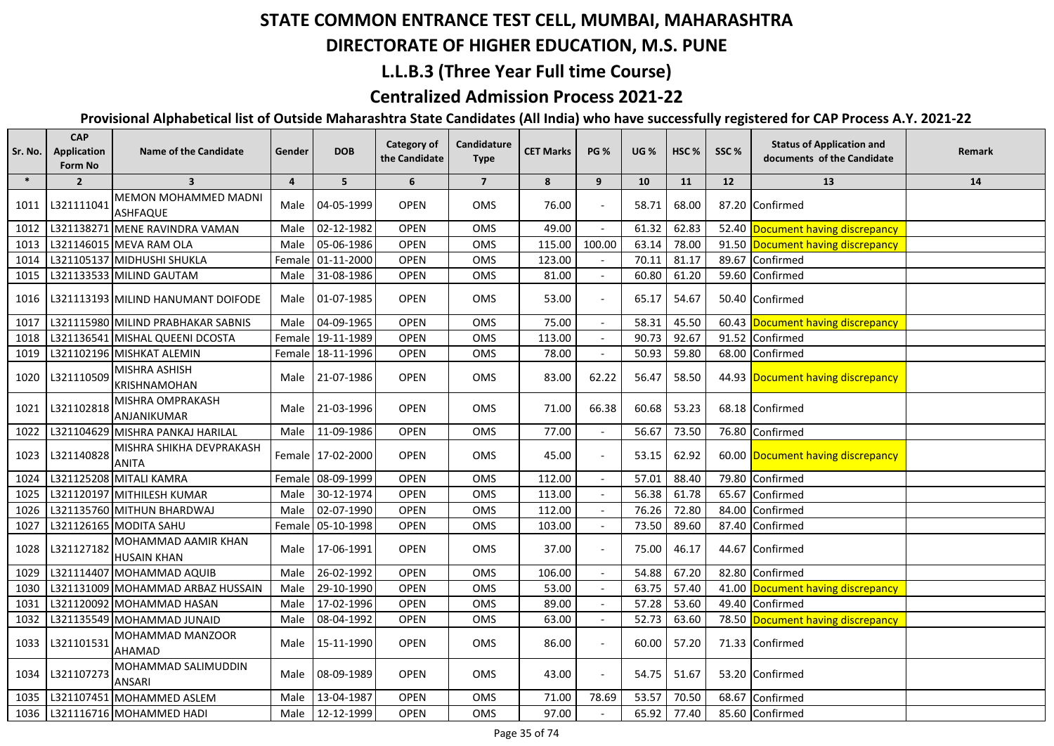## **DIRECTORATE OF HIGHER EDUCATION, M.S. PUNE**

## **L.L.B.3 (Three Year Full time Course)**

## **Centralized Admission Process 2021-22**

| Sr. No. | <b>CAP</b><br>Application<br>Form No | <b>Name of the Candidate</b>              | Gender | <b>DOB</b>        | <b>Category of</b><br>the Candidate | Candidature<br><b>Type</b> | <b>CET Marks</b> | <b>PG %</b>              | <b>UG %</b> | HSC <sub>%</sub> | SSC%  | <b>Status of Application and</b><br>documents of the Candidate | Remark |
|---------|--------------------------------------|-------------------------------------------|--------|-------------------|-------------------------------------|----------------------------|------------------|--------------------------|-------------|------------------|-------|----------------------------------------------------------------|--------|
| $\ast$  | $\overline{2}$                       | $\overline{\mathbf{3}}$                   | 4      | 5                 | 6                                   | $\overline{7}$             | 8                | 9                        | 10          | 11               | 12    | 13                                                             | 14     |
| 1011    | L321111041                           | MEMON MOHAMMED MADNI<br><b>ASHFAQUE</b>   | Male   | 04-05-1999        | <b>OPEN</b>                         | <b>OMS</b>                 | 76.00            | $\overline{\phantom{a}}$ | 58.71       | 68.00            |       | 87.20 Confirmed                                                |        |
| 1012    |                                      | L321138271 MENE RAVINDRA VAMAN            | Male   | 02-12-1982        | <b>OPEN</b>                         | OMS                        | 49.00            |                          | 61.32       | 62.83            |       | 52.40 Document having discrepancy                              |        |
| 1013    |                                      | L321146015 MEVA RAM OLA                   | Male   | 05-06-1986        | <b>OPEN</b>                         | <b>OMS</b>                 | 115.00           | 100.00                   | 63.14       | 78.00            |       | 91.50 Document having discrepancy                              |        |
| 1014    |                                      | L321105137 MIDHUSHI SHUKLA                |        | Female 01-11-2000 | <b>OPEN</b>                         | OMS                        | 123.00           |                          | 70.11       | 81.17            | 89.67 | Confirmed                                                      |        |
| 1015    |                                      | L321133533 MILIND GAUTAM                  | Male   | 31-08-1986        | <b>OPEN</b>                         | OMS                        | 81.00            |                          | 60.80       | 61.20            |       | 59.60 Confirmed                                                |        |
| 1016    |                                      | L321113193 MILIND HANUMANT DOIFODE        |        | Male 01-07-1985   | <b>OPEN</b>                         | OMS                        | 53.00            |                          | 65.17       | 54.67            |       | 50.40 Confirmed                                                |        |
| 1017    |                                      | L321115980 MILIND PRABHAKAR SABNIS        | Male   | 04-09-1965        | <b>OPEN</b>                         | OMS                        | 75.00            |                          | 58.31       | 45.50            |       | 60.43 Document having discrepancy                              |        |
| 1018    |                                      | L321136541 MISHAL QUEENI DCOSTA           |        | Female 19-11-1989 | <b>OPEN</b>                         | OMS                        | 113.00           |                          | 90.73       | 92.67            | 91.52 | Confirmed                                                      |        |
| 1019    |                                      | L321102196 MISHKAT ALEMIN                 |        | Female 18-11-1996 | <b>OPEN</b>                         | OMS                        | 78.00            |                          | 50.93       | 59.80            |       | 68.00 Confirmed                                                |        |
| 1020    | L321110509                           | MISHRA ASHISH<br><b>KRISHNAMOHAN</b>      |        | Male 21-07-1986   | <b>OPEN</b>                         | OMS                        | 83.00            | 62.22                    | 56.47       | 58.50            |       | 44.93 Document having discrepancy                              |        |
| 1021    | L321102818                           | MISHRA OMPRAKASH<br>ANJANIKUMAR           |        | Male 21-03-1996   | <b>OPEN</b>                         | <b>OMS</b>                 | 71.00            | 66.38                    | 60.68       | 53.23            |       | 68.18 Confirmed                                                |        |
| 1022    |                                      | L321104629 MISHRA PANKAJ HARILAL          |        | Male 11-09-1986   | <b>OPEN</b>                         | <b>OMS</b>                 | 77.00            |                          | 56.67       | 73.50            |       | 76.80 Confirmed                                                |        |
| 1023    | L321140828                           | MISHRA SHIKHA DEVPRAKASH<br><b>ANITA</b>  |        | Female 17-02-2000 | <b>OPEN</b>                         | OMS                        | 45.00            | $\overline{\phantom{a}}$ | 53.15       | 62.92            |       | 60.00 Document having discrepancy                              |        |
| 1024    |                                      | L321125208 MITALI KAMRA                   |        | Female 08-09-1999 | <b>OPEN</b>                         | OMS                        | 112.00           |                          | 57.01       | 88.40            | 79.80 | Confirmed                                                      |        |
| 1025    |                                      | L321120197 MITHILESH KUMAR                | Male   | 30-12-1974        | <b>OPEN</b>                         | OMS                        | 113.00           |                          | 56.38       | 61.78            | 65.67 | Confirmed                                                      |        |
| 1026    |                                      | L321135760 MITHUN BHARDWAJ                | Male   | 02-07-1990        | <b>OPEN</b>                         | <b>OMS</b>                 | 112.00           |                          | 76.26       | 72.80            | 84.00 | Confirmed                                                      |        |
| 1027    |                                      | L321126165 MODITA SAHU                    |        | Female 05-10-1998 | <b>OPEN</b>                         | <b>OMS</b>                 | 103.00           |                          | 73.50       | 89.60            |       | 87.40 Confirmed                                                |        |
| 1028    | L321127182                           | MOHAMMAD AAMIR KHAN<br><b>HUSAIN KHAN</b> | Male   | 17-06-1991        | <b>OPEN</b>                         | OMS                        | 37.00            |                          | 75.00       | 46.17            |       | 44.67 Confirmed                                                |        |
| 1029    |                                      | L321114407 MOHAMMAD AQUIB                 | Male   | 26-02-1992        | <b>OPEN</b>                         | OMS                        | 106.00           |                          | 54.88       | 67.20            | 82.80 | Confirmed                                                      |        |
| 1030    |                                      | L321131009 MOHAMMAD ARBAZ HUSSAIN         | Male   | 29-10-1990        | <b>OPEN</b>                         | OMS                        | 53.00            |                          | 63.75       | 57.40            | 41.00 | Document having discrepancy                                    |        |
| 1031    |                                      | L321120092 MOHAMMAD HASAN                 | Male   | 17-02-1996        | <b>OPEN</b>                         | OMS                        | 89.00            |                          | 57.28       | 53.60            | 49.40 | Confirmed                                                      |        |
| 1032    |                                      | L321135549 MOHAMMAD JUNAID                | Male   | 08-04-1992        | <b>OPEN</b>                         | OMS                        | 63.00            |                          | 52.73       | 63.60            |       | 78.50 Document having discrepancy                              |        |
| 1033    | L321101531                           | MOHAMMAD MANZOOR<br><b>AHAMAD</b>         | Male   | 15-11-1990        | <b>OPEN</b>                         | OMS                        | 86.00            |                          | 60.00       | 57.20            |       | 71.33 Confirmed                                                |        |
| 1034    | L321107273                           | MOHAMMAD SALIMUDDIN<br><b>ANSARI</b>      | Male   | 08-09-1989        | <b>OPEN</b>                         | OMS                        | 43.00            |                          | 54.75       | 51.67            |       | 53.20 Confirmed                                                |        |
| 1035    |                                      | L321107451 MOHAMMED ASLEM                 | Male   | 13-04-1987        | <b>OPEN</b>                         | OMS                        | 71.00            | 78.69                    | 53.57       | 70.50            | 68.67 | Confirmed                                                      |        |
| 1036    |                                      | L321116716 MOHAMMED HADI                  | Male   | 12-12-1999        | <b>OPEN</b>                         | OMS                        | 97.00            |                          | 65.92       | 77.40            |       | 85.60 Confirmed                                                |        |
|         |                                      |                                           |        |                   |                                     |                            |                  |                          |             |                  |       |                                                                |        |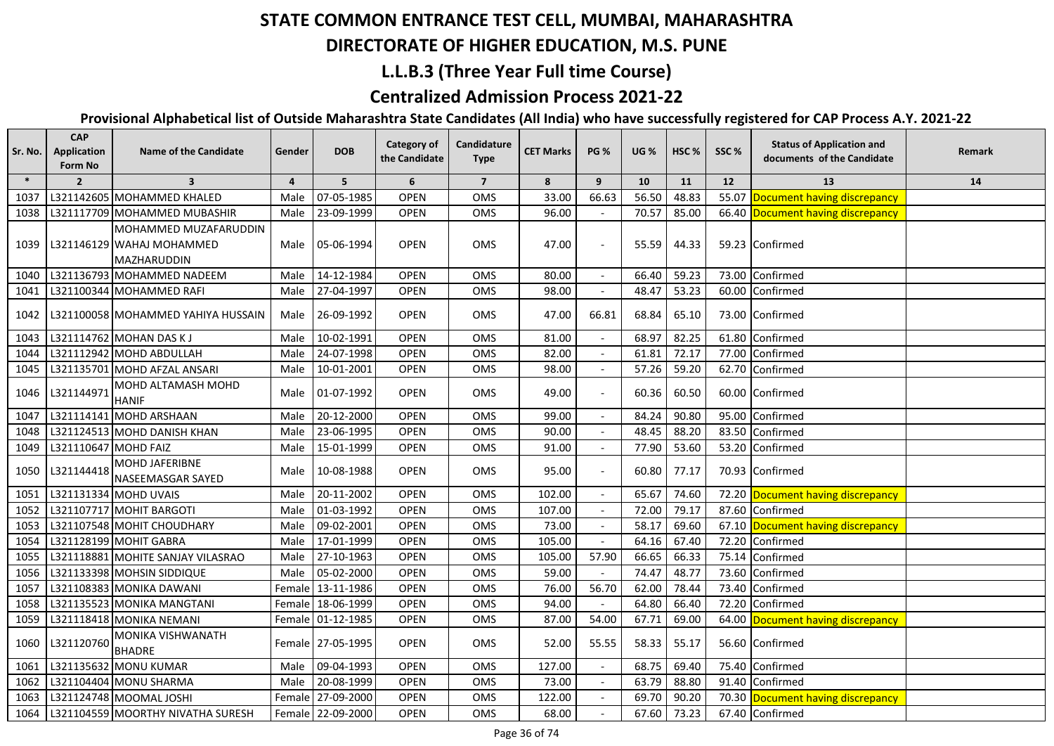## **DIRECTORATE OF HIGHER EDUCATION, M.S. PUNE**

### **L.L.B.3 (Three Year Full time Course)**

## **Centralized Admission Process 2021-22**

| Sr. No. | <b>CAP</b><br>Application<br>Form No | <b>Name of the Candidate</b>                                      | Gender         | <b>DOB</b>        | Category of<br>the Candidate | Candidature<br><b>Type</b> | <b>CET Marks</b> | <b>PG %</b>              | <b>UG</b> % | HSC <sub>%</sub> | SSC%  | <b>Status of Application and</b><br>documents of the Candidate | Remark |
|---------|--------------------------------------|-------------------------------------------------------------------|----------------|-------------------|------------------------------|----------------------------|------------------|--------------------------|-------------|------------------|-------|----------------------------------------------------------------|--------|
| $\ast$  | $\overline{2}$                       | $\overline{\mathbf{3}}$                                           | $\overline{4}$ | 5 <sup>5</sup>    | 6                            | $\overline{7}$             | 8                | 9                        | 10          | 11               | 12    | 13                                                             | 14     |
| 1037    |                                      | L321142605 MOHAMMED KHALED                                        | Male           | 07-05-1985        | <b>OPEN</b>                  | OMS                        | 33.00            | 66.63                    | 56.50       | 48.83            |       | 55.07 Document having discrepancy                              |        |
| 1038    |                                      | L321117709 MOHAMMED MUBASHIR                                      | Male           | 23-09-1999        | <b>OPEN</b>                  | OMS                        | 96.00            |                          | 70.57       | 85.00            |       | 66.40 Document having discrepancy                              |        |
| 1039    |                                      | MOHAMMED MUZAFARUDDIN<br>L321146129 WAHAJ MOHAMMED<br>MAZHARUDDIN |                | Male 05-06-1994   | <b>OPEN</b>                  | OMS                        | 47.00            |                          | 55.59       | 44.33            |       | 59.23 Confirmed                                                |        |
| 1040    |                                      | L321136793 MOHAMMED NADEEM                                        | Male           | 14-12-1984        | <b>OPEN</b>                  | OMS                        | 80.00            |                          | 66.40       | 59.23            |       | 73.00 Confirmed                                                |        |
| 1041    |                                      | L321100344 MOHAMMED RAFI                                          | Male           | 27-04-1997        | <b>OPEN</b>                  | OMS                        | 98.00            |                          | 48.47       | 53.23            |       | 60.00 Confirmed                                                |        |
| 1042    |                                      | L321100058 MOHAMMED YAHIYA HUSSAIN                                |                | Male 26-09-1992   | <b>OPEN</b>                  | <b>OMS</b>                 | 47.00            | 66.81                    | 68.84       | 65.10            |       | 73.00 Confirmed                                                |        |
| 1043    |                                      | L321114762 MOHAN DAS KJ                                           | Male           | 10-02-1991        | <b>OPEN</b>                  | OMS                        | 81.00            |                          | 68.97       | 82.25            |       | 61.80 Confirmed                                                |        |
| 1044    |                                      | L321112942 MOHD ABDULLAH                                          | Male           | 24-07-1998        | <b>OPEN</b>                  | OMS                        | 82.00            |                          | 61.81       | 72.17            |       | 77.00 Confirmed                                                |        |
| 1045    |                                      | L321135701 MOHD AFZAL ANSARI                                      |                | Male 10-01-2001   | <b>OPEN</b>                  | <b>OMS</b>                 | 98.00            |                          | 57.26       | 59.20            |       | 62.70 Confirmed                                                |        |
| 1046    | L321144971                           | MOHD ALTAMASH MOHD<br><b>HANIF</b>                                |                | Male 01-07-1992   | <b>OPEN</b>                  | <b>OMS</b>                 | 49.00            |                          | 60.36       | 60.50            |       | 60.00 Confirmed                                                |        |
| 1047    |                                      | L321114141 MOHD ARSHAAN                                           | Male           | 20-12-2000        | <b>OPEN</b>                  | OMS                        | 99.00            |                          | 84.24       | 90.80            |       | 95.00 Confirmed                                                |        |
| 1048    |                                      | L321124513 MOHD DANISH KHAN                                       | Male           | 23-06-1995        | <b>OPEN</b>                  | OMS                        | 90.00            |                          | 48.45       | 88.20            |       | 83.50 Confirmed                                                |        |
| 1049    | L321110647 MOHD FAIZ                 |                                                                   | Male           | 15-01-1999        | <b>OPEN</b>                  | OMS                        | 91.00            | $\overline{\phantom{a}}$ | 77.90       | 53.60            |       | 53.20 Confirmed                                                |        |
| 1050    | L321144418                           | <b>MOHD JAFERIBNE</b><br>NASEEMASGAR SAYED                        | Male           | 10-08-1988        | <b>OPEN</b>                  | OMS                        | 95.00            |                          | 60.80       | 77.17            |       | 70.93 Confirmed                                                |        |
| 1051    |                                      | L321131334 MOHD UVAIS                                             | Male           | 20-11-2002        | <b>OPEN</b>                  | OMS                        | 102.00           |                          | 65.67       | 74.60            |       | 72.20 Document having discrepancy                              |        |
| 1052    |                                      | L321107717 MOHIT BARGOTI                                          | Male           | 01-03-1992        | <b>OPEN</b>                  | OMS                        | 107.00           |                          | 72.00       | 79.17            | 87.60 | Confirmed                                                      |        |
| 1053    |                                      | L321107548 MOHIT CHOUDHARY                                        | Male           | 09-02-2001        | <b>OPEN</b>                  | OMS                        | 73.00            |                          | 58.17       | 69.60            |       | 67.10 Document having discrepancy                              |        |
| 1054    |                                      | L321128199 MOHIT GABRA                                            | Male           | 17-01-1999        | <b>OPEN</b>                  | OMS                        | 105.00           |                          | 64.16       | 67.40            | 72.20 | Confirmed                                                      |        |
| 1055    |                                      | L321118881 MOHITE SANJAY VILASRAO                                 | Male           | 27-10-1963        | <b>OPEN</b>                  | OMS                        | 105.00           | 57.90                    | 66.65       | 66.33            | 75.14 | Confirmed                                                      |        |
| 1056    |                                      | L321133398 MOHSIN SIDDIQUE                                        | Male           | 05-02-2000        | <b>OPEN</b>                  | <b>OMS</b>                 | 59.00            |                          | 74.47       | 48.77            | 73.60 | Confirmed                                                      |        |
| 1057    |                                      | L321108383 MONIKA DAWANI                                          |                | Female 13-11-1986 | <b>OPEN</b>                  | OMS                        | 76.00            | 56.70                    | 62.00       | 78.44            | 73.40 | Confirmed                                                      |        |
| 1058    |                                      | L321135523 MONIKA MANGTANI                                        |                | Female 18-06-1999 | <b>OPEN</b>                  | OMS                        | 94.00            |                          | 64.80       | 66.40            | 72.20 | Confirmed                                                      |        |
| 1059    |                                      | L321118418 MONIKA NEMANI                                          |                | Female 01-12-1985 | <b>OPEN</b>                  | OMS                        | 87.00            | 54.00                    | 67.71       | 69.00            |       | 64.00 Document having discrepancy                              |        |
| 1060    | L321120760                           | MONIKA VISHWANATH<br><b>BHADRE</b>                                |                | Female 27-05-1995 | <b>OPEN</b>                  | OMS                        | 52.00            | 55.55                    | 58.33       | 55.17            |       | 56.60 Confirmed                                                |        |
| 1061    |                                      | L321135632 MONU KUMAR                                             | Male           | 09-04-1993        | <b>OPEN</b>                  | OMS                        | 127.00           |                          | 68.75       | 69.40            |       | 75.40 Confirmed                                                |        |
| 1062    |                                      | L321104404 MONU SHARMA                                            | Male           | 20-08-1999        | <b>OPEN</b>                  | OMS                        | 73.00            |                          | 63.79       | 88.80            |       | 91.40 Confirmed                                                |        |
| 1063    |                                      | L321124748 MOOMAL JOSHI                                           |                | Female 27-09-2000 | <b>OPEN</b>                  | OMS                        | 122.00           |                          | 69.70       | 90.20            |       | 70.30 Document having discrepancy                              |        |
| 1064    |                                      | L321104559 MOORTHY NIVATHA SURESH                                 |                | Female 22-09-2000 | <b>OPEN</b>                  | OMS                        | 68.00            |                          | 67.60       | 73.23            |       | 67.40 Confirmed                                                |        |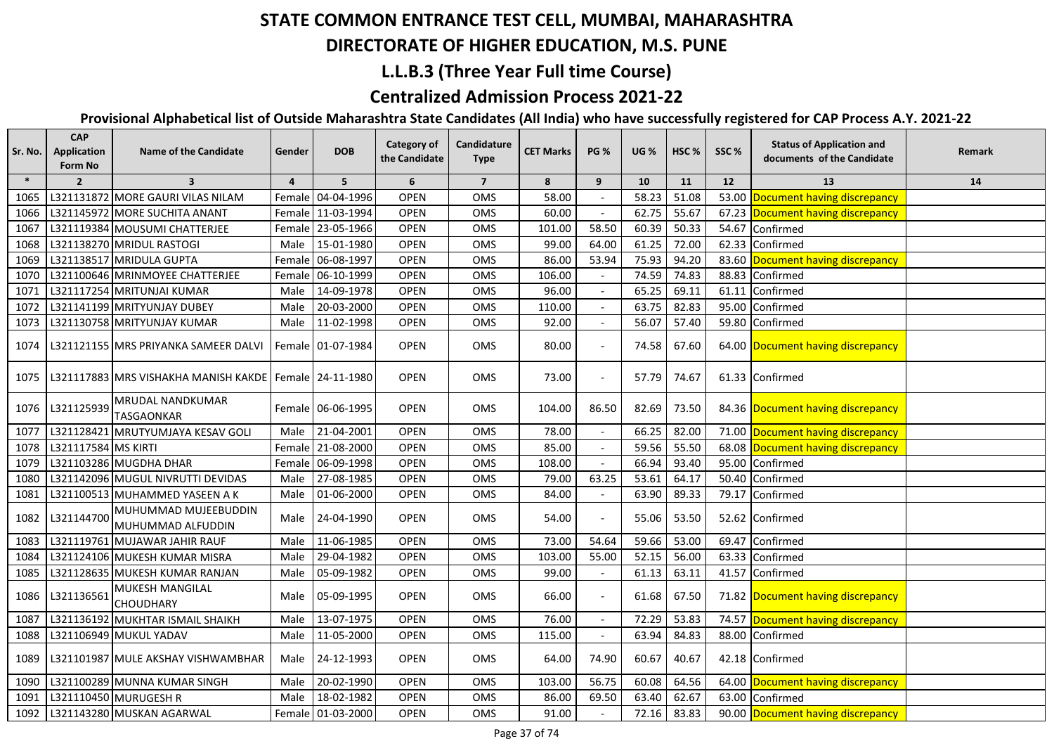## **DIRECTORATE OF HIGHER EDUCATION, M.S. PUNE**

### **L.L.B.3 (Three Year Full time Course)**

### **Centralized Admission Process 2021-22**

| Sr. No. | <b>CAP</b><br>Application<br>Form No | <b>Name of the Candidate</b>                               | Gender         | <b>DOB</b>          | <b>Category of</b><br>the Candidate | Candidature<br><b>Type</b> | <b>CET Marks</b> | <b>PG %</b>              | <b>UG %</b> | HSC <sub>%</sub> | SSC%  | <b>Status of Application and</b><br>documents of the Candidate | Remark |
|---------|--------------------------------------|------------------------------------------------------------|----------------|---------------------|-------------------------------------|----------------------------|------------------|--------------------------|-------------|------------------|-------|----------------------------------------------------------------|--------|
| $\ast$  | $\overline{2}$                       | $\overline{\mathbf{3}}$                                    | $\overline{4}$ | 5 <sup>5</sup>      | 6                                   | $\overline{7}$             | 8                | 9                        | 10          | 11               | 12    | 13                                                             | 14     |
| 1065    |                                      | L321131872 MORE GAURI VILAS NILAM                          |                | Female 04-04-1996   | <b>OPEN</b>                         | OMS                        | 58.00            |                          | 58.23       | 51.08            | 53.00 | Document having discrepancy                                    |        |
| 1066    |                                      | L321145972 MORE SUCHITA ANANT                              |                | Female 11-03-1994   | <b>OPEN</b>                         | <b>OMS</b>                 | 60.00            |                          | 62.75       | 55.67            |       | 67.23 Document having discrepancy                              |        |
| 1067    |                                      | L321119384 MOUSUMI CHATTERJEE                              |                | Female 23-05-1966   | <b>OPEN</b>                         | OMS                        | 101.00           | 58.50                    | 60.39       | 50.33            | 54.67 | Confirmed                                                      |        |
| 1068    |                                      | L321138270 MRIDUL RASTOGI                                  | Male           | 15-01-1980          | <b>OPEN</b>                         | OMS                        | 99.00            | 64.00                    | 61.25       | 72.00            | 62.33 | Confirmed                                                      |        |
| 1069    |                                      | L321138517 MRIDULA GUPTA                                   |                | Female 06-08-1997   | <b>OPEN</b>                         | OMS                        | 86.00            | 53.94                    | 75.93       | 94.20            | 83.60 | Document having discrepancy                                    |        |
| 1070    |                                      | L321100646 MRINMOYEE CHATTERJEE                            |                | Female 06-10-1999   | <b>OPEN</b>                         | OMS                        | 106.00           |                          | 74.59       | 74.83            | 88.83 | Confirmed                                                      |        |
| 1071    |                                      | L321117254 MRITUNJAI KUMAR                                 | Male           | 14-09-1978          | <b>OPEN</b>                         | OMS                        | 96.00            |                          | 65.25       | 69.11            | 61.11 | Confirmed                                                      |        |
| 1072    |                                      | L321141199 MRITYUNJAY DUBEY                                | Male           | 20-03-2000          | <b>OPEN</b>                         | OMS                        | 110.00           |                          | 63.75       | 82.83            | 95.00 | Confirmed                                                      |        |
| 1073    |                                      | L321130758 MRITYUNJAY KUMAR                                | Male           | 11-02-1998          | <b>OPEN</b>                         | OMS                        | 92.00            |                          | 56.07       | 57.40            | 59.80 | Confirmed                                                      |        |
| 1074    |                                      | L321121155 MRS PRIYANKA SAMEER DALVI                       |                | Female 01-07-1984   | <b>OPEN</b>                         | OMS                        | 80.00            |                          | 74.58       | 67.60            |       | 64.00 Document having discrepancy                              |        |
| 1075    |                                      | L321117883 MRS VISHAKHA MANISH KAKDE   Female   24-11-1980 |                |                     | <b>OPEN</b>                         | OMS                        | 73.00            | $\overline{\phantom{a}}$ | 57.79       | 74.67            |       | 61.33 Confirmed                                                |        |
| 1076    | L321125939                           | MRUDAL NANDKUMAR<br><b>TASGAONKAR</b>                      |                | Female   06-06-1995 | <b>OPEN</b>                         | OMS                        | 104.00           | 86.50                    | 82.69       | 73.50            |       | 84.36 Document having discrepancy                              |        |
| 1077    |                                      | L321128421 MRUTYUMJAYA KESAV GOLI                          | Male           | 21-04-2001          | <b>OPEN</b>                         | <b>OMS</b>                 | 78.00            |                          | 66.25       | 82.00            |       | 71.00 Document having discrepancy                              |        |
| 1078    | L321117584 MS KIRTI                  |                                                            |                | Female 21-08-2000   | <b>OPEN</b>                         | OMS                        | 85.00            |                          | 59.56       | 55.50            |       | 68.08 Document having discrepancy                              |        |
| 1079    |                                      | L321103286 MUGDHA DHAR                                     |                | Female 06-09-1998   | <b>OPEN</b>                         | OMS                        | 108.00           |                          | 66.94       | 93.40            | 95.00 | Confirmed                                                      |        |
| 1080    |                                      | L321142096 MUGUL NIVRUTTI DEVIDAS                          | Male           | 27-08-1985          | <b>OPEN</b>                         | OMS                        | 79.00            | 63.25                    | 53.61       | 64.17            | 50.40 | Confirmed                                                      |        |
| 1081    |                                      | L321100513 MUHAMMED YASEEN A K                             | Male           | 01-06-2000          | <b>OPEN</b>                         | OMS                        | 84.00            |                          | 63.90       | 89.33            | 79.17 | Confirmed                                                      |        |
| 1082    | L321144700                           | MUHUMMAD MUJEEBUDDIN<br>MUHUMMAD ALFUDDIN                  | Male           | 24-04-1990          | <b>OPEN</b>                         | OMS                        | 54.00            |                          | 55.06       | 53.50            |       | 52.62 Confirmed                                                |        |
| 1083    |                                      | L321119761 MUJAWAR JAHIR RAUF                              | Male           | 11-06-1985          | <b>OPEN</b>                         | OMS                        | 73.00            | 54.64                    | 59.66       | 53.00            | 69.47 | Confirmed                                                      |        |
| 1084    |                                      | L321124106 MUKESH KUMAR MISRA                              | Male           | 29-04-1982          | <b>OPEN</b>                         | OMS                        | 103.00           | 55.00                    | 52.15       | 56.00            | 63.33 | Confirmed                                                      |        |
| 1085    |                                      | L321128635 MUKESH KUMAR RANJAN                             | Male           | 05-09-1982          | <b>OPEN</b>                         | OMS                        | 99.00            |                          | 61.13       | 63.11            | 41.57 | Confirmed                                                      |        |
| 1086    | L321136561                           | <b>MUKESH MANGILAL</b><br><b>CHOUDHARY</b>                 | Male           | 05-09-1995          | <b>OPEN</b>                         | <b>OMS</b>                 | 66.00            |                          | 61.68       | 67.50            |       | 71.82 Document having discrepancy                              |        |
| 1087    |                                      | L321136192 MUKHTAR ISMAIL SHAIKH                           | Male           | 13-07-1975          | OPEN                                | OMS                        | 76.00            |                          | 72.29       | 53.83            |       | 74.57 Document having discrepancy                              |        |
| 1088    |                                      | L321106949 MUKUL YADAV                                     | Male           | 11-05-2000          | OPEN                                | OMS                        | 115.00           | $\sim$                   | 63.94       | 84.83            | 88.00 | Confirmed                                                      |        |
| 1089    |                                      | L321101987 MULE AKSHAY VISHWAMBHAR                         | Male           | 24-12-1993          | <b>OPEN</b>                         | OMS                        | 64.00            | 74.90                    | 60.67       | 40.67            |       | 42.18 Confirmed                                                |        |
| 1090    |                                      | L321100289 MUNNA KUMAR SINGH                               | Male           | 20-02-1990          | <b>OPEN</b>                         | OMS                        | 103.00           | 56.75                    | 60.08       | 64.56            |       | 64.00 Document having discrepancy                              |        |
| 1091    |                                      | L321110450 MURUGESH R                                      | Male           | 18-02-1982          | <b>OPEN</b>                         | OMS                        | 86.00            | 69.50                    | 63.40       | 62.67            | 63.00 | Confirmed                                                      |        |
| 1092    |                                      | L321143280 MUSKAN AGARWAL                                  |                | Female 01-03-2000   | <b>OPEN</b>                         | OMS                        | 91.00            | $\blacksquare$           | 72.16       | 83.83            |       | 90.00 Document having discrepancy                              |        |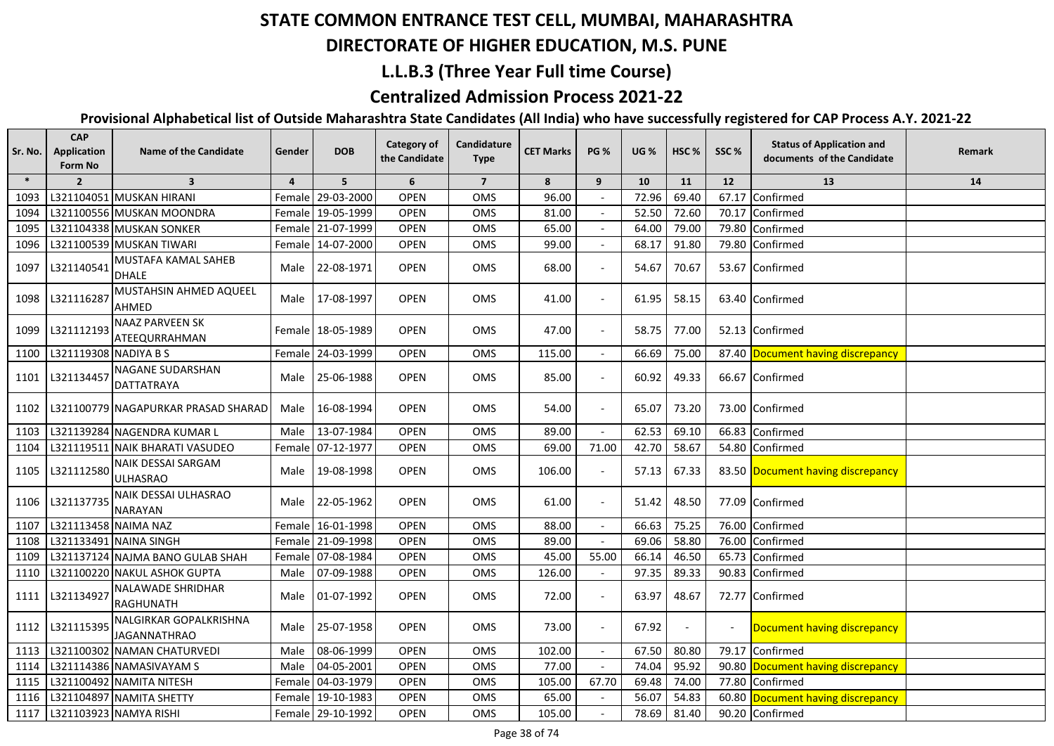## **DIRECTORATE OF HIGHER EDUCATION, M.S. PUNE**

#### **L.L.B.3 (Three Year Full time Course)**

### **Centralized Admission Process 2021-22**

| $\ast$<br>5<br>6<br>$\overline{7}$<br>$\overline{2}$<br>$\overline{\mathbf{3}}$<br>8<br>9<br>10<br>11<br>12<br>13<br>$\overline{a}$<br>14<br>L321104051 MUSKAN HIRANI<br>29-03-2000<br><b>OPEN</b><br>96.00<br>72.96<br>69.40<br>Confirmed<br>OMS<br>67.17<br>1093<br>Femalel<br><b>OPEN</b><br>52.50<br>L321100556 MUSKAN MOONDRA<br>Female 19-05-1999<br>OMS<br>81.00<br>72.60<br>70.17<br>Confirmed<br>1094<br>L321104338 MUSKAN SONKER<br>Female 21-07-1999<br><b>OPEN</b><br>OMS<br>65.00<br>64.00<br>79.00<br>79.80<br>1095<br>Confirmed<br>L321100539 MUSKAN TIWARI<br>Female 14-07-2000<br><b>OPEN</b><br>99.00<br>1096<br>OMS<br>68.17<br>91.80<br>79.80<br>Confirmed<br>MUSTAFA KAMAL SAHEB<br>L321140541<br><b>OPEN</b><br>68.00<br>1097<br>Male 22-08-1971<br>OMS<br>54.67<br>70.67<br>53.67 Confirmed<br><b>DHALE</b><br>MUSTAHSIN AHMED AQUEEL<br>L321116287<br><b>OPEN</b><br>41.00<br>1098<br>Male 17-08-1997<br>OMS<br>61.95<br>58.15<br>63.40 Confirmed<br>$\overline{\phantom{a}}$<br>AHMED<br><b>NAAZ PARVEEN SK</b><br>L321112193<br><b>OPEN</b><br>47.00<br>58.75<br>52.13 Confirmed<br>1099<br>Female 18-05-1989<br>OMS<br>77.00<br>ATEEQURRAHMAN<br>L321119308 NADIYA B S<br>Female 24-03-1999<br>115.00<br>66.69<br>75.00<br>87.40 Document having discrepancy<br>1100<br><b>OPEN</b><br>OMS<br><b>NAGANE SUDARSHAN</b><br>66.67 Confirmed<br>L321134457<br>Male 25-06-1988<br><b>OPEN</b><br><b>OMS</b><br>85.00<br>60.92<br>49.33<br>1101<br>$\overline{\phantom{a}}$<br><b>DATTATRAYA</b><br><b>OPEN</b><br>54.00<br>L321100779 NAGAPURKAR PRASAD SHARAD<br>16-08-1994<br>OMS<br>65.07<br>73.20<br>73.00 Confirmed<br>1102<br>Male<br>$\sim$<br>13-07-1984<br>89.00<br>62.53<br>69.10<br>66.83<br>L321139284 NAGENDRA KUMAR L<br><b>OPEN</b><br>OMS<br>Confirmed<br>1103<br>Male<br>$\sim$<br><b>OPEN</b><br>69.00<br>71.00<br>42.70<br>58.67<br>L321119511 NAIK BHARATI VASUDEO<br>Female 07-12-1977<br>OMS<br>54.80<br>1104<br>Confirmed<br>NAIK DESSAI SARGAM<br>L321112580<br><b>OPEN</b><br>67.33<br>19-08-1998<br>OMS<br>106.00<br>57.13<br>1105<br>Male<br>83.50 Document having discrepancy<br><b>ULHASRAO</b><br>NAIK DESSAI ULHASRAO<br>L321137735<br><b>OPEN</b><br>61.00<br>77.09 Confirmed<br>1106<br>Male<br>22-05-1962<br>OMS<br>51.42<br>48.50<br><b>NARAYAN</b><br>16-01-1998<br>75.25<br>1107<br>L321113458 NAIMA NAZ<br>Female<br><b>OPEN</b><br><b>OMS</b><br>88.00<br>66.63<br>76.00<br>Confirmed<br>L321133491 NAINA SINGH<br>Female 21-09-1998<br><b>OPEN</b><br>OMS<br>89.00<br>69.06<br>58.80<br>76.00<br>Confirmed<br>1108<br>45.00<br>55.00<br>46.50<br>1109<br>L321137124 NAJMA BANO GULAB SHAH<br>07-08-1984<br><b>OPEN</b><br>OMS<br>66.14<br>65.73<br>Confirmed<br>Female<br>1110<br>L321100220 NAKUL ASHOK GUPTA<br>07-09-1988<br><b>OPEN</b><br>126.00<br>97.35<br>89.33<br>90.83<br>Confirmed<br>OMS<br>Male<br><b>NALAWADE SHRIDHAR</b><br>L321134927<br>01-07-1992<br><b>OPEN</b><br>72.00<br>63.97<br>48.67<br>72.77 Confirmed<br>1111<br>Male<br>OMS<br><b>RAGHUNATH</b><br>NALGIRKAR GOPALKRISHNA<br>L321115395<br><b>OPEN</b><br>73.00<br>67.92<br>1112<br>25-07-1958<br>OMS<br>Male<br>Document having discrepancy<br>$\overline{\phantom{a}}$<br><b>JAGANNATHRAO</b><br>08-06-1999<br>1113<br>L321100302 NAMAN CHATURVEDI<br><b>OPEN</b><br>102.00<br>67.50<br>80.80<br>Male<br>OMS<br>79.17<br>Confirmed<br>04-05-2001<br>77.00<br>74.04<br>95.92<br>90.80<br>1114<br>L321114386 NAMASIVAYAM S<br>Male<br><b>OPEN</b><br>OMS<br>Document having discrepancy<br>1115<br>L321100492 NAMITA NITESH<br>Female 04-03-1979<br><b>OPEN</b><br>105.00<br>67.70<br>69.48<br>74.00<br>77.80<br>Confirmed<br>OMS<br>L321104897 NAMITA SHETTY<br>65.00<br>56.07<br>54.83<br>60.80<br>1116<br>Female 19-10-1983<br><b>OPEN</b><br>OMS<br>Document having discrepancy<br>L321103923 NAMYA RISHI<br>81.40<br>1117<br>Female 29-10-1992<br><b>OPEN</b><br>OMS<br>105.00<br>78.69<br>90.20 Confirmed | Sr. No. | <b>CAP</b><br><b>Application</b><br><b>Form No</b> | <b>Name of the Candidate</b> | Gender | <b>DOB</b> | <b>Category of</b><br>the Candidate | Candidature<br><b>Type</b> | <b>CET Marks</b> | <b>PG %</b> | <b>UG %</b> | HSC % | SSC% | <b>Status of Application and</b><br>documents of the Candidate | Remark |
|------------------------------------------------------------------------------------------------------------------------------------------------------------------------------------------------------------------------------------------------------------------------------------------------------------------------------------------------------------------------------------------------------------------------------------------------------------------------------------------------------------------------------------------------------------------------------------------------------------------------------------------------------------------------------------------------------------------------------------------------------------------------------------------------------------------------------------------------------------------------------------------------------------------------------------------------------------------------------------------------------------------------------------------------------------------------------------------------------------------------------------------------------------------------------------------------------------------------------------------------------------------------------------------------------------------------------------------------------------------------------------------------------------------------------------------------------------------------------------------------------------------------------------------------------------------------------------------------------------------------------------------------------------------------------------------------------------------------------------------------------------------------------------------------------------------------------------------------------------------------------------------------------------------------------------------------------------------------------------------------------------------------------------------------------------------------------------------------------------------------------------------------------------------------------------------------------------------------------------------------------------------------------------------------------------------------------------------------------------------------------------------------------------------------------------------------------------------------------------------------------------------------------------------------------------------------------------------------------------------------------------------------------------------------------------------------------------------------------------------------------------------------------------------------------------------------------------------------------------------------------------------------------------------------------------------------------------------------------------------------------------------------------------------------------------------------------------------------------------------------------------------------------------------------------------------------------------------------------------------------------------------------------------------------------------------------------------------------------------------------------------------------------------------------------------------------------------------------------------------------------------------------------------------------------------------------------------------------------------------------------------------------------------------------------------------------------------------------------------------------------------------------------------------------------------------------------------------------------------------------------------------------------------------------------------------------------------|---------|----------------------------------------------------|------------------------------|--------|------------|-------------------------------------|----------------------------|------------------|-------------|-------------|-------|------|----------------------------------------------------------------|--------|
|                                                                                                                                                                                                                                                                                                                                                                                                                                                                                                                                                                                                                                                                                                                                                                                                                                                                                                                                                                                                                                                                                                                                                                                                                                                                                                                                                                                                                                                                                                                                                                                                                                                                                                                                                                                                                                                                                                                                                                                                                                                                                                                                                                                                                                                                                                                                                                                                                                                                                                                                                                                                                                                                                                                                                                                                                                                                                                                                                                                                                                                                                                                                                                                                                                                                                                                                                                                                                                                                                                                                                                                                                                                                                                                                                                                                                                                                                                                                                            |         |                                                    |                              |        |            |                                     |                            |                  |             |             |       |      |                                                                |        |
|                                                                                                                                                                                                                                                                                                                                                                                                                                                                                                                                                                                                                                                                                                                                                                                                                                                                                                                                                                                                                                                                                                                                                                                                                                                                                                                                                                                                                                                                                                                                                                                                                                                                                                                                                                                                                                                                                                                                                                                                                                                                                                                                                                                                                                                                                                                                                                                                                                                                                                                                                                                                                                                                                                                                                                                                                                                                                                                                                                                                                                                                                                                                                                                                                                                                                                                                                                                                                                                                                                                                                                                                                                                                                                                                                                                                                                                                                                                                                            |         |                                                    |                              |        |            |                                     |                            |                  |             |             |       |      |                                                                |        |
|                                                                                                                                                                                                                                                                                                                                                                                                                                                                                                                                                                                                                                                                                                                                                                                                                                                                                                                                                                                                                                                                                                                                                                                                                                                                                                                                                                                                                                                                                                                                                                                                                                                                                                                                                                                                                                                                                                                                                                                                                                                                                                                                                                                                                                                                                                                                                                                                                                                                                                                                                                                                                                                                                                                                                                                                                                                                                                                                                                                                                                                                                                                                                                                                                                                                                                                                                                                                                                                                                                                                                                                                                                                                                                                                                                                                                                                                                                                                                            |         |                                                    |                              |        |            |                                     |                            |                  |             |             |       |      |                                                                |        |
|                                                                                                                                                                                                                                                                                                                                                                                                                                                                                                                                                                                                                                                                                                                                                                                                                                                                                                                                                                                                                                                                                                                                                                                                                                                                                                                                                                                                                                                                                                                                                                                                                                                                                                                                                                                                                                                                                                                                                                                                                                                                                                                                                                                                                                                                                                                                                                                                                                                                                                                                                                                                                                                                                                                                                                                                                                                                                                                                                                                                                                                                                                                                                                                                                                                                                                                                                                                                                                                                                                                                                                                                                                                                                                                                                                                                                                                                                                                                                            |         |                                                    |                              |        |            |                                     |                            |                  |             |             |       |      |                                                                |        |
|                                                                                                                                                                                                                                                                                                                                                                                                                                                                                                                                                                                                                                                                                                                                                                                                                                                                                                                                                                                                                                                                                                                                                                                                                                                                                                                                                                                                                                                                                                                                                                                                                                                                                                                                                                                                                                                                                                                                                                                                                                                                                                                                                                                                                                                                                                                                                                                                                                                                                                                                                                                                                                                                                                                                                                                                                                                                                                                                                                                                                                                                                                                                                                                                                                                                                                                                                                                                                                                                                                                                                                                                                                                                                                                                                                                                                                                                                                                                                            |         |                                                    |                              |        |            |                                     |                            |                  |             |             |       |      |                                                                |        |
|                                                                                                                                                                                                                                                                                                                                                                                                                                                                                                                                                                                                                                                                                                                                                                                                                                                                                                                                                                                                                                                                                                                                                                                                                                                                                                                                                                                                                                                                                                                                                                                                                                                                                                                                                                                                                                                                                                                                                                                                                                                                                                                                                                                                                                                                                                                                                                                                                                                                                                                                                                                                                                                                                                                                                                                                                                                                                                                                                                                                                                                                                                                                                                                                                                                                                                                                                                                                                                                                                                                                                                                                                                                                                                                                                                                                                                                                                                                                                            |         |                                                    |                              |        |            |                                     |                            |                  |             |             |       |      |                                                                |        |
|                                                                                                                                                                                                                                                                                                                                                                                                                                                                                                                                                                                                                                                                                                                                                                                                                                                                                                                                                                                                                                                                                                                                                                                                                                                                                                                                                                                                                                                                                                                                                                                                                                                                                                                                                                                                                                                                                                                                                                                                                                                                                                                                                                                                                                                                                                                                                                                                                                                                                                                                                                                                                                                                                                                                                                                                                                                                                                                                                                                                                                                                                                                                                                                                                                                                                                                                                                                                                                                                                                                                                                                                                                                                                                                                                                                                                                                                                                                                                            |         |                                                    |                              |        |            |                                     |                            |                  |             |             |       |      |                                                                |        |
|                                                                                                                                                                                                                                                                                                                                                                                                                                                                                                                                                                                                                                                                                                                                                                                                                                                                                                                                                                                                                                                                                                                                                                                                                                                                                                                                                                                                                                                                                                                                                                                                                                                                                                                                                                                                                                                                                                                                                                                                                                                                                                                                                                                                                                                                                                                                                                                                                                                                                                                                                                                                                                                                                                                                                                                                                                                                                                                                                                                                                                                                                                                                                                                                                                                                                                                                                                                                                                                                                                                                                                                                                                                                                                                                                                                                                                                                                                                                                            |         |                                                    |                              |        |            |                                     |                            |                  |             |             |       |      |                                                                |        |
|                                                                                                                                                                                                                                                                                                                                                                                                                                                                                                                                                                                                                                                                                                                                                                                                                                                                                                                                                                                                                                                                                                                                                                                                                                                                                                                                                                                                                                                                                                                                                                                                                                                                                                                                                                                                                                                                                                                                                                                                                                                                                                                                                                                                                                                                                                                                                                                                                                                                                                                                                                                                                                                                                                                                                                                                                                                                                                                                                                                                                                                                                                                                                                                                                                                                                                                                                                                                                                                                                                                                                                                                                                                                                                                                                                                                                                                                                                                                                            |         |                                                    |                              |        |            |                                     |                            |                  |             |             |       |      |                                                                |        |
|                                                                                                                                                                                                                                                                                                                                                                                                                                                                                                                                                                                                                                                                                                                                                                                                                                                                                                                                                                                                                                                                                                                                                                                                                                                                                                                                                                                                                                                                                                                                                                                                                                                                                                                                                                                                                                                                                                                                                                                                                                                                                                                                                                                                                                                                                                                                                                                                                                                                                                                                                                                                                                                                                                                                                                                                                                                                                                                                                                                                                                                                                                                                                                                                                                                                                                                                                                                                                                                                                                                                                                                                                                                                                                                                                                                                                                                                                                                                                            |         |                                                    |                              |        |            |                                     |                            |                  |             |             |       |      |                                                                |        |
|                                                                                                                                                                                                                                                                                                                                                                                                                                                                                                                                                                                                                                                                                                                                                                                                                                                                                                                                                                                                                                                                                                                                                                                                                                                                                                                                                                                                                                                                                                                                                                                                                                                                                                                                                                                                                                                                                                                                                                                                                                                                                                                                                                                                                                                                                                                                                                                                                                                                                                                                                                                                                                                                                                                                                                                                                                                                                                                                                                                                                                                                                                                                                                                                                                                                                                                                                                                                                                                                                                                                                                                                                                                                                                                                                                                                                                                                                                                                                            |         |                                                    |                              |        |            |                                     |                            |                  |             |             |       |      |                                                                |        |
|                                                                                                                                                                                                                                                                                                                                                                                                                                                                                                                                                                                                                                                                                                                                                                                                                                                                                                                                                                                                                                                                                                                                                                                                                                                                                                                                                                                                                                                                                                                                                                                                                                                                                                                                                                                                                                                                                                                                                                                                                                                                                                                                                                                                                                                                                                                                                                                                                                                                                                                                                                                                                                                                                                                                                                                                                                                                                                                                                                                                                                                                                                                                                                                                                                                                                                                                                                                                                                                                                                                                                                                                                                                                                                                                                                                                                                                                                                                                                            |         |                                                    |                              |        |            |                                     |                            |                  |             |             |       |      |                                                                |        |
|                                                                                                                                                                                                                                                                                                                                                                                                                                                                                                                                                                                                                                                                                                                                                                                                                                                                                                                                                                                                                                                                                                                                                                                                                                                                                                                                                                                                                                                                                                                                                                                                                                                                                                                                                                                                                                                                                                                                                                                                                                                                                                                                                                                                                                                                                                                                                                                                                                                                                                                                                                                                                                                                                                                                                                                                                                                                                                                                                                                                                                                                                                                                                                                                                                                                                                                                                                                                                                                                                                                                                                                                                                                                                                                                                                                                                                                                                                                                                            |         |                                                    |                              |        |            |                                     |                            |                  |             |             |       |      |                                                                |        |
|                                                                                                                                                                                                                                                                                                                                                                                                                                                                                                                                                                                                                                                                                                                                                                                                                                                                                                                                                                                                                                                                                                                                                                                                                                                                                                                                                                                                                                                                                                                                                                                                                                                                                                                                                                                                                                                                                                                                                                                                                                                                                                                                                                                                                                                                                                                                                                                                                                                                                                                                                                                                                                                                                                                                                                                                                                                                                                                                                                                                                                                                                                                                                                                                                                                                                                                                                                                                                                                                                                                                                                                                                                                                                                                                                                                                                                                                                                                                                            |         |                                                    |                              |        |            |                                     |                            |                  |             |             |       |      |                                                                |        |
|                                                                                                                                                                                                                                                                                                                                                                                                                                                                                                                                                                                                                                                                                                                                                                                                                                                                                                                                                                                                                                                                                                                                                                                                                                                                                                                                                                                                                                                                                                                                                                                                                                                                                                                                                                                                                                                                                                                                                                                                                                                                                                                                                                                                                                                                                                                                                                                                                                                                                                                                                                                                                                                                                                                                                                                                                                                                                                                                                                                                                                                                                                                                                                                                                                                                                                                                                                                                                                                                                                                                                                                                                                                                                                                                                                                                                                                                                                                                                            |         |                                                    |                              |        |            |                                     |                            |                  |             |             |       |      |                                                                |        |
|                                                                                                                                                                                                                                                                                                                                                                                                                                                                                                                                                                                                                                                                                                                                                                                                                                                                                                                                                                                                                                                                                                                                                                                                                                                                                                                                                                                                                                                                                                                                                                                                                                                                                                                                                                                                                                                                                                                                                                                                                                                                                                                                                                                                                                                                                                                                                                                                                                                                                                                                                                                                                                                                                                                                                                                                                                                                                                                                                                                                                                                                                                                                                                                                                                                                                                                                                                                                                                                                                                                                                                                                                                                                                                                                                                                                                                                                                                                                                            |         |                                                    |                              |        |            |                                     |                            |                  |             |             |       |      |                                                                |        |
|                                                                                                                                                                                                                                                                                                                                                                                                                                                                                                                                                                                                                                                                                                                                                                                                                                                                                                                                                                                                                                                                                                                                                                                                                                                                                                                                                                                                                                                                                                                                                                                                                                                                                                                                                                                                                                                                                                                                                                                                                                                                                                                                                                                                                                                                                                                                                                                                                                                                                                                                                                                                                                                                                                                                                                                                                                                                                                                                                                                                                                                                                                                                                                                                                                                                                                                                                                                                                                                                                                                                                                                                                                                                                                                                                                                                                                                                                                                                                            |         |                                                    |                              |        |            |                                     |                            |                  |             |             |       |      |                                                                |        |
|                                                                                                                                                                                                                                                                                                                                                                                                                                                                                                                                                                                                                                                                                                                                                                                                                                                                                                                                                                                                                                                                                                                                                                                                                                                                                                                                                                                                                                                                                                                                                                                                                                                                                                                                                                                                                                                                                                                                                                                                                                                                                                                                                                                                                                                                                                                                                                                                                                                                                                                                                                                                                                                                                                                                                                                                                                                                                                                                                                                                                                                                                                                                                                                                                                                                                                                                                                                                                                                                                                                                                                                                                                                                                                                                                                                                                                                                                                                                                            |         |                                                    |                              |        |            |                                     |                            |                  |             |             |       |      |                                                                |        |
|                                                                                                                                                                                                                                                                                                                                                                                                                                                                                                                                                                                                                                                                                                                                                                                                                                                                                                                                                                                                                                                                                                                                                                                                                                                                                                                                                                                                                                                                                                                                                                                                                                                                                                                                                                                                                                                                                                                                                                                                                                                                                                                                                                                                                                                                                                                                                                                                                                                                                                                                                                                                                                                                                                                                                                                                                                                                                                                                                                                                                                                                                                                                                                                                                                                                                                                                                                                                                                                                                                                                                                                                                                                                                                                                                                                                                                                                                                                                                            |         |                                                    |                              |        |            |                                     |                            |                  |             |             |       |      |                                                                |        |
|                                                                                                                                                                                                                                                                                                                                                                                                                                                                                                                                                                                                                                                                                                                                                                                                                                                                                                                                                                                                                                                                                                                                                                                                                                                                                                                                                                                                                                                                                                                                                                                                                                                                                                                                                                                                                                                                                                                                                                                                                                                                                                                                                                                                                                                                                                                                                                                                                                                                                                                                                                                                                                                                                                                                                                                                                                                                                                                                                                                                                                                                                                                                                                                                                                                                                                                                                                                                                                                                                                                                                                                                                                                                                                                                                                                                                                                                                                                                                            |         |                                                    |                              |        |            |                                     |                            |                  |             |             |       |      |                                                                |        |
|                                                                                                                                                                                                                                                                                                                                                                                                                                                                                                                                                                                                                                                                                                                                                                                                                                                                                                                                                                                                                                                                                                                                                                                                                                                                                                                                                                                                                                                                                                                                                                                                                                                                                                                                                                                                                                                                                                                                                                                                                                                                                                                                                                                                                                                                                                                                                                                                                                                                                                                                                                                                                                                                                                                                                                                                                                                                                                                                                                                                                                                                                                                                                                                                                                                                                                                                                                                                                                                                                                                                                                                                                                                                                                                                                                                                                                                                                                                                                            |         |                                                    |                              |        |            |                                     |                            |                  |             |             |       |      |                                                                |        |
|                                                                                                                                                                                                                                                                                                                                                                                                                                                                                                                                                                                                                                                                                                                                                                                                                                                                                                                                                                                                                                                                                                                                                                                                                                                                                                                                                                                                                                                                                                                                                                                                                                                                                                                                                                                                                                                                                                                                                                                                                                                                                                                                                                                                                                                                                                                                                                                                                                                                                                                                                                                                                                                                                                                                                                                                                                                                                                                                                                                                                                                                                                                                                                                                                                                                                                                                                                                                                                                                                                                                                                                                                                                                                                                                                                                                                                                                                                                                                            |         |                                                    |                              |        |            |                                     |                            |                  |             |             |       |      |                                                                |        |
|                                                                                                                                                                                                                                                                                                                                                                                                                                                                                                                                                                                                                                                                                                                                                                                                                                                                                                                                                                                                                                                                                                                                                                                                                                                                                                                                                                                                                                                                                                                                                                                                                                                                                                                                                                                                                                                                                                                                                                                                                                                                                                                                                                                                                                                                                                                                                                                                                                                                                                                                                                                                                                                                                                                                                                                                                                                                                                                                                                                                                                                                                                                                                                                                                                                                                                                                                                                                                                                                                                                                                                                                                                                                                                                                                                                                                                                                                                                                                            |         |                                                    |                              |        |            |                                     |                            |                  |             |             |       |      |                                                                |        |
|                                                                                                                                                                                                                                                                                                                                                                                                                                                                                                                                                                                                                                                                                                                                                                                                                                                                                                                                                                                                                                                                                                                                                                                                                                                                                                                                                                                                                                                                                                                                                                                                                                                                                                                                                                                                                                                                                                                                                                                                                                                                                                                                                                                                                                                                                                                                                                                                                                                                                                                                                                                                                                                                                                                                                                                                                                                                                                                                                                                                                                                                                                                                                                                                                                                                                                                                                                                                                                                                                                                                                                                                                                                                                                                                                                                                                                                                                                                                                            |         |                                                    |                              |        |            |                                     |                            |                  |             |             |       |      |                                                                |        |
|                                                                                                                                                                                                                                                                                                                                                                                                                                                                                                                                                                                                                                                                                                                                                                                                                                                                                                                                                                                                                                                                                                                                                                                                                                                                                                                                                                                                                                                                                                                                                                                                                                                                                                                                                                                                                                                                                                                                                                                                                                                                                                                                                                                                                                                                                                                                                                                                                                                                                                                                                                                                                                                                                                                                                                                                                                                                                                                                                                                                                                                                                                                                                                                                                                                                                                                                                                                                                                                                                                                                                                                                                                                                                                                                                                                                                                                                                                                                                            |         |                                                    |                              |        |            |                                     |                            |                  |             |             |       |      |                                                                |        |
|                                                                                                                                                                                                                                                                                                                                                                                                                                                                                                                                                                                                                                                                                                                                                                                                                                                                                                                                                                                                                                                                                                                                                                                                                                                                                                                                                                                                                                                                                                                                                                                                                                                                                                                                                                                                                                                                                                                                                                                                                                                                                                                                                                                                                                                                                                                                                                                                                                                                                                                                                                                                                                                                                                                                                                                                                                                                                                                                                                                                                                                                                                                                                                                                                                                                                                                                                                                                                                                                                                                                                                                                                                                                                                                                                                                                                                                                                                                                                            |         |                                                    |                              |        |            |                                     |                            |                  |             |             |       |      |                                                                |        |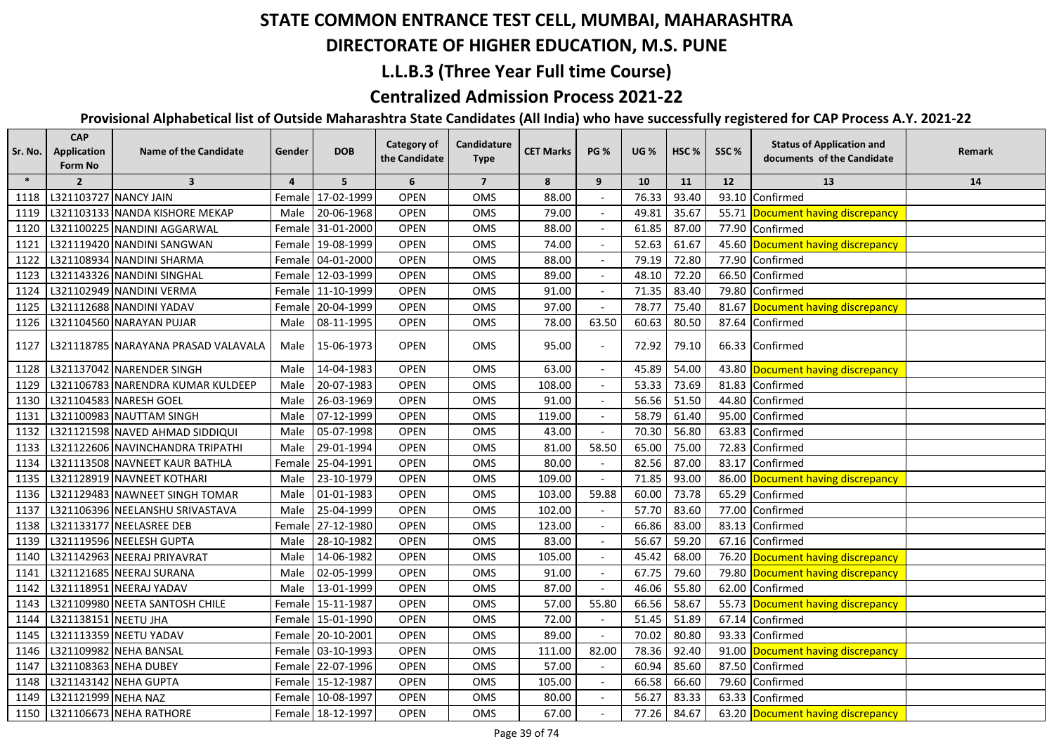## **DIRECTORATE OF HIGHER EDUCATION, M.S. PUNE**

### **L.L.B.3 (Three Year Full time Course)**

### **Centralized Admission Process 2021-22**

| Sr. No. | <b>CAP</b><br>Application<br>Form No | <b>Name of the Candidate</b>        | Gender         | <b>DOB</b>        | <b>Category of</b><br>the Candidate | Candidature<br><b>Type</b> | <b>CET Marks</b> | <b>PG %</b>              | <b>UG</b> % | HSC <sub>%</sub> | SSC%  | <b>Status of Application and</b><br>documents of the Candidate | Remark |
|---------|--------------------------------------|-------------------------------------|----------------|-------------------|-------------------------------------|----------------------------|------------------|--------------------------|-------------|------------------|-------|----------------------------------------------------------------|--------|
| $\ast$  | $\overline{2}$                       | $\overline{\mathbf{3}}$             | $\overline{4}$ | 5                 | 6                                   | $\overline{7}$             | 8                | 9                        | 10          | 11               | 12    | 13                                                             | 14     |
| 1118    | L321103727 NANCY JAIN                |                                     |                | Female 17-02-1999 | <b>OPEN</b>                         | OMS                        | 88.00            |                          | 76.33       | 93.40            | 93.10 | Confirmed                                                      |        |
| 1119    |                                      | L321103133 NANDA KISHORE MEKAP      | Male           | 20-06-1968        | <b>OPEN</b>                         | <b>OMS</b>                 | 79.00            |                          | 49.81       | 35.67            |       | 55.71 Document having discrepancy                              |        |
| 1120    |                                      | L321100225 NANDINI AGGARWAL         |                | Female 31-01-2000 | <b>OPEN</b>                         | OMS                        | 88.00            |                          | 61.85       | 87.00            | 77.90 | Confirmed                                                      |        |
| 1121    |                                      | L321119420 NANDINI SANGWAN          |                | Female 19-08-1999 | OPEN                                | OMS                        | 74.00            |                          | 52.63       | 61.67            | 45.60 | Document having discrepancy                                    |        |
| 1122    |                                      | L321108934 NANDINI SHARMA           |                | Female 04-01-2000 | <b>OPEN</b>                         | OMS                        | 88.00            |                          | 79.19       | 72.80            | 77.90 | Confirmed                                                      |        |
| 1123    |                                      | L321143326 NANDINI SINGHAL          |                | Female 12-03-1999 | <b>OPEN</b>                         | OMS                        | 89.00            |                          | 48.10       | 72.20            | 66.50 | Confirmed                                                      |        |
| 1124    |                                      | L321102949 NANDINI VERMA            |                | Female 11-10-1999 | <b>OPEN</b>                         | OMS                        | 91.00            |                          | 71.35       | 83.40            | 79.80 | Confirmed                                                      |        |
| 1125    |                                      | L321112688 NANDINI YADAV            |                | Female 20-04-1999 | <b>OPEN</b>                         | OMS                        | 97.00            |                          | 78.77       | 75.40            | 81.67 | Document having discrepancy                                    |        |
| 1126    |                                      | L321104560 NARAYAN PUJAR            | Male           | 08-11-1995        | <b>OPEN</b>                         | OMS                        | 78.00            | 63.50                    | 60.63       | 80.50            | 87.64 | Confirmed                                                      |        |
| 1127    |                                      | L321118785 NARAYANA PRASAD VALAVALA |                | Male 15-06-1973   | <b>OPEN</b>                         | OMS                        | 95.00            |                          | 72.92       | 79.10            |       | 66.33 Confirmed                                                |        |
| 1128    |                                      | L321137042 NARENDER SINGH           | Male           | 14-04-1983        | <b>OPEN</b>                         | OMS                        | 63.00            |                          | 45.89       | 54.00            |       | 43.80 Document having discrepancy                              |        |
| 1129    |                                      | L321106783 NARENDRA KUMAR KULDEEP   | Male           | 20-07-1983        | <b>OPEN</b>                         | OMS                        | 108.00           |                          | 53.33       | 73.69            |       | 81.83 Confirmed                                                |        |
| 1130    |                                      | L321104583 NARESH GOEL              | Male           | 26-03-1969        | <b>OPEN</b>                         | OMS                        | 91.00            |                          | 56.56       | 51.50            | 44.80 | Confirmed                                                      |        |
| 1131    |                                      | L321100983 NAUTTAM SINGH            | Male           | 07-12-1999        | <b>OPEN</b>                         | <b>OMS</b>                 | 119.00           |                          | 58.79       | 61.40            | 95.00 | Confirmed                                                      |        |
| 1132    |                                      | L321121598 NAVED AHMAD SIDDIQUI     | Male           | 05-07-1998        | <b>OPEN</b>                         | OMS                        | 43.00            |                          | 70.30       | 56.80            | 63.83 | Confirmed                                                      |        |
| 1133    |                                      | L321122606 NAVINCHANDRA TRIPATHI    | Male           | 29-01-1994        | <b>OPEN</b>                         | OMS                        | 81.00            | 58.50                    | 65.00       | 75.00            | 72.83 | Confirmed                                                      |        |
| 1134    |                                      | L321113508 NAVNEET KAUR BATHLA      |                | Female 25-04-1991 | OPEN                                | OMS                        | 80.00            |                          | 82.56       | 87.00            | 83.17 | Confirmed                                                      |        |
| 1135    |                                      | L321128919 NAVNEET KOTHARI          | Male           | 23-10-1979        | <b>OPEN</b>                         | OMS                        | 109.00           |                          | 71.85       | 93.00            | 86.00 | Document having discrepancy                                    |        |
| 1136    |                                      | L321129483 NAWNEET SINGH TOMAR      | Male           | 01-01-1983        | <b>OPEN</b>                         | OMS                        | 103.00           | 59.88                    | 60.00       | 73.78            | 65.29 | Confirmed                                                      |        |
| 1137    |                                      | L321106396 NEELANSHU SRIVASTAVA     | Male           | 25-04-1999        | <b>OPEN</b>                         | OMS                        | 102.00           |                          | 57.70       | 83.60            | 77.00 | Confirmed                                                      |        |
| 1138    |                                      | L321133177 NEELASREE DEB            |                | Female 27-12-1980 | <b>OPEN</b>                         | OMS                        | 123.00           |                          | 66.86       | 83.00            | 83.13 | Confirmed                                                      |        |
| 1139    |                                      | L321119596 NEELESH GUPTA            | Male           | 28-10-1982        | <b>OPEN</b>                         | OMS                        | 83.00            |                          | 56.67       | 59.20            |       | 67.16 Confirmed                                                |        |
| 1140    |                                      | L321142963 NEERAJ PRIYAVRAT         | Male           | 14-06-1982        | <b>OPEN</b>                         | OMS                        | 105.00           |                          | 45.42       | 68.00            | 76.20 | Document having discrepancy                                    |        |
| 1141    |                                      | L321121685 NEERAJ SURANA            | Male           | 02-05-1999        | <b>OPEN</b>                         | OMS                        | 91.00            |                          | 67.75       | 79.60            |       | 79.80 Document having discrepancy                              |        |
| 1142    |                                      | L321118951 NEERAJ YADAV             | Male           | 13-01-1999        | OPEN                                | OMS                        | 87.00            | $\overline{\phantom{a}}$ | 46.06       | 55.80            | 62.00 | Confirmed                                                      |        |
| 1143    |                                      | L321109980 NEETA SANTOSH CHILE      |                | Female 15-11-1987 | <b>OPEN</b>                         | OMS                        | 57.00            | 55.80                    | 66.56       | 58.67            | 55.73 | Document having discrepancy                                    |        |
| 1144    | L321138151 NEETU JHA                 |                                     |                | Female 15-01-1990 | <b>OPEN</b>                         | OMS                        | 72.00            |                          | 51.45       | 51.89            | 67.14 | Confirmed                                                      |        |
| 1145    |                                      | L321113359 NEETU YADAV              |                | Female 20-10-2001 | OPEN                                | OMS                        | 89.00            | $\overline{\phantom{a}}$ | 70.02       | 80.80            | 93.33 | Confirmed                                                      |        |
| 1146    |                                      | L321109982 NEHA BANSAL              |                | Female 03-10-1993 | <b>OPEN</b>                         | OMS                        | 111.00           | 82.00                    | 78.36       | 92.40            | 91.00 | Document having discrepancy                                    |        |
| 1147    |                                      | L321108363 NEHA DUBEY               |                | Female 22-07-1996 | <b>OPEN</b>                         | OMS                        | 57.00            |                          | 60.94       | 85.60            |       | 87.50 Confirmed                                                |        |
| 1148    |                                      | L321143142 NEHA GUPTA               |                | Female 15-12-1987 | <b>OPEN</b>                         | OMS                        | 105.00           |                          | 66.58       | 66.60            | 79.60 | Confirmed                                                      |        |
| 1149    | L321121999 NEHA NAZ                  |                                     |                | Female 10-08-1997 | <b>OPEN</b>                         | OMS                        | 80.00            |                          | 56.27       | 83.33            |       | 63.33 Confirmed                                                |        |
| 1150    |                                      | L321106673 NEHA RATHORE             |                | Female 18-12-1997 | <b>OPEN</b>                         | OMS                        | 67.00            |                          | 77.26       | 84.67            |       | 63.20 Document having discrepancy                              |        |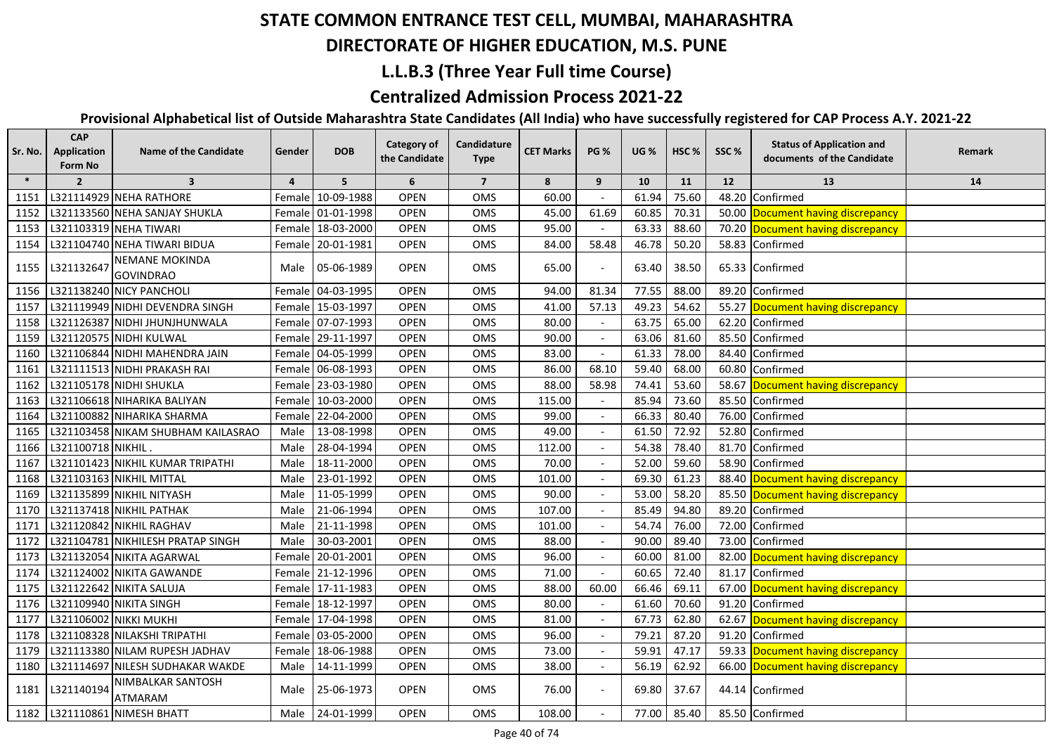#### **DIRECTORATE OF HIGHER EDUCATION, M.S. PUNE**

### **L.L.B.3 (Three Year Full time Course)**

### **Centralized Admission Process 2021-22**

| Sr. No. | <b>CAP</b><br><b>Application</b><br>Form No | <b>Name of the Candidate</b>              | Gender         | <b>DOB</b>        | Category of<br>the Candidate | Candidature<br><b>Type</b> | <b>CET Marks</b> | <b>PG %</b> | <b>UG</b> % | HSC <sub>%</sub> | SSC%  | <b>Status of Application and</b><br>documents of the Candidate | Remark |
|---------|---------------------------------------------|-------------------------------------------|----------------|-------------------|------------------------------|----------------------------|------------------|-------------|-------------|------------------|-------|----------------------------------------------------------------|--------|
| $\ast$  | $\overline{2}$                              | $\overline{\mathbf{3}}$                   | $\overline{4}$ | 5                 | 6                            | $\overline{7}$             | 8                | 9           | 10          | 11               | 12    | 13                                                             | 14     |
| 1151    |                                             | L321114929 NEHA RATHORE                   |                | Female 10-09-1988 | <b>OPEN</b>                  | OMS                        | 60.00            |             | 61.94       | 75.60            | 48.20 | Confirmed                                                      |        |
| 1152    |                                             | L321133560 NEHA SANJAY SHUKLA             |                | Female 01-01-1998 | <b>OPEN</b>                  | OMS                        | 45.00            | 61.69       | 60.85       | 70.31            |       | 50.00 Document having discrepancy                              |        |
| 1153    |                                             | L321103319 NEHA TIWARI                    |                | Female 18-03-2000 | <b>OPEN</b>                  | OMS                        | 95.00            |             | 63.33       | 88.60            |       | 70.20 Document having discrepancy                              |        |
| 1154    |                                             | L321104740 NEHA TIWARI BIDUA              |                | Female 20-01-1981 | <b>OPEN</b>                  | OMS                        | 84.00            | 58.48       | 46.78       | 50.20            |       | 58.83 Confirmed                                                |        |
| 1155    | L321132647                                  | <b>NEMANE MOKINDA</b><br><b>GOVINDRAO</b> |                | Male 05-06-1989   | <b>OPEN</b>                  | <b>OMS</b>                 | 65.00            |             | 63.40       | 38.50            |       | 65.33 Confirmed                                                |        |
| 1156    |                                             | L321138240 NICY PANCHOLI                  |                | Female 04-03-1995 | <b>OPEN</b>                  | OMS                        | 94.00            | 81.34       | 77.55       | 88.00            |       | 89.20 Confirmed                                                |        |
| 1157    |                                             | L321119949 NIDHI DEVENDRA SINGH           |                | Female 15-03-1997 | <b>OPEN</b>                  | OMS                        | 41.00            | 57.13       | 49.23       | 54.62            |       | 55.27 Document having discrepancy                              |        |
| 1158    |                                             | L321126387 NIDHI JHUNJHUNWALA             |                | Female 07-07-1993 | <b>OPEN</b>                  | OMS                        | 80.00            |             | 63.75       | 65.00            |       | 62.20 Confirmed                                                |        |
| 1159    |                                             | L321120575 NIDHI KULWAL                   |                | Female 29-11-1997 | <b>OPEN</b>                  | OMS                        | 90.00            |             | 63.06       | 81.60            |       | 85.50 Confirmed                                                |        |
| 1160    |                                             | L321106844 NIDHI MAHENDRA JAIN            |                | Female 04-05-1999 | <b>OPEN</b>                  | OMS                        | 83.00            |             | 61.33       | 78.00            |       | 84.40 Confirmed                                                |        |
| 1161    |                                             | L321111513 NIDHI PRAKASH RAI              |                | Female 06-08-1993 | <b>OPEN</b>                  | <b>OMS</b>                 | 86.00            | 68.10       | 59.40       | 68.00            |       | 60.80 Confirmed                                                |        |
| 1162    |                                             | L321105178 NIDHI SHUKLA                   |                | Female 23-03-1980 | <b>OPEN</b>                  | OMS                        | 88.00            | 58.98       | 74.41       | 53.60            |       | 58.67 Document having discrepancy                              |        |
| 1163    |                                             | L321106618 NIHARIKA BALIYAN               |                | Female 10-03-2000 | <b>OPEN</b>                  | OMS                        | 115.00           |             | 85.94       | 73.60            |       | 85.50 Confirmed                                                |        |
| 1164    |                                             | L321100882 NIHARIKA SHARMA                |                | Female 22-04-2000 | <b>OPEN</b>                  | OMS                        | 99.00            |             | 66.33       | 80.40            |       | 76.00 Confirmed                                                |        |
| 1165    |                                             | L321103458 NIKAM SHUBHAM KAILASRAO        | Male           | 13-08-1998        | <b>OPEN</b>                  | OMS                        | 49.00            |             | 61.50       | 72.92            |       | 52.80 Confirmed                                                |        |
| 1166    | L321100718 NIKHIL.                          |                                           | Male           | 28-04-1994        | <b>OPEN</b>                  | OMS                        | 112.00           |             | 54.38       | 78.40            |       | 81.70 Confirmed                                                |        |
| 1167    |                                             | L321101423 NIKHIL KUMAR TRIPATHI          | Male           | 18-11-2000        | <b>OPEN</b>                  | OMS                        | 70.00            |             | 52.00       | 59.60            |       | 58.90 Confirmed                                                |        |
| 1168    |                                             | L321103163 NIKHIL MITTAL                  | Male           | 23-01-1992        | <b>OPEN</b>                  | OMS                        | 101.00           |             | 69.30       | 61.23            |       | 88.40 Document having discrepancy                              |        |
| 1169    |                                             | L321135899 NIKHIL NITYASH                 | Male           | 11-05-1999        | OPEN                         | OMS                        | 90.00            |             | 53.00       | 58.20            |       | 85.50 Document having discrepancy                              |        |
| 1170    |                                             | L321137418 NIKHIL PATHAK                  | Male           | 21-06-1994        | <b>OPEN</b>                  | OMS                        | 107.00           |             | 85.49       | 94.80            | 89.20 | Confirmed                                                      |        |
| 1171    |                                             | L321120842 NIKHIL RAGHAV                  | Male           | 21-11-1998        | <b>OPEN</b>                  | OMS                        | 101.00           |             | 54.74       | 76.00            | 72.00 | Confirmed                                                      |        |
| 1172    |                                             | L321104781 NIKHILESH PRATAP SINGH         | Male           | 30-03-2001        | <b>OPEN</b>                  | OMS                        | 88.00            |             | 90.00       | 89.40            | 73.00 | Confirmed                                                      |        |
| 1173    |                                             | L321132054 NIKITA AGARWAL                 |                | Female 20-01-2001 | <b>OPEN</b>                  | OMS                        | 96.00            |             | 60.00       | 81.00            | 82.00 | Document having discrepancy                                    |        |
| 1174    |                                             | L321124002 NIKITA GAWANDE                 |                | Female 21-12-1996 | <b>OPEN</b>                  | OMS                        | 71.00            |             | 60.65       | 72.40            | 81.17 | Confirmed                                                      |        |
| 1175    |                                             | L321122642 NIKITA SALUJA                  |                | Female 17-11-1983 | <b>OPEN</b>                  | OMS                        | 88.00            | 60.00       | 66.46       | 69.11            |       | 67.00 Document having discrepancy                              |        |
| 1176    |                                             | L321109940 NIKITA SINGH                   |                | Female 18-12-1997 | <b>OPEN</b>                  | OMS                        | 80.00            |             | 61.60       | 70.60            | 91.20 | Confirmed                                                      |        |
| 1177    |                                             | L321106002 NIKKI MUKHI                    |                | Female 17-04-1998 | <b>OPEN</b>                  | OMS                        | 81.00            |             | 67.73       | 62.80            | 62.67 | Document having discrepancy                                    |        |
| 1178    |                                             | L321108328 NILAKSHI TRIPATHI              |                | Female 03-05-2000 | <b>OPEN</b>                  | OMS                        | 96.00            |             | 79.21       | 87.20            |       | 91.20 Confirmed                                                |        |
| 1179    |                                             | L321113380 NILAM RUPESH JADHAV            |                | Female 18-06-1988 | <b>OPEN</b>                  | OMS                        | 73.00            |             | 59.91       | 47.17            |       | 59.33 Document having discrepancy                              |        |
| 1180    |                                             | L321114697 NILESH SUDHAKAR WAKDE          | Male           | 14-11-1999        | <b>OPEN</b>                  | OMS                        | 38.00            |             | 56.19       | 62.92            |       | 66.00 Document having discrepancy                              |        |
| 1181    | L321140194                                  | NIMBALKAR SANTOSH<br><b>ATMARAM</b>       |                | Male 25-06-1973   | <b>OPEN</b>                  | OMS                        | 76.00            |             | 69.80       | 37.67            |       | 44.14 Confirmed                                                |        |
| 1182    |                                             | L321110861 NIMESH BHATT                   |                | Male 24-01-1999   | <b>OPEN</b>                  | OMS                        | 108.00           |             | 77.00       | 85.40            |       | 85.50 Confirmed                                                |        |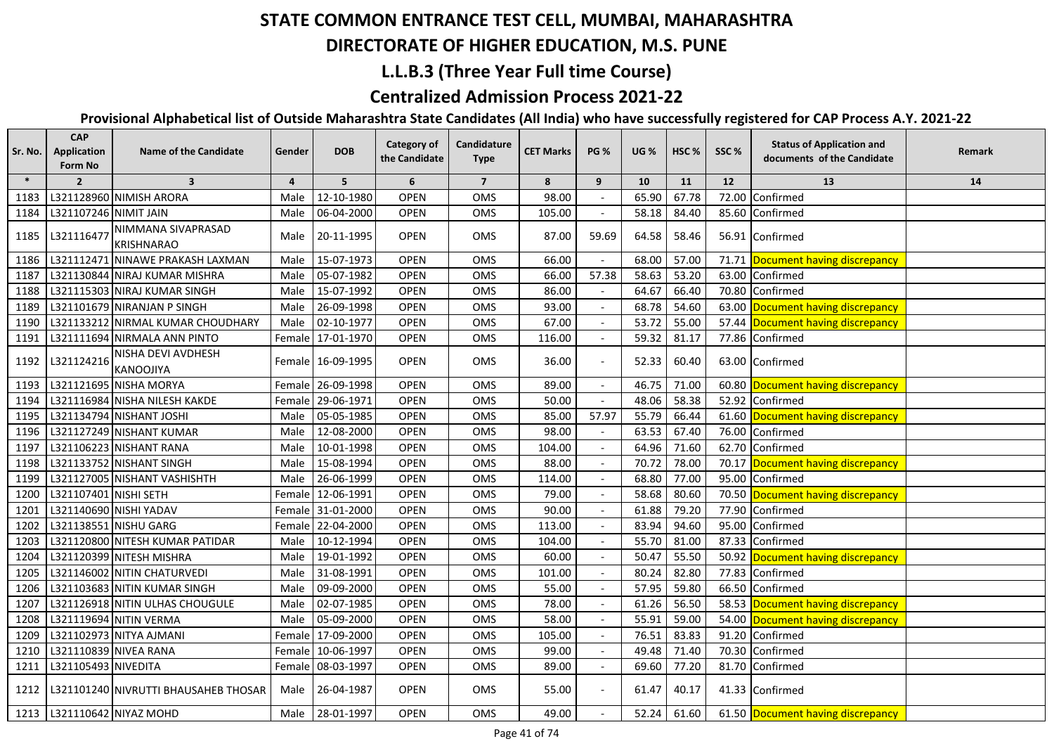## **DIRECTORATE OF HIGHER EDUCATION, M.S. PUNE**

### **L.L.B.3 (Three Year Full time Course)**

#### **Centralized Admission Process 2021-22**

| Sr. No. | <b>CAP</b><br>Application<br>Form No | <b>Name of the Candidate</b>            | Gender         | <b>DOB</b>        | Category of<br>the Candidate | Candidature<br><b>Type</b> | <b>CET Marks</b> | <b>PG %</b> | <b>UG</b> % | HSC <sub>%</sub> | SSC%  | <b>Status of Application and</b><br>documents of the Candidate | Remark |
|---------|--------------------------------------|-----------------------------------------|----------------|-------------------|------------------------------|----------------------------|------------------|-------------|-------------|------------------|-------|----------------------------------------------------------------|--------|
| $\ast$  | $\overline{2}$                       | $\overline{\mathbf{3}}$                 | $\overline{4}$ | 5                 | 6                            | $\overline{7}$             | 8                | 9           | 10          | 11               | 12    | 13                                                             | 14     |
| 1183    |                                      | L321128960 NIMISH ARORA                 | Male           | 12-10-1980        | <b>OPEN</b>                  | OMS                        | 98.00            |             | 65.90       | 67.78            | 72.00 | Confirmed                                                      |        |
| 1184    | L321107246 NIMIT JAIN                |                                         | Male           | 06-04-2000        | <b>OPEN</b>                  | OMS                        | 105.00           |             | 58.18       | 84.40            | 85.60 | Confirmed                                                      |        |
| 1185    | L321116477                           | NIMMANA SIVAPRASAD<br><b>KRISHNARAO</b> | Male           | 20-11-1995        | <b>OPEN</b>                  | OMS                        | 87.00            | 59.69       | 64.58       | 58.46            |       | 56.91 Confirmed                                                |        |
| 1186    |                                      | L321112471 NINAWE PRAKASH LAXMAN        | Male           | 15-07-1973        | <b>OPEN</b>                  | OMS                        | 66.00            |             | 68.00       | 57.00            |       | 71.71 Document having discrepancy                              |        |
| 1187    |                                      | L321130844 NIRAJ KUMAR MISHRA           | Male           | 05-07-1982        | <b>OPEN</b>                  | OMS                        | 66.00            | 57.38       | 58.63       | 53.20            |       | 63.00 Confirmed                                                |        |
| 1188    |                                      | L321115303 NIRAJ KUMAR SINGH            | Male           | 15-07-1992        | <b>OPEN</b>                  | OMS                        | 86.00            |             | 64.67       | 66.40            |       | 70.80 Confirmed                                                |        |
| 1189    |                                      | L321101679 NIRANJAN P SINGH             | Male           | 26-09-1998        | <b>OPEN</b>                  | OMS                        | 93.00            |             | 68.78       | 54.60            |       | 63.00 Document having discrepancy                              |        |
| 1190    |                                      | L321133212 NIRMAL KUMAR CHOUDHARY       | Male           | 02-10-1977        | <b>OPEN</b>                  | OMS                        | 67.00            |             | 53.72       | 55.00            |       | 57.44 Document having discrepancy                              |        |
| 1191    |                                      | L321111694 NIRMALA ANN PINTO            |                | Female 17-01-1970 | <b>OPEN</b>                  | <b>OMS</b>                 | 116.00           |             | 59.32       | 81.17            |       | 77.86 Confirmed                                                |        |
| 1192    | L321124216                           | NISHA DEVI AVDHESH<br>KANOOJIYA         |                | Female 16-09-1995 | <b>OPEN</b>                  | OMS                        | 36.00            |             | 52.33       | 60.40            |       | 63.00 Confirmed                                                |        |
| 1193    |                                      | L321121695 NISHA MORYA                  |                | Female 26-09-1998 | <b>OPEN</b>                  | OMS                        | 89.00            |             | 46.75       | 71.00            |       | 60.80 Document having discrepancy                              |        |
| 1194    |                                      | L321116984 NISHA NILESH KAKDE           |                | Female 29-06-1971 | <b>OPEN</b>                  | OMS                        | 50.00            |             | 48.06       | 58.38            |       | 52.92 Confirmed                                                |        |
| 1195    |                                      | L321134794 NISHANT JOSHI                |                | Male 05-05-1985   | <b>OPEN</b>                  | OMS                        | 85.00            | 57.97       | 55.79       | 66.44            |       | 61.60 Document having discrepancy                              |        |
| 1196    |                                      | L321127249 NISHANT KUMAR                | Male           | 12-08-2000        | <b>OPEN</b>                  | OMS                        | 98.00            |             | 63.53       | 67.40            |       | 76.00 Confirmed                                                |        |
| 1197    |                                      | L321106223 NISHANT RANA                 | Male           | 10-01-1998        | <b>OPEN</b>                  | OMS                        | 104.00           |             | 64.96       | 71.60            | 62.70 | Confirmed                                                      |        |
| 1198    |                                      | L321133752 NISHANT SINGH                | Male           | 15-08-1994        | <b>OPEN</b>                  | OMS                        | 88.00            |             | 70.72       | 78.00            |       | 70.17 Document having discrepancy                              |        |
| 1199    |                                      | L321127005 NISHANT VASHISHTH            | Male           | 26-06-1999        | OPEN                         | OMS                        | 114.00           |             | 68.80       | 77.00            | 95.00 | Confirmed                                                      |        |
| 1200    | L321107401 NISHI SETH                |                                         |                | Female 12-06-1991 | <b>OPEN</b>                  | OMS                        | 79.00            |             | 58.68       | 80.60            |       | 70.50 Document having discrepancy                              |        |
| 1201    | L321140690 NISHI YADAV               |                                         |                | Female 31-01-2000 | <b>OPEN</b>                  | OMS                        | 90.00            |             | 61.88       | 79.20            | 77.90 | Confirmed                                                      |        |
| 1202    | L321138551 NISHU GARG                |                                         |                | Female 22-04-2000 | <b>OPEN</b>                  | OMS                        | 113.00           |             | 83.94       | 94.60            | 95.00 | Confirmed                                                      |        |
| 1203    |                                      | L321120800 NITESH KUMAR PATIDAR         | Male           | 10-12-1994        | <b>OPEN</b>                  | OMS                        | 104.00           |             | 55.70       | 81.00            | 87.33 | <b>Confirmed</b>                                               |        |
| 1204    |                                      | L321120399 NITESH MISHRA                | Male           | 19-01-1992        | OPEN                         | OMS                        | 60.00            |             | 50.47       | 55.50            | 50.92 | Document having discrepancy                                    |        |
| 1205    |                                      | L321146002 NITIN CHATURVEDI             | Male           | 31-08-1991        | OPEN                         | OMS                        | 101.00           |             | 80.24       | 82.80            | 77.83 | Confirmed                                                      |        |
| 1206    |                                      | L321103683 NITIN KUMAR SINGH            | Male           | 09-09-2000        | OPEN                         | OMS                        | 55.00            |             | 57.95       | 59.80            | 66.50 | Confirmed                                                      |        |
| 1207    |                                      | L321126918 NITIN ULHAS CHOUGULE         | Male           | 02-07-1985        | OPEN                         | OMS                        | 78.00            |             | 61.26       | 56.50            |       | 58.53 Document having discrepancy                              |        |
| 1208    |                                      | L321119694 NITIN VERMA                  | Male           | 05-09-2000        | <b>OPEN</b>                  | OMS                        | 58.00            |             | 55.91       | 59.00            |       | 54.00 Document having discrepancy                              |        |
| 1209    |                                      | L321102973 NITYA AJMANI                 |                | Female 17-09-2000 | <b>OPEN</b>                  | OMS                        | 105.00           |             | 76.51       | 83.83            |       | 91.20 Confirmed                                                |        |
| 1210    | L321110839 NIVEA RANA                |                                         |                | Female 10-06-1997 | <b>OPEN</b>                  | OMS                        | 99.00            |             | 49.48       | 71.40            | 70.30 | Confirmed                                                      |        |
| 1211    | L321105493 NIVEDITA                  |                                         |                | Female 08-03-1997 | <b>OPEN</b>                  | OMS                        | 89.00            |             | 69.60       | 77.20            | 81.70 | Confirmed                                                      |        |
| 1212    |                                      | L321101240 NIVRUTTI BHAUSAHEB THOSAR    |                | Male 26-04-1987   | <b>OPEN</b>                  | OMS                        | 55.00            |             | 61.47       | 40.17            |       | 41.33 Confirmed                                                |        |
|         |                                      | 1213   L321110642 NIYAZ MOHD            |                | Male 28-01-1997   | <b>OPEN</b>                  | OMS                        | 49.00            |             | 52.24       | 61.60            |       | 61.50 Document having discrepancy                              |        |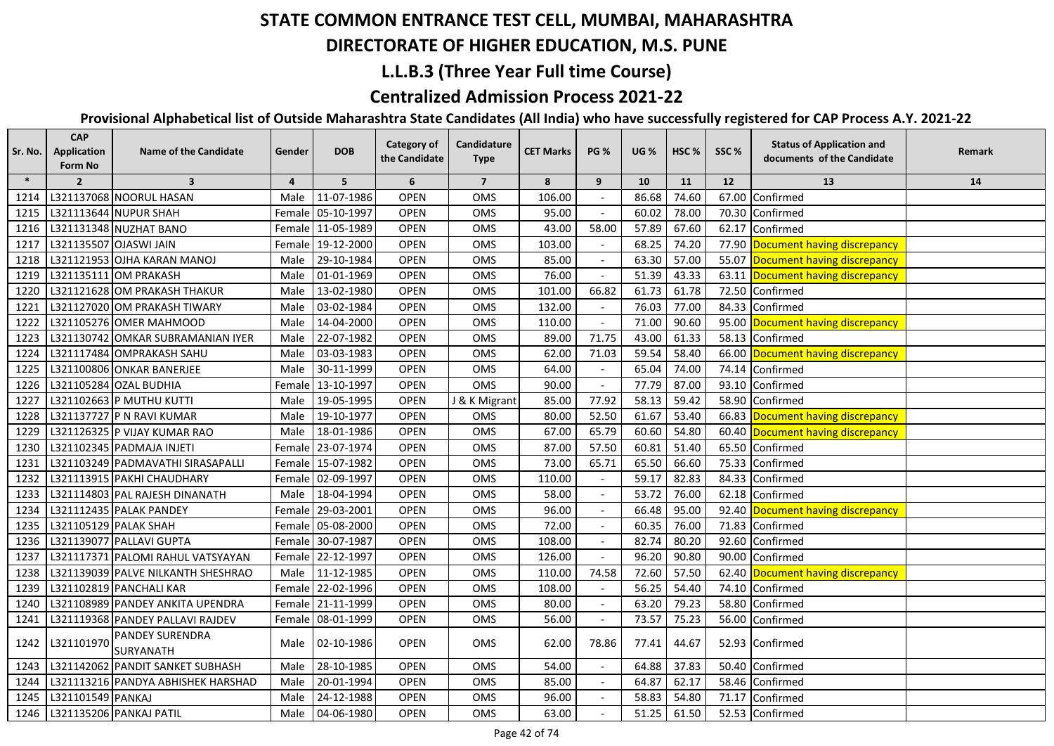## **DIRECTORATE OF HIGHER EDUCATION, M.S. PUNE**

#### **L.L.B.3 (Three Year Full time Course)**

### **Centralized Admission Process 2021-22**

| Sr. No. | <b>CAP</b><br><b>Application</b><br>Form No | <b>Name of the Candidate</b>        | Gender         | <b>DOB</b>        | <b>Category of</b><br>the Candidate | Candidature<br><b>Type</b> | <b>CET Marks</b> | <b>PG %</b>              | <b>UG</b> % | HSC <sub>%</sub> | SSC%  | <b>Status of Application and</b><br>documents of the Candidate | Remark |
|---------|---------------------------------------------|-------------------------------------|----------------|-------------------|-------------------------------------|----------------------------|------------------|--------------------------|-------------|------------------|-------|----------------------------------------------------------------|--------|
| $\ast$  | $\overline{2}$                              | $\overline{\mathbf{3}}$             | $\overline{a}$ | 5                 | 6                                   | $\overline{7}$             | 8                | 9                        | 10          | 11               | 12    | 13                                                             | 14     |
| 1214    |                                             | L321137068 NOORUL HASAN             | Male           | 11-07-1986        | OPEN                                | OMS                        | 106.00           |                          | 86.68       | 74.60            | 67.00 | Confirmed                                                      |        |
| 1215    |                                             | L321113644 NUPUR SHAH               |                | Female 05-10-1997 | <b>OPEN</b>                         | <b>OMS</b>                 | 95.00            |                          | 60.02       | 78.00            | 70.30 | Confirmed                                                      |        |
| 1216    |                                             | L321131348 NUZHAT BANO              |                | Female 11-05-1989 | <b>OPEN</b>                         | OMS                        | 43.00            | 58.00                    | 57.89       | 67.60            | 62.17 | Confirmed                                                      |        |
| 1217    |                                             | L321135507 OJASWI JAIN              |                | Female 19-12-2000 | <b>OPEN</b>                         | <b>OMS</b>                 | 103.00           |                          | 68.25       | 74.20            |       | 77.90 Document having discrepancy                              |        |
| 1218    |                                             | L321121953 OJHA KARAN MANOJ         | Male           | 29-10-1984        | <b>OPEN</b>                         | OMS                        | 85.00            |                          | 63.30       | 57.00            |       | 55.07 Document having discrepancy                              |        |
| 1219    |                                             | L321135111 OM PRAKASH               | Male           | 01-01-1969        | OPEN                                | OMS                        | 76.00            |                          | 51.39       | 43.33            | 63.11 | Document having discrepancy                                    |        |
| 1220    |                                             | L321121628 OM PRAKASH THAKUR        | Male           | 13-02-1980        | <b>OPEN</b>                         | OMS                        | 101.00           | 66.82                    | 61.73       | 61.78            | 72.50 | Confirmed                                                      |        |
| 1221    |                                             | L321127020 OM PRAKASH TIWARY        | Male           | 03-02-1984        | <b>OPEN</b>                         | OMS                        | 132.00           |                          | 76.03       | 77.00            | 84.33 | Confirmed                                                      |        |
| 1222    |                                             | L321105276 OMER MAHMOOD             | Male           | 14-04-2000        | <b>OPEN</b>                         | OMS                        | 110.00           |                          | 71.00       | 90.60            |       | 95.00 Document having discrepancy                              |        |
| 1223    |                                             | L321130742 OMKAR SUBRAMANIAN IYER   | Male           | 22-07-1982        | <b>OPEN</b>                         | OMS                        | 89.00            | 71.75                    | 43.00       | 61.33            | 58.13 | Confirmed                                                      |        |
| 1224    |                                             | L321117484 OMPRAKASH SAHU           | Male           | 03-03-1983        | <b>OPEN</b>                         | OMS                        | 62.00            | 71.03                    | 59.54       | 58.40            |       | 66.00 Document having discrepancy                              |        |
| 1225    |                                             | L321100806 ONKAR BANERJEE           | Male           | 30-11-1999        | <b>OPEN</b>                         | <b>OMS</b>                 | 64.00            |                          | 65.04       | 74.00            | 74.14 | Confirmed                                                      |        |
| 1226    |                                             | L321105284 OZAL BUDHIA              |                | Female 13-10-1997 | <b>OPEN</b>                         | OMS                        | 90.00            |                          | 77.79       | 87.00            | 93.10 | Confirmed                                                      |        |
| 1227    |                                             | L321102663 P MUTHU KUTTI            | Male           | 19-05-1995        | <b>OPEN</b>                         | J & K Migrant              | 85.00            | 77.92                    | 58.13       | 59.42            |       | 58.90 Confirmed                                                |        |
| 1228    |                                             | L321137727 P N RAVI KUMAR           | Male           | 19-10-1977        | <b>OPEN</b>                         | OMS                        | 80.00            | 52.50                    | 61.67       | 53.40            |       | 66.83 Document having discrepancy                              |        |
| 1229    |                                             | L321126325 P VIJAY KUMAR RAO        | Male           | 18-01-1986        | <b>OPEN</b>                         | OMS                        | 67.00            | 65.79                    | 60.60       | 54.80            |       | 60.40 Document having discrepancy                              |        |
| 1230    |                                             | L321102345 PADMAJA INJETI           |                | Female 23-07-1974 | <b>OPEN</b>                         | OMS                        | 87.00            | 57.50                    | 60.81       | 51.40            |       | 65.50 Confirmed                                                |        |
| 1231    |                                             | L321103249 PADMAVATHI SIRASAPALLI   |                | Female 15-07-1982 | <b>OPEN</b>                         | OMS                        | 73.00            | 65.71                    | 65.50       | 66.60            | 75.33 | Confirmed                                                      |        |
| 1232    |                                             | L321113915 PAKHI CHAUDHARY          |                | Female 02-09-1997 | <b>OPEN</b>                         | OMS                        | 110.00           |                          | 59.17       | 82.83            | 84.33 | Confirmed                                                      |        |
| 1233    |                                             | L321114803 PAL RAJESH DINANATH      | Male           | 18-04-1994        | <b>OPEN</b>                         | OMS                        | 58.00            | $\overline{\phantom{a}}$ | 53.72       | 76.00            | 62.18 | Confirmed                                                      |        |
| 1234    |                                             | L321112435 PALAK PANDEY             |                | Female 29-03-2001 | <b>OPEN</b>                         | OMS                        | 96.00            |                          | 66.48       | 95.00            | 92.40 | Document having discrepancy                                    |        |
| 1235    | L321105129 PALAK SHAH                       |                                     | Female         | 05-08-2000        | <b>OPEN</b>                         | OMS                        | 72.00            |                          | 60.35       | 76.00            | 71.83 | Confirmed                                                      |        |
| 1236    |                                             | L321139077 PALLAVI GUPTA            |                | Female 30-07-1987 | <b>OPEN</b>                         | OMS                        | 108.00           | $\sim$                   | 82.74       | 80.20            | 92.60 | Confirmed                                                      |        |
| 1237    |                                             | L321117371 PALOMI RAHUL VATSYAYAN   |                | Female 22-12-1997 | <b>OPEN</b>                         | OMS                        | 126.00           |                          | 96.20       | 90.80            | 90.00 | Confirmed                                                      |        |
| 1238    |                                             | L321139039 PALVE NILKANTH SHESHRAO  | Male           | 11-12-1985        | <b>OPEN</b>                         | OMS                        | 110.00           | 74.58                    | 72.60       | 57.50            | 62.40 | Document having discrepancy                                    |        |
| 1239    |                                             | L321102819 PANCHALI KAR             |                | Female 22-02-1996 | <b>OPEN</b>                         | OMS                        | 108.00           |                          | 56.25       | 54.40            | 74.10 | Confirmed                                                      |        |
| 1240    |                                             | L321108989 PANDEY ANKITA UPENDRA    |                | Female 21-11-1999 | <b>OPEN</b>                         | OMS                        | 80.00            |                          | 63.20       | 79.23            | 58.80 | Confirmed                                                      |        |
| 1241    |                                             | L321119368 PANDEY PALLAVI RAJDEV    | Female         | 08-01-1999        | <b>OPEN</b>                         | OMS                        | 56.00            | $\overline{\phantom{a}}$ | 73.57       | 75.23            | 56.00 | Confirmed                                                      |        |
| 1242    | L321101970                                  | PANDEY SURENDRA<br><b>SURYANATH</b> | Male           | 02-10-1986        | OPEN                                | OMS                        | 62.00            | 78.86                    | 77.41       | 44.67            |       | 52.93 Confirmed                                                |        |
| 1243    |                                             | L321142062 PANDIT SANKET SUBHASH    | Male           | 28-10-1985        | <b>OPEN</b>                         | OMS                        | 54.00            | $\overline{\phantom{a}}$ | 64.88       | 37.83            | 50.40 | Confirmed                                                      |        |
| 1244    |                                             | L321113216 PANDYA ABHISHEK HARSHAD  | Male           | 20-01-1994        | <b>OPEN</b>                         | OMS                        | 85.00            | $\overline{\phantom{a}}$ | 64.87       | 62.17            | 58.46 | Confirmed                                                      |        |
| 1245    | L321101549 PANKAJ                           |                                     | Male           | 24-12-1988        | <b>OPEN</b>                         | OMS                        | 96.00            | $\overline{\phantom{a}}$ | 58.83       | 54.80            | 71.17 | Confirmed                                                      |        |
| 1246    |                                             | L321135206 PANKAJ PATIL             | Male           | 04-06-1980        | <b>OPEN</b>                         | OMS                        | 63.00            |                          | 51.25       | 61.50            |       | 52.53 Confirmed                                                |        |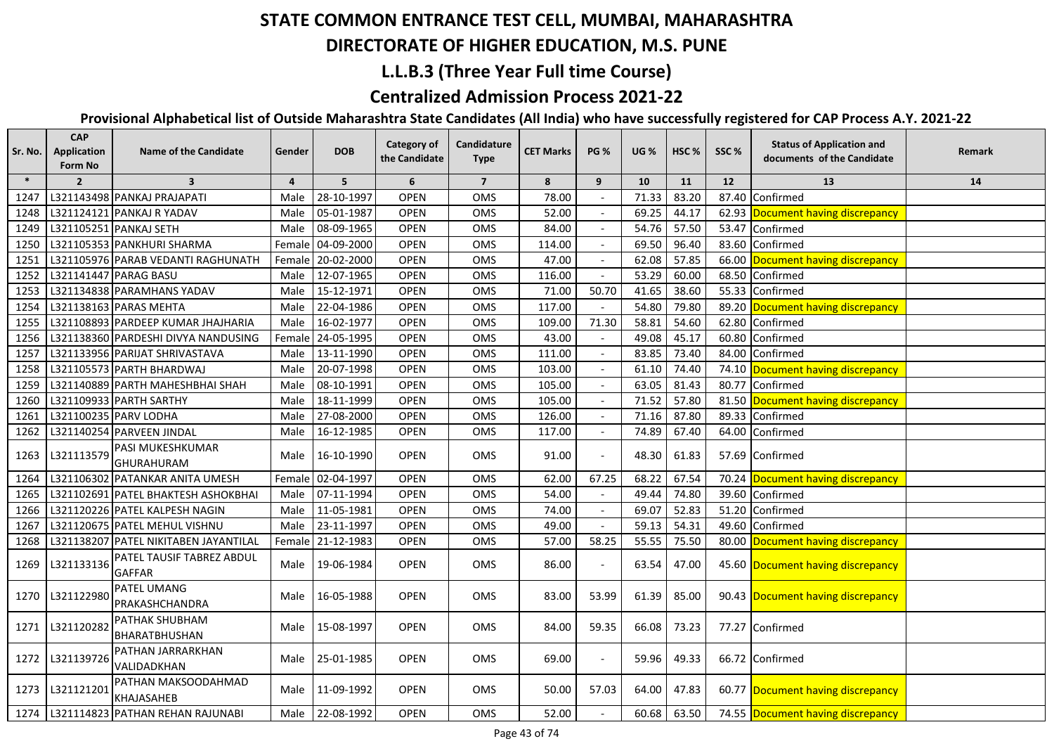## **DIRECTORATE OF HIGHER EDUCATION, M.S. PUNE**

#### **L.L.B.3 (Three Year Full time Course)**

### **Centralized Admission Process 2021-22**

| Sr. No. | <b>CAP</b><br><b>Application</b><br>Form No | <b>Name of the Candidate</b>               | Gender         | <b>DOB</b>        | <b>Category of</b><br>the Candidate | Candidature<br><b>Type</b> | <b>CET Marks</b> | <b>PG %</b> | <b>UG %</b> | HSC <sub>%</sub> | SSC%  | <b>Status of Application and</b><br>documents of the Candidate | Remark |
|---------|---------------------------------------------|--------------------------------------------|----------------|-------------------|-------------------------------------|----------------------------|------------------|-------------|-------------|------------------|-------|----------------------------------------------------------------|--------|
| $\ast$  | $\overline{2}$                              | $\overline{3}$                             | $\overline{4}$ | 5                 | 6                                   | $\overline{7}$             | 8                | 9           | 10          | 11               | 12    | 13                                                             | 14     |
| 1247    |                                             | L321143498 PANKAJ PRAJAPATI                | Male           | 28-10-1997        | <b>OPEN</b>                         | OMS                        | 78.00            |             | 71.33       | 83.20            | 87.40 | Confirmed                                                      |        |
| 1248    |                                             | L321124121 PANKAJ R YADAV                  | Male           | 05-01-1987        | <b>OPEN</b>                         | <b>OMS</b>                 | 52.00            |             | 69.25       | 44.17            |       | 62.93 Document having discrepancy                              |        |
| 1249    |                                             | L321105251 PANKAJ SETH                     | Male           | 08-09-1965        | <b>OPEN</b>                         | OMS                        | 84.00            |             | 54.76       | 57.50            |       | 53.47 Confirmed                                                |        |
| 1250    |                                             | L321105353 PANKHURI SHARMA                 |                | Female 04-09-2000 | <b>OPEN</b>                         | OMS                        | 114.00           |             | 69.50       | 96.40            |       | 83.60 Confirmed                                                |        |
| 1251    |                                             | L321105976 PARAB VEDANTI RAGHUNATH         |                | Female 20-02-2000 | <b>OPEN</b>                         | <b>OMS</b>                 | 47.00            |             | 62.08       | 57.85            |       | 66.00 Document having discrepancy                              |        |
| 1252    |                                             | L321141447 PARAG BASU                      | Male           | 12-07-1965        | <b>OPEN</b>                         | OMS                        | 116.00           |             | 53.29       | 60.00            |       | 68.50 Confirmed                                                |        |
| 1253    |                                             | L321134838 PARAMHANS YADAV                 | Male           | 15-12-1971        | <b>OPEN</b>                         | OMS                        | 71.00            | 50.70       | 41.65       | 38.60            |       | 55.33 Confirmed                                                |        |
| 1254    |                                             | L321138163 PARAS MEHTA                     | Male           | 22-04-1986        | <b>OPEN</b>                         | OMS                        | 117.00           |             | 54.80       | 79.80            |       | 89.20 Document having discrepancy                              |        |
| 1255    |                                             | L321108893 PARDEEP KUMAR JHAJHARIA         | Male           | 16-02-1977        | <b>OPEN</b>                         | OMS                        | 109.00           | 71.30       | 58.81       | 54.60            | 62.80 | Confirmed                                                      |        |
| 1256    |                                             | L321138360 PARDESHI DIVYA NANDUSING        |                | Female 24-05-1995 | <b>OPEN</b>                         | OMS                        | 43.00            |             | 49.08       | 45.17            | 60.80 | Confirmed                                                      |        |
| 1257    |                                             | L321133956 PARIJAT SHRIVASTAVA             | Male           | 13-11-1990        | <b>OPEN</b>                         | <b>OMS</b>                 | 111.00           |             | 83.85       | 73.40            | 84.00 | Confirmed                                                      |        |
| 1258    |                                             | L321105573 PARTH BHARDWAJ                  | Male           | 20-07-1998        | <b>OPEN</b>                         | OMS                        | 103.00           |             | 61.10       | 74.40            |       | 74.10 Document having discrepancy                              |        |
| 1259    |                                             | L321140889 PARTH MAHESHBHAI SHAH           | Male           | 08-10-1991        | <b>OPEN</b>                         | OMS                        | 105.00           |             | 63.05       | 81.43            | 80.77 | Confirmed                                                      |        |
| 1260    |                                             | L321109933 PARTH SARTHY                    | Male           | 18-11-1999        | <b>OPEN</b>                         | <b>OMS</b>                 | 105.00           |             | 71.52       | 57.80            |       | 81.50 Document having discrepancy                              |        |
| 1261    |                                             | L321100235 PARV LODHA                      | Male           | 27-08-2000        | <b>OPEN</b>                         | <b>OMS</b>                 | 126.00           |             | 71.16       | 87.80            |       | 89.33 Confirmed                                                |        |
| 1262    |                                             | L321140254 PARVEEN JINDAL                  | Male           | 16-12-1985        | OPEN                                | OMS                        | 117.00           |             | 74.89       | 67.40            |       | 64.00 Confirmed                                                |        |
| 1263    | L321113579                                  | PASI MUKESHKUMAR<br><b>GHURAHURAM</b>      | Male           | 16-10-1990        | <b>OPEN</b>                         | OMS                        | 91.00            |             | 48.30       | 61.83            |       | 57.69 Confirmed                                                |        |
| 1264    |                                             | L321106302 PATANKAR ANITA UMESH            | Female         | 02-04-1997        | OPEN                                | OMS                        | 62.00            | 67.25       | 68.22       | 67.54            | 70.24 | Document having discrepancy                                    |        |
| 1265    |                                             | L321102691 PATEL BHAKTESH ASHOKBHAI        | Male           | 07-11-1994        | <b>OPEN</b>                         | OMS                        | 54.00            |             | 49.44       | 74.80            | 39.60 | Confirmed                                                      |        |
| 1266    |                                             | L321120226 PATEL KALPESH NAGIN             | Male           | 11-05-1981        | OPEN                                | OMS                        | 74.00            | $\sim$      | 69.07       | 52.83            | 51.20 | Confirmed                                                      |        |
| 1267    |                                             | L321120675 PATEL MEHUL VISHNU              | Male           | 23-11-1997        | <b>OPEN</b>                         | OMS                        | 49.00            |             | 59.13       | 54.31            | 49.60 | Confirmed                                                      |        |
| 1268    |                                             | L321138207 PATEL NIKITABEN JAYANTILAL      |                | Female 21-12-1983 | <b>OPEN</b>                         | OMS                        | 57.00            | 58.25       | 55.55       | 75.50            |       | 80.00 Document having discrepancy                              |        |
| 1269    | L321133136                                  | PATEL TAUSIF TABREZ ABDUL<br><b>GAFFAR</b> | Male           | 19-06-1984        | <b>OPEN</b>                         | OMS                        | 86.00            |             | 63.54       | 47.00            |       | 45.60 Document having discrepancy                              |        |
| 1270    | L321122980                                  | PATEL UMANG<br>PRAKASHCHANDRA              | Male           | 16-05-1988        | <b>OPEN</b>                         | OMS                        | 83.00            | 53.99       | 61.39       | 85.00            |       | 90.43 Document having discrepancy                              |        |
| 1271    | L321120282                                  | <b>PATHAK SHUBHAM</b><br>BHARATBHUSHAN     | Male           | 15-08-1997        | <b>OPEN</b>                         | OMS                        | 84.00            | 59.35       | 66.08       | 73.23            |       | 77.27 Confirmed                                                |        |
| 1272    | L321139726                                  | PATHAN JARRARKHAN<br>VALIDADKHAN           | Male           | 25-01-1985        | <b>OPEN</b>                         | OMS                        | 69.00            |             | 59.96       | 49.33            |       | 66.72 Confirmed                                                |        |
| 1273    | L321121201                                  | PATHAN MAKSOODAHMAD<br><b>KHAJASAHEB</b>   |                | Male 11-09-1992   | <b>OPEN</b>                         | OMS                        | 50.00            | 57.03       | 64.00       | 47.83            |       | 60.77 Document having discrepancy                              |        |
|         |                                             | 1274   L321114823 PATHAN REHAN RAJUNABI    |                | Male 22-08-1992   | <b>OPEN</b>                         | OMS                        | 52.00            |             | 60.68       | 63.50            |       | 74.55 Document having discrepancy                              |        |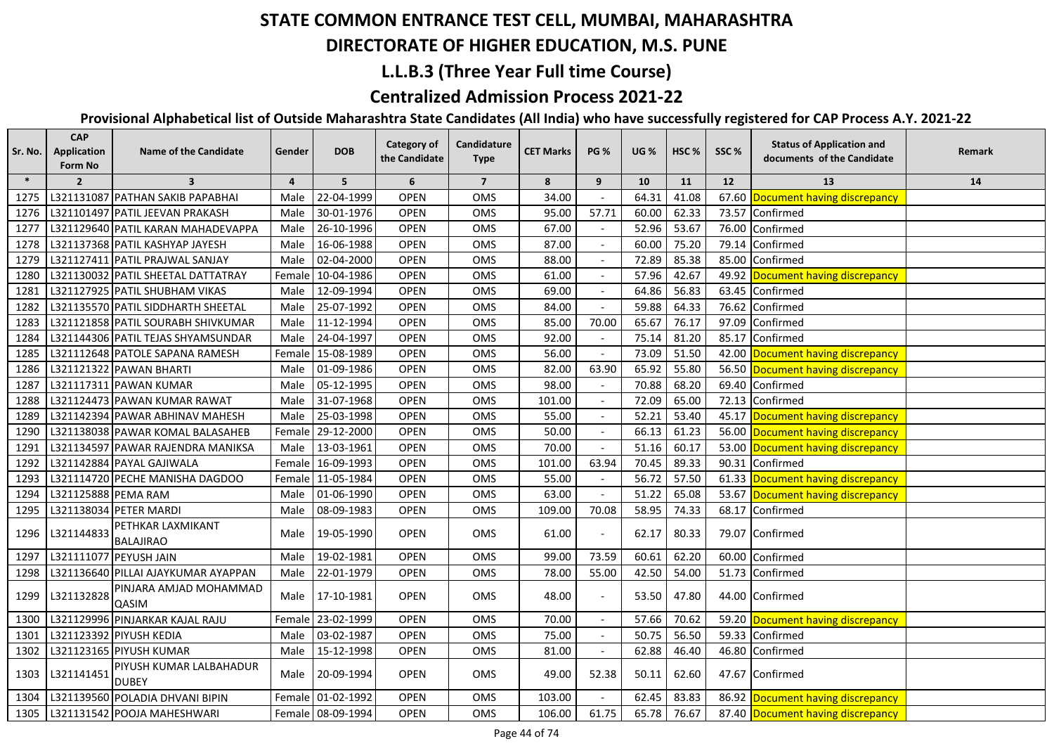#### **DIRECTORATE OF HIGHER EDUCATION, M.S. PUNE**

### **L.L.B.3 (Three Year Full time Course)**

### **Centralized Admission Process 2021-22**

| Sr. No. | <b>CAP</b><br>Application<br>Form No | <b>Name of the Candidate</b>            | Gender | <b>DOB</b>        | <b>Category of</b><br>the Candidate | Candidature<br><b>Type</b> | <b>CET Marks</b> | <b>PG %</b>              | <b>UG %</b> | HSC <sub>%</sub> | SSC%  | <b>Status of Application and</b><br>documents of the Candidate | Remark |
|---------|--------------------------------------|-----------------------------------------|--------|-------------------|-------------------------------------|----------------------------|------------------|--------------------------|-------------|------------------|-------|----------------------------------------------------------------|--------|
| $\ast$  | $\overline{2}$                       | $\overline{\mathbf{3}}$                 | 4      | 5                 | 6                                   | $\overline{7}$             | 8                | 9                        | 10          | 11               | 12    | 13                                                             | 14     |
| 1275    |                                      | L321131087 PATHAN SAKIB PAPABHAI        | Male   | 22-04-1999        | <b>OPEN</b>                         | OMS                        | 34.00            |                          | 64.31       | 41.08            |       | 67.60 Document having discrepancy                              |        |
| 1276    |                                      | L321101497 PATIL JEEVAN PRAKASH         | Male   | 30-01-1976        | <b>OPEN</b>                         | <b>OMS</b>                 | 95.00            | 57.71                    | 60.00       | 62.33            |       | 73.57 Confirmed                                                |        |
| 1277    |                                      | L321129640 PATIL KARAN MAHADEVAPPA      | Male   | 26-10-1996        | <b>OPEN</b>                         | OMS                        | 67.00            |                          | 52.96       | 53.67            | 76.00 | Confirmed                                                      |        |
| 1278    |                                      | L321137368 PATIL KASHYAP JAYESH         | Male   | 16-06-1988        | <b>OPEN</b>                         | OMS                        | 87.00            |                          | 60.00       | 75.20            |       | 79.14 Confirmed                                                |        |
| 1279    |                                      | L321127411 PATIL PRAJWAL SANJAY         | Male   | 02-04-2000        | <b>OPEN</b>                         | OMS                        | 88.00            |                          | 72.89       | 85.38            |       | 85.00 Confirmed                                                |        |
| 1280    |                                      | L321130032 PATIL SHEETAL DATTATRAY      |        | Female 10-04-1986 | <b>OPEN</b>                         | OMS                        | 61.00            |                          | 57.96       | 42.67            |       | 49.92 Document having discrepancy                              |        |
| 1281    |                                      | L321127925 PATIL SHUBHAM VIKAS          | Male   | 12-09-1994        | OPEN                                | OMS                        | 69.00            |                          | 64.86       | 56.83            |       | 63.45 Confirmed                                                |        |
| 1282    |                                      | L321135570 PATIL SIDDHARTH SHEETAL      | Male   | 25-07-1992        | <b>OPEN</b>                         | OMS                        | 84.00            |                          | 59.88       | 64.33            |       | 76.62 Confirmed                                                |        |
| 1283    |                                      | L321121858 PATIL SOURABH SHIVKUMAR      | Male   | 11-12-1994        | <b>OPEN</b>                         | OMS                        | 85.00            | 70.00                    | 65.67       | 76.17            |       | 97.09 Confirmed                                                |        |
| 1284    |                                      | L321144306 PATIL TEJAS SHYAMSUNDAR      | Male   | 24-04-1997        | <b>OPEN</b>                         | OMS                        | 92.00            |                          | 75.14       | 81.20            |       | 85.17 Confirmed                                                |        |
| 1285    |                                      | L321112648 PATOLE SAPANA RAMESH         |        | Female 15-08-1989 | <b>OPEN</b>                         | OMS                        | 56.00            |                          | 73.09       | 51.50            |       | 42.00 Document having discrepancy                              |        |
| 1286    |                                      | L321121322 PAWAN BHARTI                 | Male   | 01-09-1986        | <b>OPEN</b>                         | OMS                        | 82.00            | 63.90                    | 65.92       | 55.80            |       | 56.50 Document having discrepancy                              |        |
| 1287    |                                      | L321117311 PAWAN KUMAR                  | Male   | 05-12-1995        | <b>OPEN</b>                         | <b>OMS</b>                 | 98.00            |                          | 70.88       | 68.20            |       | 69.40 Confirmed                                                |        |
| 1288    |                                      | L321124473 PAWAN KUMAR RAWAT            |        | Male 31-07-1968   | <b>OPEN</b>                         | OMS                        | 101.00           |                          | 72.09       | 65.00            |       | 72.13 Confirmed                                                |        |
| 1289    |                                      | L321142394 PAWAR ABHINAV MAHESH         |        | Male 25-03-1998   | <b>OPEN</b>                         | <b>OMS</b>                 | 55.00            |                          | 52.21       | 53.40            |       | 45.17 Document having discrepancy                              |        |
| 1290    |                                      | L321138038 PAWAR KOMAL BALASAHEB        |        | Female 29-12-2000 | <b>OPEN</b>                         | OMS                        | 50.00            |                          | 66.13       | 61.23            |       | 56.00 Document having discrepancy                              |        |
| 1291    |                                      | L321134597 PAWAR RAJENDRA MANIKSA       | Male   | 13-03-1961        | <b>OPEN</b>                         | OMS                        | 70.00            |                          | 51.16       | 60.17            |       | 53.00 Document having discrepancy                              |        |
| 1292    |                                      | L321142884 PAYAL GAJIWALA               |        | Female 16-09-1993 | OPEN                                | <b>OMS</b>                 | 101.00           | 63.94                    | 70.45       | 89.33            |       | 90.31 Confirmed                                                |        |
| 1293    |                                      | L321114720 PECHE MANISHA DAGDOO         |        | Female 11-05-1984 | <b>OPEN</b>                         | OMS                        | 55.00            |                          | 56.72       | 57.50            |       | 61.33 Document having discrepancy                              |        |
| 1294    | L321125888 PEMA RAM                  |                                         | Male   | 01-06-1990        | OPEN                                | OMS                        | 63.00            | $\sim$                   | 51.22       | 65.08            |       | 53.67 Document having discrepancy                              |        |
| 1295    |                                      | L321138034 PETER MARDI                  | Male   | 08-09-1983        | <b>OPEN</b>                         | <b>OMS</b>                 | 109.00           | 70.08                    | 58.95       | 74.33            |       | 68.17 Confirmed                                                |        |
| 1296    | L321144833                           | PETHKAR LAXMIKANT<br><b>BALAJIRAO</b>   | Male   | 19-05-1990        | <b>OPEN</b>                         | OMS                        | 61.00            |                          | 62.17       | 80.33            |       | 79.07 Confirmed                                                |        |
| 1297    | L321111077 PEYUSH JAIN               |                                         | Male   | 19-02-1981        | <b>OPEN</b>                         | OMS                        | 99.00            | 73.59                    | 60.61       | 62.20            | 60.00 | Confirmed                                                      |        |
| 1298    |                                      | L321136640 PILLAI AJAYKUMAR AYAPPAN     | Male   | 22-01-1979        | <b>OPEN</b>                         | OMS                        | 78.00            | 55.00                    | 42.50       | 54.00            |       | 51.73 Confirmed                                                |        |
| 1299    | L321132828                           | PINJARA AMJAD MOHAMMAD<br>QASIM         | Male   | 17-10-1981        | <b>OPEN</b>                         | OMS                        | 48.00            |                          | 53.50       | 47.80            |       | 44.00 Confirmed                                                |        |
| 1300    |                                      | L321129996 PINJARKAR KAJAL RAJU         | Female | 23-02-1999        | <b>OPEN</b>                         | OMS                        | 70.00            |                          | 57.66       | 70.62            |       | 59.20 Document having discrepancy                              |        |
| 1301    |                                      | L321123392 PIYUSH KEDIA                 | Male   | 03-02-1987        | <b>OPEN</b>                         | OMS                        | 75.00            |                          | 50.75       | 56.50            |       | 59.33 Confirmed                                                |        |
| 1302    |                                      | L321123165 PIYUSH KUMAR                 | Male   | 15-12-1998        | <b>OPEN</b>                         | OMS                        | 81.00            | $\overline{\phantom{a}}$ | 62.88       | 46.40            |       | 46.80 Confirmed                                                |        |
| 1303    | L321141451                           | PIYUSH KUMAR LALBAHADUR<br><b>DUBEY</b> | Male   | 20-09-1994        | <b>OPEN</b>                         | OMS                        | 49.00            | 52.38                    | 50.11       | 62.60            |       | 47.67 Confirmed                                                |        |
| 1304    |                                      | L321139560 POLADIA DHVANI BIPIN         |        | Female 01-02-1992 | <b>OPEN</b>                         | OMS                        | 103.00           |                          | 62.45       | 83.83            |       | 86.92 Document having discrepancy                              |        |
| 1305    |                                      | L321131542 POOJA MAHESHWARI             |        | Female 08-09-1994 | <b>OPEN</b>                         | OMS                        | 106.00           | 61.75                    | 65.78       | 76.67            |       | 87.40 Document having discrepancy                              |        |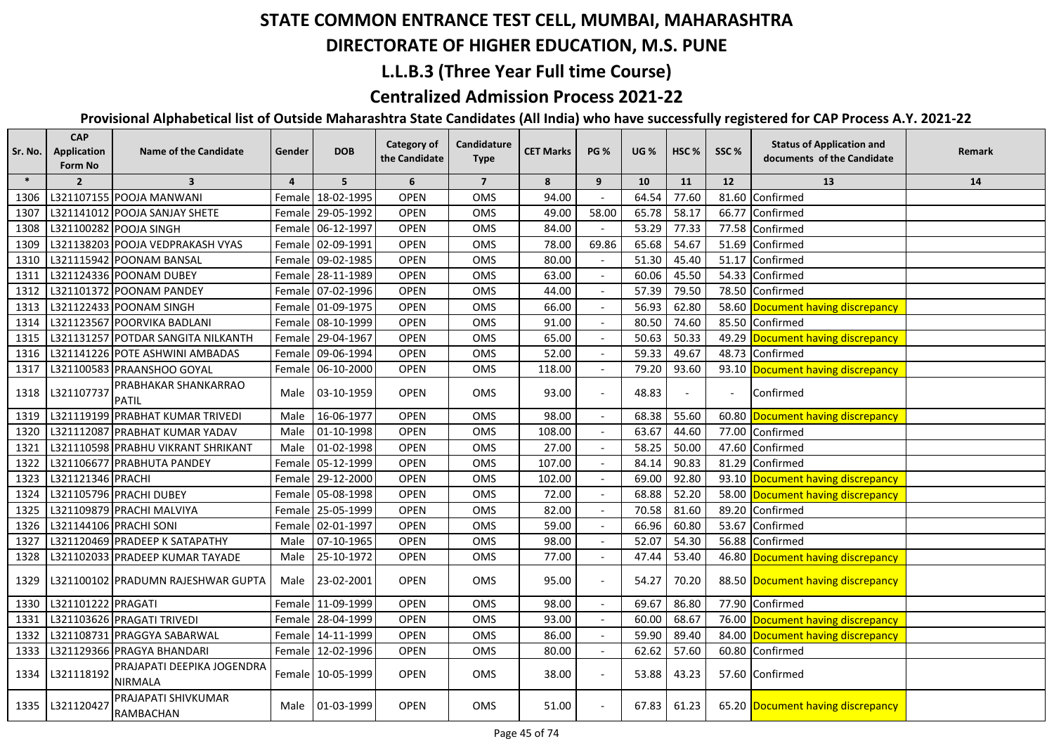#### **DIRECTORATE OF HIGHER EDUCATION, M.S. PUNE**

### **L.L.B.3 (Three Year Full time Course)**

### **Centralized Admission Process 2021-22**

| Sr. No. | <b>CAP</b><br>Application<br>Form No | <b>Name of the Candidate</b>                 | Gender         | <b>DOB</b>        | <b>Category of</b><br>the Candidate | Candidature<br><b>Type</b> | <b>CET Marks</b> | <b>PG %</b> | <b>UG %</b> | HSC <sub>%</sub> | SSC%                     | <b>Status of Application and</b><br>documents of the Candidate | Remark |
|---------|--------------------------------------|----------------------------------------------|----------------|-------------------|-------------------------------------|----------------------------|------------------|-------------|-------------|------------------|--------------------------|----------------------------------------------------------------|--------|
| $\ast$  | $\overline{2}$                       | $\overline{\mathbf{3}}$                      | $\overline{4}$ | 5                 | 6                                   | $\overline{7}$             | 8                | 9           | 10          | 11               | 12                       | 13                                                             | 14     |
| 1306    |                                      | L321107155 POOJA MANWANI                     |                | Female 18-02-1995 | <b>OPEN</b>                         | OMS                        | 94.00            |             | 64.54       | 77.60            | 81.60                    | Confirmed                                                      |        |
| 1307    |                                      | L321141012 POOJA SANJAY SHETE                |                | Female 29-05-1992 | <b>OPEN</b>                         | <b>OMS</b>                 | 49.00            | 58.00       | 65.78       | 58.17            | 66.77                    | Confirmed                                                      |        |
| 1308    |                                      | L321100282 POOJA SINGH                       |                | Female 06-12-1997 | <b>OPEN</b>                         | OMS                        | 84.00            |             | 53.29       | 77.33            |                          | 77.58 Confirmed                                                |        |
| 1309    |                                      | L321138203 POOJA VEDPRAKASH VYAS             |                | Female 02-09-1991 | <b>OPEN</b>                         | OMS                        | 78.00            | 69.86       | 65.68       | 54.67            |                          | 51.69 Confirmed                                                |        |
| 1310    |                                      | L321115942 POONAM BANSAL                     |                | Female 09-02-1985 | OPEN                                | OMS                        | 80.00            |             | 51.30       | 45.40            |                          | 51.17 Confirmed                                                |        |
| 1311    |                                      | L321124336 POONAM DUBEY                      |                | Female 28-11-1989 | OPEN                                | <b>OMS</b>                 | 63.00            |             | 60.06       | 45.50            |                          | 54.33 Confirmed                                                |        |
| 1312    |                                      | L321101372 POONAM PANDEY                     |                | Female 07-02-1996 | <b>OPEN</b>                         | OMS                        | 44.00            |             | 57.39       | 79.50            |                          | 78.50 Confirmed                                                |        |
| 1313    |                                      | L321122433 POONAM SINGH                      |                | Female 01-09-1975 | <b>OPEN</b>                         | OMS                        | 66.00            |             | 56.93       | 62.80            |                          | 58.60 Document having discrepancy                              |        |
| 1314    |                                      | L321123567 POORVIKA BADLANI                  |                | Female 08-10-1999 | <b>OPEN</b>                         | OMS                        | 91.00            |             | 80.50       | 74.60            |                          | 85.50 Confirmed                                                |        |
| 1315    |                                      | L321131257 POTDAR SANGITA NILKANTH           |                | Female 29-04-1967 | <b>OPEN</b>                         | OMS                        | 65.00            |             | 50.63       | 50.33            |                          | 49.29 Document having discrepancy                              |        |
| 1316    |                                      | L321141226 POTE ASHWINI AMBADAS              |                | Female 09-06-1994 | <b>OPEN</b>                         | OMS                        | 52.00            |             | 59.33       | 49.67            |                          | 48.73 Confirmed                                                |        |
| 1317    |                                      | L321100583 PRAANSHOO GOYAL                   |                | Female 06-10-2000 | <b>OPEN</b>                         | OMS                        | 118.00           |             | 79.20       | 93.60            |                          | 93.10 Document having discrepancy                              |        |
| 1318    | L321107737                           | PRABHAKAR SHANKARRAO<br><b>PATIL</b>         |                | Male 03-10-1959   | <b>OPEN</b>                         | OMS                        | 93.00            |             | 48.83       |                  | $\overline{\phantom{a}}$ | Confirmed                                                      |        |
| 1319    |                                      | L321119199 PRABHAT KUMAR TRIVEDI             | Male           | 16-06-1977        | <b>OPEN</b>                         | OMS                        | 98.00            |             | 68.38       | 55.60            |                          | 60.80 Document having discrepancy                              |        |
| 1320    |                                      | L321112087 PRABHAT KUMAR YADAV               | Male           | 01-10-1998        | <b>OPEN</b>                         | <b>OMS</b>                 | 108.00           |             | 63.67       | 44.60            |                          | 77.00 Confirmed                                                |        |
| 1321    |                                      | L321110598 PRABHU VIKRANT SHRIKANT           | Male           | 01-02-1998        | <b>OPEN</b>                         | <b>OMS</b>                 | 27.00            |             | 58.25       | 50.00            |                          | 47.60 Confirmed                                                |        |
| 1322    |                                      | L321106677 PRABHUTA PANDEY                   |                | Female 05-12-1999 | <b>OPEN</b>                         | <b>OMS</b>                 | 107.00           |             | 84.14       | 90.83            |                          | 81.29 Confirmed                                                |        |
| 1323    | L321121346 PRACHI                    |                                              |                | Female 29-12-2000 | <b>OPEN</b>                         | OMS                        | 102.00           |             | 69.00       | 92.80            |                          | 93.10 Document having discrepancy                              |        |
| 1324    |                                      | L321105796 PRACHI DUBEY                      |                | Female 05-08-1998 | <b>OPEN</b>                         | <b>OMS</b>                 | 72.00            |             | 68.88       | 52.20            |                          | 58.00 Document having discrepancy                              |        |
| 1325    |                                      | L321109879 PRACHI MALVIYA                    |                | Female 25-05-1999 | <b>OPEN</b>                         | <b>OMS</b>                 | 82.00            |             | 70.58       | 81.60            |                          | 89.20 Confirmed                                                |        |
| 1326    | L321144106 PRACHI SONI               |                                              |                | Female 02-01-1997 | <b>OPEN</b>                         | <b>OMS</b>                 | 59.00            |             | 66.96       | 60.80            |                          | 53.67 Confirmed                                                |        |
| 1327    |                                      | L321120469 PRADEEP K SATAPATHY               | Male           | 07-10-1965        | <b>OPEN</b>                         | OMS                        | 98.00            |             | 52.07       | 54.30            |                          | 56.88 Confirmed                                                |        |
| 1328    |                                      | L321102033 PRADEEP KUMAR TAYADE              | Male           | 25-10-1972        | <b>OPEN</b>                         | OMS                        | 77.00            |             | 47.44       | 53.40            |                          | 46.80 Document having discrepancy                              |        |
| 1329    |                                      | L321100102 PRADUMN RAJESHWAR GUPTA           |                | Male 23-02-2001   | <b>OPEN</b>                         | <b>OMS</b>                 | 95.00            |             | 54.27       | 70.20            |                          | 88.50 Document having discrepancy                              |        |
| 1330    | L321101222 PRAGATI                   |                                              |                | Female 11-09-1999 | <b>OPEN</b>                         | OMS                        | 98.00            |             | 69.67       | 86.80            | 77.90                    | Confirmed                                                      |        |
| 1331    |                                      | L321103626 PRAGATI TRIVEDI                   |                | Female 28-04-1999 | <b>OPEN</b>                         | OMS                        | 93.00            |             | 60.00       | 68.67            |                          | 76.00 Document having discrepancy                              |        |
| 1332    |                                      | L321108731 PRAGGYA SABARWAL                  |                | Female 14-11-1999 | <b>OPEN</b>                         | OMS                        | 86.00            |             | 59.90       | 89.40            |                          | 84.00 Document having discrepancy                              |        |
| 1333    |                                      | L321129366 PRAGYA BHANDARI                   |                | Female 12-02-1996 | <b>OPEN</b>                         | <b>OMS</b>                 | 80.00            |             | 62.62       | 57.60            |                          | 60.80 Confirmed                                                |        |
| 1334    | L321118192                           | PRAJAPATI DEEPIKA JOGENDRA<br><b>NIRMALA</b> |                | Female 10-05-1999 | <b>OPEN</b>                         | <b>OMS</b>                 | 38.00            |             | 53.88       | 43.23            |                          | 57.60 Confirmed                                                |        |
| 1335    | L321120427                           | PRAJAPATI SHIVKUMAR<br><b>RAMBACHAN</b>      |                | Male 01-03-1999   | <b>OPEN</b>                         | <b>OMS</b>                 | 51.00            |             | 67.83       | 61.23            |                          | 65.20 Document having discrepancy                              |        |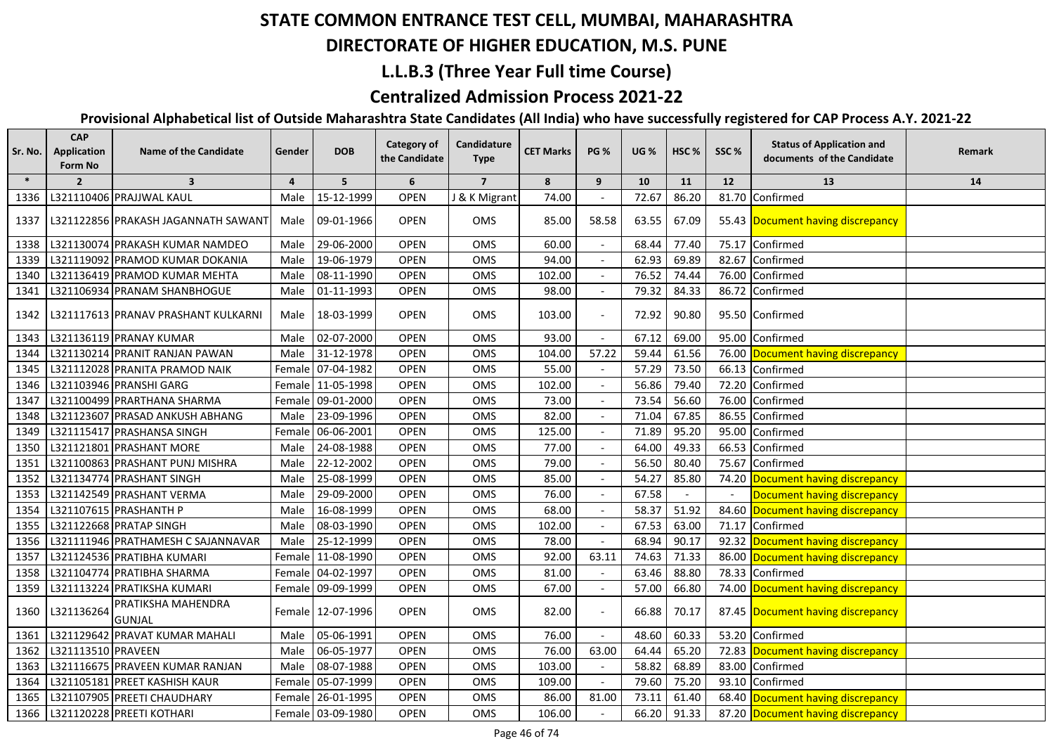## **DIRECTORATE OF HIGHER EDUCATION, M.S. PUNE**

#### **L.L.B.3 (Three Year Full time Course)**

### **Centralized Admission Process 2021-22**

| Sr. No. | <b>CAP</b><br>Application<br>Form No | <b>Name of the Candidate</b>        | Gender         | <b>DOB</b>        | <b>Category of</b><br>the Candidate | Candidature<br><b>Type</b> | <b>CET Marks</b> | <b>PG %</b>              | <b>UG</b> % | HSC <sub>%</sub> | SSC%           | <b>Status of Application and</b><br>documents of the Candidate | Remark |
|---------|--------------------------------------|-------------------------------------|----------------|-------------------|-------------------------------------|----------------------------|------------------|--------------------------|-------------|------------------|----------------|----------------------------------------------------------------|--------|
| $\ast$  | $\overline{2}$                       | $\overline{\mathbf{3}}$             | $\overline{a}$ | 5 <sup>5</sup>    | 6                                   | $\overline{7}$             | 8                | 9                        | 10          | 11               | 12             | 13                                                             | 14     |
| 1336    |                                      | L321110406 PRAJJWAL KAUL            | Male           | 15-12-1999        | <b>OPEN</b>                         | J & K Migrant              | 74.00            |                          | 72.67       | 86.20            | 81.70          | Confirmed                                                      |        |
| 1337    |                                      | L321122856 PRAKASH JAGANNATH SAWANT | Male           | 09-01-1966        | <b>OPEN</b>                         | OMS                        | 85.00            | 58.58                    | 63.55       | 67.09            |                | 55.43 Document having discrepancy                              |        |
| 1338    |                                      | L321130074 PRAKASH KUMAR NAMDEO     | Male           | 29-06-2000        | <b>OPEN</b>                         | OMS                        | 60.00            |                          | 68.44       | 77.40            | 75.17          | Confirmed                                                      |        |
| 1339    |                                      | L321119092 PRAMOD KUMAR DOKANIA     | Male           | 19-06-1979        | <b>OPEN</b>                         | OMS                        | 94.00            |                          | 62.93       | 69.89            | 82.67          | Confirmed                                                      |        |
| 1340    |                                      | L321136419 PRAMOD KUMAR MEHTA       | Male           | 08-11-1990        | <b>OPEN</b>                         | OMS                        | 102.00           |                          | 76.52       | 74.44            | 76.00          | Confirmed                                                      |        |
| 1341    |                                      | L321106934 PRANAM SHANBHOGUE        | Male           | 01-11-1993        | <b>OPEN</b>                         | OMS                        | 98.00            |                          | 79.32       | 84.33            | 86.72          | Confirmed                                                      |        |
| 1342    |                                      | L321117613 PRANAV PRASHANT KULKARNI | Male           | 18-03-1999        | <b>OPEN</b>                         | OMS                        | 103.00           | $\overline{\phantom{a}}$ | 72.92       | 90.80            |                | 95.50 Confirmed                                                |        |
| 1343    |                                      | L321136119 PRANAY KUMAR             | Male           | 02-07-2000        | <b>OPEN</b>                         | OMS                        | 93.00            |                          | 67.12       | 69.00            | 95.00          | Confirmed                                                      |        |
| 1344    |                                      | L321130214 PRANIT RANJAN PAWAN      |                | Male 31-12-1978   | <b>OPEN</b>                         | OMS                        | 104.00           | 57.22                    | 59.44       | 61.56            |                | 76.00 Document having discrepancy                              |        |
| 1345    |                                      | L321112028 PRANITA PRAMOD NAIK      |                | Female 07-04-1982 | <b>OPEN</b>                         | OMS                        | 55.00            |                          | 57.29       | 73.50            |                | 66.13 Confirmed                                                |        |
| 1346    |                                      | L321103946 PRANSHI GARG             |                | Female 11-05-1998 | <b>OPEN</b>                         | OMS                        | 102.00           |                          | 56.86       | 79.40            | 72.20          | Confirmed                                                      |        |
| 1347    |                                      | L321100499 PRARTHANA SHARMA         |                | Female 09-01-2000 | <b>OPEN</b>                         | OMS                        | 73.00            |                          | 73.54       | 56.60            | 76.00          | Confirmed                                                      |        |
| 1348    |                                      | L321123607 PRASAD ANKUSH ABHANG     | Male           | 23-09-1996        | <b>OPEN</b>                         | OMS                        | 82.00            |                          | 71.04       | 67.85            | 86.55          | Confirmed                                                      |        |
| 1349    |                                      | L321115417 PRASHANSA SINGH          |                | Female 06-06-2001 | <b>OPEN</b>                         | OMS                        | 125.00           | $\mathcal{L}$            | 71.89       | 95.20            | 95.00          | Confirmed                                                      |        |
| 1350    |                                      | L321121801 PRASHANT MORE            | Male           | 24-08-1988        | <b>OPEN</b>                         | OMS                        | 77.00            |                          | 64.00       | 49.33            | 66.53          | Confirmed                                                      |        |
| 1351    |                                      | L321100863 PRASHANT PUNJ MISHRA     | Male           | 22-12-2002        | OPEN                                | OMS                        | 79.00            |                          | 56.50       | 80.40            | 75.67          | Confirmed                                                      |        |
| 1352    |                                      | L321134774 PRASHANT SINGH           | Male           | 25-08-1999        | <b>OPEN</b>                         | OMS                        | 85.00            |                          | 54.27       | 85.80            | 74.20          | Document having discrepancy                                    |        |
| 1353    |                                      | L321142549 PRASHANT VERMA           | Male           | 29-09-2000        | <b>OPEN</b>                         | OMS                        | 76.00            | $\blacksquare$           | 67.58       |                  | $\blacksquare$ | Document having discrepancy                                    |        |
| 1354    |                                      | L321107615 PRASHANTH P              | Male           | 16-08-1999        | <b>OPEN</b>                         | OMS                        | 68.00            |                          | 58.37       | 51.92            | 84.60          | Document having discrepancy                                    |        |
| 1355    |                                      | L321122668 PRATAP SINGH             | Male           | 08-03-1990        | <b>OPEN</b>                         | OMS                        | 102.00           | $\overline{a}$           | 67.53       | 63.00            | 71.17          | Confirmed                                                      |        |
| 1356    |                                      | L321111946 PRATHAMESH C SAJANNAVAR  | Male           | 25-12-1999        | <b>OPEN</b>                         | OMS                        | 78.00            |                          | 68.94       | 90.17            |                | 92.32 Document having discrepancy                              |        |
| 1357    |                                      | L321124536 PRATIBHA KUMARI          |                | Female 11-08-1990 | <b>OPEN</b>                         | OMS                        | 92.00            | 63.11                    | 74.63       | 71.33            |                | 86.00 Document having discrepancy                              |        |
| 1358    |                                      | L321104774 PRATIBHA SHARMA          |                | Female 04-02-1997 | <b>OPEN</b>                         | OMS                        | 81.00            |                          | 63.46       | 88.80            | 78.33          | Confirmed                                                      |        |
| 1359    |                                      | L321113224 PRATIKSHA KUMARI         |                | Female 09-09-1999 | <b>OPEN</b>                         | OMS                        | 67.00            | $\overline{\phantom{a}}$ | 57.00       | 66.80            |                | 74.00 Document having discrepancy                              |        |
| 1360    | L321136264                           | PRATIKSHA MAHENDRA<br><b>GUNJAL</b> |                | Female 12-07-1996 | <b>OPEN</b>                         | OMS                        | 82.00            |                          | 66.88       | 70.17            |                | 87.45 Document having discrepancy                              |        |
| 1361    |                                      | L321129642 PRAVAT KUMAR MAHALI      | Male           | 05-06-1991        | <b>OPEN</b>                         | OMS                        | 76.00            | $\overline{\phantom{a}}$ | 48.60       | 60.33            | 53.20          | Confirmed                                                      |        |
| 1362    | L321113510 PRAVEEN                   |                                     | Male           | 06-05-1977        | <b>OPEN</b>                         | OMS                        | 76.00            | 63.00                    | 64.44       | 65.20            | 72.83          | Document having discrepancy                                    |        |
| 1363    |                                      | L321116675 PRAVEEN KUMAR RANJAN     | Male           | 08-07-1988        | <b>OPEN</b>                         | OMS                        | 103.00           | $\blacksquare$           | 58.82       | 68.89            |                | 83.00 Confirmed                                                |        |
| 1364    |                                      | L321105181 PREET KASHISH KAUR       |                | Female 05-07-1999 | <b>OPEN</b>                         | OMS                        | 109.00           | $\overline{\phantom{a}}$ | 79.60       | 75.20            |                | 93.10 Confirmed                                                |        |
| 1365    |                                      | L321107905 PREETI CHAUDHARY         |                | Female 26-01-1995 | <b>OPEN</b>                         | OMS                        | 86.00            | 81.00                    | 73.11       | 61.40            |                | 68.40 Document having discrepancy                              |        |
| 1366    |                                      | L321120228 PREETI KOTHARI           |                | Female 03-09-1980 | <b>OPEN</b>                         | OMS                        | 106.00           |                          | 66.20       | 91.33            |                | 87.20 Document having discrepancy                              |        |
|         |                                      |                                     |                |                   |                                     |                            |                  |                          |             |                  |                |                                                                |        |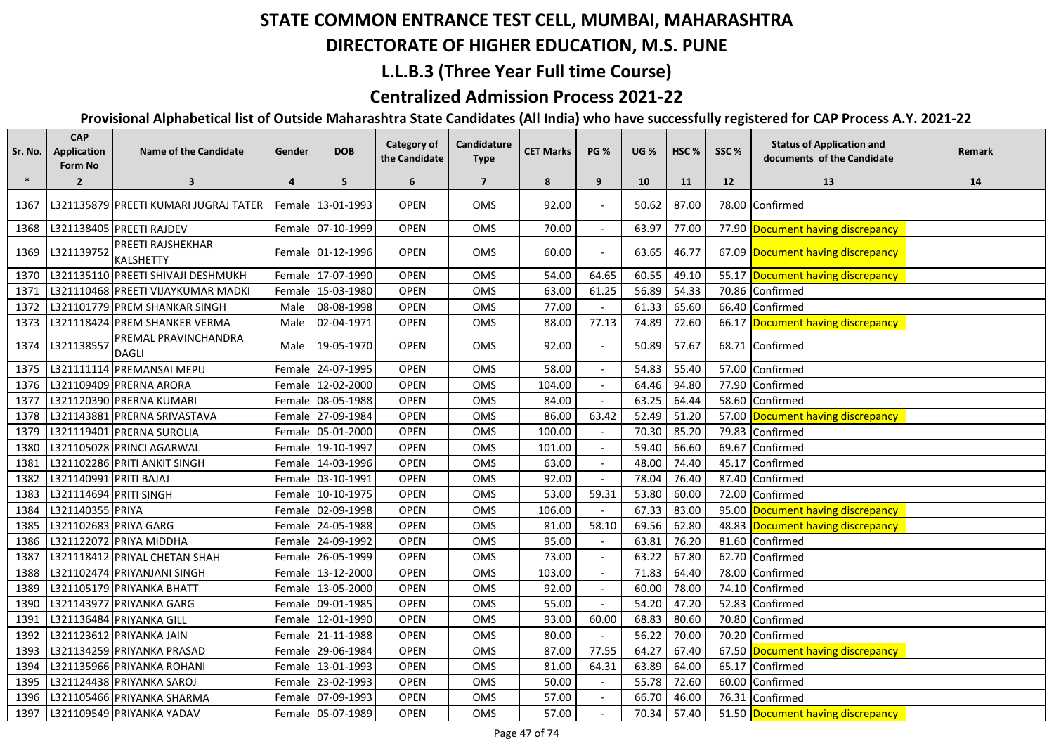## **DIRECTORATE OF HIGHER EDUCATION, M.S. PUNE**

### **L.L.B.3 (Three Year Full time Course)**

### **Centralized Admission Process 2021-22**

| Sr. No. | <b>CAP</b><br>Application<br>Form No | <b>Name of the Candidate</b>          | Gender | <b>DOB</b>        | <b>Category of</b><br>the Candidate | Candidature<br><b>Type</b> | <b>CET Marks</b> | <b>PG %</b>    | <b>UG%</b> | HSC <sub>%</sub> | SSC%  | <b>Status of Application and</b><br>documents of the Candidate | Remark |
|---------|--------------------------------------|---------------------------------------|--------|-------------------|-------------------------------------|----------------------------|------------------|----------------|------------|------------------|-------|----------------------------------------------------------------|--------|
| $\ast$  | $\overline{2}$                       | $\overline{\mathbf{3}}$               | 4      | 5                 | 6                                   | $\overline{7}$             | 8                | 9              | 10         | 11               | 12    | 13                                                             | 14     |
| 1367    |                                      | L321135879 PREETI KUMARI JUGRAJ TATER |        | Female 13-01-1993 | <b>OPEN</b>                         | <b>OMS</b>                 | 92.00            |                | 50.62      | 87.00            |       | 78.00 Confirmed                                                |        |
| 1368    |                                      | L321138405 PREETI RAJDEV              |        | Female 07-10-1999 | OPEN                                | OMS                        | 70.00            |                | 63.97      | 77.00            |       | 77.90 Document having discrepancy                              |        |
| 1369    | L321139752                           | PREETI RAJSHEKHAR<br><b>KALSHETTY</b> |        |                   | <b>OPEN</b>                         | <b>OMS</b>                 | 60.00            |                | 63.65      | 46.77            |       | 67.09 Document having discrepancy                              |        |
| 1370    |                                      | L321135110 PREETI SHIVAJI DESHMUKH    |        | Female 17-07-1990 | OPEN                                | OMS                        | 54.00            | 64.65          | 60.55      | 49.10            |       | 55.17 Document having discrepancy                              |        |
| 1371    |                                      | L321110468 PREETI VIJAYKUMAR MADKI    |        | Female 15-03-1980 | OPEN                                | OMS                        | 63.00            | 61.25          | 56.89      | 54.33            |       | 70.86 Confirmed                                                |        |
| 1372    |                                      | L321101779 PREM SHANKAR SINGH         | Male   | 08-08-1998        | OPEN                                | OMS                        | 77.00            |                | 61.33      | 65.60            |       | 66.40 Confirmed                                                |        |
| 1373    |                                      | L321118424 PREM SHANKER VERMA         | Male   | 02-04-1971        | <b>OPEN</b>                         | OMS                        | 88.00            | 77.13          | 74.89      | 72.60            |       | 66.17 Document having discrepancy                              |        |
| 1374    | L321138557                           | PREMAL PRAVINCHANDRA<br><b>DAGLI</b>  |        | Male 19-05-1970   | <b>OPEN</b>                         | OMS                        | 92.00            |                | 50.89      | 57.67            |       | 68.71 Confirmed                                                |        |
| 1375    |                                      | L321111114 PREMANSAI MEPU             |        | Female 24-07-1995 | <b>OPEN</b>                         | OMS                        | 58.00            |                | 54.83      | 55.40            | 57.00 | Confirmed                                                      |        |
| 1376    |                                      | L321109409 PRERNA ARORA               |        | Female 12-02-2000 | <b>OPEN</b>                         | OMS                        | 104.00           |                | 64.46      | 94.80            |       | 77.90 Confirmed                                                |        |
| 1377    |                                      | L321120390 PRERNA KUMARI              |        | Female 08-05-1988 | <b>OPEN</b>                         | OMS                        | 84.00            |                | 63.25      | 64.44            | 58.60 | Confirmed                                                      |        |
| 1378    |                                      | L321143881 PRERNA SRIVASTAVA          |        | Female 27-09-1984 | <b>OPEN</b>                         | OMS                        | 86.00            | 63.42          | 52.49      | 51.20            | 57.00 | Document having discrepancy                                    |        |
| 1379    |                                      | L321119401 PRERNA SUROLIA             |        | Female 05-01-2000 | <b>OPEN</b>                         | OMS                        | 100.00           |                | 70.30      | 85.20            | 79.83 | Confirmed                                                      |        |
| 1380    |                                      | L321105028 PRINCI AGARWAL             |        | Female 19-10-1997 | <b>OPEN</b>                         | OMS                        | 101.00           |                | 59.40      | 66.60            | 69.67 | Confirmed                                                      |        |
| 1381    |                                      | L321102286 PRITI ANKIT SINGH          |        | Female 14-03-1996 | <b>OPEN</b>                         | OMS                        | 63.00            |                | 48.00      | 74.40            | 45.17 | Confirmed                                                      |        |
| 1382    | L321140991 PRITI BAJAJ               |                                       |        | Female 03-10-1991 | <b>OPEN</b>                         | <b>OMS</b>                 | 92.00            |                | 78.04      | 76.40            |       | 87.40 Confirmed                                                |        |
| 1383    | L321114694 PRITI SINGH               |                                       |        | Female 10-10-1975 | <b>OPEN</b>                         | OMS                        | 53.00            | 59.31          | 53.80      | 60.00            |       | 72.00 Confirmed                                                |        |
| 1384    | L321140355 PRIYA                     |                                       |        | Female 02-09-1998 | <b>OPEN</b>                         | OMS                        | 106.00           |                | 67.33      | 83.00            | 95.00 | Document having discrepancy                                    |        |
| 1385    | L321102683 PRIYA GARG                |                                       |        | Female 24-05-1988 | OPEN                                | OMS                        | 81.00            | 58.10          | 69.56      | 62.80            | 48.83 | Document having discrepancy                                    |        |
| 1386    |                                      | L321122072 PRIYA MIDDHA               |        | Female 24-09-1992 | <b>OPEN</b>                         | OMS                        | 95.00            |                | 63.81      | 76.20            | 81.60 | Confirmed                                                      |        |
| 1387    |                                      | L321118412 PRIYAL CHETAN SHAH         |        | Female 26-05-1999 | <b>OPEN</b>                         | OMS                        | 73.00            |                | 63.22      | 67.80            | 62.70 | Confirmed                                                      |        |
| 1388    |                                      | L321102474 PRIYANJANI SINGH           |        | Female 13-12-2000 | OPEN                                | OMS                        | 103.00           |                | 71.83      | 64.40            | 78.00 | Confirmed                                                      |        |
| 1389    |                                      | L321105179 PRIYANKA BHATT             |        | Female 13-05-2000 | <b>OPEN</b>                         | OMS                        | 92.00            |                | 60.00      | 78.00            | 74.10 | Confirmed                                                      |        |
| 1390    |                                      | L321143977 PRIYANKA GARG              |        | Female 09-01-1985 | <b>OPEN</b>                         | OMS                        | 55.00            |                | 54.20      | 47.20            | 52.83 | Confirmed                                                      |        |
| 1391    |                                      | L321136484 PRIYANKA GILL              |        | Female 12-01-1990 | OPEN                                | OMS                        | 93.00            | 60.00          | 68.83      | 80.60            | 70.80 | Confirmed                                                      |        |
| 1392    |                                      | L321123612 PRIYANKA JAIN              |        | Female 21-11-1988 | <b>OPEN</b>                         | OMS                        | 80.00            |                | 56.22      | 70.00            | 70.20 | Confirmed                                                      |        |
| 1393    |                                      | L321134259 PRIYANKA PRASAD            |        | Female 29-06-1984 | <b>OPEN</b>                         | OMS                        | 87.00            | 77.55          | 64.27      | 67.40            | 67.50 | Document having discrepancy                                    |        |
| 1394    |                                      | L321135966 PRIYANKA ROHANI            |        | Female 13-01-1993 | OPEN                                | OMS                        | 81.00            | 64.31          | 63.89      | 64.00            | 65.17 | Confirmed                                                      |        |
| 1395    |                                      | L321124438 PRIYANKA SAROJ             |        | Female 23-02-1993 | <b>OPEN</b>                         | OMS                        | 50.00            |                | 55.78      | 72.60            | 60.00 | Confirmed                                                      |        |
| 1396    |                                      | L321105466 PRIYANKA SHARMA            |        | Female 07-09-1993 | OPEN                                | OMS                        | 57.00            | $\blacksquare$ | 66.70      | 46.00            | 76.31 | Confirmed                                                      |        |
| 1397    |                                      | L321109549 PRIYANKA YADAV             |        | Female 05-07-1989 | <b>OPEN</b>                         | <b>OMS</b>                 | 57.00            |                | 70.34      | 57.40            |       | 51.50 Document having discrepancy                              |        |
|         |                                      |                                       |        |                   |                                     |                            |                  |                |            |                  |       |                                                                |        |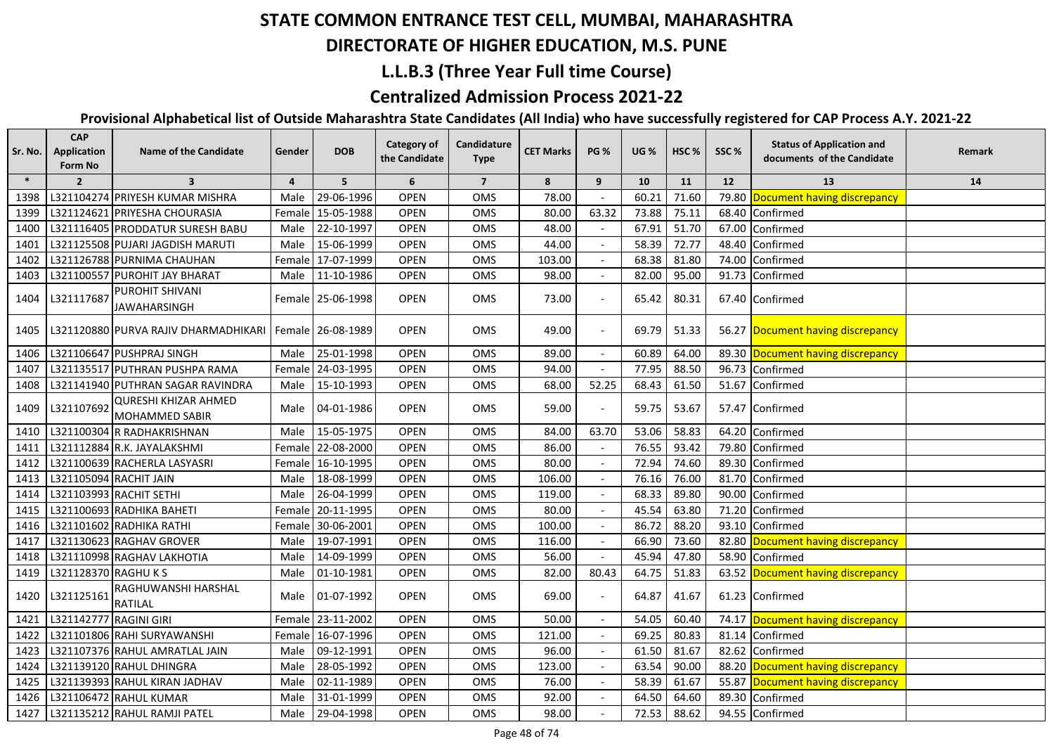### **DIRECTORATE OF HIGHER EDUCATION, M.S. PUNE**

#### **L.L.B.3 (Three Year Full time Course)**

### **Centralized Admission Process 2021-22**

| Sr. No. | <b>CAP</b><br>Application<br>Form No | <b>Name of the Candidate</b>                               | Gender         | <b>DOB</b>        | Category of<br>the Candidate | Candidature<br><b>Type</b> | <b>CET Marks</b> | <b>PG %</b> | <b>UG %</b> | HSC <sub>%</sub> | SSC%  | <b>Status of Application and</b><br>documents of the Candidate | Remark |
|---------|--------------------------------------|------------------------------------------------------------|----------------|-------------------|------------------------------|----------------------------|------------------|-------------|-------------|------------------|-------|----------------------------------------------------------------|--------|
| $\ast$  | $\overline{2}$                       | $\overline{\mathbf{3}}$                                    | $\overline{4}$ | 5                 | 6                            | $\overline{7}$             | 8                | 9           | 10          | 11               | 12    | 13                                                             | 14     |
| 1398    |                                      | L321104274 PRIYESH KUMAR MISHRA                            | Male           | 29-06-1996        | OPEN                         | OMS                        | 78.00            |             | 60.21       | 71.60            | 79.80 | Document having discrepancy                                    |        |
| 1399    |                                      | L321124621 PRIYESHA CHOURASIA                              |                | Female 15-05-1988 | <b>OPEN</b>                  | OMS                        | 80.00            | 63.32       | 73.88       | 75.11            |       | 68.40 Confirmed                                                |        |
| 1400    |                                      | L321116405 PRODDATUR SURESH BABU                           | Male           | 22-10-1997        | <b>OPEN</b>                  | OMS                        | 48.00            |             | 67.91       | 51.70            |       | 67.00 Confirmed                                                |        |
| 1401    |                                      | L321125508 PUJARI JAGDISH MARUTI                           | Male           | 15-06-1999        | <b>OPEN</b>                  | OMS                        | 44.00            |             | 58.39       | 72.77            |       | 48.40 Confirmed                                                |        |
| 1402    |                                      | L321126788 PURNIMA CHAUHAN                                 |                | Female 17-07-1999 | <b>OPEN</b>                  | OMS                        | 103.00           |             | 68.38       | 81.80            |       | 74.00 Confirmed                                                |        |
| 1403    |                                      | L321100557 PUROHIT JAY BHARAT                              | Male           | 11-10-1986        | <b>OPEN</b>                  | OMS                        | 98.00            |             | 82.00       | 95.00            |       | 91.73 Confirmed                                                |        |
| 1404    | L321117687                           | PUROHIT SHIVANI<br><b>JAWAHARSINGH</b>                     |                | Female 25-06-1998 | <b>OPEN</b>                  | OMS                        | 73.00            |             | 65.42       | 80.31            |       | 67.40 Confirmed                                                |        |
| 1405    |                                      | L321120880 PURVA RAJIV DHARMADHIKARI   Female   26-08-1989 |                |                   | <b>OPEN</b>                  | <b>OMS</b>                 | 49.00            |             | 69.79       | 51.33            |       | 56.27 Document having discrepancy                              |        |
| 1406    |                                      | L321106647 PUSHPRAJ SINGH                                  | Male           | 25-01-1998        | <b>OPEN</b>                  | OMS                        | 89.00            |             | 60.89       | 64.00            |       | 89.30 Document having discrepancy                              |        |
| 1407    |                                      | L321135517 PUTHRAN PUSHPA RAMA                             |                | Female 24-03-1995 | <b>OPEN</b>                  | OMS                        | 94.00            |             | 77.95       | 88.50            |       | 96.73 Confirmed                                                |        |
| 1408    |                                      | L321141940 PUTHRAN SAGAR RAVINDRA                          | Male           | 15-10-1993        | <b>OPEN</b>                  | <b>OMS</b>                 | 68.00            | 52.25       | 68.43       | 61.50            |       | 51.67 Confirmed                                                |        |
| 1409    | L321107692                           | <b>QURESHI KHIZAR AHMED</b><br><b>MOHAMMED SABIR</b>       | Male           | 04-01-1986        | <b>OPEN</b>                  | <b>OMS</b>                 | 59.00            |             | 59.75       | 53.67            |       | 57.47 Confirmed                                                |        |
| 1410    |                                      | L321100304 R RADHAKRISHNAN                                 | Male           | 15-05-1975        | <b>OPEN</b>                  | OMS                        | 84.00            | 63.70       | 53.06       | 58.83            |       | 64.20 Confirmed                                                |        |
| 1411    |                                      | L321112884 R.K. JAYALAKSHMI                                |                | Female 22-08-2000 | <b>OPEN</b>                  | OMS                        | 86.00            |             | 76.55       | 93.42            |       | 79.80 Confirmed                                                |        |
| 1412    |                                      | L321100639 RACHERLA LASYASRI                               |                | Female 16-10-1995 | <b>OPEN</b>                  | OMS                        | 80.00            |             | 72.94       | 74.60            |       | 89.30 Confirmed                                                |        |
| 1413    | L321105094 RACHIT JAIN               |                                                            | Male           | 18-08-1999        | <b>OPEN</b>                  | OMS                        | 106.00           |             | 76.16       | 76.00            | 81.70 | Confirmed                                                      |        |
| 1414    |                                      | L321103993 RACHIT SETHI                                    | Male           | 26-04-1999        | <b>OPEN</b>                  | OMS                        | 119.00           |             | 68.33       | 89.80            | 90.00 | Confirmed                                                      |        |
| 1415    |                                      | L321100693 RADHIKA BAHETI                                  | Female         | 20-11-1995        | <b>OPEN</b>                  | OMS                        | 80.00            |             | 45.54       | 63.80            | 71.20 | Confirmed                                                      |        |
| 1416    |                                      | L321101602 RADHIKA RATHI                                   |                | Female 30-06-2001 | <b>OPEN</b>                  | OMS                        | 100.00           |             | 86.72       | 88.20            | 93.10 | Confirmed                                                      |        |
| 1417    |                                      | L321130623 RAGHAV GROVER                                   | Male           | 19-07-1991        | <b>OPEN</b>                  | OMS                        | 116.00           |             | 66.90       | 73.60            |       | 82.80 Document having discrepancy                              |        |
| 1418    |                                      | L321110998 RAGHAV LAKHOTIA                                 | Male           | 14-09-1999        | <b>OPEN</b>                  | OMS                        | 56.00            |             | 45.94       | 47.80            | 58.90 | Confirmed                                                      |        |
| 1419    | L321128370 RAGHU K S                 |                                                            | Male           | 01-10-1981        | <b>OPEN</b>                  | OMS                        | 82.00            | 80.43       | 64.75       | 51.83            |       | 63.52 Document having discrepancy                              |        |
| 1420    | L321125161                           | RAGHUWANSHI HARSHAL<br><b>RATILAL</b>                      | Male           | 01-07-1992        | <b>OPEN</b>                  | <b>OMS</b>                 | 69.00            |             | 64.87       | 41.67            |       | 61.23 Confirmed                                                |        |
| 1421    | L321142777 RAGINI GIRI               |                                                            |                | Female 23-11-2002 | <b>OPEN</b>                  | OMS                        | 50.00            |             | 54.05       | 60.40            |       | 74.17 Document having discrepancy                              |        |
| 1422    |                                      | L321101806 RAHI SURYAWANSHI                                |                | Female 16-07-1996 | <b>OPEN</b>                  | OMS                        | 121.00           |             | 69.25       | 80.83            |       | 81.14 Confirmed                                                |        |
| 1423    |                                      | L321107376 RAHUL AMRATLAL JAIN                             | Male           | 09-12-1991        | <b>OPEN</b>                  | OMS                        | 96.00            |             | 61.50       | 81.67            |       | 82.62 Confirmed                                                |        |
| 1424    |                                      | L321139120 RAHUL DHINGRA                                   | Male           | 28-05-1992        | <b>OPEN</b>                  | OMS                        | 123.00           |             | 63.54       | 90.00            |       | 88.20 Document having discrepancy                              |        |
| 1425    |                                      | L321139393 RAHUL KIRAN JADHAV                              | Male           | 02-11-1989        | <b>OPEN</b>                  | OMS                        | 76.00            |             | 58.39       | 61.67            |       | 55.87 Document having discrepancy                              |        |
| 1426    |                                      | L321106472 RAHUL KUMAR                                     | Male           | 31-01-1999        | <b>OPEN</b>                  | OMS                        | 92.00            |             | 64.50       | 64.60            |       | 89.30 Confirmed                                                |        |
| 1427    |                                      | L321135212 RAHUL RAMJI PATEL                               |                | Male 29-04-1998   | <b>OPEN</b>                  | OMS                        | 98.00            |             | 72.53       | 88.62            |       | 94.55 Confirmed                                                |        |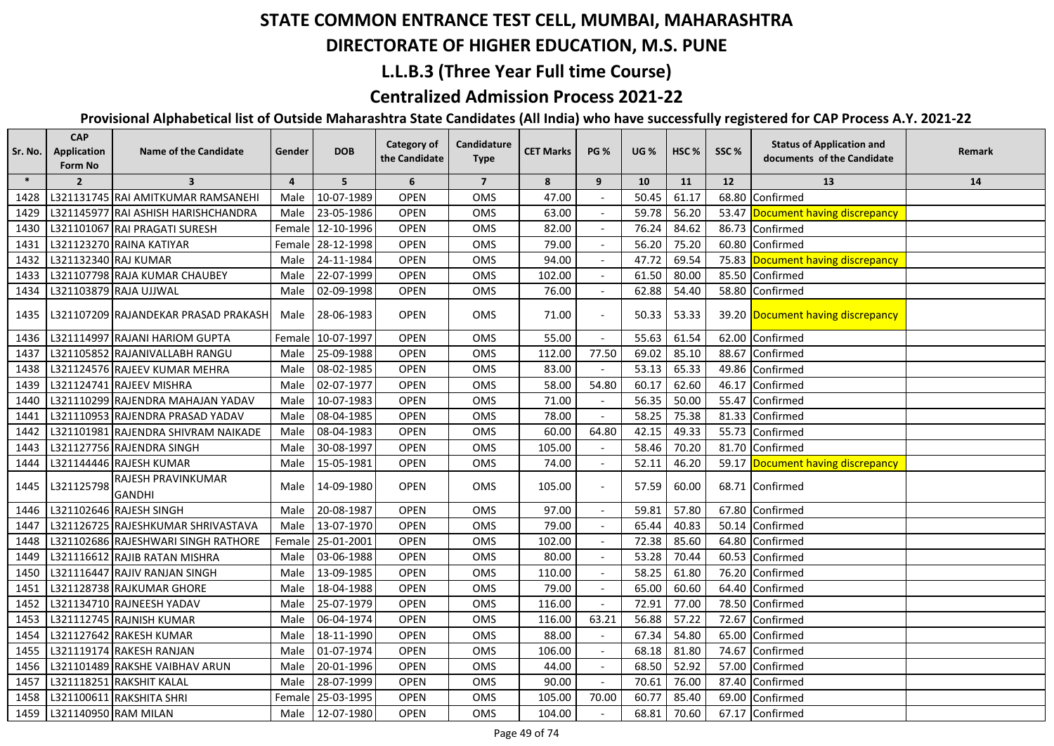## **DIRECTORATE OF HIGHER EDUCATION, M.S. PUNE**

#### **L.L.B.3 (Three Year Full time Course)**

### **Centralized Admission Process 2021-22**

| $\ast$<br>5<br>6<br>$\overline{2}$<br>$\overline{\mathbf{3}}$<br>$\overline{7}$<br>8<br>9<br>10<br>11<br>12<br>13<br>14<br>$\overline{4}$<br>47.00<br>61.17<br>Confirmed<br>L321131745 RAI AMITKUMAR RAMSANEHI<br>10-07-1989<br><b>OPEN</b><br>OMS<br>50.45<br>68.80<br>1428<br>Male<br>56.20<br>L321145977 RAI ASHISH HARISHCHANDRA<br>23-05-1986<br><b>OPEN</b><br><b>OMS</b><br>63.00<br>59.78<br>53.47 Document having discrepancy<br>1429<br>Male<br><b>OPEN</b><br>76.24<br>84.62<br>L321101067 RAI PRAGATI SURESH<br>Female 12-10-1996<br>OMS<br>82.00<br>86.73<br>1430<br>Confirmed<br>79.00<br>56.20<br>L321123270 RAINA KATIYAR<br>Female 28-12-1998<br><b>OPEN</b><br>OMS<br>75.20<br>60.80<br>Confirmed<br>1431<br>94.00<br>L321132340 RAJ KUMAR<br>24-11-1984<br><b>OPEN</b><br><b>OMS</b><br>47.72<br>69.54<br>75.83 Document having discrepancy<br>1432<br>Male<br>102.00<br>22-07-1999<br><b>OPEN</b><br>OMS<br>61.50<br>80.00<br>85.50<br>L321107798 RAJA KUMAR CHAUBEY<br>1433<br>Male<br>Confirmed<br>76.00<br>62.88<br>L321103879 RAJA UJJWAL<br>02-09-1998<br><b>OPEN</b><br>OMS<br>54.40<br>58.80 Confirmed<br>1434<br>Male<br>28-06-1983<br><b>OPEN</b><br>OMS<br>71.00<br>50.33<br>53.33<br>1435<br>L321107209 RAJANDEKAR PRASAD PRAKASH<br>Male<br>39.20 Document having discrepancy<br>L321114997 RAJANI HARIOM GUPTA<br>Female 10-07-1997<br><b>OPEN</b><br>OMS<br>55.00<br>55.63<br>61.54<br>62.00<br>Confirmed<br>1436<br>L321105852 RAJANIVALLABH RANGU<br>25-09-1988<br><b>OPEN</b><br>OMS<br>112.00<br>77.50<br>69.02<br>85.10<br>88.67<br>Confirmed<br>Male<br>1437<br>53.13<br>65.33<br>L321124576 RAJEEV KUMAR MEHRA<br>08-02-1985<br><b>OPEN</b><br>OMS<br>83.00<br>49.86<br>Confirmed<br>1438<br>Male<br>54.80<br>58.00<br>60.17<br>62.60<br>46.17<br>L321124741 RAJEEV MISHRA<br>Male<br>02-07-1977<br><b>OPEN</b><br>OMS<br>Confirmed<br>1439<br>56.35<br>50.00<br>55.47<br>L321110299 RAJENDRA MAHAJAN YADAV<br>Male<br>10-07-1983<br><b>OPEN</b><br>OMS<br>71.00<br>Confirmed<br>1440<br><b>OPEN</b><br>78.00<br>58.25<br>75.38<br>81.33<br>L321110953 RAJENDRA PRASAD YADAV<br>Male<br>08-04-1985<br>OMS<br>Confirmed<br>1441<br>60.00<br>64.80<br>42.15<br>49.33<br>L321101981 RAJENDRA SHIVRAM NAIKADE<br>08-04-1983<br><b>OPEN</b><br>OMS<br>55.73<br>Confirmed<br>1442<br>Male<br>70.20<br>L321127756 RAJENDRA SINGH<br><b>OPEN</b><br>OMS<br>105.00<br>58.46<br>81.70<br>Male<br>30-08-1997<br>Confirmed<br>1443<br>L321144446 RAJESH KUMAR<br>46.20<br>59.17 Document having discrepancy<br>15-05-1981<br><b>OPEN</b><br>OMS<br>74.00<br>52.11<br>1444<br>Male<br>$\blacksquare$<br>RAJESH PRAVINKUMAR<br>L321125798<br>14-09-1980<br><b>OPEN</b><br>OMS<br>105.00<br>57.59<br>60.00<br>68.71 Confirmed<br>1445<br>Male<br><b>GANDHI</b><br>L321102646 RAJESH SINGH<br>20-08-1987<br>97.00<br>57.80<br>67.80<br><b>OPEN</b><br>OMS<br>59.81<br>Confirmed<br>1446<br>Male<br>L321126725 RAJESHKUMAR SHRIVASTAVA<br>13-07-1970<br><b>OPEN</b><br>79.00<br>65.44<br>40.83<br>1447<br>Male<br>OMS<br>50.14<br>Confirmed<br>85.60<br>L321102686 RAJESHWARI SINGH RATHORE<br>25-01-2001<br><b>OPEN</b><br>OMS<br>102.00<br>72.38<br>64.80<br>Confirmed<br>1448<br>Female<br>80.00<br>53.28<br>70.44<br>L321116612 RAJIB RATAN MISHRA<br>03-06-1988<br><b>OPEN</b><br>OMS<br>60.53<br>Confirmed<br>1449<br>Male<br>L321116447 RAJIV RANJAN SINGH<br>13-09-1985<br><b>OPEN</b><br>110.00<br>58.25<br>61.80<br>76.20<br>Confirmed<br>1450<br>OMS<br>Male<br>L321128738 RAJKUMAR GHORE<br><b>OPEN</b><br>79.00<br>65.00<br>60.60<br>64.40<br>Confirmed<br>1451<br>18-04-1988<br>OMS<br>Male<br>L321134710 RAJNEESH YADAV<br>25-07-1979<br><b>OPEN</b><br>OMS<br>116.00<br>72.91<br>77.00<br>78.50<br>1452<br>Male<br>Confirmed<br>57.22<br>72.67<br>L321112745 RAJNISH KUMAR<br><b>OPEN</b><br>OMS<br>116.00<br>63.21<br>56.88<br>Confirmed<br>1453<br>Male<br>06-04-1974<br>L321127642 RAKESH KUMAR<br>OMS<br>88.00<br>67.34<br>54.80<br>65.00<br>1454<br>18-11-1990<br><b>OPEN</b><br>Confirmed<br>Male<br>OMS<br>L321119174 RAKESH RANJAN<br>01-07-1974<br><b>OPEN</b><br>106.00<br>68.18<br>81.80<br>74.67<br>1455<br>Male<br>Confirmed<br>$\blacksquare$<br>L321101489 RAKSHE VAIBHAV ARUN<br>44.00<br>68.50<br>52.92<br>57.00<br>1456<br>20-01-1996<br><b>OPEN</b><br>OMS<br>Confirmed<br>Male<br>$\overline{\phantom{a}}$<br>L321118251 RAKSHIT KALAL<br>28-07-1999<br><b>OPEN</b><br>OMS<br>90.00<br>70.61<br>76.00<br>87.40<br>Confirmed<br>1457<br>Male<br>$\overline{\phantom{a}}$<br>L321100611 RAKSHITA SHRI<br>105.00<br>60.77<br>85.40<br>1458<br>25-03-1995<br><b>OPEN</b><br>OMS<br>70.00<br>69.00<br>Confirmed<br>Female l<br>L321140950 RAM MILAN<br>1459<br>12-07-1980<br><b>OPEN</b><br>OMS<br>104.00<br>68.81<br>70.60<br>67.17 Confirmed<br>Male | Sr. No. | <b>CAP</b><br><b>Application</b><br>Form No | <b>Name of the Candidate</b> | Gender | <b>DOB</b> | <b>Category of</b><br>the Candidate | Candidature<br><b>Type</b> | <b>CET Marks</b> | <b>PG %</b> | <b>UG %</b> | HSC <sub>%</sub> | SSC% | <b>Status of Application and</b><br>documents of the Candidate | Remark |
|---------------------------------------------------------------------------------------------------------------------------------------------------------------------------------------------------------------------------------------------------------------------------------------------------------------------------------------------------------------------------------------------------------------------------------------------------------------------------------------------------------------------------------------------------------------------------------------------------------------------------------------------------------------------------------------------------------------------------------------------------------------------------------------------------------------------------------------------------------------------------------------------------------------------------------------------------------------------------------------------------------------------------------------------------------------------------------------------------------------------------------------------------------------------------------------------------------------------------------------------------------------------------------------------------------------------------------------------------------------------------------------------------------------------------------------------------------------------------------------------------------------------------------------------------------------------------------------------------------------------------------------------------------------------------------------------------------------------------------------------------------------------------------------------------------------------------------------------------------------------------------------------------------------------------------------------------------------------------------------------------------------------------------------------------------------------------------------------------------------------------------------------------------------------------------------------------------------------------------------------------------------------------------------------------------------------------------------------------------------------------------------------------------------------------------------------------------------------------------------------------------------------------------------------------------------------------------------------------------------------------------------------------------------------------------------------------------------------------------------------------------------------------------------------------------------------------------------------------------------------------------------------------------------------------------------------------------------------------------------------------------------------------------------------------------------------------------------------------------------------------------------------------------------------------------------------------------------------------------------------------------------------------------------------------------------------------------------------------------------------------------------------------------------------------------------------------------------------------------------------------------------------------------------------------------------------------------------------------------------------------------------------------------------------------------------------------------------------------------------------------------------------------------------------------------------------------------------------------------------------------------------------------------------------------------------------------------------------------------------------------------------------------------------------------------------------------------------------------------------------------------------------------------------------------------------------------------------------------------------------------------------------------------------------------------------------------------------------------------------------------------------------------------------------------------------------------------------------------------------------------------------------------------------------------------------------------------------------------------------------------------------------------------------------------------------------------------------------------------------------------------------------------------------------------------------|---------|---------------------------------------------|------------------------------|--------|------------|-------------------------------------|----------------------------|------------------|-------------|-------------|------------------|------|----------------------------------------------------------------|--------|
|                                                                                                                                                                                                                                                                                                                                                                                                                                                                                                                                                                                                                                                                                                                                                                                                                                                                                                                                                                                                                                                                                                                                                                                                                                                                                                                                                                                                                                                                                                                                                                                                                                                                                                                                                                                                                                                                                                                                                                                                                                                                                                                                                                                                                                                                                                                                                                                                                                                                                                                                                                                                                                                                                                                                                                                                                                                                                                                                                                                                                                                                                                                                                                                                                                                                                                                                                                                                                                                                                                                                                                                                                                                                                                                                                                                                                                                                                                                                                                                                                                                                                                                                                                                                                                                                                                                                                                                                                                                                                                                                                                                                                                                                                                                                                                                                               |         |                                             |                              |        |            |                                     |                            |                  |             |             |                  |      |                                                                |        |
|                                                                                                                                                                                                                                                                                                                                                                                                                                                                                                                                                                                                                                                                                                                                                                                                                                                                                                                                                                                                                                                                                                                                                                                                                                                                                                                                                                                                                                                                                                                                                                                                                                                                                                                                                                                                                                                                                                                                                                                                                                                                                                                                                                                                                                                                                                                                                                                                                                                                                                                                                                                                                                                                                                                                                                                                                                                                                                                                                                                                                                                                                                                                                                                                                                                                                                                                                                                                                                                                                                                                                                                                                                                                                                                                                                                                                                                                                                                                                                                                                                                                                                                                                                                                                                                                                                                                                                                                                                                                                                                                                                                                                                                                                                                                                                                                               |         |                                             |                              |        |            |                                     |                            |                  |             |             |                  |      |                                                                |        |
|                                                                                                                                                                                                                                                                                                                                                                                                                                                                                                                                                                                                                                                                                                                                                                                                                                                                                                                                                                                                                                                                                                                                                                                                                                                                                                                                                                                                                                                                                                                                                                                                                                                                                                                                                                                                                                                                                                                                                                                                                                                                                                                                                                                                                                                                                                                                                                                                                                                                                                                                                                                                                                                                                                                                                                                                                                                                                                                                                                                                                                                                                                                                                                                                                                                                                                                                                                                                                                                                                                                                                                                                                                                                                                                                                                                                                                                                                                                                                                                                                                                                                                                                                                                                                                                                                                                                                                                                                                                                                                                                                                                                                                                                                                                                                                                                               |         |                                             |                              |        |            |                                     |                            |                  |             |             |                  |      |                                                                |        |
|                                                                                                                                                                                                                                                                                                                                                                                                                                                                                                                                                                                                                                                                                                                                                                                                                                                                                                                                                                                                                                                                                                                                                                                                                                                                                                                                                                                                                                                                                                                                                                                                                                                                                                                                                                                                                                                                                                                                                                                                                                                                                                                                                                                                                                                                                                                                                                                                                                                                                                                                                                                                                                                                                                                                                                                                                                                                                                                                                                                                                                                                                                                                                                                                                                                                                                                                                                                                                                                                                                                                                                                                                                                                                                                                                                                                                                                                                                                                                                                                                                                                                                                                                                                                                                                                                                                                                                                                                                                                                                                                                                                                                                                                                                                                                                                                               |         |                                             |                              |        |            |                                     |                            |                  |             |             |                  |      |                                                                |        |
|                                                                                                                                                                                                                                                                                                                                                                                                                                                                                                                                                                                                                                                                                                                                                                                                                                                                                                                                                                                                                                                                                                                                                                                                                                                                                                                                                                                                                                                                                                                                                                                                                                                                                                                                                                                                                                                                                                                                                                                                                                                                                                                                                                                                                                                                                                                                                                                                                                                                                                                                                                                                                                                                                                                                                                                                                                                                                                                                                                                                                                                                                                                                                                                                                                                                                                                                                                                                                                                                                                                                                                                                                                                                                                                                                                                                                                                                                                                                                                                                                                                                                                                                                                                                                                                                                                                                                                                                                                                                                                                                                                                                                                                                                                                                                                                                               |         |                                             |                              |        |            |                                     |                            |                  |             |             |                  |      |                                                                |        |
|                                                                                                                                                                                                                                                                                                                                                                                                                                                                                                                                                                                                                                                                                                                                                                                                                                                                                                                                                                                                                                                                                                                                                                                                                                                                                                                                                                                                                                                                                                                                                                                                                                                                                                                                                                                                                                                                                                                                                                                                                                                                                                                                                                                                                                                                                                                                                                                                                                                                                                                                                                                                                                                                                                                                                                                                                                                                                                                                                                                                                                                                                                                                                                                                                                                                                                                                                                                                                                                                                                                                                                                                                                                                                                                                                                                                                                                                                                                                                                                                                                                                                                                                                                                                                                                                                                                                                                                                                                                                                                                                                                                                                                                                                                                                                                                                               |         |                                             |                              |        |            |                                     |                            |                  |             |             |                  |      |                                                                |        |
|                                                                                                                                                                                                                                                                                                                                                                                                                                                                                                                                                                                                                                                                                                                                                                                                                                                                                                                                                                                                                                                                                                                                                                                                                                                                                                                                                                                                                                                                                                                                                                                                                                                                                                                                                                                                                                                                                                                                                                                                                                                                                                                                                                                                                                                                                                                                                                                                                                                                                                                                                                                                                                                                                                                                                                                                                                                                                                                                                                                                                                                                                                                                                                                                                                                                                                                                                                                                                                                                                                                                                                                                                                                                                                                                                                                                                                                                                                                                                                                                                                                                                                                                                                                                                                                                                                                                                                                                                                                                                                                                                                                                                                                                                                                                                                                                               |         |                                             |                              |        |            |                                     |                            |                  |             |             |                  |      |                                                                |        |
|                                                                                                                                                                                                                                                                                                                                                                                                                                                                                                                                                                                                                                                                                                                                                                                                                                                                                                                                                                                                                                                                                                                                                                                                                                                                                                                                                                                                                                                                                                                                                                                                                                                                                                                                                                                                                                                                                                                                                                                                                                                                                                                                                                                                                                                                                                                                                                                                                                                                                                                                                                                                                                                                                                                                                                                                                                                                                                                                                                                                                                                                                                                                                                                                                                                                                                                                                                                                                                                                                                                                                                                                                                                                                                                                                                                                                                                                                                                                                                                                                                                                                                                                                                                                                                                                                                                                                                                                                                                                                                                                                                                                                                                                                                                                                                                                               |         |                                             |                              |        |            |                                     |                            |                  |             |             |                  |      |                                                                |        |
|                                                                                                                                                                                                                                                                                                                                                                                                                                                                                                                                                                                                                                                                                                                                                                                                                                                                                                                                                                                                                                                                                                                                                                                                                                                                                                                                                                                                                                                                                                                                                                                                                                                                                                                                                                                                                                                                                                                                                                                                                                                                                                                                                                                                                                                                                                                                                                                                                                                                                                                                                                                                                                                                                                                                                                                                                                                                                                                                                                                                                                                                                                                                                                                                                                                                                                                                                                                                                                                                                                                                                                                                                                                                                                                                                                                                                                                                                                                                                                                                                                                                                                                                                                                                                                                                                                                                                                                                                                                                                                                                                                                                                                                                                                                                                                                                               |         |                                             |                              |        |            |                                     |                            |                  |             |             |                  |      |                                                                |        |
|                                                                                                                                                                                                                                                                                                                                                                                                                                                                                                                                                                                                                                                                                                                                                                                                                                                                                                                                                                                                                                                                                                                                                                                                                                                                                                                                                                                                                                                                                                                                                                                                                                                                                                                                                                                                                                                                                                                                                                                                                                                                                                                                                                                                                                                                                                                                                                                                                                                                                                                                                                                                                                                                                                                                                                                                                                                                                                                                                                                                                                                                                                                                                                                                                                                                                                                                                                                                                                                                                                                                                                                                                                                                                                                                                                                                                                                                                                                                                                                                                                                                                                                                                                                                                                                                                                                                                                                                                                                                                                                                                                                                                                                                                                                                                                                                               |         |                                             |                              |        |            |                                     |                            |                  |             |             |                  |      |                                                                |        |
|                                                                                                                                                                                                                                                                                                                                                                                                                                                                                                                                                                                                                                                                                                                                                                                                                                                                                                                                                                                                                                                                                                                                                                                                                                                                                                                                                                                                                                                                                                                                                                                                                                                                                                                                                                                                                                                                                                                                                                                                                                                                                                                                                                                                                                                                                                                                                                                                                                                                                                                                                                                                                                                                                                                                                                                                                                                                                                                                                                                                                                                                                                                                                                                                                                                                                                                                                                                                                                                                                                                                                                                                                                                                                                                                                                                                                                                                                                                                                                                                                                                                                                                                                                                                                                                                                                                                                                                                                                                                                                                                                                                                                                                                                                                                                                                                               |         |                                             |                              |        |            |                                     |                            |                  |             |             |                  |      |                                                                |        |
|                                                                                                                                                                                                                                                                                                                                                                                                                                                                                                                                                                                                                                                                                                                                                                                                                                                                                                                                                                                                                                                                                                                                                                                                                                                                                                                                                                                                                                                                                                                                                                                                                                                                                                                                                                                                                                                                                                                                                                                                                                                                                                                                                                                                                                                                                                                                                                                                                                                                                                                                                                                                                                                                                                                                                                                                                                                                                                                                                                                                                                                                                                                                                                                                                                                                                                                                                                                                                                                                                                                                                                                                                                                                                                                                                                                                                                                                                                                                                                                                                                                                                                                                                                                                                                                                                                                                                                                                                                                                                                                                                                                                                                                                                                                                                                                                               |         |                                             |                              |        |            |                                     |                            |                  |             |             |                  |      |                                                                |        |
|                                                                                                                                                                                                                                                                                                                                                                                                                                                                                                                                                                                                                                                                                                                                                                                                                                                                                                                                                                                                                                                                                                                                                                                                                                                                                                                                                                                                                                                                                                                                                                                                                                                                                                                                                                                                                                                                                                                                                                                                                                                                                                                                                                                                                                                                                                                                                                                                                                                                                                                                                                                                                                                                                                                                                                                                                                                                                                                                                                                                                                                                                                                                                                                                                                                                                                                                                                                                                                                                                                                                                                                                                                                                                                                                                                                                                                                                                                                                                                                                                                                                                                                                                                                                                                                                                                                                                                                                                                                                                                                                                                                                                                                                                                                                                                                                               |         |                                             |                              |        |            |                                     |                            |                  |             |             |                  |      |                                                                |        |
|                                                                                                                                                                                                                                                                                                                                                                                                                                                                                                                                                                                                                                                                                                                                                                                                                                                                                                                                                                                                                                                                                                                                                                                                                                                                                                                                                                                                                                                                                                                                                                                                                                                                                                                                                                                                                                                                                                                                                                                                                                                                                                                                                                                                                                                                                                                                                                                                                                                                                                                                                                                                                                                                                                                                                                                                                                                                                                                                                                                                                                                                                                                                                                                                                                                                                                                                                                                                                                                                                                                                                                                                                                                                                                                                                                                                                                                                                                                                                                                                                                                                                                                                                                                                                                                                                                                                                                                                                                                                                                                                                                                                                                                                                                                                                                                                               |         |                                             |                              |        |            |                                     |                            |                  |             |             |                  |      |                                                                |        |
|                                                                                                                                                                                                                                                                                                                                                                                                                                                                                                                                                                                                                                                                                                                                                                                                                                                                                                                                                                                                                                                                                                                                                                                                                                                                                                                                                                                                                                                                                                                                                                                                                                                                                                                                                                                                                                                                                                                                                                                                                                                                                                                                                                                                                                                                                                                                                                                                                                                                                                                                                                                                                                                                                                                                                                                                                                                                                                                                                                                                                                                                                                                                                                                                                                                                                                                                                                                                                                                                                                                                                                                                                                                                                                                                                                                                                                                                                                                                                                                                                                                                                                                                                                                                                                                                                                                                                                                                                                                                                                                                                                                                                                                                                                                                                                                                               |         |                                             |                              |        |            |                                     |                            |                  |             |             |                  |      |                                                                |        |
|                                                                                                                                                                                                                                                                                                                                                                                                                                                                                                                                                                                                                                                                                                                                                                                                                                                                                                                                                                                                                                                                                                                                                                                                                                                                                                                                                                                                                                                                                                                                                                                                                                                                                                                                                                                                                                                                                                                                                                                                                                                                                                                                                                                                                                                                                                                                                                                                                                                                                                                                                                                                                                                                                                                                                                                                                                                                                                                                                                                                                                                                                                                                                                                                                                                                                                                                                                                                                                                                                                                                                                                                                                                                                                                                                                                                                                                                                                                                                                                                                                                                                                                                                                                                                                                                                                                                                                                                                                                                                                                                                                                                                                                                                                                                                                                                               |         |                                             |                              |        |            |                                     |                            |                  |             |             |                  |      |                                                                |        |
|                                                                                                                                                                                                                                                                                                                                                                                                                                                                                                                                                                                                                                                                                                                                                                                                                                                                                                                                                                                                                                                                                                                                                                                                                                                                                                                                                                                                                                                                                                                                                                                                                                                                                                                                                                                                                                                                                                                                                                                                                                                                                                                                                                                                                                                                                                                                                                                                                                                                                                                                                                                                                                                                                                                                                                                                                                                                                                                                                                                                                                                                                                                                                                                                                                                                                                                                                                                                                                                                                                                                                                                                                                                                                                                                                                                                                                                                                                                                                                                                                                                                                                                                                                                                                                                                                                                                                                                                                                                                                                                                                                                                                                                                                                                                                                                                               |         |                                             |                              |        |            |                                     |                            |                  |             |             |                  |      |                                                                |        |
|                                                                                                                                                                                                                                                                                                                                                                                                                                                                                                                                                                                                                                                                                                                                                                                                                                                                                                                                                                                                                                                                                                                                                                                                                                                                                                                                                                                                                                                                                                                                                                                                                                                                                                                                                                                                                                                                                                                                                                                                                                                                                                                                                                                                                                                                                                                                                                                                                                                                                                                                                                                                                                                                                                                                                                                                                                                                                                                                                                                                                                                                                                                                                                                                                                                                                                                                                                                                                                                                                                                                                                                                                                                                                                                                                                                                                                                                                                                                                                                                                                                                                                                                                                                                                                                                                                                                                                                                                                                                                                                                                                                                                                                                                                                                                                                                               |         |                                             |                              |        |            |                                     |                            |                  |             |             |                  |      |                                                                |        |
|                                                                                                                                                                                                                                                                                                                                                                                                                                                                                                                                                                                                                                                                                                                                                                                                                                                                                                                                                                                                                                                                                                                                                                                                                                                                                                                                                                                                                                                                                                                                                                                                                                                                                                                                                                                                                                                                                                                                                                                                                                                                                                                                                                                                                                                                                                                                                                                                                                                                                                                                                                                                                                                                                                                                                                                                                                                                                                                                                                                                                                                                                                                                                                                                                                                                                                                                                                                                                                                                                                                                                                                                                                                                                                                                                                                                                                                                                                                                                                                                                                                                                                                                                                                                                                                                                                                                                                                                                                                                                                                                                                                                                                                                                                                                                                                                               |         |                                             |                              |        |            |                                     |                            |                  |             |             |                  |      |                                                                |        |
|                                                                                                                                                                                                                                                                                                                                                                                                                                                                                                                                                                                                                                                                                                                                                                                                                                                                                                                                                                                                                                                                                                                                                                                                                                                                                                                                                                                                                                                                                                                                                                                                                                                                                                                                                                                                                                                                                                                                                                                                                                                                                                                                                                                                                                                                                                                                                                                                                                                                                                                                                                                                                                                                                                                                                                                                                                                                                                                                                                                                                                                                                                                                                                                                                                                                                                                                                                                                                                                                                                                                                                                                                                                                                                                                                                                                                                                                                                                                                                                                                                                                                                                                                                                                                                                                                                                                                                                                                                                                                                                                                                                                                                                                                                                                                                                                               |         |                                             |                              |        |            |                                     |                            |                  |             |             |                  |      |                                                                |        |
|                                                                                                                                                                                                                                                                                                                                                                                                                                                                                                                                                                                                                                                                                                                                                                                                                                                                                                                                                                                                                                                                                                                                                                                                                                                                                                                                                                                                                                                                                                                                                                                                                                                                                                                                                                                                                                                                                                                                                                                                                                                                                                                                                                                                                                                                                                                                                                                                                                                                                                                                                                                                                                                                                                                                                                                                                                                                                                                                                                                                                                                                                                                                                                                                                                                                                                                                                                                                                                                                                                                                                                                                                                                                                                                                                                                                                                                                                                                                                                                                                                                                                                                                                                                                                                                                                                                                                                                                                                                                                                                                                                                                                                                                                                                                                                                                               |         |                                             |                              |        |            |                                     |                            |                  |             |             |                  |      |                                                                |        |
|                                                                                                                                                                                                                                                                                                                                                                                                                                                                                                                                                                                                                                                                                                                                                                                                                                                                                                                                                                                                                                                                                                                                                                                                                                                                                                                                                                                                                                                                                                                                                                                                                                                                                                                                                                                                                                                                                                                                                                                                                                                                                                                                                                                                                                                                                                                                                                                                                                                                                                                                                                                                                                                                                                                                                                                                                                                                                                                                                                                                                                                                                                                                                                                                                                                                                                                                                                                                                                                                                                                                                                                                                                                                                                                                                                                                                                                                                                                                                                                                                                                                                                                                                                                                                                                                                                                                                                                                                                                                                                                                                                                                                                                                                                                                                                                                               |         |                                             |                              |        |            |                                     |                            |                  |             |             |                  |      |                                                                |        |
|                                                                                                                                                                                                                                                                                                                                                                                                                                                                                                                                                                                                                                                                                                                                                                                                                                                                                                                                                                                                                                                                                                                                                                                                                                                                                                                                                                                                                                                                                                                                                                                                                                                                                                                                                                                                                                                                                                                                                                                                                                                                                                                                                                                                                                                                                                                                                                                                                                                                                                                                                                                                                                                                                                                                                                                                                                                                                                                                                                                                                                                                                                                                                                                                                                                                                                                                                                                                                                                                                                                                                                                                                                                                                                                                                                                                                                                                                                                                                                                                                                                                                                                                                                                                                                                                                                                                                                                                                                                                                                                                                                                                                                                                                                                                                                                                               |         |                                             |                              |        |            |                                     |                            |                  |             |             |                  |      |                                                                |        |
|                                                                                                                                                                                                                                                                                                                                                                                                                                                                                                                                                                                                                                                                                                                                                                                                                                                                                                                                                                                                                                                                                                                                                                                                                                                                                                                                                                                                                                                                                                                                                                                                                                                                                                                                                                                                                                                                                                                                                                                                                                                                                                                                                                                                                                                                                                                                                                                                                                                                                                                                                                                                                                                                                                                                                                                                                                                                                                                                                                                                                                                                                                                                                                                                                                                                                                                                                                                                                                                                                                                                                                                                                                                                                                                                                                                                                                                                                                                                                                                                                                                                                                                                                                                                                                                                                                                                                                                                                                                                                                                                                                                                                                                                                                                                                                                                               |         |                                             |                              |        |            |                                     |                            |                  |             |             |                  |      |                                                                |        |
|                                                                                                                                                                                                                                                                                                                                                                                                                                                                                                                                                                                                                                                                                                                                                                                                                                                                                                                                                                                                                                                                                                                                                                                                                                                                                                                                                                                                                                                                                                                                                                                                                                                                                                                                                                                                                                                                                                                                                                                                                                                                                                                                                                                                                                                                                                                                                                                                                                                                                                                                                                                                                                                                                                                                                                                                                                                                                                                                                                                                                                                                                                                                                                                                                                                                                                                                                                                                                                                                                                                                                                                                                                                                                                                                                                                                                                                                                                                                                                                                                                                                                                                                                                                                                                                                                                                                                                                                                                                                                                                                                                                                                                                                                                                                                                                                               |         |                                             |                              |        |            |                                     |                            |                  |             |             |                  |      |                                                                |        |
|                                                                                                                                                                                                                                                                                                                                                                                                                                                                                                                                                                                                                                                                                                                                                                                                                                                                                                                                                                                                                                                                                                                                                                                                                                                                                                                                                                                                                                                                                                                                                                                                                                                                                                                                                                                                                                                                                                                                                                                                                                                                                                                                                                                                                                                                                                                                                                                                                                                                                                                                                                                                                                                                                                                                                                                                                                                                                                                                                                                                                                                                                                                                                                                                                                                                                                                                                                                                                                                                                                                                                                                                                                                                                                                                                                                                                                                                                                                                                                                                                                                                                                                                                                                                                                                                                                                                                                                                                                                                                                                                                                                                                                                                                                                                                                                                               |         |                                             |                              |        |            |                                     |                            |                  |             |             |                  |      |                                                                |        |
|                                                                                                                                                                                                                                                                                                                                                                                                                                                                                                                                                                                                                                                                                                                                                                                                                                                                                                                                                                                                                                                                                                                                                                                                                                                                                                                                                                                                                                                                                                                                                                                                                                                                                                                                                                                                                                                                                                                                                                                                                                                                                                                                                                                                                                                                                                                                                                                                                                                                                                                                                                                                                                                                                                                                                                                                                                                                                                                                                                                                                                                                                                                                                                                                                                                                                                                                                                                                                                                                                                                                                                                                                                                                                                                                                                                                                                                                                                                                                                                                                                                                                                                                                                                                                                                                                                                                                                                                                                                                                                                                                                                                                                                                                                                                                                                                               |         |                                             |                              |        |            |                                     |                            |                  |             |             |                  |      |                                                                |        |
|                                                                                                                                                                                                                                                                                                                                                                                                                                                                                                                                                                                                                                                                                                                                                                                                                                                                                                                                                                                                                                                                                                                                                                                                                                                                                                                                                                                                                                                                                                                                                                                                                                                                                                                                                                                                                                                                                                                                                                                                                                                                                                                                                                                                                                                                                                                                                                                                                                                                                                                                                                                                                                                                                                                                                                                                                                                                                                                                                                                                                                                                                                                                                                                                                                                                                                                                                                                                                                                                                                                                                                                                                                                                                                                                                                                                                                                                                                                                                                                                                                                                                                                                                                                                                                                                                                                                                                                                                                                                                                                                                                                                                                                                                                                                                                                                               |         |                                             |                              |        |            |                                     |                            |                  |             |             |                  |      |                                                                |        |
|                                                                                                                                                                                                                                                                                                                                                                                                                                                                                                                                                                                                                                                                                                                                                                                                                                                                                                                                                                                                                                                                                                                                                                                                                                                                                                                                                                                                                                                                                                                                                                                                                                                                                                                                                                                                                                                                                                                                                                                                                                                                                                                                                                                                                                                                                                                                                                                                                                                                                                                                                                                                                                                                                                                                                                                                                                                                                                                                                                                                                                                                                                                                                                                                                                                                                                                                                                                                                                                                                                                                                                                                                                                                                                                                                                                                                                                                                                                                                                                                                                                                                                                                                                                                                                                                                                                                                                                                                                                                                                                                                                                                                                                                                                                                                                                                               |         |                                             |                              |        |            |                                     |                            |                  |             |             |                  |      |                                                                |        |
|                                                                                                                                                                                                                                                                                                                                                                                                                                                                                                                                                                                                                                                                                                                                                                                                                                                                                                                                                                                                                                                                                                                                                                                                                                                                                                                                                                                                                                                                                                                                                                                                                                                                                                                                                                                                                                                                                                                                                                                                                                                                                                                                                                                                                                                                                                                                                                                                                                                                                                                                                                                                                                                                                                                                                                                                                                                                                                                                                                                                                                                                                                                                                                                                                                                                                                                                                                                                                                                                                                                                                                                                                                                                                                                                                                                                                                                                                                                                                                                                                                                                                                                                                                                                                                                                                                                                                                                                                                                                                                                                                                                                                                                                                                                                                                                                               |         |                                             |                              |        |            |                                     |                            |                  |             |             |                  |      |                                                                |        |
|                                                                                                                                                                                                                                                                                                                                                                                                                                                                                                                                                                                                                                                                                                                                                                                                                                                                                                                                                                                                                                                                                                                                                                                                                                                                                                                                                                                                                                                                                                                                                                                                                                                                                                                                                                                                                                                                                                                                                                                                                                                                                                                                                                                                                                                                                                                                                                                                                                                                                                                                                                                                                                                                                                                                                                                                                                                                                                                                                                                                                                                                                                                                                                                                                                                                                                                                                                                                                                                                                                                                                                                                                                                                                                                                                                                                                                                                                                                                                                                                                                                                                                                                                                                                                                                                                                                                                                                                                                                                                                                                                                                                                                                                                                                                                                                                               |         |                                             |                              |        |            |                                     |                            |                  |             |             |                  |      |                                                                |        |
|                                                                                                                                                                                                                                                                                                                                                                                                                                                                                                                                                                                                                                                                                                                                                                                                                                                                                                                                                                                                                                                                                                                                                                                                                                                                                                                                                                                                                                                                                                                                                                                                                                                                                                                                                                                                                                                                                                                                                                                                                                                                                                                                                                                                                                                                                                                                                                                                                                                                                                                                                                                                                                                                                                                                                                                                                                                                                                                                                                                                                                                                                                                                                                                                                                                                                                                                                                                                                                                                                                                                                                                                                                                                                                                                                                                                                                                                                                                                                                                                                                                                                                                                                                                                                                                                                                                                                                                                                                                                                                                                                                                                                                                                                                                                                                                                               |         |                                             |                              |        |            |                                     |                            |                  |             |             |                  |      |                                                                |        |
|                                                                                                                                                                                                                                                                                                                                                                                                                                                                                                                                                                                                                                                                                                                                                                                                                                                                                                                                                                                                                                                                                                                                                                                                                                                                                                                                                                                                                                                                                                                                                                                                                                                                                                                                                                                                                                                                                                                                                                                                                                                                                                                                                                                                                                                                                                                                                                                                                                                                                                                                                                                                                                                                                                                                                                                                                                                                                                                                                                                                                                                                                                                                                                                                                                                                                                                                                                                                                                                                                                                                                                                                                                                                                                                                                                                                                                                                                                                                                                                                                                                                                                                                                                                                                                                                                                                                                                                                                                                                                                                                                                                                                                                                                                                                                                                                               |         |                                             |                              |        |            |                                     |                            |                  |             |             |                  |      |                                                                |        |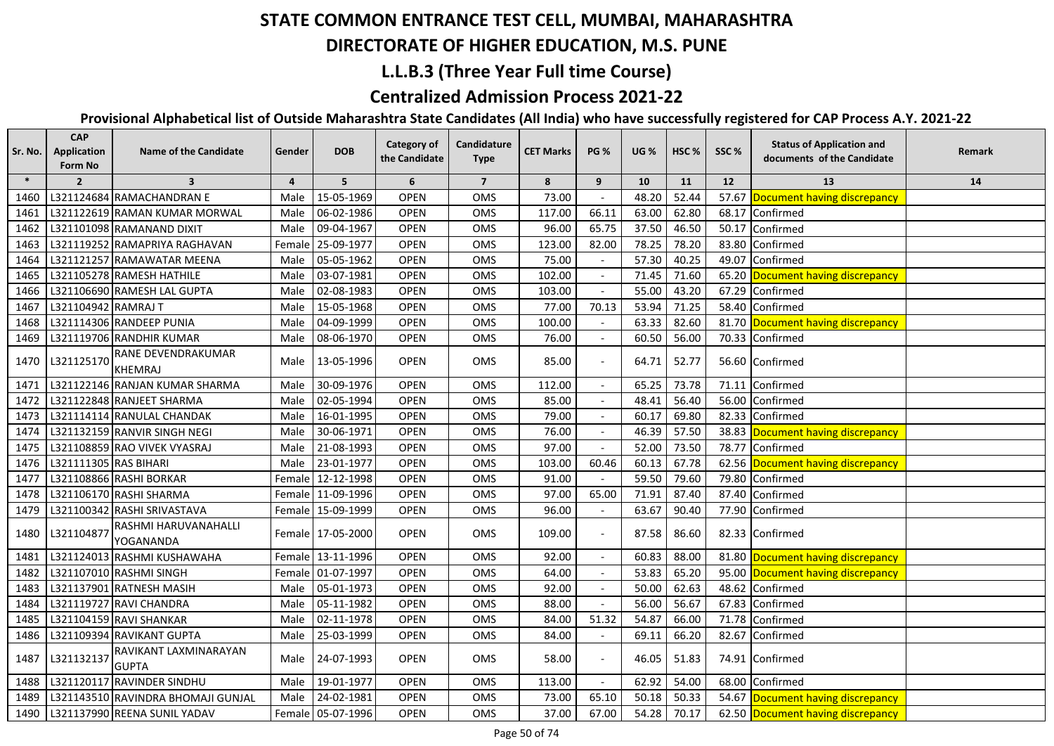## **DIRECTORATE OF HIGHER EDUCATION, M.S. PUNE**

### **L.L.B.3 (Three Year Full time Course)**

### **Centralized Admission Process 2021-22**

| Sr. No. | <b>CAP</b><br>Application<br>Form No | <b>Name of the Candidate</b>          | Gender         | <b>DOB</b>        | <b>Category of</b><br>the Candidate | Candidature<br><b>Type</b> | <b>CET Marks</b> | <b>PG %</b> | <b>UG</b> % | HSC % | SSC%  | <b>Status of Application and</b><br>documents of the Candidate | Remark |
|---------|--------------------------------------|---------------------------------------|----------------|-------------------|-------------------------------------|----------------------------|------------------|-------------|-------------|-------|-------|----------------------------------------------------------------|--------|
| $\ast$  | $\overline{2}$                       | $\overline{\mathbf{3}}$               | $\overline{4}$ | 5                 | 6                                   | $\overline{7}$             | 8                | 9           | 10          | 11    | 12    | 13                                                             | 14     |
| 1460    |                                      | L321124684 RAMACHANDRAN E             | Male           | 15-05-1969        | <b>OPEN</b>                         | OMS                        | 73.00            |             | 48.20       | 52.44 |       | 57.67 Document having discrepancy                              |        |
| 1461    |                                      | L321122619 RAMAN KUMAR MORWAL         | Male           | 06-02-1986        | <b>OPEN</b>                         | OMS                        | 117.00           | 66.11       | 63.00       | 62.80 | 68.17 | Confirmed                                                      |        |
| 1462    |                                      | L321101098 RAMANAND DIXIT             | Male           | 09-04-1967        | <b>OPEN</b>                         | OMS                        | 96.00            | 65.75       | 37.50       | 46.50 | 50.17 | Confirmed                                                      |        |
| 1463    |                                      | L321119252 RAMAPRIYA RAGHAVAN         |                | Female 25-09-1977 | <b>OPEN</b>                         | OMS                        | 123.00           | 82.00       | 78.25       | 78.20 | 83.80 | Confirmed                                                      |        |
| 1464    |                                      | L321121257 RAMAWATAR MEENA            | Male           | 05-05-1962        | <b>OPEN</b>                         | OMS                        | 75.00            |             | 57.30       | 40.25 |       | 49.07 Confirmed                                                |        |
| 1465    |                                      | L321105278 RAMESH HATHILE             | Male           | 03-07-1981        | <b>OPEN</b>                         | OMS                        | 102.00           |             | 71.45       | 71.60 |       | 65.20 Document having discrepancy                              |        |
| 1466    |                                      | L321106690 RAMESH LAL GUPTA           | Male           | 02-08-1983        | <b>OPEN</b>                         | OMS                        | 103.00           |             | 55.00       | 43.20 |       | 67.29 Confirmed                                                |        |
| 1467    | L321104942 RAMRAJ T                  |                                       | Male           | 15-05-1968        | <b>OPEN</b>                         | <b>OMS</b>                 | 77.00            | 70.13       | 53.94       | 71.25 |       | 58.40 Confirmed                                                |        |
| 1468    |                                      | L321114306 RANDEEP PUNIA              | Male           | 04-09-1999        | <b>OPEN</b>                         | <b>OMS</b>                 | 100.00           |             | 63.33       | 82.60 |       | 81.70 Document having discrepancy                              |        |
| 1469    |                                      | L321119706 RANDHIR KUMAR              | Male           | 08-06-1970        | <b>OPEN</b>                         | <b>OMS</b>                 | 76.00            |             | 60.50       | 56.00 |       | 70.33 Confirmed                                                |        |
| 1470    | L321125170                           | RANE DEVENDRAKUMAR<br><b>KHEMRAJ</b>  | Male           | 13-05-1996        | <b>OPEN</b>                         | <b>OMS</b>                 | 85.00            |             | 64.71       | 52.77 |       | 56.60 Confirmed                                                |        |
| 1471    |                                      | L321122146 RANJAN KUMAR SHARMA        | Male           | 30-09-1976        | <b>OPEN</b>                         | OMS                        | 112.00           |             | 65.25       | 73.78 | 71.11 | Confirmed                                                      |        |
| 1472    |                                      | L321122848 RANJEET SHARMA             | Male           | 02-05-1994        | <b>OPEN</b>                         | OMS                        | 85.00            |             | 48.41       | 56.40 | 56.00 | Confirmed                                                      |        |
| 1473    |                                      | L321114114 RANULAL CHANDAK            | Male           | 16-01-1995        | <b>OPEN</b>                         | OMS                        | 79.00            |             | 60.17       | 69.80 |       | 82.33 Confirmed                                                |        |
| 1474    |                                      | L321132159 RANVIR SINGH NEGI          | Male           | 30-06-1971        | <b>OPEN</b>                         | OMS                        | 76.00            |             | 46.39       | 57.50 |       | 38.83 Document having discrepancy                              |        |
| 1475    |                                      | L321108859 RAO VIVEK VYASRAJ          | Male           | 21-08-1993        | <b>OPEN</b>                         | OMS                        | 97.00            |             | 52.00       | 73.50 | 78.77 | Confirmed                                                      |        |
| 1476    | L321111305 RAS BIHARI                |                                       | Male           | 23-01-1977        | <b>OPEN</b>                         | OMS                        | 103.00           | 60.46       | 60.13       | 67.78 | 62.56 | Document having discrepancy                                    |        |
| 1477    |                                      | L321108866 RASHI BORKAR               |                | Female 12-12-1998 | <b>OPEN</b>                         | OMS                        | 91.00            |             | 59.50       | 79.60 | 79.80 | Confirmed                                                      |        |
| 1478    |                                      | L321106170 RASHI SHARMA               |                | Female 11-09-1996 | <b>OPEN</b>                         | OMS                        | 97.00            | 65.00       | 71.91       | 87.40 | 87.40 | Confirmed                                                      |        |
| 1479    |                                      | L321100342 RASHI SRIVASTAVA           |                | Female 15-09-1999 | <b>OPEN</b>                         | OMS                        | 96.00            |             | 63.67       | 90.40 |       | 77.90 Confirmed                                                |        |
| 1480    | L321104877                           | RASHMI HARUVANAHALLI<br>YOGANANDA     |                | Female 17-05-2000 | <b>OPEN</b>                         | <b>OMS</b>                 | 109.00           |             | 87.58       | 86.60 |       | 82.33 Confirmed                                                |        |
| 1481    |                                      | L321124013 RASHMI KUSHAWAHA           |                | Female 13-11-1996 | <b>OPEN</b>                         | OMS                        | 92.00            |             | 60.83       | 88.00 |       | 81.80 Document having discrepancy                              |        |
| 1482    |                                      | L321107010 RASHMI SINGH               |                | Female 01-07-1997 | <b>OPEN</b>                         | OMS                        | 64.00            |             | 53.83       | 65.20 |       | 95.00 Document having discrepancy                              |        |
| 1483    |                                      | L321137901 RATNESH MASIH              | Male           | 05-01-1973        | <b>OPEN</b>                         | OMS                        | 92.00            |             | 50.00       | 62.63 |       | 48.62 Confirmed                                                |        |
| 1484    |                                      | L321119727 RAVI CHANDRA               | Male           | 05-11-1982        | <b>OPEN</b>                         | OMS                        | 88.00            |             | 56.00       | 56.67 | 67.83 | Confirmed                                                      |        |
| 1485    |                                      | L321104159 RAVI SHANKAR               | Male           | 02-11-1978        | <b>OPEN</b>                         | OMS                        | 84.00            | 51.32       | 54.87       | 66.00 | 71.78 | Confirmed                                                      |        |
| 1486    |                                      | L321109394 RAVIKANT GUPTA             | Male           | 25-03-1999        | <b>OPEN</b>                         | OMS                        | 84.00            |             | 69.11       | 66.20 |       | 82.67 Confirmed                                                |        |
| 1487    | L321132137                           | RAVIKANT LAXMINARAYAN<br><b>GUPTA</b> | Male           | 24-07-1993        | <b>OPEN</b>                         | OMS                        | 58.00            |             | 46.05       | 51.83 |       | 74.91 Confirmed                                                |        |
| 1488    |                                      | L321120117 RAVINDER SINDHU            | Male           | 19-01-1977        | <b>OPEN</b>                         | OMS                        | 113.00           |             | 62.92       | 54.00 |       | 68.00 Confirmed                                                |        |
| 1489    |                                      | L321143510 RAVINDRA BHOMAJI GUNJAL    | Male           | 24-02-1981        | <b>OPEN</b>                         | OMS                        | 73.00            | 65.10       | 50.18       | 50.33 |       | 54.67 Document having discrepancy                              |        |
| 1490    |                                      | L321137990 REENA SUNIL YADAV          |                | Female 05-07-1996 | <b>OPEN</b>                         | OMS                        | 37.00            | 67.00       | 54.28       | 70.17 |       | 62.50 Document having discrepancy                              |        |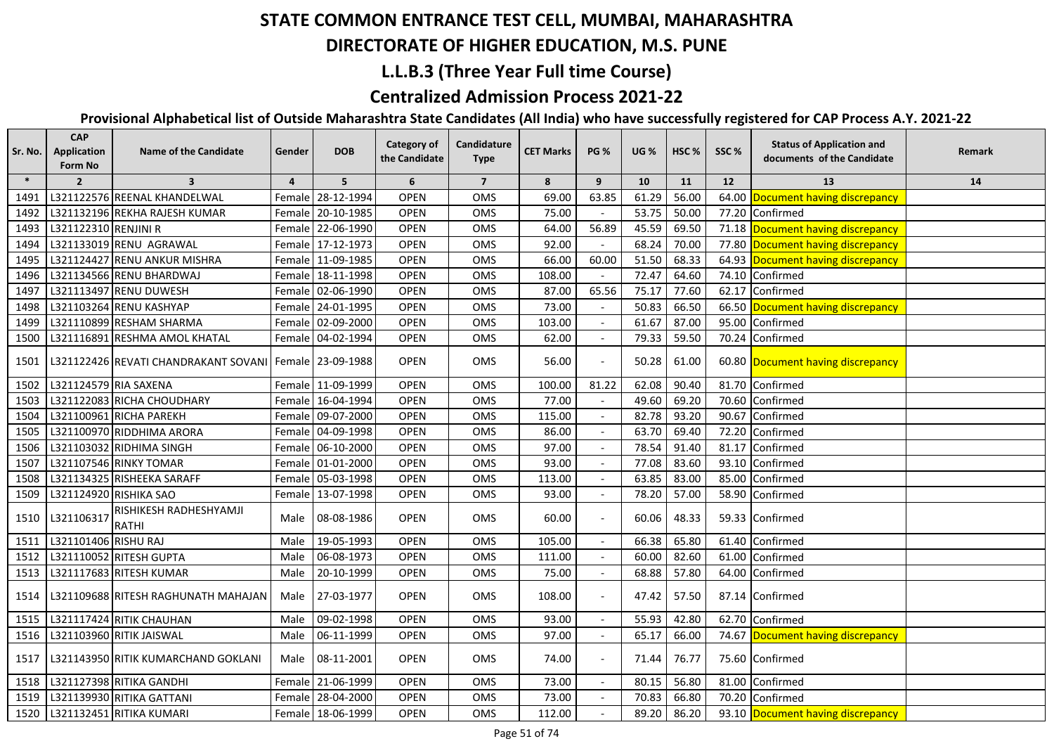## **DIRECTORATE OF HIGHER EDUCATION, M.S. PUNE**

### **L.L.B.3 (Three Year Full time Course)**

### **Centralized Admission Process 2021-22**

| Sr. No. | <b>CAP</b><br>Application<br>Form No | <b>Name of the Candidate</b>                           | Gender         | <b>DOB</b>        | <b>Category of</b><br>the Candidate | Candidature<br><b>Type</b> | <b>CET Marks</b> | <b>PG %</b>              | <b>UG %</b> | HSC % | SSC%  | <b>Status of Application and</b><br>documents of the Candidate | Remark |
|---------|--------------------------------------|--------------------------------------------------------|----------------|-------------------|-------------------------------------|----------------------------|------------------|--------------------------|-------------|-------|-------|----------------------------------------------------------------|--------|
| $\ast$  | $\overline{2}$                       | $\overline{\mathbf{3}}$                                | $\overline{4}$ | 5 <sup>5</sup>    | 6                                   | $\overline{7}$             | 8                | 9                        | 10          | 11    | 12    | 13                                                             | 14     |
| 1491    |                                      | L321122576 REENAL KHANDELWAL                           | Femalel        | 28-12-1994        | <b>OPEN</b>                         | OMS                        | 69.00            | 63.85                    | 61.29       | 56.00 | 64.00 | Document having discrepancy                                    |        |
| 1492    |                                      | L321132196 REKHA RAJESH KUMAR                          |                | Female 20-10-1985 | <b>OPEN</b>                         | OMS                        | 75.00            |                          | 53.75       | 50.00 | 77.20 | Confirmed                                                      |        |
| 1493    | L321122310 RENJINI R                 |                                                        |                | Female 22-06-1990 | <b>OPEN</b>                         | OMS                        | 64.00            | 56.89                    | 45.59       | 69.50 |       | 71.18 Document having discrepancy                              |        |
| 1494    |                                      | L321133019 RENU AGRAWAL                                |                | Female 17-12-1973 | <b>OPEN</b>                         | OMS                        | 92.00            |                          | 68.24       | 70.00 |       | 77.80 Document having discrepancy                              |        |
| 1495    |                                      | L321124427 RENU ANKUR MISHRA                           |                | Female 11-09-1985 | <b>OPEN</b>                         | OMS                        | 66.00            | 60.00                    | 51.50       | 68.33 |       | 64.93 Document having discrepancy                              |        |
| 1496    |                                      | L321134566 RENU BHARDWAJ                               |                | Female 18-11-1998 | <b>OPEN</b>                         | OMS                        | 108.00           |                          | 72.47       | 64.60 | 74.10 | Confirmed                                                      |        |
| 1497    |                                      | L321113497 RENU DUWESH                                 |                | Female 02-06-1990 | <b>OPEN</b>                         | OMS                        | 87.00            | 65.56                    | 75.17       | 77.60 | 62.17 | Confirmed                                                      |        |
| 1498    |                                      | L321103264 RENU KASHYAP                                |                | Female 24-01-1995 | <b>OPEN</b>                         | OMS                        | 73.00            |                          | 50.83       | 66.50 |       | 66.50 Document having discrepancy                              |        |
| 1499    |                                      | L321110899 RESHAM SHARMA                               |                | Female 02-09-2000 | <b>OPEN</b>                         | OMS                        | 103.00           |                          | 61.67       | 87.00 | 95.00 | Confirmed                                                      |        |
| 1500    |                                      | L321116891 RESHMA AMOL KHATAL                          |                | Female 04-02-1994 | <b>OPEN</b>                         | <b>OMS</b>                 | 62.00            |                          | 79.33       | 59.50 | 70.24 | Confirmed                                                      |        |
| 1501    |                                      | L321122426 REVATI CHANDRAKANT SOVANI Female 23-09-1988 |                |                   | <b>OPEN</b>                         | OMS                        | 56.00            |                          | 50.28       | 61.00 |       | 60.80 Document having discrepancy                              |        |
| 1502    | L321124579 RIA SAXENA                |                                                        |                | Female 11-09-1999 | <b>OPEN</b>                         | OMS                        | 100.00           | 81.22                    | 62.08       | 90.40 | 81.70 | Confirmed                                                      |        |
| 1503    |                                      | L321122083 RICHA CHOUDHARY                             |                | Female 16-04-1994 | <b>OPEN</b>                         | OMS                        | 77.00            |                          | 49.60       | 69.20 | 70.60 | Confirmed                                                      |        |
| 1504    |                                      | L321100961 RICHA PAREKH                                |                | Female 09-07-2000 | <b>OPEN</b>                         | OMS                        | 115.00           |                          | 82.78       | 93.20 | 90.67 | Confirmed                                                      |        |
| 1505    |                                      | L321100970 RIDDHIMA ARORA                              |                | Female 04-09-1998 | OPEN                                | OMS                        | 86.00            | $\overline{a}$           | 63.70       | 69.40 | 72.20 | Confirmed                                                      |        |
| 1506    |                                      | L321103032 RIDHIMA SINGH                               |                | Female 06-10-2000 | OPEN                                | OMS                        | 97.00            |                          | 78.54       | 91.40 | 81.17 | Confirmed                                                      |        |
| 1507    |                                      | L321107546 RINKY TOMAR                                 |                | Female 01-01-2000 | <b>OPEN</b>                         | OMS                        | 93.00            |                          | 77.08       | 83.60 | 93.10 | Confirmed                                                      |        |
| 1508    |                                      | L321134325 RISHEEKA SARAFF                             |                | Female 05-03-1998 | OPEN                                | OMS                        | 113.00           |                          | 63.85       | 83.00 | 85.00 | Confirmed                                                      |        |
| 1509    |                                      | L321124920 RISHIKA SAO                                 |                | Female 13-07-1998 | <b>OPEN</b>                         | OMS                        | 93.00            |                          | 78.20       | 57.00 | 58.90 | Confirmed                                                      |        |
| 1510    | L321106317                           | RISHIKESH RADHESHYAMJI<br><b>RATHI</b>                 | Male           | 08-08-1986        | <b>OPEN</b>                         | <b>OMS</b>                 | 60.00            |                          | 60.06       | 48.33 |       | 59.33 Confirmed                                                |        |
| 1511    | L321101406 RISHU RAJ                 |                                                        | Male           | 19-05-1993        | <b>OPEN</b>                         | OMS                        | 105.00           |                          | 66.38       | 65.80 | 61.40 | Confirmed                                                      |        |
| 1512    |                                      | L321110052 RITESH GUPTA                                | Male           | 06-08-1973        | <b>OPEN</b>                         | OMS                        | 111.00           |                          | 60.00       | 82.60 | 61.00 | Confirmed                                                      |        |
| 1513    |                                      | L321117683 RITESH KUMAR                                | Male           | 20-10-1999        | <b>OPEN</b>                         | OMS                        | 75.00            |                          | 68.88       | 57.80 | 64.00 | Confirmed                                                      |        |
| 1514    |                                      | L321109688 RITESH RAGHUNATH MAHAJAN                    | Male           | 27-03-1977        | <b>OPEN</b>                         | OMS                        | 108.00           |                          | 47.42       | 57.50 |       | 87.14 Confirmed                                                |        |
| 1515    |                                      | L321117424 RITIK CHAUHAN                               | Male           | 09-02-1998        | <b>OPEN</b>                         | OMS                        | 93.00            |                          | 55.93       | 42.80 | 62.70 | Confirmed                                                      |        |
| 1516    |                                      | L321103960 RITIK JAISWAL                               | Male           | 06-11-1999        | <b>OPEN</b>                         | OMS                        | 97.00            | $\overline{\phantom{a}}$ | 65.17       | 66.00 |       | 74.67 Document having discrepancy                              |        |
| 1517    |                                      | L321143950 RITIK KUMARCHAND GOKLANI                    | Male           | 08-11-2001        | <b>OPEN</b>                         | OMS                        | 74.00            |                          | 71.44       | 76.77 |       | 75.60 Confirmed                                                |        |
| 1518    |                                      | L321127398 RITIKA GANDHI                               |                | Female 21-06-1999 | <b>OPEN</b>                         | OMS                        | 73.00            |                          | 80.15       | 56.80 | 81.00 | Confirmed                                                      |        |
| 1519    |                                      | L321139930 RITIKA GATTANI                              |                | Female 28-04-2000 | <b>OPEN</b>                         | OMS                        | 73.00            |                          | 70.83       | 66.80 | 70.20 | Confirmed                                                      |        |
| 1520    |                                      | L321132451 RITIKA KUMARI                               |                | Female 18-06-1999 | <b>OPEN</b>                         | OMS                        | 112.00           |                          | 89.20       | 86.20 |       | 93.10 Document having discrepancy                              |        |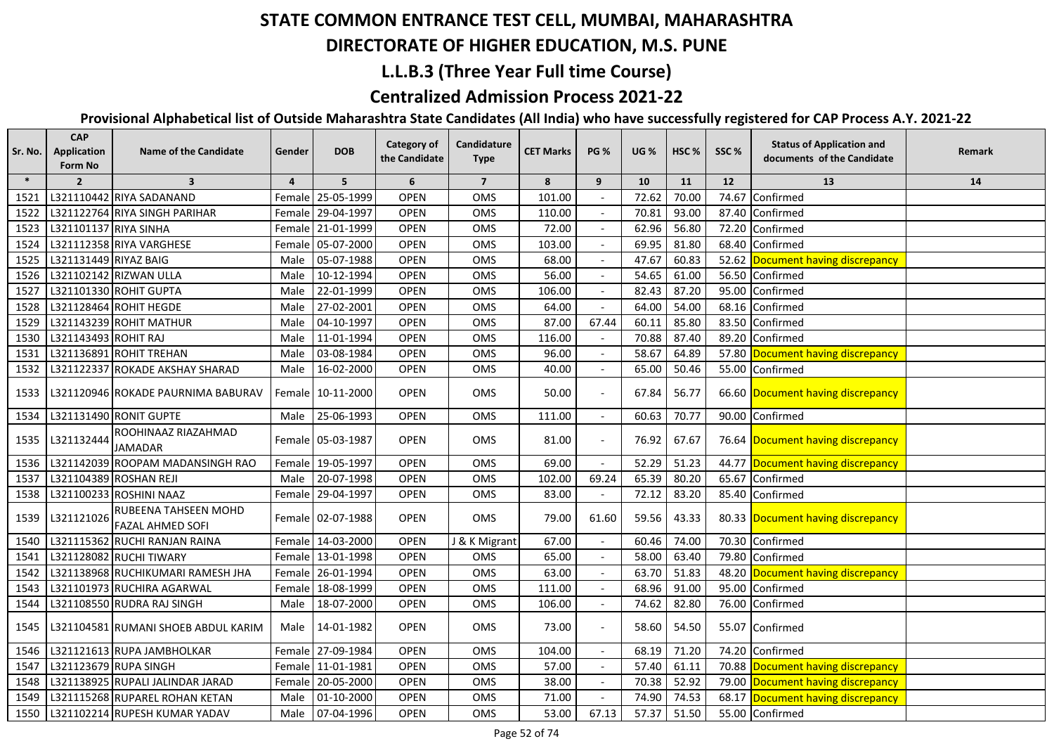#### **DIRECTORATE OF HIGHER EDUCATION, M.S. PUNE**

#### **L.L.B.3 (Three Year Full time Course)**

#### **Centralized Admission Process 2021-22**

| Sr. No. | <b>CAP</b><br><b>Application</b><br>Form No | <b>Name of the Candidate</b>                    | Gender         | <b>DOB</b>        | <b>Category of</b><br>the Candidate | Candidature<br><b>Type</b> | <b>CET Marks</b> | <b>PG %</b>              | <b>UG %</b> | HSC <sub>%</sub> | SSC%  | <b>Status of Application and</b><br>documents of the Candidate | Remark |
|---------|---------------------------------------------|-------------------------------------------------|----------------|-------------------|-------------------------------------|----------------------------|------------------|--------------------------|-------------|------------------|-------|----------------------------------------------------------------|--------|
| $\ast$  | $\overline{2}$                              | $\overline{\mathbf{3}}$                         | $\overline{4}$ | 5 <sup>5</sup>    | 6                                   | $\overline{7}$             | 8                | 9                        | 10          | 11               | 12    | 13                                                             | 14     |
| 1521    |                                             | L321110442 RIYA SADANAND                        |                | Female 25-05-1999 | <b>OPEN</b>                         | OMS                        | 101.00           |                          | 72.62       | 70.00            | 74.67 | Confirmed                                                      |        |
| 1522    |                                             | L321122764 RIYA SINGH PARIHAR                   |                | Female 29-04-1997 | <b>OPEN</b>                         | <b>OMS</b>                 | 110.00           |                          | 70.81       | 93.00            | 87.40 | Confirmed                                                      |        |
| 1523    | L321101137 RIYA SINHA                       |                                                 |                | Female 21-01-1999 | <b>OPEN</b>                         | OMS                        | 72.00            |                          | 62.96       | 56.80            | 72.20 | Confirmed                                                      |        |
| 1524    |                                             | L321112358 RIYA VARGHESE                        |                | Female 05-07-2000 | <b>OPEN</b>                         | OMS                        | 103.00           |                          | 69.95       | 81.80            |       | 68.40 Confirmed                                                |        |
| 1525    | L321131449 RIYAZ BAIG                       |                                                 | Male           | 05-07-1988        | <b>OPEN</b>                         | <b>OMS</b>                 | 68.00            |                          | 47.67       | 60.83            |       | 52.62 Document having discrepancy                              |        |
| 1526    |                                             | L321102142 RIZWAN ULLA                          | Male           | 10-12-1994        | <b>OPEN</b>                         | OMS                        | 56.00            |                          | 54.65       | 61.00            |       | 56.50 Confirmed                                                |        |
| 1527    |                                             | L321101330 ROHIT GUPTA                          | Male           | 22-01-1999        | <b>OPEN</b>                         | <b>OMS</b>                 | 106.00           |                          | 82.43       | 87.20            |       | 95.00 Confirmed                                                |        |
| 1528    |                                             | L321128464 ROHIT HEGDE                          | Male           | 27-02-2001        | <b>OPEN</b>                         | OMS                        | 64.00            |                          | 64.00       | 54.00            |       | 68.16 Confirmed                                                |        |
| 1529    |                                             | L321143239 ROHIT MATHUR                         | Male           | 04-10-1997        | <b>OPEN</b>                         | OMS                        | 87.00            | 67.44                    | 60.11       | 85.80            |       | 83.50 Confirmed                                                |        |
| 1530    | L321143493 ROHIT RAJ                        |                                                 | Male           | 11-01-1994        | <b>OPEN</b>                         | OMS                        | 116.00           |                          | 70.88       | 87.40            |       | 89.20 Confirmed                                                |        |
| 1531    |                                             | L321136891 ROHIT TREHAN                         | Male           | 03-08-1984        | <b>OPEN</b>                         | OMS                        | 96.00            |                          | 58.67       | 64.89            |       | 57.80 Document having discrepancy                              |        |
| 1532    |                                             | L321122337 ROKADE AKSHAY SHARAD                 | Male           | 16-02-2000        | <b>OPEN</b>                         | OMS                        | 40.00            |                          | 65.00       | 50.46            |       | 55.00 Confirmed                                                |        |
| 1533    |                                             | L321120946 ROKADE PAURNIMA BABURAV              |                | Female 10-11-2000 | <b>OPEN</b>                         | OMS                        | 50.00            |                          | 67.84       | 56.77            |       | 66.60 Document having discrepancy                              |        |
| 1534    |                                             | L321131490 RONIT GUPTE                          | Male           | 25-06-1993        | <b>OPEN</b>                         | OMS                        | 111.00           |                          | 60.63       | 70.77            |       | 90.00 Confirmed                                                |        |
| 1535    | L321132444                                  | ROOHINAAZ RIAZAHMAD<br>JAMADAR                  |                | Female 05-03-1987 | <b>OPEN</b>                         | OMS                        | 81.00            |                          | 76.92       | 67.67            |       | 76.64 Document having discrepancy                              |        |
| 1536    |                                             | L321142039 ROOPAM MADANSINGH RAO                |                | Female 19-05-1997 | OPEN                                | OMS                        | 69.00            | $\mathbf{r}$             | 52.29       | 51.23            |       | 44.77 Document having discrepancy                              |        |
| 1537    |                                             | L321104389 ROSHAN REJI                          | Male           | 20-07-1998        | <b>OPEN</b>                         | OMS                        | 102.00           | 69.24                    | 65.39       | 80.20            | 65.67 | Confirmed                                                      |        |
| 1538    |                                             | L321100233 ROSHINI NAAZ                         |                | Female 29-04-1997 | <b>OPEN</b>                         | OMS                        | 83.00            | $\overline{\phantom{a}}$ | 72.12       | 83.20            |       | 85.40 Confirmed                                                |        |
| 1539    | L321121026                                  | RUBEENA TAHSEEN MOHD<br><b>FAZAL AHMED SOFI</b> |                | Female 02-07-1988 | <b>OPEN</b>                         | OMS                        | 79.00            | 61.60                    | 59.56       | 43.33            |       | 80.33 Document having discrepancy                              |        |
| 1540    |                                             | L321115362 RUCHI RANJAN RAINA                   |                | Female 14-03-2000 | OPEN                                | J & K Migrant              | 67.00            |                          | 60.46       | 74.00            | 70.30 | Confirmed                                                      |        |
| 1541    |                                             | L321128082 RUCHI TIWARY                         |                | Female 13-01-1998 | <b>OPEN</b>                         | OMS                        | 65.00            |                          | 58.00       | 63.40            | 79.80 | Confirmed                                                      |        |
| 1542    |                                             | L321138968 RUCHIKUMARI RAMESH JHA               |                | Female 26-01-1994 | <b>OPEN</b>                         | OMS                        | 63.00            |                          | 63.70       | 51.83            | 48.20 | Document having discrepancy                                    |        |
| 1543    |                                             | L321101973 RUCHIRA AGARWAL                      | Female         | 18-08-1999        | <b>OPEN</b>                         | OMS                        | 111.00           |                          | 68.96       | 91.00            | 95.00 | Confirmed                                                      |        |
| 1544    |                                             | L321108550 RUDRA RAJ SINGH                      | Male           | 18-07-2000        | <b>OPEN</b>                         | OMS                        | 106.00           |                          | 74.62       | 82.80            | 76.00 | Confirmed                                                      |        |
| 1545    |                                             | L321104581 RUMANI SHOEB ABDUL KARIM             | Male           | 14-01-1982        | <b>OPEN</b>                         | OMS                        | 73.00            |                          | 58.60       | 54.50            |       | 55.07 Confirmed                                                |        |
| 1546    |                                             | L321121613 RUPA JAMBHOLKAR                      |                | Female 27-09-1984 | <b>OPEN</b>                         | OMS                        | 104.00           |                          | 68.19       | 71.20            | 74.20 | Confirmed                                                      |        |
| 1547    | L321123679 RUPA SINGH                       |                                                 |                | Female 11-01-1981 | <b>OPEN</b>                         | OMS                        | 57.00            |                          | 57.40       | 61.11            |       | 70.88 Document having discrepancy                              |        |
| 1548    |                                             | L321138925 RUPALI JALINDAR JARAD                |                | Female 20-05-2000 | <b>OPEN</b>                         | OMS                        | 38.00            |                          | 70.38       | 52.92            |       | 79.00 Document having discrepancy                              |        |
| 1549    |                                             | L321115268 RUPAREL ROHAN KETAN                  | Male           | 01-10-2000        | <b>OPEN</b>                         | OMS                        | 71.00            |                          | 74.90       | 74.53            |       | 68.17 Document having discrepancy                              |        |
| 1550    |                                             | L321102214 RUPESH KUMAR YADAV                   | Male           | 07-04-1996        | <b>OPEN</b>                         | OMS                        | 53.00            | 67.13                    | 57.37       | 51.50            |       | 55.00 Confirmed                                                |        |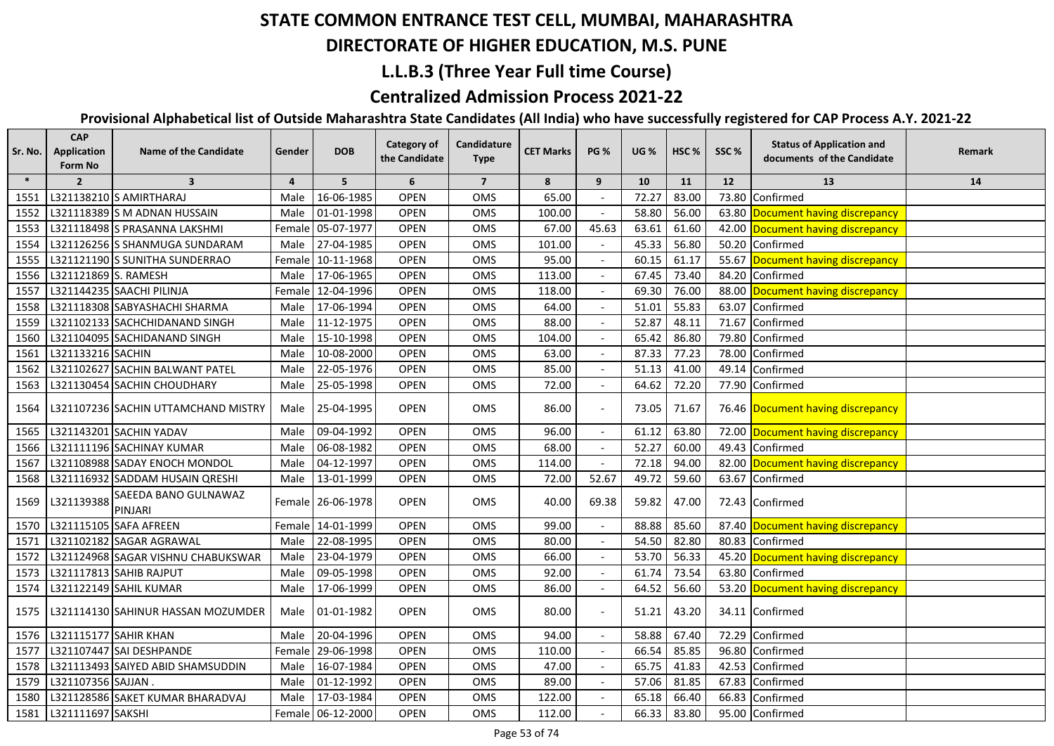## **DIRECTORATE OF HIGHER EDUCATION, M.S. PUNE**

### **L.L.B.3 (Three Year Full time Course)**

### **Centralized Admission Process 2021-22**

| Sr. No. | <b>CAP</b><br><b>Application</b><br>Form No | <b>Name of the Candidate</b>        | Gender         | <b>DOB</b>        | <b>Category of</b><br>the Candidate | Candidature<br><b>Type</b> | <b>CET Marks</b> | <b>PG %</b>              | <b>UG %</b> | HSC <sub>%</sub> | SSC%  | <b>Status of Application and</b><br>documents of the Candidate | Remark |
|---------|---------------------------------------------|-------------------------------------|----------------|-------------------|-------------------------------------|----------------------------|------------------|--------------------------|-------------|------------------|-------|----------------------------------------------------------------|--------|
| $\ast$  | $\overline{2}$                              | $\overline{\mathbf{3}}$             | $\overline{a}$ | 5                 | 6                                   | $\overline{7}$             | 8                | 9                        | 10          | 11               | 12    | 13                                                             | 14     |
| 1551    |                                             | L321138210 S AMIRTHARAJ             | Male           | 16-06-1985        | OPEN                                | OMS                        | 65.00            |                          | 72.27       | 83.00            | 73.80 | Confirmed                                                      |        |
| 1552    |                                             | L321118389 S M ADNAN HUSSAIN        | Male           | 01-01-1998        | <b>OPEN</b>                         | OMS                        | 100.00           |                          | 58.80       | 56.00            |       | 63.80 Document having discrepancy                              |        |
| 1553    |                                             | L321118498 S PRASANNA LAKSHMI       |                | Female 05-07-1977 | OPEN                                | OMS                        | 67.00            | 45.63                    | 63.61       | 61.60            |       | 42.00 Document having discrepancy                              |        |
| 1554    |                                             | L321126256 S SHANMUGA SUNDARAM      | Male           | 27-04-1985        | OPEN                                | OMS                        | 101.00           |                          | 45.33       | 56.80            | 50.20 | Confirmed                                                      |        |
| 1555    |                                             | L321121190 S SUNITHA SUNDERRAO      |                | Female 10-11-1968 | OPEN                                | OMS                        | 95.00            |                          | 60.15       | 61.17            |       | 55.67 Document having discrepancy                              |        |
| 1556    | L321121869 S. RAMESH                        |                                     | Male           | 17-06-1965        | OPEN                                | OMS                        | 113.00           |                          | 67.45       | 73.40            | 84.20 | Confirmed                                                      |        |
| 1557    |                                             | L321144235 SAACHI PILINJA           |                | Female 12-04-1996 | <b>OPEN</b>                         | OMS                        | 118.00           |                          | 69.30       | 76.00            |       | 88.00 Document having discrepancy                              |        |
| 1558    |                                             | L321118308 SABYASHACHI SHARMA       | Male           | 17-06-1994        | <b>OPEN</b>                         | OMS                        | 64.00            |                          | 51.01       | 55.83            | 63.07 | Confirmed                                                      |        |
| 1559    |                                             | L321102133 SACHCHIDANAND SINGH      | Male           | 11-12-1975        | <b>OPEN</b>                         | OMS                        | 88.00            |                          | 52.87       | 48.11            | 71.67 | Confirmed                                                      |        |
| 1560    |                                             | L321104095 SACHIDANAND SINGH        | Male           | 15-10-1998        | <b>OPEN</b>                         | OMS                        | 104.00           |                          | 65.42       | 86.80            | 79.80 | Confirmed                                                      |        |
| 1561    | L321133216 SACHIN                           |                                     | Male           | 10-08-2000        | <b>OPEN</b>                         | OMS                        | 63.00            |                          | 87.33       | 77.23            | 78.00 | Confirmed                                                      |        |
| 1562    |                                             | L321102627 SACHIN BALWANT PATEL     | Male           | 22-05-1976        | <b>OPEN</b>                         | OMS                        | 85.00            |                          | 51.13       | 41.00            | 49.14 | Confirmed                                                      |        |
| 1563    |                                             | L321130454 SACHIN CHOUDHARY         | Male           | 25-05-1998        | <b>OPEN</b>                         | OMS                        | 72.00            |                          | 64.62       | 72.20            |       | 77.90 Confirmed                                                |        |
| 1564    |                                             | L321107236 SACHIN UTTAMCHAND MISTRY | Male           | 25-04-1995        | <b>OPEN</b>                         | <b>OMS</b>                 | 86.00            |                          | 73.05       | 71.67            |       | 76.46 Document having discrepancy                              |        |
| 1565    |                                             | L321143201 SACHIN YADAV             | Male           | 09-04-1992        | OPEN                                | OMS                        | 96.00            | $\sim$                   | 61.12       | 63.80            |       | 72.00 Document having discrepancy                              |        |
| 1566    |                                             | L321111196 SACHINAY KUMAR           | Male           | 06-08-1982        | <b>OPEN</b>                         | OMS                        | 68.00            |                          | 52.27       | 60.00            | 49.43 | Confirmed                                                      |        |
| 1567    |                                             | L321108988 SADAY ENOCH MONDOL       | Male           | 04-12-1997        | <b>OPEN</b>                         | OMS                        | 114.00           |                          | 72.18       | 94.00            | 82.00 | Document having discrepancy                                    |        |
| 1568    |                                             | L321116932 SADDAM HUSAIN QRESHI     | Male           | 13-01-1999        | OPEN                                | OMS                        | 72.00            | 52.67                    | 49.72       | 59.60            | 63.67 | Confirmed                                                      |        |
| 1569    | L321139388                                  | SAEEDA BANO GULNAWAZ<br>PINJARI     |                | Female 26-06-1978 | <b>OPEN</b>                         | OMS                        | 40.00            | 69.38                    | 59.82       | 47.00            |       | 72.43 Confirmed                                                |        |
| 1570    |                                             | L321115105 SAFA AFREEN              | Female         | 14-01-1999        | <b>OPEN</b>                         | OMS                        | 99.00            |                          | 88.88       | 85.60            |       | 87.40 Document having discrepancy                              |        |
| 1571    |                                             | L321102182 SAGAR AGRAWAL            | Male           | 22-08-1995        | OPEN                                | OMS                        | 80.00            |                          | 54.50       | 82.80            | 80.83 | Confirmed                                                      |        |
| 1572    |                                             | L321124968 SAGAR VISHNU CHABUKSWAR  | Male           | 23-04-1979        | OPEN                                | OMS                        | 66.00            |                          | 53.70       | 56.33            | 45.20 | Document having discrepancy                                    |        |
| 1573    |                                             | L321117813 SAHIB RAJPUT             | Male           | 09-05-1998        | OPEN                                | OMS                        | 92.00            |                          | 61.74       | 73.54            | 63.80 | Confirmed                                                      |        |
| 1574    |                                             | L321122149 SAHIL KUMAR              | Male           | 17-06-1999        | <b>OPEN</b>                         | OMS                        | 86.00            | $\overline{\phantom{a}}$ | 64.52       | 56.60            |       | 53.20 Document having discrepancy                              |        |
| 1575    |                                             | L321114130 SAHINUR HASSAN MOZUMDER  | Male           | 01-01-1982        | <b>OPEN</b>                         | OMS                        | 80.00            |                          | 51.21       | 43.20            |       | 34.11 Confirmed                                                |        |
| 1576    | L321115177 SAHIR KHAN                       |                                     | Male           | 20-04-1996        | <b>OPEN</b>                         | OMS                        | 94.00            | $\overline{\phantom{a}}$ | 58.88       | 67.40            | 72.29 | Confirmed                                                      |        |
| 1577    |                                             | L321107447 SAI DESHPANDE            | Female         | 29-06-1998        | OPEN                                | OMS                        | 110.00           | $\blacksquare$           | 66.54       | 85.85            | 96.80 | Confirmed                                                      |        |
| 1578    |                                             | L321113493 SAIYED ABID SHAMSUDDIN   | Male           | 16-07-1984        | <b>OPEN</b>                         | OMS                        | 47.00            |                          | 65.75       | 41.83            | 42.53 | Confirmed                                                      |        |
| 1579    | L321107356 SAJJAN.                          |                                     | Male           | 01-12-1992        | OPEN                                | OMS                        | 89.00            |                          | 57.06       | 81.85            | 67.83 | Confirmed                                                      |        |
| 1580    |                                             | L321128586 SAKET KUMAR BHARADVAJ    | Male           | 17-03-1984        | <b>OPEN</b>                         | OMS                        | 122.00           |                          | 65.18       | 66.40            |       | 66.83 Confirmed                                                |        |
| 1581    | L321111697 SAKSHI                           |                                     |                | Female 06-12-2000 | <b>OPEN</b>                         | OMS                        | 112.00           |                          | 66.33       | 83.80            |       | 95.00 Confirmed                                                |        |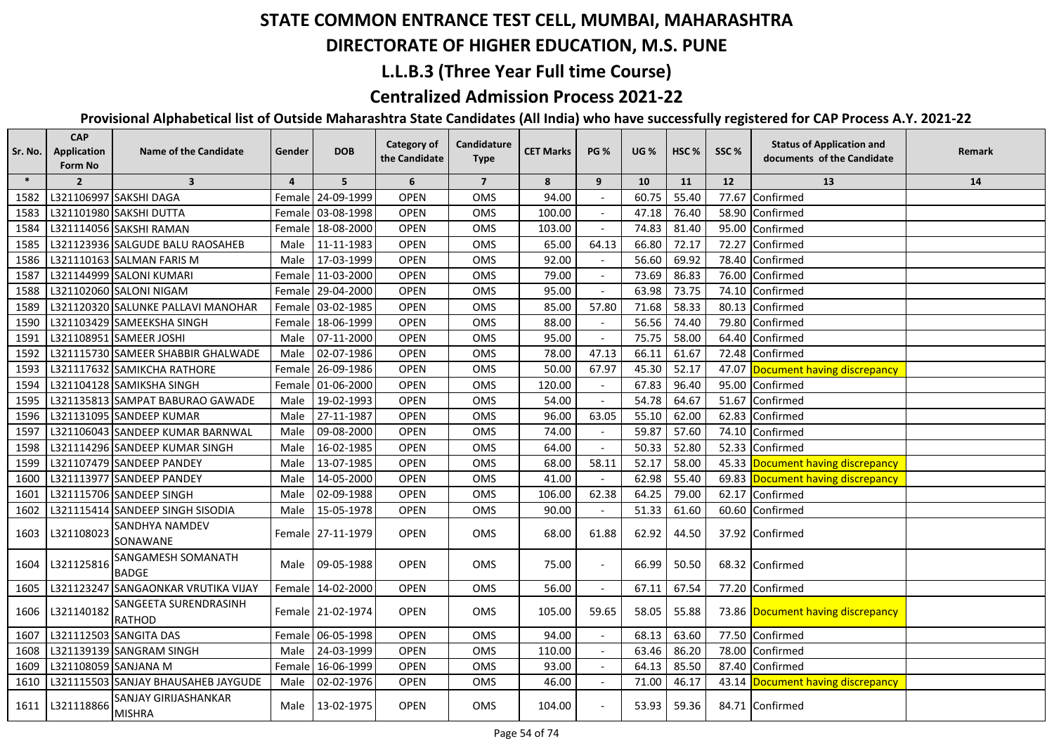#### **DIRECTORATE OF HIGHER EDUCATION, M.S. PUNE**

### **L.L.B.3 (Three Year Full time Course)**

### **Centralized Admission Process 2021-22**

| Sr. No. | <b>CAP</b><br>Application<br>Form No | <b>Name of the Candidate</b>                 | Gender         | <b>DOB</b>        | <b>Category of</b><br>the Candidate | Candidature<br><b>Type</b> | <b>CET Marks</b> | <b>PG %</b>              | <b>UG</b> % | HSC <sub>%</sub> | SSC%  | <b>Status of Application and</b><br>documents of the Candidate | Remark |
|---------|--------------------------------------|----------------------------------------------|----------------|-------------------|-------------------------------------|----------------------------|------------------|--------------------------|-------------|------------------|-------|----------------------------------------------------------------|--------|
| $\ast$  | $\overline{2}$                       | $\overline{\mathbf{3}}$                      | $\overline{4}$ | 5                 | 6                                   | $\overline{7}$             | 8                | 9                        | 10          | 11               | 12    | 13                                                             | 14     |
| 1582    |                                      | L321106997 SAKSHI DAGA                       |                | Female 24-09-1999 | <b>OPEN</b>                         | OMS                        | 94.00            |                          | 60.75       | 55.40            | 77.67 | Confirmed                                                      |        |
| 1583    |                                      | L321101980 SAKSHI DUTTA                      |                | Female 03-08-1998 | <b>OPEN</b>                         | <b>OMS</b>                 | 100.00           |                          | 47.18       | 76.40            | 58.90 | Confirmed                                                      |        |
| 1584    |                                      | L321114056 SAKSHI RAMAN                      |                | Female 18-08-2000 | <b>OPEN</b>                         | OMS                        | 103.00           |                          | 74.83       | 81.40            | 95.00 | Confirmed                                                      |        |
| 1585    |                                      | L321123936 SALGUDE BALU RAOSAHEB             | Male           | 11-11-1983        | <b>OPEN</b>                         | <b>OMS</b>                 | 65.00            | 64.13                    | 66.80       | 72.17            | 72.27 | Confirmed                                                      |        |
| 1586    |                                      | L321110163 SALMAN FARIS M                    | Male           | 17-03-1999        | <b>OPEN</b>                         | <b>OMS</b>                 | 92.00            |                          | 56.60       | 69.92            |       | 78.40 Confirmed                                                |        |
| 1587    |                                      | L321144999 SALONI KUMARI                     |                | Female 11-03-2000 | <b>OPEN</b>                         | OMS                        | 79.00            |                          | 73.69       | 86.83            |       | 76.00 Confirmed                                                |        |
| 1588    |                                      | L321102060 SALONI NIGAM                      |                | Female 29-04-2000 | <b>OPEN</b>                         | OMS                        | 95.00            |                          | 63.98       | 73.75            |       | 74.10 Confirmed                                                |        |
| 1589    |                                      | L321120320 SALUNKE PALLAVI MANOHAR           |                | Female 03-02-1985 | <b>OPEN</b>                         | OMS                        | 85.00            | 57.80                    | 71.68       | 58.33            |       | 80.13 Confirmed                                                |        |
| 1590    |                                      | L321103429 SAMEEKSHA SINGH                   |                | Female 18-06-1999 | <b>OPEN</b>                         | <b>OMS</b>                 | 88.00            |                          | 56.56       | 74.40            |       | 79.80 Confirmed                                                |        |
| 1591    |                                      | L321108951 SAMEER JOSHI                      | Male           | 07-11-2000        | <b>OPEN</b>                         | OMS                        | 95.00            |                          | 75.75       | 58.00            |       | 64.40 Confirmed                                                |        |
| 1592    |                                      | L321115730 SAMEER SHABBIR GHALWADE           | Male           | 02-07-1986        | <b>OPEN</b>                         | OMS                        | 78.00            | 47.13                    | 66.11       | 61.67            |       | 72.48 Confirmed                                                |        |
| 1593    |                                      | L321117632 SAMIKCHA RATHORE                  |                | Female 26-09-1986 | <b>OPEN</b>                         | <b>OMS</b>                 | 50.00            | 67.97                    | 45.30       | 52.17            |       | 47.07 Document having discrepancy                              |        |
| 1594    |                                      | L321104128 SAMIKSHA SINGH                    |                | Female 01-06-2000 | <b>OPEN</b>                         | <b>OMS</b>                 | 120.00           |                          | 67.83       | 96.40            |       | 95.00 Confirmed                                                |        |
| 1595    |                                      | L321135813 SAMPAT BABURAO GAWADE             | Male           | 19-02-1993        | <b>OPEN</b>                         | OMS                        | 54.00            |                          | 54.78       | 64.67            |       | 51.67 Confirmed                                                |        |
| 1596    |                                      | L321131095 SANDEEP KUMAR                     | Male           | 27-11-1987        | <b>OPEN</b>                         | <b>OMS</b>                 | 96.00            | 63.05                    | 55.10       | 62.00            |       | 62.83 Confirmed                                                |        |
| 1597    |                                      | L321106043 SANDEEP KUMAR BARNWAL             | Male           | 09-08-2000        | <b>OPEN</b>                         | <b>OMS</b>                 | 74.00            |                          | 59.87       | 57.60            |       | 74.10 Confirmed                                                |        |
| 1598    |                                      | L321114296 SANDEEP KUMAR SINGH               | Male           | 16-02-1985        | <b>OPEN</b>                         | OMS                        | 64.00            |                          | 50.33       | 52.80            |       | 52.33 Confirmed                                                |        |
| 1599    |                                      | L321107479 SANDEEP PANDEY                    | Male           | 13-07-1985        | <b>OPEN</b>                         | OMS                        | 68.00            | 58.11                    | 52.17       | 58.00            |       | 45.33 Document having discrepancy                              |        |
| 1600    |                                      | L321113977 SANDEEP PANDEY                    | Male           | 14-05-2000        | <b>OPEN</b>                         | <b>OMS</b>                 | 41.00            |                          | 62.98       | 55.40            |       | 69.83 Document having discrepancy                              |        |
| 1601    |                                      | L321115706 SANDEEP SINGH                     | Male           | 02-09-1988        | <b>OPEN</b>                         | OMS                        | 106.00           | 62.38                    | 64.25       | 79.00            |       | 62.17 Confirmed                                                |        |
| 1602    |                                      | L321115414 SANDEEP SINGH SISODIA             | Male           | 15-05-1978        | <b>OPEN</b>                         | <b>OMS</b>                 | 90.00            |                          | 51.33       | 61.60            |       | 60.60 Confirmed                                                |        |
| 1603    | L321108023                           | <b>SANDHYA NAMDEV</b><br>SONAWANE            |                | Female 27-11-1979 | <b>OPEN</b>                         | OMS                        | 68.00            | 61.88                    | 62.92       | 44.50            |       | 37.92 Confirmed                                                |        |
| 1604    | L321125816                           | SANGAMESH SOMANATH<br><b>BADGE</b>           |                | Male 09-05-1988   | <b>OPEN</b>                         | <b>OMS</b>                 | 75.00            |                          | 66.99       | 50.50            |       | 68.32 Confirmed                                                |        |
| 1605    |                                      | L321123247 SANGAONKAR VRUTIKA VIJAY          |                | Female 14-02-2000 | <b>OPEN</b>                         | OMS                        | 56.00            | $\overline{\phantom{a}}$ | 67.11       | 67.54            |       | 77.20 Confirmed                                                |        |
| 1606    | L321140182                           | SANGEETA SURENDRASINH<br><b>RATHOD</b>       |                | Female 21-02-1974 | <b>OPEN</b>                         | <b>OMS</b>                 | 105.00           | 59.65                    | 58.05       | 55.88            |       | 73.86 Document having discrepancy                              |        |
| 1607    |                                      | L321112503 SANGITA DAS                       |                | Female 06-05-1998 | <b>OPEN</b>                         | OMS                        | 94.00            |                          | 68.13       | 63.60            |       | 77.50 Confirmed                                                |        |
| 1608    |                                      | L321139139 SANGRAM SINGH                     | Male           | 24-03-1999        | <b>OPEN</b>                         | OMS                        | 110.00           |                          | 63.46       | 86.20            | 78.00 | Confirmed                                                      |        |
| 1609    | L321108059 SANJANA M                 |                                              | Female         | 16-06-1999        | <b>OPEN</b>                         | OMS                        | 93.00            |                          | 64.13       | 85.50            | 87.40 | Confirmed                                                      |        |
| 1610    |                                      | L321115503 SANJAY BHAUSAHEB JAYGUDE          | Male           | 02-02-1976        | OPEN                                | OMS                        | 46.00            |                          | 71.00       | 46.17            |       | 43.14 Document having discrepancy                              |        |
| 1611    | L321118866                           | <b>SANJAY GIRIJASHANKAR</b><br><b>MISHRA</b> |                | Male 13-02-1975   | <b>OPEN</b>                         | OMS                        | 104.00           |                          | 53.93       | 59.36            |       | 84.71 Confirmed                                                |        |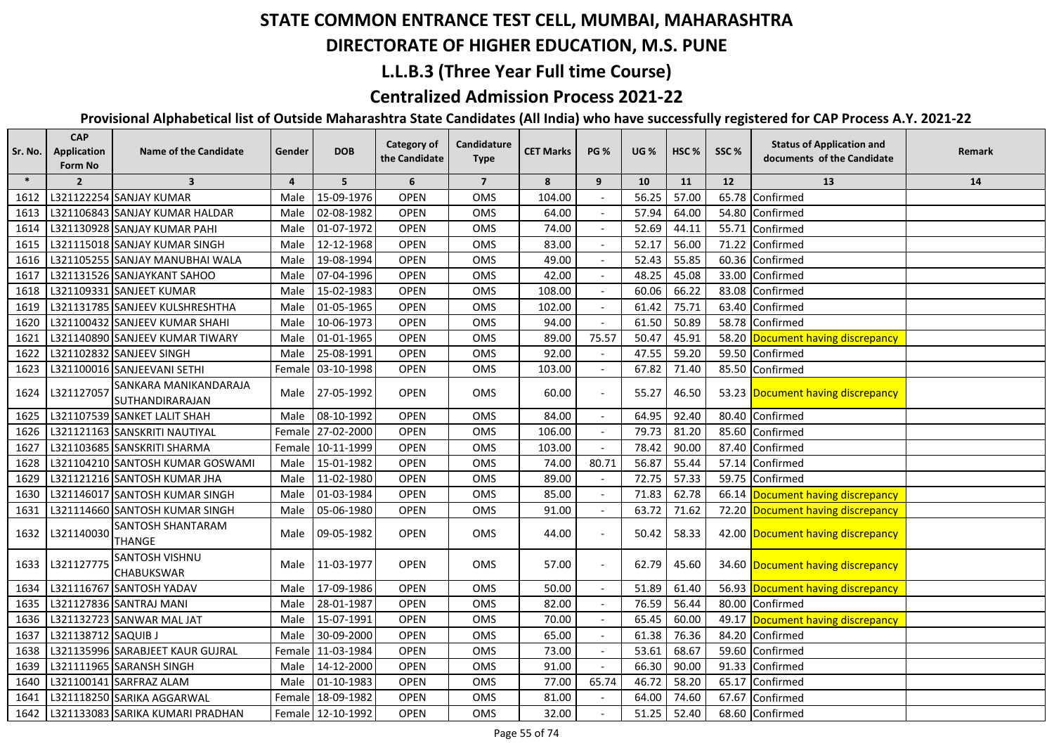#### **DIRECTORATE OF HIGHER EDUCATION, M.S. PUNE**

#### **L.L.B.3 (Three Year Full time Course)**

### **Centralized Admission Process 2021-22**

| Sr. No. | <b>CAP</b><br>Application<br>Form No | <b>Name of the Candidate</b>             | Gender         | <b>DOB</b>        | <b>Category of</b><br>the Candidate | Candidature<br><b>Type</b> | <b>CET Marks</b> | <b>PG %</b> | <b>UG %</b> | HSC <sub>%</sub> | SSC%  | <b>Status of Application and</b><br>documents of the Candidate | Remark |
|---------|--------------------------------------|------------------------------------------|----------------|-------------------|-------------------------------------|----------------------------|------------------|-------------|-------------|------------------|-------|----------------------------------------------------------------|--------|
| $\ast$  | $\overline{2}$                       | $\overline{\mathbf{3}}$                  | $\overline{4}$ | 5 <sup>5</sup>    | 6                                   | $\overline{7}$             | 8                | 9           | 10          | 11               | 12    | 13                                                             | 14     |
| 1612    |                                      | L321122254 SANJAY KUMAR                  | Male           | 15-09-1976        | <b>OPEN</b>                         | OMS                        | 104.00           |             | 56.25       | 57.00            | 65.78 | Confirmed                                                      |        |
| 1613    |                                      | L321106843 SANJAY KUMAR HALDAR           | Male           | 02-08-1982        | <b>OPEN</b>                         | OMS                        | 64.00            |             | 57.94       | 64.00            |       | 54.80 Confirmed                                                |        |
| 1614    |                                      | L321130928 SANJAY KUMAR PAHI             | Male           | 01-07-1972        | <b>OPEN</b>                         | OMS                        | 74.00            |             | 52.69       | 44.11            |       | 55.71 Confirmed                                                |        |
| 1615    |                                      | L321115018 SANJAY KUMAR SINGH            | Male           | 12-12-1968        | <b>OPEN</b>                         | OMS                        | 83.00            |             | 52.17       | 56.00            | 71.22 | Confirmed                                                      |        |
| 1616    |                                      | L321105255 SANJAY MANUBHAI WALA          | Male           | 19-08-1994        | <b>OPEN</b>                         | OMS                        | 49.00            |             | 52.43       | 55.85            |       | 60.36 Confirmed                                                |        |
| 1617    |                                      | L321131526 SANJAYKANT SAHOO              | Male           | 07-04-1996        | <b>OPEN</b>                         | OMS                        | 42.00            |             | 48.25       | 45.08            |       | 33.00 Confirmed                                                |        |
| 1618    |                                      | L321109331 SANJEET KUMAR                 | Male           | 15-02-1983        | <b>OPEN</b>                         | OMS                        | 108.00           |             | 60.06       | 66.22            |       | 83.08 Confirmed                                                |        |
| 1619    |                                      | L321131785 SANJEEV KULSHRESHTHA          | Male           | 01-05-1965        | <b>OPEN</b>                         | OMS                        | 102.00           |             | 61.42       | 75.71            |       | 63.40 Confirmed                                                |        |
| 1620    |                                      | L321100432 SANJEEV KUMAR SHAHI           | Male           | 10-06-1973        | <b>OPEN</b>                         | OMS                        | 94.00            |             | 61.50       | 50.89            |       | 58.78 Confirmed                                                |        |
| 1621    |                                      | L321140890 SANJEEV KUMAR TIWARY          | Male           | 01-01-1965        | <b>OPEN</b>                         | <b>OMS</b>                 | 89.00            | 75.57       | 50.47       | 45.91            |       | 58.20 Document having discrepancy                              |        |
| 1622    |                                      | L321102832 SANJEEV SINGH                 | Male           | 25-08-1991        | <b>OPEN</b>                         | OMS                        | 92.00            |             | 47.55       | 59.20            |       | 59.50 Confirmed                                                |        |
| 1623    |                                      | L321100016 SANJEEVANI SETHI              |                | Female 03-10-1998 | <b>OPEN</b>                         | <b>OMS</b>                 | 103.00           |             | 67.82       | 71.40            |       | 85.50 Confirmed                                                |        |
| 1624    | L321127057                           | SANKARA MANIKANDARAJA<br>SUTHANDIRARAJAN |                | Male 27-05-1992   | <b>OPEN</b>                         | <b>OMS</b>                 | 60.00            |             | 55.27       | 46.50            |       | 53.23 Document having discrepancy                              |        |
| 1625    |                                      | L321107539 SANKET LALIT SHAH             | Male           | 08-10-1992        | <b>OPEN</b>                         | OMS                        | 84.00            |             | 64.95       | 92.40            |       | 80.40 Confirmed                                                |        |
| 1626    |                                      | L321121163 SANSKRITI NAUTIYAL            |                | Female 27-02-2000 | <b>OPEN</b>                         | OMS                        | 106.00           | $\sim$      | 79.73       | 81.20            |       | 85.60 Confirmed                                                |        |
| 1627    |                                      | L321103685 SANSKRITI SHARMA              |                | Female 10-11-1999 | <b>OPEN</b>                         | OMS                        | 103.00           | $\sim$      | 78.42       | 90.00            |       | 87.40 Confirmed                                                |        |
| 1628    |                                      | L321104210 SANTOSH KUMAR GOSWAMI         | Male           | 15-01-1982        | <b>OPEN</b>                         | OMS                        | 74.00            | 80.71       | 56.87       | 55.44            | 57.14 | Confirmed                                                      |        |
| 1629    |                                      | L321121216 SANTOSH KUMAR JHA             | Male           | 11-02-1980        | <b>OPEN</b>                         | OMS                        | 89.00            |             | 72.75       | 57.33            | 59.75 | Confirmed                                                      |        |
| 1630    |                                      | L321146017 SANTOSH KUMAR SINGH           | Male           | 01-03-1984        | <b>OPEN</b>                         | OMS                        | 85.00            |             | 71.83       | 62.78            |       | 66.14 Document having discrepancy                              |        |
| 1631    |                                      | L321114660 SANTOSH KUMAR SINGH           | Male           | 05-06-1980        | <b>OPEN</b>                         | OMS                        | 91.00            |             | 63.72       | 71.62            |       | 72.20 Document having discrepancy                              |        |
| 1632    | L321140030                           | SANTOSH SHANTARAM<br><b>THANGE</b>       | Male           | 09-05-1982        | <b>OPEN</b>                         | OMS                        | 44.00            |             | 50.42       | 58.33            |       | 42.00 Document having discrepancy                              |        |
| 1633    | L321127775                           | SANTOSH VISHNU<br><b>CHABUKSWAR</b>      | Male           | 11-03-1977        | <b>OPEN</b>                         | <b>OMS</b>                 | 57.00            |             | 62.79       | 45.60            |       | 34.60 Document having discrepancy                              |        |
| 1634    |                                      | L321116767 SANTOSH YADAV                 | Male           | 17-09-1986        | <b>OPEN</b>                         | OMS                        | 50.00            |             | 51.89       | 61.40            |       | 56.93 Document having discrepancy                              |        |
| 1635    |                                      | L321127836 SANTRAJ MANI                  | Male           | 28-01-1987        | <b>OPEN</b>                         | OMS                        | 82.00            |             | 76.59       | 56.44            |       | 80.00 Confirmed                                                |        |
| 1636    |                                      | L321132723 SANWAR MAL JAT                | Male           | 15-07-1991        | <b>OPEN</b>                         | OMS                        | 70.00            |             | 65.45       | 60.00            | 49.17 | Document having discrepancy                                    |        |
| 1637    | L321138712 SAQUIB J                  |                                          | Male           | 30-09-2000        | <b>OPEN</b>                         | OMS                        | 65.00            |             | 61.38       | 76.36            |       | 84.20 Confirmed                                                |        |
| 1638    |                                      | L321135996 SARABJEET KAUR GUJRAL         |                | Female 11-03-1984 | <b>OPEN</b>                         | OMS                        | 73.00            |             | 53.61       | 68.67            |       | 59.60 Confirmed                                                |        |
| 1639    |                                      | L321111965 SARANSH SINGH                 | Male           | 14-12-2000        | <b>OPEN</b>                         | OMS                        | 91.00            |             | 66.30       | 90.00            |       | 91.33 Confirmed                                                |        |
| 1640    |                                      | L321100141 SARFRAZ ALAM                  | Male           | 01-10-1983        | <b>OPEN</b>                         | OMS                        | 77.00            | 65.74       | 46.72       | 58.20            |       | 65.17 Confirmed                                                |        |
| 1641    |                                      | L321118250 SARIKA AGGARWAL               |                | Female 18-09-1982 | <b>OPEN</b>                         | OMS                        | 81.00            |             | 64.00       | 74.60            |       | 67.67 Confirmed                                                |        |
| 1642    |                                      | L321133083 SARIKA KUMARI PRADHAN         |                | Female 12-10-1992 | <b>OPEN</b>                         | OMS                        | 32.00            |             | 51.25       | 52.40            |       | 68.60 Confirmed                                                |        |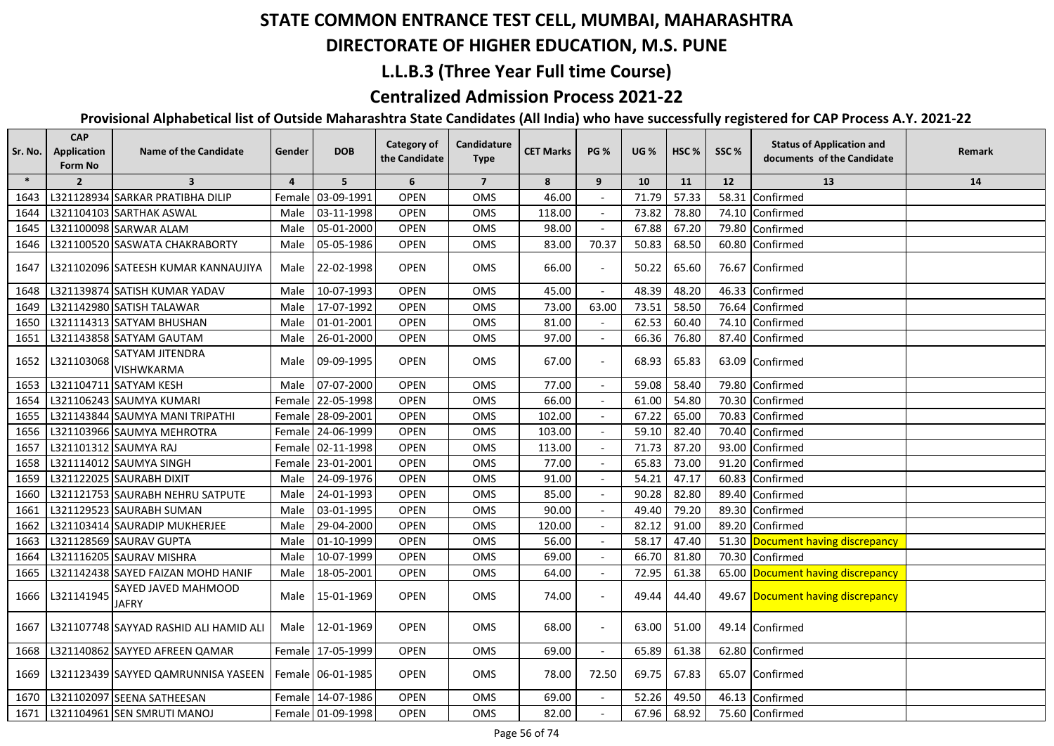#### **DIRECTORATE OF HIGHER EDUCATION, M.S. PUNE**

## **L.L.B.3 (Three Year Full time Course)**

### **Centralized Admission Process 2021-22**

| Sr. No. | <b>CAP</b><br><b>Application</b><br>Form No | <b>Name of the Candidate</b>               | Gender         | <b>DOB</b>        | Category of<br>the Candidate | Candidature<br><b>Type</b> | <b>CET Marks</b> | <b>PG %</b>              | <b>UG %</b> | HSC <sub>%</sub> | SSC%  | <b>Status of Application and</b><br>documents of the Candidate | Remark |
|---------|---------------------------------------------|--------------------------------------------|----------------|-------------------|------------------------------|----------------------------|------------------|--------------------------|-------------|------------------|-------|----------------------------------------------------------------|--------|
| $\ast$  | $\overline{2}$                              | $\overline{\mathbf{3}}$                    | $\overline{a}$ | 5                 | 6                            | $\overline{7}$             | 8                | 9                        | 10          | 11               | 12    | 13                                                             | 14     |
| 1643    |                                             | L321128934 SARKAR PRATIBHA DILIP           |                | Female 03-09-1991 | <b>OPEN</b>                  | OMS                        | 46.00            |                          | 71.79       | 57.33            | 58.31 | Confirmed                                                      |        |
| 1644    |                                             | L321104103 SARTHAK ASWAL                   | Male           | 03-11-1998        | <b>OPEN</b>                  | <b>OMS</b>                 | 118.00           |                          | 73.82       | 78.80            |       | 74.10 Confirmed                                                |        |
| 1645    |                                             | L321100098 SARWAR ALAM                     | Male           | 05-01-2000        | <b>OPEN</b>                  | <b>OMS</b>                 | 98.00            |                          | 67.88       | 67.20            |       | 79.80 Confirmed                                                |        |
| 1646    |                                             | L321100520 SASWATA CHAKRABORTY             | Male           | 05-05-1986        | <b>OPEN</b>                  | OMS                        | 83.00            | 70.37                    | 50.83       | 68.50            |       | 60.80 Confirmed                                                |        |
|         |                                             | 1647   L321102096 SATEESH KUMAR KANNAUJIYA | Male           | 22-02-1998        | <b>OPEN</b>                  | <b>OMS</b>                 | 66.00            |                          | 50.22       | 65.60            |       | 76.67 Confirmed                                                |        |
| 1648    |                                             | L321139874 SATISH KUMAR YADAV              | Male           | 10-07-1993        | <b>OPEN</b>                  | <b>OMS</b>                 | 45.00            |                          | 48.39       | 48.20            |       | 46.33 Confirmed                                                |        |
| 1649    |                                             | L321142980 SATISH TALAWAR                  | Male           | 17-07-1992        | <b>OPEN</b>                  | OMS                        | 73.00            | 63.00                    | 73.51       | 58.50            |       | 76.64 Confirmed                                                |        |
| 1650    |                                             | L321114313 SATYAM BHUSHAN                  | Male           | 01-01-2001        | <b>OPEN</b>                  | OMS                        | 81.00            |                          | 62.53       | 60.40            |       | 74.10 Confirmed                                                |        |
| 1651    |                                             | L321143858 SATYAM GAUTAM                   | Male           | 26-01-2000        | <b>OPEN</b>                  | <b>OMS</b>                 | 97.00            |                          | 66.36       | 76.80            |       | 87.40 Confirmed                                                |        |
| 1652    | L321103068                                  | SATYAM JITENDRA<br>VISHWKARMA              | Male           | 09-09-1995        | <b>OPEN</b>                  | <b>OMS</b>                 | 67.00            |                          | 68.93       | 65.83            |       | 63.09 Confirmed                                                |        |
| 1653    |                                             | L321104711 SATYAM KESH                     | Male           | 07-07-2000        | <b>OPEN</b>                  | <b>OMS</b>                 | 77.00            |                          | 59.08       | 58.40            |       | 79.80 Confirmed                                                |        |
| 1654    |                                             | L321106243 SAUMYA KUMARI                   |                | Female 22-05-1998 | <b>OPEN</b>                  | OMS                        | 66.00            |                          | 61.00       | 54.80            |       | 70.30 Confirmed                                                |        |
| 1655    |                                             | L321143844 SAUMYA MANI TRIPATHI            |                | Female 28-09-2001 | OPEN                         | <b>OMS</b>                 | 102.00           |                          | 67.22       | 65.00            |       | 70.83 Confirmed                                                |        |
| 1656    |                                             | L321103966 SAUMYA MEHROTRA                 |                | Female 24-06-1999 | <b>OPEN</b>                  | <b>OMS</b>                 | 103.00           |                          | 59.10       | 82.40            |       | 70.40 Confirmed                                                |        |
| 1657    | L321101312 SAUMYA RAJ                       |                                            |                | Female 02-11-1998 | <b>OPEN</b>                  | OMS                        | 113.00           |                          | 71.73       | 87.20            | 93.00 | Confirmed                                                      |        |
| 1658    |                                             | L321114012 SAUMYA SINGH                    |                | Female 23-01-2001 | <b>OPEN</b>                  | OMS                        | 77.00            |                          | 65.83       | 73.00            | 91.20 | Confirmed                                                      |        |
| 1659    |                                             | L321122025 SAURABH DIXIT                   | Male           | 24-09-1976        | <b>OPEN</b>                  | OMS                        | 91.00            |                          | 54.21       | 47.17            | 60.83 | Confirmed                                                      |        |
| 1660    |                                             | L321121753 SAURABH NEHRU SATPUTE           | Male           | 24-01-1993        | <b>OPEN</b>                  | OMS                        | 85.00            |                          | 90.28       | 82.80            | 89.40 | Confirmed                                                      |        |
| 1661    |                                             | L321129523 SAURABH SUMAN                   | Male           | 03-01-1995        | <b>OPEN</b>                  | <b>OMS</b>                 | 90.00            |                          | 49.40       | 79.20            | 89.30 | Confirmed                                                      |        |
| 1662    |                                             | L321103414 SAURADIP MUKHERJEE              | Male           | 29-04-2000        | <b>OPEN</b>                  | <b>OMS</b>                 | 120.00           |                          | 82.12       | 91.00            | 89.20 | Confirmed                                                      |        |
| 1663    |                                             | L321128569 SAURAV GUPTA                    | Male           | $01 - 10 - 1999$  | <b>OPEN</b>                  | OMS                        | 56.00            |                          | 58.17       | 47.40            |       | 51.30 Document having discrepancy                              |        |
| 1664    |                                             | L321116205 SAURAV MISHRA                   | Male           | 10-07-1999        | <b>OPEN</b>                  | <b>OMS</b>                 | 69.00            |                          | 66.70       | 81.80            |       | 70.30 Confirmed                                                |        |
| 1665    |                                             | L321142438 SAYED FAIZAN MOHD HANIF         | Male           | 18-05-2001        | <b>OPEN</b>                  | <b>OMS</b>                 | 64.00            |                          | 72.95       | 61.38            |       | 65.00 Document having discrepancy                              |        |
| 1666    | L321141945                                  | SAYED JAVED MAHMOOD<br><b>JAFRY</b>        | Male           | 15-01-1969        | <b>OPEN</b>                  | <b>OMS</b>                 | 74.00            |                          | 49.44       | 44.40            |       | 49.67 Document having discrepancy                              |        |
| 1667    |                                             | L321107748 SAYYAD RASHID ALI HAMID ALI     | Male           | 12-01-1969        | <b>OPEN</b>                  | OMS                        | 68.00            |                          | 63.00       | 51.00            |       | 49.14 Confirmed                                                |        |
| 1668    |                                             | L321140862 SAYYED AFREEN QAMAR             |                | Female 17-05-1999 | <b>OPEN</b>                  | OMS                        | 69.00            | $\overline{\phantom{a}}$ | 65.89       | 61.38            |       | 62.80 Confirmed                                                |        |
|         |                                             | 1669   L321123439 SAYYED QAMRUNNISA YASEEN |                | Female 06-01-1985 | OPEN                         | OMS                        | 78.00            | 72.50                    | 69.75       | 67.83            |       | 65.07 Confirmed                                                |        |
| 1670    |                                             | L321102097 SEENA SATHEESAN                 |                | Female 14-07-1986 | <b>OPEN</b>                  | OMS                        | 69.00            |                          | 52.26       | 49.50            |       | 46.13 Confirmed                                                |        |
|         |                                             | 1671   L321104961 SEN SMRUTI MANOJ         |                | Female 01-09-1998 | <b>OPEN</b>                  | OMS                        | 82.00            |                          | 67.96       | 68.92            |       | 75.60 Confirmed                                                |        |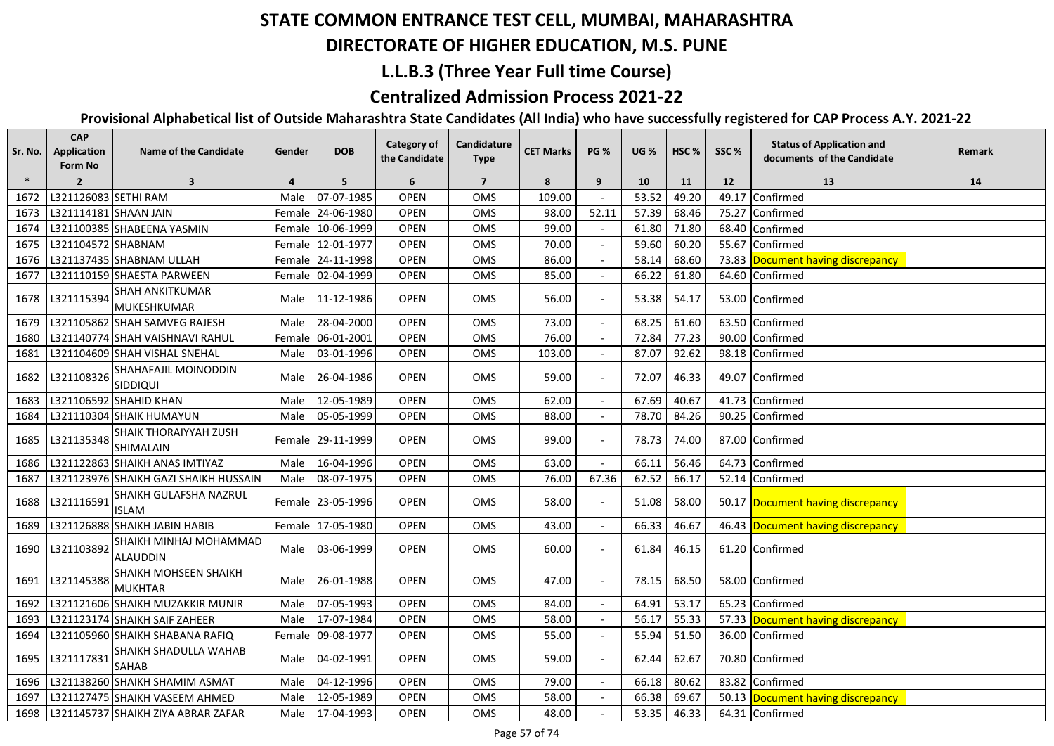## **DIRECTORATE OF HIGHER EDUCATION, M.S. PUNE**

### **L.L.B.3 (Three Year Full time Course)**

#### **Centralized Admission Process 2021-22**

| Sr. No. | <b>CAP</b><br>Application<br>Form No | <b>Name of the Candidate</b>                   | Gender         | <b>DOB</b>        | <b>Category of</b><br>the Candidate | Candidature<br><b>Type</b> | <b>CET Marks</b> | <b>PG %</b> | <b>UG %</b> | HSC <sub>%</sub> | SSC%  | <b>Status of Application and</b><br>documents of the Candidate | Remark |
|---------|--------------------------------------|------------------------------------------------|----------------|-------------------|-------------------------------------|----------------------------|------------------|-------------|-------------|------------------|-------|----------------------------------------------------------------|--------|
| $\ast$  | $\overline{2}$                       | $\overline{\mathbf{3}}$                        | $\overline{4}$ | 5 <sup>5</sup>    | 6                                   | $\overline{7}$             | 8                | 9           | 10          | 11               | 12    | 13                                                             | 14     |
| 1672    | L321126083 SETHI RAM                 |                                                | Male           | 07-07-1985        | <b>OPEN</b>                         | OMS                        | 109.00           |             | 53.52       | 49.20            | 49.17 | Confirmed                                                      |        |
| 1673    | L321114181 SHAAN JAIN                |                                                |                | Female 24-06-1980 | <b>OPEN</b>                         | OMS                        | 98.00            | 52.11       | 57.39       | 68.46            | 75.27 | Confirmed                                                      |        |
| 1674    |                                      | L321100385 SHABEENA YASMIN                     |                | Female 10-06-1999 | <b>OPEN</b>                         | OMS                        | 99.00            |             | 61.80       | 71.80            | 68.40 | Confirmed                                                      |        |
| 1675    | L321104572 SHABNAM                   |                                                |                | Female 12-01-1977 | <b>OPEN</b>                         | OMS                        | 70.00            |             | 59.60       | 60.20            | 55.67 | Confirmed                                                      |        |
| 1676    |                                      | L321137435 SHABNAM ULLAH                       |                | Female 24-11-1998 | <b>OPEN</b>                         | OMS                        | 86.00            |             | 58.14       | 68.60            | 73.83 | Document having discrepancy                                    |        |
| 1677    |                                      | L321110159 SHAESTA PARWEEN                     |                | Female 02-04-1999 | <b>OPEN</b>                         | OMS                        | 85.00            |             | 66.22       | 61.80            | 64.60 | Confirmed                                                      |        |
| 1678    | L321115394                           | <b>SHAH ANKITKUMAR</b><br>MUKESHKUMAR          |                | Male 11-12-1986   | <b>OPEN</b>                         | OMS                        | 56.00            |             | 53.38       | 54.17            |       | 53.00 Confirmed                                                |        |
| 1679    |                                      | L321105862 SHAH SAMVEG RAJESH                  | Male           | 28-04-2000        | <b>OPEN</b>                         | <b>OMS</b>                 | 73.00            |             | 68.25       | 61.60            | 63.50 | Confirmed                                                      |        |
| 1680    |                                      | L321140774 SHAH VAISHNAVI RAHUL                |                | Female 06-01-2001 | <b>OPEN</b>                         | OMS                        | 76.00            |             | 72.84       | 77.23            | 90.00 | Confirmed                                                      |        |
| 1681    |                                      | L321104609 SHAH VISHAL SNEHAL                  | Male           | 03-01-1996        | <b>OPEN</b>                         | OMS                        | 103.00           |             | 87.07       | 92.62            |       | 98.18 Confirmed                                                |        |
| 1682    | L321108326                           | SHAHAFAJIL MOINODDIN<br>SIDDIQUI               |                | Male 26-04-1986   | <b>OPEN</b>                         | OMS                        | 59.00            |             | 72.07       | 46.33            |       | 49.07 Confirmed                                                |        |
| 1683    |                                      | L321106592 SHAHID KHAN                         | Male           | 12-05-1989        | <b>OPEN</b>                         | OMS                        | 62.00            |             | 67.69       | 40.67            | 41.73 | Confirmed                                                      |        |
| 1684    |                                      | L321110304 SHAIK HUMAYUN                       | Male           | 05-05-1999        | <b>OPEN</b>                         | OMS                        | 88.00            |             | 78.70       | 84.26            |       | 90.25 Confirmed                                                |        |
| 1685    | L321135348                           | SHAIK THORAIYYAH ZUSH<br>SHIMALAIN             |                | Female 29-11-1999 | <b>OPEN</b>                         | OMS                        | 99.00            |             | 78.73       | 74.00            |       | 87.00 Confirmed                                                |        |
| 1686    |                                      | L321122863 SHAIKH ANAS IMTIYAZ                 | Male           | 16-04-1996        | <b>OPEN</b>                         | OMS                        | 63.00            |             | 66.11       | 56.46            | 64.73 | Confirmed                                                      |        |
| 1687    |                                      | L321123976 SHAIKH GAZI SHAIKH HUSSAIN          | Male           | 08-07-1975        | <b>OPEN</b>                         | OMS                        | 76.00            | 67.36       | 62.52       | 66.17            |       | 52.14 Confirmed                                                |        |
| 1688    | L321116591                           | SHAIKH GULAFSHA NAZRUL<br><b>ISLAM</b>         |                | Female 23-05-1996 | <b>OPEN</b>                         | OMS                        | 58.00            |             | 51.08       | 58.00            |       | 50.17 Document having discrepancy                              |        |
| 1689    |                                      | L321126888 SHAIKH JABIN HABIB                  |                | Female 17-05-1980 | <b>OPEN</b>                         | OMS                        | 43.00            |             | 66.33       | 46.67            |       | 46.43 Document having discrepancy                              |        |
| 1690    | L321103892                           | SHAIKH MINHAJ MOHAMMAD<br><b>ALAUDDIN</b>      |                | Male 03-06-1999   | <b>OPEN</b>                         | OMS                        | 60.00            |             | 61.84       | 46.15            |       | 61.20 Confirmed                                                |        |
| 1691    | L321145388                           | <b>SHAIKH MOHSEEN SHAIKH</b><br><b>MUKHTAR</b> | Male           | 26-01-1988        | <b>OPEN</b>                         | OMS                        | 47.00            |             | 78.15       | 68.50            |       | 58.00 Confirmed                                                |        |
| 1692    |                                      | L321121606 SHAIKH MUZAKKIR MUNIR               | Male           | 07-05-1993        | <b>OPEN</b>                         | <b>OMS</b>                 | 84.00            |             | 64.91       | 53.17            | 65.23 | Confirmed                                                      |        |
| 1693    |                                      | L321123174 SHAIKH SAIF ZAHEER                  | Male           | 17-07-1984        | <b>OPEN</b>                         | OMS                        | 58.00            |             | 56.17       | 55.33            | 57.33 | Document having discrepancy                                    |        |
| 1694    |                                      | L321105960 SHAIKH SHABANA RAFIQ                | Female         | 09-08-1977        | <b>OPEN</b>                         | OMS                        | 55.00            |             | 55.94       | 51.50            |       | 36.00 Confirmed                                                |        |
| 1695    | L321117831                           | SHAIKH SHADULLA WAHAB<br><b>SAHAB</b>          | Male           | 04-02-1991        | <b>OPEN</b>                         | OMS                        | 59.00            |             | 62.44       | 62.67            |       | 70.80 Confirmed                                                |        |
| 1696    |                                      | L321138260 SHAIKH SHAMIM ASMAT                 | Male           | 04-12-1996        | <b>OPEN</b>                         | OMS                        | 79.00            |             | 66.18       | 80.62            | 83.82 | Confirmed                                                      |        |
| 1697    |                                      | L321127475 SHAIKH VASEEM AHMED                 | Male           | 12-05-1989        | <b>OPEN</b>                         | OMS                        | 58.00            |             | 66.38       | 69.67            | 50.13 | Document having discrepancy                                    |        |
| 1698    |                                      | L321145737 SHAIKH ZIYA ABRAR ZAFAR             |                | Male 17-04-1993   | <b>OPEN</b>                         | OMS                        | 48.00            |             | 53.35       | 46.33            |       | 64.31 Confirmed                                                |        |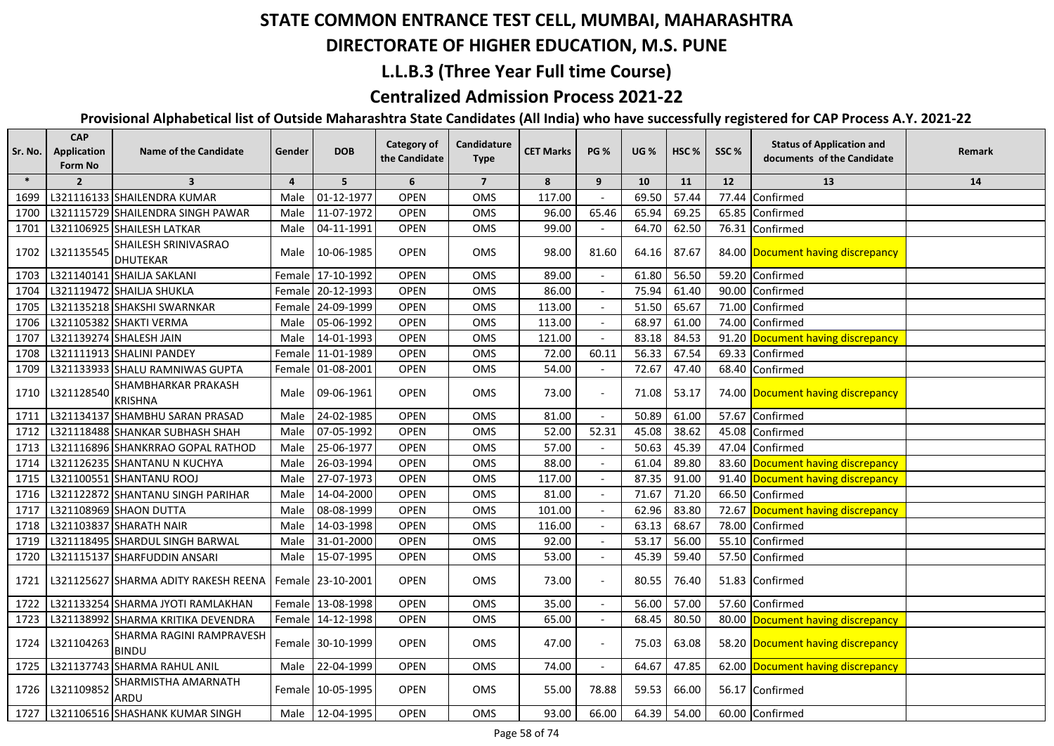#### **DIRECTORATE OF HIGHER EDUCATION, M.S. PUNE**

### **L.L.B.3 (Three Year Full time Course)**

### **Centralized Admission Process 2021-22**

| Sr. No. | <b>CAP</b><br>Application<br><b>Form No</b> | <b>Name of the Candidate</b>             | Gender         | <b>DOB</b>        | Category of<br>the Candidate | Candidature<br><b>Type</b> | <b>CET Marks</b> | <b>PG %</b>              | <b>UG %</b> | HSC <sub>%</sub> | SSC%  | <b>Status of Application and</b><br>documents of the Candidate | Remark |
|---------|---------------------------------------------|------------------------------------------|----------------|-------------------|------------------------------|----------------------------|------------------|--------------------------|-------------|------------------|-------|----------------------------------------------------------------|--------|
| $\ast$  | $\overline{2}$                              | $\overline{\mathbf{3}}$                  | $\overline{4}$ | 5                 | 6                            | $\overline{7}$             | 8                | 9                        | 10          | 11               | 12    | 13                                                             | 14     |
| 1699    |                                             | L321116133 SHAILENDRA KUMAR              | Male           | 01-12-1977        | <b>OPEN</b>                  | OMS                        | 117.00           |                          | 69.50       | 57.44            | 77.44 | Confirmed                                                      |        |
| 1700    |                                             | L321115729 SHAILENDRA SINGH PAWAR        | Male           | 11-07-1972        | <b>OPEN</b>                  | OMS                        | 96.00            | 65.46                    | 65.94       | 69.25            |       | 65.85 Confirmed                                                |        |
| 1701    |                                             | L321106925 SHAILESH LATKAR               | Male           | 04-11-1991        | <b>OPEN</b>                  | OMS                        | 99.00            |                          | 64.70       | 62.50            |       | 76.31 Confirmed                                                |        |
| 1702    | L321135545                                  | SHAILESH SRINIVASRAO<br><b>DHUTEKAR</b>  | Male           | 10-06-1985        | <b>OPEN</b>                  | OMS                        | 98.00            | 81.60                    | 64.16       | 87.67            |       | 84.00 Document having discrepancy                              |        |
| 1703    |                                             | L321140141 SHAILJA SAKLANI               |                | Female 17-10-1992 | <b>OPEN</b>                  | OMS                        | 89.00            |                          | 61.80       | 56.50            |       | 59.20 Confirmed                                                |        |
| 1704    |                                             | L321119472 SHAILJA SHUKLA                |                | Female 20-12-1993 | <b>OPEN</b>                  | OMS                        | 86.00            |                          | 75.94       | 61.40            |       | 90.00 Confirmed                                                |        |
| 1705    |                                             | L321135218 SHAKSHI SWARNKAR              |                | Female 24-09-1999 | <b>OPEN</b>                  | OMS                        | 113.00           |                          | 51.50       | 65.67            |       | 71.00 Confirmed                                                |        |
| 1706    |                                             | L321105382 SHAKTI VERMA                  | Male           | 05-06-1992        | <b>OPEN</b>                  | OMS                        | 113.00           |                          | 68.97       | 61.00            |       | 74.00 Confirmed                                                |        |
| 1707    |                                             | L321139274 SHALESH JAIN                  | Male           | 14-01-1993        | <b>OPEN</b>                  | OMS                        | 121.00           |                          | 83.18       | 84.53            |       | 91.20 Document having discrepancy                              |        |
| 1708    |                                             | L321111913 SHALINI PANDEY                |                | Female 11-01-1989 | <b>OPEN</b>                  | OMS                        | 72.00            | 60.11                    | 56.33       | 67.54            |       | 69.33 Confirmed                                                |        |
| 1709    |                                             | L321133933 SHALU RAMNIWAS GUPTA          |                | Female 01-08-2001 | <b>OPEN</b>                  | <b>OMS</b>                 | 54.00            |                          | 72.67       | 47.40            |       | 68.40 Confirmed                                                |        |
| 1710    | L321128540                                  | SHAMBHARKAR PRAKASH<br><b>KRISHNA</b>    | Male           | 09-06-1961        | <b>OPEN</b>                  | OMS                        | 73.00            |                          | 71.08       | 53.17            |       | 74.00 Document having discrepancy                              |        |
| 1711    |                                             | L321134137 SHAMBHU SARAN PRASAD          | Male           | 24-02-1985        | <b>OPEN</b>                  | OMS                        | 81.00            |                          | 50.89       | 61.00            |       | 57.67 Confirmed                                                |        |
| 1712    |                                             | L321118488 SHANKAR SUBHASH SHAH          | Male           | 07-05-1992        | <b>OPEN</b>                  | OMS                        | 52.00            | 52.31                    | 45.08       | 38.62            | 45.08 | Confirmed                                                      |        |
| 1713    |                                             | L321116896 SHANKRRAO GOPAL RATHOD        | Male           | 25-06-1977        | <b>OPEN</b>                  | OMS                        | 57.00            |                          | 50.63       | 45.39            |       | 47.04 Confirmed                                                |        |
| 1714    |                                             | L321126235 SHANTANU N KUCHYA             | Male           | 26-03-1994        | OPEN                         | OMS                        | 88.00            |                          | 61.04       | 89.80            |       | 83.60 Document having discrepancy                              |        |
| 1715    |                                             | L321100551 SHANTANU ROOJ                 | Male           | 27-07-1973        | <b>OPEN</b>                  | OMS                        | 117.00           |                          | 87.35       | 91.00            |       | 91.40 Document having discrepancy                              |        |
| 1716    |                                             | L321122872 SHANTANU SINGH PARIHAR        | Male           | 14-04-2000        | <b>OPEN</b>                  | OMS                        | 81.00            |                          | 71.67       | 71.20            | 66.50 | Confirmed                                                      |        |
| 1717    |                                             | L321108969 SHAON DUTTA                   | Male           | 08-08-1999        | <b>OPEN</b>                  | OMS                        | 101.00           |                          | 62.96       | 83.80            | 72.67 | Document having discrepancy                                    |        |
| 1718    |                                             | L321103837 SHARATH NAIR                  | Male           | 14-03-1998        | <b>OPEN</b>                  | OMS                        | 116.00           |                          | 63.13       | 68.67            | 78.00 | Confirmed                                                      |        |
| 1719    |                                             | L321118495 SHARDUL SINGH BARWAL          | Male           | 31-01-2000        | <b>OPEN</b>                  | OMS                        | 92.00            |                          | 53.17       | 56.00            |       | 55.10 Confirmed                                                |        |
| 1720    |                                             | L321115137 SHARFUDDIN ANSARI             | Male           | 15-07-1995        | <b>OPEN</b>                  | OMS                        | 53.00            |                          | 45.39       | 59.40            |       | 57.50 Confirmed                                                |        |
| 1721    |                                             | L321125627 SHARMA ADITY RAKESH REENA     |                | Female 23-10-2001 | <b>OPEN</b>                  | <b>OMS</b>                 | 73.00            |                          | 80.55       | 76.40            |       | 51.83 Confirmed                                                |        |
| 1722    |                                             | L321133254 SHARMA JYOTI RAMLAKHAN        |                | Female 13-08-1998 | <b>OPEN</b>                  | OMS                        | 35.00            |                          | 56.00       | 57.00            |       | 57.60 Confirmed                                                |        |
| 1723    |                                             | L321138992 SHARMA KRITIKA DEVENDRA       |                | Female 14-12-1998 | OPEN                         | OMS                        | 65.00            | $\overline{\phantom{a}}$ | 68.45       | 80.50            |       | 80.00 Document having discrepancy                              |        |
| 1724    | L321104263                                  | SHARMA RAGINI RAMPRAVESH<br><b>BINDU</b> |                | Female 30-10-1999 | <b>OPEN</b>                  | OMS                        | 47.00            |                          | 75.03       | 63.08            |       | 58.20 Document having discrepancy                              |        |
| 1725    |                                             | L321137743 SHARMA RAHUL ANIL             | Male           | 22-04-1999        | <b>OPEN</b>                  | OMS                        | 74.00            | $\overline{\phantom{a}}$ | 64.67       | 47.85            |       | 62.00 Document having discrepancy                              |        |
| 1726    | L321109852                                  | SHARMISTHA AMARNATH<br>ARDU              |                | Female 10-05-1995 | <b>OPEN</b>                  | OMS                        | 55.00            | 78.88                    | 59.53       | 66.00            |       | 56.17 Confirmed                                                |        |
| 1727    |                                             | L321106516 SHASHANK KUMAR SINGH          |                | Male 12-04-1995   | <b>OPEN</b>                  | OMS                        | 93.00            | 66.00                    | 64.39       | 54.00            |       | 60.00 Confirmed                                                |        |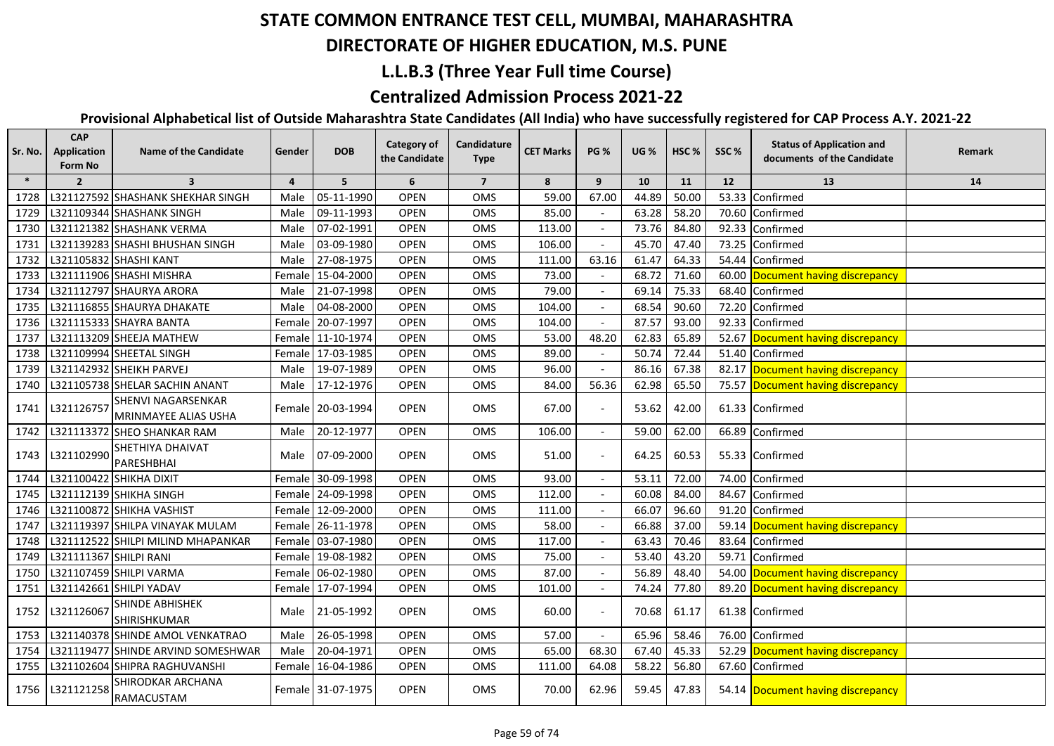#### **DIRECTORATE OF HIGHER EDUCATION, M.S. PUNE**

### **L.L.B.3 (Three Year Full time Course)**

### **Centralized Admission Process 2021-22**

| Sr. No. | <b>CAP</b><br><b>Application</b><br>Form No | <b>Name of the Candidate</b>               | Gender         | <b>DOB</b>        | Category of<br>the Candidate | Candidature<br><b>Type</b> | <b>CET Marks</b> | <b>PG %</b> | <b>UG %</b> | HSC <sub>%</sub> | SSC%  | <b>Status of Application and</b><br>documents of the Candidate | Remark |
|---------|---------------------------------------------|--------------------------------------------|----------------|-------------------|------------------------------|----------------------------|------------------|-------------|-------------|------------------|-------|----------------------------------------------------------------|--------|
| $\ast$  | $\overline{2}$                              | $\overline{\mathbf{3}}$                    | $\overline{a}$ | 5                 | 6                            | $\overline{7}$             | 8                | 9           | 10          | 11               | 12    | 13                                                             | 14     |
| 1728    |                                             | L321127592 SHASHANK SHEKHAR SINGH          | Male           | 05-11-1990        | <b>OPEN</b>                  | OMS                        | 59.00            | 67.00       | 44.89       | 50.00            |       | 53.33 Confirmed                                                |        |
| 1729    |                                             | L321109344 SHASHANK SINGH                  | Male           | 09-11-1993        | <b>OPEN</b>                  | <b>OMS</b>                 | 85.00            |             | 63.28       | 58.20            |       | 70.60 Confirmed                                                |        |
| 1730    |                                             | L321121382 SHASHANK VERMA                  | Male           | 07-02-1991        | <b>OPEN</b>                  | <b>OMS</b>                 | 113.00           |             | 73.76       | 84.80            |       | 92.33 Confirmed                                                |        |
| 1731    |                                             | L321139283 SHASHI BHUSHAN SINGH            | Male           | 03-09-1980        | <b>OPEN</b>                  | OMS                        | 106.00           |             | 45.70       | 47.40            |       | 73.25 Confirmed                                                |        |
| 1732    |                                             | L321105832 SHASHI KANT                     | Male           | 27-08-1975        | <b>OPEN</b>                  | OMS                        | 111.00           | 63.16       | 61.47       | 64.33            |       | 54.44 Confirmed                                                |        |
| 1733    |                                             | L321111906 SHASHI MISHRA                   | Female         | 15-04-2000        | <b>OPEN</b>                  | OMS                        | 73.00            |             | 68.72       | 71.60            |       | 60.00 Document having discrepancy                              |        |
| 1734    |                                             | L321112797 SHAURYA ARORA                   | Male           | 21-07-1998        | <b>OPEN</b>                  | OMS                        | 79.00            |             | 69.14       | 75.33            |       | 68.40 Confirmed                                                |        |
| 1735    |                                             | L321116855 SHAURYA DHAKATE                 | Male           | 04-08-2000        | <b>OPEN</b>                  | OMS                        | 104.00           |             | 68.54       | 90.60            | 72.20 | Confirmed                                                      |        |
| 1736    |                                             | L321115333 SHAYRA BANTA                    |                | Female 20-07-1997 | <b>OPEN</b>                  | OMS                        | 104.00           |             | 87.57       | 93.00            |       | 92.33 Confirmed                                                |        |
| 1737    |                                             | L321113209 SHEEJA MATHEW                   |                | Female 11-10-1974 | <b>OPEN</b>                  | OMS                        | 53.00            | 48.20       | 62.83       | 65.89            |       | 52.67 Document having discrepancy                              |        |
| 1738    |                                             | L321109994 SHEETAL SINGH                   |                | Female 17-03-1985 | <b>OPEN</b>                  | OMS                        | 89.00            |             | 50.74       | 72.44            | 51.40 | Confirmed                                                      |        |
| 1739    |                                             | L321142932 SHEIKH PARVEJ                   | Male           | 19-07-1989        | <b>OPEN</b>                  | OMS                        | 96.00            |             | 86.16       | 67.38            |       | 82.17 Document having discrepancy                              |        |
| 1740    |                                             | L321105738 SHELAR SACHIN ANANT             | Male           | 17-12-1976        | <b>OPEN</b>                  | OMS                        | 84.00            | 56.36       | 62.98       | 65.50            |       | 75.57 Document having discrepancy                              |        |
| 1741    | L321126757                                  | SHENVI NAGARSENKAR<br>MRINMAYEE ALIAS USHA |                | Female 20-03-1994 | <b>OPEN</b>                  | OMS                        | 67.00            |             | 53.62       | 42.00            |       | 61.33 Confirmed                                                |        |
| 1742    |                                             | L321113372 SHEO SHANKAR RAM                | Male           | 20-12-1977        | <b>OPEN</b>                  | OMS                        | 106.00           |             | 59.00       | 62.00            |       | 66.89 Confirmed                                                |        |
| 1743    | L321102990                                  | <b>SHETHIYA DHAIVAT</b><br>PARESHBHAI      | Male           | 07-09-2000        | <b>OPEN</b>                  | OMS                        | 51.00            |             | 64.25       | 60.53            |       | 55.33 Confirmed                                                |        |
| 1744    |                                             | L321100422 SHIKHA DIXIT                    |                | Female 30-09-1998 | <b>OPEN</b>                  | OMS                        | 93.00            |             | 53.11       | 72.00            |       | 74.00 Confirmed                                                |        |
| 1745    |                                             | L321112139 SHIKHA SINGH                    |                | Female 24-09-1998 | <b>OPEN</b>                  | OMS                        | 112.00           |             | 60.08       | 84.00            |       | 84.67 Confirmed                                                |        |
| 1746    |                                             | L321100872 SHIKHA VASHIST                  |                | Female 12-09-2000 | <b>OPEN</b>                  | OMS                        | 111.00           |             | 66.07       | 96.60            |       | 91.20 Confirmed                                                |        |
| 1747    |                                             | L321119397 SHILPA VINAYAK MULAM            |                | Female 26-11-1978 | <b>OPEN</b>                  | <b>OMS</b>                 | 58.00            |             | 66.88       | 37.00            |       | 59.14 Document having discrepancy                              |        |
| 1748    |                                             | L321112522 SHILPI MILIND MHAPANKAR         |                | Female 03-07-1980 | <b>OPEN</b>                  | OMS                        | 117.00           |             | 63.43       | 70.46            |       | 83.64 Confirmed                                                |        |
| 1749    | L321111367 SHILPI RANI                      |                                            |                | Female 19-08-1982 | <b>OPEN</b>                  | OMS                        | 75.00            |             | 53.40       | 43.20            |       | 59.71 Confirmed                                                |        |
| 1750    |                                             | L321107459 SHILPI VARMA                    |                | Female 06-02-1980 | <b>OPEN</b>                  | OMS                        | 87.00            |             | 56.89       | 48.40            |       | 54.00 Document having discrepancy                              |        |
| 1751    |                                             | L321142661 SHILPI YADAV                    |                | Female 17-07-1994 | <b>OPEN</b>                  | OMS                        | 101.00           |             | 74.24       | 77.80            |       | 89.20 Document having discrepancy                              |        |
| 1752    | L321126067                                  | <b>SHINDE ABHISHEK</b><br>SHIRISHKUMAR     |                | Male 21-05-1992   | <b>OPEN</b>                  | <b>OMS</b>                 | 60.00            |             | 70.68       | 61.17            |       | 61.38 Confirmed                                                |        |
| 1753    |                                             | L321140378 SHINDE AMOL VENKATRAO           | Male           | 26-05-1998        | <b>OPEN</b>                  | OMS                        | 57.00            |             | 65.96       | 58.46            |       | 76.00 Confirmed                                                |        |
| 1754    |                                             | L321119477 SHINDE ARVIND SOMESHWAR         | Male           | 20-04-1971        | <b>OPEN</b>                  | <b>OMS</b>                 | 65.00            | 68.30       | 67.40       | 45.33            |       | 52.29 Document having discrepancy                              |        |
| 1755    |                                             | L321102604 SHIPRA RAGHUVANSHI              |                | Female 16-04-1986 | <b>OPEN</b>                  | OMS                        | 111.00           | 64.08       | 58.22       | 56.80            |       | 67.60 Confirmed                                                |        |
| 1756    | L321121258                                  | SHIRODKAR ARCHANA<br>RAMACUSTAM            |                | Female 31-07-1975 | <b>OPEN</b>                  | OMS                        | 70.00            | 62.96       | 59.45       | 47.83            |       | 54.14 Document having discrepancy                              |        |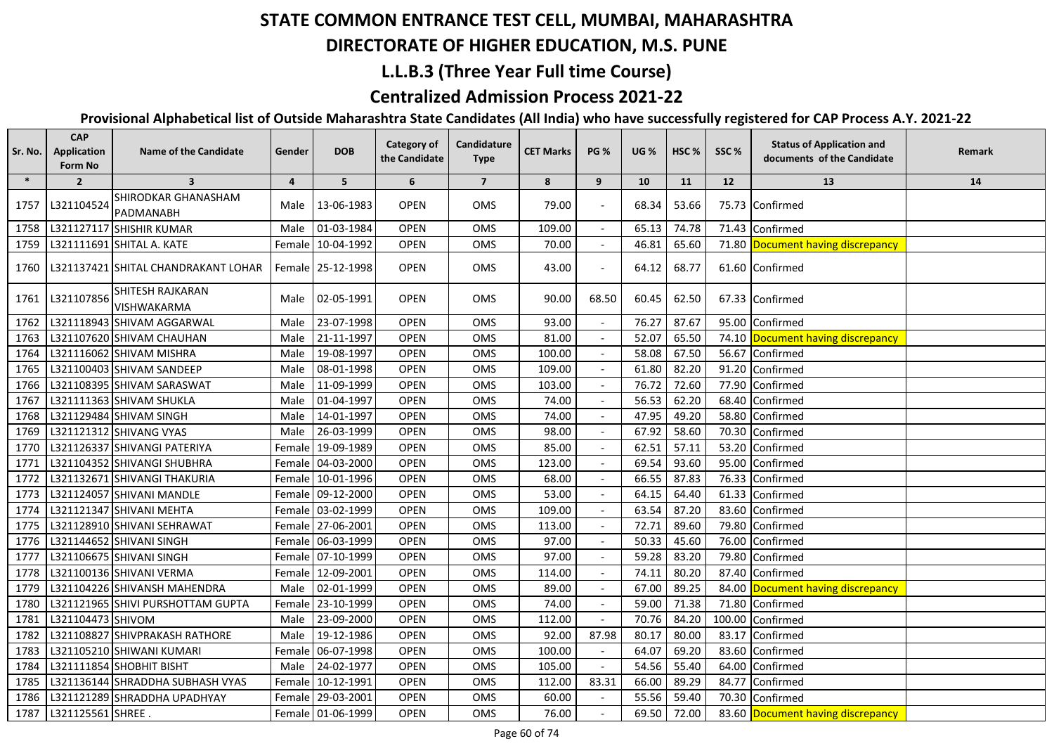## **DIRECTORATE OF HIGHER EDUCATION, M.S. PUNE**

### **L.L.B.3 (Three Year Full time Course)**

### **Centralized Admission Process 2021-22**

| Sr. No. | <b>CAP</b><br>Application<br>Form No | <b>Name of the Candidate</b>        | Gender   | <b>DOB</b>        | <b>Category of</b><br>the Candidate | Candidature<br><b>Type</b> | <b>CET Marks</b> | <b>PG %</b> | <b>UG %</b> | HSC <sub>%</sub> | SSC%   | <b>Status of Application and</b><br>documents of the Candidate | Remark |
|---------|--------------------------------------|-------------------------------------|----------|-------------------|-------------------------------------|----------------------------|------------------|-------------|-------------|------------------|--------|----------------------------------------------------------------|--------|
| $\ast$  | $\overline{2}$                       | $\overline{\mathbf{3}}$             | 4        | 5 <sup>5</sup>    | 6                                   | $\overline{7}$             | 8                | 9           | 10          | 11               | 12     | 13                                                             | 14     |
| 1757    | L321104524                           | SHIRODKAR GHANASHAM<br>PADMANABH    | Male     | 13-06-1983        | <b>OPEN</b>                         | OMS                        | 79.00            |             | 68.34       | 53.66            |        | 75.73 Confirmed                                                |        |
| 1758    |                                      | L321127117 SHISHIR KUMAR            | Male     | 01-03-1984        | <b>OPEN</b>                         | OMS                        | 109.00           |             | 65.13       | 74.78            |        | 71.43 Confirmed                                                |        |
| 1759    |                                      | L321111691 SHITAL A. KATE           | Female l | 10-04-1992        | <b>OPEN</b>                         | OMS                        | 70.00            |             | 46.81       | 65.60            | 71.80  | Document having discrepancy                                    |        |
| 1760    |                                      | L321137421 SHITAL CHANDRAKANT LOHAR |          | Female 25-12-1998 | <b>OPEN</b>                         | OMS                        | 43.00            |             | 64.12       | 68.77            |        | 61.60 Confirmed                                                |        |
| 1761    | L321107856                           | SHITESH RAJKARAN<br>VISHWAKARMA     |          | Male 02-05-1991   | <b>OPEN</b>                         | OMS                        | 90.00            | 68.50       | 60.45       | 62.50            |        | 67.33 Confirmed                                                |        |
| 1762    |                                      | L321118943 SHIVAM AGGARWAL          | Male     | 23-07-1998        | <b>OPEN</b>                         | OMS                        | 93.00            |             | 76.27       | 87.67            | 95.00  | Confirmed                                                      |        |
| 1763    |                                      | L321107620 SHIVAM CHAUHAN           | Male     | 21-11-1997        | <b>OPEN</b>                         | OMS                        | 81.00            |             | 52.07       | 65.50            |        | 74.10 Document having discrepancy                              |        |
| 1764    |                                      | L321116062 SHIVAM MISHRA            | Male     | 19-08-1997        | <b>OPEN</b>                         | OMS                        | 100.00           |             | 58.08       | 67.50            | 56.67  | Confirmed                                                      |        |
| 1765    |                                      | L321100403 SHIVAM SANDEEP           | Male     | 08-01-1998        | <b>OPEN</b>                         | OMS                        | 109.00           |             | 61.80       | 82.20            | 91.20  | Confirmed                                                      |        |
| 1766    |                                      | L321108395 SHIVAM SARASWAT          | Male     | 11-09-1999        | <b>OPEN</b>                         | OMS                        | 103.00           |             | 76.72       | 72.60            | 77.90  | Confirmed                                                      |        |
| 1767    |                                      | L321111363 SHIVAM SHUKLA            | Male     | 01-04-1997        | <b>OPEN</b>                         | <b>OMS</b>                 | 74.00            |             | 56.53       | 62.20            | 68.40  | Confirmed                                                      |        |
| 1768    |                                      | L321129484 SHIVAM SINGH             | Male I   | 14-01-1997        | <b>OPEN</b>                         | OMS                        | 74.00            |             | 47.95       | 49.20            | 58.80  | Confirmed                                                      |        |
| 1769    |                                      | L321121312 SHIVANG VYAS             | Male     | 26-03-1999        | <b>OPEN</b>                         | OMS                        | 98.00            |             | 67.92       | 58.60            | 70.30  | Confirmed                                                      |        |
| 1770    |                                      | L321126337 SHIVANGI PATERIYA        |          | Female 19-09-1989 | <b>OPEN</b>                         | OMS                        | 85.00            |             | 62.51       | 57.11            | 53.20  | Confirmed                                                      |        |
| 1771    |                                      | L321104352 SHIVANGI SHUBHRA         |          | Female 04-03-2000 | <b>OPEN</b>                         | OMS                        | 123.00           |             | 69.54       | 93.60            | 95.00  | Confirmed                                                      |        |
| 1772    |                                      | L321132671 SHIVANGI THAKURIA        |          | Female 10-01-1996 | <b>OPEN</b>                         | OMS                        | 68.00            |             | 66.55       | 87.83            | 76.33  | Confirmed                                                      |        |
| 1773    |                                      | L321124057 SHIVANI MANDLE           |          | Female 09-12-2000 | <b>OPEN</b>                         | OMS                        | 53.00            |             | 64.15       | 64.40            | 61.33  | Confirmed                                                      |        |
| 1774    |                                      | L321121347 SHIVANI MEHTA            |          | Female 03-02-1999 | <b>OPEN</b>                         | OMS                        | 109.00           |             | 63.54       | 87.20            | 83.60  | Confirmed                                                      |        |
| 1775    |                                      | L321128910 SHIVANI SEHRAWAT         |          | Female 27-06-2001 | <b>OPEN</b>                         | OMS                        | 113.00           |             | 72.71       | 89.60            | 79.80  | Confirmed                                                      |        |
| 1776    |                                      | L321144652 SHIVANI SINGH            |          | Female 06-03-1999 | <b>OPEN</b>                         | OMS                        | 97.00            |             | 50.33       | 45.60            | 76.00  | Confirmed                                                      |        |
| 1777    |                                      | L321106675 SHIVANI SINGH            |          | Female 07-10-1999 | <b>OPEN</b>                         | OMS                        | 97.00            |             | 59.28       | 83.20            | 79.80  | Confirmed                                                      |        |
| 1778    |                                      | L321100136 SHIVANI VERMA            | Female   | 12-09-2001        | <b>OPEN</b>                         | OMS                        | 114.00           |             | 74.11       | 80.20            | 87.40  | Confirmed                                                      |        |
| 1779    |                                      | L321104226 SHIVANSH MAHENDRA        | Male     | 02-01-1999        | <b>OPEN</b>                         | OMS                        | 89.00            |             | 67.00       | 89.25            | 84.00  | Document having discrepancy                                    |        |
| 1780    |                                      | L321121965 SHIVI PURSHOTTAM GUPTA   | Femalel  | 23-10-1999        | <b>OPEN</b>                         | OMS                        | 74.00            |             | 59.00       | 71.38            | 71.80  | Confirmed                                                      |        |
| 1781    | L321104473 SHIVOM                    |                                     | Male     | 23-09-2000        | <b>OPEN</b>                         | OMS                        | 112.00           |             | 70.76       | 84.20            | 100.00 | Confirmed                                                      |        |
| 1782    |                                      | L321108827 SHIVPRAKASH RATHORE      | Male     | 19-12-1986        | <b>OPEN</b>                         | OMS                        | 92.00            | 87.98       | 80.17       | 80.00            | 83.17  | Confirmed                                                      |        |
| 1783    |                                      | L321105210 SHIWANI KUMARI           | Female   | 06-07-1998        | <b>OPEN</b>                         | OMS                        | 100.00           |             | 64.07       | 69.20            | 83.60  | Confirmed                                                      |        |
| 1784    |                                      | L321111854 SHOBHIT BISHT            | Male     | 24-02-1977        | <b>OPEN</b>                         | OMS                        | 105.00           |             | 54.56       | 55.40            | 64.00  | Confirmed                                                      |        |
| 1785    |                                      | L321136144 SHRADDHA SUBHASH VYAS    | Female l | 10-12-1991        | <b>OPEN</b>                         | OMS                        | 112.00           | 83.31       | 66.00       | 89.29            | 84.77  | Confirmed                                                      |        |
| 1786    |                                      | L321121289 SHRADDHA UPADHYAY        |          | Female 29-03-2001 | <b>OPEN</b>                         | OMS                        | 60.00            |             | 55.56       | 59.40            |        | 70.30 Confirmed                                                |        |
| 1787    | L321125561 SHREE.                    |                                     |          | Female 01-06-1999 | <b>OPEN</b>                         | OMS                        | 76.00            |             | 69.50       | 72.00            |        | 83.60 Document having discrepancy                              |        |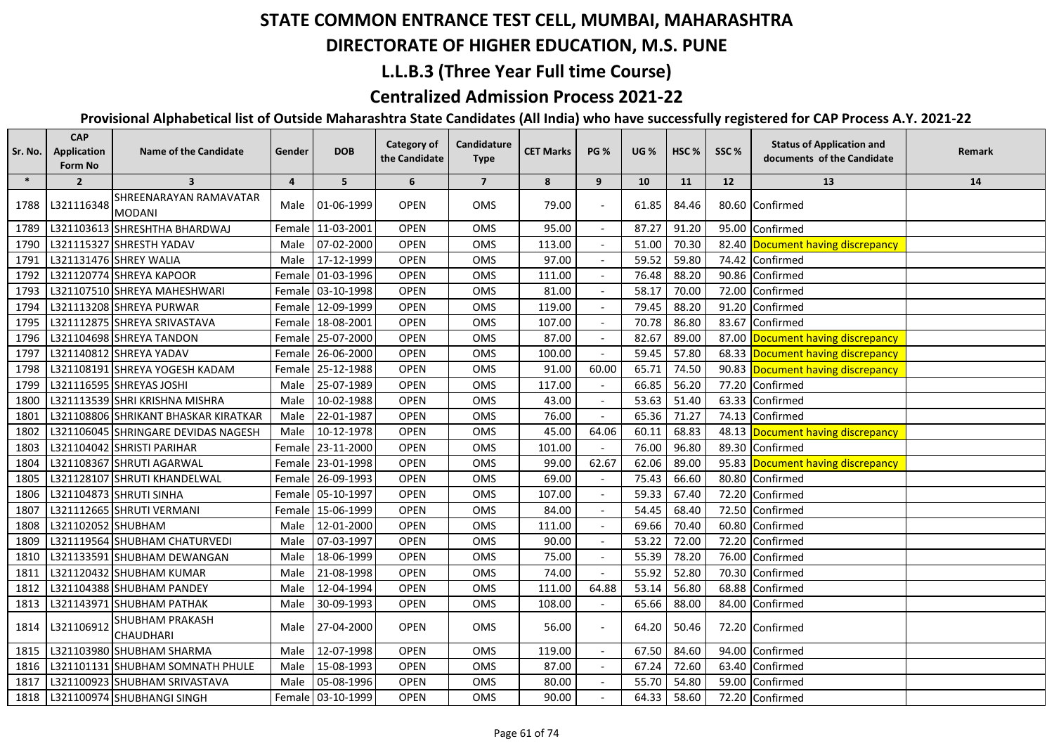## **DIRECTORATE OF HIGHER EDUCATION, M.S. PUNE**

#### **L.L.B.3 (Three Year Full time Course)**

#### **Centralized Admission Process 2021-22**

| Sr. No. | <b>CAP</b><br>Application<br><b>Form No</b> | <b>Name of the Candidate</b>               | Gender         | <b>DOB</b>        | <b>Category of</b><br>the Candidate | Candidature<br><b>Type</b> | <b>CET Marks</b> | <b>PG %</b> | <b>UG %</b> | HSC <sub>%</sub> | SSC%  | <b>Status of Application and</b><br>documents of the Candidate | Remark |
|---------|---------------------------------------------|--------------------------------------------|----------------|-------------------|-------------------------------------|----------------------------|------------------|-------------|-------------|------------------|-------|----------------------------------------------------------------|--------|
| $\ast$  | $\overline{2}$                              | $\overline{\mathbf{3}}$                    | $\overline{a}$ | 5                 | 6                                   | $\overline{7}$             | 8                | 9           | 10          | 11               | 12    | 13                                                             | 14     |
| 1788    | L321116348                                  | SHREENARAYAN RAMAVATAR<br>MODANI           | Male           | 01-06-1999        | <b>OPEN</b>                         | <b>OMS</b>                 | 79.00            |             | 61.85       | 84.46            |       | 80.60 Confirmed                                                |        |
| 1789    |                                             | L321103613 SHRESHTHA BHARDWAJ              |                | Female 11-03-2001 | <b>OPEN</b>                         | <b>OMS</b>                 | 95.00            |             | 87.27       | 91.20            | 95.00 | Confirmed                                                      |        |
| 1790    |                                             | L321115327 SHRESTH YADAV                   | Male           | 07-02-2000        | <b>OPEN</b>                         | OMS                        | 113.00           |             | 51.00       | 70.30            | 82.40 | Document having discrepancy                                    |        |
| 1791    |                                             | L321131476 SHREY WALIA                     | Male           | 17-12-1999        | <b>OPEN</b>                         | OMS                        | 97.00            |             | 59.52       | 59.80            | 74.42 | Confirmed                                                      |        |
| 1792    |                                             | L321120774 SHREYA KAPOOR                   |                | Female 01-03-1996 | <b>OPEN</b>                         | OMS                        | 111.00           |             | 76.48       | 88.20            | 90.86 | Confirmed                                                      |        |
| 1793    |                                             | L321107510 SHREYA MAHESHWARI               |                | Female 03-10-1998 | <b>OPEN</b>                         | OMS                        | 81.00            |             | 58.17       | 70.00            | 72.00 | Confirmed                                                      |        |
| 1794    |                                             | L321113208 SHREYA PURWAR                   |                | Female 12-09-1999 | <b>OPEN</b>                         | OMS                        | 119.00           |             | 79.45       | 88.20            | 91.20 | Confirmed                                                      |        |
| 1795    |                                             | L321112875 SHREYA SRIVASTAVA               |                | Female 18-08-2001 | OPEN                                | OMS                        | 107.00           |             | 70.78       | 86.80            | 83.67 | Confirmed                                                      |        |
| 1796    |                                             | L321104698 SHREYA TANDON                   |                | Female 25-07-2000 | OPEN                                | OMS                        | 87.00            |             | 82.67       | 89.00            |       | 87.00 Document having discrepancy                              |        |
| 1797    |                                             | L321140812 SHREYA YADAV                    |                | Female 26-06-2000 | <b>OPEN</b>                         | OMS                        | 100.00           |             | 59.45       | 57.80            | 68.33 | Document having discrepancy                                    |        |
| 1798    |                                             | L321108191 SHREYA YOGESH KADAM             | Female         | 25-12-1988        | <b>OPEN</b>                         | OMS                        | 91.00            | 60.00       | 65.71       | 74.50            |       | 90.83 Document having discrepancy                              |        |
| 1799    |                                             | L321116595 SHREYAS JOSHI                   | Male           | 25-07-1989        | OPEN                                | OMS                        | 117.00           |             | 66.85       | 56.20            | 77.20 | Confirmed                                                      |        |
| 1800    |                                             | L321113539 SHRI KRISHNA MISHRA             | Male           | 10-02-1988        | OPEN                                | OMS                        | 43.00            |             | 53.63       | 51.40            | 63.33 | Confirmed                                                      |        |
| 1801    |                                             | L321108806 SHRIKANT BHASKAR KIRATKAR       | Male           | 22-01-1987        | <b>OPEN</b>                         | OMS                        | 76.00            |             | 65.36       | 71.27            | 74.13 | Confirmed                                                      |        |
| 1802    |                                             | L321106045 SHRINGARE DEVIDAS NAGESH        | Male           | 10-12-1978        | <b>OPEN</b>                         | OMS                        | 45.00            | 64.06       | 60.11       | 68.83            |       | 48.13 Document having discrepancy                              |        |
| 1803    |                                             | L321104042 SHRISTI PARIHAR                 |                | Female 23-11-2000 | <b>OPEN</b>                         | <b>OMS</b>                 | 101.00           |             | 76.00       | 96.80            | 89.30 | Confirmed                                                      |        |
| 1804    |                                             | L321108367 SHRUTI AGARWAL                  |                | Female 23-01-1998 | <b>OPEN</b>                         | OMS                        | 99.00            | 62.67       | 62.06       | 89.00            | 95.83 | Document having discrepancy                                    |        |
| 1805    |                                             | L321128107 SHRUTI KHANDELWAL               |                | Female 26-09-1993 | <b>OPEN</b>                         | OMS                        | 69.00            |             | 75.43       | 66.60            | 80.80 | Confirmed                                                      |        |
| 1806    |                                             | L321104873 SHRUTI SINHA                    |                | Female 05-10-1997 | <b>OPEN</b>                         | OMS                        | 107.00           |             | 59.33       | 67.40            | 72.20 | Confirmed                                                      |        |
| 1807    |                                             | L321112665 SHRUTI VERMANI                  |                | Female 15-06-1999 | <b>OPEN</b>                         | OMS                        | 84.00            |             | 54.45       | 68.40            | 72.50 | Confirmed                                                      |        |
| 1808    | L321102052 SHUBHAM                          |                                            | Male           | 12-01-2000        | <b>OPEN</b>                         | OMS                        | 111.00           |             | 69.66       | 70.40            | 60.80 | Confirmed                                                      |        |
| 1809    |                                             | L321119564 SHUBHAM CHATURVEDI              | Male           | 07-03-1997        | <b>OPEN</b>                         | OMS                        | 90.00            |             | 53.22       | 72.00            | 72.20 | Confirmed                                                      |        |
| 1810    |                                             | L321133591 SHUBHAM DEWANGAN                | Male           | 18-06-1999        | <b>OPEN</b>                         | <b>OMS</b>                 | 75.00            |             | 55.39       | 78.20            | 76.00 | Confirmed                                                      |        |
| 1811    |                                             | L321120432 SHUBHAM KUMAR                   | Male           | 21-08-1998        | <b>OPEN</b>                         | <b>OMS</b>                 | 74.00            |             | 55.92       | 52.80            | 70.30 | Confirmed                                                      |        |
| 1812    |                                             | L321104388 SHUBHAM PANDEY                  | Male           | 12-04-1994        | <b>OPEN</b>                         | OMS                        | 111.00           | 64.88       | 53.14       | 56.80            | 68.88 | Confirmed                                                      |        |
| 1813    |                                             | L321143971 SHUBHAM PATHAK                  | Male           | 30-09-1993        | <b>OPEN</b>                         | OMS                        | 108.00           |             | 65.66       | 88.00            | 84.00 | Confirmed                                                      |        |
| 1814    | L321106912                                  | <b>SHUBHAM PRAKASH</b><br><b>CHAUDHARI</b> | Male           | 27-04-2000        | <b>OPEN</b>                         | OMS                        | 56.00            |             | 64.20       | 50.46            |       | 72.20 Confirmed                                                |        |
| 1815    |                                             | L321103980 SHUBHAM SHARMA                  | Male           | 12-07-1998        | <b>OPEN</b>                         | OMS                        | 119.00           |             | 67.50       | 84.60            | 94.00 | Confirmed                                                      |        |
| 1816    |                                             | L321101131 SHUBHAM SOMNATH PHULE           | Male           | 15-08-1993        | <b>OPEN</b>                         | OMS                        | 87.00            |             | 67.24       | 72.60            | 63.40 | Confirmed                                                      |        |
| 1817    |                                             | L321100923 SHUBHAM SRIVASTAVA              | Male           | 05-08-1996        | <b>OPEN</b>                         | <b>OMS</b>                 | 80.00            |             | 55.70       | 54.80            |       | 59.00 Confirmed                                                |        |
| 1818    |                                             | L321100974 SHUBHANGI SINGH                 |                | Female 03-10-1999 | <b>OPEN</b>                         | OMS                        | 90.00            |             | 64.33       | 58.60            |       | 72.20 Confirmed                                                |        |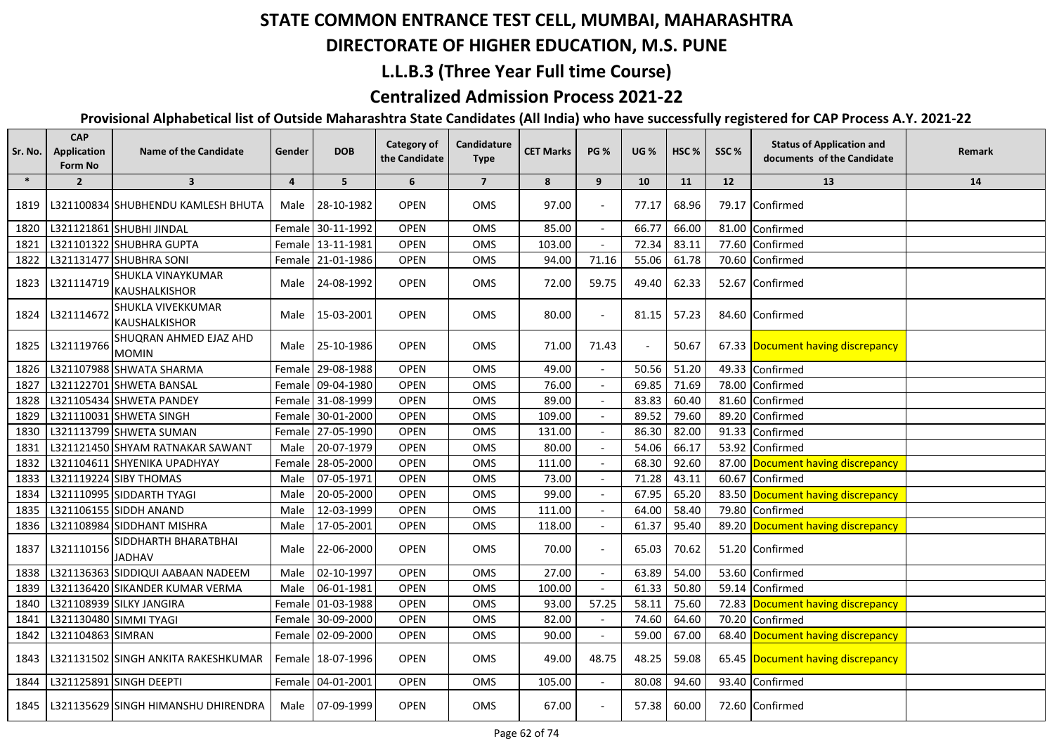## **DIRECTORATE OF HIGHER EDUCATION, M.S. PUNE**

### **L.L.B.3 (Three Year Full time Course)**

### **Centralized Admission Process 2021-22**

| Sr. No. | <b>CAP</b><br>Application<br>Form No | <b>Name of the Candidate</b>              | Gender | <b>DOB</b>        | <b>Category of</b><br>the Candidate | Candidature<br><b>Type</b> | <b>CET Marks</b> | <b>PG %</b> | <b>UG %</b>    | HSC <sub>%</sub> | SSC%  | <b>Status of Application and</b><br>documents of the Candidate | Remark |
|---------|--------------------------------------|-------------------------------------------|--------|-------------------|-------------------------------------|----------------------------|------------------|-------------|----------------|------------------|-------|----------------------------------------------------------------|--------|
| $\ast$  | $\overline{2}$                       | $\overline{\mathbf{3}}$                   | 4      | 5                 | 6                                   | $\overline{7}$             | 8                | 9           | 10             | 11               | 12    | 13                                                             | 14     |
| 1819    |                                      | L321100834 SHUBHENDU KAMLESH BHUTA        | Male   | 28-10-1982        | <b>OPEN</b>                         | <b>OMS</b>                 | 97.00            |             | 77.17          | 68.96            |       | 79.17 Confirmed                                                |        |
| 1820    |                                      | L321121861 SHUBHI JINDAL                  |        | Female 30-11-1992 | <b>OPEN</b>                         | OMS                        | 85.00            |             | 66.77          | 66.00            | 81.00 | Confirmed                                                      |        |
| 1821    |                                      | L321101322 SHUBHRA GUPTA                  |        | Female 13-11-1981 | <b>OPEN</b>                         | <b>OMS</b>                 | 103.00           |             | 72.34          | 83.11            | 77.60 | Confirmed                                                      |        |
| 1822    |                                      | L321131477 SHUBHRA SONI                   |        | Female 21-01-1986 | <b>OPEN</b>                         | OMS                        | 94.00            | 71.16       | 55.06          | 61.78            | 70.60 | Confirmed                                                      |        |
| 1823    | L321114719                           | SHUKLA VINAYKUMAR<br><b>KAUSHALKISHOR</b> |        | Male 24-08-1992   | <b>OPEN</b>                         | OMS                        | 72.00            | 59.75       | 49.40          | 62.33            |       | 52.67 Confirmed                                                |        |
| 1824    | L321114672                           | SHUKLA VIVEKKUMAR<br>KAUSHALKISHOR        |        | Male 15-03-2001   | <b>OPEN</b>                         | OMS                        | 80.00            |             | 81.15          | 57.23            |       | 84.60 Confirmed                                                |        |
| 1825    | L321119766                           | SHUQRAN AHMED EJAZ AHD<br><b>MOMIN</b>    |        | Male 25-10-1986   | <b>OPEN</b>                         | OMS                        | 71.00            | 71.43       | $\blacksquare$ | 50.67            |       | 67.33 Document having discrepancy                              |        |
| 1826    |                                      | L321107988 SHWATA SHARMA                  |        | Female 29-08-1988 | <b>OPEN</b>                         | OMS                        | 49.00            |             | 50.56          | 51.20            | 49.33 | Confirmed                                                      |        |
| 1827    |                                      | L321122701 SHWETA BANSAL                  |        | Female 09-04-1980 | <b>OPEN</b>                         | OMS                        | 76.00            |             | 69.85          | 71.69            | 78.00 | Confirmed                                                      |        |
| 1828    |                                      | L321105434 SHWETA PANDEY                  |        | Female 31-08-1999 | <b>OPEN</b>                         | OMS                        | 89.00            |             | 83.83          | 60.40            | 81.60 | Confirmed                                                      |        |
| 1829    |                                      | L321110031 SHWETA SINGH                   |        | Female 30-01-2000 | <b>OPEN</b>                         | <b>OMS</b>                 | 109.00           |             | 89.52          | 79.60            | 89.20 | Confirmed                                                      |        |
| 1830    |                                      | L321113799 SHWETA SUMAN                   |        | Female 27-05-1990 | <b>OPEN</b>                         | OMS                        | 131.00           |             | 86.30          | 82.00            | 91.33 | Confirmed                                                      |        |
| 1831    |                                      | L321121450 SHYAM RATNAKAR SAWANT          | Male   | 20-07-1979        | OPEN                                | <b>OMS</b>                 | 80.00            |             | 54.06          | 66.17            | 53.92 | Confirmed                                                      |        |
| 1832    |                                      | L321104611 SHYENIKA UPADHYAY              |        | Female 28-05-2000 | <b>OPEN</b>                         | OMS                        | 111.00           |             | 68.30          | 92.60            |       | 87.00 Document having discrepancy                              |        |
| 1833    |                                      | L321119224 SIBY THOMAS                    | Male   | 07-05-1971        | <b>OPEN</b>                         | OMS                        | 73.00            |             | 71.28          | 43.11            | 60.67 | Confirmed                                                      |        |
| 1834    |                                      | L321110995 SIDDARTH TYAGI                 | Male   | 20-05-2000        | <b>OPEN</b>                         | OMS                        | 99.00            |             | 67.95          | 65.20            |       | 83.50 Document having discrepancy                              |        |
| 1835    |                                      | L321106155 SIDDH ANAND                    | Male   | 12-03-1999        | <b>OPEN</b>                         | OMS                        | 111.00           |             | 64.00          | 58.40            | 79.80 | Confirmed                                                      |        |
| 1836    |                                      | L321108984 SIDDHANT MISHRA                | Male   | 17-05-2001        | <b>OPEN</b>                         | OMS                        | 118.00           |             | 61.37          | 95.40            |       | 89.20 Document having discrepancy                              |        |
| 1837    | L321110156                           | SIDDHARTH BHARATBHAI<br><b>JADHAV</b>     | Male   | 22-06-2000        | <b>OPEN</b>                         | OMS                        | 70.00            |             | 65.03          | 70.62            |       | 51.20 Confirmed                                                |        |
| 1838    |                                      | L321136363 SIDDIQUI AABAAN NADEEM         | Male   | 02-10-1997        | <b>OPEN</b>                         | OMS                        | 27.00            |             | 63.89          | 54.00            | 53.60 | Confirmed                                                      |        |
| 1839    |                                      | L321136420 SIKANDER KUMAR VERMA           | Male   | 06-01-1981        | <b>OPEN</b>                         | OMS                        | 100.00           |             | 61.33          | 50.80            | 59.14 | Confirmed                                                      |        |
| 1840    |                                      | L321108939 SILKY JANGIRA                  |        | Female 01-03-1988 | <b>OPEN</b>                         | OMS                        | 93.00            | 57.25       | 58.11          | 75.60            | 72.83 | Document having discrepancy                                    |        |
| 1841    |                                      | L321130480 SIMMI TYAGI                    |        | Female 30-09-2000 | <b>OPEN</b>                         | OMS                        | 82.00            |             | 74.60          | 64.60            | 70.20 | Confirmed                                                      |        |
| 1842    | L321104863 SIMRAN                    |                                           |        | Female 02-09-2000 | <b>OPEN</b>                         | OMS                        | 90.00            |             | 59.00          | 67.00            |       | 68.40 Document having discrepancy                              |        |
| 1843    |                                      | L321131502 SINGH ANKITA RAKESHKUMAR       |        | Female 18-07-1996 | <b>OPEN</b>                         | OMS                        | 49.00            | 48.75       | 48.25          | 59.08            |       | 65.45 Document having discrepancy                              |        |
| 1844    |                                      | L321125891 SINGH DEEPTI                   |        | Female 04-01-2001 | <b>OPEN</b>                         | OMS                        | 105.00           |             | 80.08          | 94.60            |       | 93.40 Confirmed                                                |        |
| 1845    |                                      | L321135629 SINGH HIMANSHU DHIRENDRA       |        | Male 07-09-1999   | <b>OPEN</b>                         | OMS                        | 67.00            |             | 57.38          | 60.00            |       | 72.60 Confirmed                                                |        |
|         |                                      |                                           |        |                   |                                     |                            |                  |             |                |                  |       |                                                                |        |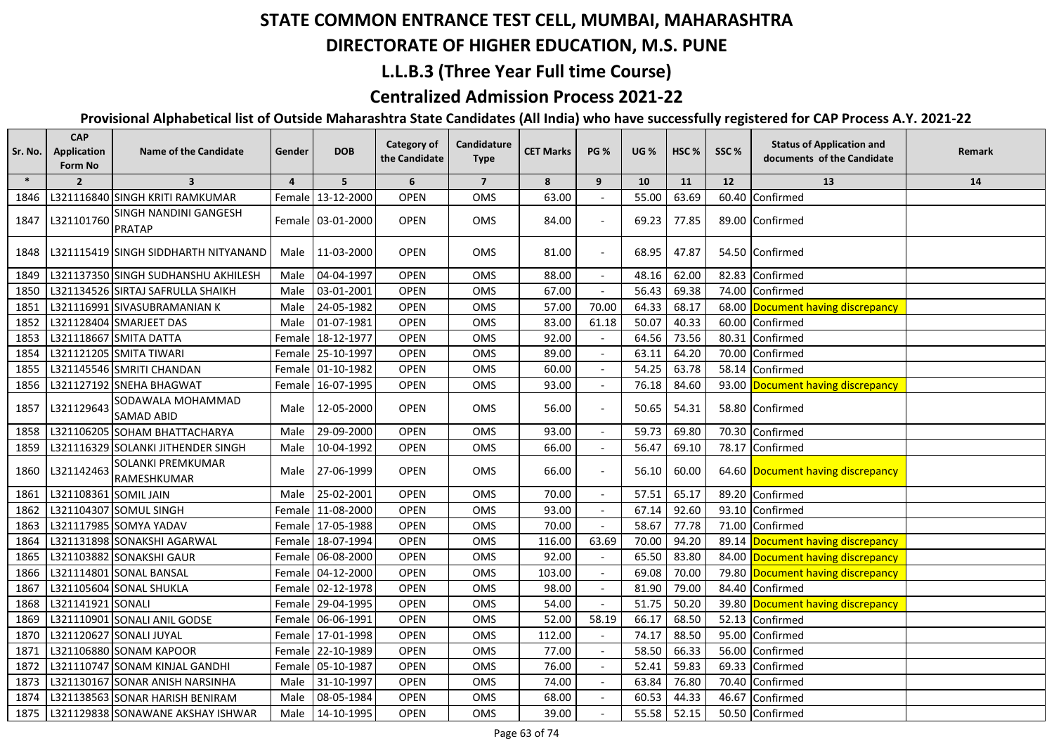## **DIRECTORATE OF HIGHER EDUCATION, M.S. PUNE**

### **L.L.B.3 (Three Year Full time Course)**

### **Centralized Admission Process 2021-22**

| $\ast$<br>$\overline{\mathbf{3}}$<br>5<br>6<br>$\overline{7}$<br>8<br>9<br>10<br>11<br>12<br>13<br>$\overline{2}$<br>$\overline{4}$<br>L321116840 SINGH KRITI RAMKUMAR<br>63.69<br>13-12-2000<br><b>OPEN</b><br>OMS<br>63.00<br>55.00<br>60.40<br>Confirmed<br>1846<br>Femalel<br>SINGH NANDINI GANGESH<br><b>OPEN</b><br>84.00<br>L321101760<br>Female 03-01-2000<br>OMS<br>69.23<br>77.85<br>89.00 Confirmed<br>1847<br><b>PRATAP</b><br><b>OPEN</b><br>11-03-2000<br>OMS<br>81.00<br>68.95<br>47.87<br>54.50 Confirmed<br>1848<br>L321115419 SINGH SIDDHARTH NITYANAND<br>Male  <br>04-04-1997<br><b>OPEN</b><br>OMS<br>62.00<br>1849<br>88.00<br>48.16<br>82.83<br>Confirmed<br>L321137350 SINGH SUDHANSHU AKHILESH<br>Male<br><b>OPEN</b><br>03-01-2001<br>OMS<br>67.00<br>56.43<br>69.38<br>74.00<br>1850<br>L321134526 SIRTAJ SAFRULLA SHAIKH<br>Male<br>Confirmed<br>24-05-1982<br><b>OPEN</b><br>57.00<br>70.00<br>64.33<br>L321116991 SIVASUBRAMANIAN K<br>OMS<br>68.17<br>68.00<br>1851<br>Male<br>Document having discrepancy<br><b>OPEN</b><br>83.00<br>50.07<br>1852<br>L321128404 SMARJEET DAS<br>01-07-1981<br>OMS<br>61.18<br>40.33<br>60.00<br>Confirmed<br>Male<br><b>OPEN</b><br>OMS<br>92.00<br>64.56<br>73.56<br>80.31<br>1853<br>L321118667 SMITA DATTA<br>Female 18-12-1977<br>Confirmed<br>89.00<br>1854<br>L321121205 SMITA TIWARI<br>Female 25-10-1997<br><b>OPEN</b><br>OMS<br>63.11<br>64.20<br>70.00<br>Confirmed<br>L321145546 SMRITI CHANDAN<br>Female 01-10-1982<br><b>OPEN</b><br>OMS<br>60.00<br>54.25<br>63.78<br>58.14<br>Confirmed<br>1855<br>1856<br>L321127192 SNEHA BHAGWAT<br>Female 16-07-1995<br><b>OPEN</b><br>OMS<br>93.00<br>76.18<br>84.60<br>93.00 Document having discrepancy<br>SODAWALA MOHAMMAD<br>L321129643<br>12-05-2000<br><b>OPEN</b><br>OMS<br>56.00<br>50.65<br>54.31<br>58.80 Confirmed<br>1857<br>Male<br><b>SAMAD ABID</b><br>L321106205 SOHAM BHATTACHARYA<br>59.73<br>29-09-2000<br>93.00<br>69.80<br>70.30<br>Confirmed<br>Male<br><b>OPEN</b><br>OMS<br>1858<br><b>OPEN</b><br>66.00<br>10-04-1992<br>OMS<br>56.47<br>69.10<br>1859<br>L321116329 SOLANKI JITHENDER SINGH<br>Male<br>78.17<br>Confirmed<br>$\blacksquare$<br>SOLANKI PREMKUMAR<br>OPEN<br>L321142463<br>27-06-1999<br>OMS<br>66.00<br>56.10<br>60.00<br>1860<br>Male<br>64.60 Document having discrepancy | <b>Status of Application and</b><br><b>Remark</b><br>documents of the Candidate |
|----------------------------------------------------------------------------------------------------------------------------------------------------------------------------------------------------------------------------------------------------------------------------------------------------------------------------------------------------------------------------------------------------------------------------------------------------------------------------------------------------------------------------------------------------------------------------------------------------------------------------------------------------------------------------------------------------------------------------------------------------------------------------------------------------------------------------------------------------------------------------------------------------------------------------------------------------------------------------------------------------------------------------------------------------------------------------------------------------------------------------------------------------------------------------------------------------------------------------------------------------------------------------------------------------------------------------------------------------------------------------------------------------------------------------------------------------------------------------------------------------------------------------------------------------------------------------------------------------------------------------------------------------------------------------------------------------------------------------------------------------------------------------------------------------------------------------------------------------------------------------------------------------------------------------------------------------------------------------------------------------------------------------------------------------------------------------------------------------------------------------------------------------------------------------------------------------------------------------------------------------------------------------------------------------------------------------------------------|---------------------------------------------------------------------------------|
|                                                                                                                                                                                                                                                                                                                                                                                                                                                                                                                                                                                                                                                                                                                                                                                                                                                                                                                                                                                                                                                                                                                                                                                                                                                                                                                                                                                                                                                                                                                                                                                                                                                                                                                                                                                                                                                                                                                                                                                                                                                                                                                                                                                                                                                                                                                                              | 14                                                                              |
|                                                                                                                                                                                                                                                                                                                                                                                                                                                                                                                                                                                                                                                                                                                                                                                                                                                                                                                                                                                                                                                                                                                                                                                                                                                                                                                                                                                                                                                                                                                                                                                                                                                                                                                                                                                                                                                                                                                                                                                                                                                                                                                                                                                                                                                                                                                                              |                                                                                 |
|                                                                                                                                                                                                                                                                                                                                                                                                                                                                                                                                                                                                                                                                                                                                                                                                                                                                                                                                                                                                                                                                                                                                                                                                                                                                                                                                                                                                                                                                                                                                                                                                                                                                                                                                                                                                                                                                                                                                                                                                                                                                                                                                                                                                                                                                                                                                              |                                                                                 |
|                                                                                                                                                                                                                                                                                                                                                                                                                                                                                                                                                                                                                                                                                                                                                                                                                                                                                                                                                                                                                                                                                                                                                                                                                                                                                                                                                                                                                                                                                                                                                                                                                                                                                                                                                                                                                                                                                                                                                                                                                                                                                                                                                                                                                                                                                                                                              |                                                                                 |
|                                                                                                                                                                                                                                                                                                                                                                                                                                                                                                                                                                                                                                                                                                                                                                                                                                                                                                                                                                                                                                                                                                                                                                                                                                                                                                                                                                                                                                                                                                                                                                                                                                                                                                                                                                                                                                                                                                                                                                                                                                                                                                                                                                                                                                                                                                                                              |                                                                                 |
|                                                                                                                                                                                                                                                                                                                                                                                                                                                                                                                                                                                                                                                                                                                                                                                                                                                                                                                                                                                                                                                                                                                                                                                                                                                                                                                                                                                                                                                                                                                                                                                                                                                                                                                                                                                                                                                                                                                                                                                                                                                                                                                                                                                                                                                                                                                                              |                                                                                 |
|                                                                                                                                                                                                                                                                                                                                                                                                                                                                                                                                                                                                                                                                                                                                                                                                                                                                                                                                                                                                                                                                                                                                                                                                                                                                                                                                                                                                                                                                                                                                                                                                                                                                                                                                                                                                                                                                                                                                                                                                                                                                                                                                                                                                                                                                                                                                              |                                                                                 |
|                                                                                                                                                                                                                                                                                                                                                                                                                                                                                                                                                                                                                                                                                                                                                                                                                                                                                                                                                                                                                                                                                                                                                                                                                                                                                                                                                                                                                                                                                                                                                                                                                                                                                                                                                                                                                                                                                                                                                                                                                                                                                                                                                                                                                                                                                                                                              |                                                                                 |
|                                                                                                                                                                                                                                                                                                                                                                                                                                                                                                                                                                                                                                                                                                                                                                                                                                                                                                                                                                                                                                                                                                                                                                                                                                                                                                                                                                                                                                                                                                                                                                                                                                                                                                                                                                                                                                                                                                                                                                                                                                                                                                                                                                                                                                                                                                                                              |                                                                                 |
|                                                                                                                                                                                                                                                                                                                                                                                                                                                                                                                                                                                                                                                                                                                                                                                                                                                                                                                                                                                                                                                                                                                                                                                                                                                                                                                                                                                                                                                                                                                                                                                                                                                                                                                                                                                                                                                                                                                                                                                                                                                                                                                                                                                                                                                                                                                                              |                                                                                 |
|                                                                                                                                                                                                                                                                                                                                                                                                                                                                                                                                                                                                                                                                                                                                                                                                                                                                                                                                                                                                                                                                                                                                                                                                                                                                                                                                                                                                                                                                                                                                                                                                                                                                                                                                                                                                                                                                                                                                                                                                                                                                                                                                                                                                                                                                                                                                              |                                                                                 |
|                                                                                                                                                                                                                                                                                                                                                                                                                                                                                                                                                                                                                                                                                                                                                                                                                                                                                                                                                                                                                                                                                                                                                                                                                                                                                                                                                                                                                                                                                                                                                                                                                                                                                                                                                                                                                                                                                                                                                                                                                                                                                                                                                                                                                                                                                                                                              |                                                                                 |
|                                                                                                                                                                                                                                                                                                                                                                                                                                                                                                                                                                                                                                                                                                                                                                                                                                                                                                                                                                                                                                                                                                                                                                                                                                                                                                                                                                                                                                                                                                                                                                                                                                                                                                                                                                                                                                                                                                                                                                                                                                                                                                                                                                                                                                                                                                                                              |                                                                                 |
|                                                                                                                                                                                                                                                                                                                                                                                                                                                                                                                                                                                                                                                                                                                                                                                                                                                                                                                                                                                                                                                                                                                                                                                                                                                                                                                                                                                                                                                                                                                                                                                                                                                                                                                                                                                                                                                                                                                                                                                                                                                                                                                                                                                                                                                                                                                                              |                                                                                 |
|                                                                                                                                                                                                                                                                                                                                                                                                                                                                                                                                                                                                                                                                                                                                                                                                                                                                                                                                                                                                                                                                                                                                                                                                                                                                                                                                                                                                                                                                                                                                                                                                                                                                                                                                                                                                                                                                                                                                                                                                                                                                                                                                                                                                                                                                                                                                              |                                                                                 |
| RAMESHKUMAR                                                                                                                                                                                                                                                                                                                                                                                                                                                                                                                                                                                                                                                                                                                                                                                                                                                                                                                                                                                                                                                                                                                                                                                                                                                                                                                                                                                                                                                                                                                                                                                                                                                                                                                                                                                                                                                                                                                                                                                                                                                                                                                                                                                                                                                                                                                                  |                                                                                 |
| L321108361 SOMIL JAIN<br>25-02-2001<br><b>OPEN</b><br>70.00<br>57.51<br>65.17<br>89.20<br>1861<br>OMS<br>Male<br>Confirmed                                                                                                                                                                                                                                                                                                                                                                                                                                                                                                                                                                                                                                                                                                                                                                                                                                                                                                                                                                                                                                                                                                                                                                                                                                                                                                                                                                                                                                                                                                                                                                                                                                                                                                                                                                                                                                                                                                                                                                                                                                                                                                                                                                                                                   |                                                                                 |
| L321104307 SOMUL SINGH<br>92.60<br>93.10<br>1862<br>Female 11-08-2000<br><b>OPEN</b><br>OMS<br>93.00<br>67.14<br>Confirmed                                                                                                                                                                                                                                                                                                                                                                                                                                                                                                                                                                                                                                                                                                                                                                                                                                                                                                                                                                                                                                                                                                                                                                                                                                                                                                                                                                                                                                                                                                                                                                                                                                                                                                                                                                                                                                                                                                                                                                                                                                                                                                                                                                                                                   |                                                                                 |
| 77.78<br>L321117985 SOMYA YADAV<br>Female 17-05-1988<br><b>OPEN</b><br>OMS<br>70.00<br>58.67<br>71.00<br>Confirmed<br>1863                                                                                                                                                                                                                                                                                                                                                                                                                                                                                                                                                                                                                                                                                                                                                                                                                                                                                                                                                                                                                                                                                                                                                                                                                                                                                                                                                                                                                                                                                                                                                                                                                                                                                                                                                                                                                                                                                                                                                                                                                                                                                                                                                                                                                   |                                                                                 |
| 116.00<br>L321131898 SONAKSHI AGARWAL<br>Female 18-07-1994<br><b>OPEN</b><br>OMS<br>63.69<br>70.00<br>94.20<br>89.14 Document having discrepancy<br>1864                                                                                                                                                                                                                                                                                                                                                                                                                                                                                                                                                                                                                                                                                                                                                                                                                                                                                                                                                                                                                                                                                                                                                                                                                                                                                                                                                                                                                                                                                                                                                                                                                                                                                                                                                                                                                                                                                                                                                                                                                                                                                                                                                                                     |                                                                                 |
| L321103882 SONAKSHI GAUR<br><b>OPEN</b><br>92.00<br>65.50<br>83.80<br>84.00 Document having discrepancy<br>1865<br>Female 06-08-2000<br>OMS                                                                                                                                                                                                                                                                                                                                                                                                                                                                                                                                                                                                                                                                                                                                                                                                                                                                                                                                                                                                                                                                                                                                                                                                                                                                                                                                                                                                                                                                                                                                                                                                                                                                                                                                                                                                                                                                                                                                                                                                                                                                                                                                                                                                  |                                                                                 |
| 70.00<br>79.80 Document having discrepancy<br>L321114801 SONAL BANSAL<br>Female 04-12-2000<br><b>OPEN</b><br>OMS<br>103.00<br>69.08<br>1866                                                                                                                                                                                                                                                                                                                                                                                                                                                                                                                                                                                                                                                                                                                                                                                                                                                                                                                                                                                                                                                                                                                                                                                                                                                                                                                                                                                                                                                                                                                                                                                                                                                                                                                                                                                                                                                                                                                                                                                                                                                                                                                                                                                                  |                                                                                 |
| L321105604 SONAL SHUKLA<br><b>OPEN</b><br>OMS<br>98.00<br>81.90<br>79.00<br>84.40<br>1867<br>Female 02-12-1978<br>Confirmed                                                                                                                                                                                                                                                                                                                                                                                                                                                                                                                                                                                                                                                                                                                                                                                                                                                                                                                                                                                                                                                                                                                                                                                                                                                                                                                                                                                                                                                                                                                                                                                                                                                                                                                                                                                                                                                                                                                                                                                                                                                                                                                                                                                                                  |                                                                                 |
| 54.00<br>1868<br>L321141921 SONALI<br>Female 29-04-1995<br><b>OPEN</b><br>OMS<br>51.75<br>50.20<br>39.80<br>Document having discrepancy                                                                                                                                                                                                                                                                                                                                                                                                                                                                                                                                                                                                                                                                                                                                                                                                                                                                                                                                                                                                                                                                                                                                                                                                                                                                                                                                                                                                                                                                                                                                                                                                                                                                                                                                                                                                                                                                                                                                                                                                                                                                                                                                                                                                      |                                                                                 |
| L321110901 SONALI ANIL GODSE<br><b>OPEN</b><br>52.00<br>58.19<br>66.17<br>68.50<br>1869<br>Female 06-06-1991<br>OMS<br>52.13<br>Confirmed                                                                                                                                                                                                                                                                                                                                                                                                                                                                                                                                                                                                                                                                                                                                                                                                                                                                                                                                                                                                                                                                                                                                                                                                                                                                                                                                                                                                                                                                                                                                                                                                                                                                                                                                                                                                                                                                                                                                                                                                                                                                                                                                                                                                    |                                                                                 |
| L321120627 SONALI JUYAL<br><b>OPEN</b><br>OMS<br>112.00<br>74.17<br>88.50<br>95.00<br>Confirmed<br>1870<br>Female 17-01-1998                                                                                                                                                                                                                                                                                                                                                                                                                                                                                                                                                                                                                                                                                                                                                                                                                                                                                                                                                                                                                                                                                                                                                                                                                                                                                                                                                                                                                                                                                                                                                                                                                                                                                                                                                                                                                                                                                                                                                                                                                                                                                                                                                                                                                 |                                                                                 |
| 77.00<br>58.50<br>66.33<br>56.00<br>1871<br>L321106880 SONAM KAPOOR<br>Female 22-10-1989<br><b>OPEN</b><br>OMS<br>Confirmed                                                                                                                                                                                                                                                                                                                                                                                                                                                                                                                                                                                                                                                                                                                                                                                                                                                                                                                                                                                                                                                                                                                                                                                                                                                                                                                                                                                                                                                                                                                                                                                                                                                                                                                                                                                                                                                                                                                                                                                                                                                                                                                                                                                                                  |                                                                                 |
| 76.00<br>59.83<br>1872<br>L321110747 SONAM KINJAL GANDHI<br>Female 05-10-1987<br><b>OPEN</b><br>OMS<br>52.41<br>69.33<br>Confirmed                                                                                                                                                                                                                                                                                                                                                                                                                                                                                                                                                                                                                                                                                                                                                                                                                                                                                                                                                                                                                                                                                                                                                                                                                                                                                                                                                                                                                                                                                                                                                                                                                                                                                                                                                                                                                                                                                                                                                                                                                                                                                                                                                                                                           |                                                                                 |
| 74.00<br>63.84<br>76.80<br>70.40<br>1873<br>L321130167 SONAR ANISH NARSINHA<br>Male<br>31-10-1997<br><b>OPEN</b><br>OMS<br>Confirmed                                                                                                                                                                                                                                                                                                                                                                                                                                                                                                                                                                                                                                                                                                                                                                                                                                                                                                                                                                                                                                                                                                                                                                                                                                                                                                                                                                                                                                                                                                                                                                                                                                                                                                                                                                                                                                                                                                                                                                                                                                                                                                                                                                                                         |                                                                                 |
| 1874<br>L321138563 SONAR HARISH BENIRAM<br>08-05-1984<br><b>OPEN</b><br>OMS<br>68.00<br>60.53<br>44.33<br>46.67<br>Confirmed<br>Male                                                                                                                                                                                                                                                                                                                                                                                                                                                                                                                                                                                                                                                                                                                                                                                                                                                                                                                                                                                                                                                                                                                                                                                                                                                                                                                                                                                                                                                                                                                                                                                                                                                                                                                                                                                                                                                                                                                                                                                                                                                                                                                                                                                                         |                                                                                 |
| 52.15<br>1875<br>L321129838 SONAWANE AKSHAY ISHWAR<br>Male 14-10-1995<br><b>OPEN</b><br>OMS<br>39.00<br>55.58<br>50.50 Confirmed                                                                                                                                                                                                                                                                                                                                                                                                                                                                                                                                                                                                                                                                                                                                                                                                                                                                                                                                                                                                                                                                                                                                                                                                                                                                                                                                                                                                                                                                                                                                                                                                                                                                                                                                                                                                                                                                                                                                                                                                                                                                                                                                                                                                             |                                                                                 |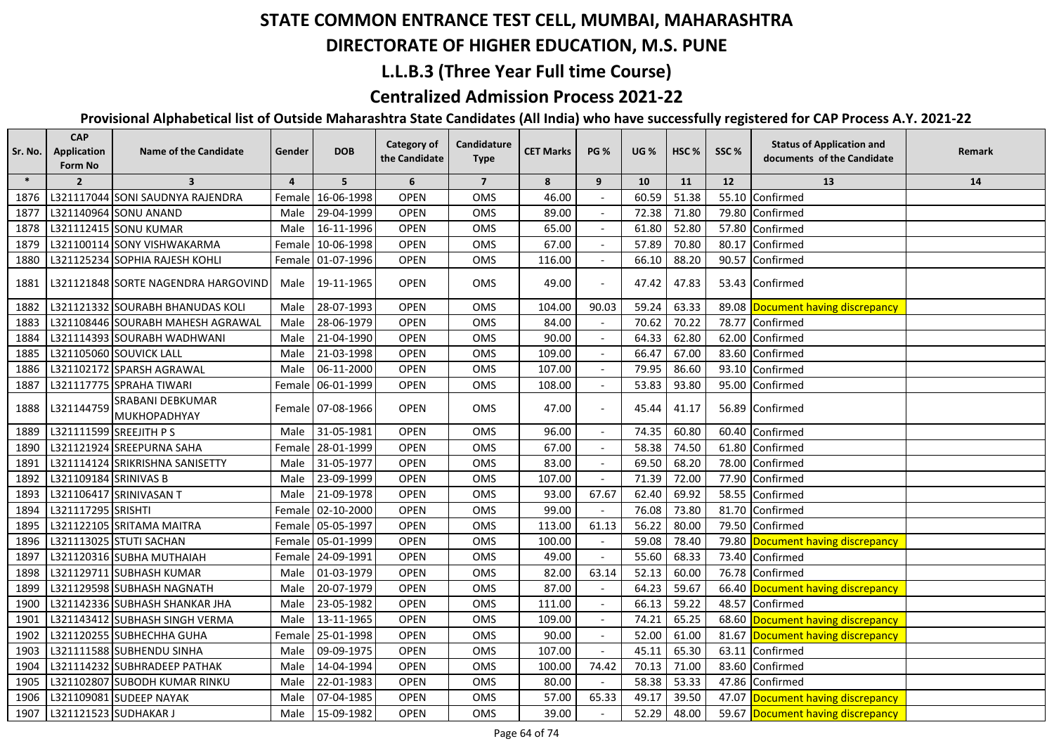#### **DIRECTORATE OF HIGHER EDUCATION, M.S. PUNE**

#### **L.L.B.3 (Three Year Full time Course)**

### **Centralized Admission Process 2021-22**

| Sr. No. | <b>CAP</b><br>Application<br>Form No | <b>Name of the Candidate</b>        | Gender         | <b>DOB</b>        | <b>Category of</b><br>the Candidate | Candidature<br><b>Type</b> | <b>CET Marks</b> | <b>PG %</b>              | <b>UG %</b> | HSC <sub>%</sub> | SSC%  | <b>Status of Application and</b><br>documents of the Candidate | Remark |
|---------|--------------------------------------|-------------------------------------|----------------|-------------------|-------------------------------------|----------------------------|------------------|--------------------------|-------------|------------------|-------|----------------------------------------------------------------|--------|
| $\ast$  | $\overline{2}$                       | $\overline{\mathbf{3}}$             | $\overline{4}$ | 5                 | 6                                   | $\overline{7}$             | 8                | 9                        | 10          | 11               | 12    | 13                                                             | 14     |
| 1876    |                                      | L321117044 SONI SAUDNYA RAJENDRA    |                | Female 16-06-1998 | <b>OPEN</b>                         | OMS                        | 46.00            |                          | 60.59       | 51.38            |       | 55.10 Confirmed                                                |        |
| 1877    |                                      | L321140964 SONU ANAND               | Male           | 29-04-1999        | <b>OPEN</b>                         | OMS                        | 89.00            |                          | 72.38       | 71.80            |       | 79.80 Confirmed                                                |        |
| 1878    |                                      | L321112415 SONU KUMAR               | Male           | 16-11-1996        | <b>OPEN</b>                         | OMS                        | 65.00            |                          | 61.80       | 52.80            |       | 57.80 Confirmed                                                |        |
| 1879    |                                      | L321100114 SONY VISHWAKARMA         |                | Female 10-06-1998 | <b>OPEN</b>                         | OMS                        | 67.00            |                          | 57.89       | 70.80            | 80.17 | Confirmed                                                      |        |
| 1880    |                                      | L321125234 SOPHIA RAJESH KOHLI      |                | Female 01-07-1996 | <b>OPEN</b>                         | OMS                        | 116.00           |                          | 66.10       | 88.20            |       | 90.57 Confirmed                                                |        |
| 1881    |                                      | L321121848 SORTE NAGENDRA HARGOVIND | Male           | 19-11-1965        | <b>OPEN</b>                         | OMS                        | 49.00            |                          | 47.42       | 47.83            |       | 53.43 Confirmed                                                |        |
| 1882    |                                      | L321121332 SOURABH BHANUDAS KOLI    | Male           | 28-07-1993        | <b>OPEN</b>                         | OMS                        | 104.00           | 90.03                    | 59.24       | 63.33            |       | 89.08 Document having discrepancy                              |        |
| 1883    |                                      | L321108446 SOURABH MAHESH AGRAWAL   | Male           | 28-06-1979        | <b>OPEN</b>                         | OMS                        | 84.00            |                          | 70.62       | 70.22            |       | 78.77 Confirmed                                                |        |
| 1884    |                                      | L321114393 SOURABH WADHWANI         | Male           | 21-04-1990        | <b>OPEN</b>                         | OMS                        | 90.00            |                          | 64.33       | 62.80            |       | 62.00 Confirmed                                                |        |
| 1885    |                                      | L321105060 SOUVICK LALL             | Male           | 21-03-1998        | <b>OPEN</b>                         | OMS                        | 109.00           |                          | 66.47       | 67.00            |       | 83.60 Confirmed                                                |        |
| 1886    |                                      | L321102172 SPARSH AGRAWAL           | Male           | 06-11-2000        | <b>OPEN</b>                         | <b>OMS</b>                 | 107.00           |                          | 79.95       | 86.60            |       | 93.10 Confirmed                                                |        |
| 1887    |                                      | L321117775 SPRAHA TIWARI            |                | Female 06-01-1999 | <b>OPEN</b>                         | OMS                        | 108.00           |                          | 53.83       | 93.80            |       | 95.00 Confirmed                                                |        |
| 1888    | L321144759                           | SRABANI DEBKUMAR<br>MUKHOPADHYAY    |                | Female 07-08-1966 | <b>OPEN</b>                         | OMS                        | 47.00            |                          | 45.44       | 41.17            |       | 56.89 Confirmed                                                |        |
| 1889    | L321111599 SREEJITH P S              |                                     | Male           | 31-05-1981        | <b>OPEN</b>                         | <b>OMS</b>                 | 96.00            |                          | 74.35       | 60.80            |       | 60.40 Confirmed                                                |        |
| 1890    |                                      | L321121924 SREEPURNA SAHA           |                | Female 28-01-1999 | <b>OPEN</b>                         | OMS                        | 67.00            |                          | 58.38       | 74.50            | 61.80 | Confirmed                                                      |        |
| 1891    |                                      | L321114124 SRIKRISHNA SANISETTY     | Male           | 31-05-1977        | <b>OPEN</b>                         | OMS                        | 83.00            |                          | 69.50       | 68.20            | 78.00 | Confirmed                                                      |        |
| 1892    | L321109184 SRINIVAS B                |                                     | Male           | 23-09-1999        | <b>OPEN</b>                         | <b>OMS</b>                 | 107.00           |                          | 71.39       | 72.00            | 77.90 | Confirmed                                                      |        |
| 1893    |                                      | L321106417 SRINIVASAN T             | Male           | 21-09-1978        | <b>OPEN</b>                         | OMS                        | 93.00            | 67.67                    | 62.40       | 69.92            | 58.55 | Confirmed                                                      |        |
| 1894    | L321117295 SRISHTI                   |                                     |                | Female 02-10-2000 | <b>OPEN</b>                         | OMS                        | 99.00            |                          | 76.08       | 73.80            | 81.70 | Confirmed                                                      |        |
| 1895    |                                      | L321122105 SRITAMA MAITRA           |                | Female 05-05-1997 | <b>OPEN</b>                         | OMS                        | 113.00           | 61.13                    | 56.22       | 80.00            | 79.50 | Confirmed                                                      |        |
| 1896    |                                      | L321113025 STUTI SACHAN             |                | Female 05-01-1999 | <b>OPEN</b>                         | OMS                        | 100.00           |                          | 59.08       | 78.40            | 79.80 | Document having discrepancy                                    |        |
| 1897    |                                      | L321120316 SUBHA MUTHAIAH           |                | Female 24-09-1991 | <b>OPEN</b>                         | OMS                        | 49.00            |                          | 55.60       | 68.33            |       | 73.40 Confirmed                                                |        |
| 1898    |                                      | L321129711 SUBHASH KUMAR            | Male           | 01-03-1979        | <b>OPEN</b>                         | <b>OMS</b>                 | 82.00            | 63.14                    | 52.13       | 60.00            | 76.78 | Confirmed                                                      |        |
| 1899    |                                      | L321129598 SUBHASH NAGNATH          | Male           | 20-07-1979        | <b>OPEN</b>                         | OMS                        | 87.00            |                          | 64.23       | 59.67            |       | 66.40 Document having discrepancy                              |        |
| 1900    |                                      | L321142336 SUBHASH SHANKAR JHA      | Male           | 23-05-1982        | <b>OPEN</b>                         | OMS                        | 111.00           |                          | 66.13       | 59.22            | 48.57 | Confirmed                                                      |        |
| 1901    |                                      | L321143412 SUBHASH SINGH VERMA      | Male           | 13-11-1965        | OPEN                                | OMS                        | 109.00           |                          | 74.21       | 65.25            |       | 68.60 Document having discrepancy                              |        |
| 1902    |                                      | L321120255 SUBHECHHA GUHA           |                | Female 25-01-1998 | <b>OPEN</b>                         | OMS                        | 90.00            | $\overline{\phantom{a}}$ | 52.00       | 61.00            |       | 81.67 Document having discrepancy                              |        |
| 1903    |                                      | L321111588 SUBHENDU SINHA           | Male           | 09-09-1975        | <b>OPEN</b>                         | OMS                        | 107.00           |                          | 45.11       | 65.30            |       | 63.11 Confirmed                                                |        |
| 1904    |                                      | L321114232 SUBHRADEEP PATHAK        | Male           | 14-04-1994        | <b>OPEN</b>                         | OMS                        | 100.00           | 74.42                    | 70.13       | 71.00            |       | 83.60 Confirmed                                                |        |
| 1905    |                                      | L321102807 SUBODH KUMAR RINKU       | Male           | 22-01-1983        | <b>OPEN</b>                         | OMS                        | 80.00            |                          | 58.38       | 53.33            |       | 47.86 Confirmed                                                |        |
| 1906    |                                      | L321109081 SUDEEP NAYAK             | Male           | 07-04-1985        | OPEN                                | OMS                        | 57.00            | 65.33                    | 49.17       | 39.50            |       | 47.07 Document having discrepancy                              |        |
| 1907    | L321121523 SUDHAKAR J                |                                     | Male           | 15-09-1982        | <b>OPEN</b>                         | <b>OMS</b>                 | 39.00            |                          | 52.29       | 48.00            |       | 59.67 Document having discrepancy                              |        |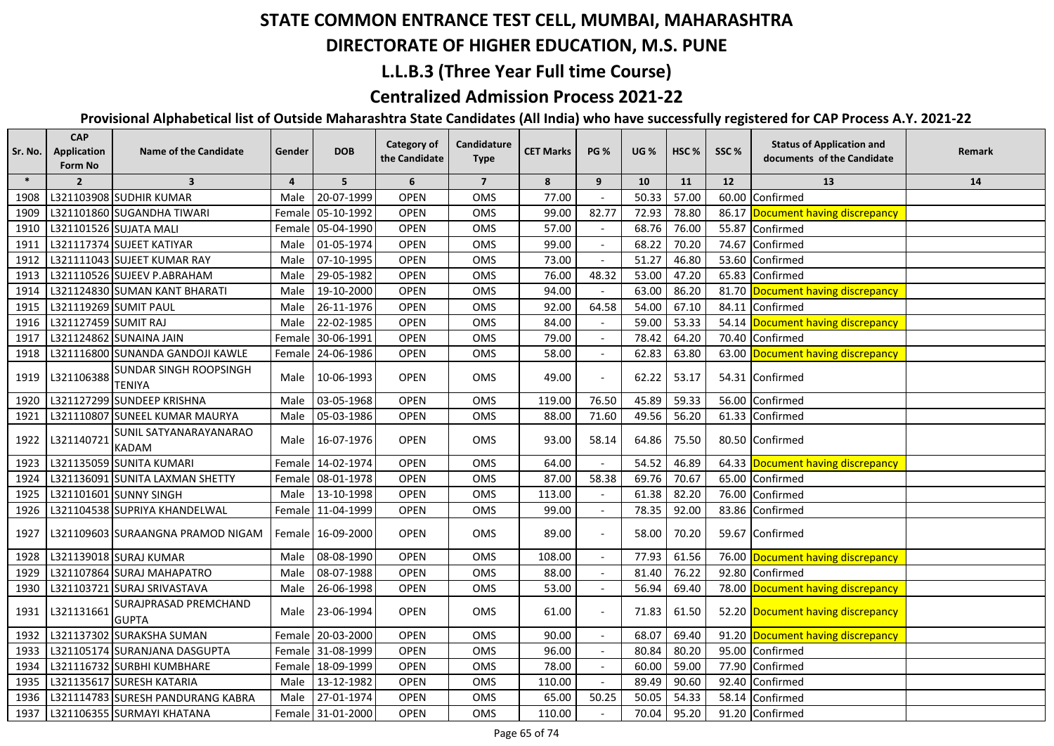## **DIRECTORATE OF HIGHER EDUCATION, M.S. PUNE**

#### **L.L.B.3 (Three Year Full time Course)**

#### **Centralized Admission Process 2021-22**

| Sr. No. | <b>CAP</b><br><b>Application</b><br>Form No | <b>Name of the Candidate</b>                   | Gender         | <b>DOB</b>        | <b>Category of</b><br>the Candidate | Candidature<br><b>Type</b> | <b>CET Marks</b> | <b>PG %</b>              | <b>UG %</b> | HSC % | SSC%  | <b>Status of Application and</b><br>documents of the Candidate | Remark |
|---------|---------------------------------------------|------------------------------------------------|----------------|-------------------|-------------------------------------|----------------------------|------------------|--------------------------|-------------|-------|-------|----------------------------------------------------------------|--------|
| $\ast$  | $\overline{2}$                              | $\overline{\mathbf{3}}$                        | $\overline{a}$ | 5 <sup>5</sup>    | 6                                   | $\overline{7}$             | 8                | 9                        | 10          | 11    | 12    | 13                                                             | 14     |
| 1908    |                                             | L321103908 SUDHIR KUMAR                        | Male           | 20-07-1999        | <b>OPEN</b>                         | OMS                        | 77.00            |                          | 50.33       | 57.00 | 60.00 | Confirmed                                                      |        |
| 1909    |                                             | L321101860 SUGANDHA TIWARI                     |                | Female 05-10-1992 | <b>OPEN</b>                         | OMS                        | 99.00            | 82.77                    | 72.93       | 78.80 |       | 86.17 Document having discrepancy                              |        |
| 1910    |                                             | L321101526 SUJATA MALI                         |                | Female 05-04-1990 | <b>OPEN</b>                         | OMS                        | 57.00            |                          | 68.76       | 76.00 | 55.87 | Confirmed                                                      |        |
| 1911    |                                             | L321117374 SUJEET KATIYAR                      | Male           | 01-05-1974        | <b>OPEN</b>                         | OMS                        | 99.00            |                          | 68.22       | 70.20 | 74.67 | Confirmed                                                      |        |
| 1912    |                                             | L321111043 SUJEET KUMAR RAY                    | Male           | 07-10-1995        | <b>OPEN</b>                         | OMS                        | 73.00            |                          | 51.27       | 46.80 | 53.60 | Confirmed                                                      |        |
| 1913    |                                             | L321110526 SUJEEV P.ABRAHAM                    | Male           | 29-05-1982        | OPEN                                | OMS                        | 76.00            | 48.32                    | 53.00       | 47.20 | 65.83 | Confirmed                                                      |        |
| 1914    |                                             | L321124830 SUMAN KANT BHARATI                  | Male           | 19-10-2000        | <b>OPEN</b>                         | OMS                        | 94.00            |                          | 63.00       | 86.20 |       | 81.70 Document having discrepancy                              |        |
| 1915    | L321119269 SUMIT PAUL                       |                                                | Male           | 26-11-1976        | <b>OPEN</b>                         | OMS                        | 92.00            | 64.58                    | 54.00       | 67.10 |       | 84.11 Confirmed                                                |        |
| 1916    | L321127459 SUMIT RAJ                        |                                                |                | Male 22-02-1985   | <b>OPEN</b>                         | <b>OMS</b>                 | 84.00            |                          | 59.00       | 53.33 |       | 54.14 Document having discrepancy                              |        |
| 1917    |                                             | L321124862 SUNAINA JAIN                        |                | Female 30-06-1991 | <b>OPEN</b>                         | OMS                        | 79.00            |                          | 78.42       | 64.20 | 70.40 | Confirmed                                                      |        |
| 1918    |                                             | L321116800 SUNANDA GANDOJI KAWLE               |                | Female 24-06-1986 | <b>OPEN</b>                         | <b>OMS</b>                 | 58.00            |                          | 62.83       | 63.80 |       | 63.00 Document having discrepancy                              |        |
| 1919    | L321106388                                  | <b>SUNDAR SINGH ROOPSINGH</b><br><b>TENIYA</b> | Male           | 10-06-1993        | <b>OPEN</b>                         | <b>OMS</b>                 | 49.00            |                          | 62.22       | 53.17 |       | 54.31 Confirmed                                                |        |
| 1920    |                                             | L321127299 SUNDEEP KRISHNA                     | Male           | 03-05-1968        | OPEN                                | OMS                        | 119.00           | 76.50                    | 45.89       | 59.33 | 56.00 | Confirmed                                                      |        |
| 1921    |                                             | L321110807 SUNEEL KUMAR MAURYA                 | Male           | 05-03-1986        | <b>OPEN</b>                         | OMS                        | 88.00            | 71.60                    | 49.56       | 56.20 |       | 61.33 Confirmed                                                |        |
| 1922    | L321140721                                  | SUNIL SATYANARAYANARAO<br><b>KADAM</b>         | Male           | 16-07-1976        | <b>OPEN</b>                         | OMS                        | 93.00            | 58.14                    | 64.86       | 75.50 |       | 80.50 Confirmed                                                |        |
| 1923    |                                             | L321135059 SUNITA KUMARI                       |                | Female 14-02-1974 | <b>OPEN</b>                         | OMS                        | 64.00            |                          | 54.52       | 46.89 |       | 64.33 Document having discrepancy                              |        |
| 1924    |                                             | L321136091 SUNITA LAXMAN SHETTY                | Female         | 08-01-1978        | <b>OPEN</b>                         | OMS                        | 87.00            | 58.38                    | 69.76       | 70.67 |       | 65.00 Confirmed                                                |        |
| 1925    |                                             | L321101601 SUNNY SINGH                         | Male           | 13-10-1998        | OPEN                                | OMS                        | 113.00           |                          | 61.38       | 82.20 | 76.00 | Confirmed                                                      |        |
| 1926    |                                             | L321104538 SUPRIYA KHANDELWAL                  |                | Female 11-04-1999 | <b>OPEN</b>                         | OMS                        | 99.00            |                          | 78.35       | 92.00 | 83.86 | Confirmed                                                      |        |
| 1927    |                                             | L321109603 SURAANGNA PRAMOD NIGAM              |                | Female 16-09-2000 | <b>OPEN</b>                         | OMS                        | 89.00            |                          | 58.00       | 70.20 |       | 59.67 Confirmed                                                |        |
| 1928    |                                             | L321139018 SURAJ KUMAR                         | Male           | 08-08-1990        | OPEN                                | OMS                        | 108.00           | $\sim$                   | 77.93       | 61.56 |       | 76.00 Document having discrepancy                              |        |
| 1929    |                                             | L321107864 SURAJ MAHAPATRO                     | Male           | 08-07-1988        | <b>OPEN</b>                         | OMS                        | 88.00            |                          | 81.40       | 76.22 | 92.80 | Confirmed                                                      |        |
| 1930    |                                             | L321103721 SURAJ SRIVASTAVA                    | Male           | 26-06-1998        | <b>OPEN</b>                         | OMS                        | 53.00            | $\overline{\phantom{a}}$ | 56.94       | 69.40 |       | 78.00 Document having discrepancy                              |        |
| 1931    | L321131661                                  | SURAJPRASAD PREMCHAND<br><b>GUPTA</b>          | Male           | 23-06-1994        | <b>OPEN</b>                         | OMS                        | 61.00            |                          | 71.83       | 61.50 |       | 52.20 Document having discrepancy                              |        |
| 1932    |                                             | L321137302 SURAKSHA SUMAN                      |                | Female 20-03-2000 | <b>OPEN</b>                         | OMS                        | 90.00            |                          | 68.07       | 69.40 |       | 91.20 Document having discrepancy                              |        |
| 1933    |                                             | L321105174 SURANJANA DASGUPTA                  |                | Female 31-08-1999 | <b>OPEN</b>                         | <b>OMS</b>                 | 96.00            |                          | 80.84       | 80.20 |       | 95.00 Confirmed                                                |        |
| 1934    |                                             | L321116732 SURBHI KUMBHARE                     |                | Female 18-09-1999 | <b>OPEN</b>                         | <b>OMS</b>                 | 78.00            |                          | 60.00       | 59.00 |       | 77.90 Confirmed                                                |        |
| 1935    |                                             | L321135617 SURESH KATARIA                      | Male           | 13-12-1982        | <b>OPEN</b>                         | OMS                        | 110.00           |                          | 89.49       | 90.60 | 92.40 | Confirmed                                                      |        |
| 1936    |                                             | L321114783 SURESH PANDURANG KABRA              | Male           | 27-01-1974        | OPEN                                | OMS                        | 65.00            | 50.25                    | 50.05       | 54.33 | 58.14 | Confirmed                                                      |        |
| 1937    |                                             | L321106355 SURMAYI KHATANA                     |                | Female 31-01-2000 | <b>OPEN</b>                         | OMS                        | 110.00           |                          | 70.04       | 95.20 |       | 91.20 Confirmed                                                |        |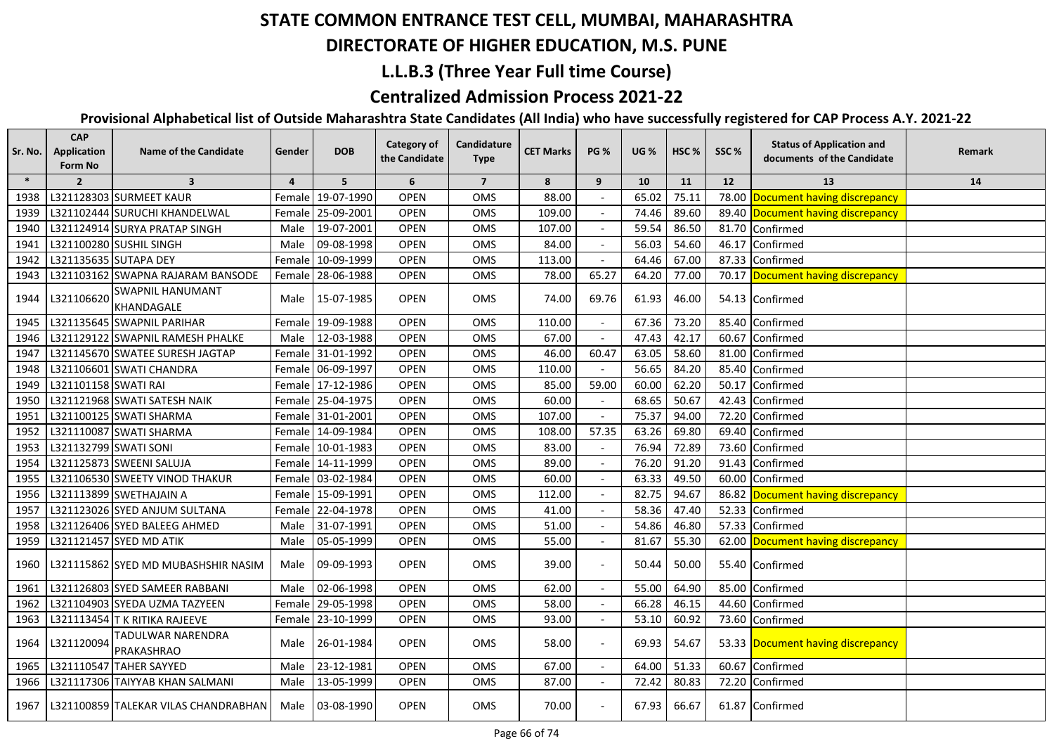## **DIRECTORATE OF HIGHER EDUCATION, M.S. PUNE**

### **L.L.B.3 (Three Year Full time Course)**

### **Centralized Admission Process 2021-22**

| Sr. No. | <b>CAP</b><br>Application<br>Form No | <b>Name of the Candidate</b>          | Gender   | <b>DOB</b>        | Category of<br>the Candidate | Candidature<br><b>Type</b> | <b>CET Marks</b> | <b>PG %</b>    | <b>UG %</b> | HSC <sub>%</sub> | SSC%  | <b>Status of Application and</b><br>documents of the Candidate | Remark |
|---------|--------------------------------------|---------------------------------------|----------|-------------------|------------------------------|----------------------------|------------------|----------------|-------------|------------------|-------|----------------------------------------------------------------|--------|
| $\ast$  | $\overline{2}$                       | $\overline{\mathbf{3}}$               | 4        | 5                 | 6                            | $\overline{7}$             | 8                | 9              | 10          | 11               | 12    | 13                                                             | 14     |
| 1938    |                                      | L321128303 SURMEET KAUR               | Female l | 19-07-1990        | <b>OPEN</b>                  | OMS                        | 88.00            |                | 65.02       | 75.11            | 78.00 | Document having discrepancy                                    |        |
| 1939    |                                      | L321102444 SURUCHI KHANDELWAL         |          | Female 25-09-2001 | <b>OPEN</b>                  | <b>OMS</b>                 | 109.00           |                | 74.46       | 89.60            |       | 89.40 Document having discrepancy                              |        |
| 1940    |                                      | L321124914 SURYA PRATAP SINGH         | Male     | 19-07-2001        | OPEN                         | OMS                        | 107.00           |                | 59.54       | 86.50            |       | 81.70 Confirmed                                                |        |
| 1941    |                                      | L321100280 SUSHIL SINGH               | Male     | 09-08-1998        | <b>OPEN</b>                  | OMS                        | 84.00            |                | 56.03       | 54.60            | 46.17 | Confirmed                                                      |        |
| 1942    |                                      | L321135635 SUTAPA DEY                 |          | Female 10-09-1999 | <b>OPEN</b>                  | OMS                        | 113.00           |                | 64.46       | 67.00            | 87.33 | Confirmed                                                      |        |
| 1943    |                                      | L321103162 SWAPNA RAJARAM BANSODE     | Female l | 28-06-1988        | <b>OPEN</b>                  | <b>OMS</b>                 | 78.00            | 65.27          | 64.20       | 77.00            |       | 70.17 Document having discrepancy                              |        |
| 1944    | L321106620                           | <b>SWAPNIL HANUMANT</b><br>KHANDAGALE | Male     | 15-07-1985        | <b>OPEN</b>                  | OMS                        | 74.00            | 69.76          | 61.93       | 46.00            |       | 54.13 Confirmed                                                |        |
| 1945    |                                      | L321135645 SWAPNIL PARIHAR            |          | Female 19-09-1988 | <b>OPEN</b>                  | OMS                        | 110.00           |                | 67.36       | 73.20            | 85.40 | Confirmed                                                      |        |
| 1946    |                                      | L321129122 SWAPNIL RAMESH PHALKE      | Male     | 12-03-1988        | <b>OPEN</b>                  | OMS                        | 67.00            |                | 47.43       | 42.17            | 60.67 | Confirmed                                                      |        |
| 1947    |                                      | L321145670 SWATEE SURESH JAGTAP       |          | Female 31-01-1992 | <b>OPEN</b>                  | OMS                        | 46.00            | 60.47          | 63.05       | 58.60            | 81.00 | Confirmed                                                      |        |
| 1948    |                                      | L321106601 SWATI CHANDRA              |          | Female 06-09-1997 | <b>OPEN</b>                  | OMS                        | 110.00           |                | 56.65       | 84.20            | 85.40 | Confirmed                                                      |        |
| 1949    | L321101158 SWATI RAI                 |                                       |          | Female 17-12-1986 | <b>OPEN</b>                  | OMS                        | 85.00            | 59.00          | 60.00       | 62.20            | 50.17 | Confirmed                                                      |        |
| 1950    |                                      | L321121968 SWATI SATESH NAIK          |          | Female 25-04-1975 | <b>OPEN</b>                  | OMS                        | 60.00            |                | 68.65       | 50.67            | 42.43 | Confirmed                                                      |        |
| 1951    |                                      | L321100125 SWATI SHARMA               |          | Female 31-01-2001 | <b>OPEN</b>                  | OMS                        | 107.00           |                | 75.37       | 94.00            | 72.20 | Confirmed                                                      |        |
| 1952    |                                      | L321110087 SWATI SHARMA               |          | Female 14-09-1984 | <b>OPEN</b>                  | <b>OMS</b>                 | 108.00           | 57.35          | 63.26       | 69.80            | 69.40 | Confirmed                                                      |        |
| 1953    | L321132799 SWATI SONI                |                                       |          | Female 10-01-1983 | <b>OPEN</b>                  | OMS                        | 83.00            |                | 76.94       | 72.89            | 73.60 | Confirmed                                                      |        |
| 1954    |                                      | L321125873 SWEENI SALUJA              |          | Female 14-11-1999 | <b>OPEN</b>                  | OMS                        | 89.00            |                | 76.20       | 91.20            | 91.43 | Confirmed                                                      |        |
| 1955    |                                      | L321106530 SWEETY VINOD THAKUR        |          | Female 03-02-1984 | <b>OPEN</b>                  | OMS                        | 60.00            |                | 63.33       | 49.50            | 60.00 | Confirmed                                                      |        |
| 1956    |                                      | L321113899 SWETHAJAIN A               |          | Female 15-09-1991 | <b>OPEN</b>                  | OMS                        | 112.00           |                | 82.75       | 94.67            |       | 86.82 Document having discrepancy                              |        |
| 1957    |                                      | L321123026 SYED ANJUM SULTANA         |          | Female 22-04-1978 | <b>OPEN</b>                  | <b>OMS</b>                 | 41.00            |                | 58.36       | 47.40            |       | 52.33 Confirmed                                                |        |
| 1958    |                                      | L321126406 SYED BALEEG AHMED          | Male     | 31-07-1991        | <b>OPEN</b>                  | OMS                        | 51.00            |                | 54.86       | 46.80            |       | 57.33 Confirmed                                                |        |
| 1959    |                                      | L321121457 SYED MD ATIK               | Male     | 05-05-1999        | OPEN                         | OMS                        | 55.00            | $\overline{a}$ | 81.67       | 55.30            |       | 62.00 Document having discrepancy                              |        |
| 1960    |                                      | L321115862 SYED MD MUBASHSHIR NASIM   | Male     | 09-09-1993        | <b>OPEN</b>                  | OMS                        | 39.00            |                | 50.44       | 50.00            |       | 55.40 Confirmed                                                |        |
| 1961    |                                      | L321126803 SYED SAMEER RABBANI        | Male     | 02-06-1998        | <b>OPEN</b>                  | OMS                        | 62.00            |                | 55.00       | 64.90            | 85.00 | Confirmed                                                      |        |
| 1962    |                                      | L321104903 SYEDA UZMA TAZYEEN         | Female   | 29-05-1998        | <b>OPEN</b>                  | OMS                        | 58.00            |                | 66.28       | 46.15            | 44.60 | Confirmed                                                      |        |
| 1963    |                                      | L321113454 T K RITIKA RAJEEVE         | Female   | 23-10-1999        | <b>OPEN</b>                  | OMS                        | 93.00            |                | 53.10       | 60.92            | 73.60 | Confirmed                                                      |        |
| 1964    | L321120094                           | TADULWAR NARENDRA<br>PRAKASHRAO       | Male     | 26-01-1984        | <b>OPEN</b>                  | OMS                        | 58.00            |                | 69.93       | 54.67            |       | 53.33 Document having discrepancy                              |        |
| 1965    |                                      | L321110547 TAHER SAYYED               | Male     | 23-12-1981        | <b>OPEN</b>                  | OMS                        | 67.00            |                | 64.00       | 51.33            | 60.67 | Confirmed                                                      |        |
| 1966    |                                      | L321117306 TAIYYAB KHAN SALMANI       | Male     | 13-05-1999        | <b>OPEN</b>                  | OMS                        | 87.00            |                | 72.42       | 80.83            | 72.20 | Confirmed                                                      |        |
| 1967    |                                      | L321100859 TALEKAR VILAS CHANDRABHAN  | Male     | 03-08-1990        | <b>OPEN</b>                  | OMS                        | 70.00            |                | 67.93       | 66.67            |       | 61.87 Confirmed                                                |        |
|         |                                      |                                       |          |                   |                              |                            |                  |                |             |                  |       |                                                                |        |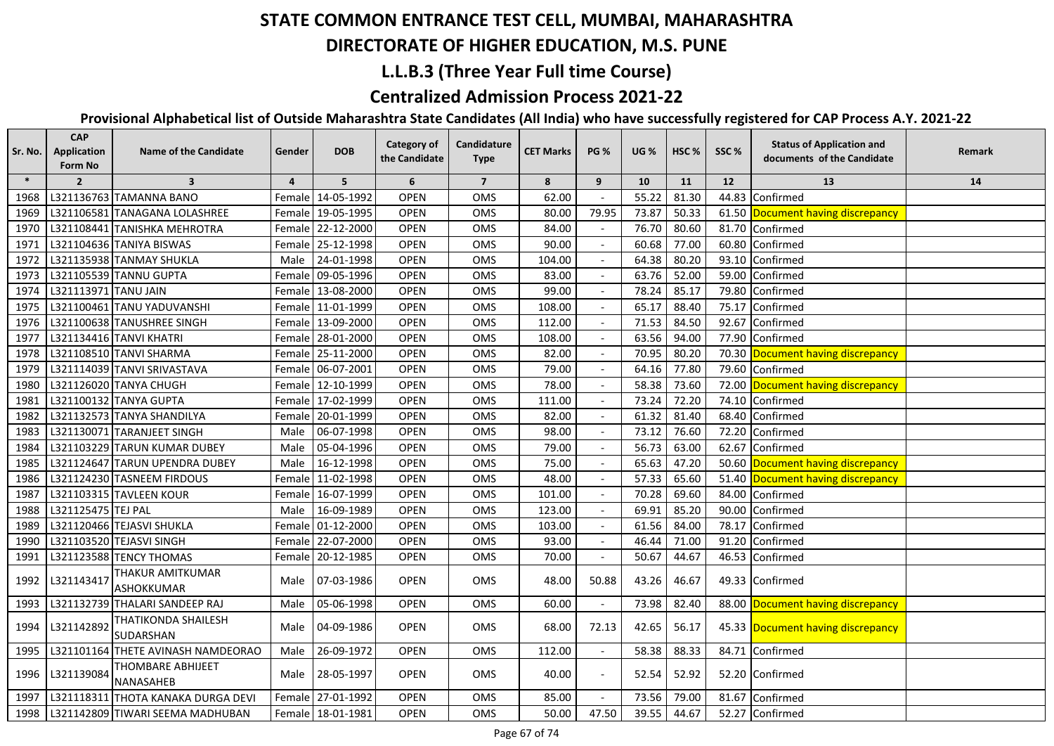#### **DIRECTORATE OF HIGHER EDUCATION, M.S. PUNE**

### **L.L.B.3 (Three Year Full time Course)**

### **Centralized Admission Process 2021-22**

| Sr. No. | <b>CAP</b><br>Application<br>Form No | <b>Name of the Candidate</b>          | Gender         | <b>DOB</b>        | <b>Category of</b><br>the Candidate | Candidature<br><b>Type</b> | <b>CET Marks</b> | <b>PG %</b> | <b>UG</b> % | HSC <sub>%</sub> | SSC%  | <b>Status of Application and</b><br>documents of the Candidate | Remark |
|---------|--------------------------------------|---------------------------------------|----------------|-------------------|-------------------------------------|----------------------------|------------------|-------------|-------------|------------------|-------|----------------------------------------------------------------|--------|
| $\ast$  | $\overline{2}$                       | $\overline{\mathbf{3}}$               | $\overline{4}$ | 5                 | 6                                   | $\overline{7}$             | 8                | 9           | 10          | 11               | 12    | 13                                                             | 14     |
| 1968    |                                      | L321136763 TAMANNA BANO               |                | Female 14-05-1992 | <b>OPEN</b>                         | <b>OMS</b>                 | 62.00            |             | 55.22       | 81.30            | 44.83 | Confirmed                                                      |        |
| 1969    |                                      | L321106581 TANAGANA LOLASHREE         |                | Female 19-05-1995 | <b>OPEN</b>                         | OMS                        | 80.00            | 79.95       | 73.87       | 50.33            |       | 61.50 Document having discrepancy                              |        |
| 1970    |                                      | L321108441 TANISHKA MEHROTRA          |                | Female 22-12-2000 | <b>OPEN</b>                         | OMS                        | 84.00            |             | 76.70       | 80.60            |       | 81.70 Confirmed                                                |        |
| 1971    |                                      | L321104636 TANIYA BISWAS              |                | Female 25-12-1998 | OPEN                                | OMS                        | 90.00            |             | 60.68       | 77.00            |       | 60.80 Confirmed                                                |        |
| 1972    |                                      | L321135938 TANMAY SHUKLA              | Male           | 24-01-1998        | <b>OPEN</b>                         | OMS                        | 104.00           |             | 64.38       | 80.20            |       | 93.10 Confirmed                                                |        |
| 1973    |                                      | L321105539 TANNU GUPTA                |                | Female 09-05-1996 | <b>OPEN</b>                         | OMS                        | 83.00            |             | 63.76       | 52.00            |       | 59.00 Confirmed                                                |        |
| 1974    | L321113971 TANU JAIN                 |                                       |                | Female 13-08-2000 | <b>OPEN</b>                         | OMS                        | 99.00            |             | 78.24       | 85.17            |       | 79.80 Confirmed                                                |        |
| 1975    |                                      | L321100461 TANU YADUVANSHI            |                | Female 11-01-1999 | <b>OPEN</b>                         | OMS                        | 108.00           |             | 65.17       | 88.40            |       | 75.17 Confirmed                                                |        |
| 1976    |                                      | L321100638 TANUSHREE SINGH            |                | Female 13-09-2000 | <b>OPEN</b>                         | OMS                        | 112.00           |             | 71.53       | 84.50            |       | 92.67 Confirmed                                                |        |
| 1977    |                                      | L321134416 TANVI KHATRI               |                | Female 28-01-2000 | <b>OPEN</b>                         | OMS                        | 108.00           |             | 63.56       | 94.00            |       | 77.90 Confirmed                                                |        |
| 1978    |                                      | L321108510 TANVI SHARMA               |                | Female 25-11-2000 | <b>OPEN</b>                         | OMS                        | 82.00            |             | 70.95       | 80.20            |       | 70.30 Document having discrepancy                              |        |
| 1979    |                                      | L321114039 TANVI SRIVASTAVA           |                | Female 06-07-2001 | <b>OPEN</b>                         | OMS                        | 79.00            |             | 64.16       | 77.80            |       | 79.60 Confirmed                                                |        |
| 1980    |                                      | L321126020 TANYA CHUGH                |                | Female 12-10-1999 | <b>OPEN</b>                         | <b>OMS</b>                 | 78.00            |             | 58.38       | 73.60            |       | 72.00 Document having discrepancy                              |        |
| 1981    |                                      | L321100132 TANYA GUPTA                |                | Female 17-02-1999 | <b>OPEN</b>                         | OMS                        | 111.00           |             | 73.24       | 72.20            |       | 74.10 Confirmed                                                |        |
| 1982    |                                      | L321132573 TANYA SHANDILYA            |                | Female 20-01-1999 | <b>OPEN</b>                         | OMS                        | 82.00            |             | 61.32       | 81.40            |       | 68.40 Confirmed                                                |        |
| 1983    |                                      | L321130071 TARANJEET SINGH            |                | Male 06-07-1998   | <b>OPEN</b>                         | <b>OMS</b>                 | 98.00            |             | 73.12       | 76.60            |       | 72.20 Confirmed                                                |        |
| 1984    |                                      | L321103229 TARUN KUMAR DUBEY          | Male           | 05-04-1996        | <b>OPEN</b>                         | OMS                        | 79.00            |             | 56.73       | 63.00            |       | 62.67 Confirmed                                                |        |
| 1985    |                                      | L321124647 TARUN UPENDRA DUBEY        | Male           | 16-12-1998        | <b>OPEN</b>                         | OMS                        | 75.00            |             | 65.63       | 47.20            |       | 50.60 Document having discrepancy                              |        |
| 1986    |                                      | L321124230 TASNEEM FIRDOUS            |                | Female 11-02-1998 | <b>OPEN</b>                         | OMS                        | 48.00            |             | 57.33       | 65.60            |       | 51.40 Document having discrepancy                              |        |
| 1987    |                                      | L321103315 TAVLEEN KOUR               |                | Female 16-07-1999 | <b>OPEN</b>                         | OMS                        | 101.00           |             | 70.28       | 69.60            |       | 84.00 Confirmed                                                |        |
| 1988    | L321125475 TEJ PAL                   |                                       | Male           | 16-09-1989        | <b>OPEN</b>                         | OMS                        | 123.00           |             | 69.91       | 85.20            | 90.00 | Confirmed                                                      |        |
| 1989    |                                      | L321120466 TEJASVI SHUKLA             |                | Female 01-12-2000 | <b>OPEN</b>                         | OMS                        | 103.00           |             | 61.56       | 84.00            | 78.17 | Confirmed                                                      |        |
| 1990    |                                      | L321103520 TEJASVI SINGH              |                | Female 22-07-2000 | <b>OPEN</b>                         | OMS                        | 93.00            |             | 46.44       | 71.00            | 91.20 | Confirmed                                                      |        |
| 1991    |                                      | L321123588 TENCY THOMAS               |                | Female 20-12-1985 | <b>OPEN</b>                         | OMS                        | 70.00            |             | 50.67       | 44.67            |       | 46.53 Confirmed                                                |        |
| 1992    | L321143417                           | THAKUR AMITKUMAR<br><b>ASHOKKUMAR</b> | Male           | 07-03-1986        | <b>OPEN</b>                         | OMS                        | 48.00            | 50.88       | 43.26       | 46.67            |       | 49.33 Confirmed                                                |        |
| 1993    |                                      | L321132739 THALARI SANDEEP RAJ        | Male           | 05-06-1998        | <b>OPEN</b>                         | OMS                        | 60.00            |             | 73.98       | 82.40            |       | 88.00 Document having discrepancy                              |        |
| 1994    | L321142892                           | THATIKONDA SHAILESH<br>SUDARSHAN      | Male           | 04-09-1986        | <b>OPEN</b>                         | <b>OMS</b>                 | 68.00            | 72.13       | 42.65       | 56.17            |       | 45.33 Document having discrepancy                              |        |
| 1995    |                                      | L321101164 THETE AVINASH NAMDEORAO    | Male           | 26-09-1972        | <b>OPEN</b>                         | OMS                        | 112.00           |             | 58.38       | 88.33            | 84.71 | Confirmed                                                      |        |
| 1996    | L321139084                           | THOMBARE ABHIJEET<br>NANASAHEB        | Male           | 28-05-1997        | <b>OPEN</b>                         | <b>OMS</b>                 | 40.00            |             | 52.54       | 52.92            |       | 52.20 Confirmed                                                |        |
| 1997    |                                      | L321118311 THOTA KANAKA DURGA DEVI    |                | Female 27-01-1992 | <b>OPEN</b>                         | OMS                        | 85.00            |             | 73.56       | 79.00            |       | 81.67 Confirmed                                                |        |
| 1998    |                                      | L321142809 TIWARI SEEMA MADHUBAN      |                | Female 18-01-1981 | <b>OPEN</b>                         | OMS                        | 50.00            | 47.50       | 39.55       | 44.67            |       | 52.27 Confirmed                                                |        |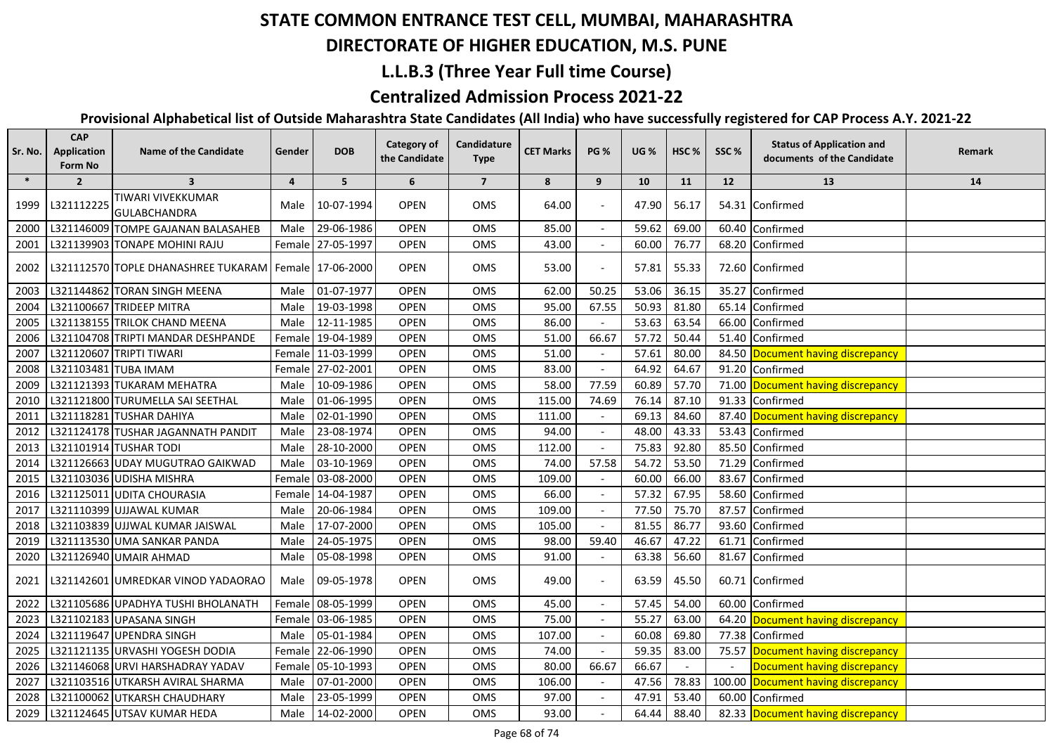#### **DIRECTORATE OF HIGHER EDUCATION, M.S. PUNE**

### **L.L.B.3 (Three Year Full time Course)**

### **Centralized Admission Process 2021-22**

| Sr. No. | <b>CAP</b><br>Application<br>Form No | <b>Name of the Candidate</b>                              | Gender         | <b>DOB</b>        | Category of<br>the Candidate | Candidature<br><b>Type</b> | <b>CET Marks</b> | <b>PG %</b> | <b>UG %</b> | HSC <sub>%</sub> | SSC%  | <b>Status of Application and</b><br>documents of the Candidate | Remark |
|---------|--------------------------------------|-----------------------------------------------------------|----------------|-------------------|------------------------------|----------------------------|------------------|-------------|-------------|------------------|-------|----------------------------------------------------------------|--------|
| $\ast$  | $\overline{2}$                       | $\overline{\mathbf{3}}$                                   | $\overline{4}$ | 5                 | 6                            | $\overline{7}$             | 8                | 9           | 10          | 11               | 12    | 13                                                             | 14     |
| 1999    | L321112225                           | TIWARI VIVEKKUMAR<br><b>GULABCHANDRA</b>                  | Male           | 10-07-1994        | <b>OPEN</b>                  | <b>OMS</b>                 | 64.00            |             | 47.90       | 56.17            |       | 54.31 Confirmed                                                |        |
| 2000    |                                      | L321146009 TOMPE GAJANAN BALASAHEB                        | Male           | 29-06-1986        | <b>OPEN</b>                  | OMS                        | 85.00            |             | 59.62       | 69.00            |       | 60.40 Confirmed                                                |        |
| 2001    |                                      | L321139903 TONAPE MOHINI RAJU                             |                | Female 27-05-1997 | <b>OPEN</b>                  | OMS                        | 43.00            |             | 60.00       | 76.77            |       | 68.20 Confirmed                                                |        |
| 2002    |                                      | L321112570 TOPLE DHANASHREE TUKARAM   Female   17-06-2000 |                |                   | <b>OPEN</b>                  | OMS                        | 53.00            |             | 57.81       | 55.33            |       | 72.60 Confirmed                                                |        |
| 2003    |                                      | L321144862 TORAN SINGH MEENA                              | Male           | 01-07-1977        | <b>OPEN</b>                  | OMS                        | 62.00            | 50.25       | 53.06       | 36.15            |       | 35.27 Confirmed                                                |        |
| 2004    |                                      | L321100667 TRIDEEP MITRA                                  | Male           | 19-03-1998        | OPEN                         | OMS                        | 95.00            | 67.55       | 50.93       | 81.80            |       | 65.14 Confirmed                                                |        |
| 2005    |                                      | L321138155 TRILOK CHAND MEENA                             | Male           | 12-11-1985        | <b>OPEN</b>                  | OMS                        | 86.00            |             | 53.63       | 63.54            |       | 66.00 Confirmed                                                |        |
| 2006    |                                      | L321104708 TRIPTI MANDAR DESHPANDE                        |                | Female 19-04-1989 | <b>OPEN</b>                  | OMS                        | 51.00            | 66.67       | 57.72       | 50.44            |       | 51.40 Confirmed                                                |        |
| 2007    |                                      | L321120607 TRIPTI TIWARI                                  |                | Female 11-03-1999 | <b>OPEN</b>                  | OMS                        | 51.00            |             | 57.61       | 80.00            |       | 84.50 Document having discrepancy                              |        |
| 2008    | L321103481 TUBA IMAM                 |                                                           |                | Female 27-02-2001 | <b>OPEN</b>                  | OMS                        | 83.00            |             | 64.92       | 64.67            |       | 91.20 Confirmed                                                |        |
| 2009    |                                      | L321121393 TUKARAM MEHATRA                                | Male           | 10-09-1986        | <b>OPEN</b>                  | <b>OMS</b>                 | 58.00            | 77.59       | 60.89       | 57.70            |       | 71.00 Document having discrepancy                              |        |
| 2010    |                                      | L321121800 TURUMELLA SAI SEETHAL                          | Male           | 01-06-1995        | <b>OPEN</b>                  | <b>OMS</b>                 | 115.00           | 74.69       | 76.14       | 87.10            |       | 91.33 Confirmed                                                |        |
| 2011    |                                      | L321118281 TUSHAR DAHIYA                                  | Male           | 02-01-1990        | <b>OPEN</b>                  | OMS                        | 111.00           |             | 69.13       | 84.60            |       | 87.40 Document having discrepancy                              |        |
| 2012    |                                      | L321124178 TUSHAR JAGANNATH PANDIT                        | Male           | 23-08-1974        | <b>OPEN</b>                  | <b>OMS</b>                 | 94.00            |             | 48.00       | 43.33            |       | 53.43 Confirmed                                                |        |
| 2013    |                                      | L321101914 TUSHAR TODI                                    | Male           | 28-10-2000        | <b>OPEN</b>                  | <b>OMS</b>                 | 112.00           | $\sim$      | 75.83       | 92.80            |       | 85.50 Confirmed                                                |        |
| 2014    |                                      | L321126663 UDAY MUGUTRAO GAIKWAD                          | Male           | 03-10-1969        | <b>OPEN</b>                  | OMS                        | 74.00            | 57.58       | 54.72       | 53.50            | 71.29 | Confirmed                                                      |        |
| 2015    |                                      | L321103036 UDISHA MISHRA                                  |                | Female 03-08-2000 | <b>OPEN</b>                  | OMS                        | 109.00           |             | 60.00       | 66.00            | 83.67 | Confirmed                                                      |        |
| 2016    |                                      | L321125011 UDITA CHOURASIA                                |                | Female 14-04-1987 | <b>OPEN</b>                  | OMS                        | 66.00            |             | 57.32       | 67.95            | 58.60 | Confirmed                                                      |        |
| 2017    |                                      | L321110399 UJJAWAL KUMAR                                  | Male           | 20-06-1984        | <b>OPEN</b>                  | OMS                        | 109.00           |             | 77.50       | 75.70            | 87.57 | Confirmed                                                      |        |
| 2018    |                                      | L321103839 UJJWAL KUMAR JAISWAL                           | Male           | 17-07-2000        | <b>OPEN</b>                  | OMS                        | 105.00           |             | 81.55       | 86.77            |       | 93.60 Confirmed                                                |        |
| 2019    |                                      | L321113530 UMA SANKAR PANDA                               | Male           | 24-05-1975        | <b>OPEN</b>                  | OMS                        | 98.00            | 59.40       | 46.67       | 47.22            | 61.71 | Confirmed                                                      |        |
| 2020    |                                      | L321126940 UMAIR AHMAD                                    | Male           | 05-08-1998        | <b>OPEN</b>                  | OMS                        | 91.00            |             | 63.38       | 56.60            |       | 81.67 Confirmed                                                |        |
| 2021    |                                      | L321142601 UMREDKAR VINOD YADAORAO                        | Male           | 09-05-1978        | <b>OPEN</b>                  | OMS                        | 49.00            |             | 63.59       | 45.50            |       | 60.71 Confirmed                                                |        |
| 2022    |                                      | L321105686 UPADHYA TUSHI BHOLANATH                        |                | Female 08-05-1999 | <b>OPEN</b>                  | OMS                        | 45.00            |             | 57.45       | 54.00            |       | 60.00 Confirmed                                                |        |
| 2023    |                                      | L321102183 UPASANA SINGH                                  |                | Female 03-06-1985 | <b>OPEN</b>                  | OMS                        | 75.00            |             | 55.27       | 63.00            |       | 64.20 Document having discrepancy                              |        |
| 2024    |                                      | L321119647 UPENDRA SINGH                                  | Male           | 05-01-1984        | <b>OPEN</b>                  | OMS                        | 107.00           |             | 60.08       | 69.80            |       | 77.38 Confirmed                                                |        |
| 2025    |                                      | L321121135 URVASHI YOGESH DODIA                           |                | Female 22-06-1990 | <b>OPEN</b>                  | OMS                        | 74.00            |             | 59.35       | 83.00            |       | 75.57 Document having discrepancy                              |        |
| 2026    |                                      | L321146068 URVI HARSHADRAY YADAV                          |                | Female 05-10-1993 | <b>OPEN</b>                  | OMS                        | 80.00            | 66.67       | 66.67       |                  |       | Document having discrepancy                                    |        |
| 2027    |                                      | L321103516 UTKARSH AVIRAL SHARMA                          | Male           | 07-01-2000        | <b>OPEN</b>                  | OMS                        | 106.00           |             | 47.56       | 78.83            |       | 100.00 Document having discrepancy                             |        |
| 2028    |                                      | L321100062 UTKARSH CHAUDHARY                              | Male           | 23-05-1999        | <b>OPEN</b>                  | OMS                        | 97.00            |             | 47.91       | 53.40            |       | 60.00 Confirmed                                                |        |
| 2029    |                                      | L321124645 UTSAV KUMAR HEDA                               |                | Male 14-02-2000   | OPEN                         | OMS                        | 93.00            |             | 64.44       | 88.40            |       | 82.33 Document having discrepancy                              |        |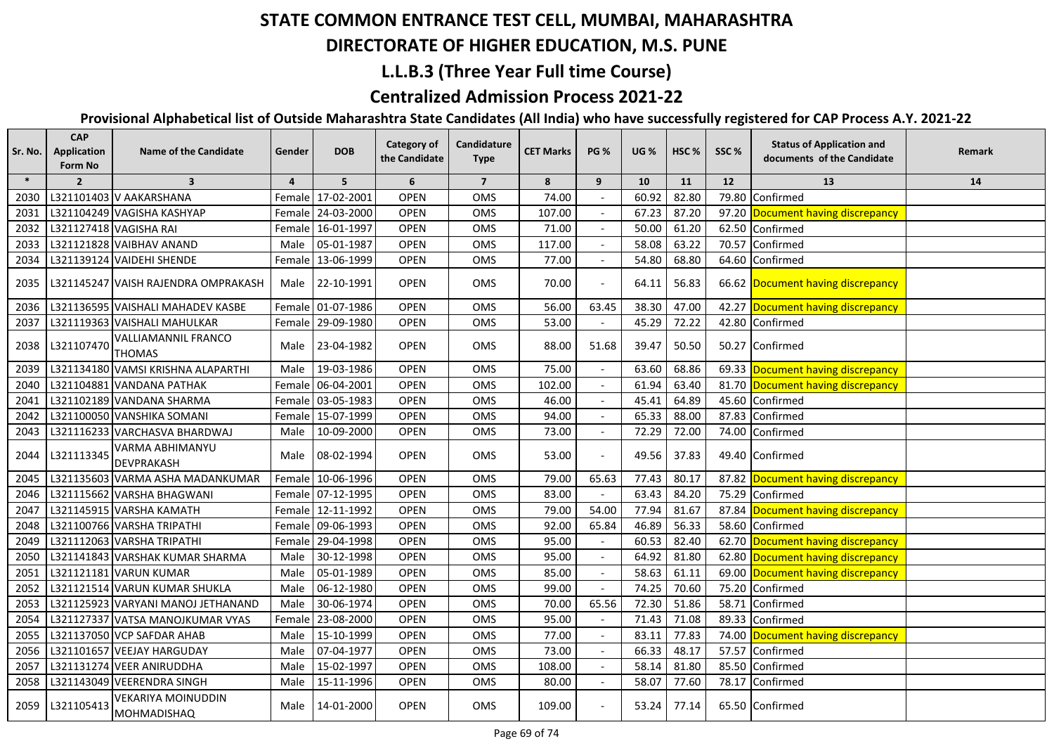## **DIRECTORATE OF HIGHER EDUCATION, M.S. PUNE**

#### **L.L.B.3 (Three Year Full time Course)**

### **Centralized Admission Process 2021-22**

| Sr. No. | <b>CAP</b><br>Application<br>Form No | <b>Name of the Candidate</b>                    | Gender | <b>DOB</b>        | <b>Category of</b><br>the Candidate | Candidature<br><b>Type</b> | <b>CET Marks</b> | <b>PG %</b> | <b>UG</b> % | HSC <sub>%</sub> | SSC%  | <b>Status of Application and</b><br>documents of the Candidate | Remark |
|---------|--------------------------------------|-------------------------------------------------|--------|-------------------|-------------------------------------|----------------------------|------------------|-------------|-------------|------------------|-------|----------------------------------------------------------------|--------|
| $\ast$  | $\overline{2}$                       | $\overline{\mathbf{3}}$                         | 4      | 5                 | 6                                   | $\overline{7}$             | 8                | 9           | 10          | 11               | 12    | 13                                                             | 14     |
| 2030    |                                      | L321101403 V AAKARSHANA                         |        | Female 17-02-2001 | <b>OPEN</b>                         | OMS                        | 74.00            |             | 60.92       | 82.80            | 79.80 | Confirmed                                                      |        |
| 2031    |                                      | L321104249 VAGISHA KASHYAP                      |        | Female 24-03-2000 | <b>OPEN</b>                         | OMS                        | 107.00           |             | 67.23       | 87.20            |       | 97.20 Document having discrepancy                              |        |
| 2032    | L321127418 VAGISHA RAI               |                                                 |        | Female 16-01-1997 | <b>OPEN</b>                         | OMS                        | 71.00            |             | 50.00       | 61.20            |       | 62.50 Confirmed                                                |        |
| 2033    |                                      | L321121828 VAIBHAV ANAND                        | Male   | 05-01-1987        | <b>OPEN</b>                         | OMS                        | 117.00           |             | 58.08       | 63.22            |       | 70.57 Confirmed                                                |        |
| 2034    |                                      | L321139124 VAIDEHI SHENDE                       |        | Female 13-06-1999 | <b>OPEN</b>                         | OMS                        | 77.00            |             | 54.80       | 68.80            |       | 64.60 Confirmed                                                |        |
| 2035    |                                      | L321145247 VAISH RAJENDRA OMPRAKASH             | Male   | 22-10-1991        | <b>OPEN</b>                         | <b>OMS</b>                 | 70.00            |             | 64.11       | 56.83            |       | 66.62 Document having discrepancy                              |        |
| 2036    |                                      | L321136595 VAISHALI MAHADEV KASBE               |        | Female 01-07-1986 | <b>OPEN</b>                         | OMS                        | 56.00            | 63.45       | 38.30       | 47.00            |       | 42.27 Document having discrepancy                              |        |
| 2037    |                                      | L321119363 VAISHALI MAHULKAR                    |        | Female 29-09-1980 | <b>OPEN</b>                         | OMS                        | 53.00            |             | 45.29       | 72.22            |       | 42.80 Confirmed                                                |        |
| 2038    | L321107470                           | <b>VALLIAMANNIL FRANCO</b><br><b>THOMAS</b>     | Male   | 23-04-1982        | <b>OPEN</b>                         | OMS                        | 88.00            | 51.68       | 39.47       | 50.50            |       | 50.27 Confirmed                                                |        |
| 2039    |                                      | L321134180 VAMSI KRISHNA ALAPARTHI              | Male   | 19-03-1986        | <b>OPEN</b>                         | OMS                        | 75.00            |             | 63.60       | 68.86            |       | 69.33 Document having discrepancy                              |        |
| 2040    |                                      | L321104881 VANDANA PATHAK                       |        | Female 06-04-2001 | <b>OPEN</b>                         | OMS                        | 102.00           |             | 61.94       | 63.40            |       | 81.70 Document having discrepancy                              |        |
| 2041    |                                      | L321102189 VANDANA SHARMA                       |        | Female 03-05-1983 | <b>OPEN</b>                         | OMS                        | 46.00            |             | 45.41       | 64.89            |       | 45.60 Confirmed                                                |        |
| 2042    |                                      | L321100050 VANSHIKA SOMANI                      |        | Female 15-07-1999 | <b>OPEN</b>                         | OMS                        | 94.00            |             | 65.33       | 88.00            |       | 87.83 Confirmed                                                |        |
| 2043    |                                      | L321116233 VARCHASVA BHARDWAJ                   |        | Male 10-09-2000   | <b>OPEN</b>                         | <b>OMS</b>                 | 73.00            |             | 72.29       | 72.00            |       | 74.00 Confirmed                                                |        |
| 2044    | L321113345                           | VARMA ABHIMANYU<br><b>DEVPRAKASH</b>            |        | Male 08-02-1994   | <b>OPEN</b>                         | <b>OMS</b>                 | 53.00            |             | 49.56       | 37.83            |       | 49.40 Confirmed                                                |        |
| 2045    |                                      | L321135603 VARMA ASHA MADANKUMAR                |        | Female 10-06-1996 | <b>OPEN</b>                         | OMS                        | 79.00            | 65.63       | 77.43       | 80.17            |       | 87.82 Document having discrepancy                              |        |
| 2046    |                                      | L321115662 VARSHA BHAGWANI                      |        | Female 07-12-1995 | <b>OPEN</b>                         | OMS                        | 83.00            |             | 63.43       | 84.20            |       | 75.29 Confirmed                                                |        |
| 2047    |                                      | L321145915 VARSHA KAMATH                        |        | Female 12-11-1992 | <b>OPEN</b>                         | OMS                        | 79.00            | 54.00       | 77.94       | 81.67            |       | 87.84 Document having discrepancy                              |        |
| 2048    |                                      | L321100766 VARSHA TRIPATHI                      |        | Female 09-06-1993 | <b>OPEN</b>                         | <b>OMS</b>                 | 92.00            | 65.84       | 46.89       | 56.33            |       | 58.60 Confirmed                                                |        |
| 2049    |                                      | L321112063 VARSHA TRIPATHI                      |        | Female 29-04-1998 | <b>OPEN</b>                         | OMS                        | 95.00            | $\sim$      | 60.53       | 82.40            |       | 62.70 Document having discrepancy                              |        |
| 2050    |                                      | L321141843 VARSHAK KUMAR SHARMA                 | Male   | 30-12-1998        | <b>OPEN</b>                         | OMS                        | 95.00            |             | 64.92       | 81.80            |       | 62.80 Document having discrepancy                              |        |
| 2051    |                                      | L321121181 VARUN KUMAR                          | Male   | 05-01-1989        | <b>OPEN</b>                         | OMS                        | 85.00            |             | 58.63       | 61.11            |       | 69.00 Document having discrepancy                              |        |
| 2052    |                                      | L321121514 VARUN KUMAR SHUKLA                   | Male   | 06-12-1980        | <b>OPEN</b>                         | OMS                        | 99.00            |             | 74.25       | 70.60            | 75.20 | Confirmed                                                      |        |
| 2053    |                                      | L321125923 VARYANI MANOJ JETHANAND              | Male   | 30-06-1974        | <b>OPEN</b>                         | OMS                        | 70.00            | 65.56       | 72.30       | 51.86            | 58.71 | Confirmed                                                      |        |
| 2054    |                                      | L321127337 VATSA MANOJKUMAR VYAS                | Female | 23-08-2000        | <b>OPEN</b>                         | OMS                        | 95.00            |             | 71.43       | 71.08            | 89.33 | Confirmed                                                      |        |
| 2055    |                                      | L321137050 VCP SAFDAR AHAB                      | Male   | 15-10-1999        | <b>OPEN</b>                         | OMS                        | 77.00            |             | 83.11       | 77.83            |       | 74.00 Document having discrepancy                              |        |
| 2056    |                                      | L321101657 VEEJAY HARGUDAY                      | Male   | 07-04-1977        | OPEN                                | <b>OMS</b>                 | 73.00            |             | 66.33       | 48.17            | 57.57 | Confirmed                                                      |        |
| 2057    |                                      | L321131274 VEER ANIRUDDHA                       | Male   | 15-02-1997        | <b>OPEN</b>                         | OMS                        | 108.00           |             | 58.14       | 81.80            | 85.50 | Confirmed                                                      |        |
| 2058    |                                      | L321143049 VEERENDRA SINGH                      | Male   | 15-11-1996        | <b>OPEN</b>                         | OMS                        | 80.00            |             | 58.07       | 77.60            |       | 78.17 Confirmed                                                |        |
| 2059    | L321105413                           | <b>VEKARIYA MOINUDDIN</b><br><b>MOHMADISHAQ</b> | Male   | 14-01-2000        | <b>OPEN</b>                         | <b>OMS</b>                 | 109.00           |             | 53.24       | 77.14            |       | 65.50 Confirmed                                                |        |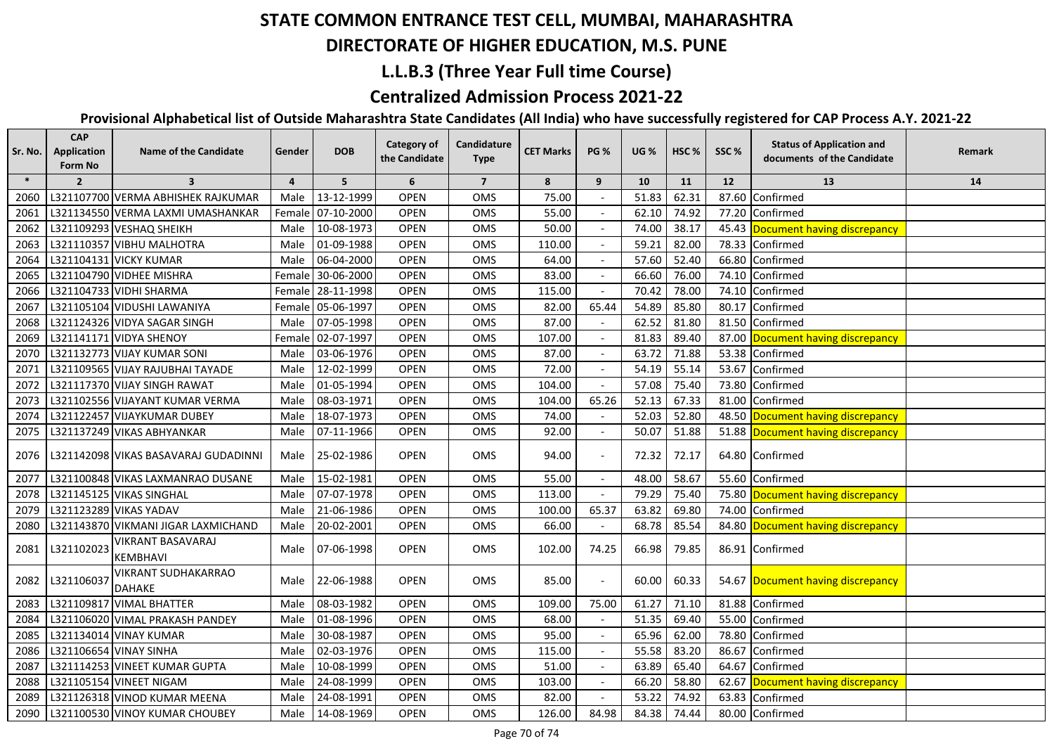## **DIRECTORATE OF HIGHER EDUCATION, M.S. PUNE**

### **L.L.B.3 (Three Year Full time Course)**

### **Centralized Admission Process 2021-22**

| Sr. No. | <b>CAP</b><br>Application<br>Form No | <b>Name of the Candidate</b>                | Gender | <b>DOB</b>        | <b>Category of</b><br>the Candidate | Candidature<br><b>Type</b> | <b>CET Marks</b> | <b>PG %</b>              | <b>UG %</b> | HSC <sub>%</sub> | SSC%  | <b>Status of Application and</b><br>documents of the Candidate | Remark |
|---------|--------------------------------------|---------------------------------------------|--------|-------------------|-------------------------------------|----------------------------|------------------|--------------------------|-------------|------------------|-------|----------------------------------------------------------------|--------|
| $\ast$  | $\overline{2}$                       | $\overline{\mathbf{3}}$                     | 4      | 5                 | 6                                   | $\overline{7}$             | 8                | 9                        | 10          | 11               | 12    | 13                                                             | 14     |
| 2060    |                                      | L321107700 VERMA ABHISHEK RAJKUMAR          | Male   | 13-12-1999        | <b>OPEN</b>                         | OMS                        | 75.00            |                          | 51.83       | 62.31            | 87.60 | Confirmed                                                      |        |
| 2061    |                                      | L321134550 VERMA LAXMI UMASHANKAR           |        | Female 07-10-2000 | <b>OPEN</b>                         | <b>OMS</b>                 | 55.00            |                          | 62.10       | 74.92            |       | 77.20 Confirmed                                                |        |
| 2062    |                                      | L321109293 VESHAQ SHEIKH                    | Male   | 10-08-1973        | <b>OPEN</b>                         | OMS                        | 50.00            |                          | 74.00       | 38.17            |       | 45.43 Document having discrepancy                              |        |
| 2063    |                                      | L321110357 VIBHU MALHOTRA                   | Male   | 01-09-1988        | <b>OPEN</b>                         | OMS                        | 110.00           |                          | 59.21       | 82.00            | 78.33 | Confirmed                                                      |        |
| 2064    |                                      | L321104131 VICKY KUMAR                      | Male   | 06-04-2000        | <b>OPEN</b>                         | OMS                        | 64.00            |                          | 57.60       | 52.40            | 66.80 | Confirmed                                                      |        |
| 2065    |                                      | L321104790 VIDHEE MISHRA                    |        | Female 30-06-2000 | <b>OPEN</b>                         | OMS                        | 83.00            |                          | 66.60       | 76.00            | 74.10 | Confirmed                                                      |        |
| 2066    |                                      | L321104733 VIDHI SHARMA                     |        | Female 28-11-1998 | OPEN                                | OMS                        | 115.00           |                          | 70.42       | 78.00            | 74.10 | Confirmed                                                      |        |
| 2067    |                                      | L321105104 VIDUSHI LAWANIYA                 |        | Female 05-06-1997 | <b>OPEN</b>                         | OMS                        | 82.00            | 65.44                    | 54.89       | 85.80            | 80.17 | Confirmed                                                      |        |
| 2068    |                                      | L321124326 VIDYA SAGAR SINGH                | Male   | 07-05-1998        | <b>OPEN</b>                         | OMS                        | 87.00            |                          | 62.52       | 81.80            | 81.50 | Confirmed                                                      |        |
| 2069    |                                      | L321141171 VIDYA SHENOY                     |        | Female 02-07-1997 | <b>OPEN</b>                         | OMS                        | 107.00           |                          | 81.83       | 89.40            | 87.00 | Document having discrepancy                                    |        |
| 2070    |                                      | L321132773 VIJAY KUMAR SONI                 | Male   | 03-06-1976        | <b>OPEN</b>                         | OMS                        | 87.00            |                          | 63.72       | 71.88            | 53.38 | Confirmed                                                      |        |
| 2071    |                                      | L321109565 VIJAY RAJUBHAI TAYADE            | Male   | 12-02-1999        | <b>OPEN</b>                         | OMS                        | 72.00            |                          | 54.19       | 55.14            | 53.67 | Confirmed                                                      |        |
| 2072    |                                      | L321117370 VIJAY SINGH RAWAT                | Male   | 01-05-1994        | <b>OPEN</b>                         | <b>OMS</b>                 | 104.00           |                          | 57.08       | 75.40            | 73.80 | Confirmed                                                      |        |
| 2073    |                                      | L321102556 VIJAYANT KUMAR VERMA             | Male   | 08-03-1971        | <b>OPEN</b>                         | OMS                        | 104.00           | 65.26                    | 52.13       | 67.33            | 81.00 | Confirmed                                                      |        |
| 2074    |                                      | L321122457 VIJAYKUMAR DUBEY                 | Male   | 18-07-1973        | <b>OPEN</b>                         | OMS                        | 74.00            |                          | 52.03       | 52.80            |       | 48.50 Document having discrepancy                              |        |
| 2075    |                                      | L321137249 VIKAS ABHYANKAR                  | Male   | 07-11-1966        | <b>OPEN</b>                         | OMS                        | 92.00            |                          | 50.07       | 51.88            |       | 51.88 Document having discrepancy                              |        |
| 2076    |                                      | L321142098 VIKAS BASAVARAJ GUDADINNI        | Male   | 25-02-1986        | <b>OPEN</b>                         | OMS                        | 94.00            |                          | 72.32       | 72.17            |       | 64.80 Confirmed                                                |        |
| 2077    |                                      | L321100848 VIKAS LAXMANRAO DUSANE           | Male   | 15-02-1981        | <b>OPEN</b>                         | OMS                        | 55.00            |                          | 48.00       | 58.67            | 55.60 | Confirmed                                                      |        |
| 2078    |                                      | L321145125 VIKAS SINGHAL                    | Male   | 07-07-1978        | <b>OPEN</b>                         | OMS                        | 113.00           | $\overline{a}$           | 79.29       | 75.40            | 75.80 | Document having discrepancy                                    |        |
| 2079    |                                      | L321123289 VIKAS YADAV                      | Male   | 21-06-1986        | <b>OPEN</b>                         | OMS                        | 100.00           | 65.37                    | 63.82       | 69.80            | 74.00 | Confirmed                                                      |        |
| 2080    |                                      | L321143870 VIKMANI JIGAR LAXMICHAND         | Male   | 20-02-2001        | <b>OPEN</b>                         | OMS                        | 66.00            |                          | 68.78       | 85.54            |       | 84.80 Document having discrepancy                              |        |
| 2081    | L321102023                           | VIKRANT BASAVARAJ<br><b>KEMBHAVI</b>        | Male   | 07-06-1998        | <b>OPEN</b>                         | OMS                        | 102.00           | 74.25                    | 66.98       | 79.85            |       | 86.91 Confirmed                                                |        |
| 2082    | L321106037                           | <b>VIKRANT SUDHAKARRAO</b><br><b>DAHAKE</b> | Male   | 22-06-1988        | <b>OPEN</b>                         | OMS                        | 85.00            |                          | 60.00       | 60.33            |       | 54.67 Document having discrepancy                              |        |
| 2083    |                                      | L321109817 VIMAL BHATTER                    | Male   | 08-03-1982        | <b>OPEN</b>                         | OMS                        | 109.00           | 75.00                    | 61.27       | 71.10            | 81.88 | Confirmed                                                      |        |
| 2084    |                                      | L321106020 VIMAL PRAKASH PANDEY             | Male   | 01-08-1996        | <b>OPEN</b>                         | OMS                        | 68.00            |                          | 51.35       | 69.40            | 55.00 | Confirmed                                                      |        |
| 2085    |                                      | L321134014 VINAY KUMAR                      | Male   | 30-08-1987        | <b>OPEN</b>                         | OMS                        | 95.00            |                          | 65.96       | 62.00            | 78.80 | Confirmed                                                      |        |
| 2086    |                                      | L321106654 VINAY SINHA                      | Male   | 02-03-1976        | <b>OPEN</b>                         | <b>OMS</b>                 | 115.00           | $\overline{\phantom{a}}$ | 55.58       | 83.20            | 86.67 | Confirmed                                                      |        |
| 2087    |                                      | L321114253 VINEET KUMAR GUPTA               | Male   | 10-08-1999        | <b>OPEN</b>                         | OMS                        | 51.00            |                          | 63.89       | 65.40            | 64.67 | Confirmed                                                      |        |
| 2088    |                                      | L321105154 VINEET NIGAM                     | Male   | 24-08-1999        | <b>OPEN</b>                         | OMS                        | 103.00           |                          | 66.20       | 58.80            | 62.67 | Document having discrepancy                                    |        |
| 2089    |                                      | L321126318 VINOD KUMAR MEENA                | Male   | 24-08-1991        | <b>OPEN</b>                         | OMS                        | 82.00            |                          | 53.22       | 74.92            | 63.83 | Confirmed                                                      |        |
| 2090    |                                      | L321100530 VINOY KUMAR CHOUBEY              | Male   | 14-08-1969        | <b>OPEN</b>                         | OMS                        | 126.00           | 84.98                    | 84.38       | 74.44            |       | 80.00 Confirmed                                                |        |
|         |                                      |                                             |        |                   |                                     |                            |                  |                          |             |                  |       |                                                                |        |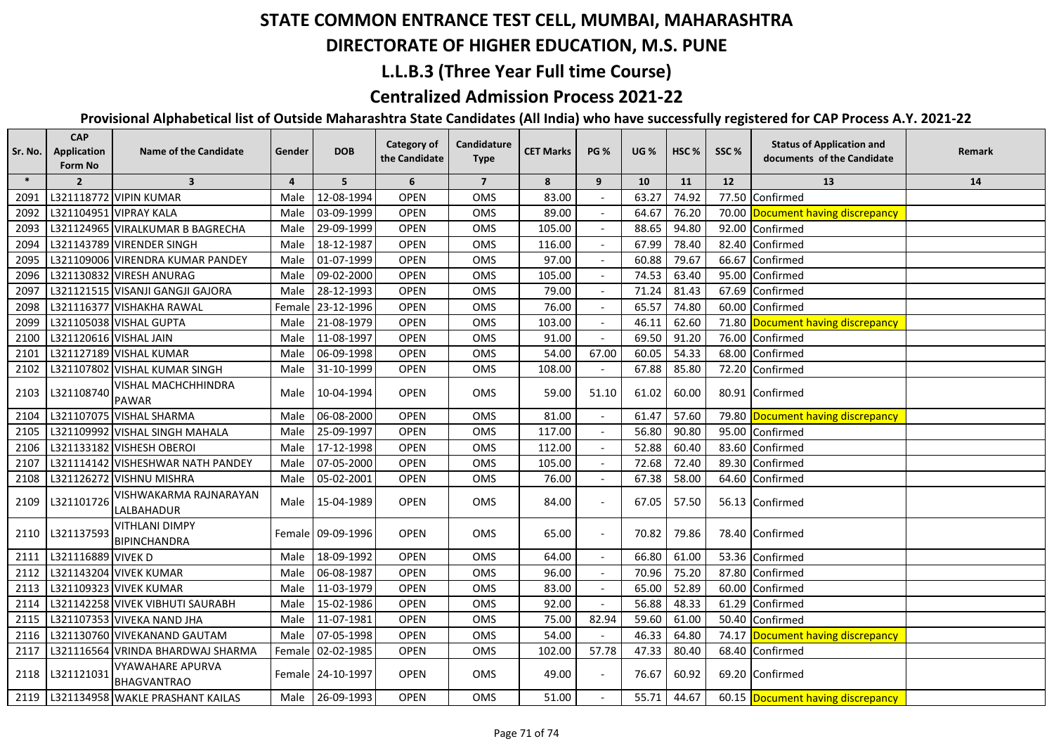## **DIRECTORATE OF HIGHER EDUCATION, M.S. PUNE**

### **L.L.B.3 (Three Year Full time Course)**

### **Centralized Admission Process 2021-22**

| Sr. No. | <b>CAP</b><br>Application<br>Form No | <b>Name of the Candidate</b>                  | Gender | <b>DOB</b>        | <b>Category of</b><br>the Candidate | Candidature<br><b>Type</b> | <b>CET Marks</b> | <b>PG %</b> | <b>UG %</b> | HSC <sub>%</sub> | SSC%  | <b>Status of Application and</b><br>documents of the Candidate | <b>Remark</b> |
|---------|--------------------------------------|-----------------------------------------------|--------|-------------------|-------------------------------------|----------------------------|------------------|-------------|-------------|------------------|-------|----------------------------------------------------------------|---------------|
| $\ast$  | $\overline{2}$                       | $\overline{\mathbf{3}}$                       | 4      | 5                 | 6                                   | $\overline{7}$             | 8                | 9           | 10          | 11               | 12    | 13                                                             | 14            |
| 2091    |                                      | L321118772 VIPIN KUMAR                        | Male   | 12-08-1994        | <b>OPEN</b>                         | OMS                        | 83.00            |             | 63.27       | 74.92            | 77.50 | Confirmed                                                      |               |
| 2092    |                                      | L321104951 VIPRAY KALA                        | Male   | 03-09-1999        | <b>OPEN</b>                         | <b>OMS</b>                 | 89.00            |             | 64.67       | 76.20            |       | 70.00 Document having discrepancy                              |               |
| 2093    |                                      | L321124965 VIRALKUMAR B BAGRECHA              | Male   | 29-09-1999        | <b>OPEN</b>                         | <b>OMS</b>                 | 105.00           |             | 88.65       | 94.80            | 92.00 | Confirmed                                                      |               |
| 2094    |                                      | L321143789 VIRENDER SINGH                     | Male   | 18-12-1987        | <b>OPEN</b>                         | OMS                        | 116.00           |             | 67.99       | 78.40            | 82.40 | Confirmed                                                      |               |
| 2095    |                                      | L321109006 VIRENDRA KUMAR PANDEY              | Male   | 01-07-1999        | <b>OPEN</b>                         | OMS                        | 97.00            |             | 60.88       | 79.67            | 66.67 | Confirmed                                                      |               |
| 2096    |                                      | L321130832 VIRESH ANURAG                      | Male   | 09-02-2000        | <b>OPEN</b>                         | OMS                        | 105.00           |             | 74.53       | 63.40            | 95.00 | Confirmed                                                      |               |
| 2097    |                                      | L321121515 VISANJI GANGJI GAJORA              | Male   | 28-12-1993        | OPEN                                | OMS                        | 79.00            |             | 71.24       | 81.43            | 67.69 | Confirmed                                                      |               |
| 2098    |                                      | L321116377 VISHAKHA RAWAL                     | Female | 23-12-1996        | OPEN                                | OMS                        | 76.00            |             | 65.57       | 74.80            | 60.00 | Confirmed                                                      |               |
| 2099    |                                      | L321105038 VISHAL GUPTA                       | Male   | 21-08-1979        | <b>OPEN</b>                         | OMS                        | 103.00           |             | 46.11       | 62.60            |       | 71.80 Document having discrepancy                              |               |
| 2100    | L321120616 VISHAL JAIN               |                                               | Male   | 11-08-1997        | <b>OPEN</b>                         | OMS                        | 91.00            |             | 69.50       | 91.20            | 76.00 | Confirmed                                                      |               |
| 2101    |                                      | L321127189 VISHAL KUMAR                       | Male   | 06-09-1998        | OPEN                                | OMS                        | 54.00            | 67.00       | 60.05       | 54.33            | 68.00 | Confirmed                                                      |               |
| 2102    |                                      | L321107802 VISHAL KUMAR SINGH                 | Male   | 31-10-1999        | <b>OPEN</b>                         | OMS                        | 108.00           |             | 67.88       | 85.80            | 72.20 | Confirmed                                                      |               |
| 2103    | L321108740                           | VISHAL MACHCHHINDRA<br><b>PAWAR</b>           | Male   | 10-04-1994        | <b>OPEN</b>                         | <b>OMS</b>                 | 59.00            | 51.10       | 61.02       | 60.00            |       | 80.91 Confirmed                                                |               |
| 2104    |                                      | L321107075 VISHAL SHARMA                      | Male   | 06-08-2000        | <b>OPEN</b>                         | <b>OMS</b>                 | 81.00            |             | 61.47       | 57.60            |       | 79.80 Document having discrepancy                              |               |
| 2105    |                                      | L321109992 VISHAL SINGH MAHALA                | Male   | 25-09-1997        | <b>OPEN</b>                         | <b>OMS</b>                 | 117.00           |             | 56.80       | 90.80            | 95.00 | Confirmed                                                      |               |
| 2106    |                                      | L321133182 VISHESH OBEROI                     | Male   | 17-12-1998        | <b>OPEN</b>                         | OMS                        | 112.00           |             | 52.88       | 60.40            | 83.60 | Confirmed                                                      |               |
| 2107    |                                      | L321114142 VISHESHWAR NATH PANDEY             | Male   | 07-05-2000        | <b>OPEN</b>                         | OMS                        | 105.00           |             | 72.68       | 72.40            | 89.30 | Confirmed                                                      |               |
| 2108    |                                      | L321126272 VISHNU MISHRA                      | Male   | 05-02-2001        | <b>OPEN</b>                         | OMS                        | 76.00            |             | 67.38       | 58.00            |       | 64.60 Confirmed                                                |               |
| 2109    | L321101726                           | VISHWAKARMA RAJNARAYAN<br>LALBAHADUR          |        | Male 15-04-1989   | <b>OPEN</b>                         | <b>OMS</b>                 | 84.00            |             | 67.05       | 57.50            |       | 56.13 Confirmed                                                |               |
| 2110    | L321137593                           | <b>VITHLANI DIMPY</b><br><b>BIPINCHANDRA</b>  |        | Female 09-09-1996 | <b>OPEN</b>                         | OMS                        | 65.00            |             | 70.82       | 79.86            |       | 78.40 Confirmed                                                |               |
| 2111    | L321116889 VIVEK D                   |                                               | Male   | 18-09-1992        | OPEN                                | OMS                        | 64.00            |             | 66.80       | 61.00            |       | 53.36 Confirmed                                                |               |
| 2112    |                                      | L321143204 VIVEK KUMAR                        | Male   | 06-08-1987        | <b>OPEN</b>                         | OMS                        | 96.00            |             | 70.96       | 75.20            | 87.80 | Confirmed                                                      |               |
| 2113    |                                      | L321109323 VIVEK KUMAR                        | Male   | 11-03-1979        | <b>OPEN</b>                         | OMS                        | 83.00            |             | 65.00       | 52.89            | 60.00 | Confirmed                                                      |               |
| 2114    |                                      | L321142258 VIVEK VIBHUTI SAURABH              | Male   | 15-02-1986        | <b>OPEN</b>                         | OMS                        | 92.00            |             | 56.88       | 48.33            | 61.29 | Confirmed                                                      |               |
| 2115    |                                      | L321107353 VIVEKA NAND JHA                    | Male   | 11-07-1981        | <b>OPEN</b>                         | OMS                        | 75.00            | 82.94       | 59.60       | 61.00            | 50.40 | Confirmed                                                      |               |
| 2116    |                                      | L321130760 VIVEKANAND GAUTAM                  | Male   | 07-05-1998        | <b>OPEN</b>                         | <b>OMS</b>                 | 54.00            |             | 46.33       | 64.80            |       | 74.17 Document having discrepancy                              |               |
| 2117    |                                      | L321116564 VRINDA BHARDWAJ SHARMA             |        | Female 02-02-1985 | <b>OPEN</b>                         | <b>OMS</b>                 | 102.00           | 57.78       | 47.33       | 80.40            |       | 68.40 Confirmed                                                |               |
| 2118    | L321121031                           | <b>VYAWAHARE APURVA</b><br><b>BHAGVANTRAO</b> |        | Female 24-10-1997 | <b>OPEN</b>                         | <b>OMS</b>                 | 49.00            |             | 76.67       | 60.92            |       | 69.20 Confirmed                                                |               |
|         |                                      | 2119   L321134958 WAKLE PRASHANT KAILAS       |        | Male 26-09-1993   | <b>OPEN</b>                         | OMS                        | 51.00            |             | 55.71       | 44.67            |       | 60.15 Document having discrepancy                              |               |
|         |                                      |                                               |        |                   |                                     |                            |                  |             |             |                  |       |                                                                |               |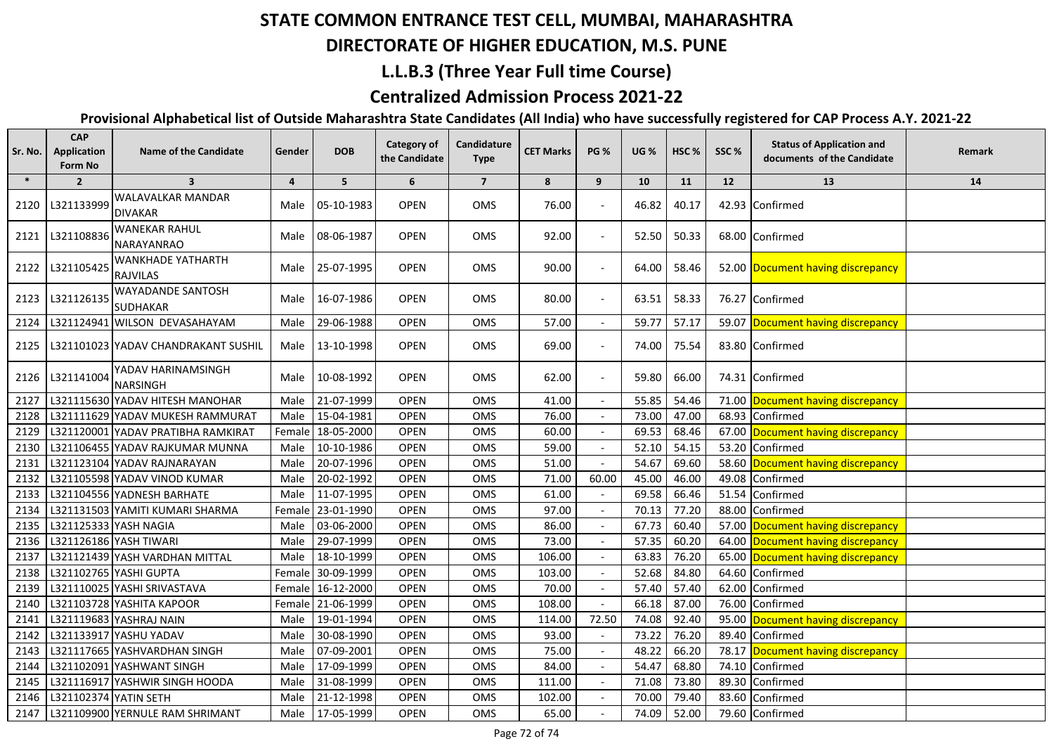## **DIRECTORATE OF HIGHER EDUCATION, M.S. PUNE**

### **L.L.B.3 (Three Year Full time Course)**

### **Centralized Admission Process 2021-22**

| Sr. No. | <b>CAP</b><br>Application<br>Form No | <b>Name of the Candidate</b>                | Gender         | <b>DOB</b>        | <b>Category of</b><br>the Candidate | Candidature<br><b>Type</b> | <b>CET Marks</b> | <b>PG %</b> | <b>UG %</b> | HSC <sub>%</sub> | SSC%  | <b>Status of Application and</b><br>documents of the Candidate | Remark |
|---------|--------------------------------------|---------------------------------------------|----------------|-------------------|-------------------------------------|----------------------------|------------------|-------------|-------------|------------------|-------|----------------------------------------------------------------|--------|
| $\ast$  | $\overline{2}$                       | $\overline{\mathbf{3}}$                     | $\overline{4}$ | 5 <sup>1</sup>    | 6                                   | $\overline{7}$             | 8                | 9           | 10          | 11               | 12    | 13                                                             | 14     |
| 2120    | L321133999                           | WALAVALKAR MANDAR<br><b>DIVAKAR</b>         | Male           | 05-10-1983        | <b>OPEN</b>                         | <b>OMS</b>                 | 76.00            |             | 46.82       | 40.17            |       | 42.93 Confirmed                                                |        |
| 2121    | L321108836                           | <b>WANEKAR RAHUL</b><br><b>NARAYANRAO</b>   | Male           | 08-06-1987        | <b>OPEN</b>                         | <b>OMS</b>                 | 92.00            |             | 52.50       | 50.33            |       | 68.00 Confirmed                                                |        |
| 2122    | L321105425                           | <b>WANKHADE YATHARTH</b><br><b>RAJVILAS</b> | Male           | 25-07-1995        | <b>OPEN</b>                         | <b>OMS</b>                 | 90.00            |             | 64.00       | 58.46            |       | 52.00 Document having discrepancy                              |        |
| 2123    | L321126135                           | WAYADANDE SANTOSH<br><b>SUDHAKAR</b>        | Male           | 16-07-1986        | <b>OPEN</b>                         | OMS                        | 80.00            |             | 63.51       | 58.33            |       | 76.27 Confirmed                                                |        |
| 2124    |                                      | L321124941 WILSON DEVASAHAYAM               | Male           | 29-06-1988        | <b>OPEN</b>                         | OMS                        | 57.00            |             | 59.77       | 57.17            |       | 59.07 Document having discrepancy                              |        |
| 2125    |                                      | L321101023 YADAV CHANDRAKANT SUSHIL         | Male           | 13-10-1998        | <b>OPEN</b>                         | OMS                        | 69.00            |             | 74.00       | 75.54            |       | 83.80 Confirmed                                                |        |
| 2126    | L321141004                           | YADAV HARINAMSINGH<br><b>NARSINGH</b>       | Male           | 10-08-1992        | <b>OPEN</b>                         | OMS                        | 62.00            |             | 59.80       | 66.00            |       | 74.31 Confirmed                                                |        |
| 2127    |                                      | L321115630 YADAV HITESH MANOHAR             | Male           | 21-07-1999        | <b>OPEN</b>                         | OMS                        | 41.00            |             | 55.85       | 54.46            |       | 71.00 Document having discrepancy                              |        |
| 2128    |                                      | L321111629 YADAV MUKESH RAMMURAT            | Male           | 15-04-1981        | <b>OPEN</b>                         | OMS                        | 76.00            |             | 73.00       | 47.00            |       | 68.93 Confirmed                                                |        |
| 2129    |                                      | L321120001 YADAV PRATIBHA RAMKIRAT          |                | Female 18-05-2000 | <b>OPEN</b>                         | OMS                        | 60.00            |             | 69.53       | 68.46            |       | 67.00 Document having discrepancy                              |        |
| 2130    |                                      | L321106455 YADAV RAJKUMAR MUNNA             | Male           | 10-10-1986        | <b>OPEN</b>                         | OMS                        | 59.00            |             | 52.10       | 54.15            |       | 53.20 Confirmed                                                |        |
| 2131    |                                      | L321123104 YADAV RAJNARAYAN                 | Male           | 20-07-1996        | <b>OPEN</b>                         | OMS                        | 51.00            |             | 54.67       | 69.60            |       | 58.60 Document having discrepancy                              |        |
| 2132    |                                      | L321105598 YADAV VINOD KUMAR                | Male           | 20-02-1992        | <b>OPEN</b>                         | OMS                        | 71.00            | 60.00       | 45.00       | 46.00            | 49.08 | Confirmed                                                      |        |
| 2133    |                                      | L321104556 YADNESH BARHATE                  | Male           | 11-07-1995        | <b>OPEN</b>                         | OMS                        | 61.00            |             | 69.58       | 66.46            | 51.54 | Confirmed                                                      |        |
| 2134    |                                      | L321131503 YAMITI KUMARI SHARMA             | Female         | 23-01-1990        | OPEN                                | OMS                        | 97.00            |             | 70.13       | 77.20            | 88.00 | Confirmed                                                      |        |
| 2135    | L321125333 YASH NAGIA                |                                             | Male           | 03-06-2000        | OPEN                                | OMS                        | 86.00            |             | 67.73       | 60.40            |       | 57.00 Document having discrepancy                              |        |
| 2136    |                                      | L321126186 YASH TIWARI                      | Male           | 29-07-1999        | OPEN                                | OMS                        | 73.00            |             | 57.35       | 60.20            |       | 64.00 Document having discrepancy                              |        |
| 2137    |                                      | L321121439 YASH VARDHAN MITTAL              | Male           | 18-10-1999        | OPEN                                | OMS                        | 106.00           |             | 63.83       | 76.20            |       | 65.00 Document having discrepancy                              |        |
| 2138    |                                      | L321102765 YASHI GUPTA                      |                | Female 30-09-1999 | <b>OPEN</b>                         | OMS                        | 103.00           |             | 52.68       | 84.80            | 64.60 | Confirmed                                                      |        |
| 2139    |                                      | L321110025 YASHI SRIVASTAVA                 |                | Female 16-12-2000 | <b>OPEN</b>                         | OMS                        | 70.00            |             | 57.40       | 57.40            | 62.00 | Confirmed                                                      |        |
| 2140    |                                      | L321103728 YASHITA KAPOOR                   |                | Female 21-06-1999 | <b>OPEN</b>                         | OMS                        | 108.00           |             | 66.18       | 87.00            | 76.00 | Confirmed                                                      |        |
| 2141    |                                      | L321119683 YASHRAJ NAIN                     | Male           | 19-01-1994        | <b>OPEN</b>                         | OMS                        | 114.00           | 72.50       | 74.08       | 92.40            | 95.00 | Document having discrepancy                                    |        |
| 2142    |                                      | L321133917 YASHU YADAV                      | Male           | 30-08-1990        | <b>OPEN</b>                         | OMS                        | 93.00            |             | 73.22       | 76.20            | 89.40 | Confirmed                                                      |        |
| 2143    |                                      | L321117665 YASHVARDHAN SINGH                | Male           | 07-09-2001        | <b>OPEN</b>                         | OMS                        | 75.00            |             | 48.22       | 66.20            | 78.17 | Document having discrepancy                                    |        |
| 2144    |                                      | L321102091 YASHWANT SINGH                   | Male           | 17-09-1999        | <b>OPEN</b>                         | OMS                        | 84.00            |             | 54.47       | 68.80            | 74.10 | Confirmed                                                      |        |
| 2145    |                                      | L321116917 YASHWIR SINGH HOODA              | Male           | 31-08-1999        | <b>OPEN</b>                         | OMS                        | 111.00           |             | 71.08       | 73.80            | 89.30 | Confirmed                                                      |        |
| 2146    | L321102374 YATIN SETH                |                                             | Male           | 21-12-1998        | <b>OPEN</b>                         | OMS                        | 102.00           |             | 70.00       | 79.40            |       | 83.60 Confirmed                                                |        |
| 2147    |                                      | L321109900 YERNULE RAM SHRIMANT             | Male           | 17-05-1999        | <b>OPEN</b>                         | OMS                        | 65.00            |             | 74.09       | 52.00            |       | 79.60 Confirmed                                                |        |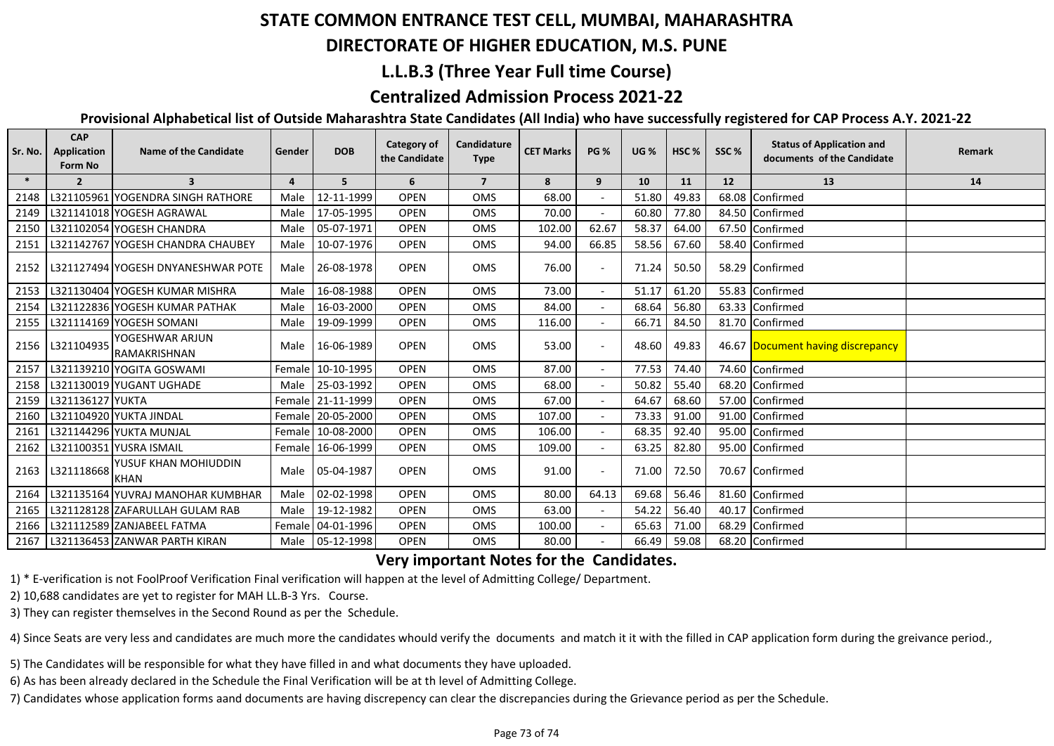# **STATE COMMON ENTRANCE TEST CELL, MUMBAI, MAHARASHTRA**

### **DIRECTORATE OF HIGHER EDUCATION, M.S. PUNE**

## **L.L.B.3 (Three Year Full time Course)**

## **Centralized Admission Process 2021-22**

#### **Provisional Alphabetical list of Outside Maharashtra State Candidates (All India) who have successfully registered for CAP Process A.Y. 2021-22**

| Sr. No. | <b>CAP</b><br><b>Application</b><br><b>Form No</b> | <b>Name of the Candidate</b>           | Gender         | <b>DOB</b>        | Category of<br>the Candidate | Candidature<br><b>Type</b> | <b>CET Marks</b> | <b>PG %</b>              | <b>UG%</b> | HSC <sub>%</sub> | SSC% | <b>Status of Application and</b><br>documents of the Candidate | Remark |
|---------|----------------------------------------------------|----------------------------------------|----------------|-------------------|------------------------------|----------------------------|------------------|--------------------------|------------|------------------|------|----------------------------------------------------------------|--------|
| $\ast$  | $\overline{2}$                                     | $\overline{3}$                         | $\overline{4}$ | 5                 | 6                            | $\overline{7}$             | 8                | 9                        | 10         | 11               | 12   | 13                                                             | 14     |
| 2148    |                                                    | L321105961 YOGENDRA SINGH RATHORE      | Male           | 12-11-1999        | <b>OPEN</b>                  | <b>OMS</b>                 | 68.00            |                          | 51.80      | 49.83            |      | 68.08 Confirmed                                                |        |
| 2149    |                                                    | L321141018 YOGESH AGRAWAL              | Male           | 17-05-1995        | <b>OPEN</b>                  | <b>OMS</b>                 | 70.00            |                          | 60.80      | 77.80            |      | 84.50 Confirmed                                                |        |
| 2150    |                                                    | L321102054 YOGESH CHANDRA              | Male           | 05-07-1971        | <b>OPEN</b>                  | <b>OMS</b>                 | 102.00           | 62.67                    | 58.37      | 64.00            |      | 67.50 Confirmed                                                |        |
| 2151    |                                                    | L321142767 YOGESH CHANDRA CHAUBEY      | Male           | 10-07-1976        | <b>OPEN</b>                  | <b>OMS</b>                 | 94.00            | 66.85                    | 58.56      | 67.60            |      | 58.40 Confirmed                                                |        |
| 2152    |                                                    | l L321127494 lYOGESH DNYANESHWAR POTE  | Male           | 26-08-1978        | <b>OPEN</b>                  | <b>OMS</b>                 | 76.00            |                          | 71.24      | 50.50            |      | 58.29 Confirmed                                                |        |
| 2153    |                                                    | L321130404 YOGESH KUMAR MISHRA         | Male           | 16-08-1988        | <b>OPEN</b>                  | <b>OMS</b>                 | 73.00            | $\overline{\phantom{0}}$ | 51.17      | 61.20            |      | 55.83 Confirmed                                                |        |
| 2154    |                                                    | L321122836 YOGESH KUMAR PATHAK         | Male           | 16-03-2000        | <b>OPEN</b>                  | <b>OMS</b>                 | 84.00            |                          | 68.64      | 56.80            |      | 63.33 Confirmed                                                |        |
| 2155    |                                                    | L321114169 YOGESH SOMANI               | Male           | 19-09-1999        | <b>OPEN</b>                  | <b>OMS</b>                 | 116.00           |                          | 66.71      | 84.50            |      | 81.70 Confirmed                                                |        |
| 2156    | L321104935                                         | YOGESHWAR ARJUN<br><b>RAMAKRISHNAN</b> | Male           | 16-06-1989        | <b>OPEN</b>                  | <b>OMS</b>                 | 53.00            |                          | 48.60      | 49.83            |      | 46.67 Document having discrepancy                              |        |
| 2157    |                                                    | L321139210 YOGITA GOSWAMI              |                | Female 10-10-1995 | <b>OPEN</b>                  | <b>OMS</b>                 | 87.00            | $\overline{a}$           | 77.53      | 74.40            |      | 74.60 Confirmed                                                |        |
| 2158    |                                                    | L321130019 YUGANT UGHADE               |                | Male 25-03-1992   | <b>OPEN</b>                  | <b>OMS</b>                 | 68.00            |                          | 50.82      | 55.40            |      | 68.20 Confirmed                                                |        |
| 2159    | L321136127 YUKTA                                   |                                        |                | Female 21-11-1999 | <b>OPEN</b>                  | <b>OMS</b>                 | 67.00            |                          | 64.67      | 68.60            |      | 57.00 Confirmed                                                |        |
| 2160    |                                                    | L321104920 YUKTA JINDAL                |                | Female 20-05-2000 | <b>OPEN</b>                  | <b>OMS</b>                 | 107.00           |                          | 73.33      | 91.00            |      | 91.00 Confirmed                                                |        |
| 2161    |                                                    | L321144296 YUKTA MUNJAL                |                | Female 10-08-2000 | <b>OPEN</b>                  | <b>OMS</b>                 | 106.00           |                          | 68.35      | 92.40            |      | 95.00 Confirmed                                                |        |
| 2162    |                                                    | L321100351 YUSRA ISMAIL                |                | Female 16-06-1999 | <b>OPEN</b>                  | <b>OMS</b>                 | 109.00           |                          | 63.25      | 82.80            |      | 95.00 Confirmed                                                |        |
| 2163    | L321118668                                         | YUSUF KHAN MOHIUDDIN<br><b>KHAN</b>    |                | Male 05-04-1987   | <b>OPEN</b>                  | <b>OMS</b>                 | 91.00            |                          | 71.00      | 72.50            |      | 70.67 Confirmed                                                |        |
| 2164    |                                                    | L321135164 YUVRAJ MANOHAR KUMBHAR      | Male           | 02-02-1998        | <b>OPEN</b>                  | <b>OMS</b>                 | 80.00            | 64.13                    | 69.68      | 56.46            |      | 81.60 Confirmed                                                |        |
| 2165    |                                                    | L321128128 ZAFARULLAH GULAM RAB        |                | Male 19-12-1982   | <b>OPEN</b>                  | <b>OMS</b>                 | 63.00            |                          | 54.22      | 56.40            |      | 40.17 Confirmed                                                |        |
| 2166    |                                                    | L321112589 ZANJABEEL FATMA             |                | Female 04-01-1996 | <b>OPEN</b>                  | <b>OMS</b>                 | 100.00           |                          | 65.63      | 71.00            |      | 68.29 Confirmed                                                |        |
| 2167    |                                                    | L321136453 ZANWAR PARTH KIRAN          |                | Male 05-12-1998   | <b>OPEN</b>                  | <b>OMS</b>                 | 80.00            |                          | 66.49      | 59.08            |      | 68.20 Confirmed                                                |        |

#### **Very important Notes for the Candidates.**

1) \* E-verification is not FoolProof Verification Final verification will happen at the level of Admitting College/ Department.

2) 10,688 candidates are yet to register for MAH LL.B-3 Yrs. Course.

3) They can register themselves in the Second Round as per the Schedule.

4) Since Seats are very less and candidates are much more the candidates whould verify the documents and match it it with the filled in CAP application form during the greivance period.,

5) The Candidates will be responsible for what they have filled in and what documents they have uploaded.

6) As has been already declared in the Schedule the Final Verification will be at th level of Admitting College.

7) Candidates whose application forms aand documents are having discrepency can clear the discrepancies during the Grievance period as per the Schedule.

#### Page 73 of 74